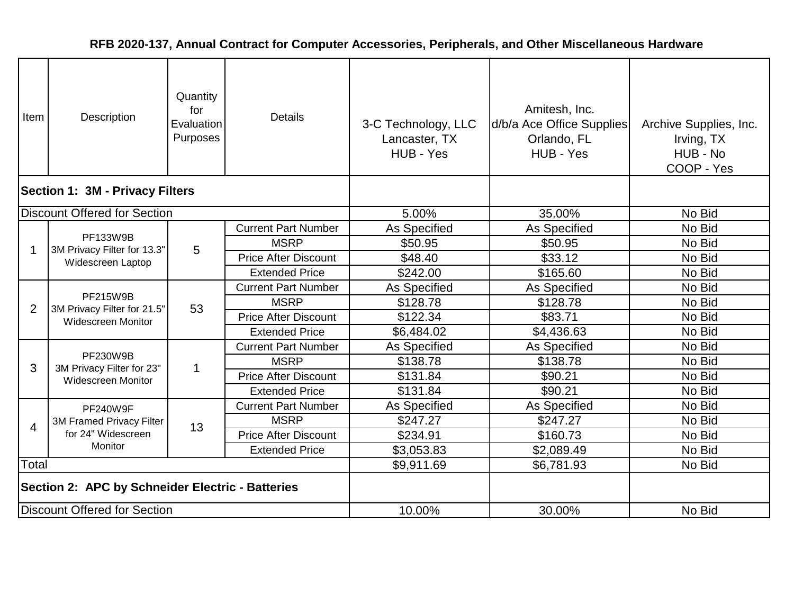| Item                                             | Description                                                          | Quantity<br>for<br>Evaluation<br>Purposes | <b>Details</b>              | 3-C Technology, LLC<br>Lancaster, TX<br>HUB - Yes | Amitesh, Inc.<br>d/b/a Ace Office Supplies<br>Orlando, FL<br>HUB - Yes | Archive Supplies, Inc.<br>Irving, TX<br>HUB - No<br>COOP - Yes |
|--------------------------------------------------|----------------------------------------------------------------------|-------------------------------------------|-----------------------------|---------------------------------------------------|------------------------------------------------------------------------|----------------------------------------------------------------|
| <b>Section 1: 3M - Privacy Filters</b>           |                                                                      |                                           |                             |                                                   |                                                                        |                                                                |
|                                                  | <b>Discount Offered for Section</b>                                  |                                           |                             | 5.00%                                             | 35.00%                                                                 | No Bid                                                         |
|                                                  |                                                                      |                                           | <b>Current Part Number</b>  | As Specified                                      | As Specified                                                           | No Bid                                                         |
| 1                                                | PF133W9B<br>3M Privacy Filter for 13.3"                              | 5                                         | <b>MSRP</b>                 | \$50.95                                           | \$50.95                                                                | No Bid                                                         |
|                                                  | Widescreen Laptop                                                    |                                           | <b>Price After Discount</b> | \$48.40                                           | \$33.12                                                                | No Bid                                                         |
|                                                  |                                                                      |                                           | <b>Extended Price</b>       | \$242.00                                          | \$165.60                                                               | No Bid                                                         |
|                                                  | PF215W9B<br>3M Privacy Filter for 21.5"<br><b>Widescreen Monitor</b> |                                           | <b>Current Part Number</b>  | As Specified                                      | As Specified                                                           | No Bid                                                         |
| $\overline{2}$                                   |                                                                      | 53                                        | <b>MSRP</b>                 | \$128.78                                          | \$128.78                                                               | No Bid                                                         |
|                                                  |                                                                      |                                           | <b>Price After Discount</b> | \$122.34                                          | \$83.71                                                                | No Bid                                                         |
|                                                  |                                                                      |                                           | <b>Extended Price</b>       | \$6,484.02                                        | \$4,436.63                                                             | No Bid                                                         |
|                                                  |                                                                      |                                           | <b>Current Part Number</b>  | As Specified                                      | As Specified                                                           | No Bid                                                         |
| 3                                                | PF230W9B<br>3M Privacy Filter for 23"                                | $\mathbf{1}$                              | <b>MSRP</b>                 | \$138.78                                          | \$138.78                                                               | No Bid                                                         |
|                                                  | Widescreen Monitor                                                   |                                           | <b>Price After Discount</b> | \$131.84                                          | \$90.21                                                                | No Bid                                                         |
|                                                  |                                                                      |                                           | <b>Extended Price</b>       | \$131.84                                          | \$90.21                                                                | No Bid                                                         |
|                                                  | <b>PF240W9F</b>                                                      |                                           | <b>Current Part Number</b>  | As Specified                                      | <b>As Specified</b>                                                    | No Bid                                                         |
| $\overline{4}$                                   | 3M Framed Privacy Filter                                             | 13                                        | <b>MSRP</b>                 | \$247.27                                          | \$247.27                                                               | No Bid                                                         |
|                                                  | for 24" Widescreen                                                   |                                           | <b>Price After Discount</b> | \$234.91                                          | \$160.73                                                               | No Bid                                                         |
|                                                  | <b>Monitor</b>                                                       |                                           | <b>Extended Price</b>       | \$3,053.83                                        | \$2,089.49                                                             | No Bid                                                         |
| Total                                            |                                                                      |                                           |                             | \$9,911.69                                        | \$6,781.93                                                             | No Bid                                                         |
| Section 2: APC by Schneider Electric - Batteries |                                                                      |                                           |                             |                                                   |                                                                        |                                                                |
|                                                  | <b>Discount Offered for Section</b>                                  |                                           |                             | 10.00%                                            | 30.00%                                                                 | No Bid                                                         |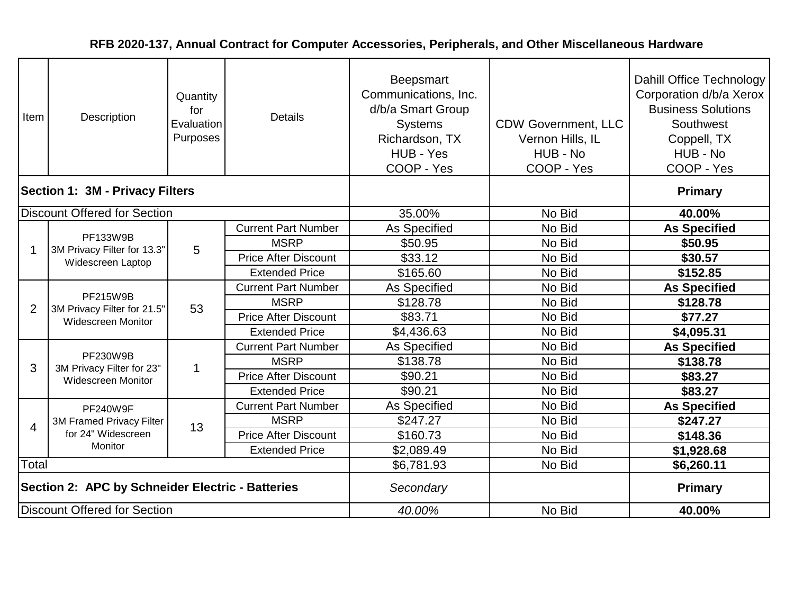| Item                                             | Description                                                          | Quantity<br>for<br>Evaluation<br>Purposes | <b>Details</b>              | <b>Beepsmart</b><br>Communications, Inc.<br>d/b/a Smart Group<br><b>Systems</b><br>Richardson, TX<br>HUB - Yes<br>COOP - Yes | <b>CDW Government, LLC</b><br>Vernon Hills, IL<br>HUB - No<br>COOP - Yes | Dahill Office Technology<br>Corporation d/b/a Xerox<br><b>Business Solutions</b><br>Southwest<br>Coppell, TX<br>HUB - No<br>COOP - Yes |
|--------------------------------------------------|----------------------------------------------------------------------|-------------------------------------------|-----------------------------|------------------------------------------------------------------------------------------------------------------------------|--------------------------------------------------------------------------|----------------------------------------------------------------------------------------------------------------------------------------|
|                                                  | <b>Section 1: 3M - Privacy Filters</b>                               |                                           |                             |                                                                                                                              |                                                                          | <b>Primary</b>                                                                                                                         |
|                                                  | <b>Discount Offered for Section</b>                                  |                                           |                             | 35.00%                                                                                                                       | No Bid                                                                   | 40.00%                                                                                                                                 |
|                                                  |                                                                      |                                           | <b>Current Part Number</b>  | <b>As Specified</b>                                                                                                          | No Bid                                                                   | <b>As Specified</b>                                                                                                                    |
| -1                                               | PF133W9B<br>3M Privacy Filter for 13.3"                              | 5                                         | <b>MSRP</b>                 | \$50.95                                                                                                                      | No Bid                                                                   | \$50.95                                                                                                                                |
|                                                  | Widescreen Laptop                                                    |                                           | <b>Price After Discount</b> | \$33.12                                                                                                                      | No Bid                                                                   | \$30.57                                                                                                                                |
|                                                  |                                                                      |                                           | <b>Extended Price</b>       | \$165.60                                                                                                                     | No Bid                                                                   | \$152.85                                                                                                                               |
|                                                  | PF215W9B<br>3M Privacy Filter for 21.5"<br><b>Widescreen Monitor</b> |                                           | <b>Current Part Number</b>  | As Specified                                                                                                                 | No Bid                                                                   | <b>As Specified</b>                                                                                                                    |
| $\overline{2}$                                   |                                                                      | 53                                        | <b>MSRP</b>                 | \$128.78                                                                                                                     | No Bid                                                                   | \$128.78                                                                                                                               |
|                                                  |                                                                      |                                           | <b>Price After Discount</b> | \$83.71                                                                                                                      | No Bid                                                                   | \$77.27                                                                                                                                |
|                                                  |                                                                      |                                           | <b>Extended Price</b>       | \$4,436.63                                                                                                                   | No Bid                                                                   | \$4,095.31                                                                                                                             |
|                                                  | PF230W9B                                                             |                                           | <b>Current Part Number</b>  | As Specified                                                                                                                 | No Bid                                                                   | <b>As Specified</b>                                                                                                                    |
| 3                                                | 3M Privacy Filter for 23"                                            | 1                                         | <b>MSRP</b>                 | \$138.78                                                                                                                     | No Bid                                                                   | \$138.78                                                                                                                               |
|                                                  | <b>Widescreen Monitor</b>                                            |                                           | <b>Price After Discount</b> | \$90.21                                                                                                                      | No Bid                                                                   | \$83.27                                                                                                                                |
|                                                  |                                                                      |                                           | <b>Extended Price</b>       | \$90.21                                                                                                                      | No Bid                                                                   | \$83.27                                                                                                                                |
|                                                  | <b>PF240W9F</b>                                                      |                                           | <b>Current Part Number</b>  | As Specified                                                                                                                 | No Bid                                                                   | <b>As Specified</b>                                                                                                                    |
| $\overline{4}$                                   | 3M Framed Privacy Filter                                             | 13                                        | <b>MSRP</b>                 | \$247.27                                                                                                                     | No Bid                                                                   | \$247.27                                                                                                                               |
|                                                  | for 24" Widescreen                                                   |                                           | <b>Price After Discount</b> | \$160.73                                                                                                                     | No Bid                                                                   | \$148.36                                                                                                                               |
|                                                  | <b>Monitor</b>                                                       |                                           | <b>Extended Price</b>       | \$2,089.49                                                                                                                   | No Bid                                                                   | \$1,928.68                                                                                                                             |
| Total                                            |                                                                      |                                           |                             | \$6,781.93                                                                                                                   | No Bid                                                                   | \$6,260.11                                                                                                                             |
| Section 2: APC by Schneider Electric - Batteries |                                                                      |                                           |                             | Secondary                                                                                                                    |                                                                          | <b>Primary</b>                                                                                                                         |
|                                                  | Discount Offered for Section                                         |                                           |                             | 40.00%                                                                                                                       | No Bid                                                                   | 40.00%                                                                                                                                 |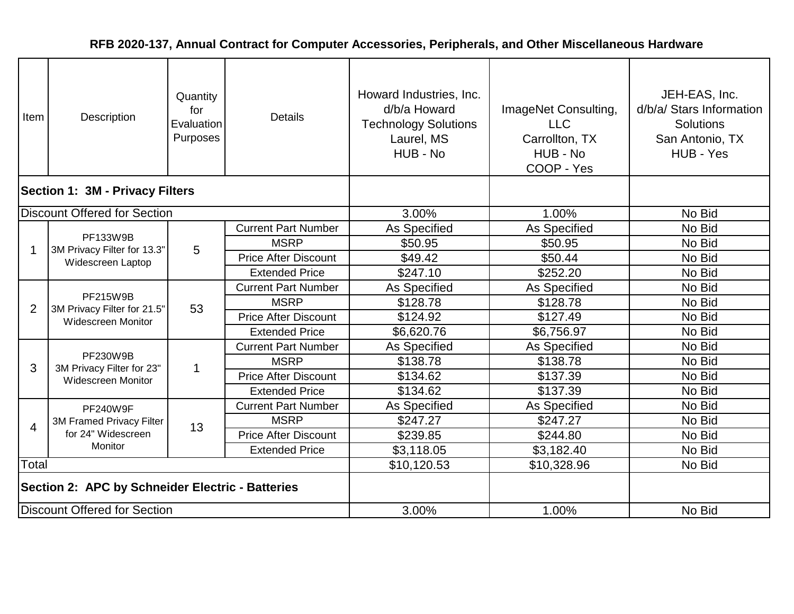| Item                                             | Description                                                          | Quantity<br>for<br>Evaluation<br>Purposes | <b>Details</b>              | Howard Industries, Inc.<br>d/b/a Howard<br><b>Technology Solutions</b><br>Laurel, MS<br>HUB - No | ImageNet Consulting,<br><b>LLC</b><br>Carrollton, TX<br>HUB - No<br>COOP - Yes | JEH-EAS, Inc.<br>d/b/a/ Stars Information<br><b>Solutions</b><br>San Antonio, TX<br>HUB - Yes |
|--------------------------------------------------|----------------------------------------------------------------------|-------------------------------------------|-----------------------------|--------------------------------------------------------------------------------------------------|--------------------------------------------------------------------------------|-----------------------------------------------------------------------------------------------|
| <b>Section 1: 3M - Privacy Filters</b>           |                                                                      |                                           |                             |                                                                                                  |                                                                                |                                                                                               |
|                                                  | <b>Discount Offered for Section</b>                                  |                                           |                             | 3.00%                                                                                            | 1.00%                                                                          | No Bid                                                                                        |
|                                                  |                                                                      |                                           | <b>Current Part Number</b>  | As Specified                                                                                     | As Specified                                                                   | No Bid                                                                                        |
|                                                  | PF133W9B<br>3M Privacy Filter for 13.3"                              | 5                                         | <b>MSRP</b>                 | \$50.95                                                                                          | \$50.95                                                                        | No Bid                                                                                        |
|                                                  | Widescreen Laptop                                                    |                                           | <b>Price After Discount</b> | \$49.42                                                                                          | \$50.44                                                                        | No Bid                                                                                        |
|                                                  |                                                                      |                                           | <b>Extended Price</b>       | \$247.10                                                                                         | \$252.20                                                                       | No Bid                                                                                        |
|                                                  | PF215W9B<br>3M Privacy Filter for 21.5"<br><b>Widescreen Monitor</b> |                                           | <b>Current Part Number</b>  | As Specified                                                                                     | As Specified                                                                   | No Bid                                                                                        |
| $\overline{2}$                                   |                                                                      | 53                                        | <b>MSRP</b>                 | \$128.78                                                                                         | \$128.78                                                                       | No Bid                                                                                        |
|                                                  |                                                                      |                                           | <b>Price After Discount</b> | \$124.92                                                                                         | \$127.49                                                                       | No Bid                                                                                        |
|                                                  |                                                                      |                                           | <b>Extended Price</b>       | \$6,620.76                                                                                       | \$6,756.97                                                                     | No Bid                                                                                        |
|                                                  |                                                                      |                                           | <b>Current Part Number</b>  | As Specified                                                                                     | As Specified                                                                   | No Bid                                                                                        |
| 3                                                | PF230W9B<br>3M Privacy Filter for 23"                                | $\mathbf 1$                               | <b>MSRP</b>                 | \$138.78                                                                                         | \$138.78                                                                       | No Bid                                                                                        |
|                                                  | Widescreen Monitor                                                   |                                           | <b>Price After Discount</b> | \$134.62                                                                                         | \$137.39                                                                       | No Bid                                                                                        |
|                                                  |                                                                      |                                           | <b>Extended Price</b>       | \$134.62                                                                                         | \$137.39                                                                       | No Bid                                                                                        |
|                                                  | <b>PF240W9F</b>                                                      |                                           | <b>Current Part Number</b>  | As Specified                                                                                     | As Specified                                                                   | No Bid                                                                                        |
| 4                                                | 3M Framed Privacy Filter                                             | 13                                        | <b>MSRP</b>                 | \$247.27                                                                                         | \$247.27                                                                       | No Bid                                                                                        |
|                                                  | for 24" Widescreen                                                   |                                           | <b>Price After Discount</b> | \$239.85                                                                                         | \$244.80                                                                       | No Bid                                                                                        |
|                                                  | Monitor                                                              |                                           | <b>Extended Price</b>       | \$3,118.05                                                                                       | \$3,182.40                                                                     | No Bid                                                                                        |
| Total                                            |                                                                      |                                           |                             | \$10,120.53                                                                                      | \$10,328.96                                                                    | No Bid                                                                                        |
| Section 2: APC by Schneider Electric - Batteries |                                                                      |                                           |                             |                                                                                                  |                                                                                |                                                                                               |
| <b>Discount Offered for Section</b>              |                                                                      |                                           |                             | 3.00%                                                                                            | 1.00%                                                                          | No Bid                                                                                        |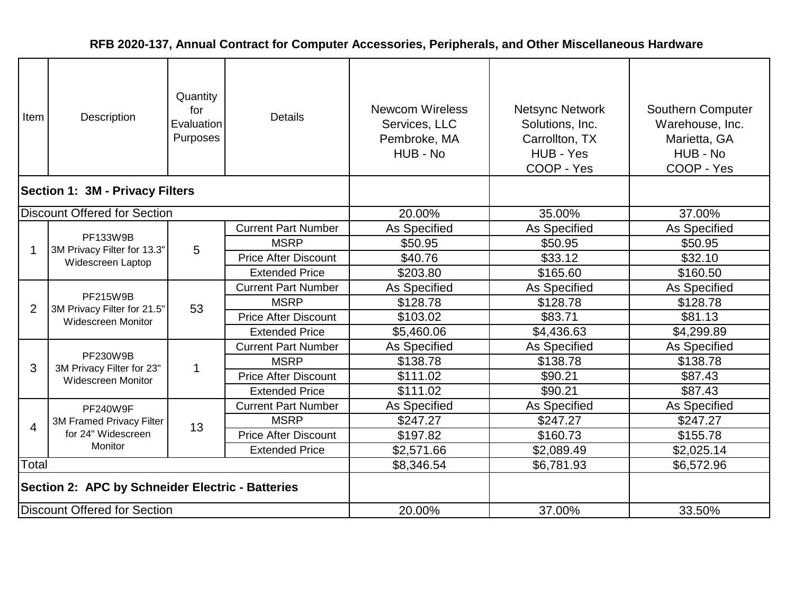| Item                                             | <b>Description</b>                                                          | Quantity<br>for<br>Evaluation<br>Purposes | Details                     | <b>Newcom Wireless</b><br>Services, LLC<br>Pembroke, MA<br>HUB - No | <b>Netsync Network</b><br>Solutions, Inc.<br>Carrollton, TX<br>HUB - Yes<br>COOP - Yes | <b>Southern Computer</b><br>Warehouse, Inc.<br>Marietta, GA<br>HUB - No<br>COOP - Yes |
|--------------------------------------------------|-----------------------------------------------------------------------------|-------------------------------------------|-----------------------------|---------------------------------------------------------------------|----------------------------------------------------------------------------------------|---------------------------------------------------------------------------------------|
| <b>Section 1: 3M - Privacy Filters</b>           |                                                                             |                                           |                             |                                                                     |                                                                                        |                                                                                       |
|                                                  | <b>Discount Offered for Section</b>                                         |                                           |                             | 20.00%                                                              | 35.00%                                                                                 | 37.00%                                                                                |
|                                                  |                                                                             |                                           | <b>Current Part Number</b>  | As Specified                                                        | As Specified                                                                           | As Specified                                                                          |
| 1                                                | PF133W9B<br>3M Privacy Filter for 13.3"                                     | 5                                         | <b>MSRP</b>                 | \$50.95                                                             | \$50.95                                                                                | \$50.95                                                                               |
|                                                  | Widescreen Laptop                                                           |                                           | <b>Price After Discount</b> | \$40.76                                                             | \$33.12                                                                                | \$32.10                                                                               |
|                                                  |                                                                             |                                           | <b>Extended Price</b>       | \$203.80                                                            | \$165.60                                                                               | \$160.50                                                                              |
|                                                  | <b>PF215W9B</b><br>3M Privacy Filter for 21.5"<br><b>Widescreen Monitor</b> |                                           | <b>Current Part Number</b>  | As Specified                                                        | As Specified                                                                           | As Specified                                                                          |
| 2                                                |                                                                             | 53                                        | <b>MSRP</b>                 | \$128.78                                                            | \$128.78                                                                               | \$128.78                                                                              |
|                                                  |                                                                             |                                           | <b>Price After Discount</b> | \$103.02                                                            | \$83.71                                                                                | \$81.13                                                                               |
|                                                  |                                                                             |                                           | <b>Extended Price</b>       | \$5,460.06                                                          | \$4,436.63                                                                             | \$4,299.89                                                                            |
|                                                  |                                                                             |                                           | <b>Current Part Number</b>  | As Specified                                                        | As Specified                                                                           | As Specified                                                                          |
| 3                                                | PF230W9B<br>3M Privacy Filter for 23"                                       | $\mathbf 1$                               | <b>MSRP</b>                 | \$138.78                                                            | \$138.78                                                                               | \$138.78                                                                              |
|                                                  | <b>Widescreen Monitor</b>                                                   |                                           | <b>Price After Discount</b> | \$111.02                                                            | \$90.21                                                                                | \$87.43                                                                               |
|                                                  |                                                                             |                                           | <b>Extended Price</b>       | \$111.02                                                            | \$90.21                                                                                | \$87.43                                                                               |
|                                                  | <b>PF240W9F</b>                                                             |                                           | <b>Current Part Number</b>  | As Specified                                                        | As Specified                                                                           | As Specified                                                                          |
| 4                                                | 3M Framed Privacy Filter                                                    | 13                                        | <b>MSRP</b>                 | \$247.27                                                            | \$247.27                                                                               | \$247.27                                                                              |
|                                                  | for 24" Widescreen                                                          |                                           | <b>Price After Discount</b> | \$197.82                                                            | \$160.73                                                                               | \$155.78                                                                              |
|                                                  | Monitor                                                                     |                                           | <b>Extended Price</b>       | \$2,571.66                                                          | \$2,089.49                                                                             | \$2,025.14                                                                            |
| Total                                            |                                                                             |                                           |                             | \$8,346.54                                                          | \$6,781.93                                                                             | \$6,572.96                                                                            |
| Section 2: APC by Schneider Electric - Batteries |                                                                             |                                           |                             |                                                                     |                                                                                        |                                                                                       |
|                                                  | Discount Offered for Section                                                |                                           |                             | 20.00%                                                              | 37.00%                                                                                 | 33.50%                                                                                |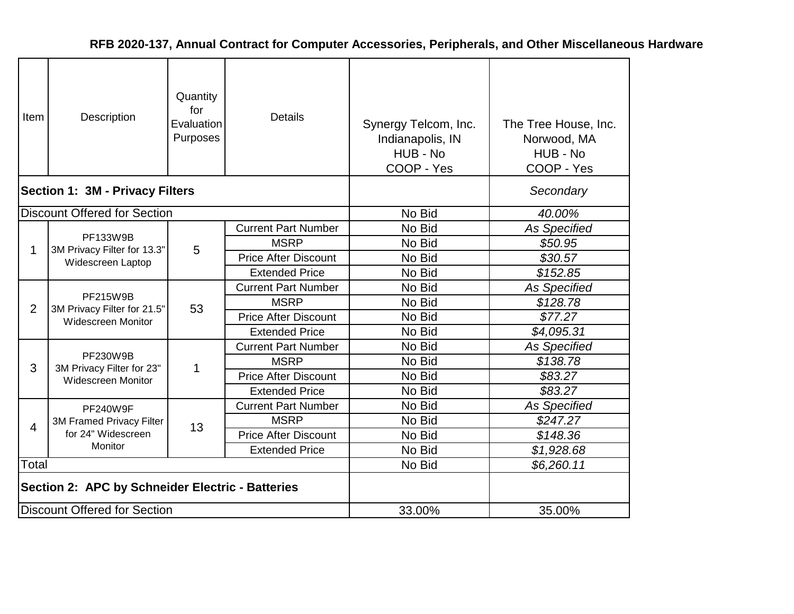| Item           | Description                                                          | Quantity<br>for<br>Evaluation<br>Purposes | <b>Details</b>              | Synergy Telcom, Inc.<br>Indianapolis, IN<br>HUB - No<br>COOP - Yes | The Tree House, Inc.<br>Norwood, MA<br>HUB - No<br>COOP - Yes |
|----------------|----------------------------------------------------------------------|-------------------------------------------|-----------------------------|--------------------------------------------------------------------|---------------------------------------------------------------|
|                | <b>Section 1: 3M - Privacy Filters</b>                               |                                           |                             |                                                                    | Secondary                                                     |
|                | <b>Discount Offered for Section</b>                                  |                                           |                             | No Bid                                                             | 40.00%                                                        |
|                |                                                                      |                                           | <b>Current Part Number</b>  | No Bid                                                             | As Specified                                                  |
| 1              | PF133W9B<br>3M Privacy Filter for 13.3"<br>Widescreen Laptop         | 5                                         | <b>MSRP</b>                 | No Bid                                                             | \$50.95                                                       |
|                |                                                                      |                                           | <b>Price After Discount</b> | No Bid                                                             | \$30.57                                                       |
|                |                                                                      |                                           | <b>Extended Price</b>       | No Bid                                                             | \$152.85                                                      |
|                | <b>PF215W9B</b><br>3M Privacy Filter for 21.5"<br>Widescreen Monitor |                                           | <b>Current Part Number</b>  | No Bid                                                             | <b>As Specified</b>                                           |
| $\overline{2}$ |                                                                      | 53                                        | <b>MSRP</b>                 | No Bid                                                             | \$128.78                                                      |
|                |                                                                      |                                           | <b>Price After Discount</b> | No Bid                                                             | \$77.27                                                       |
|                |                                                                      |                                           | <b>Extended Price</b>       | No Bid                                                             | \$4,095.31                                                    |
|                |                                                                      |                                           | <b>Current Part Number</b>  | No Bid                                                             | <b>As Specified</b>                                           |
| 3              | PF230W9B<br>3M Privacy Filter for 23"                                | 1                                         | <b>MSRP</b>                 | No Bid                                                             | \$138.78                                                      |
|                | Widescreen Monitor                                                   |                                           | <b>Price After Discount</b> | No Bid                                                             | \$83.27                                                       |
|                |                                                                      |                                           | <b>Extended Price</b>       | No Bid                                                             | \$83.27                                                       |
|                | <b>PF240W9F</b>                                                      |                                           | <b>Current Part Number</b>  | No Bid                                                             | <b>As Specified</b>                                           |
| $\overline{4}$ | 3M Framed Privacy Filter                                             | 13                                        | <b>MSRP</b>                 | No Bid                                                             | \$247.27                                                      |
|                | for 24" Widescreen                                                   |                                           | <b>Price After Discount</b> | No Bid                                                             | \$148.36                                                      |
|                | Monitor                                                              |                                           | <b>Extended Price</b>       | No Bid                                                             | \$1,928.68                                                    |
| Total          |                                                                      |                                           |                             | No Bid                                                             | \$6,260.11                                                    |
|                | Section 2: APC by Schneider Electric - Batteries                     |                                           |                             |                                                                    |                                                               |
|                | <b>Discount Offered for Section</b>                                  |                                           |                             | 33.00%                                                             | 35.00%                                                        |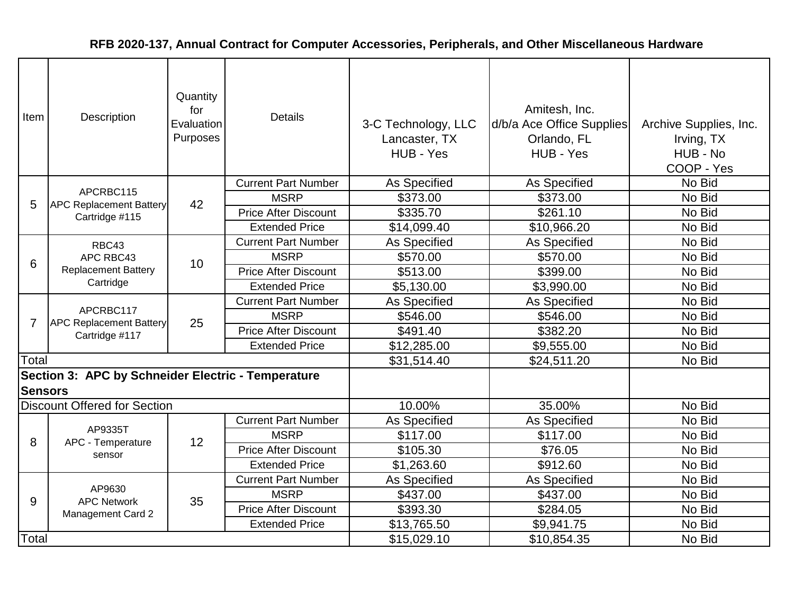| Item           | Description                                                   | Quantity<br>for<br>Evaluation<br>Purposes | <b>Details</b>              | 3-C Technology, LLC<br>Lancaster, TX<br>HUB - Yes | Amitesh, Inc.<br>d/b/a Ace Office Supplies<br>Orlando, FL<br>HUB - Yes | Archive Supplies, Inc.<br>Irving, TX<br>HUB - No<br>COOP - Yes |
|----------------|---------------------------------------------------------------|-------------------------------------------|-----------------------------|---------------------------------------------------|------------------------------------------------------------------------|----------------------------------------------------------------|
|                |                                                               |                                           | <b>Current Part Number</b>  | As Specified                                      | As Specified                                                           | No Bid                                                         |
| 5              | APCRBC115<br><b>APC Replacement Battery</b>                   | 42                                        | <b>MSRP</b>                 | \$373.00                                          | \$373.00                                                               | No Bid                                                         |
|                | Cartridge #115                                                |                                           | <b>Price After Discount</b> | \$335.70                                          | \$261.10                                                               | No Bid                                                         |
|                |                                                               |                                           | <b>Extended Price</b>       | \$14,099.40                                       | \$10,966.20                                                            | No Bid                                                         |
|                | RBC43                                                         |                                           | <b>Current Part Number</b>  | As Specified                                      | As Specified                                                           | No Bid                                                         |
| 6              | APC RBC43<br><b>Replacement Battery</b><br>Cartridge          | 10                                        | <b>MSRP</b>                 | \$570.00                                          | \$570.00                                                               | No Bid                                                         |
|                |                                                               |                                           | <b>Price After Discount</b> | \$513.00                                          | \$399.00                                                               | No Bid                                                         |
|                |                                                               |                                           | <b>Extended Price</b>       | \$5,130.00                                        | \$3,990.00                                                             | No Bid                                                         |
|                | APCRBC117<br><b>APC Replacement Battery</b><br>Cartridge #117 |                                           | <b>Current Part Number</b>  | As Specified                                      | As Specified                                                           | No Bid                                                         |
| 7              |                                                               | 25                                        | <b>MSRP</b>                 | \$546.00                                          | \$546.00                                                               | No Bid                                                         |
|                |                                                               |                                           | <b>Price After Discount</b> | \$491.40                                          | \$382.20                                                               | No Bid                                                         |
|                |                                                               |                                           | <b>Extended Price</b>       | \$12,285.00                                       | \$9,555.00                                                             | No Bid                                                         |
| Total          |                                                               |                                           |                             | \$31,514.40                                       | \$24,511.20                                                            | No Bid                                                         |
|                | Section 3: APC by Schneider Electric - Temperature            |                                           |                             |                                                   |                                                                        |                                                                |
| <b>Sensors</b> |                                                               |                                           |                             |                                                   |                                                                        |                                                                |
|                | <b>Discount Offered for Section</b>                           |                                           |                             | 10.00%                                            | 35.00%                                                                 | No Bid                                                         |
|                |                                                               |                                           | <b>Current Part Number</b>  | As Specified                                      | <b>As Specified</b>                                                    | No Bid                                                         |
| 8              | AP9335T<br>APC - Temperature                                  | 12                                        | <b>MSRP</b>                 | \$117.00                                          | \$117.00                                                               | No Bid                                                         |
|                | sensor                                                        |                                           | <b>Price After Discount</b> | \$105.30                                          | \$76.05                                                                | No Bid                                                         |
|                |                                                               |                                           | <b>Extended Price</b>       | \$1,263.60                                        | \$912.60                                                               | No Bid                                                         |
|                |                                                               |                                           | <b>Current Part Number</b>  | As Specified                                      | As Specified                                                           | No Bid                                                         |
| 9              | AP9630<br><b>APC Network</b>                                  | 35                                        | <b>MSRP</b>                 | \$437.00                                          | \$437.00                                                               | No Bid                                                         |
|                | Management Card 2                                             |                                           | <b>Price After Discount</b> | \$393.30                                          | \$284.05                                                               | No Bid                                                         |
|                |                                                               |                                           | <b>Extended Price</b>       | \$13,765.50                                       | \$9,941.75                                                             | No Bid                                                         |
| Total          |                                                               |                                           |                             | \$15,029.10                                       | \$10,854.35                                                            | No Bid                                                         |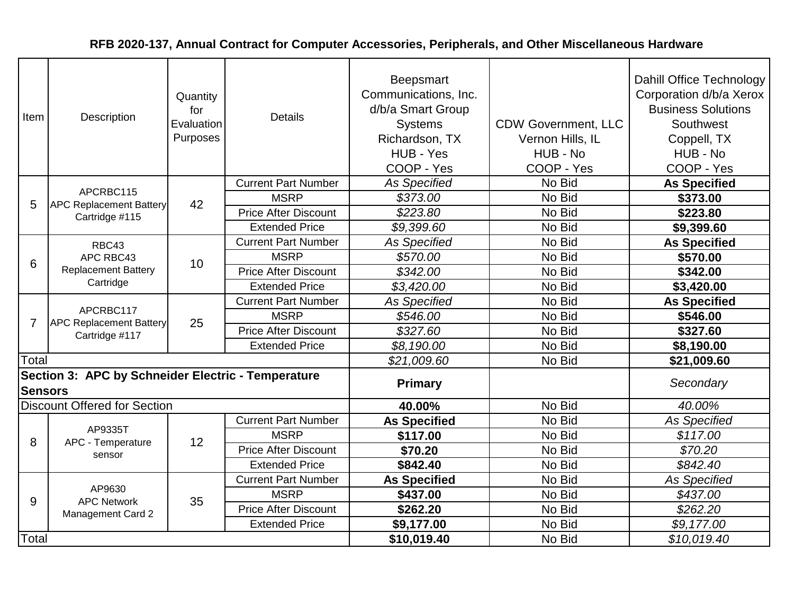| Item           | Description                                                   | Quantity<br>for<br>Evaluation<br>Purposes | <b>Details</b>              | Beepsmart<br>Communications, Inc.<br>d/b/a Smart Group<br><b>Systems</b><br>Richardson, TX<br>HUB - Yes<br>COOP - Yes | <b>CDW Government, LLC</b><br>Vernon Hills, IL<br>HUB - No<br>COOP - Yes | Dahill Office Technology<br>Corporation d/b/a Xerox<br><b>Business Solutions</b><br>Southwest<br>Coppell, TX<br>HUB - No<br>COOP - Yes |
|----------------|---------------------------------------------------------------|-------------------------------------------|-----------------------------|-----------------------------------------------------------------------------------------------------------------------|--------------------------------------------------------------------------|----------------------------------------------------------------------------------------------------------------------------------------|
|                |                                                               |                                           | <b>Current Part Number</b>  | <b>As Specified</b>                                                                                                   | No Bid                                                                   | <b>As Specified</b>                                                                                                                    |
| 5              | APCRBC115<br><b>APC Replacement Battery</b>                   | 42                                        | <b>MSRP</b>                 | \$373.00                                                                                                              | No Bid                                                                   | \$373.00                                                                                                                               |
|                | Cartridge #115                                                |                                           | <b>Price After Discount</b> | \$223.80                                                                                                              | No Bid                                                                   | \$223.80                                                                                                                               |
|                |                                                               |                                           | <b>Extended Price</b>       | \$9,399.60                                                                                                            | No Bid                                                                   | \$9,399.60                                                                                                                             |
|                | RBC43                                                         |                                           | <b>Current Part Number</b>  | <b>As Specified</b>                                                                                                   | No Bid                                                                   | <b>As Specified</b>                                                                                                                    |
| 6              | APC RBC43<br><b>Replacement Battery</b><br>Cartridge          | 10                                        | <b>MSRP</b>                 | \$570.00                                                                                                              | No Bid                                                                   | \$570.00                                                                                                                               |
|                |                                                               |                                           | <b>Price After Discount</b> | \$342.00                                                                                                              | No Bid                                                                   | \$342.00                                                                                                                               |
|                |                                                               |                                           | <b>Extended Price</b>       | \$3,420.00                                                                                                            | No Bid                                                                   | \$3,420.00                                                                                                                             |
|                | APCRBC117<br><b>APC Replacement Battery</b><br>Cartridge #117 |                                           | <b>Current Part Number</b>  | As Specified                                                                                                          | No Bid                                                                   | <b>As Specified</b>                                                                                                                    |
| 7              |                                                               | 25                                        | <b>MSRP</b>                 | \$546.00                                                                                                              | No Bid                                                                   | \$546.00                                                                                                                               |
|                |                                                               |                                           | <b>Price After Discount</b> | \$327.60                                                                                                              | No Bid                                                                   | \$327.60                                                                                                                               |
|                |                                                               |                                           | <b>Extended Price</b>       | \$8,190.00                                                                                                            | No Bid                                                                   | \$8,190.00                                                                                                                             |
| Total          |                                                               |                                           |                             | \$21,009.60                                                                                                           | No Bid                                                                   | \$21,009.60                                                                                                                            |
| <b>Sensors</b> | Section 3: APC by Schneider Electric - Temperature            |                                           |                             | <b>Primary</b>                                                                                                        |                                                                          | Secondary                                                                                                                              |
|                | <b>Discount Offered for Section</b>                           |                                           |                             | 40.00%                                                                                                                | No Bid                                                                   | 40.00%                                                                                                                                 |
|                |                                                               |                                           | <b>Current Part Number</b>  | <b>As Specified</b>                                                                                                   | No Bid                                                                   | <b>As Specified</b>                                                                                                                    |
| 8              | AP9335T<br>APC - Temperature                                  | 12                                        | <b>MSRP</b>                 | \$117.00                                                                                                              | No Bid                                                                   | \$117.00                                                                                                                               |
|                | sensor                                                        |                                           | <b>Price After Discount</b> | \$70.20                                                                                                               | No Bid                                                                   | \$70.20                                                                                                                                |
|                |                                                               |                                           | <b>Extended Price</b>       | \$842.40                                                                                                              | No Bid                                                                   | \$842.40                                                                                                                               |
|                |                                                               |                                           | <b>Current Part Number</b>  | <b>As Specified</b>                                                                                                   | No Bid                                                                   | <b>As Specified</b>                                                                                                                    |
| 9              | AP9630<br><b>APC Network</b>                                  | 35                                        | <b>MSRP</b>                 | \$437.00                                                                                                              | No Bid                                                                   | \$437.00                                                                                                                               |
|                | <b>Management Card 2</b>                                      |                                           | <b>Price After Discount</b> | \$262.20                                                                                                              | No Bid                                                                   | \$262.20                                                                                                                               |
|                |                                                               |                                           | <b>Extended Price</b>       | \$9,177.00                                                                                                            | No Bid                                                                   | \$9,177.00                                                                                                                             |
| Total          |                                                               |                                           |                             | \$10,019.40                                                                                                           | No Bid                                                                   | \$10,019.40                                                                                                                            |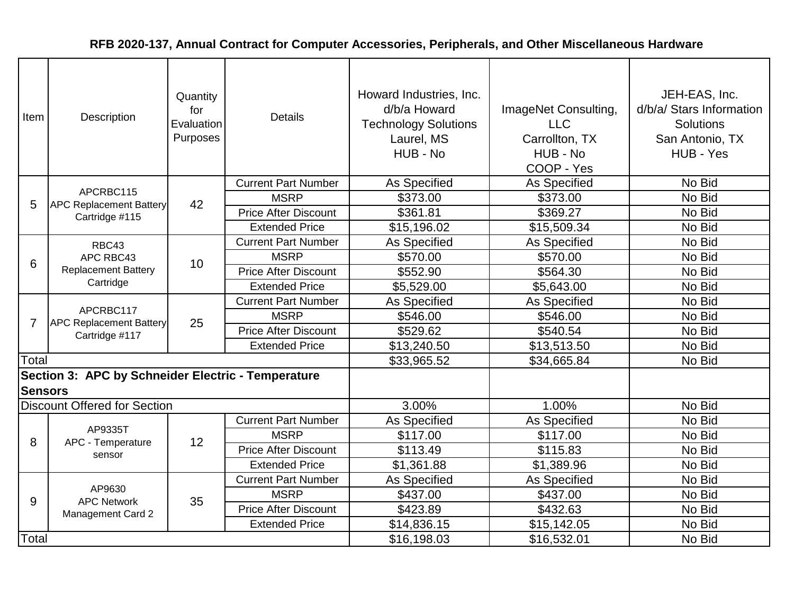| Item           | Description                                                   | Quantity<br>for<br>Evaluation<br>Purposes | <b>Details</b>              | Howard Industries, Inc.<br>d/b/a Howard<br><b>Technology Solutions</b><br>Laurel, MS<br>HUB - No | ImageNet Consulting,<br><b>LLC</b><br>Carrollton, TX<br>HUB - No<br>COOP - Yes | JEH-EAS, Inc.<br>d/b/a/ Stars Information<br><b>Solutions</b><br>San Antonio, TX<br>HUB - Yes |
|----------------|---------------------------------------------------------------|-------------------------------------------|-----------------------------|--------------------------------------------------------------------------------------------------|--------------------------------------------------------------------------------|-----------------------------------------------------------------------------------------------|
|                |                                                               |                                           | <b>Current Part Number</b>  | As Specified                                                                                     | As Specified                                                                   | No Bid                                                                                        |
| 5              | APCRBC115<br><b>APC Replacement Battery</b>                   | 42                                        | <b>MSRP</b>                 | \$373.00                                                                                         | \$373.00                                                                       | No Bid                                                                                        |
|                | Cartridge #115                                                |                                           | <b>Price After Discount</b> | \$361.81                                                                                         | \$369.27                                                                       | No Bid                                                                                        |
|                |                                                               |                                           | <b>Extended Price</b>       | \$15,196.02                                                                                      | \$15,509.34                                                                    | No Bid                                                                                        |
|                | RBC43                                                         |                                           | <b>Current Part Number</b>  | As Specified                                                                                     | <b>As Specified</b>                                                            | No Bid                                                                                        |
| 6              | APC RBC43<br><b>Replacement Battery</b><br>Cartridge          | 10                                        | <b>MSRP</b>                 | \$570.00                                                                                         | \$570.00                                                                       | No Bid                                                                                        |
|                |                                                               |                                           | <b>Price After Discount</b> | \$552.90                                                                                         | \$564.30                                                                       | No Bid                                                                                        |
|                |                                                               |                                           | <b>Extended Price</b>       | \$5,529.00                                                                                       | \$5,643.00                                                                     | No Bid                                                                                        |
|                | APCRBC117<br><b>APC Replacement Battery</b><br>Cartridge #117 |                                           | <b>Current Part Number</b>  | As Specified                                                                                     | As Specified                                                                   | No Bid                                                                                        |
| 7              |                                                               | 25                                        | <b>MSRP</b>                 | \$546.00                                                                                         | \$546.00                                                                       | No Bid                                                                                        |
|                |                                                               |                                           | <b>Price After Discount</b> | \$529.62                                                                                         | \$540.54                                                                       | No Bid                                                                                        |
|                |                                                               |                                           | <b>Extended Price</b>       | \$13,240.50                                                                                      | \$13,513.50                                                                    | No Bid                                                                                        |
| Total          |                                                               |                                           |                             | \$33,965.52                                                                                      | \$34,665.84                                                                    | No Bid                                                                                        |
|                | Section 3: APC by Schneider Electric - Temperature            |                                           |                             |                                                                                                  |                                                                                |                                                                                               |
| <b>Sensors</b> |                                                               |                                           |                             |                                                                                                  |                                                                                |                                                                                               |
|                | <b>Discount Offered for Section</b>                           |                                           |                             | 3.00%                                                                                            | 1.00%                                                                          | No Bid                                                                                        |
|                |                                                               |                                           | <b>Current Part Number</b>  | <b>As Specified</b>                                                                              | As Specified                                                                   | No Bid                                                                                        |
| 8              | AP9335T<br>APC - Temperature                                  | 12                                        | <b>MSRP</b>                 | \$117.00                                                                                         | \$117.00                                                                       | No Bid                                                                                        |
|                | sensor                                                        |                                           | <b>Price After Discount</b> | \$113.49                                                                                         | \$115.83                                                                       | No Bid                                                                                        |
|                |                                                               |                                           | <b>Extended Price</b>       | \$1,361.88                                                                                       | \$1,389.96                                                                     | No Bid                                                                                        |
|                |                                                               |                                           | <b>Current Part Number</b>  | As Specified                                                                                     | As Specified                                                                   | No Bid                                                                                        |
| 9              | AP9630<br><b>APC Network</b>                                  | 35                                        | <b>MSRP</b>                 | \$437.00                                                                                         | \$437.00                                                                       | No Bid                                                                                        |
|                | <b>Management Card 2</b>                                      |                                           | <b>Price After Discount</b> | \$423.89                                                                                         | \$432.63                                                                       | No Bid                                                                                        |
|                |                                                               |                                           | <b>Extended Price</b>       | \$14,836.15                                                                                      | \$15,142.05                                                                    | No Bid                                                                                        |
| Total          |                                                               |                                           |                             | \$16,198.03                                                                                      | \$16,532.01                                                                    | No Bid                                                                                        |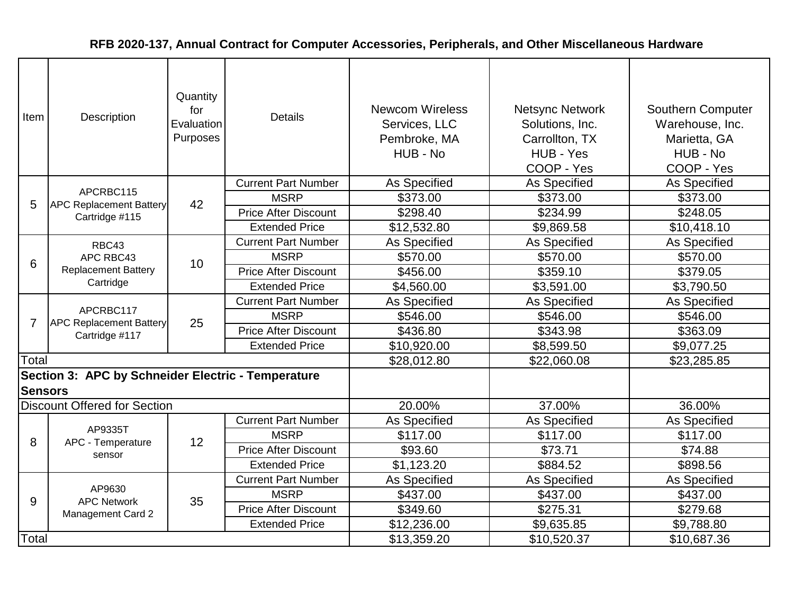| Item           | <b>Description</b>                                            | Quantity<br>for<br>Evaluation<br>Purposes | <b>Details</b>              | <b>Newcom Wireless</b><br>Services, LLC<br>Pembroke, MA<br>HUB - No | <b>Netsync Network</b><br>Solutions, Inc.<br>Carrollton, TX<br>HUB - Yes<br>COOP - Yes | <b>Southern Computer</b><br>Warehouse, Inc.<br>Marietta, GA<br>HUB - No<br>COOP - Yes |
|----------------|---------------------------------------------------------------|-------------------------------------------|-----------------------------|---------------------------------------------------------------------|----------------------------------------------------------------------------------------|---------------------------------------------------------------------------------------|
|                | APCRBC115                                                     |                                           | <b>Current Part Number</b>  | As Specified                                                        | As Specified                                                                           | As Specified                                                                          |
| 5              | <b>APC Replacement Battery</b>                                | 42                                        | <b>MSRP</b>                 | \$373.00                                                            | \$373.00                                                                               | \$373.00                                                                              |
|                | Cartridge #115                                                |                                           | <b>Price After Discount</b> | \$298.40                                                            | \$234.99                                                                               | \$248.05                                                                              |
|                |                                                               |                                           | <b>Extended Price</b>       | \$12,532.80                                                         | \$9,869.58                                                                             | \$10,418.10                                                                           |
|                | RBC43                                                         |                                           | <b>Current Part Number</b>  | <b>As Specified</b>                                                 | As Specified                                                                           | <b>As Specified</b>                                                                   |
| 6              | APC RBC43<br><b>Replacement Battery</b><br>Cartridge          | 10                                        | <b>MSRP</b>                 | \$570.00                                                            | \$570.00                                                                               | \$570.00                                                                              |
|                |                                                               |                                           | <b>Price After Discount</b> | \$456.00                                                            | \$359.10                                                                               | \$379.05                                                                              |
|                |                                                               |                                           | <b>Extended Price</b>       | \$4,560.00                                                          | \$3,591.00                                                                             | \$3,790.50                                                                            |
|                | APCRBC117<br><b>APC Replacement Battery</b><br>Cartridge #117 |                                           | <b>Current Part Number</b>  | <b>As Specified</b>                                                 | As Specified                                                                           | As Specified                                                                          |
| 7              |                                                               | 25                                        | <b>MSRP</b>                 | \$546.00                                                            | \$546.00                                                                               | \$546.00                                                                              |
|                |                                                               |                                           | <b>Price After Discount</b> | \$436.80                                                            | \$343.98                                                                               | \$363.09                                                                              |
|                |                                                               |                                           | <b>Extended Price</b>       | \$10,920.00                                                         | \$8,599.50                                                                             | \$9,077.25                                                                            |
| Total          |                                                               |                                           |                             | \$28,012.80                                                         | \$22,060.08                                                                            | \$23,285.85                                                                           |
|                | Section 3: APC by Schneider Electric - Temperature            |                                           |                             |                                                                     |                                                                                        |                                                                                       |
| <b>Sensors</b> |                                                               |                                           |                             |                                                                     |                                                                                        |                                                                                       |
|                | <b>Discount Offered for Section</b>                           |                                           |                             | 20.00%                                                              | 37.00%                                                                                 | 36.00%                                                                                |
|                |                                                               |                                           | <b>Current Part Number</b>  | As Specified                                                        | As Specified                                                                           | As Specified                                                                          |
| 8              | AP9335T<br>APC - Temperature                                  | 12                                        | <b>MSRP</b>                 | \$117.00                                                            | \$117.00                                                                               | \$117.00                                                                              |
|                | sensor                                                        |                                           | <b>Price After Discount</b> | \$93.60                                                             | \$73.71                                                                                | \$74.88                                                                               |
|                |                                                               |                                           | <b>Extended Price</b>       | \$1,123.20                                                          | \$884.52                                                                               | \$898.56                                                                              |
|                |                                                               |                                           | <b>Current Part Number</b>  | As Specified                                                        | As Specified                                                                           | As Specified                                                                          |
| 9              | AP9630<br><b>APC Network</b>                                  | 35                                        | <b>MSRP</b>                 | \$437.00                                                            | \$437.00                                                                               | \$437.00                                                                              |
|                | <b>Management Card 2</b>                                      |                                           | <b>Price After Discount</b> | \$349.60                                                            | \$275.31                                                                               | \$279.68                                                                              |
|                |                                                               |                                           | <b>Extended Price</b>       | \$12,236.00                                                         | \$9,635.85                                                                             | \$9,788.80                                                                            |
| Total          |                                                               |                                           |                             | \$13,359.20                                                         | \$10,520.37                                                                            | \$10,687.36                                                                           |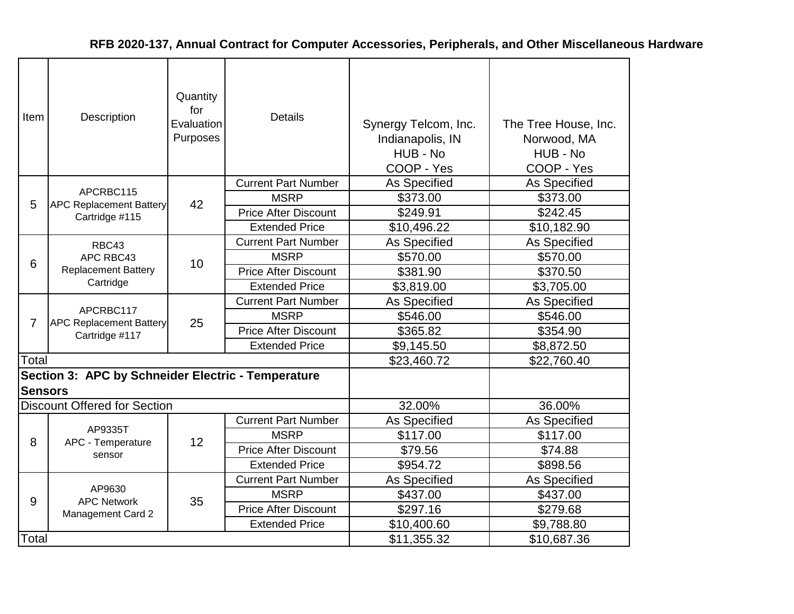| Item           | Description                                          | Quantity<br>for<br>Evaluation<br>Purposes | <b>Details</b>              | Synergy Telcom, Inc.<br>Indianapolis, IN<br>HUB - No<br>COOP - Yes | The Tree House, Inc.<br>Norwood, MA<br>HUB - No<br>COOP - Yes |
|----------------|------------------------------------------------------|-------------------------------------------|-----------------------------|--------------------------------------------------------------------|---------------------------------------------------------------|
|                |                                                      |                                           | <b>Current Part Number</b>  | As Specified                                                       | As Specified                                                  |
| 5              | APCRBC115<br><b>APC Replacement Battery</b>          | 42                                        | <b>MSRP</b>                 | \$373.00                                                           | \$373.00                                                      |
|                | Cartridge #115                                       |                                           | <b>Price After Discount</b> | \$249.91                                                           | \$242.45                                                      |
|                |                                                      |                                           | <b>Extended Price</b>       | \$10,496.22                                                        | \$10,182.90                                                   |
|                | RBC43                                                |                                           | <b>Current Part Number</b>  | As Specified                                                       | As Specified                                                  |
| 6              | APC RBC43<br><b>Replacement Battery</b><br>Cartridge | 10                                        | <b>MSRP</b>                 | \$570.00                                                           | \$570.00                                                      |
|                |                                                      |                                           | <b>Price After Discount</b> | \$381.90                                                           | \$370.50                                                      |
|                |                                                      |                                           | <b>Extended Price</b>       | \$3,819.00                                                         | \$3,705.00                                                    |
|                | APCRBC117<br><b>APC Replacement Battery</b>          |                                           | <b>Current Part Number</b>  | As Specified                                                       | As Specified                                                  |
| $\overline{7}$ |                                                      | 25                                        | <b>MSRP</b>                 | \$546.00                                                           | \$546.00                                                      |
|                | Cartridge #117                                       |                                           | <b>Price After Discount</b> | \$365.82                                                           | \$354.90                                                      |
|                |                                                      |                                           | <b>Extended Price</b>       | \$9,145.50                                                         | \$8,872.50                                                    |
| Total          |                                                      |                                           |                             | \$23,460.72                                                        | \$22,760.40                                                   |
| <b>Sensors</b> | Section 3: APC by Schneider Electric - Temperature   |                                           |                             |                                                                    |                                                               |
|                | <b>Discount Offered for Section</b>                  |                                           |                             | 32.00%                                                             | 36.00%                                                        |
|                |                                                      |                                           | <b>Current Part Number</b>  | As Specified                                                       | As Specified                                                  |
| 8              | AP9335T<br>APC - Temperature                         | 12                                        | <b>MSRP</b>                 | \$117.00                                                           | \$117.00                                                      |
|                | sensor                                               |                                           | <b>Price After Discount</b> | \$79.56                                                            | \$74.88                                                       |
|                |                                                      |                                           | <b>Extended Price</b>       | \$954.72                                                           | \$898.56                                                      |
|                |                                                      |                                           | <b>Current Part Number</b>  | As Specified                                                       | As Specified                                                  |
| 9              | AP9630<br><b>APC Network</b>                         | 35                                        | <b>MSRP</b>                 | \$437.00                                                           | \$437.00                                                      |
|                | Management Card 2                                    |                                           | <b>Price After Discount</b> | \$297.16                                                           | \$279.68                                                      |
|                |                                                      |                                           | <b>Extended Price</b>       | \$10,400.60                                                        | \$9,788.80                                                    |
| Total          |                                                      |                                           |                             | \$11,355.32                                                        | \$10,687.36                                                   |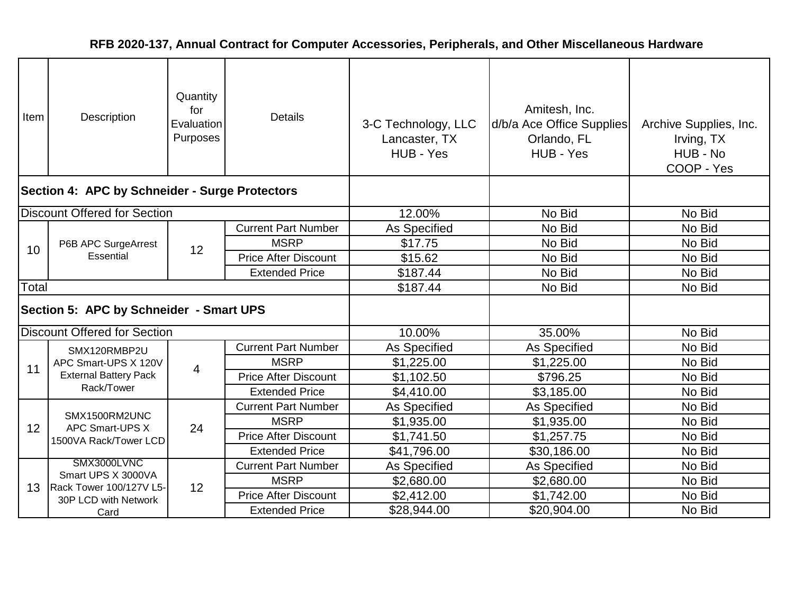| Item  | Description                                    | Quantity<br>for<br>Evaluation<br>Purposes | <b>Details</b>              | 3-C Technology, LLC<br>Lancaster, TX<br>HUB - Yes | Amitesh, Inc.<br>d/b/a Ace Office Supplies<br>Orlando, FL<br>HUB - Yes | Archive Supplies, Inc.<br>Irving, TX<br>HUB - No<br>COOP - Yes |
|-------|------------------------------------------------|-------------------------------------------|-----------------------------|---------------------------------------------------|------------------------------------------------------------------------|----------------------------------------------------------------|
|       | Section 4: APC by Schneider - Surge Protectors |                                           |                             |                                                   |                                                                        |                                                                |
|       | <b>Discount Offered for Section</b>            |                                           |                             | 12.00%                                            | No Bid                                                                 | No Bid                                                         |
|       |                                                |                                           | <b>Current Part Number</b>  | As Specified                                      | No Bid                                                                 | No Bid                                                         |
|       | P6B APC SurgeArrest<br>Essential               | 12                                        | <b>MSRP</b>                 | \$17.75                                           | No Bid                                                                 | No Bid                                                         |
| 10    |                                                |                                           | <b>Price After Discount</b> | \$15.62                                           | No Bid                                                                 | No Bid                                                         |
|       |                                                |                                           | <b>Extended Price</b>       | \$187.44                                          | No Bid                                                                 | No Bid                                                         |
| Total |                                                |                                           |                             | \$187.44                                          | No Bid                                                                 | No Bid                                                         |
|       | Section 5: APC by Schneider - Smart UPS        |                                           |                             |                                                   |                                                                        |                                                                |
|       | <b>Discount Offered for Section</b>            |                                           |                             | 10.00%                                            | 35.00%                                                                 | No Bid                                                         |
|       | SMX120RMBP2U                                   |                                           | <b>Current Part Number</b>  | As Specified                                      | <b>As Specified</b>                                                    | No Bid                                                         |
| 11    | APC Smart-UPS X 120V                           | 4                                         | <b>MSRP</b>                 | \$1,225.00                                        | \$1,225.00                                                             | No Bid                                                         |
|       | <b>External Battery Pack</b>                   |                                           | <b>Price After Discount</b> | \$1,102.50                                        | \$796.25                                                               | No Bid                                                         |
|       | Rack/Tower                                     |                                           | <b>Extended Price</b>       | \$4,410.00                                        | \$3,185.00                                                             | No Bid                                                         |
|       |                                                |                                           | <b>Current Part Number</b>  | As Specified                                      | As Specified                                                           | No Bid                                                         |
| 12    | SMX1500RM2UNC<br>APC Smart-UPS X               | 24                                        | <b>MSRP</b>                 | \$1,935.00                                        | \$1,935.00                                                             | No Bid                                                         |
|       | 1500VA Rack/Tower LCD                          |                                           | <b>Price After Discount</b> | \$1,741.50                                        | \$1,257.75                                                             | No Bid                                                         |
|       |                                                |                                           | <b>Extended Price</b>       | \$41,796.00                                       | \$30,186.00                                                            | No Bid                                                         |
|       | SMX3000LVNC<br>Smart UPS X 3000VA              |                                           | <b>Current Part Number</b>  | <b>As Specified</b>                               | As Specified                                                           | No Bid                                                         |
| 13    | Rack Tower 100/127V L5-                        | 12                                        | <b>MSRP</b>                 | \$2,680.00                                        | \$2,680.00                                                             | No Bid                                                         |
|       | 30P LCD with Network                           |                                           | <b>Price After Discount</b> | \$2,412.00                                        | \$1,742.00                                                             | No Bid                                                         |
|       | Card                                           |                                           | <b>Extended Price</b>       | \$28,944.00                                       | \$20,904.00                                                            | No Bid                                                         |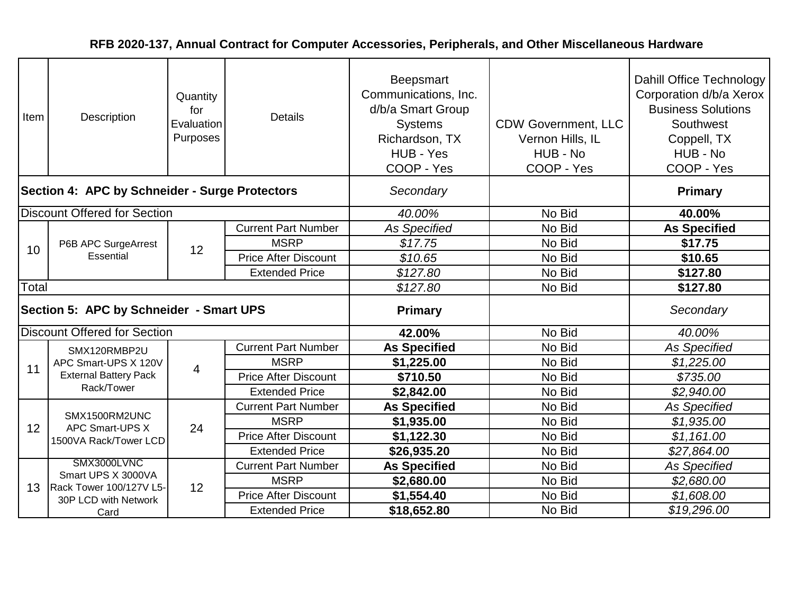| Item                                    | Description                                    | Quantity<br>for<br>Evaluation<br>Purposes | <b>Details</b>              | Beepsmart<br>Communications, Inc.<br>d/b/a Smart Group<br><b>Systems</b><br>Richardson, TX<br>HUB - Yes<br>COOP - Yes | <b>CDW Government, LLC</b><br>Vernon Hills, IL<br>HUB - No<br>COOP - Yes | Dahill Office Technology<br>Corporation d/b/a Xerox<br><b>Business Solutions</b><br>Southwest<br>Coppell, TX<br>HUB - No<br>COOP - Yes |
|-----------------------------------------|------------------------------------------------|-------------------------------------------|-----------------------------|-----------------------------------------------------------------------------------------------------------------------|--------------------------------------------------------------------------|----------------------------------------------------------------------------------------------------------------------------------------|
|                                         | Section 4: APC by Schneider - Surge Protectors |                                           |                             | Secondary                                                                                                             |                                                                          | <b>Primary</b>                                                                                                                         |
|                                         | <b>Discount Offered for Section</b>            |                                           |                             | 40.00%                                                                                                                | No Bid                                                                   | 40.00%                                                                                                                                 |
|                                         |                                                |                                           | <b>Current Part Number</b>  | <b>As Specified</b>                                                                                                   | No Bid                                                                   | <b>As Specified</b>                                                                                                                    |
| 10                                      | P6B APC SurgeArrest                            | 12                                        | <b>MSRP</b>                 | \$17.75                                                                                                               | No Bid                                                                   | \$17.75                                                                                                                                |
|                                         | Essential                                      |                                           | <b>Price After Discount</b> | \$10.65                                                                                                               | No Bid                                                                   | \$10.65                                                                                                                                |
|                                         |                                                |                                           | <b>Extended Price</b>       | \$127.80                                                                                                              | No Bid                                                                   | \$127.80                                                                                                                               |
| Total                                   |                                                |                                           |                             | \$127.80                                                                                                              | No Bid                                                                   | \$127.80                                                                                                                               |
| Section 5: APC by Schneider - Smart UPS |                                                |                                           |                             | <b>Primary</b>                                                                                                        |                                                                          | Secondary                                                                                                                              |
|                                         | <b>Discount Offered for Section</b>            |                                           |                             | 42.00%                                                                                                                | No Bid                                                                   | 40.00%                                                                                                                                 |
|                                         | SMX120RMBP2U                                   |                                           | <b>Current Part Number</b>  | <b>As Specified</b>                                                                                                   | No Bid                                                                   | <b>As Specified</b>                                                                                                                    |
| 11                                      | APC Smart-UPS X 120V                           | $\overline{4}$                            | <b>MSRP</b>                 | \$1,225.00                                                                                                            | No Bid                                                                   | \$1,225.00                                                                                                                             |
|                                         | <b>External Battery Pack</b>                   |                                           | <b>Price After Discount</b> | \$710.50                                                                                                              | No Bid                                                                   | \$735.00                                                                                                                               |
|                                         | Rack/Tower                                     |                                           | <b>Extended Price</b>       | \$2,842.00                                                                                                            | No Bid                                                                   | \$2,940.00                                                                                                                             |
|                                         |                                                |                                           | <b>Current Part Number</b>  | <b>As Specified</b>                                                                                                   | No Bid                                                                   | <b>As Specified</b>                                                                                                                    |
| 12                                      | SMX1500RM2UNC<br>APC Smart-UPS X               | 24                                        | <b>MSRP</b>                 | \$1,935.00                                                                                                            | No Bid                                                                   | \$1,935.00                                                                                                                             |
|                                         | 1500VA Rack/Tower LCD                          |                                           | <b>Price After Discount</b> | \$1,122.30                                                                                                            | No Bid                                                                   | \$1,161.00                                                                                                                             |
|                                         |                                                |                                           | <b>Extended Price</b>       | \$26,935.20                                                                                                           | No Bid                                                                   | \$27,864.00                                                                                                                            |
|                                         | SMX3000LVNC                                    |                                           | <b>Current Part Number</b>  | <b>As Specified</b>                                                                                                   | No Bid                                                                   | <b>As Specified</b>                                                                                                                    |
| 13                                      | Smart UPS X 3000VA<br>Rack Tower 100/127V L5-  | 12                                        | <b>MSRP</b>                 | \$2,680.00                                                                                                            | No Bid                                                                   | \$2,680.00                                                                                                                             |
|                                         | 30P LCD with Network                           |                                           | <b>Price After Discount</b> | \$1,554.40                                                                                                            | No Bid                                                                   | \$1,608.00                                                                                                                             |
|                                         | Card                                           |                                           | <b>Extended Price</b>       | \$18,652.80                                                                                                           | No Bid                                                                   | \$19,296.00                                                                                                                            |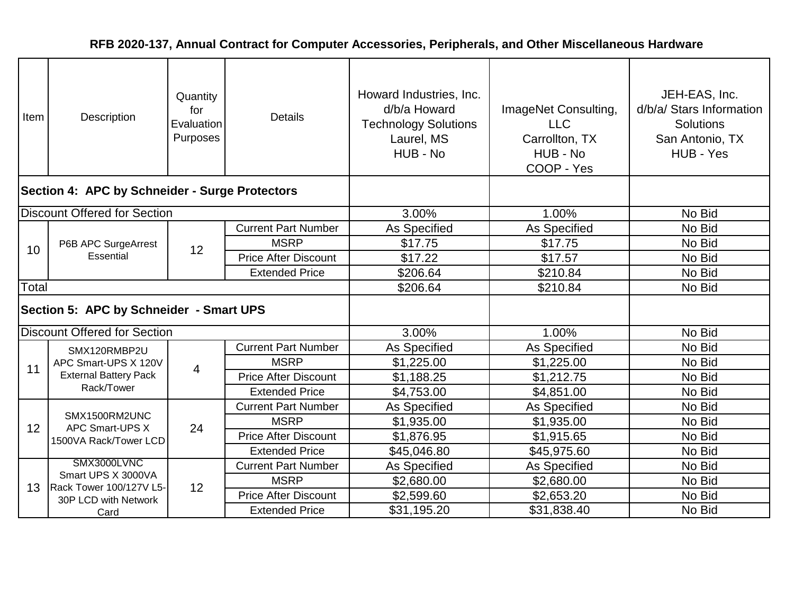| Item  | Description                                    | Quantity<br>for<br>Evaluation<br>Purposes | <b>Details</b>              | Howard Industries, Inc.<br>d/b/a Howard<br><b>Technology Solutions</b><br>Laurel, MS<br>HUB - No | ImageNet Consulting,<br><b>LLC</b><br>Carrollton, TX<br>HUB - No<br>COOP - Yes | JEH-EAS, Inc.<br>d/b/a/ Stars Information<br>Solutions<br>San Antonio, TX<br>HUB - Yes |
|-------|------------------------------------------------|-------------------------------------------|-----------------------------|--------------------------------------------------------------------------------------------------|--------------------------------------------------------------------------------|----------------------------------------------------------------------------------------|
|       | Section 4: APC by Schneider - Surge Protectors |                                           |                             |                                                                                                  |                                                                                |                                                                                        |
|       | <b>Discount Offered for Section</b>            |                                           |                             | 3.00%                                                                                            | 1.00%                                                                          | No Bid                                                                                 |
|       |                                                |                                           | <b>Current Part Number</b>  | As Specified                                                                                     | As Specified                                                                   | No Bid                                                                                 |
| 10    | P6B APC SurgeArrest                            | 12                                        | <b>MSRP</b>                 | \$17.75                                                                                          | \$17.75                                                                        | No Bid                                                                                 |
|       | Essential                                      |                                           | <b>Price After Discount</b> | \$17.22                                                                                          | \$17.57                                                                        | No Bid                                                                                 |
|       |                                                |                                           | <b>Extended Price</b>       | \$206.64                                                                                         | \$210.84                                                                       | No Bid                                                                                 |
| Total |                                                |                                           |                             | \$206.64                                                                                         | \$210.84                                                                       | No Bid                                                                                 |
|       | Section 5: APC by Schneider - Smart UPS        |                                           |                             |                                                                                                  |                                                                                |                                                                                        |
|       | <b>Discount Offered for Section</b>            |                                           |                             | 3.00%                                                                                            | 1.00%                                                                          | No Bid                                                                                 |
|       | SMX120RMBP2U                                   |                                           | <b>Current Part Number</b>  | As Specified                                                                                     | As Specified                                                                   | No Bid                                                                                 |
| 11    | APC Smart-UPS X 120V                           | 4                                         | <b>MSRP</b>                 | \$1,225.00                                                                                       | \$1,225.00                                                                     | No Bid                                                                                 |
|       | <b>External Battery Pack</b>                   |                                           | <b>Price After Discount</b> | \$1,188.25                                                                                       | \$1,212.75                                                                     | No Bid                                                                                 |
|       | Rack/Tower                                     |                                           | <b>Extended Price</b>       | \$4,753.00                                                                                       | \$4,851.00                                                                     | No Bid                                                                                 |
|       |                                                |                                           | <b>Current Part Number</b>  | As Specified                                                                                     | <b>As Specified</b>                                                            | No Bid                                                                                 |
| 12    | SMX1500RM2UNC<br>APC Smart-UPS X               | 24                                        | <b>MSRP</b>                 | \$1,935.00                                                                                       | \$1,935.00                                                                     | No Bid                                                                                 |
|       | 1500VA Rack/Tower LCD                          |                                           | <b>Price After Discount</b> | \$1,876.95                                                                                       | \$1,915.65                                                                     | No Bid                                                                                 |
|       |                                                |                                           | <b>Extended Price</b>       | \$45,046.80                                                                                      | \$45,975.60                                                                    | No Bid                                                                                 |
|       | SMX3000LVNC                                    |                                           | <b>Current Part Number</b>  | As Specified                                                                                     | As Specified                                                                   | No Bid                                                                                 |
| 13    | Smart UPS X 3000VA<br>Rack Tower 100/127V L5-  | 12                                        | <b>MSRP</b>                 | \$2,680.00                                                                                       | \$2,680.00                                                                     | No Bid                                                                                 |
|       | 30P LCD with Network                           |                                           | <b>Price After Discount</b> | \$2,599.60                                                                                       | \$2,653.20                                                                     | No Bid                                                                                 |
|       | Card                                           |                                           | <b>Extended Price</b>       | \$31,195.20                                                                                      | \$31,838.40                                                                    | No Bid                                                                                 |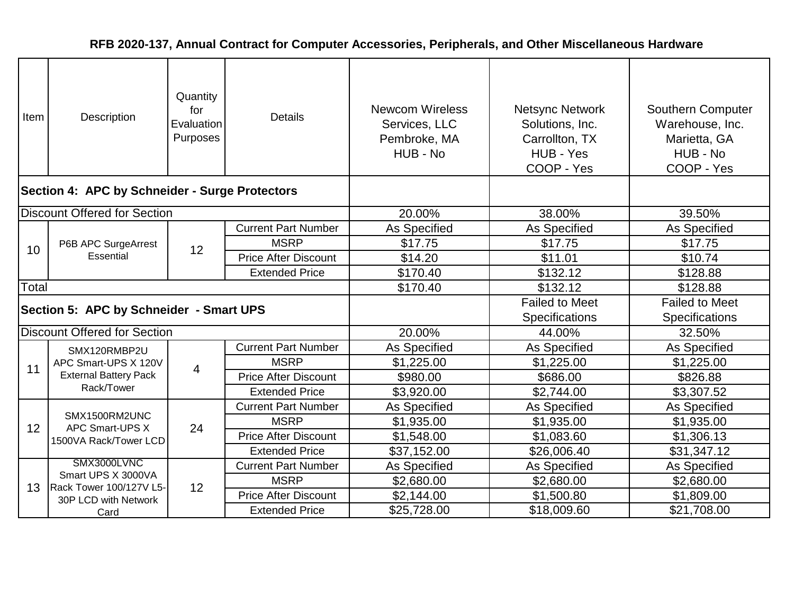| Item  | Description                                    | Quantity<br>for<br>Evaluation<br>Purposes | <b>Details</b>              | <b>Newcom Wireless</b><br>Services, LLC<br>Pembroke, MA<br>HUB - No | <b>Netsync Network</b><br>Solutions, Inc.<br>Carrollton, TX<br>HUB - Yes<br>COOP - Yes | Southern Computer<br>Warehouse, Inc.<br>Marietta, GA<br>HUB - No<br>COOP - Yes |
|-------|------------------------------------------------|-------------------------------------------|-----------------------------|---------------------------------------------------------------------|----------------------------------------------------------------------------------------|--------------------------------------------------------------------------------|
|       | Section 4: APC by Schneider - Surge Protectors |                                           |                             |                                                                     |                                                                                        |                                                                                |
|       | <b>Discount Offered for Section</b>            |                                           |                             | 20.00%                                                              | 38.00%                                                                                 | 39.50%                                                                         |
|       |                                                |                                           | <b>Current Part Number</b>  | As Specified                                                        | As Specified                                                                           | As Specified                                                                   |
| 10    | P6B APC SurgeArrest                            | 12                                        | <b>MSRP</b>                 | \$17.75                                                             | \$17.75                                                                                | \$17.75                                                                        |
|       | Essential                                      |                                           | <b>Price After Discount</b> | \$14.20                                                             | \$11.01                                                                                | \$10.74                                                                        |
|       |                                                |                                           | <b>Extended Price</b>       | \$170.40                                                            | \$132.12                                                                               | \$128.88                                                                       |
| Total |                                                |                                           |                             | \$170.40                                                            | \$132.12                                                                               | \$128.88                                                                       |
|       | Section 5: APC by Schneider - Smart UPS        |                                           |                             |                                                                     | <b>Failed to Meet</b>                                                                  | <b>Failed to Meet</b>                                                          |
|       |                                                |                                           |                             |                                                                     | Specifications                                                                         | Specifications                                                                 |
|       | <b>Discount Offered for Section</b>            |                                           |                             | 20.00%                                                              | 44.00%                                                                                 | 32.50%                                                                         |
|       | SMX120RMBP2U                                   |                                           | <b>Current Part Number</b>  | As Specified                                                        | As Specified                                                                           | <b>As Specified</b>                                                            |
| 11    | APC Smart-UPS X 120V                           | 4                                         | <b>MSRP</b>                 | \$1,225.00                                                          | \$1,225.00                                                                             | \$1,225.00                                                                     |
|       | <b>External Battery Pack</b>                   |                                           | <b>Price After Discount</b> | \$980.00                                                            | \$686.00                                                                               | \$826.88                                                                       |
|       | Rack/Tower                                     |                                           | <b>Extended Price</b>       | \$3,920.00                                                          | \$2,744.00                                                                             | \$3,307.52                                                                     |
|       |                                                |                                           | <b>Current Part Number</b>  | As Specified                                                        | As Specified                                                                           | As Specified                                                                   |
| 12    | SMX1500RM2UNC<br>APC Smart-UPS X               | 24                                        | <b>MSRP</b>                 | \$1,935.00                                                          | \$1,935.00                                                                             | \$1,935.00                                                                     |
|       | 1500VA Rack/Tower LCD                          |                                           | <b>Price After Discount</b> | \$1,548.00                                                          | \$1,083.60                                                                             | \$1,306.13                                                                     |
|       |                                                |                                           | <b>Extended Price</b>       | \$37,152.00                                                         | \$26,006.40                                                                            | \$31,347.12                                                                    |
|       | SMX3000LVNC<br>Smart UPS X 3000VA              |                                           | <b>Current Part Number</b>  | As Specified                                                        | As Specified                                                                           | <b>As Specified</b>                                                            |
| 13    | Rack Tower 100/127V L5-                        | 12                                        | <b>MSRP</b>                 | \$2,680.00                                                          | \$2,680.00                                                                             | \$2,680.00                                                                     |
|       | 30P LCD with Network                           |                                           | <b>Price After Discount</b> | \$2,144.00                                                          | \$1,500.80                                                                             | \$1,809.00                                                                     |
|       | Card                                           |                                           | <b>Extended Price</b>       | \$25,728.00                                                         | \$18,009.60                                                                            | \$21,708.00                                                                    |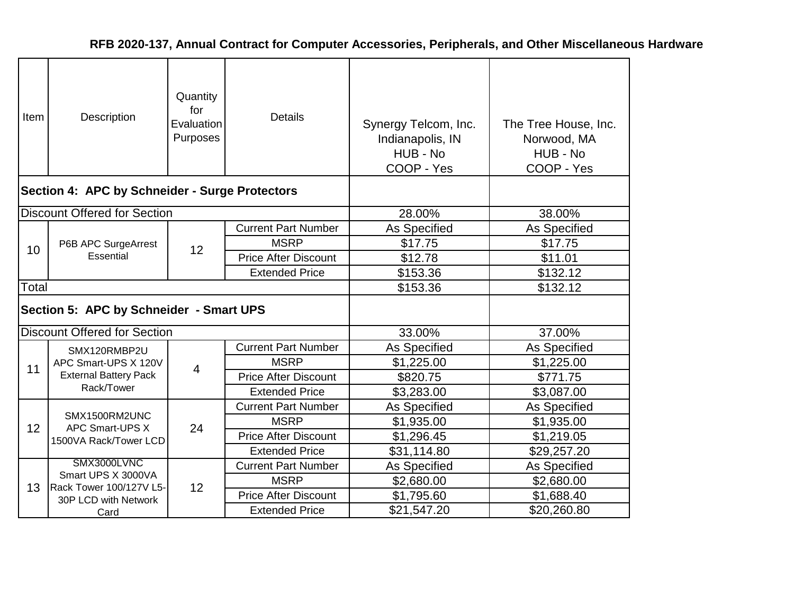| Item  | Description                                    | Quantity<br>for<br>Evaluation<br>Purposes | <b>Details</b>              | Synergy Telcom, Inc.<br>Indianapolis, IN<br>HUB - No<br>COOP - Yes | The Tree House, Inc.<br>Norwood, MA<br>HUB - No<br>COOP - Yes |
|-------|------------------------------------------------|-------------------------------------------|-----------------------------|--------------------------------------------------------------------|---------------------------------------------------------------|
|       | Section 4: APC by Schneider - Surge Protectors |                                           |                             |                                                                    |                                                               |
|       | <b>Discount Offered for Section</b>            |                                           |                             | 28.00%                                                             | 38.00%                                                        |
|       |                                                |                                           | <b>Current Part Number</b>  | As Specified                                                       | As Specified                                                  |
| 10    | P6B APC SurgeArrest<br>Essential               | 12                                        | <b>MSRP</b>                 | \$17.75                                                            | \$17.75                                                       |
|       |                                                |                                           | <b>Price After Discount</b> | \$12.78                                                            | \$11.01                                                       |
|       |                                                |                                           | <b>Extended Price</b>       | \$153.36                                                           | \$132.12                                                      |
| Total |                                                |                                           |                             | \$153.36                                                           | \$132.12                                                      |
|       | Section 5: APC by Schneider - Smart UPS        |                                           |                             |                                                                    |                                                               |
|       | <b>Discount Offered for Section</b>            |                                           |                             | 33.00%                                                             | 37.00%                                                        |
|       | SMX120RMBP2U                                   |                                           | <b>Current Part Number</b>  | As Specified                                                       | As Specified                                                  |
| 11    | APC Smart-UPS X 120V                           | 4                                         | <b>MSRP</b>                 | \$1,225.00                                                         | \$1,225.00                                                    |
|       | <b>External Battery Pack</b>                   |                                           | <b>Price After Discount</b> | \$820.75                                                           | \$771.75                                                      |
|       | Rack/Tower                                     |                                           | <b>Extended Price</b>       | \$3,283.00                                                         | \$3,087.00                                                    |
|       |                                                |                                           | <b>Current Part Number</b>  | As Specified                                                       | As Specified                                                  |
| 12    | SMX1500RM2UNC<br>APC Smart-UPS X               | 24                                        | <b>MSRP</b>                 | \$1,935.00                                                         | \$1,935.00                                                    |
|       | 1500VA Rack/Tower LCD                          |                                           | <b>Price After Discount</b> | \$1,296.45                                                         | \$1,219.05                                                    |
|       |                                                |                                           | <b>Extended Price</b>       | \$31,114.80                                                        | \$29,257.20                                                   |
|       | SMX3000LVNC                                    |                                           | <b>Current Part Number</b>  | As Specified                                                       | As Specified                                                  |
| 13    | Smart UPS X 3000VA<br>Rack Tower 100/127V L5-  | 12                                        | <b>MSRP</b>                 | \$2,680.00                                                         | \$2,680.00                                                    |
|       | 30P LCD with Network                           |                                           | <b>Price After Discount</b> | \$1,795.60                                                         | \$1,688.40                                                    |
|       | Card                                           |                                           | <b>Extended Price</b>       | \$21,547.20                                                        | \$20,260.80                                                   |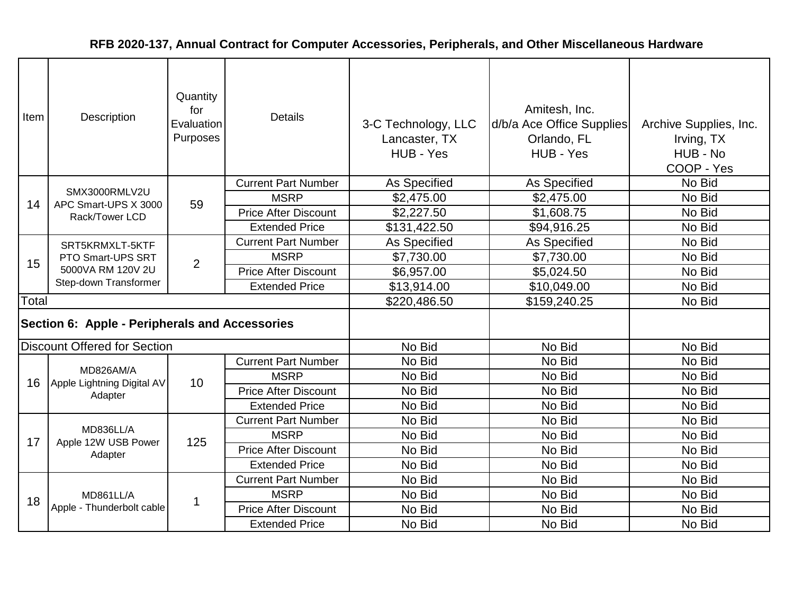| Item  | Description                                    | Quantity<br>for<br>Evaluation<br>Purposes | <b>Details</b>              | 3-C Technology, LLC<br>Lancaster, TX<br>HUB - Yes | Amitesh, Inc.<br>d/b/a Ace Office Supplies<br>Orlando, FL<br>HUB - Yes | Archive Supplies, Inc.<br>Irving, TX<br>HUB - No<br>COOP - Yes |
|-------|------------------------------------------------|-------------------------------------------|-----------------------------|---------------------------------------------------|------------------------------------------------------------------------|----------------------------------------------------------------|
|       |                                                |                                           | <b>Current Part Number</b>  | As Specified                                      | As Specified                                                           | No Bid                                                         |
| 14    | SMX3000RMLV2U<br>APC Smart-UPS X 3000          | 59                                        | <b>MSRP</b>                 | \$2,475.00                                        | \$2,475.00                                                             | No Bid                                                         |
|       | Rack/Tower LCD                                 |                                           | <b>Price After Discount</b> | \$2,227.50                                        | \$1,608.75                                                             | No Bid                                                         |
|       |                                                |                                           | <b>Extended Price</b>       | \$131,422.50                                      | \$94,916.25                                                            | No Bid                                                         |
|       | SRT5KRMXLT-5KTF                                |                                           | <b>Current Part Number</b>  | As Specified                                      | As Specified                                                           | No Bid                                                         |
| 15    | PTO Smart-UPS SRT                              | $\overline{2}$                            | <b>MSRP</b>                 | \$7,730.00                                        | \$7,730.00                                                             | No Bid                                                         |
|       | 5000VA RM 120V 2U<br>Step-down Transformer     |                                           | <b>Price After Discount</b> | \$6,957.00                                        | \$5,024.50                                                             | No Bid                                                         |
|       |                                                |                                           | <b>Extended Price</b>       | \$13,914.00                                       | \$10,049.00                                                            | No Bid                                                         |
| Total |                                                |                                           |                             | \$220,486.50                                      | \$159,240.25                                                           | No Bid                                                         |
|       | Section 6: Apple - Peripherals and Accessories |                                           |                             |                                                   |                                                                        |                                                                |
|       | <b>Discount Offered for Section</b>            |                                           |                             | No Bid                                            | No Bid                                                                 | No Bid                                                         |
|       |                                                |                                           | <b>Current Part Number</b>  | No Bid                                            | No Bid                                                                 | No Bid                                                         |
| 16    | MD826AM/A<br>Apple Lightning Digital AV        | 10                                        | <b>MSRP</b>                 | No Bid                                            | No Bid                                                                 | No Bid                                                         |
|       | Adapter                                        |                                           | <b>Price After Discount</b> | No Bid                                            | No Bid                                                                 | No Bid                                                         |
|       |                                                |                                           | <b>Extended Price</b>       | No Bid                                            | No Bid                                                                 | No Bid                                                         |
|       |                                                |                                           | <b>Current Part Number</b>  | No Bid                                            | No Bid                                                                 | No Bid                                                         |
| 17    | MD836LL/A<br>Apple 12W USB Power               | 125                                       | <b>MSRP</b>                 | No Bid                                            | No Bid                                                                 | No Bid                                                         |
|       | Adapter                                        |                                           | <b>Price After Discount</b> | No Bid                                            | No Bid                                                                 | No Bid                                                         |
|       |                                                |                                           | <b>Extended Price</b>       | No Bid                                            | No Bid                                                                 | No Bid                                                         |
|       |                                                |                                           | <b>Current Part Number</b>  | No Bid                                            | No Bid                                                                 | No Bid                                                         |
| 18    | MD861LL/A                                      | $\mathbf 1$                               | <b>MSRP</b>                 | No Bid                                            | No Bid                                                                 | No Bid                                                         |
|       | Apple - Thunderbolt cable                      |                                           | <b>Price After Discount</b> | No Bid                                            | No Bid                                                                 | No Bid                                                         |
|       |                                                |                                           | <b>Extended Price</b>       | No Bid                                            | No Bid                                                                 | No Bid                                                         |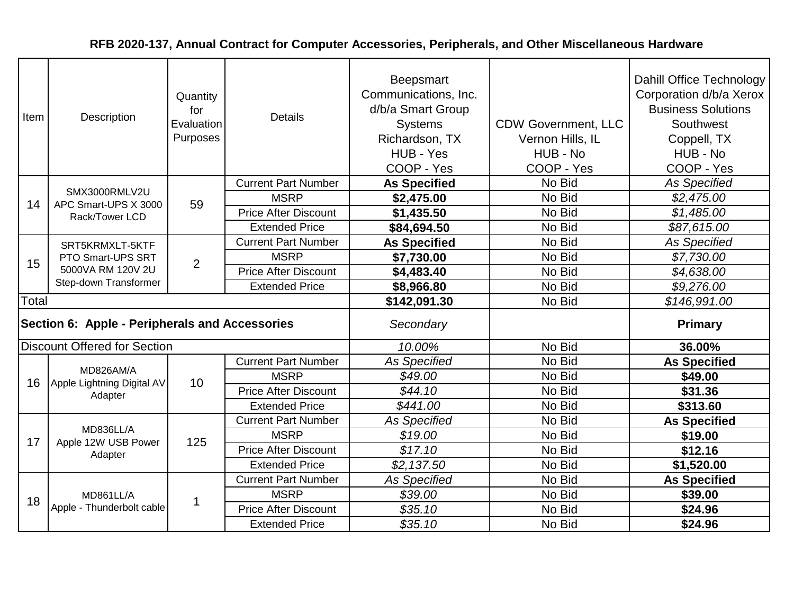| Item                                           | Description                                | Quantity<br>for<br>Evaluation<br>Purposes | <b>Details</b>              | <b>Beepsmart</b><br>Communications, Inc.<br>d/b/a Smart Group<br><b>Systems</b><br>Richardson, TX<br>HUB - Yes<br>COOP - Yes | <b>CDW Government, LLC</b><br>Vernon Hills, IL<br>HUB - No<br>COOP - Yes | Dahill Office Technology<br>Corporation d/b/a Xerox<br><b>Business Solutions</b><br>Southwest<br>Coppell, TX<br>HUB - No<br>COOP - Yes |
|------------------------------------------------|--------------------------------------------|-------------------------------------------|-----------------------------|------------------------------------------------------------------------------------------------------------------------------|--------------------------------------------------------------------------|----------------------------------------------------------------------------------------------------------------------------------------|
|                                                | SMX3000RMLV2U                              |                                           | <b>Current Part Number</b>  | <b>As Specified</b>                                                                                                          | No Bid                                                                   | <b>As Specified</b>                                                                                                                    |
| 14                                             | APC Smart-UPS X 3000                       | 59                                        | <b>MSRP</b>                 | \$2,475.00                                                                                                                   | No Bid                                                                   | \$2,475.00                                                                                                                             |
|                                                | Rack/Tower LCD                             |                                           | <b>Price After Discount</b> | \$1,435.50                                                                                                                   | No Bid                                                                   | \$1,485.00                                                                                                                             |
|                                                |                                            |                                           | <b>Extended Price</b>       | \$84,694.50                                                                                                                  | No Bid                                                                   | \$87,615.00                                                                                                                            |
|                                                | SRT5KRMXLT-5KTF                            |                                           | <b>Current Part Number</b>  | <b>As Specified</b>                                                                                                          | No Bid                                                                   | <b>As Specified</b>                                                                                                                    |
| 15                                             | PTO Smart-UPS SRT                          | $\overline{2}$                            | <b>MSRP</b>                 | \$7,730.00                                                                                                                   | No Bid                                                                   | \$7,730.00                                                                                                                             |
|                                                | 5000VA RM 120V 2U<br>Step-down Transformer |                                           | <b>Price After Discount</b> | \$4,483.40                                                                                                                   | No Bid                                                                   | \$4,638.00                                                                                                                             |
|                                                |                                            |                                           | <b>Extended Price</b>       | \$8,966.80                                                                                                                   | No Bid                                                                   | \$9,276.00                                                                                                                             |
| Total                                          |                                            |                                           |                             | \$142,091.30                                                                                                                 | No Bid                                                                   | \$146,991.00                                                                                                                           |
| Section 6: Apple - Peripherals and Accessories |                                            |                                           |                             | Secondary                                                                                                                    |                                                                          | <b>Primary</b>                                                                                                                         |
|                                                | <b>Discount Offered for Section</b>        |                                           |                             | 10.00%                                                                                                                       | No Bid                                                                   | 36.00%                                                                                                                                 |
|                                                |                                            |                                           | <b>Current Part Number</b>  | <b>As Specified</b>                                                                                                          | No Bid                                                                   | <b>As Specified</b>                                                                                                                    |
| 16                                             | MD826AM/A<br>Apple Lightning Digital AV    | 10                                        | <b>MSRP</b>                 | \$49.00                                                                                                                      | No Bid                                                                   | \$49.00                                                                                                                                |
|                                                | Adapter                                    |                                           | <b>Price After Discount</b> | \$44.10                                                                                                                      | No Bid                                                                   | \$31.36                                                                                                                                |
|                                                |                                            |                                           | <b>Extended Price</b>       | \$441.00                                                                                                                     | No Bid                                                                   | \$313.60                                                                                                                               |
|                                                |                                            |                                           | <b>Current Part Number</b>  | <b>As Specified</b>                                                                                                          | No Bid                                                                   | <b>As Specified</b>                                                                                                                    |
| 17                                             | MD836LL/A<br>Apple 12W USB Power           | 125                                       | <b>MSRP</b>                 | \$19.00                                                                                                                      | No Bid                                                                   | \$19.00                                                                                                                                |
|                                                | Adapter                                    |                                           | <b>Price After Discount</b> | \$17.10                                                                                                                      | No Bid                                                                   | \$12.16                                                                                                                                |
|                                                |                                            |                                           | <b>Extended Price</b>       | \$2,137.50                                                                                                                   | No Bid                                                                   | \$1,520.00                                                                                                                             |
|                                                |                                            |                                           | <b>Current Part Number</b>  | <b>As Specified</b>                                                                                                          | No Bid                                                                   | <b>As Specified</b>                                                                                                                    |
| 18                                             | MD861LL/A                                  | 1                                         | <b>MSRP</b>                 | \$39.00                                                                                                                      | No Bid                                                                   | \$39.00                                                                                                                                |
|                                                | Apple - Thunderbolt cable                  |                                           | <b>Price After Discount</b> | \$35.10                                                                                                                      | No Bid                                                                   | \$24.96                                                                                                                                |
|                                                |                                            |                                           | <b>Extended Price</b>       | \$35.10                                                                                                                      | No Bid                                                                   | \$24.96                                                                                                                                |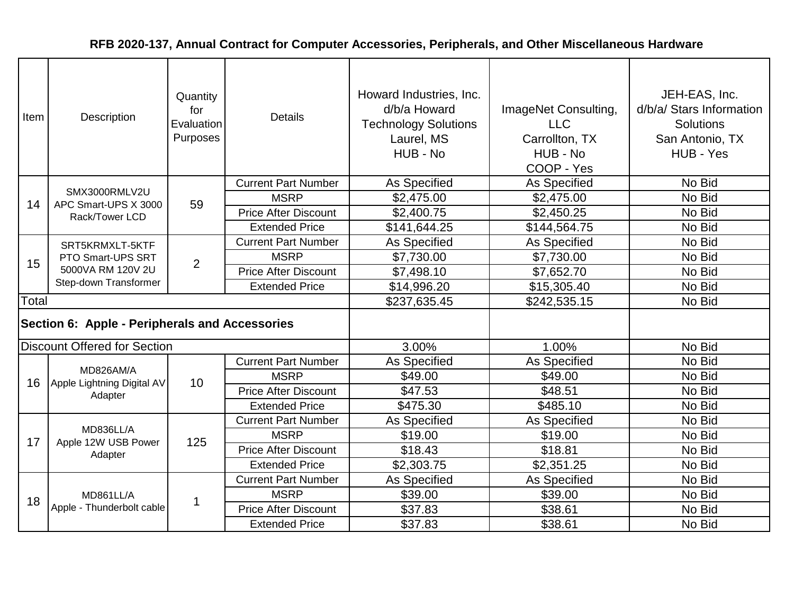| Item  | Description                                    | Quantity<br>for<br>Evaluation<br>Purposes | <b>Details</b>              | Howard Industries, Inc.<br>d/b/a Howard<br><b>Technology Solutions</b><br>Laurel, MS<br>HUB - No | ImageNet Consulting,<br><b>LLC</b><br>Carrollton, TX<br>HUB - No<br>COOP - Yes | JEH-EAS, Inc.<br>d/b/a/ Stars Information<br><b>Solutions</b><br>San Antonio, TX<br>HUB - Yes |
|-------|------------------------------------------------|-------------------------------------------|-----------------------------|--------------------------------------------------------------------------------------------------|--------------------------------------------------------------------------------|-----------------------------------------------------------------------------------------------|
|       |                                                |                                           | <b>Current Part Number</b>  | As Specified                                                                                     | As Specified                                                                   | No Bid                                                                                        |
| 14    | SMX3000RMLV2U<br>APC Smart-UPS X 3000          | 59                                        | <b>MSRP</b>                 | \$2,475.00                                                                                       | \$2,475.00                                                                     | No Bid                                                                                        |
|       | Rack/Tower LCD                                 |                                           | <b>Price After Discount</b> | \$2,400.75                                                                                       | \$2,450.25                                                                     | No Bid                                                                                        |
|       |                                                |                                           | <b>Extended Price</b>       | \$141,644.25                                                                                     | \$144,564.75                                                                   | No Bid                                                                                        |
|       | SRT5KRMXLT-5KTF                                |                                           | <b>Current Part Number</b>  | As Specified                                                                                     | As Specified                                                                   | No Bid                                                                                        |
| 15    | PTO Smart-UPS SRT                              | $\overline{2}$                            | <b>MSRP</b>                 | \$7,730.00                                                                                       | \$7,730.00                                                                     | No Bid                                                                                        |
|       | 5000VA RM 120V 2U<br>Step-down Transformer     |                                           | <b>Price After Discount</b> | \$7,498.10                                                                                       | \$7,652.70                                                                     | No Bid                                                                                        |
|       |                                                |                                           | <b>Extended Price</b>       | \$14,996.20                                                                                      | \$15,305.40                                                                    | No Bid                                                                                        |
| Total |                                                |                                           |                             | \$237,635.45                                                                                     | \$242,535.15                                                                   | No Bid                                                                                        |
|       | Section 6: Apple - Peripherals and Accessories |                                           |                             |                                                                                                  |                                                                                |                                                                                               |
|       | <b>Discount Offered for Section</b>            |                                           |                             | 3.00%                                                                                            | 1.00%                                                                          | No Bid                                                                                        |
|       |                                                |                                           | <b>Current Part Number</b>  | As Specified                                                                                     | <b>As Specified</b>                                                            | No Bid                                                                                        |
| 16    | MD826AM/A<br>Apple Lightning Digital AV        | 10                                        | <b>MSRP</b>                 | \$49.00                                                                                          | \$49.00                                                                        | No Bid                                                                                        |
|       | Adapter                                        |                                           | <b>Price After Discount</b> | \$47.53                                                                                          | \$48.51                                                                        | No Bid                                                                                        |
|       |                                                |                                           | <b>Extended Price</b>       | \$475.30                                                                                         | \$485.10                                                                       | No Bid                                                                                        |
|       |                                                |                                           | <b>Current Part Number</b>  | As Specified                                                                                     | As Specified                                                                   | No Bid                                                                                        |
| 17    | MD836LL/A<br>Apple 12W USB Power               | 125                                       | <b>MSRP</b>                 | \$19.00                                                                                          | \$19.00                                                                        | No Bid                                                                                        |
|       | Adapter                                        |                                           | <b>Price After Discount</b> | \$18.43                                                                                          | \$18.81                                                                        | No Bid                                                                                        |
|       |                                                |                                           | <b>Extended Price</b>       | \$2,303.75                                                                                       | \$2,351.25                                                                     | No Bid                                                                                        |
|       |                                                |                                           | <b>Current Part Number</b>  | As Specified                                                                                     | As Specified                                                                   | No Bid                                                                                        |
| 18    | MD861LL/A                                      | $\mathbf 1$                               | <b>MSRP</b>                 | \$39.00                                                                                          | \$39.00                                                                        | No Bid                                                                                        |
|       | Apple - Thunderbolt cable                      |                                           | <b>Price After Discount</b> | \$37.83                                                                                          | \$38.61                                                                        | No Bid                                                                                        |
|       |                                                |                                           | <b>Extended Price</b>       | \$37.83                                                                                          | \$38.61                                                                        | No Bid                                                                                        |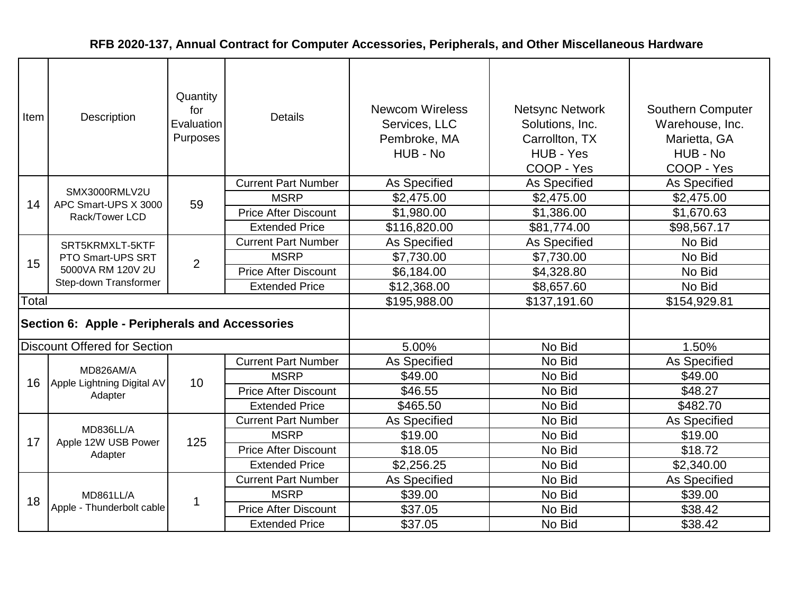| Item  | Description                                                     | Quantity<br>for<br>Evaluation<br>Purposes | <b>Details</b>              | <b>Newcom Wireless</b><br>Services, LLC<br>Pembroke, MA<br>HUB - No | <b>Netsync Network</b><br>Solutions, Inc.<br>Carrollton, TX<br>HUB - Yes<br>COOP - Yes | <b>Southern Computer</b><br>Warehouse, Inc.<br>Marietta, GA<br>HUB - No<br>COOP - Yes |
|-------|-----------------------------------------------------------------|-------------------------------------------|-----------------------------|---------------------------------------------------------------------|----------------------------------------------------------------------------------------|---------------------------------------------------------------------------------------|
|       | SMX3000RMLV2U                                                   |                                           | <b>Current Part Number</b>  | As Specified                                                        | As Specified                                                                           | As Specified                                                                          |
| 14    | APC Smart-UPS X 3000                                            | 59                                        | <b>MSRP</b>                 | \$2,475.00                                                          | \$2,475.00                                                                             | \$2,475.00                                                                            |
|       | Rack/Tower LCD                                                  |                                           | <b>Price After Discount</b> | \$1,980.00                                                          | \$1,386.00                                                                             | \$1,670.63                                                                            |
|       |                                                                 |                                           | <b>Extended Price</b>       | \$116,820.00                                                        | \$81,774.00                                                                            | \$98,567.17                                                                           |
|       | SRT5KRMXLT-5KTF                                                 |                                           | <b>Current Part Number</b>  | As Specified                                                        | As Specified                                                                           | No Bid                                                                                |
| 15    | PTO Smart-UPS SRT<br>5000VA RM 120V 2U<br>Step-down Transformer | $\overline{2}$                            | <b>MSRP</b>                 | \$7,730.00                                                          | \$7,730.00                                                                             | No Bid                                                                                |
|       |                                                                 |                                           | <b>Price After Discount</b> | \$6,184.00                                                          | \$4,328.80                                                                             | No Bid                                                                                |
|       |                                                                 |                                           | <b>Extended Price</b>       | \$12,368.00                                                         | \$8,657.60                                                                             | No Bid                                                                                |
| Total |                                                                 |                                           |                             | \$195,988.00                                                        | \$137,191.60                                                                           | \$154,929.81                                                                          |
|       | Section 6: Apple - Peripherals and Accessories                  |                                           |                             |                                                                     |                                                                                        |                                                                                       |
|       | <b>Discount Offered for Section</b>                             |                                           |                             | 5.00%                                                               | No Bid                                                                                 | 1.50%                                                                                 |
|       |                                                                 |                                           | <b>Current Part Number</b>  | <b>As Specified</b>                                                 | No Bid                                                                                 | As Specified                                                                          |
| 16    | MD826AM/A<br>Apple Lightning Digital AV                         | 10                                        | <b>MSRP</b>                 | \$49.00                                                             | No Bid                                                                                 | \$49.00                                                                               |
|       | Adapter                                                         |                                           | <b>Price After Discount</b> | \$46.55                                                             | No Bid                                                                                 | \$48.27                                                                               |
|       |                                                                 |                                           | <b>Extended Price</b>       | \$465.50                                                            | No Bid                                                                                 | \$482.70                                                                              |
|       |                                                                 |                                           | <b>Current Part Number</b>  | As Specified                                                        | No Bid                                                                                 | As Specified                                                                          |
| 17    | MD836LL/A<br>Apple 12W USB Power                                | 125                                       | <b>MSRP</b>                 | \$19.00                                                             | No Bid                                                                                 | \$19.00                                                                               |
|       | Adapter                                                         |                                           | <b>Price After Discount</b> | \$18.05                                                             | No Bid                                                                                 | \$18.72                                                                               |
|       |                                                                 |                                           | <b>Extended Price</b>       | \$2,256.25                                                          | No Bid                                                                                 | \$2,340.00                                                                            |
|       |                                                                 |                                           | <b>Current Part Number</b>  | As Specified                                                        | No Bid                                                                                 | As Specified                                                                          |
| 18    | MD861LL/A                                                       | 1                                         | <b>MSRP</b>                 | \$39.00                                                             | No Bid                                                                                 | \$39.00                                                                               |
|       | Apple - Thunderbolt cable                                       |                                           | <b>Price After Discount</b> | \$37.05                                                             | No Bid                                                                                 | \$38.42                                                                               |
|       |                                                                 |                                           | <b>Extended Price</b>       | \$37.05                                                             | No Bid                                                                                 | \$38.42                                                                               |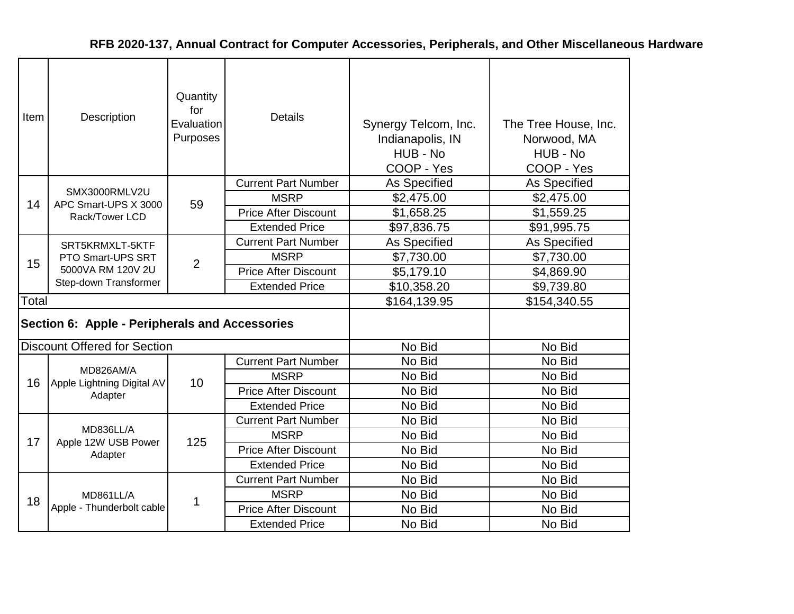| Item  | Description                                    | Quantity<br>for<br>Evaluation<br>Purposes | <b>Details</b>              | Synergy Telcom, Inc.<br>Indianapolis, IN<br>HUB - No<br>COOP - Yes | The Tree House, Inc.<br>Norwood, MA<br>HUB - No<br>COOP - Yes |
|-------|------------------------------------------------|-------------------------------------------|-----------------------------|--------------------------------------------------------------------|---------------------------------------------------------------|
|       |                                                |                                           | <b>Current Part Number</b>  | <b>As Specified</b>                                                | As Specified                                                  |
| 14    | SMX3000RMLV2U<br>APC Smart-UPS X 3000          | 59                                        | <b>MSRP</b>                 | \$2,475.00                                                         | \$2,475.00                                                    |
|       | Rack/Tower LCD                                 |                                           | <b>Price After Discount</b> | \$1,658.25                                                         | \$1,559.25                                                    |
|       |                                                |                                           | <b>Extended Price</b>       | \$97,836.75                                                        | \$91,995.75                                                   |
|       | SRT5KRMXLT-5KTF                                |                                           | <b>Current Part Number</b>  | As Specified                                                       | <b>As Specified</b>                                           |
| 15    | PTO Smart-UPS SRT<br>5000VA RM 120V 2U         | $\overline{2}$                            | <b>MSRP</b>                 | \$7,730.00                                                         | \$7,730.00                                                    |
|       |                                                |                                           | <b>Price After Discount</b> | \$5,179.10                                                         | \$4,869.90                                                    |
|       | Step-down Transformer                          |                                           | <b>Extended Price</b>       | \$10,358.20                                                        | \$9,739.80                                                    |
| Total |                                                |                                           |                             | \$164,139.95                                                       | \$154,340.55                                                  |
|       | Section 6: Apple - Peripherals and Accessories |                                           |                             |                                                                    |                                                               |
|       | <b>Discount Offered for Section</b>            |                                           |                             | No Bid                                                             | No Bid                                                        |
|       |                                                |                                           | <b>Current Part Number</b>  | No Bid                                                             | No Bid                                                        |
| 16    | MD826AM/A<br>Apple Lightning Digital AV        | 10                                        | <b>MSRP</b>                 | No Bid                                                             | No Bid                                                        |
|       | Adapter                                        |                                           | <b>Price After Discount</b> | No Bid                                                             | No Bid                                                        |
|       |                                                |                                           | <b>Extended Price</b>       | No Bid                                                             | No Bid                                                        |
|       |                                                |                                           | <b>Current Part Number</b>  | No Bid                                                             | No Bid                                                        |
| 17    | MD836LL/A<br>Apple 12W USB Power               | 125                                       | <b>MSRP</b>                 | No Bid                                                             | No Bid                                                        |
|       | Adapter                                        |                                           | <b>Price After Discount</b> | No Bid                                                             | No Bid                                                        |
|       |                                                |                                           | <b>Extended Price</b>       | No Bid                                                             | No Bid                                                        |
|       |                                                |                                           | <b>Current Part Number</b>  | No Bid                                                             | No Bid                                                        |
| 18    | MD861LL/A                                      | 1                                         | <b>MSRP</b>                 | No Bid                                                             | No Bid                                                        |
|       | Apple - Thunderbolt cable                      |                                           | <b>Price After Discount</b> | No Bid                                                             | No Bid                                                        |
|       |                                                |                                           | <b>Extended Price</b>       | No Bid                                                             | No Bid                                                        |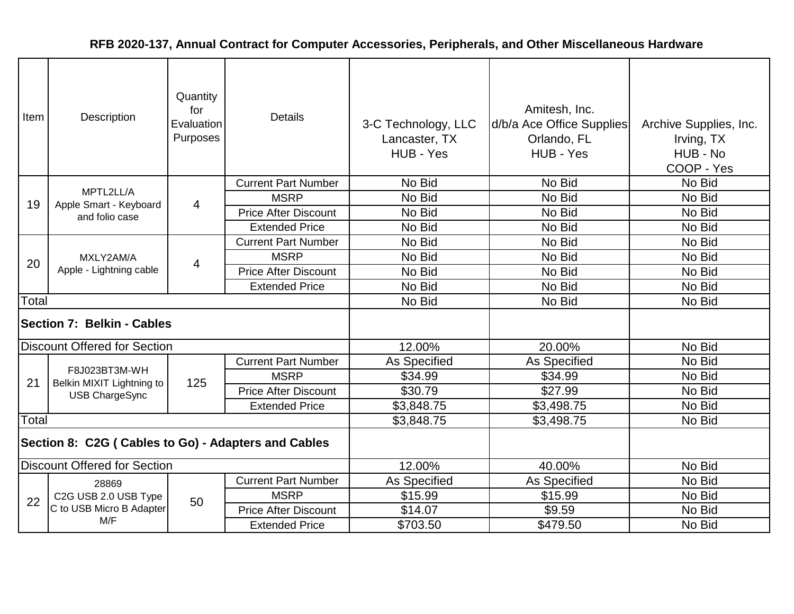| Item                                                 | Description                                | Quantity<br>for<br>Evaluation<br>Purposes | <b>Details</b>              | 3-C Technology, LLC<br>Lancaster, TX<br>HUB - Yes | Amitesh, Inc.<br>d/b/a Ace Office Supplies<br>Orlando, FL<br>HUB - Yes | Archive Supplies, Inc.<br>Irving, TX<br>HUB - No<br>COOP - Yes |
|------------------------------------------------------|--------------------------------------------|-------------------------------------------|-----------------------------|---------------------------------------------------|------------------------------------------------------------------------|----------------------------------------------------------------|
|                                                      |                                            |                                           | <b>Current Part Number</b>  | No Bid                                            | No Bid                                                                 | No Bid                                                         |
| 19                                                   | MPTL2LL/A<br>Apple Smart - Keyboard        | $\overline{4}$                            | <b>MSRP</b>                 | No Bid                                            | No Bid                                                                 | No Bid                                                         |
|                                                      | and folio case                             |                                           | <b>Price After Discount</b> | No Bid                                            | No Bid                                                                 | No Bid                                                         |
|                                                      |                                            |                                           | <b>Extended Price</b>       | No Bid                                            | No Bid                                                                 | No Bid                                                         |
|                                                      |                                            |                                           | <b>Current Part Number</b>  | No Bid                                            | No Bid                                                                 | No Bid                                                         |
| 20                                                   | MXLY2AM/A                                  | 4                                         | <b>MSRP</b>                 | No Bid                                            | No Bid                                                                 | No Bid                                                         |
|                                                      | Apple - Lightning cable                    |                                           | <b>Price After Discount</b> | No Bid                                            | No Bid                                                                 | No Bid                                                         |
|                                                      |                                            |                                           | <b>Extended Price</b>       | No Bid                                            | No Bid                                                                 | No Bid                                                         |
| Total                                                |                                            |                                           |                             | No Bid                                            | No Bid                                                                 | No Bid                                                         |
|                                                      | <b>Section 7: Belkin - Cables</b>          |                                           |                             |                                                   |                                                                        |                                                                |
|                                                      | <b>Discount Offered for Section</b>        |                                           |                             | 12.00%                                            | 20.00%                                                                 | No Bid                                                         |
|                                                      |                                            |                                           | <b>Current Part Number</b>  | As Specified                                      | As Specified                                                           | No Bid                                                         |
| 21                                                   | F8J023BT3M-WH<br>Belkin MIXIT Lightning to | 125                                       | <b>MSRP</b>                 | \$34.99                                           | \$34.99                                                                | No Bid                                                         |
|                                                      | <b>USB ChargeSync</b>                      |                                           | <b>Price After Discount</b> | \$30.79                                           | \$27.99                                                                | No Bid                                                         |
|                                                      |                                            |                                           | <b>Extended Price</b>       | \$3,848.75                                        | \$3,498.75                                                             | No Bid                                                         |
| Total                                                |                                            |                                           |                             | \$3,848.75                                        | \$3,498.75                                                             | No Bid                                                         |
| Section 8: C2G ( Cables to Go) - Adapters and Cables |                                            |                                           |                             |                                                   |                                                                        |                                                                |
| <b>Discount Offered for Section</b>                  |                                            |                                           |                             | 12.00%                                            | 40.00%                                                                 | No Bid                                                         |
|                                                      | 28869                                      |                                           | <b>Current Part Number</b>  | As Specified                                      | As Specified                                                           | No Bid                                                         |
| 22                                                   | C2G USB 2.0 USB Type                       | 50                                        | <b>MSRP</b>                 | \$15.99                                           | \$15.99                                                                | No Bid                                                         |
|                                                      | C to USB Micro B Adapter                   |                                           | <b>Price After Discount</b> | \$14.07                                           | \$9.59                                                                 | No Bid                                                         |
|                                                      | M/F                                        |                                           | <b>Extended Price</b>       | \$703.50                                          | \$479.50                                                               | No Bid                                                         |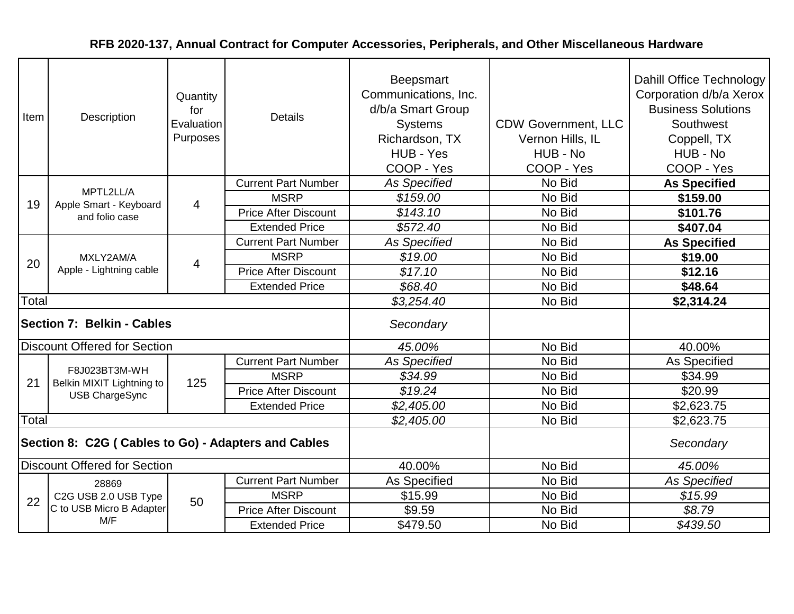| Item                                                 | Description                                | Quantity<br>for<br>Evaluation<br>Purposes | <b>Details</b>              | Beepsmart<br>Communications, Inc.<br>d/b/a Smart Group<br><b>Systems</b><br>Richardson, TX<br>HUB - Yes<br>COOP - Yes | <b>CDW Government, LLC</b><br>Vernon Hills, IL<br>HUB - No<br>COOP - Yes | Dahill Office Technology<br>Corporation d/b/a Xerox<br><b>Business Solutions</b><br>Southwest<br>Coppell, TX<br>HUB - No<br>COOP - Yes |
|------------------------------------------------------|--------------------------------------------|-------------------------------------------|-----------------------------|-----------------------------------------------------------------------------------------------------------------------|--------------------------------------------------------------------------|----------------------------------------------------------------------------------------------------------------------------------------|
|                                                      |                                            |                                           | <b>Current Part Number</b>  | <b>As Specified</b>                                                                                                   | No Bid                                                                   | <b>As Specified</b>                                                                                                                    |
| 19                                                   | MPTL2LL/A<br>Apple Smart - Keyboard        | $\overline{4}$                            | <b>MSRP</b>                 | \$159.00                                                                                                              | No Bid                                                                   | \$159.00                                                                                                                               |
|                                                      | and folio case                             |                                           | <b>Price After Discount</b> | \$143.10                                                                                                              | No Bid                                                                   | \$101.76                                                                                                                               |
|                                                      |                                            |                                           | <b>Extended Price</b>       | \$572.40                                                                                                              | No Bid                                                                   | \$407.04                                                                                                                               |
|                                                      |                                            |                                           | <b>Current Part Number</b>  | <b>As Specified</b>                                                                                                   | No Bid                                                                   | <b>As Specified</b>                                                                                                                    |
| 20                                                   | MXLY2AM/A<br>Apple - Lightning cable       | 4                                         | <b>MSRP</b>                 | \$19.00                                                                                                               | No Bid                                                                   | \$19.00                                                                                                                                |
|                                                      |                                            |                                           | <b>Price After Discount</b> | \$17.10                                                                                                               | No Bid                                                                   | \$12.16                                                                                                                                |
|                                                      |                                            |                                           | <b>Extended Price</b>       | \$68.40                                                                                                               | No Bid                                                                   | \$48.64                                                                                                                                |
| Total                                                |                                            |                                           |                             | \$3,254.40                                                                                                            | No Bid                                                                   | \$2,314.24                                                                                                                             |
|                                                      | <b>Section 7: Belkin - Cables</b>          |                                           |                             | Secondary                                                                                                             |                                                                          |                                                                                                                                        |
|                                                      | <b>Discount Offered for Section</b>        |                                           |                             | 45.00%                                                                                                                | No Bid                                                                   | 40.00%                                                                                                                                 |
|                                                      |                                            |                                           | <b>Current Part Number</b>  | <b>As Specified</b>                                                                                                   | No Bid                                                                   | As Specified                                                                                                                           |
| 21                                                   | F8J023BT3M-WH<br>Belkin MIXIT Lightning to | 125                                       | <b>MSRP</b>                 | \$34.99                                                                                                               | No Bid                                                                   | \$34.99                                                                                                                                |
|                                                      | <b>USB ChargeSync</b>                      |                                           | <b>Price After Discount</b> | \$19.24                                                                                                               | No Bid                                                                   | \$20.99                                                                                                                                |
|                                                      |                                            |                                           | <b>Extended Price</b>       | \$2,405.00                                                                                                            | No Bid                                                                   | \$2,623.75                                                                                                                             |
| Total                                                |                                            |                                           |                             | \$2,405.00                                                                                                            | No Bid                                                                   | \$2,623.75                                                                                                                             |
| Section 8: C2G ( Cables to Go) - Adapters and Cables |                                            |                                           |                             |                                                                                                                       |                                                                          | Secondary                                                                                                                              |
| <b>Discount Offered for Section</b>                  |                                            |                                           |                             | 40.00%                                                                                                                | No Bid                                                                   | 45.00%                                                                                                                                 |
|                                                      | 28869                                      |                                           | <b>Current Part Number</b>  | As Specified                                                                                                          | No Bid                                                                   | <b>As Specified</b>                                                                                                                    |
| 22                                                   | C2G USB 2.0 USB Type                       | 50                                        | <b>MSRP</b>                 | \$15.99                                                                                                               | No Bid                                                                   | \$15.99                                                                                                                                |
|                                                      | C to USB Micro B Adapter                   |                                           | <b>Price After Discount</b> | \$9.59                                                                                                                | No Bid                                                                   | \$8.79                                                                                                                                 |
|                                                      | M/F                                        |                                           | <b>Extended Price</b>       | \$479.50                                                                                                              | No Bid                                                                   | \$439.50                                                                                                                               |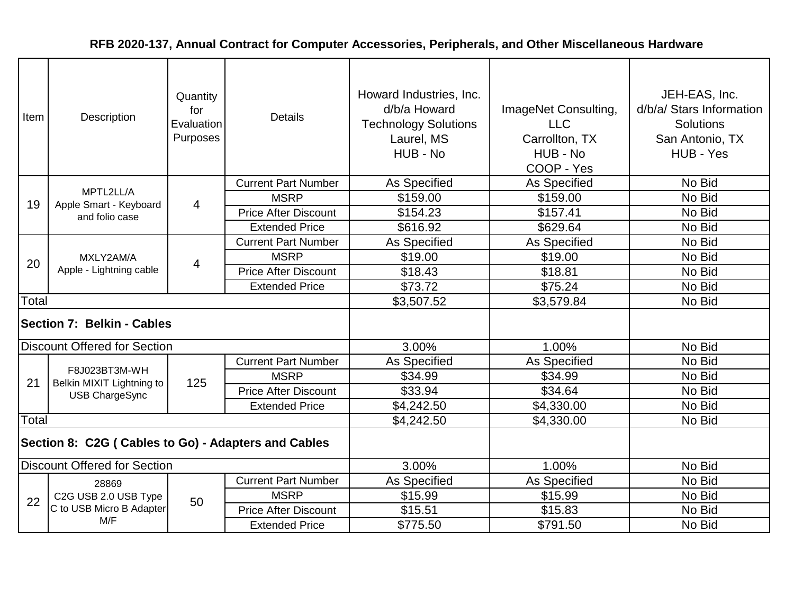| Item                                                 | Description                                | Quantity<br>for<br>Evaluation<br>Purposes | <b>Details</b>              | Howard Industries, Inc.<br>d/b/a Howard<br><b>Technology Solutions</b><br>Laurel, MS<br>HUB - No | ImageNet Consulting,<br><b>LLC</b><br>Carrollton, TX<br>HUB - No<br>COOP - Yes | JEH-EAS, Inc.<br>d/b/a/ Stars Information<br><b>Solutions</b><br>San Antonio, TX<br>HUB - Yes |
|------------------------------------------------------|--------------------------------------------|-------------------------------------------|-----------------------------|--------------------------------------------------------------------------------------------------|--------------------------------------------------------------------------------|-----------------------------------------------------------------------------------------------|
|                                                      |                                            |                                           | <b>Current Part Number</b>  | As Specified                                                                                     | As Specified                                                                   | No Bid                                                                                        |
| 19                                                   | MPTL2LL/A<br>Apple Smart - Keyboard        | $\overline{4}$                            | <b>MSRP</b>                 | \$159.00                                                                                         | \$159.00                                                                       | No Bid                                                                                        |
|                                                      | and folio case                             |                                           | <b>Price After Discount</b> | \$154.23                                                                                         | \$157.41                                                                       | No Bid                                                                                        |
|                                                      |                                            |                                           | <b>Extended Price</b>       | \$616.92                                                                                         | \$629.64                                                                       | No Bid                                                                                        |
|                                                      |                                            |                                           | <b>Current Part Number</b>  | As Specified                                                                                     | As Specified                                                                   | No Bid                                                                                        |
| 20                                                   | MXLY2AM/A                                  | $\overline{4}$                            | <b>MSRP</b>                 | \$19.00                                                                                          | \$19.00                                                                        | No Bid                                                                                        |
|                                                      | Apple - Lightning cable                    |                                           | <b>Price After Discount</b> | \$18.43                                                                                          | \$18.81                                                                        | No Bid                                                                                        |
|                                                      |                                            |                                           | <b>Extended Price</b>       | \$73.72                                                                                          | \$75.24                                                                        | No Bid                                                                                        |
| Total                                                |                                            |                                           |                             | \$3,507.52                                                                                       | \$3,579.84                                                                     | No Bid                                                                                        |
|                                                      | Section 7: Belkin - Cables                 |                                           |                             |                                                                                                  |                                                                                |                                                                                               |
|                                                      | <b>Discount Offered for Section</b>        |                                           |                             | 3.00%                                                                                            | 1.00%                                                                          | No Bid                                                                                        |
|                                                      |                                            |                                           | <b>Current Part Number</b>  | As Specified                                                                                     | As Specified                                                                   | No Bid                                                                                        |
| 21                                                   | F8J023BT3M-WH<br>Belkin MIXIT Lightning to | 125                                       | <b>MSRP</b>                 | \$34.99                                                                                          | \$34.99                                                                        | No Bid                                                                                        |
|                                                      | <b>USB ChargeSync</b>                      |                                           | <b>Price After Discount</b> | \$33.94                                                                                          | \$34.64                                                                        | No Bid                                                                                        |
|                                                      |                                            |                                           | <b>Extended Price</b>       | \$4,242.50                                                                                       | \$4,330.00                                                                     | No Bid                                                                                        |
| Total                                                |                                            |                                           |                             | \$4,242.50                                                                                       | \$4,330.00                                                                     | No Bid                                                                                        |
| Section 8: C2G ( Cables to Go) - Adapters and Cables |                                            |                                           |                             |                                                                                                  |                                                                                |                                                                                               |
| <b>Discount Offered for Section</b>                  |                                            |                                           |                             | 3.00%                                                                                            | 1.00%                                                                          | No Bid                                                                                        |
|                                                      | 28869                                      |                                           | <b>Current Part Number</b>  | As Specified                                                                                     | As Specified                                                                   | No Bid                                                                                        |
| 22                                                   | C2G USB 2.0 USB Type                       | 50                                        | <b>MSRP</b>                 | \$15.99                                                                                          | \$15.99                                                                        | No Bid                                                                                        |
|                                                      | C to USB Micro B Adapter                   |                                           | <b>Price After Discount</b> | \$15.51                                                                                          | \$15.83                                                                        | No Bid                                                                                        |
|                                                      | M/F                                        |                                           | <b>Extended Price</b>       | \$775.50                                                                                         | \$791.50                                                                       | No Bid                                                                                        |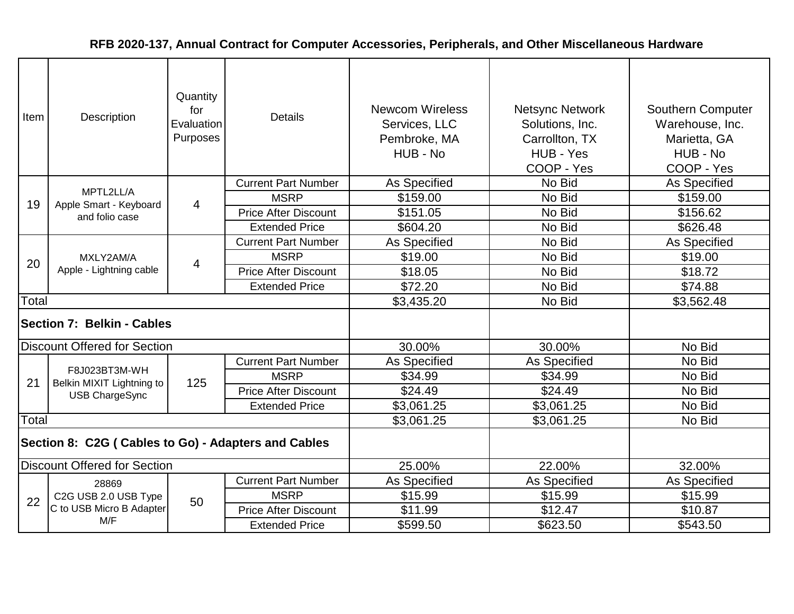| Item                                                 | Description                                | Quantity<br>for<br>Evaluation<br>Purposes | <b>Details</b>              | <b>Newcom Wireless</b><br>Services, LLC<br>Pembroke, MA<br>HUB - No | <b>Netsync Network</b><br>Solutions, Inc.<br>Carrollton, TX<br>HUB - Yes<br>COOP - Yes | <b>Southern Computer</b><br>Warehouse, Inc.<br>Marietta, GA<br>HUB - No<br>COOP - Yes |
|------------------------------------------------------|--------------------------------------------|-------------------------------------------|-----------------------------|---------------------------------------------------------------------|----------------------------------------------------------------------------------------|---------------------------------------------------------------------------------------|
|                                                      |                                            |                                           | <b>Current Part Number</b>  | As Specified                                                        | No Bid                                                                                 | As Specified                                                                          |
| 19                                                   | MPTL2LL/A<br>Apple Smart - Keyboard        | $\overline{4}$                            | <b>MSRP</b>                 | \$159.00                                                            | No Bid                                                                                 | \$159.00                                                                              |
|                                                      | and folio case                             |                                           | <b>Price After Discount</b> | \$151.05                                                            | No Bid                                                                                 | \$156.62                                                                              |
|                                                      |                                            |                                           | <b>Extended Price</b>       | \$604.20                                                            | No Bid                                                                                 | \$626.48                                                                              |
|                                                      |                                            |                                           | <b>Current Part Number</b>  | As Specified                                                        | No Bid                                                                                 | As Specified                                                                          |
| 20                                                   | MXLY2AM/A<br>Apple - Lightning cable       | 4                                         | <b>MSRP</b>                 | \$19.00                                                             | No Bid                                                                                 | \$19.00                                                                               |
|                                                      |                                            |                                           | <b>Price After Discount</b> | \$18.05                                                             | No Bid                                                                                 | \$18.72                                                                               |
|                                                      |                                            |                                           | <b>Extended Price</b>       | \$72.20                                                             | No Bid                                                                                 | \$74.88                                                                               |
| Total                                                |                                            |                                           |                             | \$3,435.20                                                          | No Bid                                                                                 | \$3,562.48                                                                            |
|                                                      | <b>Section 7: Belkin - Cables</b>          |                                           |                             |                                                                     |                                                                                        |                                                                                       |
|                                                      | <b>Discount Offered for Section</b>        |                                           |                             | 30.00%                                                              | 30.00%                                                                                 | No Bid                                                                                |
|                                                      |                                            |                                           | <b>Current Part Number</b>  | As Specified                                                        | As Specified                                                                           | No Bid                                                                                |
| 21                                                   | F8J023BT3M-WH<br>Belkin MIXIT Lightning to | 125                                       | <b>MSRP</b>                 | \$34.99                                                             | \$34.99                                                                                | No Bid                                                                                |
|                                                      | <b>USB ChargeSync</b>                      |                                           | <b>Price After Discount</b> | \$24.49                                                             | \$24.49                                                                                | No Bid                                                                                |
|                                                      |                                            |                                           | <b>Extended Price</b>       | \$3,061.25                                                          | \$3,061.25                                                                             | No Bid                                                                                |
| Total                                                |                                            |                                           |                             | \$3,061.25                                                          | \$3,061.25                                                                             | No Bid                                                                                |
| Section 8: C2G ( Cables to Go) - Adapters and Cables |                                            |                                           |                             |                                                                     |                                                                                        |                                                                                       |
| <b>Discount Offered for Section</b>                  |                                            |                                           |                             | 25.00%                                                              | 22.00%                                                                                 | 32.00%                                                                                |
|                                                      | 28869                                      |                                           | <b>Current Part Number</b>  | As Specified                                                        | As Specified                                                                           | As Specified                                                                          |
| 22                                                   | C2G USB 2.0 USB Type                       | 50                                        | <b>MSRP</b>                 | \$15.99                                                             | \$15.99                                                                                | \$15.99                                                                               |
|                                                      | C to USB Micro B Adapter                   |                                           | <b>Price After Discount</b> | \$11.99                                                             | \$12.47                                                                                | \$10.87                                                                               |
|                                                      | M/F                                        |                                           | <b>Extended Price</b>       | \$599.50                                                            | \$623.50                                                                               | \$543.50                                                                              |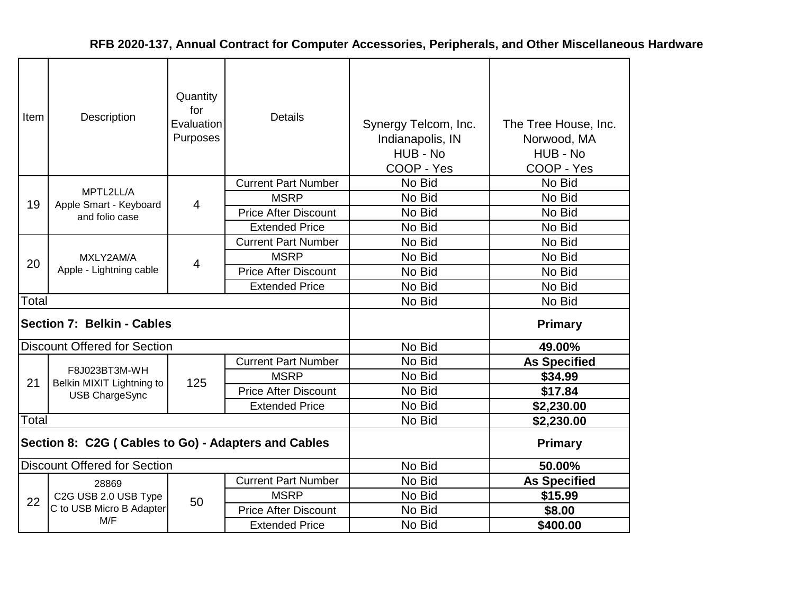| Item  | Description                                          | Quantity<br>for<br>Evaluation<br>Purposes | <b>Details</b>              | Synergy Telcom, Inc.<br>Indianapolis, IN<br>HUB - No<br>COOP - Yes | The Tree House, Inc.<br>Norwood, MA<br>HUB - No<br>COOP - Yes |
|-------|------------------------------------------------------|-------------------------------------------|-----------------------------|--------------------------------------------------------------------|---------------------------------------------------------------|
|       |                                                      |                                           | <b>Current Part Number</b>  | No Bid                                                             | No Bid                                                        |
| 19    | MPTL2LL/A<br>Apple Smart - Keyboard                  | 4                                         | <b>MSRP</b>                 | No Bid                                                             | No Bid                                                        |
|       | and folio case                                       |                                           | <b>Price After Discount</b> | No Bid                                                             | No Bid                                                        |
|       |                                                      |                                           | <b>Extended Price</b>       | No Bid                                                             | No Bid                                                        |
|       | MXLY2AM/A                                            |                                           | <b>Current Part Number</b>  | No Bid                                                             | No Bid                                                        |
| 20    |                                                      | 4                                         | <b>MSRP</b>                 | No Bid                                                             | No Bid                                                        |
|       | Apple - Lightning cable                              |                                           | <b>Price After Discount</b> | No Bid                                                             | No Bid                                                        |
|       |                                                      |                                           | <b>Extended Price</b>       | No Bid                                                             | No Bid                                                        |
| Total |                                                      |                                           |                             | No Bid                                                             | No Bid                                                        |
|       | Section 7: Belkin - Cables                           |                                           |                             |                                                                    | <b>Primary</b>                                                |
|       | <b>Discount Offered for Section</b>                  |                                           |                             | No Bid                                                             | 49.00%                                                        |
|       |                                                      |                                           | <b>Current Part Number</b>  | No Bid                                                             | <b>As Specified</b>                                           |
| 21    | F8J023BT3M-WH<br>Belkin MIXIT Lightning to           | 125                                       | <b>MSRP</b>                 | No Bid                                                             | \$34.99                                                       |
|       | <b>USB ChargeSync</b>                                |                                           | <b>Price After Discount</b> | No Bid                                                             | \$17.84                                                       |
|       |                                                      |                                           | <b>Extended Price</b>       | No Bid                                                             | \$2,230.00                                                    |
| Total |                                                      |                                           |                             | No Bid                                                             | \$2,230.00                                                    |
|       | Section 8: C2G ( Cables to Go) - Adapters and Cables |                                           |                             |                                                                    | <b>Primary</b>                                                |
|       | <b>Discount Offered for Section</b>                  |                                           |                             | No Bid                                                             | 50.00%                                                        |
|       | 28869                                                |                                           | <b>Current Part Number</b>  | No Bid                                                             | <b>As Specified</b>                                           |
| 22    | C2G USB 2.0 USB Type                                 | 50                                        | <b>MSRP</b>                 | No Bid                                                             | \$15.99                                                       |
|       | C to USB Micro B Adapter                             |                                           | <b>Price After Discount</b> | No Bid                                                             | \$8.00                                                        |
|       | M/F                                                  |                                           | <b>Extended Price</b>       | No Bid                                                             | \$400.00                                                      |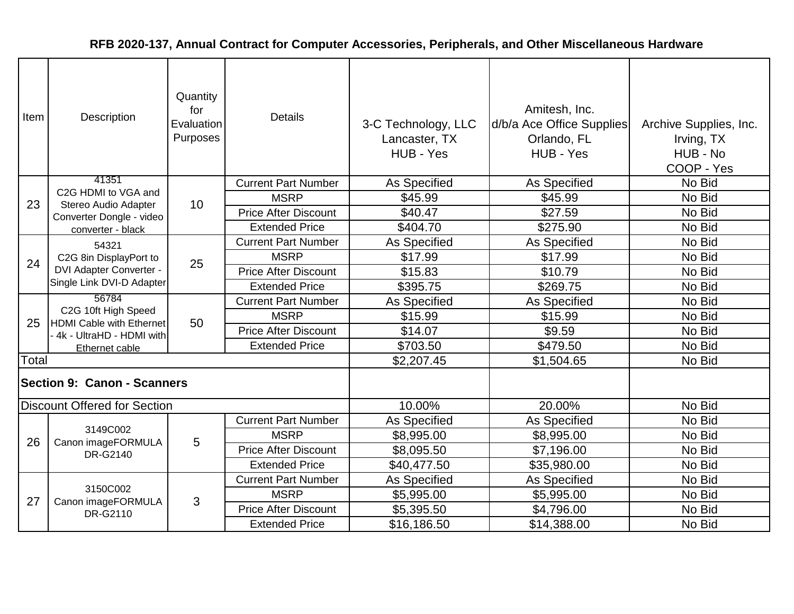| Item  | <b>Description</b>                                                                    | Quantity<br>for<br>Evaluation<br>Purposes | <b>Details</b>              | 3-C Technology, LLC<br>Lancaster, TX<br>HUB - Yes | Amitesh, Inc.<br>d/b/a Ace Office Supplies<br>Orlando, FL<br>HUB - Yes | Archive Supplies, Inc.<br>Irving, TX<br>HUB - No<br>COOP - Yes |
|-------|---------------------------------------------------------------------------------------|-------------------------------------------|-----------------------------|---------------------------------------------------|------------------------------------------------------------------------|----------------------------------------------------------------|
|       | 41351<br>C2G HDMI to VGA and                                                          |                                           | <b>Current Part Number</b>  | As Specified                                      | As Specified                                                           | No Bid                                                         |
| 23    | Stereo Audio Adapter                                                                  | 10                                        | <b>MSRP</b>                 | \$45.99                                           | \$45.99                                                                | No Bid                                                         |
|       | Converter Dongle - video                                                              |                                           | <b>Price After Discount</b> | \$40.47                                           | \$27.59                                                                | No Bid                                                         |
|       | converter - black                                                                     |                                           | <b>Extended Price</b>       | \$404.70                                          | \$275.90                                                               | No Bid                                                         |
|       | 54321                                                                                 |                                           | <b>Current Part Number</b>  | As Specified                                      | As Specified                                                           | No Bid                                                         |
| 24    | C2G 8in DisplayPort to<br><b>DVI Adapter Converter -</b><br>Single Link DVI-D Adapter | 25                                        | <b>MSRP</b>                 | \$17.99                                           | \$17.99                                                                | No Bid                                                         |
|       |                                                                                       |                                           | <b>Price After Discount</b> | \$15.83                                           | \$10.79                                                                | No Bid                                                         |
|       |                                                                                       |                                           | <b>Extended Price</b>       | \$395.75                                          | \$269.75                                                               | No Bid                                                         |
|       | 56784                                                                                 |                                           | <b>Current Part Number</b>  | As Specified                                      | As Specified                                                           | No Bid                                                         |
| 25    | C2G 10ft High Speed<br><b>HDMI Cable with Ethernet</b><br>4k - UltraHD - HDMI with    | 50                                        | <b>MSRP</b>                 | \$15.99                                           | \$15.99                                                                | No Bid                                                         |
|       |                                                                                       |                                           | <b>Price After Discount</b> | \$14.07                                           | \$9.59                                                                 | No Bid                                                         |
|       | Ethernet cable                                                                        |                                           | <b>Extended Price</b>       | \$703.50                                          | \$479.50                                                               | No Bid                                                         |
| Total |                                                                                       |                                           |                             | \$2,207.45                                        | \$1,504.65                                                             | No Bid                                                         |
|       | <b>Section 9: Canon - Scanners</b>                                                    |                                           |                             |                                                   |                                                                        |                                                                |
|       | <b>Discount Offered for Section</b>                                                   |                                           |                             | 10.00%                                            | 20.00%                                                                 | No Bid                                                         |
|       |                                                                                       |                                           | <b>Current Part Number</b>  | As Specified                                      | As Specified                                                           | No Bid                                                         |
| 26    | 3149C002<br>Canon imageFORMULA                                                        | 5                                         | <b>MSRP</b>                 | \$8,995.00                                        | \$8,995.00                                                             | No Bid                                                         |
|       | DR-G2140                                                                              |                                           | <b>Price After Discount</b> | \$8,095.50                                        | \$7,196.00                                                             | No Bid                                                         |
|       |                                                                                       |                                           | <b>Extended Price</b>       | \$40,477.50                                       | \$35,980.00                                                            | No Bid                                                         |
|       |                                                                                       |                                           | <b>Current Part Number</b>  | <b>As Specified</b>                               | <b>As Specified</b>                                                    | No Bid                                                         |
| 27    | 3150C002<br>Canon imageFORMULA                                                        | 3                                         | <b>MSRP</b>                 | \$5,995.00                                        | \$5,995.00                                                             | No Bid                                                         |
|       | DR-G2110                                                                              |                                           | <b>Price After Discount</b> | \$5,395.50                                        | \$4,796.00                                                             | No Bid                                                         |
|       |                                                                                       |                                           | <b>Extended Price</b>       | \$16,186.50                                       | \$14,388.00                                                            | No Bid                                                         |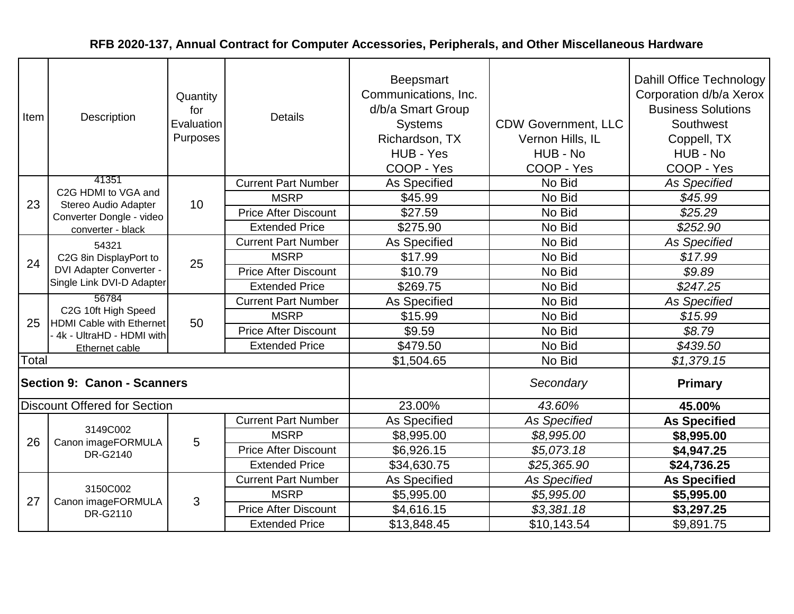| Item  | Description                                                                                 | Quantity<br>for<br>Evaluation<br>Purposes | <b>Details</b>              | <b>Beepsmart</b><br>Communications, Inc.<br>d/b/a Smart Group<br><b>Systems</b><br>Richardson, TX<br>HUB - Yes<br>COOP - Yes | <b>CDW Government, LLC</b><br>Vernon Hills, IL<br>HUB - No<br>COOP - Yes | Dahill Office Technology<br>Corporation d/b/a Xerox<br><b>Business Solutions</b><br>Southwest<br>Coppell, TX<br>HUB - No<br>COOP - Yes |
|-------|---------------------------------------------------------------------------------------------|-------------------------------------------|-----------------------------|------------------------------------------------------------------------------------------------------------------------------|--------------------------------------------------------------------------|----------------------------------------------------------------------------------------------------------------------------------------|
|       | 41351                                                                                       |                                           | <b>Current Part Number</b>  | As Specified                                                                                                                 | No Bid                                                                   | <b>As Specified</b>                                                                                                                    |
| 23    | C2G HDMI to VGA and<br>Stereo Audio Adapter                                                 | 10                                        | <b>MSRP</b>                 | \$45.99                                                                                                                      | No Bid                                                                   | \$45.99                                                                                                                                |
|       | Converter Dongle - video                                                                    |                                           | <b>Price After Discount</b> | \$27.59                                                                                                                      | No Bid                                                                   | \$25.29                                                                                                                                |
|       | converter - black                                                                           |                                           | <b>Extended Price</b>       | \$275.90                                                                                                                     | No Bid                                                                   | \$252.90                                                                                                                               |
|       | 54321                                                                                       |                                           | <b>Current Part Number</b>  | As Specified                                                                                                                 | No Bid                                                                   | As Specified                                                                                                                           |
| 24    | C2G 8in DisplayPort to                                                                      | 25                                        | <b>MSRP</b>                 | \$17.99                                                                                                                      | No Bid                                                                   | \$17.99                                                                                                                                |
|       | <b>DVI Adapter Converter -</b><br>Single Link DVI-D Adapter                                 |                                           | <b>Price After Discount</b> | \$10.79                                                                                                                      | No Bid                                                                   | \$9.89                                                                                                                                 |
|       |                                                                                             |                                           | <b>Extended Price</b>       | \$269.75                                                                                                                     | No Bid                                                                   | \$247.25                                                                                                                               |
|       | 56784<br>C2G 10ft High Speed<br><b>HDMI Cable with Ethernet</b><br>4k - UltraHD - HDMI with | 50                                        | <b>Current Part Number</b>  | As Specified                                                                                                                 | No Bid                                                                   | <b>As Specified</b>                                                                                                                    |
| 25    |                                                                                             |                                           | <b>MSRP</b>                 | \$15.99                                                                                                                      | No Bid                                                                   | \$15.99                                                                                                                                |
|       |                                                                                             |                                           | <b>Price After Discount</b> | \$9.59                                                                                                                       | No Bid                                                                   | \$8.79                                                                                                                                 |
|       | Ethernet cable                                                                              |                                           | <b>Extended Price</b>       | \$479.50                                                                                                                     | No Bid                                                                   | \$439.50                                                                                                                               |
| Total |                                                                                             |                                           |                             | \$1,504.65                                                                                                                   | No Bid                                                                   | \$1,379.15                                                                                                                             |
|       | <b>Section 9: Canon - Scanners</b>                                                          |                                           |                             |                                                                                                                              | Secondary                                                                | <b>Primary</b>                                                                                                                         |
|       | <b>Discount Offered for Section</b>                                                         |                                           |                             | 23.00%                                                                                                                       | 43.60%                                                                   | 45.00%                                                                                                                                 |
|       |                                                                                             |                                           | <b>Current Part Number</b>  | As Specified                                                                                                                 | <b>As Specified</b>                                                      | <b>As Specified</b>                                                                                                                    |
| 26    | 3149C002                                                                                    | 5                                         | <b>MSRP</b>                 | \$8,995.00                                                                                                                   | \$8,995.00                                                               | \$8,995.00                                                                                                                             |
|       | Canon imageFORMULA<br>DR-G2140                                                              |                                           | <b>Price After Discount</b> | \$6,926.15                                                                                                                   | \$5,073.18                                                               | \$4,947.25                                                                                                                             |
|       |                                                                                             |                                           | <b>Extended Price</b>       | \$34,630.75                                                                                                                  | \$25,365.90                                                              | \$24,736.25                                                                                                                            |
|       |                                                                                             |                                           | <b>Current Part Number</b>  | <b>As Specified</b>                                                                                                          | <b>As Specified</b>                                                      | <b>As Specified</b>                                                                                                                    |
| 27    | 3150C002<br>Canon imageFORMULA                                                              | 3                                         | <b>MSRP</b>                 | \$5,995.00                                                                                                                   | \$5,995.00                                                               | \$5,995.00                                                                                                                             |
|       | DR-G2110                                                                                    |                                           | <b>Price After Discount</b> | \$4,616.15                                                                                                                   | \$3,381.18                                                               | \$3,297.25                                                                                                                             |
|       |                                                                                             |                                           | <b>Extended Price</b>       | \$13,848.45                                                                                                                  | \$10,143.54                                                              | \$9,891.75                                                                                                                             |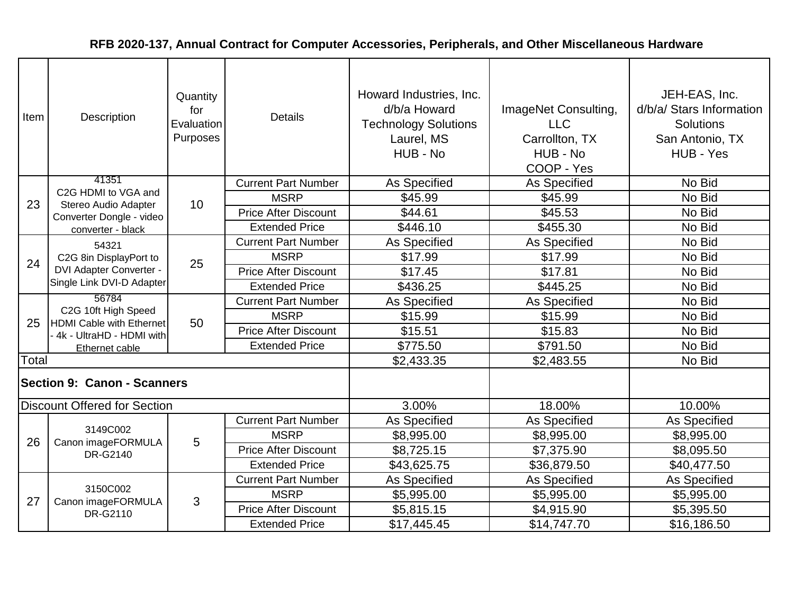| Item  | Description                                                                        | Quantity<br>for<br>Evaluation<br>Purposes | <b>Details</b>              | Howard Industries, Inc.<br>d/b/a Howard<br><b>Technology Solutions</b><br>Laurel, MS<br>HUB - No | ImageNet Consulting,<br><b>LLC</b><br>Carrollton, TX<br>HUB - No<br>COOP - Yes | JEH-EAS, Inc.<br>d/b/a/ Stars Information<br>Solutions<br>San Antonio, TX<br>HUB - Yes |
|-------|------------------------------------------------------------------------------------|-------------------------------------------|-----------------------------|--------------------------------------------------------------------------------------------------|--------------------------------------------------------------------------------|----------------------------------------------------------------------------------------|
|       | 41351                                                                              |                                           | <b>Current Part Number</b>  | As Specified                                                                                     | As Specified                                                                   | No Bid                                                                                 |
| 23    | C2G HDMI to VGA and<br>Stereo Audio Adapter                                        | 10                                        | <b>MSRP</b>                 | \$45.99                                                                                          | \$45.99                                                                        | No Bid                                                                                 |
|       | Converter Dongle - video                                                           |                                           | <b>Price After Discount</b> | \$44.61                                                                                          | \$45.53                                                                        | No Bid                                                                                 |
|       | converter - black                                                                  |                                           | <b>Extended Price</b>       | \$446.10                                                                                         | \$455.30                                                                       | No Bid                                                                                 |
|       | 54321                                                                              |                                           | <b>Current Part Number</b>  | As Specified                                                                                     | As Specified                                                                   | No Bid                                                                                 |
| 24    | C2G 8in DisplayPort to                                                             | 25                                        | <b>MSRP</b>                 | \$17.99                                                                                          | \$17.99                                                                        | No Bid                                                                                 |
|       | <b>DVI Adapter Converter -</b><br>Single Link DVI-D Adapter                        |                                           | <b>Price After Discount</b> | \$17.45                                                                                          | \$17.81                                                                        | No Bid                                                                                 |
|       |                                                                                    |                                           | <b>Extended Price</b>       | \$436.25                                                                                         | \$445.25                                                                       | No Bid                                                                                 |
|       | 56784                                                                              |                                           | <b>Current Part Number</b>  | <b>As Specified</b>                                                                              | As Specified                                                                   | No Bid                                                                                 |
| 25    | C2G 10ft High Speed<br><b>HDMI Cable with Ethernet</b><br>4k - UltraHD - HDMI with | 50                                        | <b>MSRP</b>                 | \$15.99                                                                                          | \$15.99                                                                        | No Bid                                                                                 |
|       |                                                                                    |                                           | <b>Price After Discount</b> | \$15.51                                                                                          | \$15.83                                                                        | No Bid                                                                                 |
|       | Ethernet cable                                                                     |                                           | <b>Extended Price</b>       | \$775.50                                                                                         | \$791.50                                                                       | No Bid                                                                                 |
| Total |                                                                                    |                                           |                             | \$2,433.35                                                                                       | \$2,483.55                                                                     | No Bid                                                                                 |
|       | <b>Section 9: Canon - Scanners</b>                                                 |                                           |                             |                                                                                                  |                                                                                |                                                                                        |
|       | <b>Discount Offered for Section</b>                                                |                                           |                             | 3.00%                                                                                            | 18.00%                                                                         | 10.00%                                                                                 |
|       |                                                                                    |                                           | <b>Current Part Number</b>  | As Specified                                                                                     | As Specified                                                                   | As Specified                                                                           |
| 26    | 3149C002<br>Canon imageFORMULA                                                     | 5                                         | <b>MSRP</b>                 | \$8,995.00                                                                                       | \$8,995.00                                                                     | \$8,995.00                                                                             |
|       | DR-G2140                                                                           |                                           | <b>Price After Discount</b> | \$8,725.15                                                                                       | \$7,375.90                                                                     | \$8,095.50                                                                             |
|       |                                                                                    |                                           | <b>Extended Price</b>       | \$43,625.75                                                                                      | \$36,879.50                                                                    | \$40,477.50                                                                            |
|       |                                                                                    |                                           | <b>Current Part Number</b>  | As Specified                                                                                     | As Specified                                                                   | As Specified                                                                           |
| 27    | 3150C002                                                                           | 3                                         | <b>MSRP</b>                 | \$5,995.00                                                                                       | \$5,995.00                                                                     | \$5,995.00                                                                             |
|       | Canon imageFORMULA<br>DR-G2110                                                     |                                           | <b>Price After Discount</b> | \$5,815.15                                                                                       | \$4,915.90                                                                     | \$5,395.50                                                                             |
|       |                                                                                    |                                           | <b>Extended Price</b>       | \$17,445.45                                                                                      | \$14,747.70                                                                    | \$16,186.50                                                                            |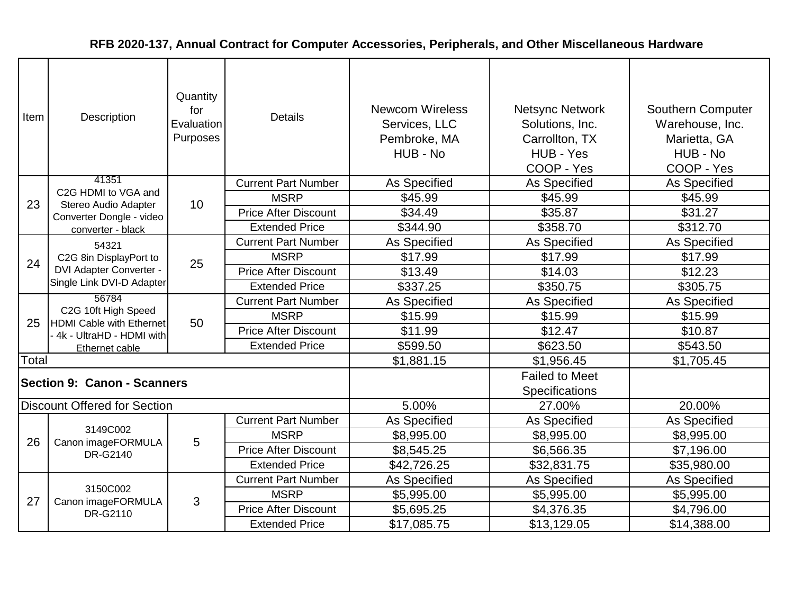| Item  | Description                                                                           | Quantity<br>for<br>Evaluation<br>Purposes | <b>Details</b>              | <b>Newcom Wireless</b><br>Services, LLC<br>Pembroke, MA<br>HUB - No | <b>Netsync Network</b><br>Solutions, Inc.<br>Carrollton, TX<br>HUB - Yes<br>COOP - Yes | Southern Computer<br>Warehouse, Inc.<br>Marietta, GA<br>HUB - No<br>COOP - Yes |
|-------|---------------------------------------------------------------------------------------|-------------------------------------------|-----------------------------|---------------------------------------------------------------------|----------------------------------------------------------------------------------------|--------------------------------------------------------------------------------|
|       | 41351                                                                                 |                                           | <b>Current Part Number</b>  | As Specified                                                        | As Specified                                                                           | As Specified                                                                   |
| 23    | C2G HDMI to VGA and<br>Stereo Audio Adapter                                           | 10                                        | <b>MSRP</b>                 | \$45.99                                                             | \$45.99                                                                                | \$45.99                                                                        |
|       | Converter Dongle - video                                                              |                                           | <b>Price After Discount</b> | \$34.49                                                             | \$35.87                                                                                | \$31.27                                                                        |
|       | converter - black                                                                     |                                           | <b>Extended Price</b>       | \$344.90                                                            | \$358.70                                                                               | \$312.70                                                                       |
|       | 54321                                                                                 |                                           | <b>Current Part Number</b>  | As Specified                                                        | As Specified                                                                           | As Specified                                                                   |
| 24    | C2G 8in DisplayPort to<br><b>DVI Adapter Converter -</b><br>Single Link DVI-D Adapter | 25                                        | <b>MSRP</b>                 | \$17.99                                                             | \$17.99                                                                                | \$17.99                                                                        |
|       |                                                                                       |                                           | <b>Price After Discount</b> | \$13.49                                                             | \$14.03                                                                                | \$12.23                                                                        |
|       |                                                                                       |                                           | <b>Extended Price</b>       | \$337.25                                                            | \$350.75                                                                               | \$305.75                                                                       |
|       | 56784                                                                                 |                                           | <b>Current Part Number</b>  | <b>As Specified</b>                                                 | As Specified                                                                           | As Specified                                                                   |
| 25    | C2G 10ft High Speed<br><b>HDMI Cable with Ethernet</b><br>4k - UltraHD - HDMI with    | 50                                        | <b>MSRP</b>                 | \$15.99                                                             | \$15.99                                                                                | \$15.99                                                                        |
|       |                                                                                       |                                           | <b>Price After Discount</b> | \$11.99                                                             | \$12.47                                                                                | \$10.87                                                                        |
|       | Ethernet cable                                                                        |                                           | <b>Extended Price</b>       | \$599.50                                                            | \$623.50                                                                               | \$543.50                                                                       |
| Total |                                                                                       |                                           |                             | \$1,881.15                                                          | \$1,956.45                                                                             | \$1,705.45                                                                     |
|       | <b>Section 9: Canon - Scanners</b>                                                    |                                           |                             |                                                                     | <b>Failed to Meet</b><br><b>Specifications</b>                                         |                                                                                |
|       | <b>Discount Offered for Section</b>                                                   |                                           |                             | 5.00%                                                               | 27.00%                                                                                 | 20.00%                                                                         |
|       |                                                                                       |                                           | <b>Current Part Number</b>  | As Specified                                                        | As Specified                                                                           | As Specified                                                                   |
| 26    | 3149C002<br>Canon imageFORMULA                                                        | 5                                         | <b>MSRP</b>                 | \$8,995.00                                                          | \$8,995.00                                                                             | \$8,995.00                                                                     |
|       | DR-G2140                                                                              |                                           | <b>Price After Discount</b> | \$8,545.25                                                          | \$6,566.35                                                                             | \$7,196.00                                                                     |
|       |                                                                                       |                                           | <b>Extended Price</b>       | \$42,726.25                                                         | \$32,831.75                                                                            | \$35,980.00                                                                    |
|       |                                                                                       |                                           | <b>Current Part Number</b>  | As Specified                                                        | As Specified                                                                           | As Specified                                                                   |
| 27    | 3150C002                                                                              | 3                                         | <b>MSRP</b>                 | \$5,995.00                                                          | \$5,995.00                                                                             | \$5,995.00                                                                     |
|       | Canon imageFORMULA<br>DR-G2110                                                        |                                           | <b>Price After Discount</b> | \$5,695.25                                                          | \$4,376.35                                                                             | \$4,796.00                                                                     |
|       |                                                                                       |                                           | <b>Extended Price</b>       | \$17,085.75                                                         | \$13,129.05                                                                            | \$14,388.00                                                                    |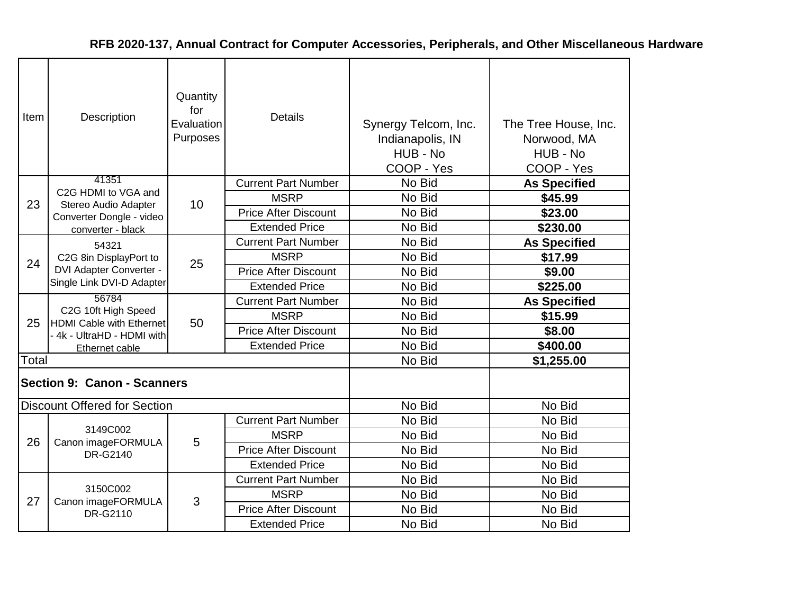| Item  | Description                                                                           | Quantity<br>for<br>Evaluation<br>Purposes | <b>Details</b>              | Synergy Telcom, Inc.<br>Indianapolis, IN<br>HUB - No<br>COOP - Yes | The Tree House, Inc.<br>Norwood, MA<br>HUB - No<br>COOP - Yes |
|-------|---------------------------------------------------------------------------------------|-------------------------------------------|-----------------------------|--------------------------------------------------------------------|---------------------------------------------------------------|
|       | 41351                                                                                 |                                           | <b>Current Part Number</b>  | No Bid                                                             | <b>As Specified</b>                                           |
| 23    | C2G HDMI to VGA and<br>Stereo Audio Adapter                                           | 10                                        | <b>MSRP</b>                 | No Bid                                                             | \$45.99                                                       |
|       | Converter Dongle - video                                                              |                                           | <b>Price After Discount</b> | No Bid                                                             | \$23.00                                                       |
|       | converter - black                                                                     |                                           | <b>Extended Price</b>       | No Bid                                                             | \$230.00                                                      |
|       | 54321                                                                                 |                                           | <b>Current Part Number</b>  | No Bid                                                             | <b>As Specified</b>                                           |
| 24    | C2G 8in DisplayPort to<br><b>DVI Adapter Converter -</b><br>Single Link DVI-D Adapter | 25                                        | <b>MSRP</b>                 | No Bid                                                             | \$17.99                                                       |
|       |                                                                                       |                                           | <b>Price After Discount</b> | No Bid                                                             | \$9.00                                                        |
|       |                                                                                       |                                           | <b>Extended Price</b>       | No Bid                                                             | \$225.00                                                      |
|       | 56784                                                                                 | 50                                        | <b>Current Part Number</b>  | No Bid                                                             | <b>As Specified</b>                                           |
|       | C2G 10ft High Speed<br><b>HDMI Cable with Ethernet</b>                                |                                           | <b>MSRP</b>                 | No Bid                                                             | \$15.99                                                       |
| 25    | - 4k - UltraHD - HDMI with                                                            |                                           | <b>Price After Discount</b> | No Bid                                                             | \$8.00                                                        |
|       | Ethernet cable                                                                        |                                           | <b>Extended Price</b>       | No Bid                                                             | \$400.00                                                      |
| Total |                                                                                       |                                           |                             | No Bid                                                             | \$1,255.00                                                    |
|       | <b>Section 9: Canon - Scanners</b>                                                    |                                           |                             |                                                                    |                                                               |
|       | <b>Discount Offered for Section</b>                                                   |                                           |                             | No Bid                                                             | No Bid                                                        |
|       |                                                                                       |                                           | <b>Current Part Number</b>  | No Bid                                                             | No Bid                                                        |
| 26    | 3149C002<br>Canon imageFORMULA                                                        | 5                                         | <b>MSRP</b>                 | No Bid                                                             | No Bid                                                        |
|       | DR-G2140                                                                              |                                           | <b>Price After Discount</b> | No Bid                                                             | No Bid                                                        |
|       |                                                                                       |                                           | <b>Extended Price</b>       | No Bid                                                             | No Bid                                                        |
|       |                                                                                       |                                           | <b>Current Part Number</b>  | No Bid                                                             | No Bid                                                        |
| 27    | 3150C002                                                                              | 3                                         | <b>MSRP</b>                 | No Bid                                                             | No Bid                                                        |
|       | Canon imageFORMULA<br>DR-G2110                                                        |                                           | <b>Price After Discount</b> | No Bid                                                             | No Bid                                                        |
|       |                                                                                       |                                           | <b>Extended Price</b>       | No Bid                                                             | No Bid                                                        |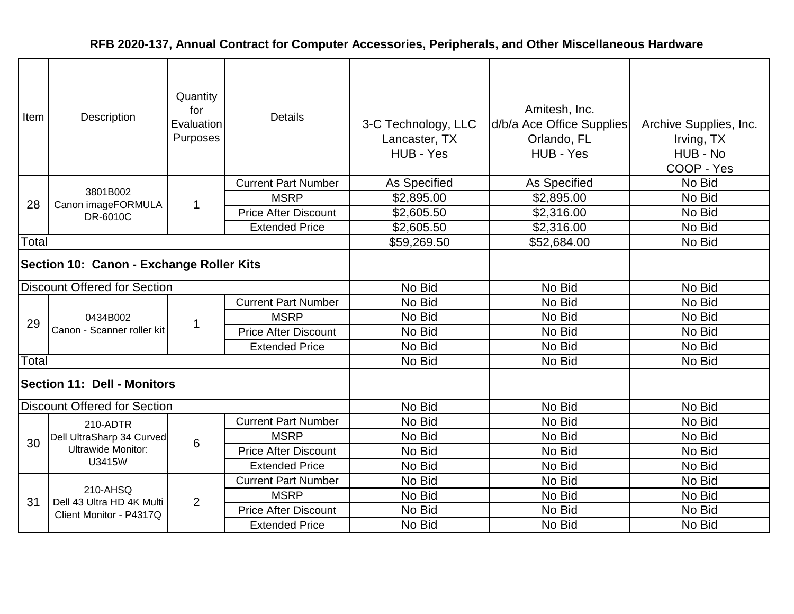| Item                                     | Description                            | Quantity<br>for<br>Evaluation<br>Purposes | <b>Details</b>              | 3-C Technology, LLC<br>Lancaster, TX<br>HUB - Yes | Amitesh, Inc.<br>d/b/a Ace Office Supplies<br>Orlando, FL<br>HUB - Yes | Archive Supplies, Inc.<br>Irving, TX<br>HUB - No<br>COOP - Yes |
|------------------------------------------|----------------------------------------|-------------------------------------------|-----------------------------|---------------------------------------------------|------------------------------------------------------------------------|----------------------------------------------------------------|
|                                          |                                        |                                           | <b>Current Part Number</b>  | As Specified                                      | As Specified                                                           | No Bid                                                         |
| 28                                       | 3801B002<br>Canon imageFORMULA         | $\mathbf 1$                               | <b>MSRP</b>                 | \$2,895.00                                        | \$2,895.00                                                             | No Bid                                                         |
|                                          | DR-6010C                               |                                           | <b>Price After Discount</b> | \$2,605.50                                        | \$2,316.00                                                             | No Bid                                                         |
|                                          |                                        |                                           | <b>Extended Price</b>       | \$2,605.50                                        | \$2,316.00                                                             | No Bid                                                         |
| Total                                    |                                        |                                           |                             | \$59,269.50                                       | \$52,684.00                                                            | No Bid                                                         |
| Section 10: Canon - Exchange Roller Kits |                                        |                                           |                             |                                                   |                                                                        |                                                                |
|                                          | <b>Discount Offered for Section</b>    |                                           |                             | No Bid                                            | No Bid                                                                 | No Bid                                                         |
|                                          | 0434B002<br>Canon - Scanner roller kit | $\mathbf 1$                               | <b>Current Part Number</b>  | No Bid                                            | No Bid                                                                 | No Bid                                                         |
| 29                                       |                                        |                                           | <b>MSRP</b>                 | No Bid                                            | No Bid                                                                 | No Bid                                                         |
|                                          |                                        |                                           | <b>Price After Discount</b> | No Bid                                            | No Bid                                                                 | No Bid                                                         |
|                                          |                                        |                                           | <b>Extended Price</b>       | No Bid                                            | No Bid                                                                 | No Bid                                                         |
| Total                                    |                                        |                                           |                             | No Bid                                            | No Bid                                                                 | No Bid                                                         |
|                                          | <b>Section 11: Dell - Monitors</b>     |                                           |                             |                                                   |                                                                        |                                                                |
|                                          | <b>Discount Offered for Section</b>    |                                           |                             | No Bid                                            | No Bid                                                                 | No Bid                                                         |
|                                          | 210-ADTR                               |                                           | <b>Current Part Number</b>  | No Bid                                            | No Bid                                                                 | No Bid                                                         |
| 30                                       | Dell UltraSharp 34 Curved              | 6                                         | <b>MSRP</b>                 | No Bid                                            | No Bid                                                                 | No Bid                                                         |
|                                          | <b>Ultrawide Monitor:</b>              |                                           | <b>Price After Discount</b> | No Bid                                            | No Bid                                                                 | No Bid                                                         |
|                                          | U3415W                                 |                                           | <b>Extended Price</b>       | No Bid                                            | No Bid                                                                 | No Bid                                                         |
|                                          |                                        |                                           | <b>Current Part Number</b>  | No Bid                                            | No Bid                                                                 | No Bid                                                         |
| 31                                       | 210-AHSQ<br>Dell 43 Ultra HD 4K Multi  | 2                                         | <b>MSRP</b>                 | No Bid                                            | No Bid                                                                 | No Bid                                                         |
|                                          | Client Monitor - P4317Q                |                                           | <b>Price After Discount</b> | No Bid                                            | No Bid                                                                 | No Bid                                                         |
|                                          |                                        |                                           | <b>Extended Price</b>       | No Bid                                            | No Bid                                                                 | No Bid                                                         |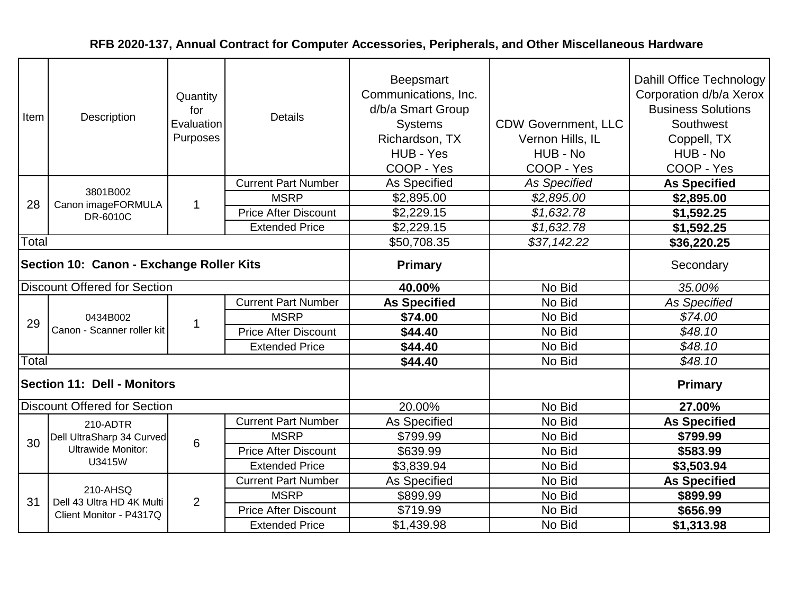| Item                                     | Description                            | Quantity<br>for<br>Evaluation<br>Purposes | <b>Details</b>              | <b>Beepsmart</b><br>Communications, Inc.<br>d/b/a Smart Group<br><b>Systems</b><br>Richardson, TX<br>HUB - Yes<br>COOP - Yes | <b>CDW Government, LLC</b><br>Vernon Hills, IL<br>HUB - No<br>COOP - Yes | Dahill Office Technology<br>Corporation d/b/a Xerox<br><b>Business Solutions</b><br>Southwest<br>Coppell, TX<br>HUB - No<br>COOP - Yes |
|------------------------------------------|----------------------------------------|-------------------------------------------|-----------------------------|------------------------------------------------------------------------------------------------------------------------------|--------------------------------------------------------------------------|----------------------------------------------------------------------------------------------------------------------------------------|
|                                          |                                        |                                           | <b>Current Part Number</b>  | As Specified                                                                                                                 | <b>As Specified</b>                                                      | <b>As Specified</b>                                                                                                                    |
| 28                                       | 3801B002<br>Canon imageFORMULA         | $\mathbf 1$                               | <b>MSRP</b>                 | \$2,895.00                                                                                                                   | \$2,895.00                                                               | \$2,895.00                                                                                                                             |
|                                          | DR-6010C                               |                                           | <b>Price After Discount</b> | \$2,229.15                                                                                                                   | \$1,632.78                                                               | \$1,592.25                                                                                                                             |
|                                          |                                        |                                           | <b>Extended Price</b>       | \$2,229.15                                                                                                                   | \$1,632.78                                                               | \$1,592.25                                                                                                                             |
| Total                                    |                                        |                                           |                             | \$50,708.35                                                                                                                  | \$37,142.22                                                              | \$36,220.25                                                                                                                            |
| Section 10: Canon - Exchange Roller Kits |                                        |                                           |                             | <b>Primary</b>                                                                                                               |                                                                          | Secondary                                                                                                                              |
|                                          | <b>Discount Offered for Section</b>    |                                           |                             | 40.00%                                                                                                                       | No Bid                                                                   | 35.00%                                                                                                                                 |
|                                          | 0434B002<br>Canon - Scanner roller kit | $\mathbf 1$                               | <b>Current Part Number</b>  | <b>As Specified</b>                                                                                                          | No Bid                                                                   | <b>As Specified</b>                                                                                                                    |
| 29                                       |                                        |                                           | <b>MSRP</b>                 | \$74.00                                                                                                                      | No Bid                                                                   | \$74.00                                                                                                                                |
|                                          |                                        |                                           | <b>Price After Discount</b> | \$44.40                                                                                                                      | No Bid                                                                   | \$48.10                                                                                                                                |
|                                          |                                        |                                           | <b>Extended Price</b>       | \$44.40                                                                                                                      | No Bid                                                                   | \$48.10                                                                                                                                |
| Total                                    |                                        |                                           |                             | \$44.40                                                                                                                      | No Bid                                                                   | \$48.10                                                                                                                                |
|                                          | <b>Section 11: Dell - Monitors</b>     |                                           |                             |                                                                                                                              |                                                                          | <b>Primary</b>                                                                                                                         |
|                                          | <b>Discount Offered for Section</b>    |                                           |                             | 20.00%                                                                                                                       | No Bid                                                                   | 27.00%                                                                                                                                 |
|                                          | 210-ADTR                               |                                           | <b>Current Part Number</b>  | As Specified                                                                                                                 | No Bid                                                                   | <b>As Specified</b>                                                                                                                    |
| 30                                       | Dell UltraSharp 34 Curved              | 6                                         | <b>MSRP</b>                 | \$799.99                                                                                                                     | No Bid                                                                   | \$799.99                                                                                                                               |
|                                          | <b>Ultrawide Monitor:</b>              |                                           | <b>Price After Discount</b> | \$639.99                                                                                                                     | No Bid                                                                   | \$583.99                                                                                                                               |
|                                          | U3415W                                 |                                           | <b>Extended Price</b>       | \$3,839.94                                                                                                                   | No Bid                                                                   | \$3,503.94                                                                                                                             |
|                                          |                                        |                                           | <b>Current Part Number</b>  | As Specified                                                                                                                 | No Bid                                                                   | <b>As Specified</b>                                                                                                                    |
| 31                                       | 210-AHSQ<br>Dell 43 Ultra HD 4K Multi  | $\overline{2}$                            | <b>MSRP</b>                 | \$899.99                                                                                                                     | No Bid                                                                   | \$899.99                                                                                                                               |
|                                          | Client Monitor - P4317Q                |                                           | <b>Price After Discount</b> | \$719.99                                                                                                                     | No Bid                                                                   | \$656.99                                                                                                                               |
|                                          |                                        |                                           | <b>Extended Price</b>       | \$1,439.98                                                                                                                   | No Bid                                                                   | \$1,313.98                                                                                                                             |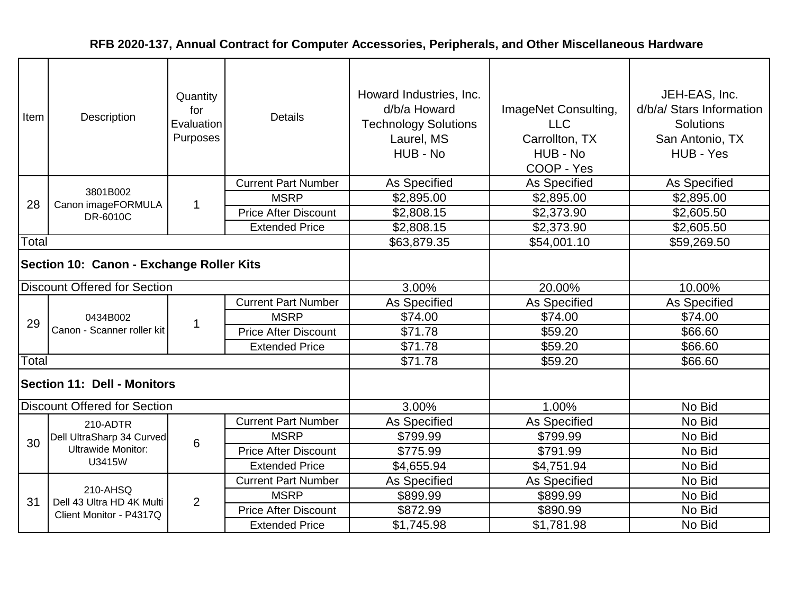| Item                                     | Description                            | Quantity<br>for<br>Evaluation<br>Purposes | <b>Details</b>              | Howard Industries, Inc.<br>d/b/a Howard<br><b>Technology Solutions</b><br>Laurel, MS<br>HUB - No | ImageNet Consulting,<br><b>LLC</b><br>Carrollton, TX<br>HUB - No<br>COOP - Yes | JEH-EAS, Inc.<br>d/b/a/ Stars Information<br><b>Solutions</b><br>San Antonio, TX<br>HUB - Yes |
|------------------------------------------|----------------------------------------|-------------------------------------------|-----------------------------|--------------------------------------------------------------------------------------------------|--------------------------------------------------------------------------------|-----------------------------------------------------------------------------------------------|
|                                          |                                        |                                           | <b>Current Part Number</b>  | As Specified                                                                                     | As Specified                                                                   | As Specified                                                                                  |
| 28                                       | 3801B002<br>Canon imageFORMULA         | $\overline{1}$                            | <b>MSRP</b>                 | \$2,895.00                                                                                       | \$2,895.00                                                                     | \$2,895.00                                                                                    |
|                                          | DR-6010C                               |                                           | <b>Price After Discount</b> | \$2,808.15                                                                                       | \$2,373.90                                                                     | \$2,605.50                                                                                    |
|                                          |                                        |                                           | <b>Extended Price</b>       | \$2,808.15                                                                                       | \$2,373.90                                                                     | \$2,605.50                                                                                    |
| Total                                    |                                        |                                           |                             | \$63,879.35                                                                                      | \$54,001.10                                                                    | \$59,269.50                                                                                   |
| Section 10: Canon - Exchange Roller Kits |                                        |                                           |                             |                                                                                                  |                                                                                |                                                                                               |
|                                          | <b>Discount Offered for Section</b>    |                                           |                             | 3.00%                                                                                            | 20.00%                                                                         | 10.00%                                                                                        |
|                                          | 0434B002<br>Canon - Scanner roller kit | $\mathbf 1$                               | <b>Current Part Number</b>  | As Specified                                                                                     | As Specified                                                                   | As Specified                                                                                  |
| 29                                       |                                        |                                           | <b>MSRP</b>                 | \$74.00                                                                                          | \$74.00                                                                        | \$74.00                                                                                       |
|                                          |                                        |                                           | <b>Price After Discount</b> | \$71.78                                                                                          | \$59.20                                                                        | \$66.60                                                                                       |
|                                          |                                        |                                           | <b>Extended Price</b>       | \$71.78                                                                                          | \$59.20                                                                        | \$66.60                                                                                       |
| Total                                    |                                        |                                           |                             | \$71.78                                                                                          | \$59.20                                                                        | \$66.60                                                                                       |
|                                          | <b>Section 11: Dell - Monitors</b>     |                                           |                             |                                                                                                  |                                                                                |                                                                                               |
|                                          | <b>Discount Offered for Section</b>    |                                           |                             | 3.00%                                                                                            | 1.00%                                                                          | No Bid                                                                                        |
|                                          | 210-ADTR                               |                                           | <b>Current Part Number</b>  | <b>As Specified</b>                                                                              | As Specified                                                                   | No Bid                                                                                        |
| 30                                       | Dell UltraSharp 34 Curved              | 6                                         | <b>MSRP</b>                 | \$799.99                                                                                         | \$799.99                                                                       | No Bid                                                                                        |
|                                          | <b>Ultrawide Monitor:</b>              |                                           | <b>Price After Discount</b> | \$775.99                                                                                         | \$791.99                                                                       | No Bid                                                                                        |
|                                          | U3415W                                 |                                           | <b>Extended Price</b>       | \$4,655.94                                                                                       | \$4,751.94                                                                     | No Bid                                                                                        |
|                                          |                                        |                                           | <b>Current Part Number</b>  | As Specified                                                                                     | As Specified                                                                   | No Bid                                                                                        |
| 31                                       | 210-AHSQ<br>Dell 43 Ultra HD 4K Multi  | 2                                         | <b>MSRP</b>                 | \$899.99                                                                                         | \$899.99                                                                       | No Bid                                                                                        |
|                                          | Client Monitor - P4317Q                |                                           | <b>Price After Discount</b> | \$872.99                                                                                         | \$890.99                                                                       | No Bid                                                                                        |
|                                          |                                        |                                           | <b>Extended Price</b>       | \$1,745.98                                                                                       | \$1,781.98                                                                     | No Bid                                                                                        |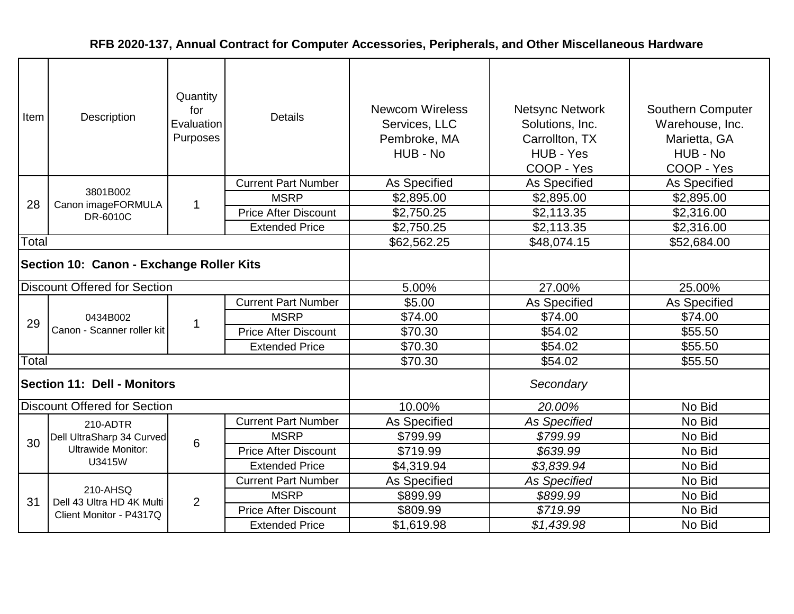| Item                                     | Description                            | Quantity<br>for<br>Evaluation<br>Purposes | <b>Details</b>              | <b>Newcom Wireless</b><br>Services, LLC<br>Pembroke, MA<br>HUB - No | <b>Netsync Network</b><br>Solutions, Inc.<br>Carrollton, TX<br>HUB - Yes<br>COOP - Yes | <b>Southern Computer</b><br>Warehouse, Inc.<br>Marietta, GA<br>HUB - No<br>COOP - Yes |
|------------------------------------------|----------------------------------------|-------------------------------------------|-----------------------------|---------------------------------------------------------------------|----------------------------------------------------------------------------------------|---------------------------------------------------------------------------------------|
|                                          |                                        |                                           | <b>Current Part Number</b>  | As Specified                                                        | As Specified                                                                           | <b>As Specified</b>                                                                   |
| 28                                       | 3801B002<br>Canon imageFORMULA         | $\mathbf{1}$                              | <b>MSRP</b>                 | \$2,895.00                                                          | \$2,895.00                                                                             | \$2,895.00                                                                            |
|                                          | DR-6010C                               |                                           | <b>Price After Discount</b> | \$2,750.25                                                          | \$2,113.35                                                                             | \$2,316.00                                                                            |
|                                          |                                        |                                           | <b>Extended Price</b>       | \$2,750.25                                                          | \$2,113.35                                                                             | \$2,316.00                                                                            |
| Total                                    |                                        |                                           |                             | \$62,562.25                                                         | \$48,074.15                                                                            | \$52,684.00                                                                           |
| Section 10: Canon - Exchange Roller Kits |                                        |                                           |                             |                                                                     |                                                                                        |                                                                                       |
|                                          | <b>Discount Offered for Section</b>    |                                           |                             | 5.00%                                                               | 27.00%                                                                                 | 25.00%                                                                                |
|                                          | 0434B002<br>Canon - Scanner roller kit |                                           | <b>Current Part Number</b>  | \$5.00                                                              | As Specified                                                                           | <b>As Specified</b>                                                                   |
| 29                                       |                                        | $\mathbf 1$                               | <b>MSRP</b>                 | \$74.00                                                             | \$74.00                                                                                | \$74.00                                                                               |
|                                          |                                        |                                           | <b>Price After Discount</b> | \$70.30                                                             | \$54.02                                                                                | \$55.50                                                                               |
|                                          |                                        |                                           | <b>Extended Price</b>       | \$70.30                                                             | \$54.02                                                                                | \$55.50                                                                               |
| Total                                    |                                        |                                           |                             | \$70.30                                                             | \$54.02                                                                                | \$55.50                                                                               |
|                                          | <b>Section 11: Dell - Monitors</b>     |                                           |                             |                                                                     | Secondary                                                                              |                                                                                       |
|                                          | <b>Discount Offered for Section</b>    |                                           |                             | 10.00%                                                              | 20.00%                                                                                 | No Bid                                                                                |
|                                          | 210-ADTR                               |                                           | <b>Current Part Number</b>  | As Specified                                                        | <b>As Specified</b>                                                                    | No Bid                                                                                |
| 30                                       | Dell UltraSharp 34 Curved              | 6                                         | <b>MSRP</b>                 | \$799.99                                                            | \$799.99                                                                               | No Bid                                                                                |
|                                          | <b>Ultrawide Monitor:</b>              |                                           | <b>Price After Discount</b> | \$719.99                                                            | \$639.99                                                                               | No Bid                                                                                |
|                                          | U3415W                                 |                                           | <b>Extended Price</b>       | \$4,319.94                                                          | \$3,839.94                                                                             | No Bid                                                                                |
|                                          |                                        |                                           | <b>Current Part Number</b>  | As Specified                                                        | <b>As Specified</b>                                                                    | No Bid                                                                                |
| 31                                       | 210-AHSQ<br>Dell 43 Ultra HD 4K Multi  | 2                                         | <b>MSRP</b>                 | \$899.99                                                            | \$899.99                                                                               | No Bid                                                                                |
|                                          | Client Monitor - P4317Q                |                                           | <b>Price After Discount</b> | \$809.99                                                            | \$719.99                                                                               | No Bid                                                                                |
|                                          |                                        |                                           | <b>Extended Price</b>       | \$1,619.98                                                          | \$1,439.98                                                                             | No Bid                                                                                |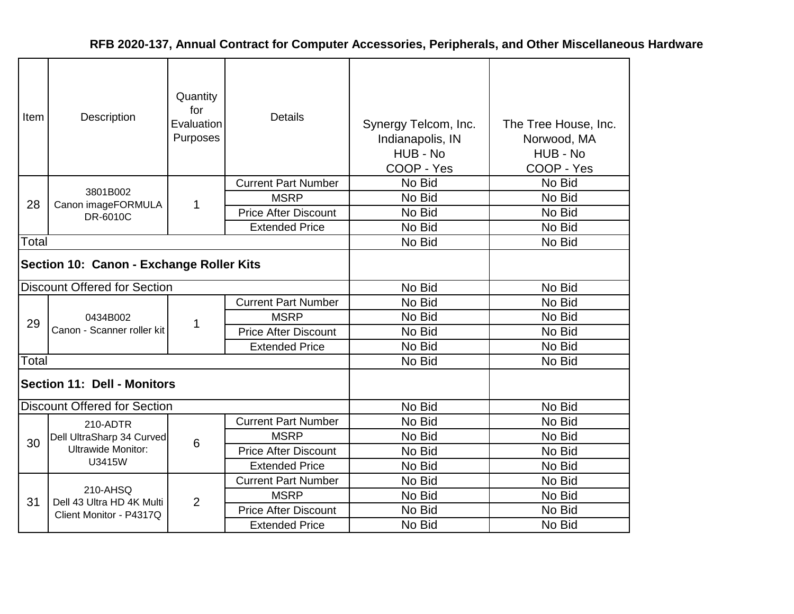| Item  | <b>Description</b>                       | Quantity<br>for<br>Evaluation<br>Purposes | <b>Details</b>              | Synergy Telcom, Inc.<br>Indianapolis, IN<br>HUB - No<br>COOP - Yes | The Tree House, Inc.<br>Norwood, MA<br>HUB - No<br>COOP - Yes |
|-------|------------------------------------------|-------------------------------------------|-----------------------------|--------------------------------------------------------------------|---------------------------------------------------------------|
|       |                                          |                                           | <b>Current Part Number</b>  | No Bid                                                             | No Bid                                                        |
| 28    | 3801B002<br>Canon imageFORMULA           | 1                                         | <b>MSRP</b>                 | No Bid                                                             | No Bid                                                        |
|       | DR-6010C                                 |                                           | <b>Price After Discount</b> | No Bid                                                             | No Bid                                                        |
|       |                                          |                                           | <b>Extended Price</b>       | No Bid                                                             | No Bid                                                        |
| Total |                                          |                                           |                             | No Bid                                                             | No Bid                                                        |
|       | Section 10: Canon - Exchange Roller Kits |                                           |                             |                                                                    |                                                               |
|       | <b>Discount Offered for Section</b>      |                                           |                             | No Bid                                                             | No Bid                                                        |
|       | 0434B002<br>Canon - Scanner roller kit   |                                           | <b>Current Part Number</b>  | No Bid                                                             | No Bid                                                        |
| 29    |                                          | 1                                         | <b>MSRP</b>                 | No Bid                                                             | No Bid                                                        |
|       |                                          |                                           | <b>Price After Discount</b> | No Bid                                                             | No Bid                                                        |
|       |                                          |                                           | <b>Extended Price</b>       | No Bid                                                             | No Bid                                                        |
| Total |                                          |                                           |                             | No Bid                                                             | No Bid                                                        |
|       | <b>Section 11: Dell - Monitors</b>       |                                           |                             |                                                                    |                                                               |
|       | <b>Discount Offered for Section</b>      |                                           |                             | No Bid                                                             | No Bid                                                        |
|       | 210-ADTR                                 |                                           | <b>Current Part Number</b>  | No Bid                                                             | No Bid                                                        |
| 30    | Dell UltraSharp 34 Curved                | 6                                         | <b>MSRP</b>                 | No Bid                                                             | No Bid                                                        |
|       | <b>Ultrawide Monitor:</b>                |                                           | <b>Price After Discount</b> | No Bid                                                             | No Bid                                                        |
|       | U3415W                                   |                                           | <b>Extended Price</b>       | No Bid                                                             | No Bid                                                        |
|       |                                          |                                           | <b>Current Part Number</b>  | No Bid                                                             | No Bid                                                        |
| 31    | 210-AHSQ<br>Dell 43 Ultra HD 4K Multi    | 2                                         | <b>MSRP</b>                 | No Bid                                                             | No Bid                                                        |
|       | Client Monitor - P4317Q                  |                                           | <b>Price After Discount</b> | No Bid                                                             | No Bid                                                        |
|       |                                          |                                           | <b>Extended Price</b>       | No Bid                                                             | No Bid                                                        |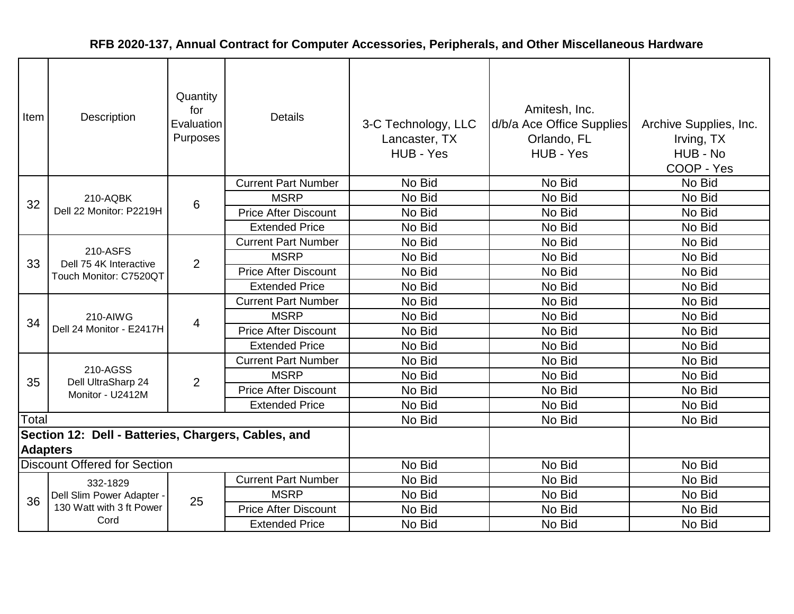| Item                                                                   | Description                          | Quantity<br>for<br>Evaluation<br>Purposes | <b>Details</b>              | 3-C Technology, LLC<br>Lancaster, TX<br>HUB - Yes | Amitesh, Inc.<br>d/b/a Ace Office Supplies<br>Orlando, FL<br>HUB - Yes | Archive Supplies, Inc.<br>Irving, TX<br>HUB - No<br>COOP - Yes |
|------------------------------------------------------------------------|--------------------------------------|-------------------------------------------|-----------------------------|---------------------------------------------------|------------------------------------------------------------------------|----------------------------------------------------------------|
|                                                                        |                                      |                                           | <b>Current Part Number</b>  | No Bid                                            | No Bid                                                                 | No Bid                                                         |
| 32                                                                     | 210-AQBK                             | 6                                         | <b>MSRP</b>                 | No Bid                                            | No Bid                                                                 | No Bid                                                         |
|                                                                        | Dell 22 Monitor: P2219H              |                                           | <b>Price After Discount</b> | No Bid                                            | No Bid                                                                 | No Bid                                                         |
|                                                                        |                                      |                                           | <b>Extended Price</b>       | No Bid                                            | No Bid                                                                 | No Bid                                                         |
|                                                                        |                                      |                                           | <b>Current Part Number</b>  | No Bid                                            | No Bid                                                                 | No Bid                                                         |
| 33                                                                     | 210-ASFS<br>Dell 75 4K Interactive   | 2                                         | <b>MSRP</b>                 | No Bid                                            | No Bid                                                                 | No Bid                                                         |
|                                                                        | Touch Monitor: C7520QT               |                                           | <b>Price After Discount</b> | No Bid                                            | No Bid                                                                 | No Bid                                                         |
|                                                                        |                                      |                                           | <b>Extended Price</b>       | No Bid                                            | No Bid                                                                 | No Bid                                                         |
|                                                                        | 210-AIWG<br>Dell 24 Monitor - E2417H |                                           | <b>Current Part Number</b>  | No Bid                                            | No Bid                                                                 | No Bid                                                         |
| 34                                                                     |                                      | 4                                         | <b>MSRP</b>                 | No Bid                                            | No Bid                                                                 | No Bid                                                         |
|                                                                        |                                      |                                           | <b>Price After Discount</b> | No Bid                                            | No Bid                                                                 | No Bid                                                         |
|                                                                        |                                      |                                           | <b>Extended Price</b>       | No Bid                                            | No Bid                                                                 | No Bid                                                         |
|                                                                        |                                      |                                           | <b>Current Part Number</b>  | No Bid                                            | No Bid                                                                 | No Bid                                                         |
| 35                                                                     | 210-AGSS<br>Dell UltraSharp 24       | $\overline{2}$                            | <b>MSRP</b>                 | No Bid                                            | No Bid                                                                 | No Bid                                                         |
|                                                                        | Monitor - U2412M                     |                                           | <b>Price After Discount</b> | No Bid                                            | No Bid                                                                 | No Bid                                                         |
|                                                                        |                                      |                                           | <b>Extended Price</b>       | No Bid                                            | No Bid                                                                 | No Bid                                                         |
| Total                                                                  |                                      |                                           |                             | No Bid                                            | No Bid                                                                 | No Bid                                                         |
| Section 12: Dell - Batteries, Chargers, Cables, and<br><b>Adapters</b> |                                      |                                           |                             |                                                   |                                                                        |                                                                |
| <b>Discount Offered for Section</b>                                    |                                      |                                           |                             | No Bid                                            | No Bid                                                                 | No Bid                                                         |
|                                                                        | 332-1829                             |                                           | <b>Current Part Number</b>  | No Bid                                            | No Bid                                                                 | No Bid                                                         |
|                                                                        | Dell Slim Power Adapter -            |                                           | <b>MSRP</b>                 | No Bid                                            | No Bid                                                                 | No Bid                                                         |
| 36                                                                     | 130 Watt with 3 ft Power             | 25                                        | <b>Price After Discount</b> | No Bid                                            | No Bid                                                                 | No Bid                                                         |
|                                                                        | Cord                                 |                                           | <b>Extended Price</b>       | No Bid                                            | No Bid                                                                 | No Bid                                                         |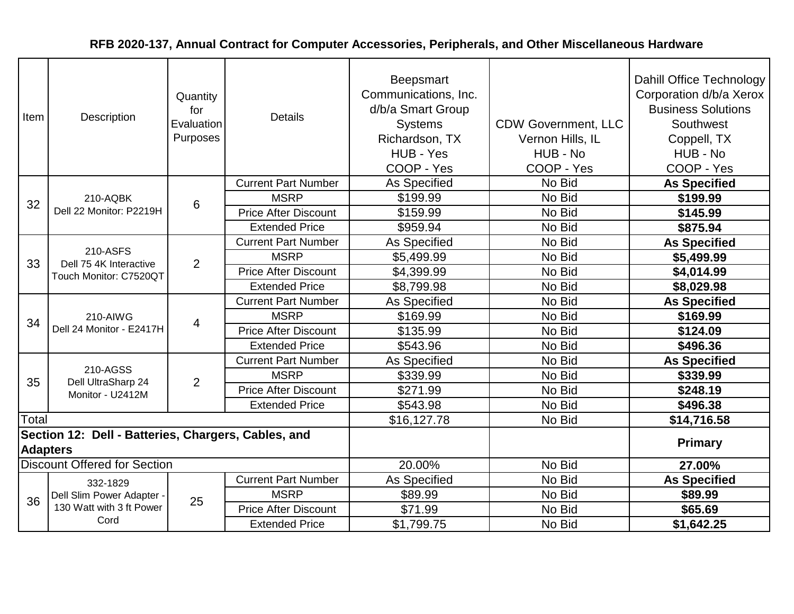| Item            | Description                                         | Quantity<br>for<br>Evaluation<br>Purposes | <b>Details</b>              | <b>Beepsmart</b><br>Communications, Inc.<br>d/b/a Smart Group<br><b>Systems</b><br>Richardson, TX<br>HUB - Yes<br>COOP - Yes | <b>CDW Government, LLC</b><br>Vernon Hills, IL<br>HUB - No<br>COOP - Yes | Dahill Office Technology<br>Corporation d/b/a Xerox<br><b>Business Solutions</b><br>Southwest<br>Coppell, TX<br>HUB - No<br>COOP - Yes |
|-----------------|-----------------------------------------------------|-------------------------------------------|-----------------------------|------------------------------------------------------------------------------------------------------------------------------|--------------------------------------------------------------------------|----------------------------------------------------------------------------------------------------------------------------------------|
|                 |                                                     |                                           | <b>Current Part Number</b>  | <b>As Specified</b>                                                                                                          | No Bid                                                                   | <b>As Specified</b>                                                                                                                    |
| 32              | 210-AQBK                                            | 6                                         | <b>MSRP</b>                 | \$199.99                                                                                                                     | No Bid                                                                   | \$199.99                                                                                                                               |
|                 | Dell 22 Monitor: P2219H                             |                                           | <b>Price After Discount</b> | \$159.99                                                                                                                     | No Bid                                                                   | \$145.99                                                                                                                               |
|                 |                                                     |                                           | <b>Extended Price</b>       | \$959.94                                                                                                                     | No Bid                                                                   | \$875.94                                                                                                                               |
|                 |                                                     |                                           | <b>Current Part Number</b>  | As Specified                                                                                                                 | No Bid                                                                   | <b>As Specified</b>                                                                                                                    |
| 33              | 210-ASFS<br>Dell 75 4K Interactive                  | $\overline{2}$                            | <b>MSRP</b>                 | \$5,499.99                                                                                                                   | No Bid                                                                   | \$5,499.99                                                                                                                             |
|                 | Touch Monitor: C7520QT                              |                                           | <b>Price After Discount</b> | \$4,399.99                                                                                                                   | No Bid                                                                   | \$4,014.99                                                                                                                             |
|                 |                                                     |                                           | <b>Extended Price</b>       | \$8,799.98                                                                                                                   | No Bid                                                                   | \$8,029.98                                                                                                                             |
|                 | 210-AIWG<br>Dell 24 Monitor - E2417H                | 4                                         | <b>Current Part Number</b>  | <b>As Specified</b>                                                                                                          | No Bid                                                                   | <b>As Specified</b>                                                                                                                    |
| 34              |                                                     |                                           | <b>MSRP</b>                 | \$169.99                                                                                                                     | No Bid                                                                   | \$169.99                                                                                                                               |
|                 |                                                     |                                           | <b>Price After Discount</b> | \$135.99                                                                                                                     | No Bid                                                                   | \$124.09                                                                                                                               |
|                 |                                                     |                                           | <b>Extended Price</b>       | \$543.96                                                                                                                     | No Bid                                                                   | \$496.36                                                                                                                               |
|                 |                                                     |                                           | <b>Current Part Number</b>  | <b>As Specified</b>                                                                                                          | No Bid                                                                   | <b>As Specified</b>                                                                                                                    |
| 35              | 210-AGSS<br>Dell UltraSharp 24                      | $\overline{2}$                            | <b>MSRP</b>                 | \$339.99                                                                                                                     | No Bid                                                                   | \$339.99                                                                                                                               |
|                 | Monitor - U2412M                                    |                                           | <b>Price After Discount</b> | \$271.99                                                                                                                     | No Bid                                                                   | \$248.19                                                                                                                               |
|                 |                                                     |                                           | <b>Extended Price</b>       | \$543.98                                                                                                                     | No Bid                                                                   | \$496.38                                                                                                                               |
| Total           |                                                     |                                           |                             | \$16,127.78                                                                                                                  | No Bid                                                                   | \$14,716.58                                                                                                                            |
| <b>Adapters</b> | Section 12: Dell - Batteries, Chargers, Cables, and |                                           |                             |                                                                                                                              |                                                                          | <b>Primary</b>                                                                                                                         |
|                 | <b>Discount Offered for Section</b>                 |                                           |                             | 20.00%                                                                                                                       | No Bid                                                                   | 27.00%                                                                                                                                 |
|                 | 332-1829                                            |                                           | <b>Current Part Number</b>  | As Specified                                                                                                                 | No Bid                                                                   | <b>As Specified</b>                                                                                                                    |
| 36              | Dell Slim Power Adapter -                           | 25                                        | <b>MSRP</b>                 | \$89.99                                                                                                                      | No Bid                                                                   | \$89.99                                                                                                                                |
|                 | 130 Watt with 3 ft Power                            |                                           | <b>Price After Discount</b> | \$71.99                                                                                                                      | No Bid                                                                   | \$65.69                                                                                                                                |
|                 | Cord                                                |                                           | <b>Extended Price</b>       | \$1,799.75                                                                                                                   | No Bid                                                                   | \$1,642.25                                                                                                                             |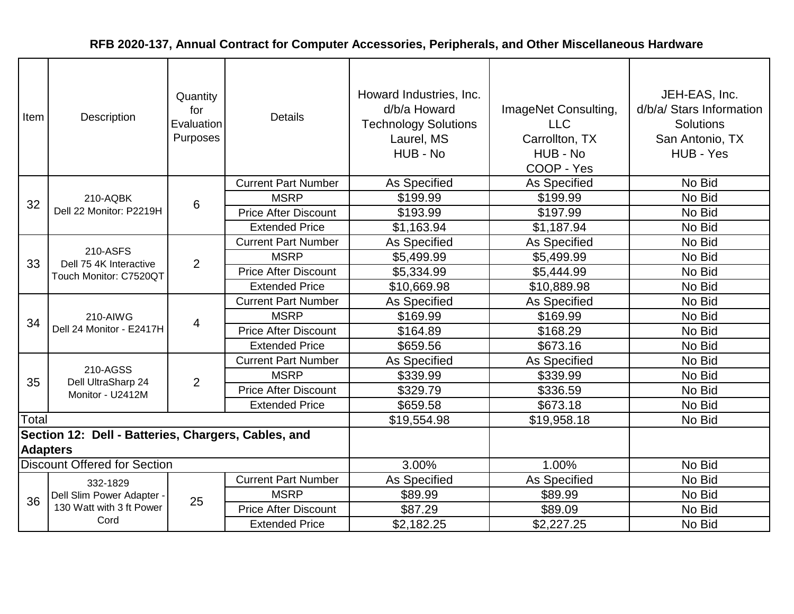| Item            | Description                                         | Quantity<br>for<br>Evaluation<br>Purposes | <b>Details</b>              | Howard Industries, Inc.<br>d/b/a Howard<br><b>Technology Solutions</b><br>Laurel, MS<br>HUB - No | ImageNet Consulting,<br><b>LLC</b><br>Carrollton, TX<br>HUB - No<br>COOP - Yes | JEH-EAS, Inc.<br>d/b/a/ Stars Information<br><b>Solutions</b><br>San Antonio, TX<br>HUB - Yes |
|-----------------|-----------------------------------------------------|-------------------------------------------|-----------------------------|--------------------------------------------------------------------------------------------------|--------------------------------------------------------------------------------|-----------------------------------------------------------------------------------------------|
|                 |                                                     |                                           | <b>Current Part Number</b>  | As Specified                                                                                     | As Specified                                                                   | No Bid                                                                                        |
| 32              | 210-AQBK                                            | 6                                         | <b>MSRP</b>                 | \$199.99                                                                                         | \$199.99                                                                       | No Bid                                                                                        |
|                 | Dell 22 Monitor: P2219H                             |                                           | <b>Price After Discount</b> | \$193.99                                                                                         | \$197.99                                                                       | No Bid                                                                                        |
|                 |                                                     |                                           | <b>Extended Price</b>       | \$1,163.94                                                                                       | \$1,187.94                                                                     | No Bid                                                                                        |
|                 |                                                     |                                           | <b>Current Part Number</b>  | As Specified                                                                                     | As Specified                                                                   | No Bid                                                                                        |
| 33              | 210-ASFS<br>Dell 75 4K Interactive                  | 2                                         | <b>MSRP</b>                 | \$5,499.99                                                                                       | \$5,499.99                                                                     | No Bid                                                                                        |
|                 | Touch Monitor: C7520QT                              |                                           | <b>Price After Discount</b> | \$5,334.99                                                                                       | \$5,444.99                                                                     | No Bid                                                                                        |
|                 |                                                     |                                           | <b>Extended Price</b>       | \$10,669.98                                                                                      | \$10,889.98                                                                    | No Bid                                                                                        |
|                 | 210-AIWG<br>Dell 24 Monitor - E2417H                |                                           | <b>Current Part Number</b>  | As Specified                                                                                     | As Specified                                                                   | No Bid                                                                                        |
| 34              |                                                     | $\overline{4}$                            | <b>MSRP</b>                 | \$169.99                                                                                         | \$169.99                                                                       | No Bid                                                                                        |
|                 |                                                     |                                           | <b>Price After Discount</b> | \$164.89                                                                                         | \$168.29                                                                       | No Bid                                                                                        |
|                 |                                                     |                                           | <b>Extended Price</b>       | \$659.56                                                                                         | \$673.16                                                                       | No Bid                                                                                        |
|                 |                                                     |                                           | <b>Current Part Number</b>  | As Specified                                                                                     | As Specified                                                                   | No Bid                                                                                        |
| 35              | 210-AGSS<br>Dell UltraSharp 24                      | $\overline{2}$                            | <b>MSRP</b>                 | \$339.99                                                                                         | \$339.99                                                                       | No Bid                                                                                        |
|                 | Monitor - U2412M                                    |                                           | <b>Price After Discount</b> | \$329.79                                                                                         | \$336.59                                                                       | No Bid                                                                                        |
|                 |                                                     |                                           | <b>Extended Price</b>       | \$659.58                                                                                         | \$673.18                                                                       | No Bid                                                                                        |
| Total           |                                                     |                                           |                             | \$19,554.98                                                                                      | \$19,958.18                                                                    | No Bid                                                                                        |
|                 | Section 12: Dell - Batteries, Chargers, Cables, and |                                           |                             |                                                                                                  |                                                                                |                                                                                               |
| <b>Adapters</b> |                                                     |                                           |                             |                                                                                                  |                                                                                |                                                                                               |
|                 | <b>Discount Offered for Section</b>                 |                                           |                             | 3.00%                                                                                            | 1.00%                                                                          | No Bid                                                                                        |
|                 | 332-1829                                            |                                           | <b>Current Part Number</b>  | As Specified                                                                                     | As Specified                                                                   | No Bid                                                                                        |
| 36              | Dell Slim Power Adapter -                           | 25                                        | <b>MSRP</b>                 | \$89.99                                                                                          | \$89.99                                                                        | No Bid                                                                                        |
|                 | 130 Watt with 3 ft Power                            |                                           | <b>Price After Discount</b> | \$87.29                                                                                          | \$89.09                                                                        | No Bid                                                                                        |
|                 | Cord                                                |                                           | <b>Extended Price</b>       | \$2,182.25                                                                                       | \$2,227.25                                                                     | No Bid                                                                                        |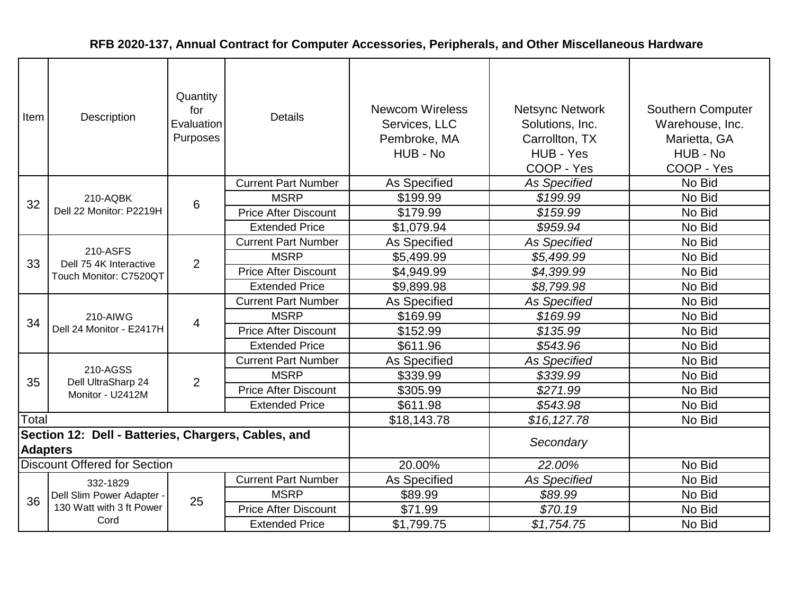| Item            | Description                                         | Quantity<br>for<br>Evaluation<br>Purposes | <b>Details</b>              | <b>Newcom Wireless</b><br>Services, LLC<br>Pembroke, MA<br>HUB - No | <b>Netsync Network</b><br>Solutions, Inc.<br>Carrollton, TX<br>HUB - Yes<br>COOP - Yes | Southern Computer<br>Warehouse, Inc.<br>Marietta, GA<br>HUB - No<br>COOP - Yes |
|-----------------|-----------------------------------------------------|-------------------------------------------|-----------------------------|---------------------------------------------------------------------|----------------------------------------------------------------------------------------|--------------------------------------------------------------------------------|
|                 |                                                     |                                           | <b>Current Part Number</b>  | As Specified                                                        | <b>As Specified</b>                                                                    | No Bid                                                                         |
| 32              | 210-AQBK                                            | 6                                         | <b>MSRP</b>                 | \$199.99                                                            | \$199.99                                                                               | No Bid                                                                         |
|                 | Dell 22 Monitor: P2219H                             |                                           | <b>Price After Discount</b> | \$179.99                                                            | \$159.99                                                                               | No Bid                                                                         |
|                 |                                                     |                                           | <b>Extended Price</b>       | \$1,079.94                                                          | \$959.94                                                                               | No Bid                                                                         |
|                 |                                                     |                                           | <b>Current Part Number</b>  | As Specified                                                        | <b>As Specified</b>                                                                    | No Bid                                                                         |
| 33              | 210-ASFS<br>Dell 75 4K Interactive                  | 2                                         | <b>MSRP</b>                 | \$5,499.99                                                          | \$5,499.99                                                                             | No Bid                                                                         |
|                 | Touch Monitor: C7520QT                              |                                           | <b>Price After Discount</b> | \$4,949.99                                                          | \$4,399.99                                                                             | No Bid                                                                         |
|                 |                                                     |                                           | <b>Extended Price</b>       | \$9,899.98                                                          | \$8,799.98                                                                             | No Bid                                                                         |
|                 | 210-AIWG<br>Dell 24 Monitor - E2417H                |                                           | <b>Current Part Number</b>  | As Specified                                                        | <b>As Specified</b>                                                                    | No Bid                                                                         |
| 34              |                                                     | 4                                         | <b>MSRP</b>                 | \$169.99                                                            | \$169.99                                                                               | No Bid                                                                         |
|                 |                                                     |                                           | <b>Price After Discount</b> | \$152.99                                                            | \$135.99                                                                               | No Bid                                                                         |
|                 |                                                     |                                           | <b>Extended Price</b>       | \$611.96                                                            | \$543.96                                                                               | No Bid                                                                         |
|                 |                                                     |                                           | <b>Current Part Number</b>  | As Specified                                                        | <b>As Specified</b>                                                                    | No Bid                                                                         |
| 35              | 210-AGSS<br>Dell UltraSharp 24                      |                                           | <b>MSRP</b>                 | \$339.99                                                            | \$339.99                                                                               | No Bid                                                                         |
|                 | Monitor - U2412M                                    | $\overline{2}$                            | <b>Price After Discount</b> | \$305.99                                                            | \$271.99                                                                               | No Bid                                                                         |
|                 |                                                     |                                           | <b>Extended Price</b>       | \$611.98                                                            | \$543.98                                                                               | No Bid                                                                         |
| Total           |                                                     |                                           |                             | \$18,143.78                                                         | \$16, 127.78                                                                           | No Bid                                                                         |
| <b>Adapters</b> | Section 12: Dell - Batteries, Chargers, Cables, and |                                           |                             |                                                                     | Secondary                                                                              |                                                                                |
|                 | <b>Discount Offered for Section</b>                 |                                           |                             | 20.00%                                                              | 22.00%                                                                                 | No Bid                                                                         |
|                 | 332-1829                                            |                                           | <b>Current Part Number</b>  | As Specified                                                        | <b>As Specified</b>                                                                    | No Bid                                                                         |
|                 | Dell Slim Power Adapter -                           |                                           | <b>MSRP</b>                 | \$89.99                                                             | \$89.99                                                                                | No Bid                                                                         |
| 36              | 130 Watt with 3 ft Power                            | 25                                        | <b>Price After Discount</b> | \$71.99                                                             | \$70.19                                                                                | No Bid                                                                         |
|                 | Cord                                                |                                           | <b>Extended Price</b>       | \$1,799.75                                                          | \$1,754.75                                                                             | No Bid                                                                         |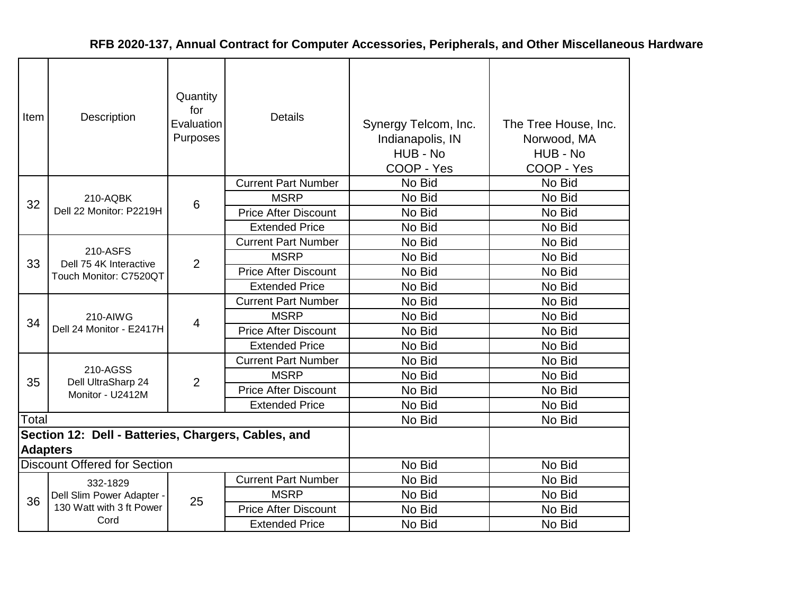| Item            | Description                                         | Quantity<br>for<br>Evaluation<br>Purposes | <b>Details</b>              | Synergy Telcom, Inc.<br>Indianapolis, IN<br>HUB - No<br>COOP - Yes | The Tree House, Inc.<br>Norwood, MA<br>HUB - No<br>COOP - Yes |
|-----------------|-----------------------------------------------------|-------------------------------------------|-----------------------------|--------------------------------------------------------------------|---------------------------------------------------------------|
|                 |                                                     |                                           | <b>Current Part Number</b>  | No Bid                                                             | No Bid                                                        |
| 32              | 210-AQBK                                            | 6                                         | <b>MSRP</b>                 | No Bid                                                             | No Bid                                                        |
|                 | Dell 22 Monitor: P2219H                             |                                           | <b>Price After Discount</b> | No Bid                                                             | No Bid                                                        |
|                 |                                                     |                                           | <b>Extended Price</b>       | No Bid                                                             | No Bid                                                        |
|                 |                                                     |                                           | <b>Current Part Number</b>  | No Bid                                                             | No Bid                                                        |
| 33              | 210-ASFS<br>Dell 75 4K Interactive                  | $\overline{2}$                            | <b>MSRP</b>                 | No Bid                                                             | No Bid                                                        |
|                 | Touch Monitor: C7520QT                              |                                           | <b>Price After Discount</b> | No Bid                                                             | No Bid                                                        |
|                 |                                                     |                                           | <b>Extended Price</b>       | No Bid                                                             | No Bid                                                        |
|                 | 210-AIWG<br>Dell 24 Monitor - E2417H                | 4                                         | <b>Current Part Number</b>  | No Bid                                                             | No Bid                                                        |
| 34              |                                                     |                                           | <b>MSRP</b>                 | No Bid                                                             | No Bid                                                        |
|                 |                                                     |                                           | <b>Price After Discount</b> | No Bid                                                             | No Bid                                                        |
|                 |                                                     |                                           | <b>Extended Price</b>       | No Bid                                                             | No Bid                                                        |
|                 |                                                     |                                           | <b>Current Part Number</b>  | No Bid                                                             | No Bid                                                        |
| 35              | 210-AGSS                                            | $\overline{2}$                            | <b>MSRP</b>                 | No Bid                                                             | No Bid                                                        |
|                 | Dell UltraSharp 24<br>Monitor - U2412M              |                                           | <b>Price After Discount</b> | No Bid                                                             | No Bid                                                        |
|                 |                                                     |                                           | <b>Extended Price</b>       | No Bid                                                             | No Bid                                                        |
| Total           |                                                     |                                           |                             | No Bid                                                             | No Bid                                                        |
| <b>Adapters</b> | Section 12: Dell - Batteries, Chargers, Cables, and |                                           |                             |                                                                    |                                                               |
|                 | <b>Discount Offered for Section</b>                 |                                           |                             | No Bid                                                             | No Bid                                                        |
|                 | 332-1829                                            |                                           | <b>Current Part Number</b>  | No Bid                                                             | No Bid                                                        |
| 36              | Dell Slim Power Adapter -                           | 25                                        | <b>MSRP</b>                 | No Bid                                                             | No Bid                                                        |
|                 | 130 Watt with 3 ft Power                            |                                           | <b>Price After Discount</b> | No Bid                                                             | No Bid                                                        |
|                 | Cord                                                |                                           | <b>Extended Price</b>       | No Bid                                                             | No Bid                                                        |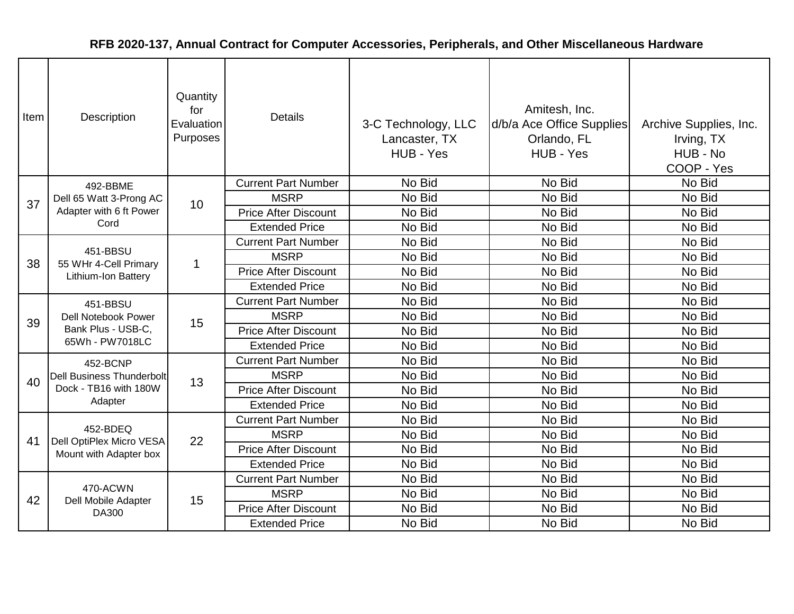| Item | Description                                                                     | Quantity<br>for<br>Evaluation<br>Purposes | <b>Details</b>              | 3-C Technology, LLC<br>Lancaster, TX<br>HUB - Yes | Amitesh, Inc.<br>d/b/a Ace Office Supplies<br>Orlando, FL<br>HUB - Yes | Archive Supplies, Inc.<br>Irving, TX<br>HUB - No<br>COOP - Yes |
|------|---------------------------------------------------------------------------------|-------------------------------------------|-----------------------------|---------------------------------------------------|------------------------------------------------------------------------|----------------------------------------------------------------|
|      | 492-BBME                                                                        |                                           | <b>Current Part Number</b>  | No Bid                                            | No Bid                                                                 | No Bid                                                         |
| 37   | Dell 65 Watt 3-Prong AC                                                         | 10                                        | <b>MSRP</b>                 | No Bid                                            | No Bid                                                                 | No Bid                                                         |
|      | Adapter with 6 ft Power                                                         |                                           | <b>Price After Discount</b> | No Bid                                            | No Bid                                                                 | No Bid                                                         |
|      | Cord                                                                            |                                           | <b>Extended Price</b>       | No Bid                                            | No Bid                                                                 | No Bid                                                         |
|      |                                                                                 |                                           | <b>Current Part Number</b>  | No Bid                                            | No Bid                                                                 | No Bid                                                         |
| 38   | 451-BBSU<br>55 WHr 4-Cell Primary<br>Lithium-Ion Battery                        | $\mathbf{1}$                              | <b>MSRP</b>                 | No Bid                                            | No Bid                                                                 | No Bid                                                         |
|      |                                                                                 |                                           | <b>Price After Discount</b> | No Bid                                            | No Bid                                                                 | No Bid                                                         |
|      |                                                                                 |                                           | <b>Extended Price</b>       | No Bid                                            | No Bid                                                                 | No Bid                                                         |
|      | 451-BBSU<br><b>Dell Notebook Power</b><br>Bank Plus - USB-C,<br>65Wh - PW7018LC | 15                                        | <b>Current Part Number</b>  | No Bid                                            | No Bid                                                                 | No Bid                                                         |
| 39   |                                                                                 |                                           | <b>MSRP</b>                 | No Bid                                            | No Bid                                                                 | No Bid                                                         |
|      |                                                                                 |                                           | <b>Price After Discount</b> | No Bid                                            | No Bid                                                                 | No Bid                                                         |
|      |                                                                                 |                                           | <b>Extended Price</b>       | No Bid                                            | No Bid                                                                 | No Bid                                                         |
|      | 452-BCNP                                                                        |                                           | <b>Current Part Number</b>  | No Bid                                            | No Bid                                                                 | No Bid                                                         |
| 40   | <b>Dell Business Thunderbolt</b>                                                | 13                                        | <b>MSRP</b>                 | No Bid                                            | No Bid                                                                 | No Bid                                                         |
|      | Dock - TB16 with 180W                                                           |                                           | <b>Price After Discount</b> | No Bid                                            | No Bid                                                                 | No Bid                                                         |
|      | Adapter                                                                         |                                           | <b>Extended Price</b>       | No Bid                                            | No Bid                                                                 | No Bid                                                         |
|      |                                                                                 |                                           | <b>Current Part Number</b>  | No Bid                                            | No Bid                                                                 | No Bid                                                         |
| 41   | 452-BDEQ<br>Dell OptiPlex Micro VESA                                            | 22                                        | <b>MSRP</b>                 | No Bid                                            | No Bid                                                                 | No Bid                                                         |
|      | Mount with Adapter box                                                          |                                           | <b>Price After Discount</b> | No Bid                                            | No Bid                                                                 | No Bid                                                         |
|      |                                                                                 |                                           | <b>Extended Price</b>       | No Bid                                            | No Bid                                                                 | No Bid                                                         |
|      |                                                                                 |                                           | <b>Current Part Number</b>  | No Bid                                            | No Bid                                                                 | No Bid                                                         |
| 42   | 470-ACWN<br>Dell Mobile Adapter                                                 | 15                                        | <b>MSRP</b>                 | No Bid                                            | No Bid                                                                 | No Bid                                                         |
|      | DA300                                                                           |                                           | <b>Price After Discount</b> | No Bid                                            | No Bid                                                                 | No Bid                                                         |
|      |                                                                                 |                                           | <b>Extended Price</b>       | No Bid                                            | No Bid                                                                 | No Bid                                                         |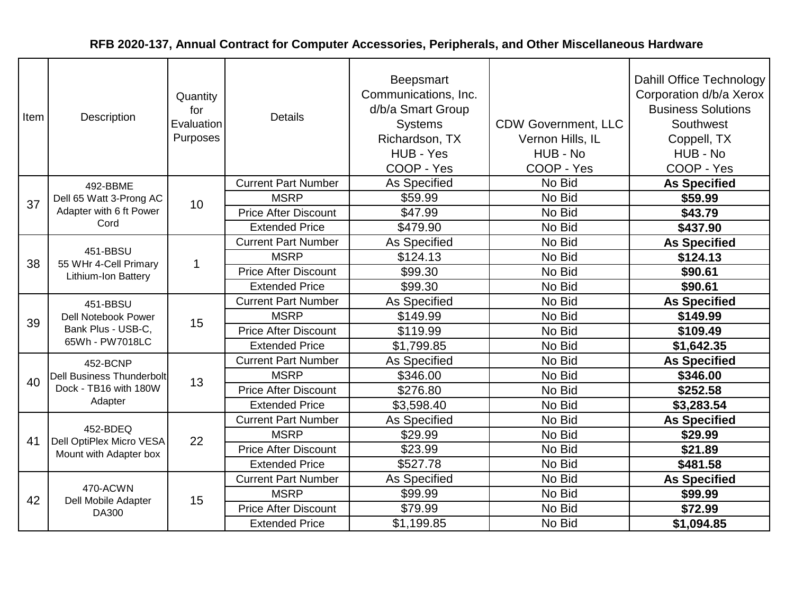| Item | Description                                                                     | Quantity<br>for<br>Evaluation<br>Purposes | <b>Details</b>              | Beepsmart<br>Communications, Inc.<br>d/b/a Smart Group<br><b>Systems</b><br>Richardson, TX<br>HUB - Yes<br>COOP - Yes | <b>CDW Government, LLC</b><br>Vernon Hills, IL<br>HUB - No<br>COOP - Yes | Dahill Office Technology<br>Corporation d/b/a Xerox<br><b>Business Solutions</b><br>Southwest<br>Coppell, TX<br>HUB - No<br>COOP - Yes |
|------|---------------------------------------------------------------------------------|-------------------------------------------|-----------------------------|-----------------------------------------------------------------------------------------------------------------------|--------------------------------------------------------------------------|----------------------------------------------------------------------------------------------------------------------------------------|
|      | 492-BBME                                                                        |                                           | <b>Current Part Number</b>  | <b>As Specified</b>                                                                                                   | No Bid                                                                   | <b>As Specified</b>                                                                                                                    |
| 37   | Dell 65 Watt 3-Prong AC                                                         | 10                                        | <b>MSRP</b>                 | \$59.99                                                                                                               | No Bid                                                                   | \$59.99                                                                                                                                |
|      | Adapter with 6 ft Power                                                         |                                           | <b>Price After Discount</b> | \$47.99                                                                                                               | No Bid                                                                   | \$43.79                                                                                                                                |
|      | Cord                                                                            |                                           | <b>Extended Price</b>       | \$479.90                                                                                                              | No Bid                                                                   | \$437.90                                                                                                                               |
|      | 451-BBSU                                                                        |                                           | <b>Current Part Number</b>  | As Specified                                                                                                          | No Bid                                                                   | <b>As Specified</b>                                                                                                                    |
| 38   | 55 WHr 4-Cell Primary                                                           | 1                                         | <b>MSRP</b>                 | \$124.13                                                                                                              | No Bid                                                                   | \$124.13                                                                                                                               |
|      | Lithium-Ion Battery                                                             |                                           | <b>Price After Discount</b> | \$99.30                                                                                                               | No Bid                                                                   | \$90.61                                                                                                                                |
|      |                                                                                 |                                           | <b>Extended Price</b>       | \$99.30                                                                                                               | No Bid                                                                   | \$90.61                                                                                                                                |
|      | 451-BBSU<br><b>Dell Notebook Power</b><br>Bank Plus - USB-C,<br>65Wh - PW7018LC | 15                                        | <b>Current Part Number</b>  | As Specified                                                                                                          | No Bid                                                                   | <b>As Specified</b>                                                                                                                    |
| 39   |                                                                                 |                                           | <b>MSRP</b>                 | \$149.99                                                                                                              | No Bid                                                                   | \$149.99                                                                                                                               |
|      |                                                                                 |                                           | <b>Price After Discount</b> | \$119.99                                                                                                              | No Bid                                                                   | \$109.49                                                                                                                               |
|      |                                                                                 |                                           | <b>Extended Price</b>       | \$1,799.85                                                                                                            | No Bid                                                                   | \$1,642.35                                                                                                                             |
|      | 452-BCNP                                                                        |                                           | <b>Current Part Number</b>  | As Specified                                                                                                          | No Bid                                                                   | <b>As Specified</b>                                                                                                                    |
| 40   | <b>Dell Business Thunderbolt</b>                                                | 13                                        | <b>MSRP</b>                 | \$346.00                                                                                                              | No Bid                                                                   | \$346.00                                                                                                                               |
|      | Dock - TB16 with 180W                                                           |                                           | <b>Price After Discount</b> | \$276.80                                                                                                              | No Bid                                                                   | \$252.58                                                                                                                               |
|      | Adapter                                                                         |                                           | <b>Extended Price</b>       | \$3,598.40                                                                                                            | No Bid                                                                   | \$3,283.54                                                                                                                             |
|      |                                                                                 |                                           | <b>Current Part Number</b>  | <b>As Specified</b>                                                                                                   | No Bid                                                                   | <b>As Specified</b>                                                                                                                    |
| 41   | 452-BDEQ<br>Dell OptiPlex Micro VESA                                            | 22                                        | <b>MSRP</b>                 | \$29.99                                                                                                               | No Bid                                                                   | \$29.99                                                                                                                                |
|      | Mount with Adapter box                                                          |                                           | <b>Price After Discount</b> | \$23.99                                                                                                               | No Bid                                                                   | \$21.89                                                                                                                                |
|      |                                                                                 |                                           | <b>Extended Price</b>       | \$527.78                                                                                                              | No Bid                                                                   | \$481.58                                                                                                                               |
|      |                                                                                 |                                           | <b>Current Part Number</b>  | As Specified                                                                                                          | No Bid                                                                   | <b>As Specified</b>                                                                                                                    |
| 42   | 470-ACWN<br>Dell Mobile Adapter                                                 | 15                                        | <b>MSRP</b>                 | \$99.99                                                                                                               | No Bid                                                                   | \$99.99                                                                                                                                |
|      | DA300                                                                           |                                           | <b>Price After Discount</b> | \$79.99                                                                                                               | No Bid                                                                   | \$72.99                                                                                                                                |
|      |                                                                                 |                                           | <b>Extended Price</b>       | \$1,199.85                                                                                                            | No Bid                                                                   | \$1,094.85                                                                                                                             |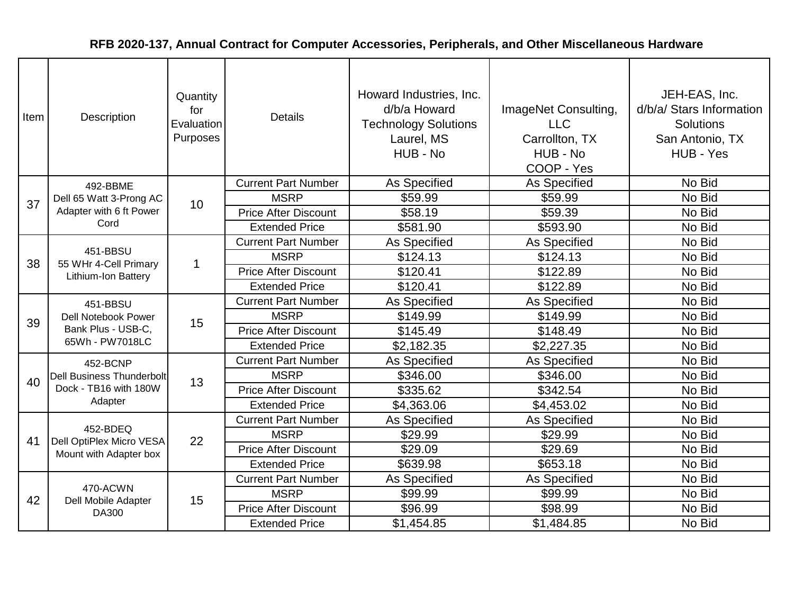| Item | Description                                                              | Quantity<br>for<br>Evaluation<br>Purposes | <b>Details</b>              | Howard Industries, Inc.<br>d/b/a Howard<br><b>Technology Solutions</b><br>Laurel, MS<br>HUB - No | ImageNet Consulting,<br><b>LLC</b><br>Carrollton, TX<br>HUB - No<br>COOP - Yes | JEH-EAS, Inc.<br>d/b/a/ Stars Information<br><b>Solutions</b><br>San Antonio, TX<br>HUB - Yes |
|------|--------------------------------------------------------------------------|-------------------------------------------|-----------------------------|--------------------------------------------------------------------------------------------------|--------------------------------------------------------------------------------|-----------------------------------------------------------------------------------------------|
|      | 492-BBME                                                                 |                                           | <b>Current Part Number</b>  | As Specified                                                                                     | As Specified                                                                   | No Bid                                                                                        |
| 37   | Dell 65 Watt 3-Prong AC                                                  | 10                                        | <b>MSRP</b>                 | \$59.99                                                                                          | \$59.99                                                                        | No Bid                                                                                        |
|      | Adapter with 6 ft Power                                                  |                                           | <b>Price After Discount</b> | \$58.19                                                                                          | \$59.39                                                                        | No Bid                                                                                        |
|      | Cord                                                                     |                                           | <b>Extended Price</b>       | \$581.90                                                                                         | \$593.90                                                                       | No Bid                                                                                        |
|      | 451-BBSU                                                                 |                                           | <b>Current Part Number</b>  | As Specified                                                                                     | <b>As Specified</b>                                                            | No Bid                                                                                        |
| 38   | 55 WHr 4-Cell Primary                                                    | $\mathbf 1$                               | <b>MSRP</b>                 | \$124.13                                                                                         | \$124.13                                                                       | No Bid                                                                                        |
|      | <b>Lithium-Ion Battery</b>                                               |                                           | <b>Price After Discount</b> | \$120.41                                                                                         | \$122.89                                                                       | No Bid                                                                                        |
|      |                                                                          |                                           | <b>Extended Price</b>       | \$120.41                                                                                         | \$122.89                                                                       | No Bid                                                                                        |
|      | 451-BBSU<br>Dell Notebook Power<br>Bank Plus - USB-C,<br>65Wh - PW7018LC | 15                                        | <b>Current Part Number</b>  | As Specified                                                                                     | <b>As Specified</b>                                                            | No Bid                                                                                        |
| 39   |                                                                          |                                           | <b>MSRP</b>                 | \$149.99                                                                                         | \$149.99                                                                       | No Bid                                                                                        |
|      |                                                                          |                                           | <b>Price After Discount</b> | \$145.49                                                                                         | \$148.49                                                                       | No Bid                                                                                        |
|      |                                                                          |                                           | <b>Extended Price</b>       | \$2,182.35                                                                                       | \$2,227.35                                                                     | No Bid                                                                                        |
|      | 452-BCNP                                                                 |                                           | <b>Current Part Number</b>  | As Specified                                                                                     | As Specified                                                                   | No Bid                                                                                        |
| 40   | <b>Dell Business Thunderbolt</b>                                         | 13                                        | <b>MSRP</b>                 | \$346.00                                                                                         | \$346.00                                                                       | No Bid                                                                                        |
|      | Dock - TB16 with 180W                                                    |                                           | <b>Price After Discount</b> | \$335.62                                                                                         | \$342.54                                                                       | No Bid                                                                                        |
|      | Adapter                                                                  |                                           | <b>Extended Price</b>       | \$4,363.06                                                                                       | \$4,453.02                                                                     | No Bid                                                                                        |
|      |                                                                          |                                           | <b>Current Part Number</b>  | As Specified                                                                                     | As Specified                                                                   | No Bid                                                                                        |
| 41   | 452-BDEQ<br>Dell OptiPlex Micro VESA                                     | 22                                        | <b>MSRP</b>                 | \$29.99                                                                                          | \$29.99                                                                        | No Bid                                                                                        |
|      | Mount with Adapter box                                                   |                                           | <b>Price After Discount</b> | \$29.09                                                                                          | \$29.69                                                                        | No Bid                                                                                        |
|      |                                                                          |                                           | <b>Extended Price</b>       | \$639.98                                                                                         | \$653.18                                                                       | No Bid                                                                                        |
|      |                                                                          |                                           | <b>Current Part Number</b>  | As Specified                                                                                     | <b>As Specified</b>                                                            | No Bid                                                                                        |
|      | 470-ACWN                                                                 | 15                                        | <b>MSRP</b>                 | \$99.99                                                                                          | \$99.99                                                                        | No Bid                                                                                        |
| 42   | Dell Mobile Adapter<br>DA300                                             |                                           | <b>Price After Discount</b> | \$96.99                                                                                          | \$98.99                                                                        | No Bid                                                                                        |
|      |                                                                          |                                           | <b>Extended Price</b>       | \$1,454.85                                                                                       | \$1,484.85                                                                     | No Bid                                                                                        |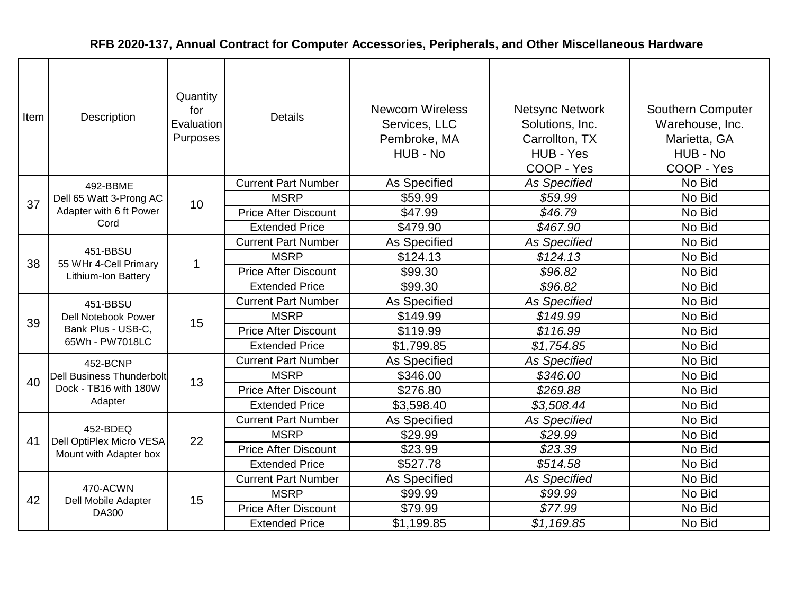| Item | Description                                                                     | Quantity<br>for<br>Evaluation<br>Purposes | <b>Details</b>              | <b>Newcom Wireless</b><br>Services, LLC<br>Pembroke, MA<br>HUB - No | <b>Netsync Network</b><br>Solutions, Inc.<br>Carrollton, TX<br>HUB - Yes<br>COOP - Yes | <b>Southern Computer</b><br>Warehouse, Inc.<br>Marietta, GA<br>HUB - No<br>COOP - Yes |
|------|---------------------------------------------------------------------------------|-------------------------------------------|-----------------------------|---------------------------------------------------------------------|----------------------------------------------------------------------------------------|---------------------------------------------------------------------------------------|
|      | 492-BBME                                                                        |                                           | <b>Current Part Number</b>  | As Specified                                                        | <b>As Specified</b>                                                                    | No Bid                                                                                |
| 37   | Dell 65 Watt 3-Prong AC                                                         | 10                                        | <b>MSRP</b>                 | \$59.99                                                             | \$59.99                                                                                | No Bid                                                                                |
|      | Adapter with 6 ft Power                                                         |                                           | <b>Price After Discount</b> | \$47.99                                                             | \$46.79                                                                                | No Bid                                                                                |
|      | Cord                                                                            |                                           | <b>Extended Price</b>       | \$479.90                                                            | \$467.90                                                                               | No Bid                                                                                |
|      |                                                                                 |                                           | <b>Current Part Number</b>  | As Specified                                                        | <b>As Specified</b>                                                                    | No Bid                                                                                |
| 38   | 451-BBSU<br>55 WHr 4-Cell Primary                                               | $\overline{1}$                            | <b>MSRP</b>                 | \$124.13                                                            | \$124.13                                                                               | No Bid                                                                                |
|      | Lithium-Ion Battery                                                             |                                           | <b>Price After Discount</b> | \$99.30                                                             | \$96.82                                                                                | No Bid                                                                                |
|      |                                                                                 |                                           | <b>Extended Price</b>       | \$99.30                                                             | \$96.82                                                                                | No Bid                                                                                |
|      | 451-BBSU<br><b>Dell Notebook Power</b><br>Bank Plus - USB-C,<br>65Wh - PW7018LC | 15                                        | <b>Current Part Number</b>  | As Specified                                                        | <b>As Specified</b>                                                                    | No Bid                                                                                |
| 39   |                                                                                 |                                           | <b>MSRP</b>                 | \$149.99                                                            | \$149.99                                                                               | No Bid                                                                                |
|      |                                                                                 |                                           | <b>Price After Discount</b> | \$119.99                                                            | \$116.99                                                                               | No Bid                                                                                |
|      |                                                                                 |                                           | <b>Extended Price</b>       | \$1,799.85                                                          | \$1,754.85                                                                             | No Bid                                                                                |
|      | 452-BCNP                                                                        |                                           | <b>Current Part Number</b>  | <b>As Specified</b>                                                 | <b>As Specified</b>                                                                    | No Bid                                                                                |
| 40   | <b>Dell Business Thunderbolt</b>                                                | 13                                        | <b>MSRP</b>                 | \$346.00                                                            | \$346.00                                                                               | No Bid                                                                                |
|      | Dock - TB16 with 180W                                                           |                                           | <b>Price After Discount</b> | \$276.80                                                            | \$269.88                                                                               | No Bid                                                                                |
|      | Adapter                                                                         |                                           | <b>Extended Price</b>       | \$3,598.40                                                          | \$3,508.44                                                                             | No Bid                                                                                |
|      |                                                                                 |                                           | <b>Current Part Number</b>  | <b>As Specified</b>                                                 | <b>As Specified</b>                                                                    | No Bid                                                                                |
| 41   | 452-BDEQ<br>Dell OptiPlex Micro VESA                                            | 22                                        | <b>MSRP</b>                 | \$29.99                                                             | \$29.99                                                                                | No Bid                                                                                |
|      | Mount with Adapter box                                                          |                                           | <b>Price After Discount</b> | \$23.99                                                             | \$23.39                                                                                | No Bid                                                                                |
|      |                                                                                 |                                           | <b>Extended Price</b>       | \$527.78                                                            | \$514.58                                                                               | No Bid                                                                                |
|      |                                                                                 |                                           | <b>Current Part Number</b>  | As Specified                                                        | <b>As Specified</b>                                                                    | No Bid                                                                                |
| 42   | 470-ACWN<br>Dell Mobile Adapter                                                 | 15                                        | <b>MSRP</b>                 | \$99.99                                                             | \$99.99                                                                                | No Bid                                                                                |
|      | DA300                                                                           |                                           | <b>Price After Discount</b> | \$79.99                                                             | \$77.99                                                                                | No Bid                                                                                |
|      |                                                                                 |                                           | <b>Extended Price</b>       | \$1,199.85                                                          | \$1,169.85                                                                             | No Bid                                                                                |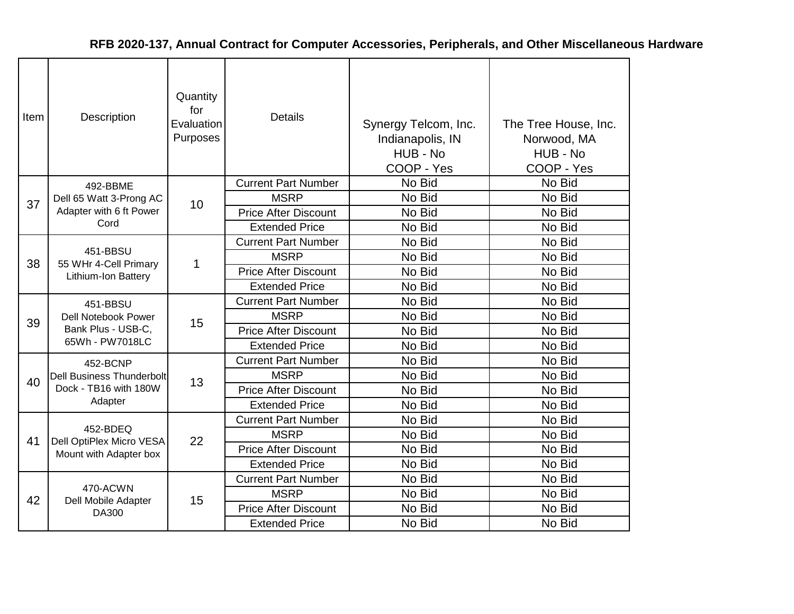| Item | Description                                              | Quantity<br>for<br>Evaluation<br>Purposes | <b>Details</b>              | Synergy Telcom, Inc.<br>Indianapolis, IN<br>HUB - No<br>COOP - Yes | The Tree House, Inc.<br>Norwood, MA<br>HUB - No<br>COOP - Yes |
|------|----------------------------------------------------------|-------------------------------------------|-----------------------------|--------------------------------------------------------------------|---------------------------------------------------------------|
|      | 492-BBME                                                 |                                           | <b>Current Part Number</b>  | No Bid                                                             | No Bid                                                        |
| 37   | Dell 65 Watt 3-Prong AC                                  | 10                                        | <b>MSRP</b>                 | No Bid                                                             | No Bid                                                        |
|      | Adapter with 6 ft Power                                  |                                           | <b>Price After Discount</b> | No Bid                                                             | No Bid                                                        |
|      | Cord                                                     |                                           | <b>Extended Price</b>       | No Bid                                                             | No Bid                                                        |
|      |                                                          |                                           | <b>Current Part Number</b>  | No Bid                                                             | No Bid                                                        |
| 38   | 451-BBSU<br>55 WHr 4-Cell Primary<br>Lithium-Ion Battery | 1                                         | <b>MSRP</b>                 | No Bid                                                             | No Bid                                                        |
|      |                                                          |                                           | <b>Price After Discount</b> | No Bid                                                             | No Bid                                                        |
|      |                                                          |                                           | <b>Extended Price</b>       | No Bid                                                             | No Bid                                                        |
|      | 451-BBSU                                                 | 15                                        | <b>Current Part Number</b>  | No Bid                                                             | No Bid                                                        |
| 39   | <b>Dell Notebook Power</b>                               |                                           | <b>MSRP</b>                 | No Bid                                                             | No Bid                                                        |
|      | Bank Plus - USB-C,<br>65Wh - PW7018LC                    |                                           | <b>Price After Discount</b> | No Bid                                                             | No Bid                                                        |
|      |                                                          |                                           | <b>Extended Price</b>       | No Bid                                                             | No Bid                                                        |
|      | 452-BCNP                                                 |                                           | <b>Current Part Number</b>  | No Bid                                                             | No Bid                                                        |
| 40   | <b>Dell Business Thunderbolt</b>                         | 13                                        | <b>MSRP</b>                 | No Bid                                                             | No Bid                                                        |
|      | Dock - TB16 with 180W                                    |                                           | <b>Price After Discount</b> | No Bid                                                             | No Bid                                                        |
|      | Adapter                                                  |                                           | <b>Extended Price</b>       | No Bid                                                             | No Bid                                                        |
|      |                                                          |                                           | <b>Current Part Number</b>  | No Bid                                                             | No Bid                                                        |
| 41   | 452-BDEQ                                                 | 22                                        | <b>MSRP</b>                 | No Bid                                                             | No Bid                                                        |
|      | Dell OptiPlex Micro VESA<br>Mount with Adapter box       |                                           | <b>Price After Discount</b> | No Bid                                                             | No Bid                                                        |
|      |                                                          |                                           | <b>Extended Price</b>       | No Bid                                                             | No Bid                                                        |
|      |                                                          |                                           | <b>Current Part Number</b>  | No Bid                                                             | No Bid                                                        |
|      | 470-ACWN                                                 |                                           | <b>MSRP</b>                 | No Bid                                                             | No Bid                                                        |
| 42   | Dell Mobile Adapter<br>DA300                             | 15                                        | <b>Price After Discount</b> | No Bid                                                             | No Bid                                                        |
|      |                                                          |                                           | <b>Extended Price</b>       |                                                                    | No Bid                                                        |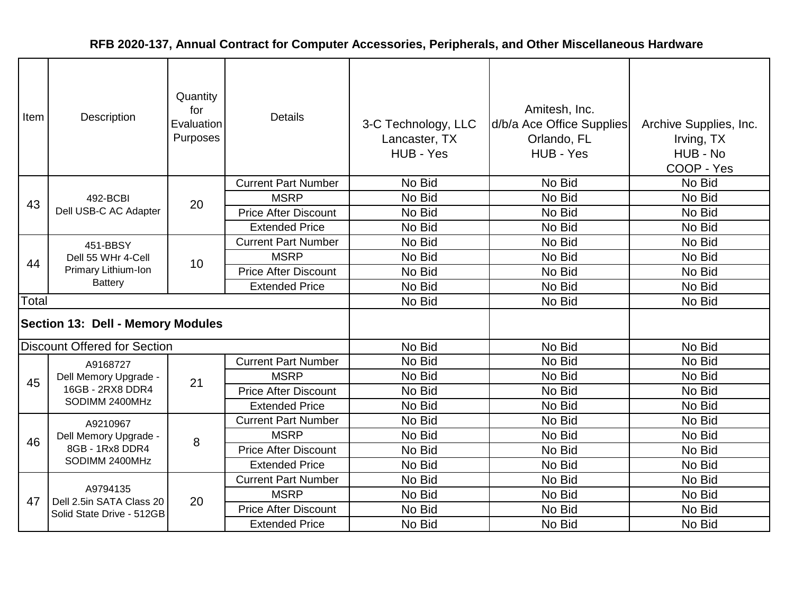| Item                                     | Description                           | Quantity<br>for<br>Evaluation<br>Purposes | <b>Details</b>              | 3-C Technology, LLC<br>Lancaster, TX<br>HUB - Yes | Amitesh, Inc.<br>d/b/a Ace Office Supplies<br>Orlando, FL<br>HUB - Yes | Archive Supplies, Inc.<br>Irving, TX<br>HUB - No<br>COOP - Yes |
|------------------------------------------|---------------------------------------|-------------------------------------------|-----------------------------|---------------------------------------------------|------------------------------------------------------------------------|----------------------------------------------------------------|
|                                          |                                       |                                           | <b>Current Part Number</b>  | No Bid                                            | No Bid                                                                 | No Bid                                                         |
| 43                                       | 492-BCBI                              | 20                                        | <b>MSRP</b>                 | No Bid                                            | No Bid                                                                 | No Bid                                                         |
|                                          | Dell USB-C AC Adapter                 |                                           | <b>Price After Discount</b> | No Bid                                            | No Bid                                                                 | No Bid                                                         |
|                                          |                                       |                                           | <b>Extended Price</b>       | No Bid                                            | No Bid                                                                 | No Bid                                                         |
|                                          | 451-BBSY                              |                                           | <b>Current Part Number</b>  | No Bid                                            | No Bid                                                                 | No Bid                                                         |
| 44                                       | Dell 55 WHr 4-Cell                    | 10                                        | <b>MSRP</b>                 | No Bid                                            | No Bid                                                                 | No Bid                                                         |
|                                          | Primary Lithium-Ion<br><b>Battery</b> |                                           | <b>Price After Discount</b> | No Bid                                            | No Bid                                                                 | No Bid                                                         |
|                                          |                                       |                                           | <b>Extended Price</b>       | No Bid                                            | No Bid                                                                 | No Bid                                                         |
| Total                                    |                                       |                                           |                             | No Bid                                            | No Bid                                                                 | No Bid                                                         |
| <b>Section 13: Dell - Memory Modules</b> |                                       |                                           |                             |                                                   |                                                                        |                                                                |
|                                          | <b>Discount Offered for Section</b>   |                                           |                             | No Bid                                            | No Bid                                                                 | No Bid                                                         |
|                                          | A9168727                              |                                           | <b>Current Part Number</b>  | No Bid                                            | No Bid                                                                 | No Bid                                                         |
| 45                                       | Dell Memory Upgrade -                 | 21                                        | <b>MSRP</b>                 | No Bid                                            | No Bid                                                                 | No Bid                                                         |
|                                          | 16GB - 2RX8 DDR4                      |                                           | <b>Price After Discount</b> | No Bid                                            | No Bid                                                                 | No Bid                                                         |
|                                          | SODIMM 2400MHz                        |                                           | <b>Extended Price</b>       | No Bid                                            | No Bid                                                                 | No Bid                                                         |
|                                          | A9210967                              |                                           | <b>Current Part Number</b>  | No Bid                                            | No Bid                                                                 | No Bid                                                         |
| 46                                       | Dell Memory Upgrade -                 | 8                                         | <b>MSRP</b>                 | No Bid                                            | No Bid                                                                 | No Bid                                                         |
|                                          | 8GB - 1Rx8 DDR4                       |                                           | <b>Price After Discount</b> | No Bid                                            | No Bid                                                                 | No Bid                                                         |
|                                          | SODIMM 2400MHz                        |                                           | <b>Extended Price</b>       | No Bid                                            | No Bid                                                                 | No Bid                                                         |
|                                          |                                       |                                           | <b>Current Part Number</b>  | No Bid                                            | No Bid                                                                 | No Bid                                                         |
| 47                                       | A9794135<br>Dell 2.5in SATA Class 20  | 20                                        | <b>MSRP</b>                 | No Bid                                            | No Bid                                                                 | No Bid                                                         |
|                                          | Solid State Drive - 512GB             |                                           | <b>Price After Discount</b> | No Bid                                            | No Bid                                                                 | No Bid                                                         |
|                                          |                                       |                                           | <b>Extended Price</b>       | No Bid                                            | No Bid                                                                 | No Bid                                                         |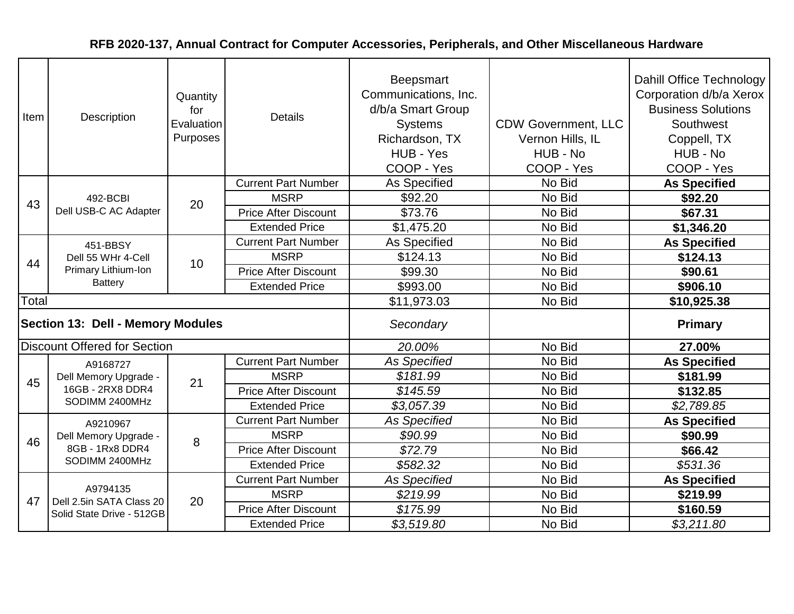| Item                                     | Description                           | Quantity<br>for<br>Evaluation<br>Purposes | <b>Details</b>              | Beepsmart<br>Communications, Inc.<br>d/b/a Smart Group<br><b>Systems</b><br>Richardson, TX<br>HUB - Yes<br>COOP - Yes | <b>CDW Government, LLC</b><br>Vernon Hills, IL<br>HUB - No<br>COOP - Yes | Dahill Office Technology<br>Corporation d/b/a Xerox<br><b>Business Solutions</b><br>Southwest<br>Coppell, TX<br>HUB - No<br>COOP - Yes |
|------------------------------------------|---------------------------------------|-------------------------------------------|-----------------------------|-----------------------------------------------------------------------------------------------------------------------|--------------------------------------------------------------------------|----------------------------------------------------------------------------------------------------------------------------------------|
|                                          |                                       |                                           | <b>Current Part Number</b>  | As Specified                                                                                                          | No Bid                                                                   | <b>As Specified</b>                                                                                                                    |
| 43                                       | 492-BCBI                              | 20                                        | <b>MSRP</b>                 | \$92.20                                                                                                               | No Bid                                                                   | \$92.20                                                                                                                                |
|                                          | Dell USB-C AC Adapter                 |                                           | <b>Price After Discount</b> | \$73.76                                                                                                               | No Bid                                                                   | \$67.31                                                                                                                                |
|                                          |                                       |                                           | <b>Extended Price</b>       | \$1,475.20                                                                                                            | No Bid                                                                   | \$1,346.20                                                                                                                             |
|                                          | 451-BBSY                              |                                           | <b>Current Part Number</b>  | As Specified                                                                                                          | No Bid                                                                   | <b>As Specified</b>                                                                                                                    |
| 44                                       | Dell 55 WHr 4-Cell                    | 10                                        | <b>MSRP</b>                 | \$124.13                                                                                                              | No Bid                                                                   | \$124.13                                                                                                                               |
|                                          | Primary Lithium-Ion<br><b>Battery</b> |                                           | <b>Price After Discount</b> | \$99.30                                                                                                               | No Bid                                                                   | \$90.61                                                                                                                                |
|                                          |                                       |                                           | <b>Extended Price</b>       | \$993.00                                                                                                              | No Bid                                                                   | \$906.10                                                                                                                               |
| Total                                    |                                       |                                           |                             | \$11,973.03                                                                                                           | No Bid                                                                   | \$10,925.38                                                                                                                            |
| <b>Section 13: Dell - Memory Modules</b> |                                       |                                           |                             | Secondary                                                                                                             |                                                                          | <b>Primary</b>                                                                                                                         |
|                                          | <b>Discount Offered for Section</b>   |                                           |                             | 20.00%                                                                                                                | No Bid                                                                   | 27.00%                                                                                                                                 |
|                                          | A9168727                              |                                           | <b>Current Part Number</b>  | <b>As Specified</b>                                                                                                   | No Bid                                                                   | <b>As Specified</b>                                                                                                                    |
| 45                                       | Dell Memory Upgrade -                 | 21                                        | <b>MSRP</b>                 | \$181.99                                                                                                              | No Bid                                                                   | \$181.99                                                                                                                               |
|                                          | 16GB - 2RX8 DDR4                      |                                           | <b>Price After Discount</b> | \$145.59                                                                                                              | No Bid                                                                   | \$132.85                                                                                                                               |
|                                          | SODIMM 2400MHz                        |                                           | <b>Extended Price</b>       | \$3,057.39                                                                                                            | No Bid                                                                   | \$2,789.85                                                                                                                             |
|                                          | A9210967                              |                                           | <b>Current Part Number</b>  | <b>As Specified</b>                                                                                                   | No Bid                                                                   | <b>As Specified</b>                                                                                                                    |
| 46                                       | Dell Memory Upgrade -                 | 8                                         | <b>MSRP</b>                 | \$90.99                                                                                                               | No Bid                                                                   | \$90.99                                                                                                                                |
|                                          | 8GB - 1Rx8 DDR4                       |                                           | <b>Price After Discount</b> | \$72.79                                                                                                               | No Bid                                                                   | \$66.42                                                                                                                                |
|                                          | SODIMM 2400MHz                        |                                           | <b>Extended Price</b>       | \$582.32                                                                                                              | No Bid                                                                   | \$531.36                                                                                                                               |
|                                          |                                       |                                           | <b>Current Part Number</b>  | <b>As Specified</b>                                                                                                   | No Bid                                                                   | <b>As Specified</b>                                                                                                                    |
| 47                                       | A9794135<br>Dell 2.5in SATA Class 20  | 20                                        | <b>MSRP</b>                 | \$219.99                                                                                                              | No Bid                                                                   | \$219.99                                                                                                                               |
|                                          | Solid State Drive - 512GB             |                                           | <b>Price After Discount</b> | \$175.99                                                                                                              | No Bid                                                                   | \$160.59                                                                                                                               |
|                                          |                                       |                                           | <b>Extended Price</b>       | \$3,519.80                                                                                                            | No Bid                                                                   | \$3,211.80                                                                                                                             |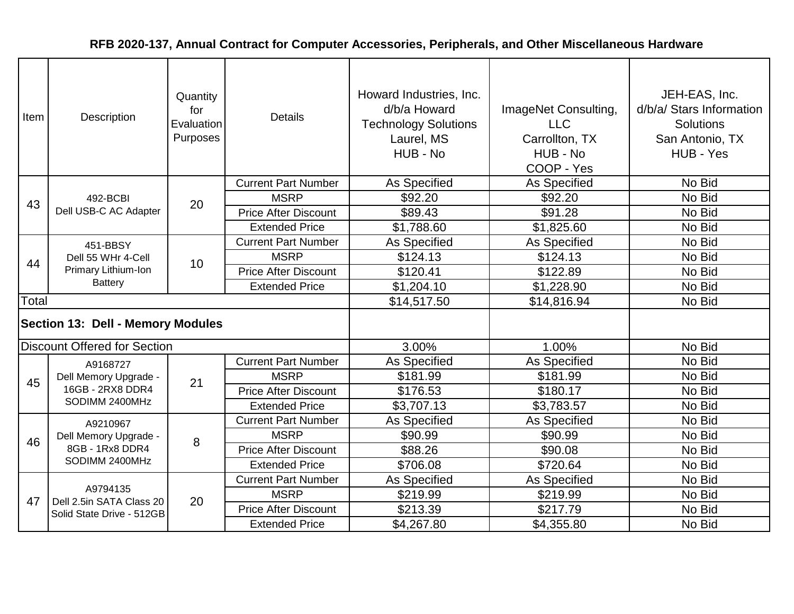| Item                                     | Description                           | Quantity<br>for<br>Evaluation<br>Purposes | <b>Details</b>              | Howard Industries, Inc.<br>d/b/a Howard<br><b>Technology Solutions</b><br>Laurel, MS<br>HUB - No | ImageNet Consulting,<br><b>LLC</b><br>Carrollton, TX<br>HUB - No<br>COOP - Yes | JEH-EAS, Inc.<br>d/b/a/ Stars Information<br><b>Solutions</b><br>San Antonio, TX<br>HUB - Yes |
|------------------------------------------|---------------------------------------|-------------------------------------------|-----------------------------|--------------------------------------------------------------------------------------------------|--------------------------------------------------------------------------------|-----------------------------------------------------------------------------------------------|
|                                          |                                       |                                           | <b>Current Part Number</b>  | As Specified                                                                                     | As Specified                                                                   | No Bid                                                                                        |
| 43                                       | 492-BCBI                              | 20                                        | <b>MSRP</b>                 | \$92.20                                                                                          | \$92.20                                                                        | No Bid                                                                                        |
|                                          | Dell USB-C AC Adapter                 |                                           | <b>Price After Discount</b> | \$89.43                                                                                          | \$91.28                                                                        | No Bid                                                                                        |
|                                          |                                       |                                           | <b>Extended Price</b>       | \$1,788.60                                                                                       | \$1,825.60                                                                     | No Bid                                                                                        |
|                                          | 451-BBSY                              |                                           | <b>Current Part Number</b>  | As Specified                                                                                     | As Specified                                                                   | No Bid                                                                                        |
| 44                                       | Dell 55 WHr 4-Cell                    | 10                                        | <b>MSRP</b>                 | \$124.13                                                                                         | \$124.13                                                                       | No Bid                                                                                        |
|                                          | Primary Lithium-Ion<br><b>Battery</b> |                                           | <b>Price After Discount</b> | \$120.41                                                                                         | \$122.89                                                                       | No Bid                                                                                        |
|                                          |                                       |                                           | <b>Extended Price</b>       | \$1,204.10                                                                                       | \$1,228.90                                                                     | No Bid                                                                                        |
| Total                                    |                                       |                                           |                             | \$14,517.50                                                                                      | \$14,816.94                                                                    | No Bid                                                                                        |
| <b>Section 13: Dell - Memory Modules</b> |                                       |                                           |                             |                                                                                                  |                                                                                |                                                                                               |
|                                          | <b>Discount Offered for Section</b>   |                                           |                             | 3.00%                                                                                            | 1.00%                                                                          | No Bid                                                                                        |
|                                          | A9168727                              |                                           | <b>Current Part Number</b>  | As Specified                                                                                     | As Specified                                                                   | No Bid                                                                                        |
| 45                                       | Dell Memory Upgrade -                 | 21                                        | <b>MSRP</b>                 | \$181.99                                                                                         | \$181.99                                                                       | No Bid                                                                                        |
|                                          | 16GB - 2RX8 DDR4                      |                                           | <b>Price After Discount</b> | \$176.53                                                                                         | \$180.17                                                                       | No Bid                                                                                        |
|                                          | SODIMM 2400MHz                        |                                           | <b>Extended Price</b>       | \$3,707.13                                                                                       | \$3,783.57                                                                     | No Bid                                                                                        |
|                                          | A9210967                              |                                           | <b>Current Part Number</b>  | As Specified                                                                                     | As Specified                                                                   | No Bid                                                                                        |
| 46                                       | Dell Memory Upgrade -                 | 8                                         | <b>MSRP</b>                 | \$90.99                                                                                          | \$90.99                                                                        | No Bid                                                                                        |
|                                          | 8GB - 1Rx8 DDR4                       |                                           | <b>Price After Discount</b> | \$88.26                                                                                          | \$90.08                                                                        | No Bid                                                                                        |
|                                          | SODIMM 2400MHz                        |                                           | <b>Extended Price</b>       | \$706.08                                                                                         | \$720.64                                                                       | No Bid                                                                                        |
|                                          |                                       |                                           | <b>Current Part Number</b>  | As Specified                                                                                     | As Specified                                                                   | No Bid                                                                                        |
| 47                                       | A9794135<br>Dell 2.5in SATA Class 20  | 20                                        | <b>MSRP</b>                 | \$219.99                                                                                         | \$219.99                                                                       | No Bid                                                                                        |
|                                          | Solid State Drive - 512GB             |                                           | <b>Price After Discount</b> | \$213.39                                                                                         | \$217.79                                                                       | No Bid                                                                                        |
|                                          |                                       |                                           | <b>Extended Price</b>       | \$4,267.80                                                                                       | \$4,355.80                                                                     | No Bid                                                                                        |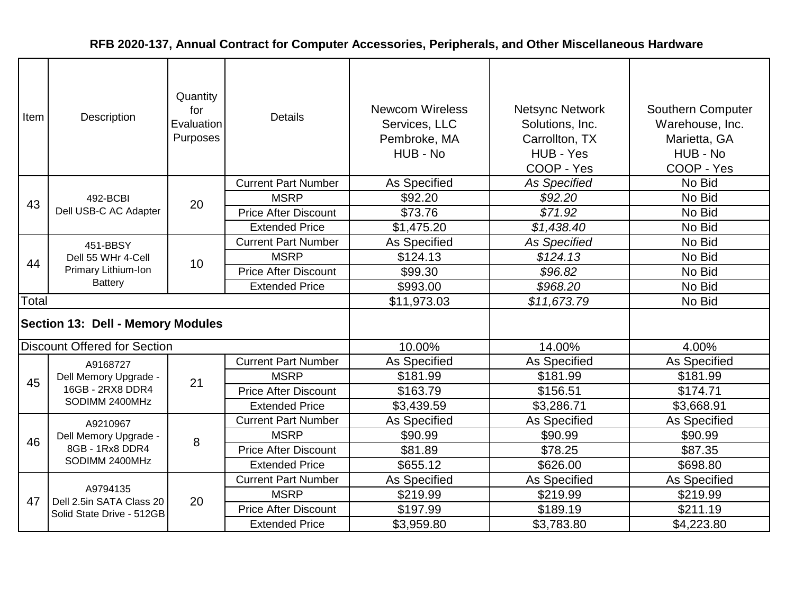| Item         | Quantity<br>for<br>Description<br>Evaluation<br>Purposes |    | <b>Details</b>              | <b>Newcom Wireless</b><br>Services, LLC<br>Pembroke, MA<br>HUB - No | <b>Netsync Network</b><br>Solutions, Inc.<br>Carrollton, TX<br>HUB - Yes<br>COOP - Yes | <b>Southern Computer</b><br>Warehouse, Inc.<br>Marietta, GA<br>HUB - No<br>COOP - Yes |
|--------------|----------------------------------------------------------|----|-----------------------------|---------------------------------------------------------------------|----------------------------------------------------------------------------------------|---------------------------------------------------------------------------------------|
|              |                                                          |    | <b>Current Part Number</b>  | As Specified                                                        | <b>As Specified</b>                                                                    | No Bid                                                                                |
| 43           | 492-BCBI                                                 | 20 | <b>MSRP</b>                 | \$92.20                                                             | \$92.20                                                                                | No Bid                                                                                |
|              | Dell USB-C AC Adapter                                    |    | <b>Price After Discount</b> | \$73.76                                                             | \$71.92                                                                                | No Bid                                                                                |
|              |                                                          |    | <b>Extended Price</b>       | \$1,475.20                                                          | \$1,438.40                                                                             | No Bid                                                                                |
|              | 451-BBSY                                                 |    | <b>Current Part Number</b>  | As Specified                                                        | <b>As Specified</b>                                                                    | No Bid                                                                                |
| 44           | Dell 55 WHr 4-Cell                                       | 10 | <b>MSRP</b>                 | \$124.13                                                            | \$124.13                                                                               | No Bid                                                                                |
|              | Primary Lithium-Ion                                      |    | <b>Price After Discount</b> | \$99.30                                                             | \$96.82                                                                                | No Bid                                                                                |
|              | <b>Battery</b>                                           |    | <b>Extended Price</b>       | \$993.00                                                            | \$968.20                                                                               | No Bid                                                                                |
| <b>Total</b> |                                                          |    | \$11,973.03                 | \$11,673.79                                                         | No Bid                                                                                 |                                                                                       |
|              | <b>Section 13: Dell - Memory Modules</b>                 |    |                             |                                                                     |                                                                                        |                                                                                       |
|              | <b>Discount Offered for Section</b>                      |    |                             | 10.00%                                                              | 14.00%                                                                                 | 4.00%                                                                                 |
|              | A9168727                                                 |    | <b>Current Part Number</b>  | As Specified                                                        | As Specified                                                                           | As Specified                                                                          |
| 45           | Dell Memory Upgrade -                                    | 21 | <b>MSRP</b>                 | \$181.99                                                            | \$181.99                                                                               | \$181.99                                                                              |
|              | 16GB - 2RX8 DDR4                                         |    | <b>Price After Discount</b> | \$163.79                                                            | \$156.51                                                                               | \$174.71                                                                              |
|              | SODIMM 2400MHz                                           |    | <b>Extended Price</b>       | \$3,439.59                                                          | \$3,286.71                                                                             | \$3,668.91                                                                            |
|              | A9210967                                                 |    | <b>Current Part Number</b>  | As Specified                                                        | As Specified                                                                           | As Specified                                                                          |
| 46           | Dell Memory Upgrade -                                    | 8  | <b>MSRP</b>                 | \$90.99                                                             | \$90.99                                                                                | \$90.99                                                                               |
|              | 8GB - 1Rx8 DDR4                                          |    | <b>Price After Discount</b> | \$81.89                                                             | \$78.25                                                                                | \$87.35                                                                               |
|              | SODIMM 2400MHz                                           |    | <b>Extended Price</b>       | \$655.12                                                            | \$626.00                                                                               | \$698.80                                                                              |
|              |                                                          |    | <b>Current Part Number</b>  | As Specified                                                        | As Specified                                                                           | As Specified                                                                          |
| 47           | A9794135<br>Dell 2.5in SATA Class 20                     | 20 | <b>MSRP</b>                 | \$219.99                                                            | \$219.99                                                                               | \$219.99                                                                              |
|              | Solid State Drive - 512GB                                |    | <b>Price After Discount</b> | \$197.99                                                            | \$189.19                                                                               | \$211.19                                                                              |
|              |                                                          |    | <b>Extended Price</b>       | \$3,959.80                                                          | \$3,783.80                                                                             | \$4,223.80                                                                            |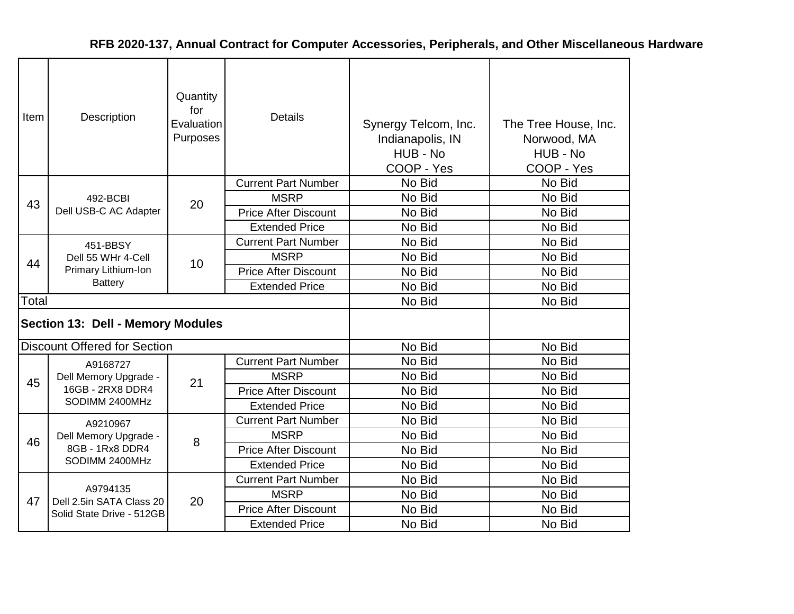| Item  | Description                              | Quantity<br>for<br>Evaluation<br>Purposes | <b>Details</b>              | Synergy Telcom, Inc.<br>Indianapolis, IN<br>HUB - No<br>COOP - Yes | The Tree House, Inc.<br>Norwood, MA<br>HUB - No<br>COOP - Yes |
|-------|------------------------------------------|-------------------------------------------|-----------------------------|--------------------------------------------------------------------|---------------------------------------------------------------|
|       |                                          |                                           | <b>Current Part Number</b>  | No Bid                                                             | No Bid                                                        |
| 43    | 492-BCBI                                 | 20                                        | <b>MSRP</b>                 | No Bid                                                             | No Bid                                                        |
|       | Dell USB-C AC Adapter                    |                                           | <b>Price After Discount</b> | No Bid                                                             | No Bid                                                        |
|       |                                          |                                           | <b>Extended Price</b>       | No Bid                                                             | No Bid                                                        |
| 44    | 451-BBSY                                 |                                           | <b>Current Part Number</b>  | No Bid                                                             | No Bid                                                        |
|       | Dell 55 WHr 4-Cell                       | 10                                        | <b>MSRP</b>                 | No Bid                                                             | No Bid                                                        |
|       | Primary Lithium-Ion                      |                                           | <b>Price After Discount</b> | No Bid                                                             | No Bid                                                        |
|       | <b>Battery</b>                           |                                           | <b>Extended Price</b>       | No Bid                                                             | No Bid                                                        |
| Total |                                          |                                           |                             | No Bid                                                             | No Bid                                                        |
|       | <b>Section 13: Dell - Memory Modules</b> |                                           |                             |                                                                    |                                                               |
|       | <b>Discount Offered for Section</b>      |                                           |                             | No Bid                                                             | No Bid                                                        |
|       | A9168727                                 |                                           | <b>Current Part Number</b>  | No Bid                                                             | No Bid                                                        |
| 45    | Dell Memory Upgrade -                    | 21                                        | <b>MSRP</b>                 | No Bid                                                             | No Bid                                                        |
|       | 16GB - 2RX8 DDR4                         |                                           | <b>Price After Discount</b> | No Bid                                                             | No Bid                                                        |
|       | SODIMM 2400MHz                           |                                           | <b>Extended Price</b>       | No Bid                                                             | No Bid                                                        |
|       | A9210967                                 |                                           | <b>Current Part Number</b>  | No Bid                                                             | No Bid                                                        |
| 46    | Dell Memory Upgrade -                    |                                           | <b>MSRP</b>                 | No Bid                                                             | No Bid                                                        |
|       | 8GB - 1Rx8 DDR4                          | 8                                         | <b>Price After Discount</b> | No Bid                                                             | No Bid                                                        |
|       | SODIMM 2400MHz                           |                                           | <b>Extended Price</b>       | No Bid                                                             | No Bid                                                        |
|       |                                          |                                           | <b>Current Part Number</b>  | No Bid                                                             | No Bid                                                        |
| 47    | A9794135<br>Dell 2.5in SATA Class 20     | 20                                        | <b>MSRP</b>                 | No Bid                                                             | No Bid                                                        |
|       | Solid State Drive - 512GB                |                                           | <b>Price After Discount</b> | No Bid                                                             | No Bid                                                        |
|       |                                          |                                           | <b>Extended Price</b>       | No Bid                                                             | No Bid                                                        |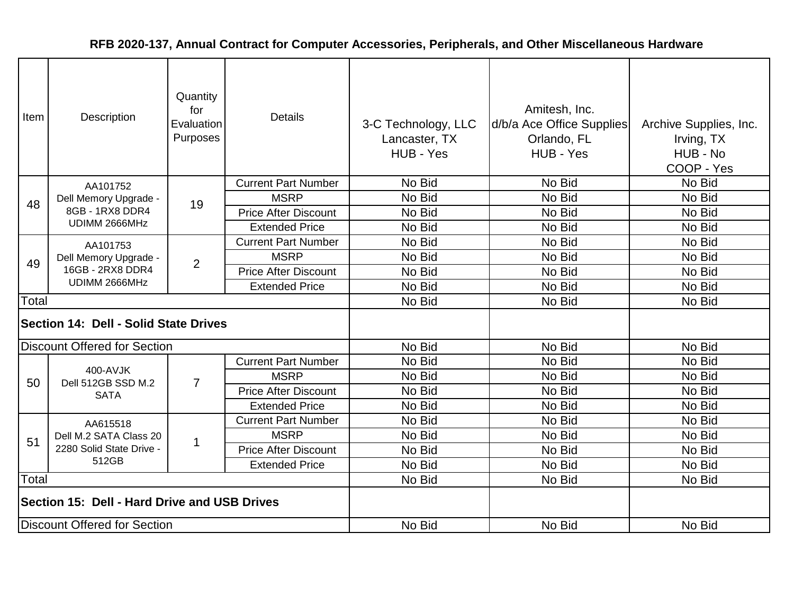| Item                                         | Description                                                | Quantity<br>for<br>Evaluation<br>Purposes | <b>Details</b>              | 3-C Technology, LLC<br>Lancaster, TX<br>HUB - Yes | Amitesh, Inc.<br>d/b/a Ace Office Supplies<br>Orlando, FL<br>HUB - Yes | Archive Supplies, Inc.<br>Irving, TX<br>HUB - No<br>COOP - Yes |
|----------------------------------------------|------------------------------------------------------------|-------------------------------------------|-----------------------------|---------------------------------------------------|------------------------------------------------------------------------|----------------------------------------------------------------|
|                                              | AA101752                                                   |                                           | <b>Current Part Number</b>  | No Bid                                            | No Bid                                                                 | No Bid                                                         |
| 48                                           | Dell Memory Upgrade -                                      | 19                                        | <b>MSRP</b>                 | No Bid                                            | No Bid                                                                 | No Bid                                                         |
|                                              | 8GB - 1RX8 DDR4                                            |                                           | <b>Price After Discount</b> | No Bid                                            | No Bid                                                                 | No Bid                                                         |
|                                              | UDIMM 2666MHz                                              |                                           | <b>Extended Price</b>       | No Bid                                            | No Bid                                                                 | No Bid                                                         |
|                                              | AA101753                                                   |                                           | <b>Current Part Number</b>  | No Bid                                            | No Bid                                                                 | No Bid                                                         |
| 49                                           | Dell Memory Upgrade -<br>16GB - 2RX8 DDR4<br>UDIMM 2666MHz | 2                                         | <b>MSRP</b>                 | No Bid                                            | No Bid                                                                 | No Bid                                                         |
|                                              |                                                            |                                           | <b>Price After Discount</b> | No Bid                                            | No Bid                                                                 | No Bid                                                         |
|                                              |                                                            |                                           | <b>Extended Price</b>       | No Bid                                            | No Bid                                                                 | No Bid                                                         |
| Total                                        |                                                            |                                           |                             | No Bid                                            | No Bid                                                                 | No Bid                                                         |
|                                              | Section 14: Dell - Solid State Drives                      |                                           |                             |                                                   |                                                                        |                                                                |
|                                              | <b>Discount Offered for Section</b>                        |                                           |                             | No Bid                                            | No Bid                                                                 | No Bid                                                         |
|                                              |                                                            |                                           | <b>Current Part Number</b>  | No Bid                                            | No Bid                                                                 | No Bid                                                         |
| 50                                           | 400-AVJK<br>Dell 512GB SSD M.2                             | $\overline{7}$                            | <b>MSRP</b>                 | No Bid                                            | No Bid                                                                 | No Bid                                                         |
|                                              | <b>SATA</b>                                                |                                           | <b>Price After Discount</b> | No Bid                                            | No Bid                                                                 | No Bid                                                         |
|                                              |                                                            |                                           | <b>Extended Price</b>       | No Bid                                            | No Bid                                                                 | No Bid                                                         |
|                                              | AA615518                                                   |                                           | <b>Current Part Number</b>  | No Bid                                            | No Bid                                                                 | No Bid                                                         |
| 51                                           | Dell M.2 SATA Class 20                                     | 1                                         | <b>MSRP</b>                 | No Bid                                            | No Bid                                                                 | No Bid                                                         |
|                                              | 2280 Solid State Drive -                                   |                                           | <b>Price After Discount</b> | No Bid                                            | No Bid                                                                 | No Bid                                                         |
|                                              | 512GB                                                      |                                           | <b>Extended Price</b>       | No Bid                                            | No Bid                                                                 | No Bid                                                         |
| Total                                        |                                                            |                                           |                             | No Bid                                            | No Bid                                                                 | No Bid                                                         |
| Section 15: Dell - Hard Drive and USB Drives |                                                            |                                           |                             |                                                   |                                                                        |                                                                |
|                                              | Discount Offered for Section                               |                                           |                             | No Bid                                            | No Bid                                                                 | No Bid                                                         |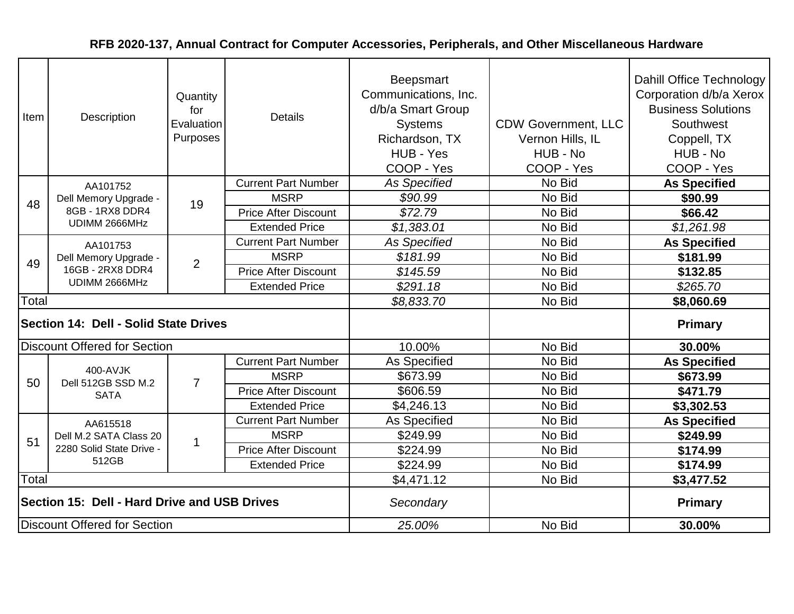| Item                                         | Description                                                | Quantity<br>for<br>Evaluation<br>Purposes | <b>Details</b>              | <b>Beepsmart</b><br>Communications, Inc.<br>d/b/a Smart Group<br><b>Systems</b><br>Richardson, TX<br>HUB - Yes<br>COOP - Yes | <b>CDW Government, LLC</b><br>Vernon Hills, IL<br>HUB - No<br>COOP - Yes | Dahill Office Technology<br>Corporation d/b/a Xerox<br><b>Business Solutions</b><br>Southwest<br>Coppell, TX<br>HUB - No<br>COOP - Yes |
|----------------------------------------------|------------------------------------------------------------|-------------------------------------------|-----------------------------|------------------------------------------------------------------------------------------------------------------------------|--------------------------------------------------------------------------|----------------------------------------------------------------------------------------------------------------------------------------|
|                                              | AA101752                                                   |                                           | <b>Current Part Number</b>  | <b>As Specified</b>                                                                                                          | No Bid                                                                   | <b>As Specified</b>                                                                                                                    |
| 48                                           | Dell Memory Upgrade -                                      | 19                                        | <b>MSRP</b>                 | \$90.99                                                                                                                      | No Bid                                                                   | \$90.99                                                                                                                                |
|                                              | 8GB - 1RX8 DDR4<br>UDIMM 2666MHz                           |                                           | <b>Price After Discount</b> | \$72.79                                                                                                                      | No Bid                                                                   | \$66.42                                                                                                                                |
|                                              |                                                            |                                           | <b>Extended Price</b>       | \$1,383.01                                                                                                                   | No Bid                                                                   | \$1,261.98                                                                                                                             |
|                                              | AA101753                                                   |                                           | <b>Current Part Number</b>  | <b>As Specified</b>                                                                                                          | No Bid                                                                   | <b>As Specified</b>                                                                                                                    |
| 49                                           | Dell Memory Upgrade -<br>16GB - 2RX8 DDR4<br>UDIMM 2666MHz | $\overline{2}$                            | <b>MSRP</b>                 | \$181.99                                                                                                                     | No Bid                                                                   | \$181.99                                                                                                                               |
|                                              |                                                            |                                           | <b>Price After Discount</b> | \$145.59                                                                                                                     | No Bid                                                                   | \$132.85                                                                                                                               |
|                                              |                                                            |                                           | <b>Extended Price</b>       | \$291.18                                                                                                                     | No Bid                                                                   | \$265.70                                                                                                                               |
| Total                                        |                                                            |                                           |                             | \$8,833.70                                                                                                                   | No Bid                                                                   | \$8,060.69                                                                                                                             |
|                                              | Section 14: Dell - Solid State Drives                      |                                           |                             |                                                                                                                              |                                                                          | <b>Primary</b>                                                                                                                         |
|                                              | <b>Discount Offered for Section</b>                        |                                           |                             | 10.00%                                                                                                                       | No Bid                                                                   | 30.00%                                                                                                                                 |
|                                              |                                                            |                                           | <b>Current Part Number</b>  | As Specified                                                                                                                 | No Bid                                                                   | <b>As Specified</b>                                                                                                                    |
| 50                                           | 400-AVJK<br>Dell 512GB SSD M.2                             | $\overline{7}$                            | <b>MSRP</b>                 | \$673.99                                                                                                                     | No Bid                                                                   | \$673.99                                                                                                                               |
|                                              | <b>SATA</b>                                                |                                           | <b>Price After Discount</b> | \$606.59                                                                                                                     | No Bid                                                                   | \$471.79                                                                                                                               |
|                                              |                                                            |                                           | <b>Extended Price</b>       | \$4,246.13                                                                                                                   | No Bid                                                                   | \$3,302.53                                                                                                                             |
|                                              | AA615518                                                   |                                           | <b>Current Part Number</b>  | <b>As Specified</b>                                                                                                          | No Bid                                                                   | <b>As Specified</b>                                                                                                                    |
| 51                                           | Dell M.2 SATA Class 20                                     | 1                                         | <b>MSRP</b>                 | \$249.99                                                                                                                     | No Bid                                                                   | \$249.99                                                                                                                               |
|                                              | 2280 Solid State Drive -                                   |                                           | <b>Price After Discount</b> | \$224.99                                                                                                                     | No Bid                                                                   | \$174.99                                                                                                                               |
|                                              | 512GB                                                      |                                           | <b>Extended Price</b>       | \$224.99                                                                                                                     | No Bid                                                                   | \$174.99                                                                                                                               |
| Total                                        |                                                            |                                           |                             | \$4,471.12                                                                                                                   | No Bid                                                                   | \$3,477.52                                                                                                                             |
| Section 15: Dell - Hard Drive and USB Drives |                                                            |                                           |                             | Secondary                                                                                                                    |                                                                          | <b>Primary</b>                                                                                                                         |
|                                              | <b>Discount Offered for Section</b>                        |                                           |                             | 25.00%                                                                                                                       | No Bid                                                                   | 30.00%                                                                                                                                 |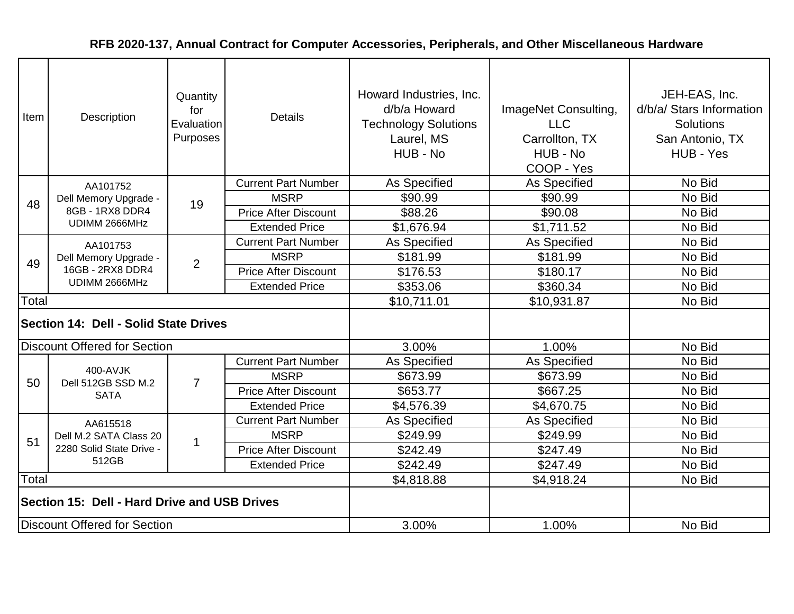| Item                                         | Description                                                | Quantity<br>for<br>Evaluation<br>Purposes | <b>Details</b>              | Howard Industries, Inc.<br>d/b/a Howard<br><b>Technology Solutions</b><br>Laurel, MS<br>HUB - No | ImageNet Consulting,<br><b>LLC</b><br>Carrollton, TX<br>HUB - No<br>COOP - Yes | JEH-EAS, Inc.<br>d/b/a/ Stars Information<br>Solutions<br>San Antonio, TX<br>HUB - Yes |
|----------------------------------------------|------------------------------------------------------------|-------------------------------------------|-----------------------------|--------------------------------------------------------------------------------------------------|--------------------------------------------------------------------------------|----------------------------------------------------------------------------------------|
|                                              | AA101752                                                   |                                           | <b>Current Part Number</b>  | As Specified                                                                                     | As Specified                                                                   | No Bid                                                                                 |
| 48                                           | Dell Memory Upgrade -                                      | 19                                        | <b>MSRP</b>                 | \$90.99                                                                                          | \$90.99                                                                        | No Bid                                                                                 |
|                                              | 8GB - 1RX8 DDR4                                            |                                           | <b>Price After Discount</b> | \$88.26                                                                                          | \$90.08                                                                        | No Bid                                                                                 |
|                                              | UDIMM 2666MHz                                              |                                           | <b>Extended Price</b>       | \$1,676.94                                                                                       | \$1,711.52                                                                     | No Bid                                                                                 |
|                                              | AA101753                                                   |                                           | <b>Current Part Number</b>  | <b>As Specified</b>                                                                              | As Specified                                                                   | No Bid                                                                                 |
| 49                                           | Dell Memory Upgrade -<br>16GB - 2RX8 DDR4<br>UDIMM 2666MHz | $\overline{2}$                            | <b>MSRP</b>                 | \$181.99                                                                                         | \$181.99                                                                       | No Bid                                                                                 |
|                                              |                                                            |                                           | <b>Price After Discount</b> | \$176.53                                                                                         | \$180.17                                                                       | No Bid                                                                                 |
|                                              |                                                            |                                           | <b>Extended Price</b>       | \$353.06                                                                                         | \$360.34                                                                       | No Bid                                                                                 |
| Total                                        |                                                            |                                           |                             | \$10,711.01                                                                                      | \$10,931.87                                                                    | No Bid                                                                                 |
|                                              | Section 14: Dell - Solid State Drives                      |                                           |                             |                                                                                                  |                                                                                |                                                                                        |
|                                              | <b>Discount Offered for Section</b>                        |                                           |                             | 3.00%                                                                                            | 1.00%                                                                          | No Bid                                                                                 |
|                                              |                                                            |                                           | <b>Current Part Number</b>  | <b>As Specified</b>                                                                              | As Specified                                                                   | No Bid                                                                                 |
| 50                                           | 400-AVJK<br>Dell 512GB SSD M.2                             | $\overline{7}$                            | <b>MSRP</b>                 | \$673.99                                                                                         | \$673.99                                                                       | No Bid                                                                                 |
|                                              | <b>SATA</b>                                                |                                           | <b>Price After Discount</b> | \$653.77                                                                                         | \$667.25                                                                       | No Bid                                                                                 |
|                                              |                                                            |                                           | <b>Extended Price</b>       | \$4,576.39                                                                                       | \$4,670.75                                                                     | No Bid                                                                                 |
|                                              | AA615518                                                   |                                           | <b>Current Part Number</b>  | <b>As Specified</b>                                                                              | <b>As Specified</b>                                                            | No Bid                                                                                 |
| 51                                           | Dell M.2 SATA Class 20                                     | $\mathbf 1$                               | <b>MSRP</b>                 | \$249.99                                                                                         | \$249.99                                                                       | No Bid                                                                                 |
|                                              | 2280 Solid State Drive -                                   |                                           | <b>Price After Discount</b> | \$242.49                                                                                         | \$247.49                                                                       | No Bid                                                                                 |
|                                              | 512GB                                                      |                                           | <b>Extended Price</b>       | \$242.49                                                                                         | \$247.49                                                                       | No Bid                                                                                 |
| Total                                        |                                                            |                                           |                             | \$4,818.88                                                                                       | \$4,918.24                                                                     | No Bid                                                                                 |
| Section 15: Dell - Hard Drive and USB Drives |                                                            |                                           |                             |                                                                                                  |                                                                                |                                                                                        |
| Discount Offered for Section                 |                                                            |                                           |                             | 3.00%                                                                                            | 1.00%                                                                          | No Bid                                                                                 |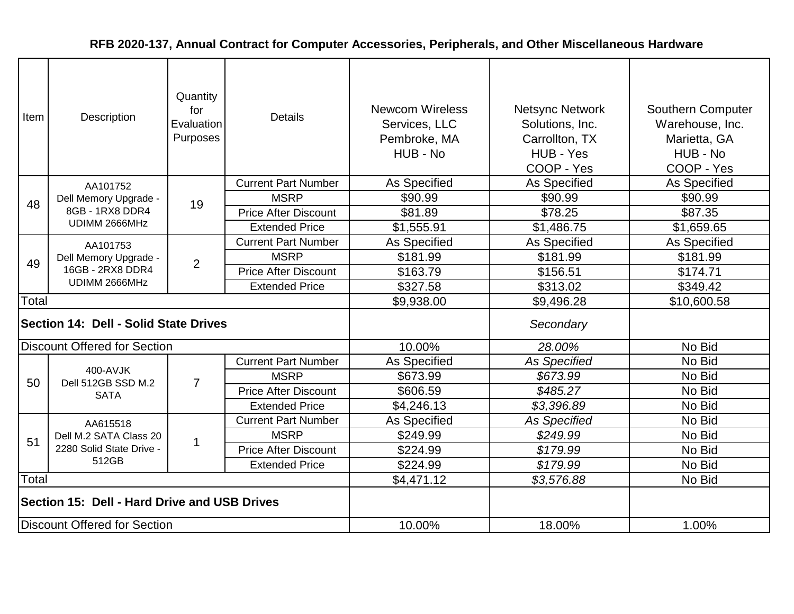| Item                                         | Description                                                | Quantity<br>for<br>Evaluation<br>Purposes | <b>Details</b>              | <b>Newcom Wireless</b><br>Services, LLC<br>Pembroke, MA<br>HUB - No | <b>Netsync Network</b><br>Solutions, Inc.<br>Carrollton, TX<br>HUB - Yes<br>COOP - Yes | Southern Computer<br>Warehouse, Inc.<br>Marietta, GA<br>HUB - No<br>COOP - Yes |
|----------------------------------------------|------------------------------------------------------------|-------------------------------------------|-----------------------------|---------------------------------------------------------------------|----------------------------------------------------------------------------------------|--------------------------------------------------------------------------------|
|                                              | AA101752                                                   |                                           | <b>Current Part Number</b>  | As Specified                                                        | As Specified                                                                           | As Specified                                                                   |
| 48                                           | Dell Memory Upgrade -                                      | 19                                        | <b>MSRP</b>                 | \$90.99                                                             | \$90.99                                                                                | \$90.99                                                                        |
|                                              | 8GB - 1RX8 DDR4                                            |                                           | <b>Price After Discount</b> | \$81.89                                                             | \$78.25                                                                                | \$87.35                                                                        |
|                                              | UDIMM 2666MHz                                              |                                           | <b>Extended Price</b>       | \$1,555.91                                                          | \$1,486.75                                                                             | \$1,659.65                                                                     |
| 49                                           | AA101753                                                   |                                           | <b>Current Part Number</b>  | As Specified                                                        | As Specified                                                                           | As Specified                                                                   |
|                                              | Dell Memory Upgrade -<br>16GB - 2RX8 DDR4<br>UDIMM 2666MHz | 2                                         | <b>MSRP</b>                 | \$181.99                                                            | \$181.99                                                                               | \$181.99                                                                       |
|                                              |                                                            |                                           | <b>Price After Discount</b> | \$163.79                                                            | \$156.51                                                                               | \$174.71                                                                       |
|                                              |                                                            |                                           | <b>Extended Price</b>       | \$327.58                                                            | \$313.02                                                                               | \$349.42                                                                       |
| Total                                        |                                                            |                                           |                             | \$9,938.00                                                          | \$9,496.28                                                                             | \$10,600.58                                                                    |
|                                              | Section 14: Dell - Solid State Drives                      |                                           |                             |                                                                     | Secondary                                                                              |                                                                                |
|                                              | <b>Discount Offered for Section</b>                        |                                           |                             | 10.00%                                                              | 28.00%                                                                                 | No Bid                                                                         |
|                                              |                                                            |                                           | <b>Current Part Number</b>  | As Specified                                                        | <b>As Specified</b>                                                                    | No Bid                                                                         |
| 50                                           | 400-AVJK<br>Dell 512GB SSD M.2                             | $\overline{7}$                            | <b>MSRP</b>                 | \$673.99                                                            | \$673.99                                                                               | No Bid                                                                         |
|                                              | <b>SATA</b>                                                |                                           | <b>Price After Discount</b> | \$606.59                                                            | \$485.27                                                                               | No Bid                                                                         |
|                                              |                                                            |                                           | <b>Extended Price</b>       | \$4,246.13                                                          | \$3,396.89                                                                             | No Bid                                                                         |
|                                              | AA615518                                                   |                                           | <b>Current Part Number</b>  | As Specified                                                        | <b>As Specified</b>                                                                    | No Bid                                                                         |
| 51                                           | Dell M.2 SATA Class 20                                     | 1                                         | <b>MSRP</b>                 | \$249.99                                                            | \$249.99                                                                               | No Bid                                                                         |
|                                              | 2280 Solid State Drive -                                   |                                           | <b>Price After Discount</b> | \$224.99                                                            | \$179.99                                                                               | No Bid                                                                         |
|                                              | 512GB                                                      |                                           | <b>Extended Price</b>       | \$224.99                                                            | \$179.99                                                                               | No Bid                                                                         |
| Total                                        |                                                            |                                           |                             | \$4,471.12                                                          | \$3,576.88                                                                             | No Bid                                                                         |
| Section 15: Dell - Hard Drive and USB Drives |                                                            |                                           |                             |                                                                     |                                                                                        |                                                                                |
| <b>Discount Offered for Section</b>          |                                                            |                                           |                             | 10.00%                                                              | 18.00%                                                                                 | 1.00%                                                                          |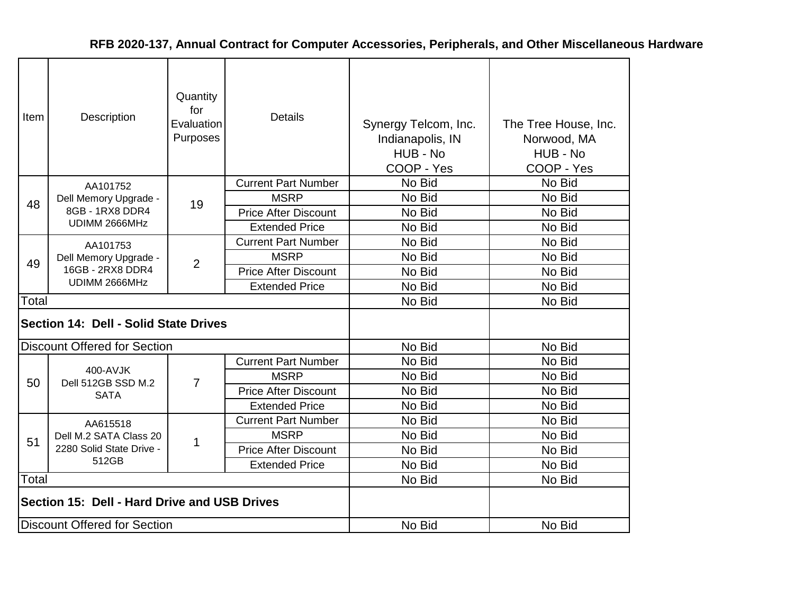| Item                                         | Description                           | Quantity<br>for<br>Evaluation<br>Purposes | <b>Details</b>              | Synergy Telcom, Inc.<br>Indianapolis, IN<br>HUB - No<br>COOP - Yes | The Tree House, Inc.<br>Norwood, MA<br>HUB - No<br>COOP - Yes |
|----------------------------------------------|---------------------------------------|-------------------------------------------|-----------------------------|--------------------------------------------------------------------|---------------------------------------------------------------|
|                                              | AA101752                              |                                           | <b>Current Part Number</b>  | No Bid                                                             | No Bid                                                        |
| 48                                           | Dell Memory Upgrade -                 | 19                                        | <b>MSRP</b>                 | No Bid                                                             | No Bid                                                        |
|                                              | 8GB - 1RX8 DDR4                       |                                           | <b>Price After Discount</b> | No Bid                                                             | No Bid                                                        |
|                                              | UDIMM 2666MHz                         |                                           | <b>Extended Price</b>       | No Bid                                                             | No Bid                                                        |
| 49                                           | AA101753                              |                                           | <b>Current Part Number</b>  | No Bid                                                             | No Bid                                                        |
|                                              | Dell Memory Upgrade -                 | 2                                         | <b>MSRP</b>                 | No Bid                                                             | No Bid                                                        |
|                                              | 16GB - 2RX8 DDR4                      |                                           | <b>Price After Discount</b> | No Bid                                                             | No Bid                                                        |
|                                              | UDIMM 2666MHz                         |                                           | <b>Extended Price</b>       | No Bid                                                             | No Bid                                                        |
| Total                                        |                                       |                                           |                             | No Bid                                                             | No Bid                                                        |
|                                              | Section 14: Dell - Solid State Drives |                                           |                             |                                                                    |                                                               |
|                                              | <b>Discount Offered for Section</b>   |                                           |                             | No Bid                                                             | No Bid                                                        |
|                                              |                                       |                                           | <b>Current Part Number</b>  | No Bid                                                             | No Bid                                                        |
| 50                                           | 400-AVJK<br>Dell 512GB SSD M.2        | 7                                         | <b>MSRP</b>                 | No Bid                                                             | No Bid                                                        |
|                                              | <b>SATA</b>                           |                                           | <b>Price After Discount</b> | No Bid                                                             | No Bid                                                        |
|                                              |                                       |                                           | <b>Extended Price</b>       | No Bid                                                             | No Bid                                                        |
|                                              | AA615518                              |                                           | <b>Current Part Number</b>  | No Bid                                                             | No Bid                                                        |
| 51                                           | Dell M.2 SATA Class 20                |                                           | <b>MSRP</b>                 | No Bid                                                             | No Bid                                                        |
|                                              | 2280 Solid State Drive -              | 1                                         | <b>Price After Discount</b> | No Bid                                                             | No Bid                                                        |
|                                              | 512GB                                 |                                           | <b>Extended Price</b>       | No Bid                                                             | No Bid                                                        |
| Total                                        |                                       |                                           |                             | No Bid                                                             | No Bid                                                        |
| Section 15: Dell - Hard Drive and USB Drives |                                       |                                           |                             |                                                                    |                                                               |
|                                              | <b>Discount Offered for Section</b>   |                                           |                             | No Bid                                                             | No Bid                                                        |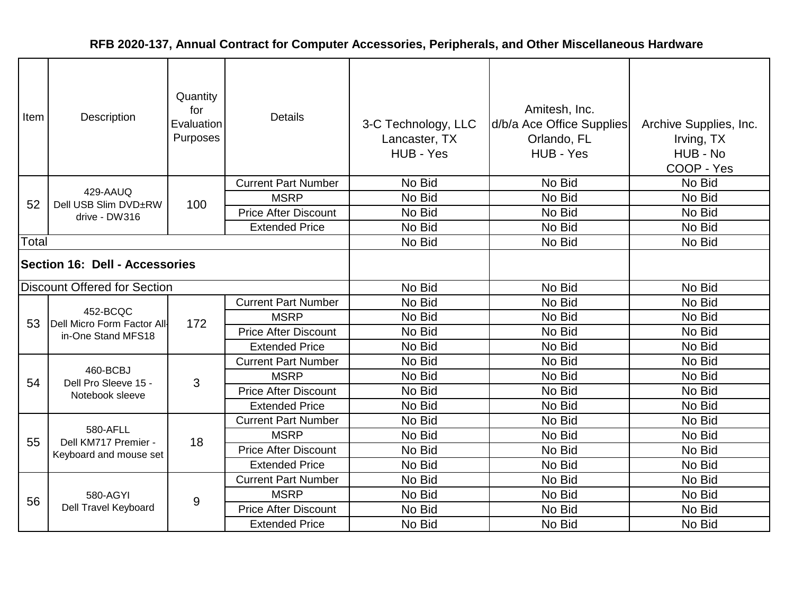| Item                                  | Description                                                   | Quantity<br>for<br>Evaluation<br>Purposes | <b>Details</b>              | 3-C Technology, LLC<br>Lancaster, TX<br>HUB - Yes | Amitesh, Inc.<br>d/b/a Ace Office Supplies<br>Orlando, FL<br>HUB - Yes | Archive Supplies, Inc.<br>Irving, TX<br>HUB - No<br>COOP - Yes |
|---------------------------------------|---------------------------------------------------------------|-------------------------------------------|-----------------------------|---------------------------------------------------|------------------------------------------------------------------------|----------------------------------------------------------------|
|                                       |                                                               |                                           | <b>Current Part Number</b>  | No Bid                                            | No Bid                                                                 | No Bid                                                         |
| 52                                    | 429-AAUQ<br>Dell USB Slim DVD±RW                              | 100                                       | <b>MSRP</b>                 | No Bid                                            | No Bid                                                                 | No Bid                                                         |
|                                       | drive - DW316                                                 |                                           | <b>Price After Discount</b> | No Bid                                            | No Bid                                                                 | No Bid                                                         |
|                                       |                                                               |                                           | <b>Extended Price</b>       | No Bid                                            | No Bid                                                                 | No Bid                                                         |
| Total                                 |                                                               |                                           |                             | No Bid                                            | No Bid                                                                 | No Bid                                                         |
| <b>Section 16: Dell - Accessories</b> |                                                               |                                           |                             |                                                   |                                                                        |                                                                |
|                                       | <b>Discount Offered for Section</b>                           |                                           |                             | No Bid                                            | No Bid                                                                 | No Bid                                                         |
|                                       | 452-BCQC<br>Dell Micro Form Factor All-<br>in-One Stand MFS18 | 172                                       | <b>Current Part Number</b>  | No Bid                                            | No Bid                                                                 | No Bid                                                         |
| 53                                    |                                                               |                                           | <b>MSRP</b>                 | No Bid                                            | No Bid                                                                 | No Bid                                                         |
|                                       |                                                               |                                           | <b>Price After Discount</b> | No Bid                                            | No Bid                                                                 | No Bid                                                         |
|                                       |                                                               |                                           | <b>Extended Price</b>       | No Bid                                            | No Bid                                                                 | No Bid                                                         |
|                                       |                                                               |                                           | <b>Current Part Number</b>  | No Bid                                            | No Bid                                                                 | No Bid                                                         |
| 54                                    | 460-BCBJ<br>Dell Pro Sleeve 15 -                              | 3                                         | <b>MSRP</b>                 | No Bid                                            | No Bid                                                                 | No Bid                                                         |
|                                       | Notebook sleeve                                               |                                           | <b>Price After Discount</b> | No Bid                                            | No Bid                                                                 | No Bid                                                         |
|                                       |                                                               |                                           | <b>Extended Price</b>       | No Bid                                            | No Bid                                                                 | No Bid                                                         |
|                                       | 580-AFLL                                                      |                                           | <b>Current Part Number</b>  | No Bid                                            | No Bid                                                                 | No Bid                                                         |
| 55                                    | Dell KM717 Premier -                                          | 18                                        | <b>MSRP</b>                 | No Bid                                            | No Bid                                                                 | No Bid                                                         |
|                                       | Keyboard and mouse set                                        |                                           | <b>Price After Discount</b> | No Bid                                            | No Bid                                                                 | No Bid                                                         |
|                                       |                                                               |                                           | <b>Extended Price</b>       | No Bid                                            | No Bid                                                                 | No Bid                                                         |
|                                       |                                                               |                                           | <b>Current Part Number</b>  | No Bid                                            | No Bid                                                                 | No Bid                                                         |
| 56                                    | 580-AGYI                                                      | $\overline{9}$                            | <b>MSRP</b>                 | No Bid                                            | No Bid                                                                 | No Bid                                                         |
|                                       | Dell Travel Keyboard                                          |                                           | <b>Price After Discount</b> | No Bid                                            | No Bid                                                                 | No Bid                                                         |
|                                       |                                                               |                                           | <b>Extended Price</b>       | No Bid                                            | No Bid                                                                 | No Bid                                                         |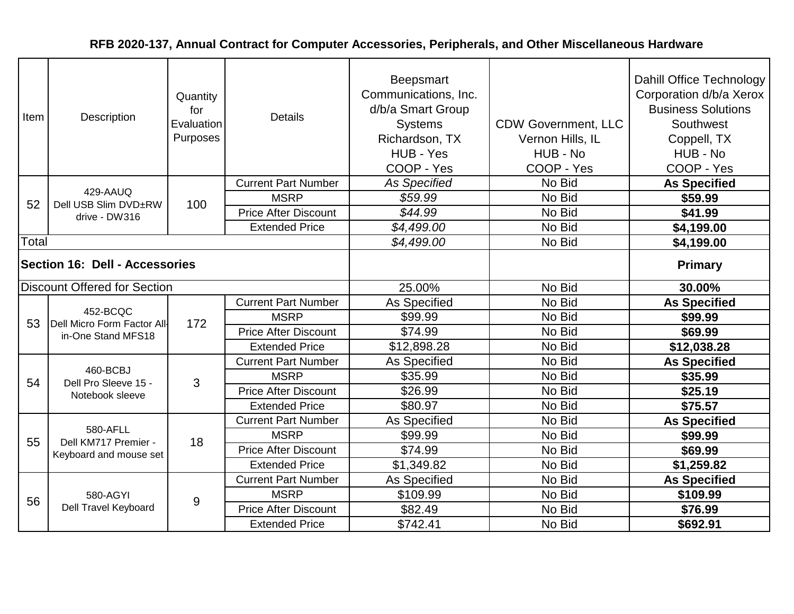| Item                                  | Description                                                   | Quantity<br>for<br>Evaluation<br>Purposes | <b>Details</b>              | <b>Beepsmart</b><br>Communications, Inc.<br>d/b/a Smart Group<br><b>Systems</b><br>Richardson, TX<br>HUB - Yes<br>COOP - Yes | <b>CDW Government, LLC</b><br>Vernon Hills, IL<br>HUB - No<br>COOP - Yes | Dahill Office Technology<br>Corporation d/b/a Xerox<br><b>Business Solutions</b><br>Southwest<br>Coppell, TX<br>HUB - No<br>COOP - Yes |
|---------------------------------------|---------------------------------------------------------------|-------------------------------------------|-----------------------------|------------------------------------------------------------------------------------------------------------------------------|--------------------------------------------------------------------------|----------------------------------------------------------------------------------------------------------------------------------------|
|                                       |                                                               |                                           | <b>Current Part Number</b>  | <b>As Specified</b>                                                                                                          | No Bid                                                                   | <b>As Specified</b>                                                                                                                    |
| 52                                    | 429-AAUQ<br>Dell USB Slim DVD±RW                              | 100                                       | <b>MSRP</b>                 | \$59.99                                                                                                                      | No Bid                                                                   | \$59.99                                                                                                                                |
|                                       | drive - DW316                                                 |                                           | <b>Price After Discount</b> | \$44.99                                                                                                                      | No Bid                                                                   | \$41.99                                                                                                                                |
|                                       |                                                               |                                           | <b>Extended Price</b>       | \$4,499.00                                                                                                                   | No Bid                                                                   | \$4,199.00                                                                                                                             |
| Total                                 |                                                               |                                           |                             | \$4,499.00                                                                                                                   | No Bid                                                                   | \$4,199.00                                                                                                                             |
| <b>Section 16: Dell - Accessories</b> |                                                               |                                           |                             |                                                                                                                              |                                                                          | <b>Primary</b>                                                                                                                         |
|                                       | <b>Discount Offered for Section</b>                           |                                           |                             | 25.00%                                                                                                                       | No Bid                                                                   | 30.00%                                                                                                                                 |
|                                       | 452-BCQC<br>Dell Micro Form Factor All-<br>in-One Stand MFS18 | 172                                       | <b>Current Part Number</b>  | As Specified                                                                                                                 | No Bid                                                                   | <b>As Specified</b>                                                                                                                    |
| 53                                    |                                                               |                                           | <b>MSRP</b>                 | \$99.99                                                                                                                      | No Bid                                                                   | \$99.99                                                                                                                                |
|                                       |                                                               |                                           | <b>Price After Discount</b> | \$74.99                                                                                                                      | No Bid                                                                   | \$69.99                                                                                                                                |
|                                       |                                                               |                                           | <b>Extended Price</b>       | \$12,898.28                                                                                                                  | No Bid                                                                   | \$12,038.28                                                                                                                            |
|                                       |                                                               |                                           | <b>Current Part Number</b>  | As Specified                                                                                                                 | No Bid                                                                   | <b>As Specified</b>                                                                                                                    |
| 54                                    | 460-BCBJ<br>Dell Pro Sleeve 15 -                              | 3                                         | <b>MSRP</b>                 | \$35.99                                                                                                                      | No Bid                                                                   | \$35.99                                                                                                                                |
|                                       | Notebook sleeve                                               |                                           | <b>Price After Discount</b> | \$26.99                                                                                                                      | No Bid                                                                   | \$25.19                                                                                                                                |
|                                       |                                                               |                                           | <b>Extended Price</b>       | \$80.97                                                                                                                      | No Bid                                                                   | \$75.57                                                                                                                                |
|                                       | 580-AFLL                                                      |                                           | <b>Current Part Number</b>  | As Specified                                                                                                                 | No Bid                                                                   | <b>As Specified</b>                                                                                                                    |
| 55                                    | Dell KM717 Premier -                                          | 18                                        | <b>MSRP</b>                 | \$99.99                                                                                                                      | No Bid                                                                   | \$99.99                                                                                                                                |
|                                       | Keyboard and mouse set                                        |                                           | <b>Price After Discount</b> | \$74.99                                                                                                                      | No Bid                                                                   | \$69.99                                                                                                                                |
|                                       |                                                               |                                           | <b>Extended Price</b>       | \$1,349.82                                                                                                                   | No Bid                                                                   | \$1,259.82                                                                                                                             |
|                                       |                                                               |                                           | <b>Current Part Number</b>  | As Specified                                                                                                                 | No Bid                                                                   | <b>As Specified</b>                                                                                                                    |
| 56                                    | 580-AGYI                                                      | $9\,$                                     | <b>MSRP</b>                 | \$109.99                                                                                                                     | No Bid                                                                   | \$109.99                                                                                                                               |
|                                       | Dell Travel Keyboard                                          |                                           | <b>Price After Discount</b> | \$82.49                                                                                                                      | No Bid                                                                   | \$76.99                                                                                                                                |
|                                       |                                                               |                                           | <b>Extended Price</b>       | \$742.41                                                                                                                     | No Bid                                                                   | \$692.91                                                                                                                               |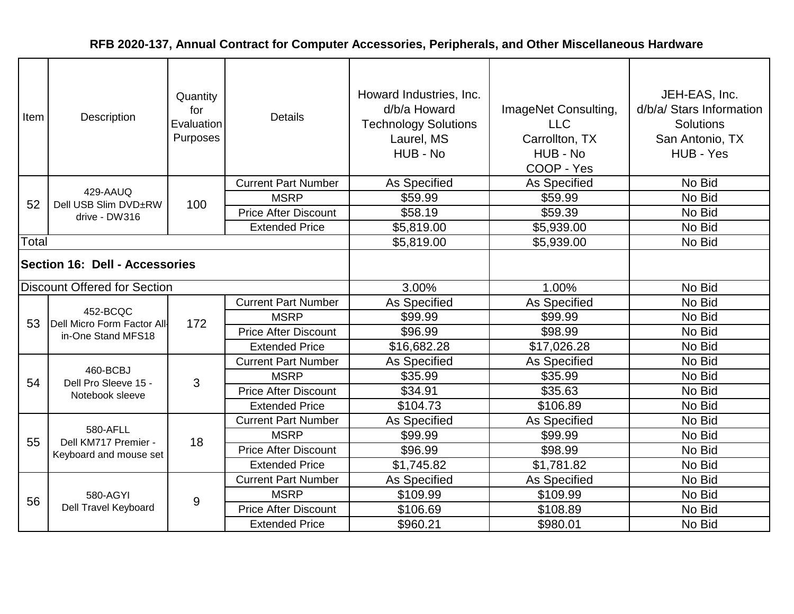| Item                                  | Description                                       | Quantity<br>for<br>Evaluation<br>Purposes | <b>Details</b>              | Howard Industries, Inc.<br>d/b/a Howard<br><b>Technology Solutions</b><br>Laurel, MS<br>HUB - No | ImageNet Consulting,<br><b>LLC</b><br>Carrollton, TX<br>HUB - No<br>COOP - Yes | JEH-EAS, Inc.<br>d/b/a/ Stars Information<br><b>Solutions</b><br>San Antonio, TX<br>HUB - Yes |
|---------------------------------------|---------------------------------------------------|-------------------------------------------|-----------------------------|--------------------------------------------------------------------------------------------------|--------------------------------------------------------------------------------|-----------------------------------------------------------------------------------------------|
|                                       | 429-AAUQ                                          |                                           | <b>Current Part Number</b>  | As Specified                                                                                     | As Specified                                                                   | No Bid                                                                                        |
| 52                                    | Dell USB Slim DVD±RW                              | 100                                       | <b>MSRP</b>                 | \$59.99                                                                                          | \$59.99                                                                        | No Bid                                                                                        |
|                                       | drive - DW316                                     |                                           | <b>Price After Discount</b> | \$58.19                                                                                          | \$59.39                                                                        | No Bid                                                                                        |
|                                       |                                                   |                                           | <b>Extended Price</b>       | \$5,819.00                                                                                       | \$5,939.00                                                                     | No Bid                                                                                        |
| Total                                 |                                                   |                                           |                             | \$5,819.00                                                                                       | \$5,939.00                                                                     | No Bid                                                                                        |
| <b>Section 16: Dell - Accessories</b> |                                                   |                                           |                             |                                                                                                  |                                                                                |                                                                                               |
|                                       | <b>Discount Offered for Section</b>               |                                           |                             | 3.00%                                                                                            | 1.00%                                                                          | No Bid                                                                                        |
|                                       | 452-BCQC                                          | 172                                       | <b>Current Part Number</b>  | As Specified                                                                                     | As Specified                                                                   | No Bid                                                                                        |
| 53                                    | Dell Micro Form Factor All-<br>in-One Stand MFS18 |                                           | <b>MSRP</b>                 | \$99.99                                                                                          | \$99.99                                                                        | No Bid                                                                                        |
|                                       |                                                   |                                           | <b>Price After Discount</b> | \$96.99                                                                                          | \$98.99                                                                        | No Bid                                                                                        |
|                                       |                                                   |                                           | <b>Extended Price</b>       | \$16,682.28                                                                                      | \$17,026.28                                                                    | No Bid                                                                                        |
|                                       | 460-BCBJ                                          |                                           | <b>Current Part Number</b>  | As Specified                                                                                     | <b>As Specified</b>                                                            | No Bid                                                                                        |
| 54                                    | Dell Pro Sleeve 15 -                              | 3                                         | <b>MSRP</b>                 | \$35.99                                                                                          | \$35.99                                                                        | No Bid                                                                                        |
|                                       | Notebook sleeve                                   |                                           | <b>Price After Discount</b> | \$34.91                                                                                          | \$35.63                                                                        | No Bid                                                                                        |
|                                       |                                                   |                                           | <b>Extended Price</b>       | \$104.73                                                                                         | \$106.89                                                                       | No Bid                                                                                        |
|                                       |                                                   |                                           | <b>Current Part Number</b>  | As Specified                                                                                     | As Specified                                                                   | No Bid                                                                                        |
| 55                                    | 580-AFLL<br>Dell KM717 Premier -                  | 18                                        | <b>MSRP</b>                 | \$99.99                                                                                          | \$99.99                                                                        | No Bid                                                                                        |
|                                       | Keyboard and mouse set                            |                                           | <b>Price After Discount</b> | \$96.99                                                                                          | \$98.99                                                                        | No Bid                                                                                        |
|                                       |                                                   |                                           | <b>Extended Price</b>       | \$1,745.82                                                                                       | \$1,781.82                                                                     | No Bid                                                                                        |
|                                       |                                                   |                                           | <b>Current Part Number</b>  | As Specified                                                                                     | As Specified                                                                   | No Bid                                                                                        |
| 56                                    | 580-AGYI                                          | $9$                                       | <b>MSRP</b>                 | \$109.99                                                                                         | \$109.99                                                                       | No Bid                                                                                        |
|                                       | Dell Travel Keyboard                              |                                           | <b>Price After Discount</b> | \$106.69                                                                                         | \$108.89                                                                       | No Bid                                                                                        |
|                                       |                                                   |                                           | <b>Extended Price</b>       | \$960.21                                                                                         | \$980.01                                                                       | No Bid                                                                                        |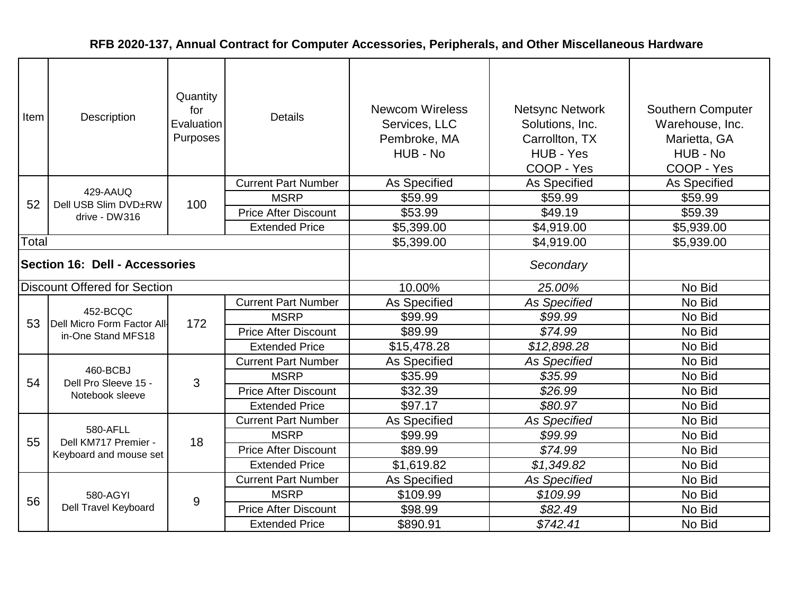| Item                                  | Quantity<br>for<br>Description<br>Evaluation<br>Purposes |                | <b>Details</b>              | <b>Newcom Wireless</b><br>Services, LLC<br>Pembroke, MA<br>HUB - No | <b>Netsync Network</b><br>Solutions, Inc.<br>Carrollton, TX<br>HUB - Yes<br>COOP - Yes | Southern Computer<br>Warehouse, Inc.<br>Marietta, GA<br>HUB - No<br>COOP - Yes |
|---------------------------------------|----------------------------------------------------------|----------------|-----------------------------|---------------------------------------------------------------------|----------------------------------------------------------------------------------------|--------------------------------------------------------------------------------|
|                                       | 429-AAUQ                                                 |                | <b>Current Part Number</b>  | <b>As Specified</b>                                                 | As Specified                                                                           | As Specified                                                                   |
| 52                                    | Dell USB Slim DVD±RW                                     | 100            | <b>MSRP</b>                 | \$59.99                                                             | \$59.99                                                                                | \$59.99                                                                        |
|                                       | drive - DW316                                            |                | <b>Price After Discount</b> | \$53.99                                                             | \$49.19                                                                                | \$59.39                                                                        |
|                                       |                                                          |                | <b>Extended Price</b>       | \$5,399.00                                                          | \$4,919.00                                                                             | \$5,939.00                                                                     |
| Total                                 |                                                          |                |                             | \$5,399.00                                                          | \$4,919.00                                                                             | \$5,939.00                                                                     |
| <b>Section 16: Dell - Accessories</b> |                                                          |                |                             |                                                                     | Secondary                                                                              |                                                                                |
|                                       | <b>Discount Offered for Section</b>                      |                |                             | 10.00%                                                              | 25.00%                                                                                 | No Bid                                                                         |
|                                       |                                                          |                | <b>Current Part Number</b>  | As Specified                                                        | <b>As Specified</b>                                                                    | No Bid                                                                         |
| 53                                    | 452-BCQC<br>Dell Micro Form Factor All-                  | 172            | <b>MSRP</b>                 | \$99.99                                                             | \$99.99                                                                                | No Bid                                                                         |
|                                       | in-One Stand MFS18                                       |                | <b>Price After Discount</b> | \$89.99                                                             | \$74.99                                                                                | No Bid                                                                         |
|                                       |                                                          |                | <b>Extended Price</b>       | \$15,478.28                                                         | \$12,898.28                                                                            | No Bid                                                                         |
|                                       |                                                          |                | <b>Current Part Number</b>  | As Specified                                                        | <b>As Specified</b>                                                                    | No Bid                                                                         |
| 54                                    | 460-BCBJ<br>Dell Pro Sleeve 15 -                         | 3              | <b>MSRP</b>                 | \$35.99                                                             | \$35.99                                                                                | No Bid                                                                         |
|                                       | Notebook sleeve                                          |                | <b>Price After Discount</b> | \$32.39                                                             | \$26.99                                                                                | No Bid                                                                         |
|                                       |                                                          |                | <b>Extended Price</b>       | \$97.17                                                             | \$80.97                                                                                | No Bid                                                                         |
|                                       |                                                          |                | <b>Current Part Number</b>  | As Specified                                                        | <b>As Specified</b>                                                                    | No Bid                                                                         |
| 55                                    | 580-AFLL<br>Dell KM717 Premier -                         | 18             | <b>MSRP</b>                 | \$99.99                                                             | \$99.99                                                                                | No Bid                                                                         |
|                                       | Keyboard and mouse set                                   |                | <b>Price After Discount</b> | \$89.99                                                             | \$74.99                                                                                | No Bid                                                                         |
|                                       |                                                          |                | <b>Extended Price</b>       | \$1,619.82                                                          | \$1,349.82                                                                             | No Bid                                                                         |
|                                       |                                                          |                | <b>Current Part Number</b>  | <b>As Specified</b>                                                 | <b>As Specified</b>                                                                    | No Bid                                                                         |
| 56                                    | 580-AGYI                                                 | $\overline{9}$ | <b>MSRP</b>                 | \$109.99                                                            | \$109.99                                                                               | No Bid                                                                         |
|                                       | Dell Travel Keyboard                                     |                | <b>Price After Discount</b> | \$98.99                                                             | \$82.49                                                                                | No Bid                                                                         |
|                                       |                                                          |                | <b>Extended Price</b>       | \$890.91                                                            | \$742.41                                                                               | No Bid                                                                         |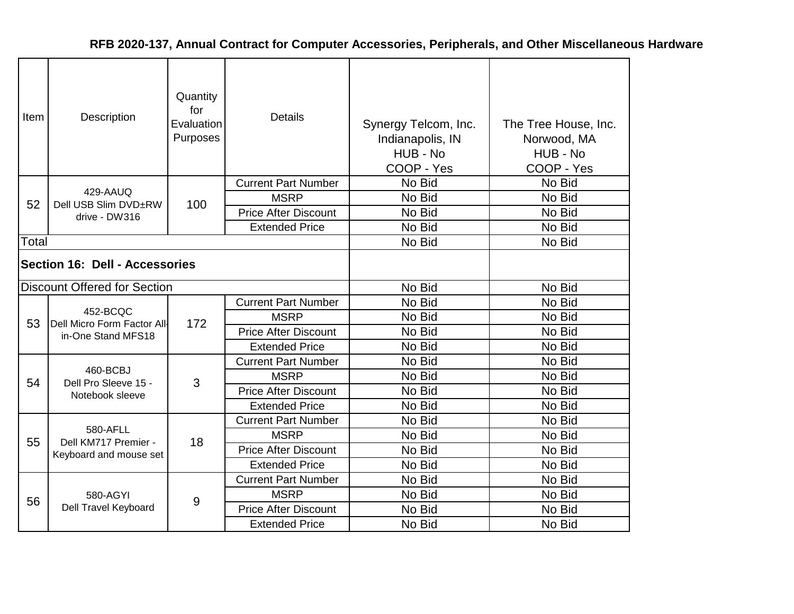| Item                           | Description                             | Quantity<br>for<br>Evaluation<br>Purposes | <b>Details</b>              | Synergy Telcom, Inc.<br>Indianapolis, IN<br>HUB - No<br>COOP - Yes | The Tree House, Inc.<br>Norwood, MA<br>HUB - No<br>COOP - Yes |
|--------------------------------|-----------------------------------------|-------------------------------------------|-----------------------------|--------------------------------------------------------------------|---------------------------------------------------------------|
|                                |                                         |                                           | <b>Current Part Number</b>  | No Bid                                                             | No Bid                                                        |
| 52                             | 429-AAUQ<br>Dell USB Slim DVD±RW        | 100                                       | <b>MSRP</b>                 | No Bid                                                             | No Bid                                                        |
|                                | drive - DW316                           |                                           | <b>Price After Discount</b> | No Bid                                                             | No Bid                                                        |
|                                |                                         |                                           | <b>Extended Price</b>       | No Bid                                                             | No Bid                                                        |
| Total                          |                                         |                                           |                             | No Bid                                                             | No Bid                                                        |
| Section 16: Dell - Accessories |                                         |                                           |                             |                                                                    |                                                               |
|                                | <b>Discount Offered for Section</b>     |                                           |                             | No Bid                                                             | No Bid                                                        |
|                                |                                         |                                           | <b>Current Part Number</b>  | No Bid                                                             | No Bid                                                        |
| 53                             | 452-BCQC<br>Dell Micro Form Factor All- | 172                                       | <b>MSRP</b>                 | No Bid                                                             | No Bid                                                        |
|                                | in-One Stand MFS18                      |                                           | <b>Price After Discount</b> | No Bid                                                             | No Bid                                                        |
|                                |                                         |                                           | <b>Extended Price</b>       | No Bid                                                             | No Bid                                                        |
|                                |                                         |                                           | <b>Current Part Number</b>  | No Bid                                                             | No Bid                                                        |
| 54                             | 460-BCBJ<br>Dell Pro Sleeve 15 -        | 3                                         | <b>MSRP</b>                 | No Bid                                                             | No Bid                                                        |
|                                | Notebook sleeve                         |                                           | <b>Price After Discount</b> | No Bid                                                             | No Bid                                                        |
|                                |                                         |                                           | <b>Extended Price</b>       | No Bid                                                             | No Bid                                                        |
|                                |                                         |                                           | <b>Current Part Number</b>  | No Bid                                                             | No Bid                                                        |
| 55                             | 580-AFLL<br>Dell KM717 Premier -        | 18                                        | <b>MSRP</b>                 | No Bid                                                             | No Bid                                                        |
|                                | Keyboard and mouse set                  |                                           | <b>Price After Discount</b> | No Bid                                                             | No Bid                                                        |
|                                |                                         |                                           | <b>Extended Price</b>       | No Bid                                                             | No Bid                                                        |
|                                |                                         |                                           | <b>Current Part Number</b>  | No Bid                                                             | No Bid                                                        |
| 56                             | 580-AGYI                                | 9                                         | <b>MSRP</b>                 | No Bid                                                             | No Bid                                                        |
|                                | Dell Travel Keyboard                    |                                           | <b>Price After Discount</b> | No Bid                                                             | No Bid                                                        |
|                                |                                         |                                           | <b>Extended Price</b>       | No Bid                                                             | No Bid                                                        |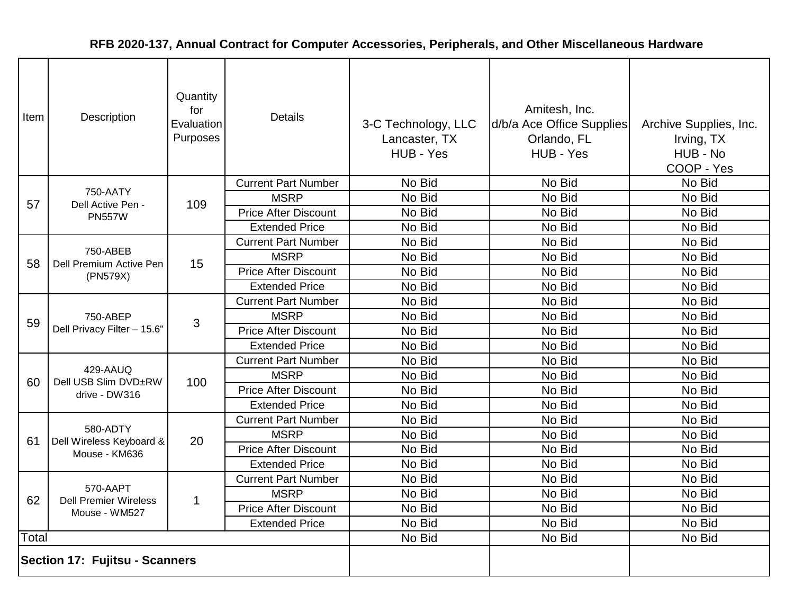| Item  | Description                             | Quantity<br>for<br>Evaluation<br>Purposes | <b>Details</b>              | 3-C Technology, LLC<br>Lancaster, TX<br>HUB - Yes | Amitesh, Inc.<br>d/b/a Ace Office Supplies<br>Orlando, FL<br>HUB - Yes | Archive Supplies, Inc.<br>Irving, TX<br>HUB - No<br>COOP - Yes |
|-------|-----------------------------------------|-------------------------------------------|-----------------------------|---------------------------------------------------|------------------------------------------------------------------------|----------------------------------------------------------------|
|       |                                         |                                           | <b>Current Part Number</b>  | No Bid                                            | No Bid                                                                 | No Bid                                                         |
| 57    | 750-AATY<br>Dell Active Pen -           | 109                                       | <b>MSRP</b>                 | No Bid                                            | No Bid                                                                 | No Bid                                                         |
|       | <b>PN557W</b>                           |                                           | <b>Price After Discount</b> | No Bid                                            | No Bid                                                                 | No Bid                                                         |
|       |                                         |                                           | <b>Extended Price</b>       | No Bid                                            | No Bid                                                                 | No Bid                                                         |
|       | 750-ABEB                                |                                           | <b>Current Part Number</b>  | No Bid                                            | No Bid                                                                 | No Bid                                                         |
| 58    | Dell Premium Active Pen                 | 15                                        | <b>MSRP</b>                 | No Bid                                            | No Bid                                                                 | No Bid                                                         |
|       | (PN579X)                                |                                           | <b>Price After Discount</b> | No Bid                                            | No Bid                                                                 | No Bid                                                         |
|       |                                         |                                           | <b>Extended Price</b>       | No Bid                                            | No Bid                                                                 | No Bid                                                         |
|       | 750-ABEP<br>Dell Privacy Filter - 15.6" |                                           | <b>Current Part Number</b>  | No Bid                                            | No Bid                                                                 | No Bid                                                         |
| 59    |                                         | 3                                         | <b>MSRP</b>                 | No Bid                                            | No Bid                                                                 | No Bid                                                         |
|       |                                         |                                           | <b>Price After Discount</b> | No Bid                                            | No Bid                                                                 | No Bid                                                         |
|       |                                         |                                           | <b>Extended Price</b>       | No Bid                                            | No Bid                                                                 | No Bid                                                         |
|       | 429-AAUQ                                | 100                                       | <b>Current Part Number</b>  | No Bid                                            | No Bid                                                                 | No Bid                                                         |
| 60    | Dell USB Slim DVD±RW                    |                                           | <b>MSRP</b>                 | No Bid                                            | No Bid                                                                 | No Bid                                                         |
|       | drive - DW316                           |                                           | <b>Price After Discount</b> | No Bid                                            | No Bid                                                                 | No Bid                                                         |
|       |                                         |                                           | <b>Extended Price</b>       | No Bid                                            | No Bid                                                                 | No Bid                                                         |
|       | 580-ADTY                                |                                           | <b>Current Part Number</b>  | No Bid                                            | No Bid                                                                 | No Bid                                                         |
| 61    | Dell Wireless Keyboard &                | 20                                        | <b>MSRP</b>                 | No Bid                                            | No Bid                                                                 | No Bid                                                         |
|       | Mouse - KM636                           |                                           | <b>Price After Discount</b> | No Bid                                            | No Bid                                                                 | No Bid                                                         |
|       |                                         |                                           | <b>Extended Price</b>       | No Bid                                            | No Bid                                                                 | No Bid                                                         |
|       | 570-AAPT                                |                                           | <b>Current Part Number</b>  | No Bid                                            | No Bid                                                                 | No Bid                                                         |
| 62    | <b>Dell Premier Wireless</b>            | $\mathbf{1}$                              | <b>MSRP</b>                 | No Bid                                            | No Bid                                                                 | No Bid                                                         |
|       | Mouse - WM527                           |                                           | <b>Price After Discount</b> | No Bid                                            | No Bid                                                                 | No Bid                                                         |
|       |                                         |                                           | <b>Extended Price</b>       | No Bid                                            | No Bid                                                                 | No Bid                                                         |
| Total |                                         |                                           |                             | No Bid                                            | No Bid                                                                 | No Bid                                                         |
|       | Section 17: Fujitsu - Scanners          |                                           |                             |                                                   |                                                                        |                                                                |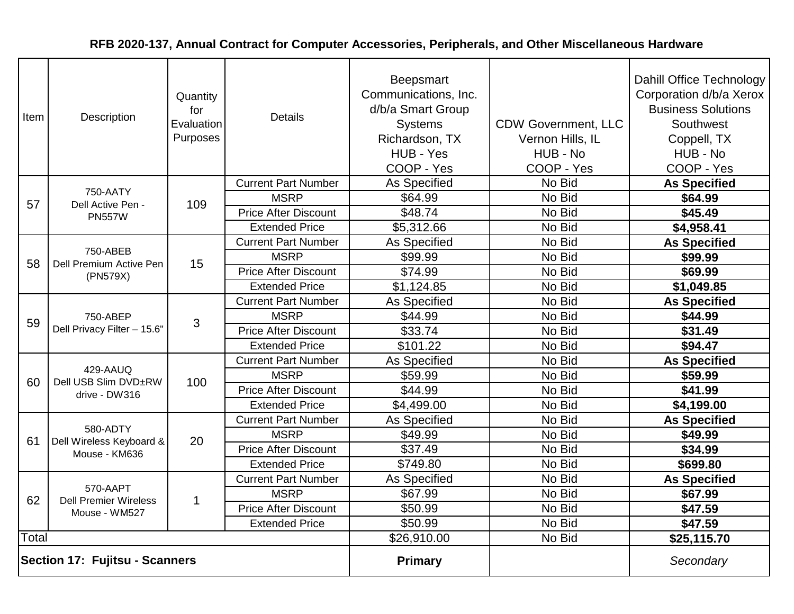| Item                           | Description                              | Quantity<br>for<br>Evaluation<br>Purposes | <b>Details</b>              | <b>Beepsmart</b><br>Communications, Inc.<br>d/b/a Smart Group<br><b>Systems</b><br>Richardson, TX<br>HUB - Yes<br>COOP - Yes | <b>CDW Government, LLC</b><br>Vernon Hills, IL<br>HUB - No<br>COOP - Yes | <b>Dahill Office Technology</b><br>Corporation d/b/a Xerox<br><b>Business Solutions</b><br>Southwest<br>Coppell, TX<br>HUB - No<br>COOP - Yes |
|--------------------------------|------------------------------------------|-------------------------------------------|-----------------------------|------------------------------------------------------------------------------------------------------------------------------|--------------------------------------------------------------------------|-----------------------------------------------------------------------------------------------------------------------------------------------|
|                                |                                          |                                           | <b>Current Part Number</b>  | As Specified                                                                                                                 | No Bid                                                                   | <b>As Specified</b>                                                                                                                           |
| 57                             | 750-AATY<br>Dell Active Pen -            | 109                                       | <b>MSRP</b>                 | \$64.99                                                                                                                      | No Bid                                                                   | \$64.99                                                                                                                                       |
|                                | <b>PN557W</b>                            |                                           | <b>Price After Discount</b> | \$48.74                                                                                                                      | No Bid                                                                   | \$45.49                                                                                                                                       |
|                                |                                          |                                           | <b>Extended Price</b>       | \$5,312.66                                                                                                                   | No Bid                                                                   | \$4,958.41                                                                                                                                    |
|                                |                                          |                                           | <b>Current Part Number</b>  | As Specified                                                                                                                 | No Bid                                                                   | <b>As Specified</b>                                                                                                                           |
| 58                             | 750-ABEB<br>Dell Premium Active Pen      | 15                                        | <b>MSRP</b>                 | \$99.99                                                                                                                      | No Bid                                                                   | \$99.99                                                                                                                                       |
|                                | (PN579X)                                 |                                           | <b>Price After Discount</b> | \$74.99                                                                                                                      | No Bid                                                                   | \$69.99                                                                                                                                       |
|                                |                                          |                                           | <b>Extended Price</b>       | \$1,124.85                                                                                                                   | No Bid                                                                   | \$1,049.85                                                                                                                                    |
|                                | 750-ABEP<br>Dell Privacy Filter - 15.6"  |                                           | <b>Current Part Number</b>  | As Specified                                                                                                                 | No Bid                                                                   | <b>As Specified</b>                                                                                                                           |
| 59                             |                                          | 3                                         | <b>MSRP</b>                 | \$44.99                                                                                                                      | No Bid                                                                   | \$44.99                                                                                                                                       |
|                                |                                          |                                           | <b>Price After Discount</b> | \$33.74                                                                                                                      | No Bid                                                                   | \$31.49                                                                                                                                       |
|                                |                                          |                                           | <b>Extended Price</b>       | \$101.22                                                                                                                     | No Bid                                                                   | \$94.47                                                                                                                                       |
|                                |                                          | 100                                       | <b>Current Part Number</b>  | As Specified                                                                                                                 | No Bid                                                                   | <b>As Specified</b>                                                                                                                           |
| 60                             | 429-AAUQ<br>Dell USB Slim DVD±RW         |                                           | <b>MSRP</b>                 | \$59.99                                                                                                                      | No Bid                                                                   | \$59.99                                                                                                                                       |
|                                | drive - DW316                            |                                           | <b>Price After Discount</b> | \$44.99                                                                                                                      | No Bid                                                                   | \$41.99                                                                                                                                       |
|                                |                                          |                                           | <b>Extended Price</b>       | \$4,499.00                                                                                                                   | No Bid                                                                   | \$4,199.00                                                                                                                                    |
|                                |                                          |                                           | <b>Current Part Number</b>  | As Specified                                                                                                                 | No Bid                                                                   | <b>As Specified</b>                                                                                                                           |
| 61                             | 580-ADTY<br>Dell Wireless Keyboard &     | 20                                        | <b>MSRP</b>                 | \$49.99                                                                                                                      | No Bid                                                                   | \$49.99                                                                                                                                       |
|                                | Mouse - KM636                            |                                           | <b>Price After Discount</b> | \$37.49                                                                                                                      | No Bid                                                                   | \$34.99                                                                                                                                       |
|                                |                                          |                                           | <b>Extended Price</b>       | \$749.80                                                                                                                     | No Bid                                                                   | \$699.80                                                                                                                                      |
|                                |                                          |                                           | <b>Current Part Number</b>  | As Specified                                                                                                                 | No Bid                                                                   | <b>As Specified</b>                                                                                                                           |
| 62                             | 570-AAPT<br><b>Dell Premier Wireless</b> | $\mathbf{1}$                              | <b>MSRP</b>                 | \$67.99                                                                                                                      | No Bid                                                                   | \$67.99                                                                                                                                       |
|                                | Mouse - WM527                            |                                           | <b>Price After Discount</b> | \$50.99                                                                                                                      | No Bid                                                                   | \$47.59                                                                                                                                       |
|                                |                                          |                                           | <b>Extended Price</b>       | \$50.99                                                                                                                      | No Bid                                                                   | \$47.59                                                                                                                                       |
| Total                          |                                          |                                           |                             | \$26,910.00                                                                                                                  | No Bid                                                                   | \$25,115.70                                                                                                                                   |
| Section 17: Fujitsu - Scanners |                                          |                                           |                             | <b>Primary</b>                                                                                                               |                                                                          | Secondary                                                                                                                                     |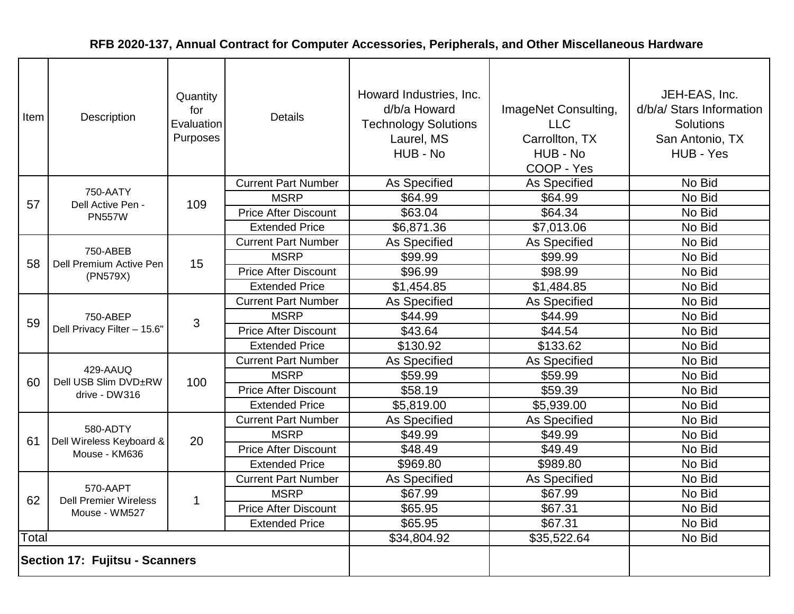| Item | Description                             | Quantity<br>for<br>Evaluation<br>Purposes | <b>Details</b>              | Howard Industries, Inc.<br>d/b/a Howard<br><b>Technology Solutions</b><br>Laurel, MS<br>HUB - No | ImageNet Consulting,<br><b>LLC</b><br>Carrollton, TX<br>HUB - No<br>COOP - Yes | JEH-EAS, Inc.<br>d/b/a/ Stars Information<br><b>Solutions</b><br>San Antonio, TX<br>HUB - Yes |
|------|-----------------------------------------|-------------------------------------------|-----------------------------|--------------------------------------------------------------------------------------------------|--------------------------------------------------------------------------------|-----------------------------------------------------------------------------------------------|
|      | 750-AATY                                |                                           | <b>Current Part Number</b>  | As Specified                                                                                     | As Specified                                                                   | No Bid                                                                                        |
| 57   | Dell Active Pen -                       | 109                                       | <b>MSRP</b>                 | \$64.99                                                                                          | \$64.99                                                                        | No Bid                                                                                        |
|      | <b>PN557W</b>                           |                                           | <b>Price After Discount</b> | \$63.04                                                                                          | \$64.34                                                                        | No Bid                                                                                        |
|      |                                         |                                           | <b>Extended Price</b>       | \$6,871.36                                                                                       | \$7,013.06                                                                     | No Bid                                                                                        |
|      |                                         |                                           | <b>Current Part Number</b>  | As Specified                                                                                     | As Specified                                                                   | No Bid                                                                                        |
| 58   | 750-ABEB<br>Dell Premium Active Pen     | 15                                        | <b>MSRP</b>                 | \$99.99                                                                                          | \$99.99                                                                        | No Bid                                                                                        |
|      | (PN579X)                                |                                           | <b>Price After Discount</b> | \$96.99                                                                                          | \$98.99                                                                        | No Bid                                                                                        |
|      |                                         |                                           | <b>Extended Price</b>       | \$1,454.85                                                                                       | \$1,484.85                                                                     | No Bid                                                                                        |
|      | 750-ABEP<br>Dell Privacy Filter - 15.6" |                                           | <b>Current Part Number</b>  | As Specified                                                                                     | As Specified                                                                   | No Bid                                                                                        |
| 59   |                                         | 3                                         | <b>MSRP</b>                 | \$44.99                                                                                          | \$44.99                                                                        | No Bid                                                                                        |
|      |                                         |                                           | <b>Price After Discount</b> | \$43.64                                                                                          | \$44.54                                                                        | No Bid                                                                                        |
|      |                                         |                                           | <b>Extended Price</b>       | \$130.92                                                                                         | \$133.62                                                                       | No Bid                                                                                        |
|      | 429-AAUQ                                | 100                                       | <b>Current Part Number</b>  | As Specified                                                                                     | As Specified                                                                   | No Bid                                                                                        |
| 60   | Dell USB Slim DVD±RW                    |                                           | <b>MSRP</b>                 | \$59.99                                                                                          | \$59.99                                                                        | No Bid                                                                                        |
|      | drive - DW316                           |                                           | <b>Price After Discount</b> | \$58.19                                                                                          | \$59.39                                                                        | No Bid                                                                                        |
|      |                                         |                                           | <b>Extended Price</b>       | \$5,819.00                                                                                       | \$5,939.00                                                                     | No Bid                                                                                        |
|      |                                         |                                           | <b>Current Part Number</b>  | As Specified                                                                                     | As Specified                                                                   | No Bid                                                                                        |
| 61   | 580-ADTY<br>Dell Wireless Keyboard &    | 20                                        | <b>MSRP</b>                 | \$49.99                                                                                          | \$49.99                                                                        | No Bid                                                                                        |
|      | Mouse - KM636                           |                                           | <b>Price After Discount</b> | \$48.49                                                                                          | \$49.49                                                                        | No Bid                                                                                        |
|      |                                         |                                           | <b>Extended Price</b>       | \$969.80                                                                                         | \$989.80                                                                       | No Bid                                                                                        |
|      | 570-AAPT                                |                                           | <b>Current Part Number</b>  | As Specified                                                                                     | As Specified                                                                   | No Bid                                                                                        |
| 62   | <b>Dell Premier Wireless</b>            | $\mathbf{1}$                              | <b>MSRP</b>                 | \$67.99                                                                                          | \$67.99                                                                        | No Bid                                                                                        |
|      | Mouse - WM527                           |                                           | <b>Price After Discount</b> | \$65.95                                                                                          | \$67.31                                                                        | No Bid                                                                                        |
|      |                                         |                                           | <b>Extended Price</b>       | \$65.95                                                                                          | \$67.31                                                                        | No Bid                                                                                        |
|      | Total                                   |                                           |                             | \$34,804.92                                                                                      | \$35,522.64                                                                    | No Bid                                                                                        |
|      | <b>Section 17: Fujitsu - Scanners</b>   |                                           |                             |                                                                                                  |                                                                                |                                                                                               |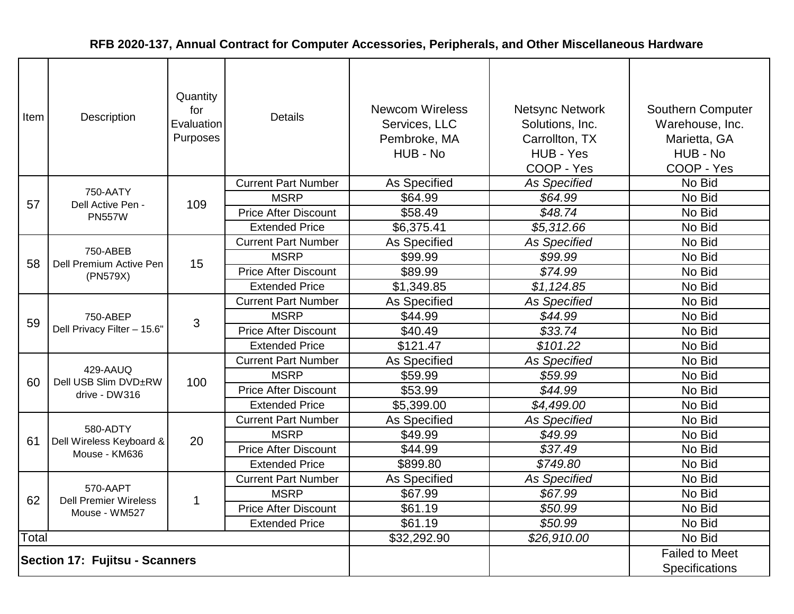| Item                                  | Description                             | Quantity<br>for<br>Evaluation<br>Purposes | <b>Details</b>              | <b>Newcom Wireless</b><br>Services, LLC<br>Pembroke, MA<br>HUB - No | <b>Netsync Network</b><br>Solutions, Inc.<br>Carrollton, TX<br>HUB - Yes<br>COOP - Yes | <b>Southern Computer</b><br>Warehouse, Inc.<br>Marietta, GA<br>HUB - No<br>COOP - Yes |
|---------------------------------------|-----------------------------------------|-------------------------------------------|-----------------------------|---------------------------------------------------------------------|----------------------------------------------------------------------------------------|---------------------------------------------------------------------------------------|
|                                       |                                         |                                           | <b>Current Part Number</b>  | As Specified                                                        | <b>As Specified</b>                                                                    | No Bid                                                                                |
| 57                                    | 750-AATY<br>Dell Active Pen -           | 109                                       | <b>MSRP</b>                 | \$64.99                                                             | \$64.99                                                                                | No Bid                                                                                |
|                                       | <b>PN557W</b>                           |                                           | <b>Price After Discount</b> | \$58.49                                                             | \$48.74                                                                                | No Bid                                                                                |
|                                       |                                         |                                           | <b>Extended Price</b>       | \$6,375.41                                                          | \$5,312.66                                                                             | No Bid                                                                                |
|                                       |                                         |                                           | <b>Current Part Number</b>  | As Specified                                                        | <b>As Specified</b>                                                                    | No Bid                                                                                |
| 58                                    | 750-ABEB<br>Dell Premium Active Pen     | 15                                        | <b>MSRP</b>                 | \$99.99                                                             | \$99.99                                                                                | No Bid                                                                                |
|                                       | (PN579X)                                |                                           | <b>Price After Discount</b> | \$89.99                                                             | \$74.99                                                                                | No Bid                                                                                |
|                                       |                                         |                                           | <b>Extended Price</b>       | \$1,349.85                                                          | \$1,124.85                                                                             | No Bid                                                                                |
|                                       | 750-ABEP<br>Dell Privacy Filter - 15.6" |                                           | <b>Current Part Number</b>  | As Specified                                                        | <b>As Specified</b>                                                                    | No Bid                                                                                |
| 59                                    |                                         | 3                                         | <b>MSRP</b>                 | \$44.99                                                             | \$44.99                                                                                | No Bid                                                                                |
|                                       |                                         |                                           | <b>Price After Discount</b> | \$40.49                                                             | \$33.74                                                                                | No Bid                                                                                |
|                                       |                                         |                                           | <b>Extended Price</b>       | \$121.47                                                            | \$101.22                                                                               | No Bid                                                                                |
|                                       | 429-AAUQ                                | 100                                       | <b>Current Part Number</b>  | As Specified                                                        | <b>As Specified</b>                                                                    | No Bid                                                                                |
| 60                                    | Dell USB Slim DVD±RW                    |                                           | <b>MSRP</b>                 | \$59.99                                                             | \$59.99                                                                                | No Bid                                                                                |
|                                       | drive - DW316                           |                                           | <b>Price After Discount</b> | \$53.99                                                             | \$44.99                                                                                | No Bid                                                                                |
|                                       |                                         |                                           | <b>Extended Price</b>       | \$5,399.00                                                          | \$4,499.00                                                                             | No Bid                                                                                |
|                                       |                                         |                                           | <b>Current Part Number</b>  | As Specified                                                        | <b>As Specified</b>                                                                    | No Bid                                                                                |
| 61                                    | 580-ADTY<br>Dell Wireless Keyboard &    | 20                                        | <b>MSRP</b>                 | \$49.99                                                             | \$49.99                                                                                | No Bid                                                                                |
|                                       | Mouse - KM636                           |                                           | <b>Price After Discount</b> | \$44.99                                                             | \$37.49                                                                                | No Bid                                                                                |
|                                       |                                         |                                           | <b>Extended Price</b>       | \$899.80                                                            | \$749.80                                                                               | No Bid                                                                                |
|                                       | 570-AAPT                                |                                           | <b>Current Part Number</b>  | As Specified                                                        | <b>As Specified</b>                                                                    | No Bid                                                                                |
| 62                                    | <b>Dell Premier Wireless</b>            | $\mathbf 1$                               | <b>MSRP</b>                 | \$67.99                                                             | \$67.99                                                                                | No Bid                                                                                |
|                                       | Mouse - WM527                           |                                           | <b>Price After Discount</b> | \$61.19                                                             | \$50.99                                                                                | No Bid                                                                                |
|                                       | <b>Extended Price</b>                   |                                           |                             | \$61.19                                                             | \$50.99                                                                                | No Bid                                                                                |
| Total                                 |                                         |                                           |                             | \$32,292.90                                                         | \$26,910.00                                                                            | No Bid                                                                                |
| <b>Section 17: Fujitsu - Scanners</b> |                                         |                                           |                             |                                                                     |                                                                                        | <b>Failed to Meet</b>                                                                 |
|                                       |                                         |                                           |                             |                                                                     |                                                                                        | Specifications                                                                        |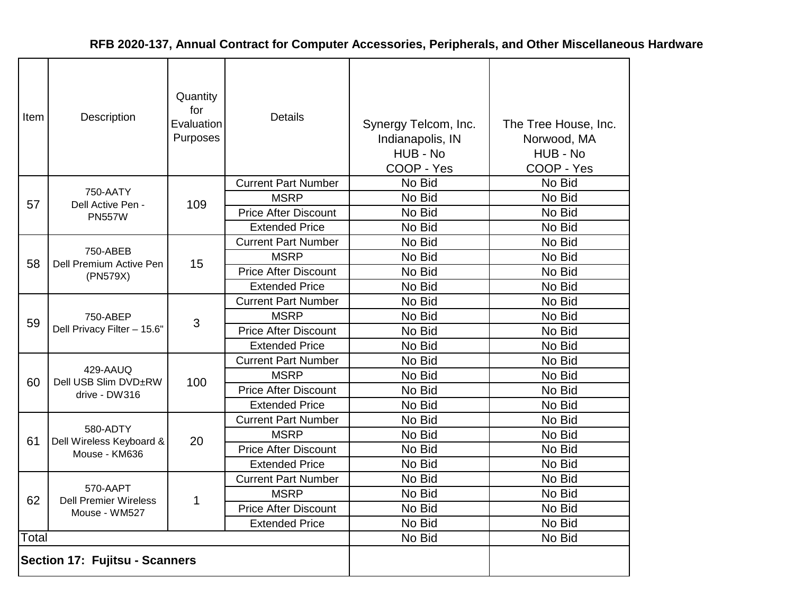| Item  | Description                                     | Quantity<br>for<br>Evaluation<br>Purposes | Details                     | Synergy Telcom, Inc.<br>Indianapolis, IN<br>HUB - No<br>COOP - Yes | The Tree House, Inc.<br>Norwood, MA<br>HUB - No<br>COOP - Yes |
|-------|-------------------------------------------------|-------------------------------------------|-----------------------------|--------------------------------------------------------------------|---------------------------------------------------------------|
|       |                                                 |                                           | <b>Current Part Number</b>  | No Bid                                                             | No Bid                                                        |
| 57    | 750-AATY<br>Dell Active Pen -                   | 109                                       | <b>MSRP</b>                 | No Bid                                                             | No Bid                                                        |
|       | <b>PN557W</b>                                   |                                           | <b>Price After Discount</b> | No Bid                                                             | No Bid                                                        |
|       |                                                 |                                           | <b>Extended Price</b>       | No Bid                                                             | No Bid                                                        |
|       |                                                 |                                           | <b>Current Part Number</b>  | No Bid                                                             | No Bid                                                        |
| 58    | 750-ABEB<br>Dell Premium Active Pen<br>(PN579X) | 15                                        | <b>MSRP</b>                 | No Bid                                                             | No Bid                                                        |
|       |                                                 |                                           | <b>Price After Discount</b> | No Bid                                                             | No Bid                                                        |
|       |                                                 |                                           | <b>Extended Price</b>       | No Bid                                                             | No Bid                                                        |
|       | 750-ABEP<br>Dell Privacy Filter - 15.6"         |                                           | <b>Current Part Number</b>  | No Bid                                                             | No Bid                                                        |
| 59    |                                                 | 3                                         | <b>MSRP</b>                 | No Bid                                                             | No Bid                                                        |
|       |                                                 |                                           | <b>Price After Discount</b> | No Bid                                                             | No Bid                                                        |
|       |                                                 |                                           | <b>Extended Price</b>       | No Bid                                                             | No Bid                                                        |
|       |                                                 |                                           | <b>Current Part Number</b>  | No Bid                                                             | No Bid                                                        |
| 60    | 429-AAUQ<br>Dell USB Slim DVD±RW                | 100                                       | <b>MSRP</b>                 | No Bid                                                             | No Bid                                                        |
|       | drive - DW316                                   |                                           | <b>Price After Discount</b> | No Bid                                                             | No Bid                                                        |
|       |                                                 |                                           | <b>Extended Price</b>       | No Bid                                                             | No Bid                                                        |
|       |                                                 |                                           | <b>Current Part Number</b>  | No Bid                                                             | No Bid                                                        |
| 61    | 580-ADTY<br>Dell Wireless Keyboard &            | 20                                        | <b>MSRP</b>                 | No Bid                                                             | No Bid                                                        |
|       | Mouse - KM636                                   |                                           | <b>Price After Discount</b> | No Bid                                                             | No Bid                                                        |
|       |                                                 |                                           | <b>Extended Price</b>       | No Bid                                                             | No Bid                                                        |
|       |                                                 |                                           | <b>Current Part Number</b>  | No Bid                                                             | No Bid                                                        |
| 62    | 570-AAPT<br><b>Dell Premier Wireless</b>        | 1                                         | <b>MSRP</b>                 | No Bid                                                             | No Bid                                                        |
|       | Mouse - WM527                                   |                                           | <b>Price After Discount</b> | No Bid                                                             | No Bid                                                        |
|       |                                                 |                                           | <b>Extended Price</b>       | No Bid                                                             | No Bid                                                        |
| Total |                                                 |                                           |                             | No Bid                                                             | No Bid                                                        |
|       | <b>Section 17: Fujitsu - Scanners</b>           |                                           |                             |                                                                    |                                                               |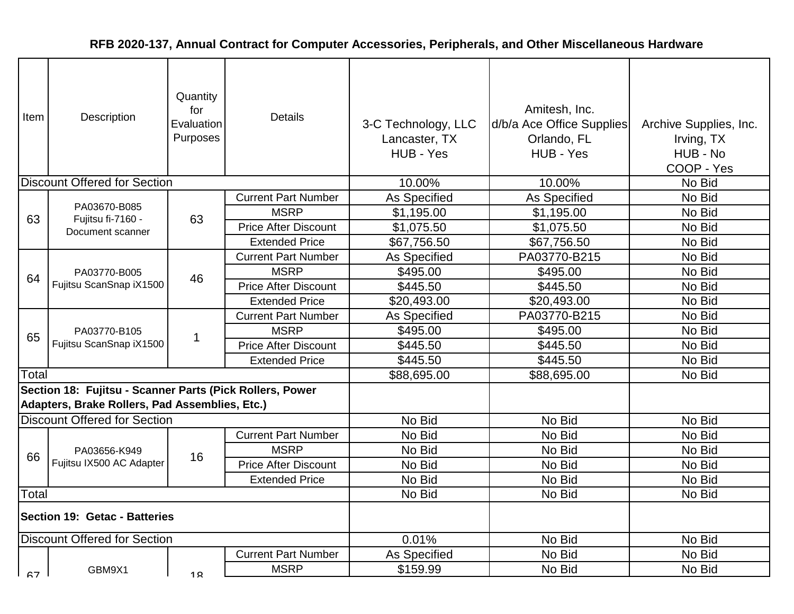| Item                          | Description                                                                                                | Quantity<br>for<br>Evaluation<br>Purposes | <b>Details</b>              | 3-C Technology, LLC<br>Lancaster, TX<br>HUB - Yes | Amitesh, Inc.<br>d/b/a Ace Office Supplies<br>Orlando, FL<br>HUB - Yes | Archive Supplies, Inc.<br>Irving, TX<br>HUB - No<br>COOP - Yes |
|-------------------------------|------------------------------------------------------------------------------------------------------------|-------------------------------------------|-----------------------------|---------------------------------------------------|------------------------------------------------------------------------|----------------------------------------------------------------|
|                               | <b>Discount Offered for Section</b>                                                                        |                                           |                             | 10.00%                                            | 10.00%                                                                 | No Bid                                                         |
|                               | PA03670-B085                                                                                               |                                           | <b>Current Part Number</b>  | <b>As Specified</b>                               | As Specified                                                           | No Bid                                                         |
| 63                            | Fujitsu fi-7160 -                                                                                          | 63                                        | <b>MSRP</b>                 | \$1,195.00                                        | \$1,195.00                                                             | No Bid                                                         |
|                               | Document scanner                                                                                           |                                           | <b>Price After Discount</b> | \$1,075.50                                        | \$1,075.50                                                             | No Bid                                                         |
|                               |                                                                                                            |                                           | <b>Extended Price</b>       | \$67,756.50                                       | \$67,756.50                                                            | No Bid                                                         |
|                               |                                                                                                            |                                           | <b>Current Part Number</b>  | As Specified                                      | PA03770-B215                                                           | No Bid                                                         |
| 64                            | PA03770-B005<br>Fujitsu ScanSnap iX1500                                                                    | 46                                        | <b>MSRP</b>                 | \$495.00                                          | \$495.00                                                               | No Bid                                                         |
|                               |                                                                                                            |                                           | <b>Price After Discount</b> | \$445.50                                          | \$445.50                                                               | No Bid                                                         |
|                               |                                                                                                            |                                           | <b>Extended Price</b>       | \$20,493.00                                       | \$20,493.00                                                            | No Bid                                                         |
|                               | PA03770-B105<br>Fujitsu ScanSnap iX1500                                                                    |                                           | <b>Current Part Number</b>  | As Specified                                      | PA03770-B215                                                           | No Bid                                                         |
| 65                            |                                                                                                            | 1                                         | <b>MSRP</b>                 | \$495.00                                          | \$495.00                                                               | No Bid                                                         |
|                               |                                                                                                            |                                           | <b>Price After Discount</b> | \$445.50                                          | \$445.50                                                               | No Bid                                                         |
|                               |                                                                                                            |                                           | <b>Extended Price</b>       | \$445.50                                          | \$445.50                                                               | No Bid                                                         |
| Total                         |                                                                                                            |                                           |                             | \$88,695.00                                       | \$88,695.00                                                            | No Bid                                                         |
|                               | Section 18: Fujitsu - Scanner Parts (Pick Rollers, Power<br>Adapters, Brake Rollers, Pad Assemblies, Etc.) |                                           |                             |                                                   |                                                                        |                                                                |
|                               | <b>Discount Offered for Section</b>                                                                        |                                           |                             | No Bid                                            | No Bid                                                                 | No Bid                                                         |
|                               |                                                                                                            |                                           | <b>Current Part Number</b>  | No Bid                                            | No Bid                                                                 | No Bid                                                         |
| 66                            | PA03656-K949                                                                                               | 16                                        | <b>MSRP</b>                 | No Bid                                            | No Bid                                                                 | No Bid                                                         |
|                               | Fujitsu IX500 AC Adapter                                                                                   |                                           | <b>Price After Discount</b> | No Bid                                            | No Bid                                                                 | No Bid                                                         |
|                               |                                                                                                            |                                           | <b>Extended Price</b>       | No Bid                                            | No Bid                                                                 | No Bid                                                         |
| Total                         |                                                                                                            |                                           |                             | No Bid                                            | No Bid                                                                 | No Bid                                                         |
| Section 19: Getac - Batteries |                                                                                                            |                                           |                             |                                                   |                                                                        |                                                                |
|                               | Discount Offered for Section                                                                               |                                           |                             | 0.01%                                             | No Bid                                                                 | No Bid                                                         |
|                               |                                                                                                            |                                           | <b>Current Part Number</b>  | As Specified                                      | No Bid                                                                 | No Bid                                                         |
| <b>67</b>                     | GBM9X1                                                                                                     | 1 <sub>Q</sub>                            | <b>MSRP</b>                 | \$159.99                                          | No Bid                                                                 | No Bid                                                         |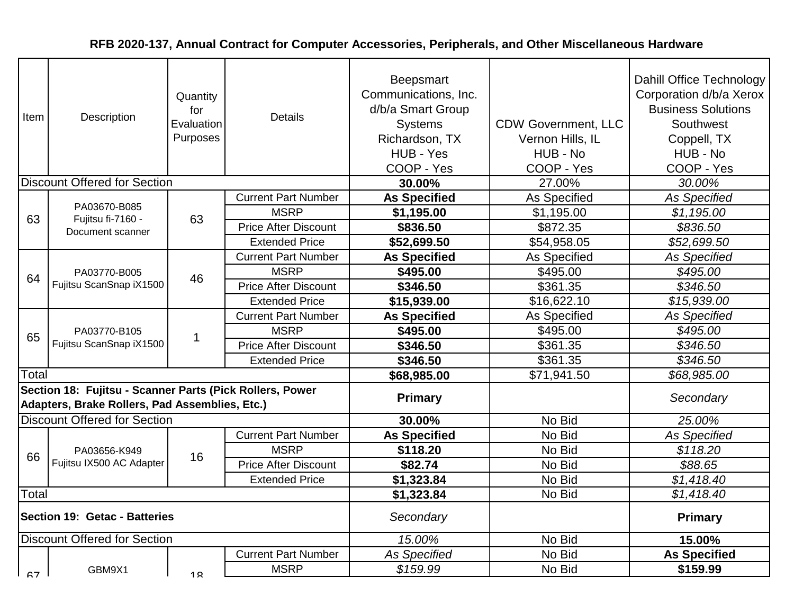| Item  | Description                                                                                                | Quantity<br>for<br>Evaluation<br>Purposes | <b>Details</b>              | Beepsmart<br>Communications, Inc.<br>d/b/a Smart Group<br><b>Systems</b><br>Richardson, TX<br>HUB - Yes<br>COOP - Yes | <b>CDW Government, LLC</b><br>Vernon Hills, IL<br>HUB - No<br>COOP - Yes | Dahill Office Technology<br>Corporation d/b/a Xerox<br><b>Business Solutions</b><br>Southwest<br>Coppell, TX<br>HUB - No<br>COOP - Yes |
|-------|------------------------------------------------------------------------------------------------------------|-------------------------------------------|-----------------------------|-----------------------------------------------------------------------------------------------------------------------|--------------------------------------------------------------------------|----------------------------------------------------------------------------------------------------------------------------------------|
|       | <b>Discount Offered for Section</b>                                                                        |                                           |                             | 30.00%                                                                                                                | 27.00%                                                                   | 30.00%                                                                                                                                 |
|       |                                                                                                            |                                           | <b>Current Part Number</b>  | <b>As Specified</b>                                                                                                   | As Specified                                                             | As Specified                                                                                                                           |
| 63    | PA03670-B085<br>Fujitsu fi-7160 -                                                                          | 63                                        | <b>MSRP</b>                 | \$1,195.00                                                                                                            | \$1,195.00                                                               | \$1,195.00                                                                                                                             |
|       | Document scanner                                                                                           |                                           | <b>Price After Discount</b> | \$836.50                                                                                                              | \$872.35                                                                 | \$836.50                                                                                                                               |
|       |                                                                                                            |                                           | <b>Extended Price</b>       | \$52,699.50                                                                                                           | \$54,958.05                                                              | \$52,699.50                                                                                                                            |
|       |                                                                                                            |                                           | <b>Current Part Number</b>  | <b>As Specified</b>                                                                                                   | As Specified                                                             | As Specified                                                                                                                           |
| 64    | PA03770-B005<br>Fujitsu ScanSnap iX1500                                                                    | 46                                        | <b>MSRP</b>                 | \$495.00                                                                                                              | \$495.00                                                                 | \$495.00                                                                                                                               |
|       |                                                                                                            |                                           | <b>Price After Discount</b> | \$346.50                                                                                                              | \$361.35                                                                 | \$346.50                                                                                                                               |
|       |                                                                                                            |                                           | <b>Extended Price</b>       | \$15,939.00                                                                                                           | \$16,622.10                                                              | \$15,939.00                                                                                                                            |
|       | PA03770-B105<br>Fujitsu ScanSnap iX1500                                                                    |                                           | <b>Current Part Number</b>  | <b>As Specified</b>                                                                                                   | As Specified                                                             | <b>As Specified</b>                                                                                                                    |
| 65    |                                                                                                            | 1                                         | <b>MSRP</b>                 | \$495.00                                                                                                              | \$495.00                                                                 | \$495.00                                                                                                                               |
|       |                                                                                                            |                                           | <b>Price After Discount</b> | \$346.50                                                                                                              | \$361.35                                                                 | \$346.50                                                                                                                               |
|       |                                                                                                            |                                           | <b>Extended Price</b>       | \$346.50                                                                                                              | \$361.35                                                                 | \$346.50                                                                                                                               |
| Total |                                                                                                            |                                           |                             | \$68,985.00                                                                                                           | \$71,941.50                                                              | \$68,985.00                                                                                                                            |
|       | Section 18: Fujitsu - Scanner Parts (Pick Rollers, Power<br>Adapters, Brake Rollers, Pad Assemblies, Etc.) |                                           |                             | <b>Primary</b>                                                                                                        |                                                                          | Secondary                                                                                                                              |
|       | <b>Discount Offered for Section</b>                                                                        |                                           |                             | 30.00%                                                                                                                | No Bid                                                                   | 25.00%                                                                                                                                 |
|       |                                                                                                            |                                           | <b>Current Part Number</b>  | <b>As Specified</b>                                                                                                   | No Bid                                                                   | As Specified                                                                                                                           |
| 66    | PA03656-K949                                                                                               | 16                                        | <b>MSRP</b>                 | \$118.20                                                                                                              | No Bid                                                                   | \$118.20                                                                                                                               |
|       | Fujitsu IX500 AC Adapter                                                                                   |                                           | <b>Price After Discount</b> | \$82.74                                                                                                               | No Bid                                                                   | \$88.65                                                                                                                                |
|       |                                                                                                            |                                           | <b>Extended Price</b>       | \$1,323.84                                                                                                            | No Bid                                                                   | \$1,418.40                                                                                                                             |
| Total |                                                                                                            |                                           |                             | \$1,323.84                                                                                                            | No Bid                                                                   | \$1,418.40                                                                                                                             |
|       | Section 19: Getac - Batteries                                                                              |                                           |                             | Secondary                                                                                                             |                                                                          | <b>Primary</b>                                                                                                                         |
|       | Discount Offered for Section                                                                               |                                           |                             | 15.00%                                                                                                                | No Bid                                                                   | 15.00%                                                                                                                                 |
|       |                                                                                                            |                                           | <b>Current Part Number</b>  | <b>As Specified</b>                                                                                                   | No Bid                                                                   | <b>As Specified</b>                                                                                                                    |
| 67    | GBM9X1                                                                                                     | 1 <sub>Q</sub>                            | <b>MSRP</b>                 | \$159.99                                                                                                              | No Bid                                                                   | \$159.99                                                                                                                               |
|       |                                                                                                            |                                           |                             |                                                                                                                       |                                                                          |                                                                                                                                        |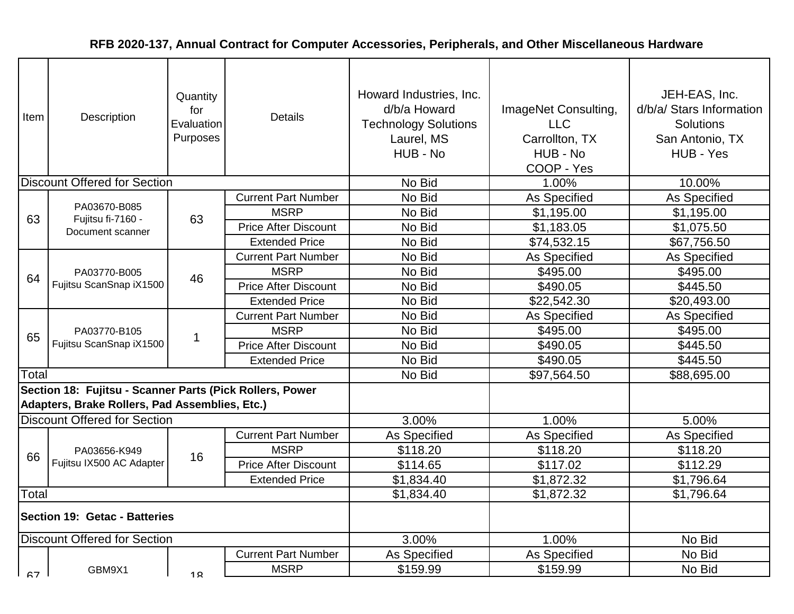| Item  | Description                                                                                                | Quantity<br>for<br>Evaluation<br>Purposes | <b>Details</b>              | Howard Industries, Inc.<br>d/b/a Howard<br><b>Technology Solutions</b><br>Laurel, MS<br>HUB - No | ImageNet Consulting,<br><b>LLC</b><br>Carrollton, TX<br>HUB - No<br>COOP - Yes | JEH-EAS, Inc.<br>d/b/a/ Stars Information<br>Solutions<br>San Antonio, TX<br>HUB - Yes |
|-------|------------------------------------------------------------------------------------------------------------|-------------------------------------------|-----------------------------|--------------------------------------------------------------------------------------------------|--------------------------------------------------------------------------------|----------------------------------------------------------------------------------------|
|       | <b>Discount Offered for Section</b>                                                                        |                                           |                             | No Bid                                                                                           | 1.00%                                                                          | 10.00%                                                                                 |
|       |                                                                                                            |                                           | <b>Current Part Number</b>  | No Bid                                                                                           | As Specified                                                                   | As Specified                                                                           |
| 63    | PA03670-B085<br>Fujitsu fi-7160 -                                                                          | 63                                        | <b>MSRP</b>                 | No Bid                                                                                           | \$1,195.00                                                                     | \$1,195.00                                                                             |
|       | Document scanner                                                                                           |                                           | <b>Price After Discount</b> | No Bid                                                                                           | \$1,183.05                                                                     | \$1,075.50                                                                             |
|       |                                                                                                            |                                           | <b>Extended Price</b>       | No Bid                                                                                           | \$74,532.15                                                                    | \$67,756.50                                                                            |
|       |                                                                                                            |                                           | <b>Current Part Number</b>  | No Bid                                                                                           | As Specified                                                                   | As Specified                                                                           |
| 64    | PA03770-B005                                                                                               | 46                                        | <b>MSRP</b>                 | No Bid                                                                                           | \$495.00                                                                       | \$495.00                                                                               |
|       | Fujitsu ScanSnap iX1500                                                                                    |                                           | <b>Price After Discount</b> | No Bid                                                                                           | \$490.05                                                                       | \$445.50                                                                               |
|       |                                                                                                            |                                           | <b>Extended Price</b>       | No Bid                                                                                           | \$22,542.30                                                                    | \$20,493.00                                                                            |
|       | PA03770-B105<br>Fujitsu ScanSnap iX1500                                                                    |                                           | <b>Current Part Number</b>  | No Bid                                                                                           | As Specified                                                                   | As Specified                                                                           |
| 65    |                                                                                                            |                                           | <b>MSRP</b>                 | No Bid                                                                                           | \$495.00                                                                       | \$495.00                                                                               |
|       |                                                                                                            |                                           | <b>Price After Discount</b> | No Bid                                                                                           | \$490.05                                                                       | \$445.50                                                                               |
|       |                                                                                                            |                                           | <b>Extended Price</b>       | No Bid                                                                                           | \$490.05                                                                       | \$445.50                                                                               |
| Total |                                                                                                            |                                           |                             | No Bid                                                                                           | \$97,564.50                                                                    | \$88,695.00                                                                            |
|       | Section 18: Fujitsu - Scanner Parts (Pick Rollers, Power<br>Adapters, Brake Rollers, Pad Assemblies, Etc.) |                                           |                             |                                                                                                  |                                                                                |                                                                                        |
|       | <b>Discount Offered for Section</b>                                                                        |                                           |                             | 3.00%                                                                                            | 1.00%                                                                          | 5.00%                                                                                  |
|       |                                                                                                            |                                           | <b>Current Part Number</b>  | As Specified                                                                                     | As Specified                                                                   | As Specified                                                                           |
| 66    | PA03656-K949                                                                                               | 16                                        | <b>MSRP</b>                 | \$118.20                                                                                         | \$118.20                                                                       | \$118.20                                                                               |
|       | Fujitsu IX500 AC Adapter                                                                                   |                                           | <b>Price After Discount</b> | \$114.65                                                                                         | \$117.02                                                                       | \$112.29                                                                               |
|       |                                                                                                            |                                           | <b>Extended Price</b>       | \$1,834.40                                                                                       | \$1,872.32                                                                     | \$1,796.64                                                                             |
| Total |                                                                                                            |                                           |                             | \$1,834.40                                                                                       | \$1,872.32                                                                     | \$1,796.64                                                                             |
|       | Section 19: Getac - Batteries                                                                              |                                           |                             |                                                                                                  |                                                                                |                                                                                        |
|       | Discount Offered for Section                                                                               |                                           |                             | 3.00%                                                                                            | 1.00%                                                                          | No Bid                                                                                 |
|       |                                                                                                            |                                           | <b>Current Part Number</b>  | As Specified                                                                                     | As Specified                                                                   | No Bid                                                                                 |
| 67    | GBM9X1                                                                                                     | 1 <sub>Q</sub>                            | <b>MSRP</b>                 | \$159.99                                                                                         | \$159.99                                                                       | No Bid                                                                                 |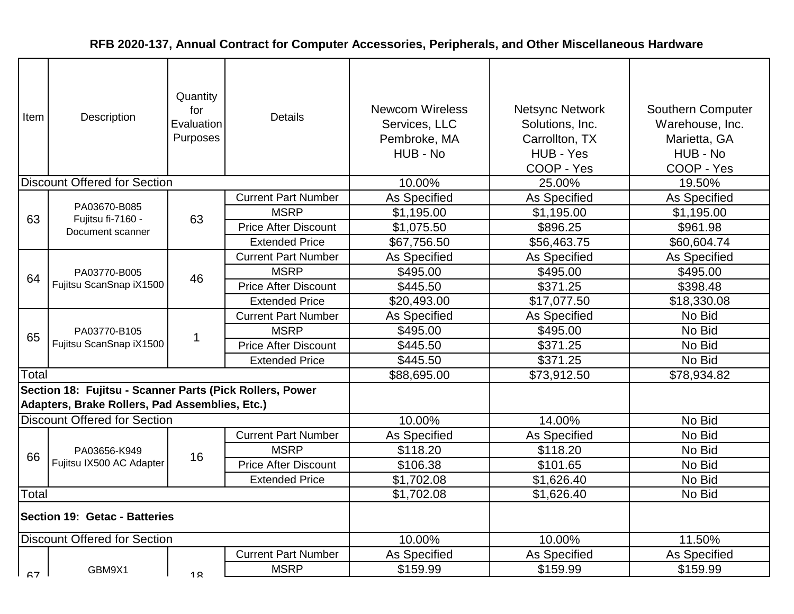| Item  | Description                                                                                                | Quantity<br>for<br>Evaluation<br>Purposes | <b>Details</b>              | <b>Newcom Wireless</b><br>Services, LLC<br>Pembroke, MA<br>HUB - No | <b>Netsync Network</b><br>Solutions, Inc.<br>Carrollton, TX<br>HUB - Yes<br>COOP - Yes | <b>Southern Computer</b><br>Warehouse, Inc.<br>Marietta, GA<br>HUB - No<br>COOP - Yes |
|-------|------------------------------------------------------------------------------------------------------------|-------------------------------------------|-----------------------------|---------------------------------------------------------------------|----------------------------------------------------------------------------------------|---------------------------------------------------------------------------------------|
|       | <b>Discount Offered for Section</b>                                                                        |                                           |                             | 10.00%                                                              | 25.00%                                                                                 | 19.50%                                                                                |
|       |                                                                                                            |                                           | <b>Current Part Number</b>  | As Specified                                                        | As Specified                                                                           | <b>As Specified</b>                                                                   |
| 63    | PA03670-B085<br>Fujitsu fi-7160 -                                                                          | 63                                        | <b>MSRP</b>                 | \$1,195.00                                                          | \$1,195.00                                                                             | \$1,195.00                                                                            |
|       | Document scanner                                                                                           |                                           | <b>Price After Discount</b> | \$1,075.50                                                          | \$896.25                                                                               | \$961.98                                                                              |
|       |                                                                                                            |                                           | <b>Extended Price</b>       | \$67,756.50                                                         | \$56,463.75                                                                            | \$60,604.74                                                                           |
|       |                                                                                                            |                                           | <b>Current Part Number</b>  | As Specified                                                        | As Specified                                                                           | As Specified                                                                          |
| 64    | PA03770-B005<br>Fujitsu ScanSnap iX1500                                                                    | 46                                        | <b>MSRP</b>                 | \$495.00                                                            | \$495.00                                                                               | \$495.00                                                                              |
|       |                                                                                                            |                                           | <b>Price After Discount</b> | \$445.50                                                            | \$371.25                                                                               | \$398.48                                                                              |
|       |                                                                                                            |                                           | <b>Extended Price</b>       | \$20,493.00                                                         | \$17,077.50                                                                            | \$18,330.08                                                                           |
|       | PA03770-B105<br>Fujitsu ScanSnap iX1500                                                                    |                                           | <b>Current Part Number</b>  | As Specified                                                        | As Specified                                                                           | No Bid                                                                                |
| 65    |                                                                                                            |                                           | <b>MSRP</b>                 | \$495.00                                                            | \$495.00                                                                               | No Bid                                                                                |
|       |                                                                                                            |                                           | <b>Price After Discount</b> | \$445.50                                                            | \$371.25                                                                               | No Bid                                                                                |
|       |                                                                                                            |                                           | <b>Extended Price</b>       | \$445.50                                                            | \$371.25                                                                               | No Bid                                                                                |
| Total |                                                                                                            |                                           |                             | \$88,695.00                                                         | \$73,912.50                                                                            | \$78,934.82                                                                           |
|       | Section 18: Fujitsu - Scanner Parts (Pick Rollers, Power<br>Adapters, Brake Rollers, Pad Assemblies, Etc.) |                                           |                             |                                                                     |                                                                                        |                                                                                       |
|       | <b>Discount Offered for Section</b>                                                                        |                                           |                             | 10.00%                                                              | 14.00%                                                                                 | No Bid                                                                                |
|       |                                                                                                            |                                           | <b>Current Part Number</b>  | As Specified                                                        | As Specified                                                                           | No Bid                                                                                |
| 66    | PA03656-K949                                                                                               | 16                                        | <b>MSRP</b>                 | \$118.20                                                            | \$118.20                                                                               | No Bid                                                                                |
|       | Fujitsu IX500 AC Adapter                                                                                   |                                           | <b>Price After Discount</b> | \$106.38                                                            | \$101.65                                                                               | No Bid                                                                                |
|       |                                                                                                            |                                           | <b>Extended Price</b>       | \$1,702.08                                                          | \$1,626.40                                                                             | No Bid                                                                                |
| Total |                                                                                                            |                                           |                             | \$1,702.08                                                          | \$1,626.40                                                                             | No Bid                                                                                |
|       | Section 19: Getac - Batteries                                                                              |                                           |                             |                                                                     |                                                                                        |                                                                                       |
|       | Discount Offered for Section                                                                               |                                           |                             | 10.00%                                                              | 10.00%                                                                                 | 11.50%                                                                                |
|       |                                                                                                            |                                           | <b>Current Part Number</b>  | As Specified                                                        | As Specified                                                                           | As Specified                                                                          |
| 67    | GBM9X1                                                                                                     | 1 <sub>Q</sub>                            | <b>MSRP</b>                 | \$159.99                                                            | \$159.99                                                                               | \$159.99                                                                              |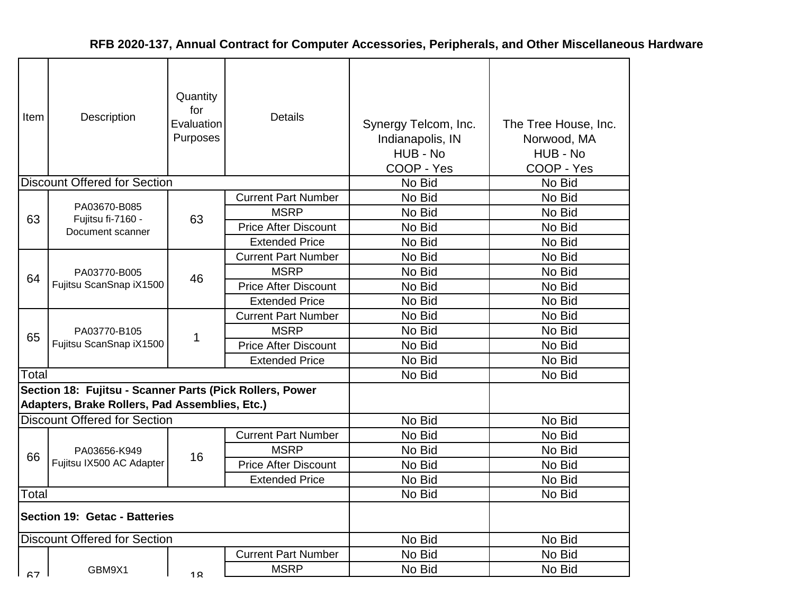| Item  | Description                                                                                                | Quantity<br>for<br>Evaluation<br>Purposes | <b>Details</b>              | Synergy Telcom, Inc.<br>Indianapolis, IN<br>HUB - No<br>COOP - Yes | The Tree House, Inc.<br>Norwood, MA<br>HUB - No<br>COOP - Yes |
|-------|------------------------------------------------------------------------------------------------------------|-------------------------------------------|-----------------------------|--------------------------------------------------------------------|---------------------------------------------------------------|
|       | <b>Discount Offered for Section</b>                                                                        |                                           |                             | No Bid                                                             | No Bid                                                        |
|       | PA03670-B085                                                                                               |                                           | <b>Current Part Number</b>  | No Bid                                                             | No Bid                                                        |
| 63    | Fujitsu fi-7160 -                                                                                          | 63                                        | <b>MSRP</b>                 | No Bid                                                             | No Bid                                                        |
|       | Document scanner                                                                                           |                                           | <b>Price After Discount</b> | No Bid                                                             | No Bid                                                        |
|       |                                                                                                            |                                           | <b>Extended Price</b>       | No Bid                                                             | No Bid                                                        |
|       |                                                                                                            |                                           | <b>Current Part Number</b>  | No Bid                                                             | No Bid                                                        |
| 64    | PA03770-B005<br>Fujitsu ScanSnap iX1500                                                                    | 46                                        | <b>MSRP</b>                 | No Bid                                                             | No Bid                                                        |
|       |                                                                                                            |                                           | <b>Price After Discount</b> | No Bid                                                             | No Bid                                                        |
|       |                                                                                                            |                                           | <b>Extended Price</b>       | No Bid                                                             | No Bid                                                        |
|       | PA03770-B105<br>Fujitsu ScanSnap iX1500                                                                    |                                           | <b>Current Part Number</b>  | No Bid                                                             | No Bid                                                        |
| 65    |                                                                                                            |                                           | <b>MSRP</b>                 | No Bid                                                             | No Bid                                                        |
|       |                                                                                                            |                                           | <b>Price After Discount</b> | No Bid                                                             | No Bid                                                        |
|       |                                                                                                            |                                           | <b>Extended Price</b>       | No Bid                                                             | No Bid                                                        |
| Total |                                                                                                            |                                           |                             | No Bid                                                             | No Bid                                                        |
|       | Section 18: Fujitsu - Scanner Parts (Pick Rollers, Power<br>Adapters, Brake Rollers, Pad Assemblies, Etc.) |                                           |                             |                                                                    |                                                               |
|       | <b>Discount Offered for Section</b>                                                                        |                                           |                             | No Bid                                                             | No Bid                                                        |
|       |                                                                                                            |                                           | <b>Current Part Number</b>  | No Bid                                                             | No Bid                                                        |
| 66    | PA03656-K949                                                                                               | 16                                        | <b>MSRP</b>                 | No Bid                                                             | No Bid                                                        |
|       | Fujitsu IX500 AC Adapter                                                                                   |                                           | <b>Price After Discount</b> | No Bid                                                             | No Bid                                                        |
|       |                                                                                                            |                                           | <b>Extended Price</b>       | No Bid                                                             | No Bid                                                        |
| Total |                                                                                                            |                                           |                             | No Bid                                                             | No Bid                                                        |
|       | Section 19: Getac - Batteries                                                                              |                                           |                             |                                                                    |                                                               |
|       | <b>Discount Offered for Section</b>                                                                        |                                           |                             | No Bid                                                             | No Bid                                                        |
|       |                                                                                                            |                                           | <b>Current Part Number</b>  | No Bid                                                             | No Bid                                                        |
| 67    | GBM9X1                                                                                                     | 1 <sub>Q</sub>                            | <b>MSRP</b>                 | No Bid                                                             | No Bid                                                        |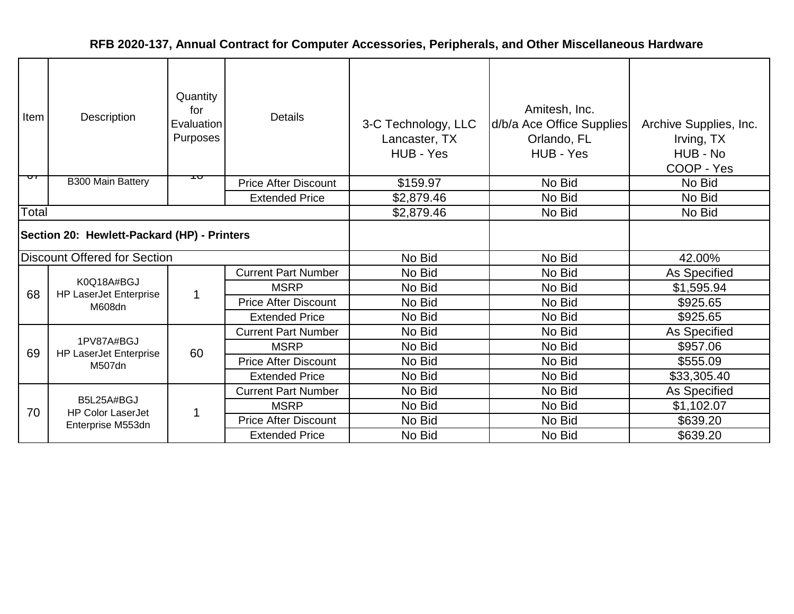| Item                                        | Description                                 | Quantity<br>for<br>Evaluation<br>Purposes | <b>Details</b>              | 3-C Technology, LLC<br>Lancaster, TX<br>HUB - Yes | Amitesh, Inc.<br>d/b/a Ace Office Supplies<br>Orlando, FL<br>HUB - Yes | Archive Supplies, Inc.<br>Irving, TX<br>HUB - No<br>COOP - Yes |
|---------------------------------------------|---------------------------------------------|-------------------------------------------|-----------------------------|---------------------------------------------------|------------------------------------------------------------------------|----------------------------------------------------------------|
| ᠳ                                           | <b>B300 Main Battery</b>                    | ᠇ᠣ                                        | <b>Price After Discount</b> | \$159.97                                          | No Bid                                                                 | No Bid                                                         |
|                                             |                                             |                                           | <b>Extended Price</b>       | \$2,879.46                                        | No Bid                                                                 | No Bid                                                         |
| Total                                       |                                             |                                           |                             | \$2,879.46                                        | No Bid                                                                 | No Bid                                                         |
| Section 20: Hewlett-Packard (HP) - Printers |                                             |                                           |                             |                                                   |                                                                        |                                                                |
|                                             | Discount Offered for Section                |                                           |                             | No Bid                                            | No Bid                                                                 | 42.00%                                                         |
|                                             |                                             | $\mathbf 1$                               | <b>Current Part Number</b>  | No Bid                                            | No Bid                                                                 | As Specified                                                   |
| 68                                          | K0Q18A#BGJ<br><b>HP LaserJet Enterprise</b> |                                           | <b>MSRP</b>                 | No Bid                                            | No Bid                                                                 | \$1,595.94                                                     |
|                                             | M608dn                                      |                                           | <b>Price After Discount</b> | No Bid                                            | No Bid                                                                 | \$925.65                                                       |
|                                             |                                             |                                           | <b>Extended Price</b>       | No Bid                                            | No Bid                                                                 | \$925.65                                                       |
|                                             | 1PV87A#BGJ                                  |                                           | <b>Current Part Number</b>  | No Bid                                            | No Bid                                                                 | As Specified                                                   |
| 69                                          | <b>HP LaserJet Enterprise</b>               | 60                                        | <b>MSRP</b>                 | No Bid                                            | No Bid                                                                 | \$957.06                                                       |
|                                             | M507dn                                      |                                           | <b>Price After Discount</b> | No Bid                                            | No Bid                                                                 | \$555.09                                                       |
|                                             |                                             |                                           | <b>Extended Price</b>       | No Bid                                            | No Bid                                                                 | \$33,305.40                                                    |
|                                             |                                             |                                           | <b>Current Part Number</b>  | No Bid                                            | No Bid                                                                 | As Specified                                                   |
| 70                                          | B5L25A#BGJ<br><b>HP Color LaserJet</b>      | 1                                         | <b>MSRP</b>                 | No Bid                                            | No Bid                                                                 | \$1,102.07                                                     |
|                                             | Enterprise M553dn                           |                                           | <b>Price After Discount</b> | No Bid                                            | No Bid                                                                 | \$639.20                                                       |
|                                             |                                             |                                           | <b>Extended Price</b>       | No Bid                                            | No Bid                                                                 | \$639.20                                                       |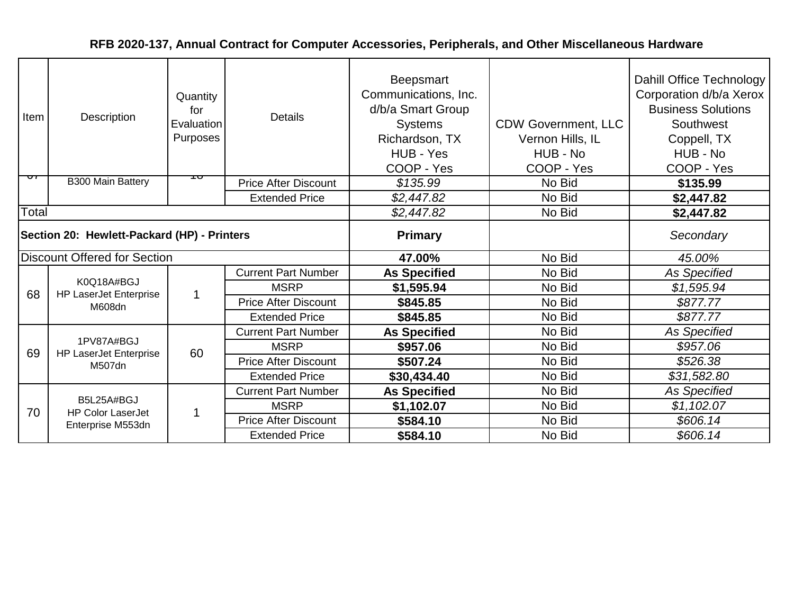| Item                                        | Description                                 | Quantity<br>for<br>Evaluation<br>Purposes | <b>Details</b>              | <b>Beepsmart</b><br>Communications, Inc.<br>d/b/a Smart Group<br><b>Systems</b><br>Richardson, TX<br>HUB - Yes<br>COOP - Yes | <b>CDW Government, LLC</b><br>Vernon Hills, IL<br>HUB - No<br>COOP - Yes | Dahill Office Technology<br>Corporation d/b/a Xerox<br><b>Business Solutions</b><br>Southwest<br>Coppell, TX<br>HUB - No<br>COOP - Yes |
|---------------------------------------------|---------------------------------------------|-------------------------------------------|-----------------------------|------------------------------------------------------------------------------------------------------------------------------|--------------------------------------------------------------------------|----------------------------------------------------------------------------------------------------------------------------------------|
| ᠳ                                           | <b>B300 Main Battery</b>                    | ᠇ᠣ                                        | <b>Price After Discount</b> | \$135.99                                                                                                                     | No Bid                                                                   | \$135.99                                                                                                                               |
|                                             |                                             |                                           | <b>Extended Price</b>       | \$2,447.82                                                                                                                   | No Bid                                                                   | \$2,447.82                                                                                                                             |
| Total                                       |                                             |                                           |                             | \$2,447.82                                                                                                                   | No Bid                                                                   | \$2,447.82                                                                                                                             |
| Section 20: Hewlett-Packard (HP) - Printers |                                             |                                           |                             | <b>Primary</b>                                                                                                               |                                                                          | Secondary                                                                                                                              |
|                                             | <b>Discount Offered for Section</b>         |                                           |                             | 47.00%                                                                                                                       | No Bid                                                                   | 45.00%                                                                                                                                 |
|                                             |                                             | $\mathbf 1$                               | <b>Current Part Number</b>  | <b>As Specified</b>                                                                                                          | No Bid                                                                   | As Specified                                                                                                                           |
| 68                                          | K0Q18A#BGJ<br><b>HP LaserJet Enterprise</b> |                                           | <b>MSRP</b>                 | \$1,595.94                                                                                                                   | No Bid                                                                   | \$1,595.94                                                                                                                             |
|                                             | M608dn                                      |                                           | <b>Price After Discount</b> | \$845.85                                                                                                                     | No Bid                                                                   | \$877.77                                                                                                                               |
|                                             |                                             |                                           | <b>Extended Price</b>       | \$845.85                                                                                                                     | No Bid                                                                   | \$877.77                                                                                                                               |
|                                             | 1PV87A#BGJ                                  |                                           | <b>Current Part Number</b>  | <b>As Specified</b>                                                                                                          | No Bid                                                                   | <b>As Specified</b>                                                                                                                    |
| 69                                          | <b>HP LaserJet Enterprise</b>               | 60                                        | <b>MSRP</b>                 | \$957.06                                                                                                                     | No Bid                                                                   | \$957.06                                                                                                                               |
|                                             | M507dn                                      |                                           | <b>Price After Discount</b> | \$507.24                                                                                                                     | No Bid                                                                   | \$526.38                                                                                                                               |
|                                             |                                             |                                           | <b>Extended Price</b>       | \$30,434.40                                                                                                                  | No Bid                                                                   | \$31,582.80                                                                                                                            |
|                                             |                                             |                                           | <b>Current Part Number</b>  | <b>As Specified</b>                                                                                                          | No Bid                                                                   | <b>As Specified</b>                                                                                                                    |
| 70                                          | B5L25A#BGJ<br><b>HP Color LaserJet</b>      | -1                                        | <b>MSRP</b>                 | \$1,102.07                                                                                                                   | No Bid                                                                   | \$1,102.07                                                                                                                             |
|                                             | Enterprise M553dn                           |                                           | <b>Price After Discount</b> | \$584.10                                                                                                                     | No Bid                                                                   | \$606.14                                                                                                                               |
|                                             |                                             |                                           | <b>Extended Price</b>       | \$584.10                                                                                                                     | No Bid                                                                   | \$606.14                                                                                                                               |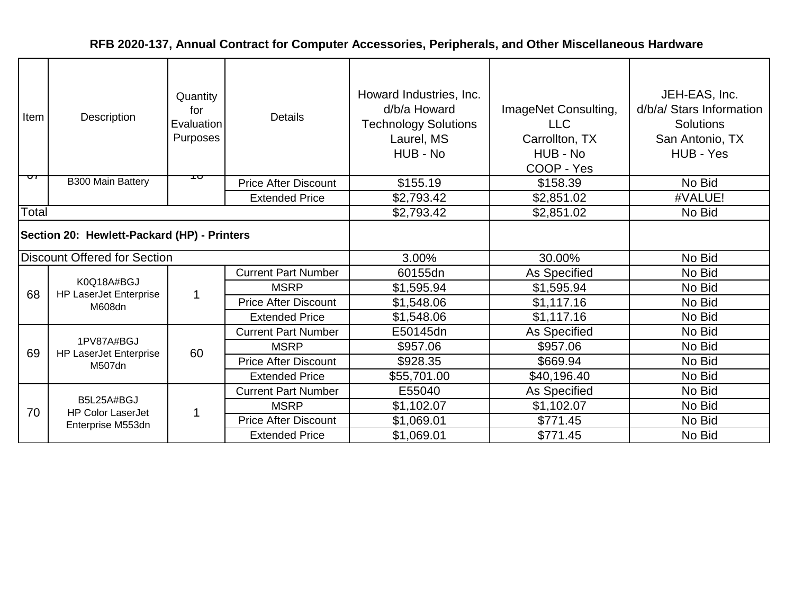| Item                                        | Description                                 | Quantity<br>for<br>Evaluation<br>Purposes | <b>Details</b>              | Howard Industries, Inc.<br>d/b/a Howard<br><b>Technology Solutions</b><br>Laurel, MS<br>HUB - No | ImageNet Consulting,<br><b>LLC</b><br>Carrollton, TX<br>HUB - No<br>COOP - Yes | JEH-EAS, Inc.<br>d/b/a/ Stars Information<br><b>Solutions</b><br>San Antonio, TX<br>HUB - Yes |
|---------------------------------------------|---------------------------------------------|-------------------------------------------|-----------------------------|--------------------------------------------------------------------------------------------------|--------------------------------------------------------------------------------|-----------------------------------------------------------------------------------------------|
| ᠳ                                           | <b>B300 Main Battery</b>                    | ᠇ᠣ                                        | <b>Price After Discount</b> | \$155.19                                                                                         | \$158.39                                                                       | No Bid                                                                                        |
|                                             |                                             |                                           | <b>Extended Price</b>       | \$2,793.42                                                                                       | \$2,851.02                                                                     | #VALUE!                                                                                       |
| Total                                       |                                             |                                           |                             | \$2,793.42                                                                                       | \$2,851.02                                                                     | No Bid                                                                                        |
| Section 20: Hewlett-Packard (HP) - Printers |                                             |                                           |                             |                                                                                                  |                                                                                |                                                                                               |
|                                             | <b>Discount Offered for Section</b>         |                                           |                             | 3.00%                                                                                            | 30.00%                                                                         | No Bid                                                                                        |
|                                             |                                             | 1                                         | <b>Current Part Number</b>  | 60155dn                                                                                          | As Specified                                                                   | No Bid                                                                                        |
| 68                                          | K0Q18A#BGJ<br><b>HP LaserJet Enterprise</b> |                                           | <b>MSRP</b>                 | \$1,595.94                                                                                       | \$1,595.94                                                                     | No Bid                                                                                        |
|                                             | M608dn                                      |                                           | <b>Price After Discount</b> | \$1,548.06                                                                                       | \$1,117.16                                                                     | No Bid                                                                                        |
|                                             |                                             |                                           | <b>Extended Price</b>       | \$1,548.06                                                                                       | \$1,117.16                                                                     | No Bid                                                                                        |
|                                             |                                             |                                           | <b>Current Part Number</b>  | E50145dn                                                                                         | As Specified                                                                   | No Bid                                                                                        |
| 69                                          | 1PV87A#BGJ<br><b>HP LaserJet Enterprise</b> | 60                                        | <b>MSRP</b>                 | \$957.06                                                                                         | \$957.06                                                                       | No Bid                                                                                        |
|                                             | M507dn                                      |                                           | <b>Price After Discount</b> | \$928.35                                                                                         | \$669.94                                                                       | No Bid                                                                                        |
|                                             |                                             |                                           | <b>Extended Price</b>       | \$55,701.00                                                                                      | \$40,196.40                                                                    | No Bid                                                                                        |
|                                             |                                             |                                           | <b>Current Part Number</b>  | E55040                                                                                           | As Specified                                                                   | No Bid                                                                                        |
| 70                                          | B5L25A#BGJ<br><b>HP Color LaserJet</b>      | 1                                         | <b>MSRP</b>                 | \$1,102.07                                                                                       | \$1,102.07                                                                     | No Bid                                                                                        |
|                                             | Enterprise M553dn                           |                                           | <b>Price After Discount</b> | \$1,069.01                                                                                       | \$771.45                                                                       | No Bid                                                                                        |
|                                             |                                             |                                           | <b>Extended Price</b>       | \$1,069.01                                                                                       | \$771.45                                                                       | No Bid                                                                                        |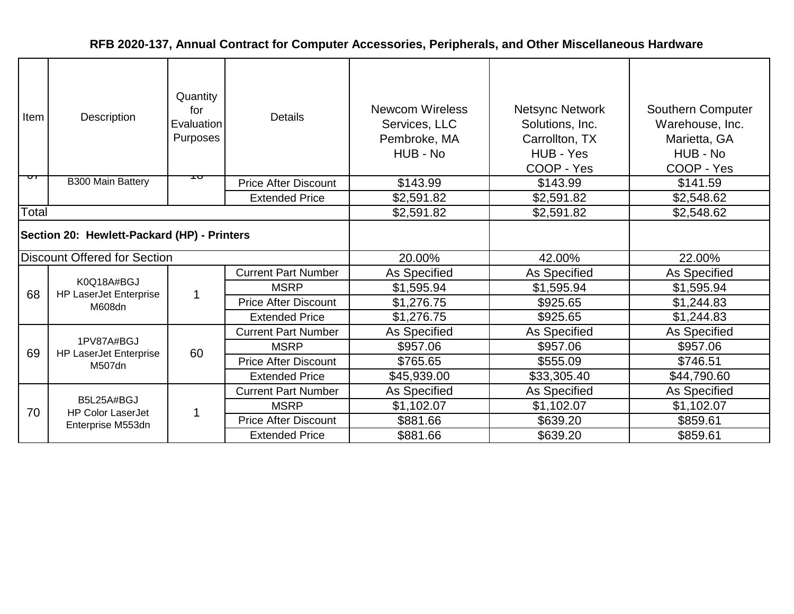| <b>Item</b>                                 | Description                                 | Quantity<br>for<br>Evaluation<br>Purposes | <b>Details</b>              | <b>Newcom Wireless</b><br>Services, LLC<br>Pembroke, MA<br>HUB - No | <b>Netsync Network</b><br>Solutions, Inc.<br>Carrollton, TX<br>HUB - Yes<br>COOP - Yes | Southern Computer<br>Warehouse, Inc.<br>Marietta, GA<br>HUB - No<br>COOP - Yes |
|---------------------------------------------|---------------------------------------------|-------------------------------------------|-----------------------------|---------------------------------------------------------------------|----------------------------------------------------------------------------------------|--------------------------------------------------------------------------------|
| ᠳ                                           | <b>B300 Main Battery</b>                    | ᡉ                                         | <b>Price After Discount</b> | \$143.99                                                            | \$143.99                                                                               | \$141.59                                                                       |
|                                             |                                             |                                           | <b>Extended Price</b>       | \$2,591.82                                                          | \$2,591.82                                                                             | \$2,548.62                                                                     |
| Total                                       |                                             |                                           |                             | \$2,591.82                                                          | \$2,591.82                                                                             | \$2,548.62                                                                     |
| Section 20: Hewlett-Packard (HP) - Printers |                                             |                                           |                             |                                                                     |                                                                                        |                                                                                |
|                                             | <b>Discount Offered for Section</b>         |                                           |                             | 20.00%                                                              | 42.00%                                                                                 | 22.00%                                                                         |
|                                             |                                             | $\mathbf 1$                               | <b>Current Part Number</b>  | As Specified                                                        | As Specified                                                                           | As Specified                                                                   |
| 68                                          | K0Q18A#BGJ<br><b>HP LaserJet Enterprise</b> |                                           | <b>MSRP</b>                 | \$1,595.94                                                          | \$1,595.94                                                                             | \$1,595.94                                                                     |
|                                             | M608dn                                      |                                           | <b>Price After Discount</b> | \$1,276.75                                                          | \$925.65                                                                               | \$1,244.83                                                                     |
|                                             |                                             |                                           | <b>Extended Price</b>       | \$1,276.75                                                          | \$925.65                                                                               | \$1,244.83                                                                     |
|                                             |                                             |                                           | <b>Current Part Number</b>  | As Specified                                                        | As Specified                                                                           | As Specified                                                                   |
| 69                                          | 1PV87A#BGJ<br><b>HP LaserJet Enterprise</b> | 60                                        | <b>MSRP</b>                 | \$957.06                                                            | \$957.06                                                                               | \$957.06                                                                       |
|                                             | M507dn                                      |                                           | <b>Price After Discount</b> | \$765.65                                                            | \$555.09                                                                               | \$746.51                                                                       |
|                                             |                                             |                                           | <b>Extended Price</b>       | \$45,939.00                                                         | \$33,305.40                                                                            | \$44,790.60                                                                    |
|                                             |                                             |                                           | <b>Current Part Number</b>  | As Specified                                                        | As Specified                                                                           | As Specified                                                                   |
| 70                                          | B5L25A#BGJ<br><b>HP Color LaserJet</b>      | 1                                         | <b>MSRP</b>                 | \$1,102.07                                                          | \$1,102.07                                                                             | \$1,102.07                                                                     |
|                                             | Enterprise M553dn                           |                                           | <b>Price After Discount</b> | \$881.66                                                            | \$639.20                                                                               | \$859.61                                                                       |
|                                             |                                             |                                           | <b>Extended Price</b>       | \$881.66                                                            | \$639.20                                                                               | \$859.61                                                                       |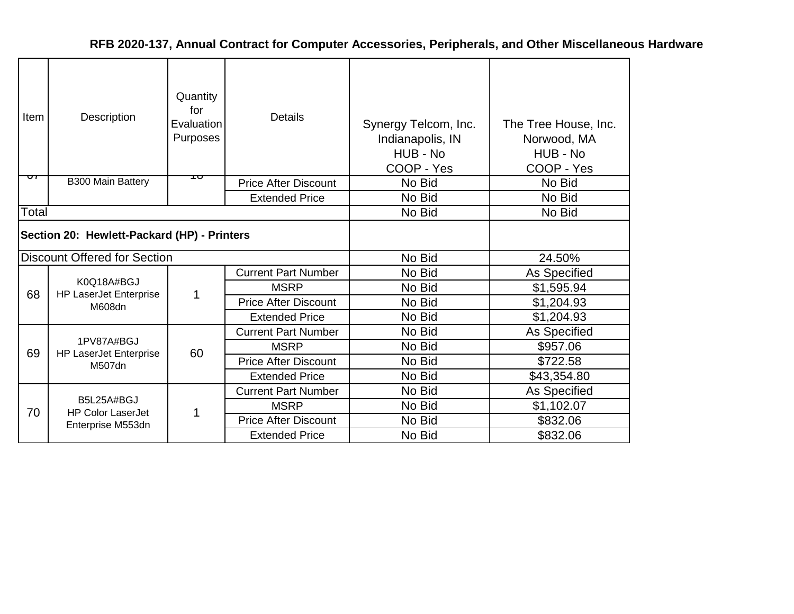| Item  | Description                                 | Quantity<br>for<br>Evaluation<br>Purposes | <b>Details</b>              | Synergy Telcom, Inc.<br>Indianapolis, IN<br>HUB - No<br>COOP - Yes | The Tree House, Inc.<br>Norwood, MA<br>HUB - No<br>COOP - Yes |
|-------|---------------------------------------------|-------------------------------------------|-----------------------------|--------------------------------------------------------------------|---------------------------------------------------------------|
| ᠳ     | <b>B300 Main Battery</b>                    | ᠇ᠣ                                        | <b>Price After Discount</b> | No Bid                                                             | No Bid                                                        |
|       |                                             |                                           | <b>Extended Price</b>       | No Bid                                                             | No Bid                                                        |
| Total |                                             |                                           |                             | No Bid                                                             | No Bid                                                        |
|       | Section 20: Hewlett-Packard (HP) - Printers |                                           |                             |                                                                    |                                                               |
|       | <b>Discount Offered for Section</b>         |                                           |                             | No Bid                                                             | 24.50%                                                        |
|       |                                             |                                           | <b>Current Part Number</b>  | No Bid                                                             | As Specified                                                  |
| 68    | K0Q18A#BGJ<br><b>HP LaserJet Enterprise</b> |                                           | <b>MSRP</b>                 | No Bid                                                             | \$1,595.94                                                    |
|       | M608dn                                      |                                           | <b>Price After Discount</b> | No Bid                                                             | \$1,204.93                                                    |
|       |                                             |                                           | <b>Extended Price</b>       | No Bid                                                             | \$1,204.93                                                    |
|       |                                             |                                           | <b>Current Part Number</b>  | No Bid                                                             | As Specified                                                  |
| 69    | 1PV87A#BGJ<br><b>HP LaserJet Enterprise</b> | 60                                        | <b>MSRP</b>                 | No Bid                                                             | \$957.06                                                      |
|       | M507dn                                      |                                           | <b>Price After Discount</b> | No Bid                                                             | \$722.58                                                      |
|       |                                             |                                           | <b>Extended Price</b>       | No Bid                                                             | \$43,354.80                                                   |
|       |                                             |                                           | <b>Current Part Number</b>  | No Bid                                                             | As Specified                                                  |
| 70    | B5L25A#BGJ<br><b>HP Color LaserJet</b>      |                                           | <b>MSRP</b>                 | No Bid                                                             | \$1,102.07                                                    |
|       | Enterprise M553dn                           |                                           | <b>Price After Discount</b> | No Bid                                                             | \$832.06                                                      |
|       |                                             |                                           | <b>Extended Price</b>       | No Bid                                                             | \$832.06                                                      |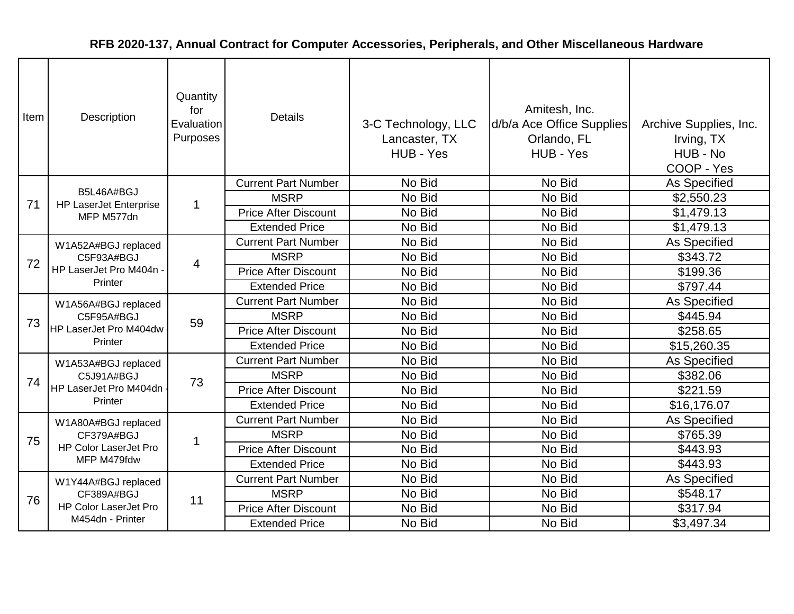| Item | Description                                                            | Quantity<br>for<br>Evaluation<br>Purposes | <b>Details</b>              | 3-C Technology, LLC<br>Lancaster, TX<br>HUB - Yes | Amitesh, Inc.<br>d/b/a Ace Office Supplies<br>Orlando, FL<br>HUB - Yes | Archive Supplies, Inc.<br>Irving, TX<br>HUB - No<br>COOP - Yes |
|------|------------------------------------------------------------------------|-------------------------------------------|-----------------------------|---------------------------------------------------|------------------------------------------------------------------------|----------------------------------------------------------------|
|      | B5L46A#BGJ                                                             |                                           | <b>Current Part Number</b>  | No Bid                                            | No Bid                                                                 | As Specified                                                   |
| 71   | <b>HP LaserJet Enterprise</b>                                          | $\mathbf 1$                               | <b>MSRP</b>                 | No Bid                                            | No Bid                                                                 | \$2,550.23                                                     |
|      | MFP M577dn                                                             |                                           | <b>Price After Discount</b> | No Bid                                            | No Bid                                                                 | \$1,479.13                                                     |
|      |                                                                        |                                           | <b>Extended Price</b>       | No Bid                                            | No Bid                                                                 | \$1,479.13                                                     |
|      | W1A52A#BGJ replaced                                                    |                                           | <b>Current Part Number</b>  | No Bid                                            | No Bid                                                                 | <b>As Specified</b>                                            |
| 72   | C5F93A#BGJ                                                             | 4                                         | <b>MSRP</b>                 | No Bid                                            | No Bid                                                                 | \$343.72                                                       |
|      | HP LaserJet Pro M404n<br>Printer                                       |                                           | <b>Price After Discount</b> | No Bid                                            | No Bid                                                                 | \$199.36                                                       |
|      |                                                                        |                                           | <b>Extended Price</b>       | No Bid                                            | No Bid                                                                 | \$797.44                                                       |
|      | W1A56A#BGJ replaced<br>C5F95A#BGJ<br>HP LaserJet Pro M404dw<br>Printer | 59                                        | <b>Current Part Number</b>  | No Bid                                            | No Bid                                                                 | As Specified                                                   |
| 73   |                                                                        |                                           | <b>MSRP</b>                 | No Bid                                            | No Bid                                                                 | \$445.94                                                       |
|      |                                                                        |                                           | <b>Price After Discount</b> | No Bid                                            | No Bid                                                                 | \$258.65                                                       |
|      |                                                                        |                                           | <b>Extended Price</b>       | No Bid                                            | No Bid                                                                 | \$15,260.35                                                    |
|      | W1A53A#BGJ replaced                                                    |                                           | <b>Current Part Number</b>  | No Bid                                            | No Bid                                                                 | As Specified                                                   |
| 74   | C5J91A#BGJ                                                             | 73                                        | <b>MSRP</b>                 | No Bid                                            | No Bid                                                                 | \$382.06                                                       |
|      | HP LaserJet Pro M404dn                                                 |                                           | <b>Price After Discount</b> | No Bid                                            | No Bid                                                                 | \$221.59                                                       |
|      | Printer                                                                |                                           | <b>Extended Price</b>       | No Bid                                            | No Bid                                                                 | \$16,176.07                                                    |
|      | W1A80A#BGJ replaced                                                    |                                           | <b>Current Part Number</b>  | No Bid                                            | No Bid                                                                 | <b>As Specified</b>                                            |
| 75   | CF379A#BGJ                                                             | -1                                        | <b>MSRP</b>                 | No Bid                                            | No Bid                                                                 | \$765.39                                                       |
|      | <b>HP Color LaserJet Pro</b>                                           |                                           | <b>Price After Discount</b> | No Bid                                            | No Bid                                                                 | \$443.93                                                       |
|      | MFP M479fdw                                                            |                                           | <b>Extended Price</b>       | No Bid                                            | No Bid                                                                 | \$443.93                                                       |
|      | W1Y44A#BGJ replaced                                                    |                                           | <b>Current Part Number</b>  | No Bid                                            | No Bid                                                                 | As Specified                                                   |
| 76   | CF389A#BGJ                                                             | 11                                        | <b>MSRP</b>                 | No Bid                                            | No Bid                                                                 | \$548.17                                                       |
|      | <b>HP Color LaserJet Pro</b>                                           |                                           | <b>Price After Discount</b> | No Bid                                            | No Bid                                                                 | \$317.94                                                       |
|      | M454dn - Printer                                                       |                                           | <b>Extended Price</b>       | No Bid                                            | No Bid                                                                 | \$3,497.34                                                     |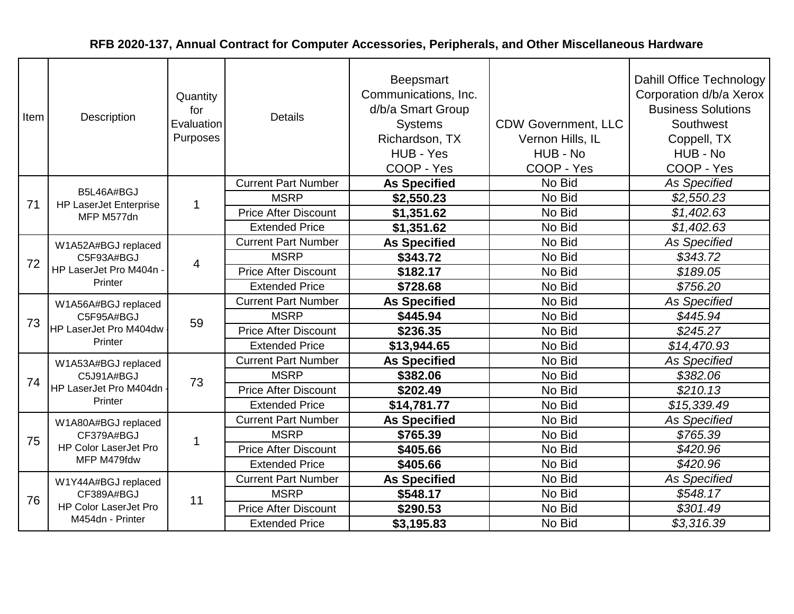| Item | Description                                                            | Quantity<br>for<br>Evaluation<br>Purposes | <b>Details</b>              | <b>Beepsmart</b><br>Communications, Inc.<br>d/b/a Smart Group<br><b>Systems</b><br>Richardson, TX<br>HUB - Yes<br>COOP - Yes | <b>CDW Government, LLC</b><br>Vernon Hills, IL<br>HUB - No<br>COOP - Yes | Dahill Office Technology<br>Corporation d/b/a Xerox<br><b>Business Solutions</b><br>Southwest<br>Coppell, TX<br>HUB - No<br>COOP - Yes |
|------|------------------------------------------------------------------------|-------------------------------------------|-----------------------------|------------------------------------------------------------------------------------------------------------------------------|--------------------------------------------------------------------------|----------------------------------------------------------------------------------------------------------------------------------------|
|      | B5L46A#BGJ                                                             |                                           | <b>Current Part Number</b>  | <b>As Specified</b>                                                                                                          | No Bid                                                                   | <b>As Specified</b>                                                                                                                    |
| 71   | <b>HP LaserJet Enterprise</b>                                          | $\mathbf 1$                               | <b>MSRP</b>                 | \$2,550.23                                                                                                                   | No Bid                                                                   | \$2,550.23                                                                                                                             |
|      | MFP M577dn                                                             |                                           | <b>Price After Discount</b> | \$1,351.62                                                                                                                   | No Bid                                                                   | \$1,402.63                                                                                                                             |
|      |                                                                        |                                           | <b>Extended Price</b>       | \$1,351.62                                                                                                                   | No Bid                                                                   | \$1,402.63                                                                                                                             |
|      | W1A52A#BGJ replaced                                                    |                                           | <b>Current Part Number</b>  | <b>As Specified</b>                                                                                                          | No Bid                                                                   | <b>As Specified</b>                                                                                                                    |
| 72   | C5F93A#BGJ<br>HP LaserJet Pro M404n<br>Printer                         | $\overline{4}$                            | <b>MSRP</b>                 | \$343.72                                                                                                                     | No Bid                                                                   | \$343.72                                                                                                                               |
|      |                                                                        |                                           | <b>Price After Discount</b> | \$182.17                                                                                                                     | No Bid                                                                   | \$189.05                                                                                                                               |
|      |                                                                        |                                           | <b>Extended Price</b>       | \$728.68                                                                                                                     | No Bid                                                                   | \$756.20                                                                                                                               |
|      | W1A56A#BGJ replaced<br>C5F95A#BGJ<br>HP LaserJet Pro M404dw<br>Printer | 59                                        | <b>Current Part Number</b>  | <b>As Specified</b>                                                                                                          | No Bid                                                                   | <b>As Specified</b>                                                                                                                    |
| 73   |                                                                        |                                           | <b>MSRP</b>                 | \$445.94                                                                                                                     | No Bid                                                                   | \$445.94                                                                                                                               |
|      |                                                                        |                                           | <b>Price After Discount</b> | \$236.35                                                                                                                     | No Bid                                                                   | \$245.27                                                                                                                               |
|      |                                                                        |                                           | <b>Extended Price</b>       | \$13,944.65                                                                                                                  | No Bid                                                                   | \$14,470.93                                                                                                                            |
|      | W1A53A#BGJ replaced                                                    |                                           | <b>Current Part Number</b>  | <b>As Specified</b>                                                                                                          | No Bid                                                                   | <b>As Specified</b>                                                                                                                    |
| 74   | C5J91A#BGJ                                                             | 73                                        | <b>MSRP</b>                 | \$382.06                                                                                                                     | No Bid                                                                   | \$382.06                                                                                                                               |
|      | HP LaserJet Pro M404dn                                                 |                                           | <b>Price After Discount</b> | \$202.49                                                                                                                     | No Bid                                                                   | \$210.13                                                                                                                               |
|      | Printer                                                                |                                           | <b>Extended Price</b>       | \$14,781.77                                                                                                                  | No Bid                                                                   | \$15,339.49                                                                                                                            |
|      | W1A80A#BGJ replaced                                                    |                                           | <b>Current Part Number</b>  | <b>As Specified</b>                                                                                                          | No Bid                                                                   | <b>As Specified</b>                                                                                                                    |
| 75   | CF379A#BGJ                                                             | 1                                         | <b>MSRP</b>                 | \$765.39                                                                                                                     | No Bid                                                                   | \$765.39                                                                                                                               |
|      | <b>HP Color LaserJet Pro</b>                                           |                                           | <b>Price After Discount</b> | \$405.66                                                                                                                     | No Bid                                                                   | \$420.96                                                                                                                               |
|      | MFP M479fdw                                                            |                                           | <b>Extended Price</b>       | \$405.66                                                                                                                     | No Bid                                                                   | \$420.96                                                                                                                               |
|      | W1Y44A#BGJ replaced                                                    |                                           | <b>Current Part Number</b>  | <b>As Specified</b>                                                                                                          | No Bid                                                                   | <b>As Specified</b>                                                                                                                    |
| 76   | CF389A#BGJ                                                             | 11                                        | <b>MSRP</b>                 | \$548.17                                                                                                                     | No Bid                                                                   | \$548.17                                                                                                                               |
|      | <b>HP Color LaserJet Pro</b>                                           |                                           | <b>Price After Discount</b> | \$290.53                                                                                                                     | No Bid                                                                   | \$301.49                                                                                                                               |
|      | M454dn - Printer                                                       |                                           | <b>Extended Price</b>       | \$3,195.83                                                                                                                   | No Bid                                                                   | \$3,316.39                                                                                                                             |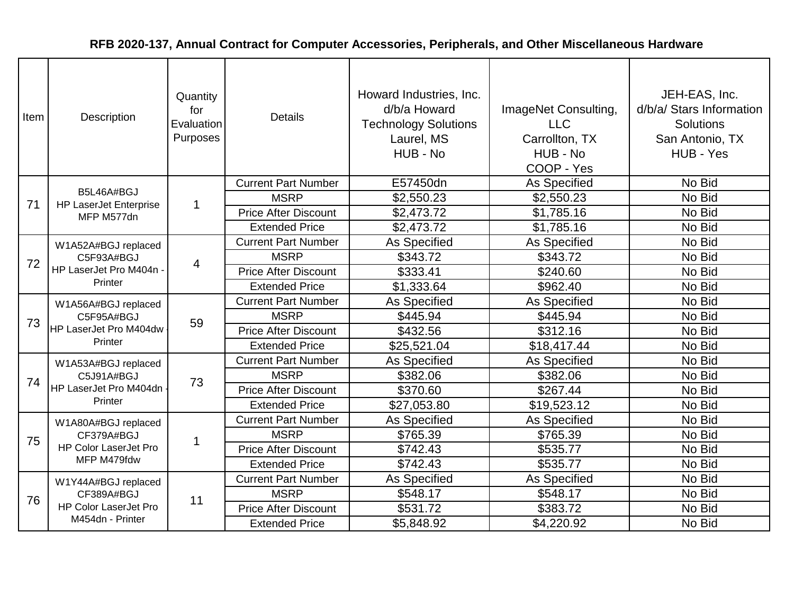| Item | Description                                                            | Quantity<br>for<br>Evaluation<br>Purposes | <b>Details</b>              | Howard Industries, Inc.<br>d/b/a Howard<br><b>Technology Solutions</b><br>Laurel, MS<br>HUB - No | ImageNet Consulting,<br><b>LLC</b><br>Carrollton, TX<br>HUB - No<br>COOP - Yes | JEH-EAS, Inc.<br>d/b/a/ Stars Information<br><b>Solutions</b><br>San Antonio, TX<br>HUB - Yes |
|------|------------------------------------------------------------------------|-------------------------------------------|-----------------------------|--------------------------------------------------------------------------------------------------|--------------------------------------------------------------------------------|-----------------------------------------------------------------------------------------------|
|      | B5L46A#BGJ                                                             |                                           | <b>Current Part Number</b>  | E57450dn                                                                                         | <b>As Specified</b>                                                            | No Bid                                                                                        |
| 71   | <b>HP LaserJet Enterprise</b>                                          | $\mathbf 1$                               | <b>MSRP</b>                 | \$2,550.23                                                                                       | \$2,550.23                                                                     | No Bid                                                                                        |
|      | MFP M577dn                                                             |                                           | <b>Price After Discount</b> | \$2,473.72                                                                                       | \$1,785.16                                                                     | No Bid                                                                                        |
|      |                                                                        |                                           | <b>Extended Price</b>       | \$2,473.72                                                                                       | \$1,785.16                                                                     | No Bid                                                                                        |
|      | W1A52A#BGJ replaced                                                    |                                           | <b>Current Part Number</b>  | As Specified                                                                                     | As Specified                                                                   | No Bid                                                                                        |
| 72   | C5F93A#BGJ                                                             | 4                                         | <b>MSRP</b>                 | \$343.72                                                                                         | \$343.72                                                                       | No Bid                                                                                        |
|      | HP LaserJet Pro M404n<br>Printer                                       |                                           | <b>Price After Discount</b> | \$333.41                                                                                         | \$240.60                                                                       | No Bid                                                                                        |
|      |                                                                        |                                           | <b>Extended Price</b>       | \$1,333.64                                                                                       | \$962.40                                                                       | No Bid                                                                                        |
|      | W1A56A#BGJ replaced<br>C5F95A#BGJ<br>HP LaserJet Pro M404dw<br>Printer |                                           | <b>Current Part Number</b>  | As Specified                                                                                     | <b>As Specified</b>                                                            | No Bid                                                                                        |
| 73   |                                                                        | 59                                        | <b>MSRP</b>                 | \$445.94                                                                                         | \$445.94                                                                       | No Bid                                                                                        |
|      |                                                                        |                                           | <b>Price After Discount</b> | \$432.56                                                                                         | \$312.16                                                                       | No Bid                                                                                        |
|      |                                                                        |                                           | <b>Extended Price</b>       | \$25,521.04                                                                                      | \$18,417.44                                                                    | No Bid                                                                                        |
|      | W1A53A#BGJ replaced                                                    |                                           | <b>Current Part Number</b>  | As Specified                                                                                     | As Specified                                                                   | No Bid                                                                                        |
| 74   | C5J91A#BGJ                                                             | 73                                        | <b>MSRP</b>                 | \$382.06                                                                                         | \$382.06                                                                       | No Bid                                                                                        |
|      | HP LaserJet Pro M404dn                                                 |                                           | <b>Price After Discount</b> | \$370.60                                                                                         | \$267.44                                                                       | No Bid                                                                                        |
|      | Printer                                                                |                                           | <b>Extended Price</b>       | \$27,053.80                                                                                      | \$19,523.12                                                                    | No Bid                                                                                        |
|      | W1A80A#BGJ replaced                                                    |                                           | <b>Current Part Number</b>  | As Specified                                                                                     | As Specified                                                                   | No Bid                                                                                        |
| 75   | CF379A#BGJ                                                             | 1                                         | <b>MSRP</b>                 | \$765.39                                                                                         | \$765.39                                                                       | No Bid                                                                                        |
|      | <b>HP Color LaserJet Pro</b>                                           |                                           | <b>Price After Discount</b> | \$742.43                                                                                         | \$535.77                                                                       | No Bid                                                                                        |
|      | MFP M479fdw                                                            |                                           | <b>Extended Price</b>       | \$742.43                                                                                         | \$535.77                                                                       | No Bid                                                                                        |
|      | W1Y44A#BGJ replaced                                                    |                                           | <b>Current Part Number</b>  | As Specified                                                                                     | As Specified                                                                   | No Bid                                                                                        |
| 76   | CF389A#BGJ                                                             | 11                                        | <b>MSRP</b>                 | \$548.17                                                                                         | \$548.17                                                                       | No Bid                                                                                        |
|      | <b>HP Color LaserJet Pro</b>                                           |                                           | <b>Price After Discount</b> | \$531.72                                                                                         | \$383.72                                                                       | No Bid                                                                                        |
|      | M454dn - Printer                                                       |                                           | <b>Extended Price</b>       | \$5,848.92                                                                                       | \$4,220.92                                                                     | No Bid                                                                                        |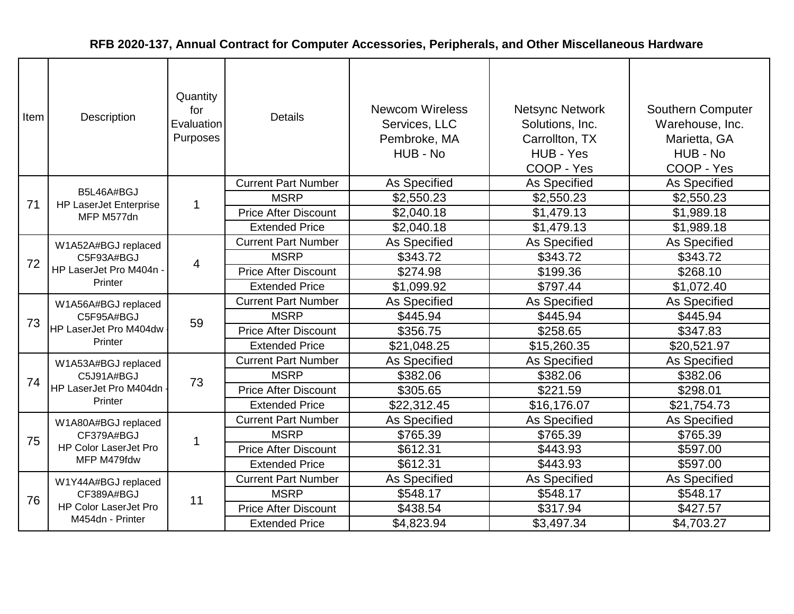| Item | Description                                                            | Quantity<br>for<br>Evaluation<br>Purposes | <b>Details</b>              | <b>Newcom Wireless</b><br>Services, LLC<br>Pembroke, MA<br>HUB - No | <b>Netsync Network</b><br>Solutions, Inc.<br>Carrollton, TX<br>HUB - Yes<br>COOP - Yes | <b>Southern Computer</b><br>Warehouse, Inc.<br>Marietta, GA<br>HUB - No<br>COOP - Yes |
|------|------------------------------------------------------------------------|-------------------------------------------|-----------------------------|---------------------------------------------------------------------|----------------------------------------------------------------------------------------|---------------------------------------------------------------------------------------|
|      | B5L46A#BGJ                                                             |                                           | <b>Current Part Number</b>  | As Specified                                                        | As Specified                                                                           | As Specified                                                                          |
| 71   | <b>HP LaserJet Enterprise</b>                                          | $\overline{1}$                            | <b>MSRP</b>                 | \$2,550.23                                                          | \$2,550.23                                                                             | \$2,550.23                                                                            |
|      | MFP M577dn                                                             |                                           | <b>Price After Discount</b> | \$2,040.18                                                          | \$1,479.13                                                                             | \$1,989.18                                                                            |
|      |                                                                        |                                           | <b>Extended Price</b>       | \$2,040.18                                                          | \$1,479.13                                                                             | \$1,989.18                                                                            |
|      | W1A52A#BGJ replaced                                                    |                                           | <b>Current Part Number</b>  | As Specified                                                        | As Specified                                                                           | As Specified                                                                          |
| 72   | C5F93A#BGJ<br>HP LaserJet Pro M404n<br>Printer                         | $\overline{4}$                            | <b>MSRP</b>                 | \$343.72                                                            | \$343.72                                                                               | \$343.72                                                                              |
|      |                                                                        |                                           | <b>Price After Discount</b> | \$274.98                                                            | \$199.36                                                                               | \$268.10                                                                              |
|      |                                                                        |                                           | <b>Extended Price</b>       | \$1,099.92                                                          | \$797.44                                                                               | \$1,072.40                                                                            |
|      | W1A56A#BGJ replaced<br>C5F95A#BGJ<br>HP LaserJet Pro M404dw<br>Printer | 59                                        | <b>Current Part Number</b>  | As Specified                                                        | <b>As Specified</b>                                                                    | As Specified                                                                          |
| 73   |                                                                        |                                           | <b>MSRP</b>                 | \$445.94                                                            | \$445.94                                                                               | \$445.94                                                                              |
|      |                                                                        |                                           | <b>Price After Discount</b> | \$356.75                                                            | \$258.65                                                                               | \$347.83                                                                              |
|      |                                                                        |                                           | <b>Extended Price</b>       | \$21,048.25                                                         | \$15,260.35                                                                            | \$20,521.97                                                                           |
|      | W1A53A#BGJ replaced                                                    |                                           | <b>Current Part Number</b>  | As Specified                                                        | As Specified                                                                           | As Specified                                                                          |
| 74   | C5J91A#BGJ                                                             | 73                                        | <b>MSRP</b>                 | \$382.06                                                            | \$382.06                                                                               | \$382.06                                                                              |
|      | HP LaserJet Pro M404dn                                                 |                                           | <b>Price After Discount</b> | \$305.65                                                            | \$221.59                                                                               | \$298.01                                                                              |
|      | Printer                                                                |                                           | <b>Extended Price</b>       | \$22,312.45                                                         | \$16,176.07                                                                            | \$21,754.73                                                                           |
|      | W1A80A#BGJ replaced                                                    |                                           | <b>Current Part Number</b>  | As Specified                                                        | <b>As Specified</b>                                                                    | As Specified                                                                          |
| 75   | CF379A#BGJ                                                             | 1                                         | <b>MSRP</b>                 | \$765.39                                                            | \$765.39                                                                               | \$765.39                                                                              |
|      | <b>HP Color LaserJet Pro</b>                                           |                                           | <b>Price After Discount</b> | \$612.31                                                            | \$443.93                                                                               | \$597.00                                                                              |
|      | MFP M479fdw                                                            |                                           | <b>Extended Price</b>       | \$612.31                                                            | \$443.93                                                                               | \$597.00                                                                              |
|      | W1Y44A#BGJ replaced                                                    |                                           | <b>Current Part Number</b>  | As Specified                                                        | As Specified                                                                           | As Specified                                                                          |
| 76   | CF389A#BGJ                                                             | 11                                        | <b>MSRP</b>                 | \$548.17                                                            | \$548.17                                                                               | \$548.17                                                                              |
|      | <b>HP Color LaserJet Pro</b>                                           |                                           | <b>Price After Discount</b> | \$438.54                                                            | \$317.94                                                                               | \$427.57                                                                              |
|      | M454dn - Printer                                                       |                                           | <b>Extended Price</b>       | \$4,823.94                                                          | \$3,497.34                                                                             | \$4,703.27                                                                            |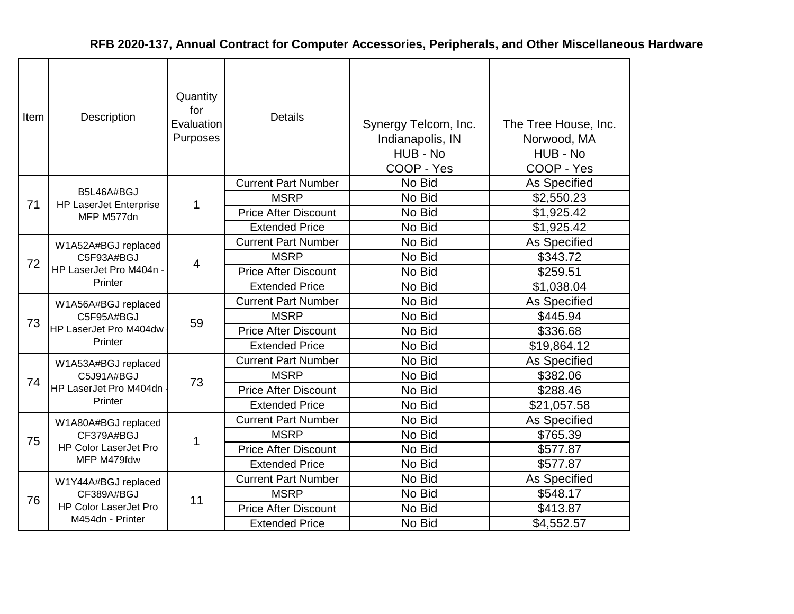| Item | Description                                                            | Quantity<br>for<br>Evaluation<br>Purposes | <b>Details</b>              | Synergy Telcom, Inc.<br>Indianapolis, IN<br>HUB - No<br>COOP - Yes | The Tree House, Inc.<br>Norwood, MA<br>HUB - No<br>COOP - Yes |
|------|------------------------------------------------------------------------|-------------------------------------------|-----------------------------|--------------------------------------------------------------------|---------------------------------------------------------------|
|      | B5L46A#BGJ                                                             |                                           | <b>Current Part Number</b>  | No Bid                                                             | As Specified                                                  |
| 71   | <b>HP LaserJet Enterprise</b>                                          | 1                                         | <b>MSRP</b>                 | No Bid                                                             | \$2,550.23                                                    |
|      | MFP M577dn                                                             |                                           | <b>Price After Discount</b> | No Bid                                                             | \$1,925.42                                                    |
|      |                                                                        |                                           | <b>Extended Price</b>       | No Bid                                                             | \$1,925.42                                                    |
|      | W1A52A#BGJ replaced<br>C5F93A#BGJ<br>HP LaserJet Pro M404n -           |                                           | <b>Current Part Number</b>  | No Bid                                                             | <b>As Specified</b>                                           |
| 72   |                                                                        | $\overline{4}$                            | <b>MSRP</b>                 | No Bid                                                             | \$343.72                                                      |
|      |                                                                        |                                           | <b>Price After Discount</b> | No Bid                                                             | \$259.51                                                      |
|      | Printer                                                                |                                           | <b>Extended Price</b>       | No Bid                                                             | \$1,038.04                                                    |
|      | W1A56A#BGJ replaced<br>C5F95A#BGJ<br>HP LaserJet Pro M404dw<br>Printer |                                           | <b>Current Part Number</b>  | No Bid                                                             | As Specified                                                  |
| 73   |                                                                        | 59                                        | <b>MSRP</b>                 | No Bid                                                             | \$445.94                                                      |
|      |                                                                        |                                           | <b>Price After Discount</b> | No Bid                                                             | \$336.68                                                      |
|      |                                                                        |                                           | <b>Extended Price</b>       | No Bid                                                             | \$19,864.12                                                   |
|      | W1A53A#BGJ replaced                                                    |                                           | <b>Current Part Number</b>  | No Bid                                                             | As Specified                                                  |
| 74   | C5J91A#BGJ                                                             | 73                                        | <b>MSRP</b>                 | No Bid                                                             | \$382.06                                                      |
|      | HP LaserJet Pro M404dn                                                 |                                           | <b>Price After Discount</b> | No Bid                                                             | \$288.46                                                      |
|      | Printer                                                                |                                           | <b>Extended Price</b>       | No Bid                                                             | \$21,057.58                                                   |
|      | W1A80A#BGJ replaced                                                    |                                           | <b>Current Part Number</b>  | No Bid                                                             | As Specified                                                  |
| 75   | CF379A#BGJ                                                             | 1                                         | <b>MSRP</b>                 | No Bid                                                             | \$765.39                                                      |
|      | <b>HP Color LaserJet Pro</b>                                           |                                           | <b>Price After Discount</b> | No Bid                                                             | \$577.87                                                      |
|      | MFP M479fdw                                                            |                                           | <b>Extended Price</b>       | No Bid                                                             | \$577.87                                                      |
|      | W1Y44A#BGJ replaced                                                    |                                           | <b>Current Part Number</b>  | No Bid                                                             | As Specified                                                  |
| 76   | CF389A#BGJ                                                             | 11                                        | <b>MSRP</b>                 | No Bid                                                             | \$548.17                                                      |
|      | HP Color LaserJet Pro                                                  |                                           | <b>Price After Discount</b> | No Bid                                                             | \$413.87                                                      |
|      | M454dn - Printer                                                       |                                           | <b>Extended Price</b>       | No Bid                                                             | \$4,552.57                                                    |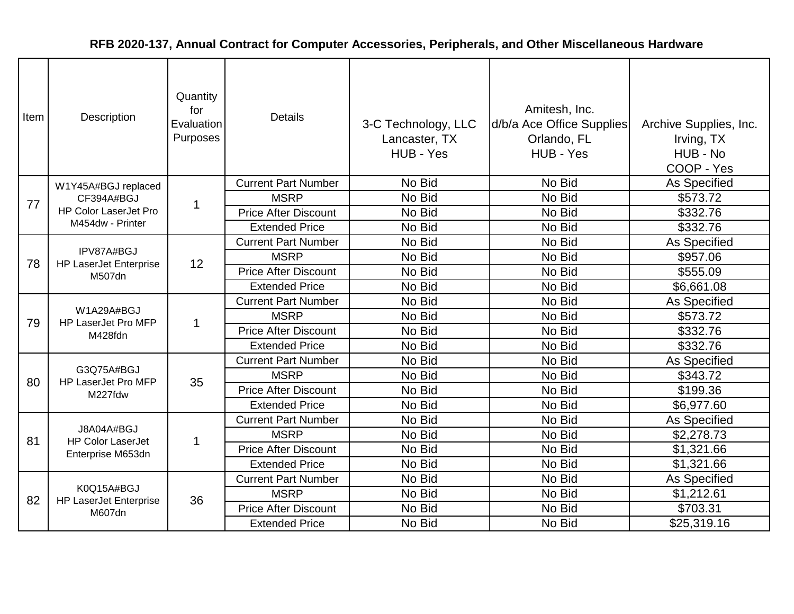| Item | Description                                  | Quantity<br>for<br>Evaluation<br>Purposes | <b>Details</b>              | 3-C Technology, LLC<br>Lancaster, TX<br>HUB - Yes | Amitesh, Inc.<br>d/b/a Ace Office Supplies<br>Orlando, FL<br>HUB - Yes | Archive Supplies, Inc.<br>Irving, TX<br>HUB - No<br>COOP - Yes |
|------|----------------------------------------------|-------------------------------------------|-----------------------------|---------------------------------------------------|------------------------------------------------------------------------|----------------------------------------------------------------|
|      | W1Y45A#BGJ replaced                          |                                           | <b>Current Part Number</b>  | No Bid                                            | No Bid                                                                 | As Specified                                                   |
| 77   | CF394A#BGJ                                   | 1                                         | <b>MSRP</b>                 | No Bid                                            | No Bid                                                                 | \$573.72                                                       |
|      | HP Color LaserJet Pro                        |                                           | <b>Price After Discount</b> | No Bid                                            | No Bid                                                                 | \$332.76                                                       |
|      | M454dw - Printer                             |                                           | <b>Extended Price</b>       | No Bid                                            | No Bid                                                                 | \$332.76                                                       |
|      | IPV87A#BGJ                                   |                                           | <b>Current Part Number</b>  | No Bid                                            | No Bid                                                                 | As Specified                                                   |
| 78   | <b>HP LaserJet Enterprise</b><br>M507dn      | 12                                        | <b>MSRP</b>                 | No Bid                                            | No Bid                                                                 | \$957.06                                                       |
|      |                                              |                                           | <b>Price After Discount</b> | No Bid                                            | No Bid                                                                 | \$555.09                                                       |
|      |                                              |                                           | <b>Extended Price</b>       | No Bid                                            | No Bid                                                                 | \$6,661.08                                                     |
|      | W1A29A#BGJ<br>HP LaserJet Pro MFP<br>M428fdn | $\mathbf 1$                               | <b>Current Part Number</b>  | No Bid                                            | No Bid                                                                 | As Specified                                                   |
| 79   |                                              |                                           | <b>MSRP</b>                 | No Bid                                            | No Bid                                                                 | \$573.72                                                       |
|      |                                              |                                           | <b>Price After Discount</b> | No Bid                                            | No Bid                                                                 | \$332.76                                                       |
|      |                                              |                                           | <b>Extended Price</b>       | No Bid                                            | No Bid                                                                 | \$332.76                                                       |
|      |                                              |                                           | <b>Current Part Number</b>  | No Bid                                            | No Bid                                                                 | <b>As Specified</b>                                            |
| 80   | G3Q75A#BGJ<br>HP LaserJet Pro MFP            | 35                                        | <b>MSRP</b>                 | No Bid                                            | No Bid                                                                 | \$343.72                                                       |
|      | M227fdw                                      |                                           | <b>Price After Discount</b> | No Bid                                            | No Bid                                                                 | \$199.36                                                       |
|      |                                              |                                           | <b>Extended Price</b>       | No Bid                                            | No Bid                                                                 | \$6,977.60                                                     |
|      |                                              |                                           | <b>Current Part Number</b>  | No Bid                                            | No Bid                                                                 | <b>As Specified</b>                                            |
| 81   | J8A04A#BGJ<br><b>HP Color LaserJet</b>       | 1                                         | <b>MSRP</b>                 | No Bid                                            | No Bid                                                                 | \$2,278.73                                                     |
|      | Enterprise M653dn                            |                                           | <b>Price After Discount</b> | No Bid                                            | No Bid                                                                 | \$1,321.66                                                     |
|      |                                              |                                           | <b>Extended Price</b>       | No Bid                                            | No Bid                                                                 | \$1,321.66                                                     |
|      |                                              |                                           | <b>Current Part Number</b>  | No Bid                                            | No Bid                                                                 | As Specified                                                   |
|      | K0Q15A#BGJ                                   |                                           | <b>MSRP</b>                 | No Bid                                            | No Bid                                                                 | \$1,212.61                                                     |
| 82   | <b>HP LaserJet Enterprise</b><br>M607dn      | 36                                        | <b>Price After Discount</b> | No Bid                                            | No Bid                                                                 | \$703.31                                                       |
|      |                                              |                                           | <b>Extended Price</b>       | No Bid                                            | No Bid                                                                 | \$25,319.16                                                    |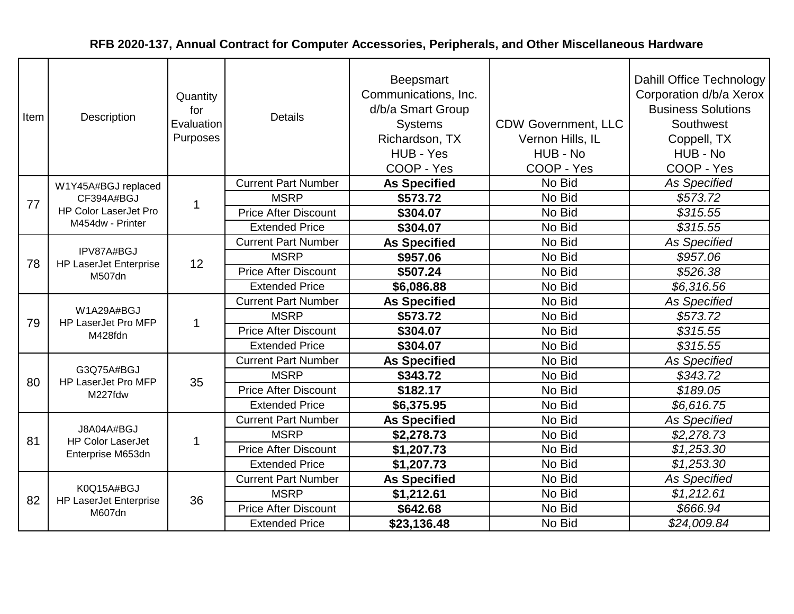| Item | Description                                           | Quantity<br>for<br>Evaluation<br>Purposes | <b>Details</b>              | Beepsmart<br>Communications, Inc.<br>d/b/a Smart Group<br><b>Systems</b><br>Richardson, TX<br>HUB - Yes<br>COOP - Yes | <b>CDW Government, LLC</b><br>Vernon Hills, IL<br>HUB - No<br>COOP - Yes | Dahill Office Technology<br>Corporation d/b/a Xerox<br><b>Business Solutions</b><br>Southwest<br>Coppell, TX<br>HUB - No<br>COOP - Yes |
|------|-------------------------------------------------------|-------------------------------------------|-----------------------------|-----------------------------------------------------------------------------------------------------------------------|--------------------------------------------------------------------------|----------------------------------------------------------------------------------------------------------------------------------------|
|      | W1Y45A#BGJ replaced                                   |                                           | <b>Current Part Number</b>  | <b>As Specified</b>                                                                                                   | No Bid                                                                   | <b>As Specified</b>                                                                                                                    |
| 77   | CF394A#BGJ                                            | $\mathbf 1$                               | <b>MSRP</b>                 | \$573.72                                                                                                              | No Bid                                                                   | \$573.72                                                                                                                               |
|      | <b>HP Color LaserJet Pro</b>                          |                                           | <b>Price After Discount</b> | \$304.07                                                                                                              | No Bid                                                                   | \$315.55                                                                                                                               |
|      | M454dw - Printer                                      |                                           | <b>Extended Price</b>       | \$304.07                                                                                                              | No Bid                                                                   | \$315.55                                                                                                                               |
|      |                                                       |                                           | <b>Current Part Number</b>  | <b>As Specified</b>                                                                                                   | No Bid                                                                   | <b>As Specified</b>                                                                                                                    |
| 78   | IPV87A#BGJ<br><b>HP LaserJet Enterprise</b><br>M507dn | 12                                        | <b>MSRP</b>                 | \$957.06                                                                                                              | No Bid                                                                   | \$957.06                                                                                                                               |
|      |                                                       |                                           | <b>Price After Discount</b> | \$507.24                                                                                                              | No Bid                                                                   | \$526.38                                                                                                                               |
|      |                                                       |                                           | <b>Extended Price</b>       | \$6,086.88                                                                                                            | No Bid                                                                   | \$6,316.56                                                                                                                             |
|      | W1A29A#BGJ<br>HP LaserJet Pro MFP<br>M428fdn          | $\mathbf 1$                               | <b>Current Part Number</b>  | <b>As Specified</b>                                                                                                   | No Bid                                                                   | <b>As Specified</b>                                                                                                                    |
| 79   |                                                       |                                           | <b>MSRP</b>                 | \$573.72                                                                                                              | No Bid                                                                   | \$573.72                                                                                                                               |
|      |                                                       |                                           | <b>Price After Discount</b> | \$304.07                                                                                                              | No Bid                                                                   | \$315.55                                                                                                                               |
|      |                                                       |                                           | <b>Extended Price</b>       | \$304.07                                                                                                              | No Bid                                                                   | \$315.55                                                                                                                               |
|      |                                                       |                                           | <b>Current Part Number</b>  | <b>As Specified</b>                                                                                                   | No Bid                                                                   | <b>As Specified</b>                                                                                                                    |
| 80   | G3Q75A#BGJ<br>HP LaserJet Pro MFP                     | 35                                        | <b>MSRP</b>                 | \$343.72                                                                                                              | No Bid                                                                   | \$343.72                                                                                                                               |
|      | M227fdw                                               |                                           | <b>Price After Discount</b> | \$182.17                                                                                                              | No Bid                                                                   | \$189.05                                                                                                                               |
|      |                                                       |                                           | <b>Extended Price</b>       | \$6,375.95                                                                                                            | No Bid                                                                   | \$6,616.75                                                                                                                             |
|      |                                                       |                                           | <b>Current Part Number</b>  | <b>As Specified</b>                                                                                                   | No Bid                                                                   | <b>As Specified</b>                                                                                                                    |
| 81   | J8A04A#BGJ<br><b>HP Color LaserJet</b>                | 1                                         | <b>MSRP</b>                 | \$2,278.73                                                                                                            | No Bid                                                                   | \$2,278.73                                                                                                                             |
|      | Enterprise M653dn                                     |                                           | <b>Price After Discount</b> | \$1,207.73                                                                                                            | No Bid                                                                   | \$1,253.30                                                                                                                             |
|      |                                                       |                                           | <b>Extended Price</b>       | \$1,207.73                                                                                                            | No Bid                                                                   | \$1,253.30                                                                                                                             |
|      |                                                       |                                           | <b>Current Part Number</b>  | <b>As Specified</b>                                                                                                   | No Bid                                                                   | <b>As Specified</b>                                                                                                                    |
| 82   | K0Q15A#BGJ<br><b>HP LaserJet Enterprise</b>           | 36                                        | <b>MSRP</b>                 | \$1,212.61                                                                                                            | No Bid                                                                   | \$1,212.61                                                                                                                             |
|      | M607dn                                                |                                           | <b>Price After Discount</b> | \$642.68                                                                                                              | No Bid                                                                   | \$666.94                                                                                                                               |
|      |                                                       |                                           | <b>Extended Price</b>       | \$23,136.48                                                                                                           | No Bid                                                                   | \$24,009.84                                                                                                                            |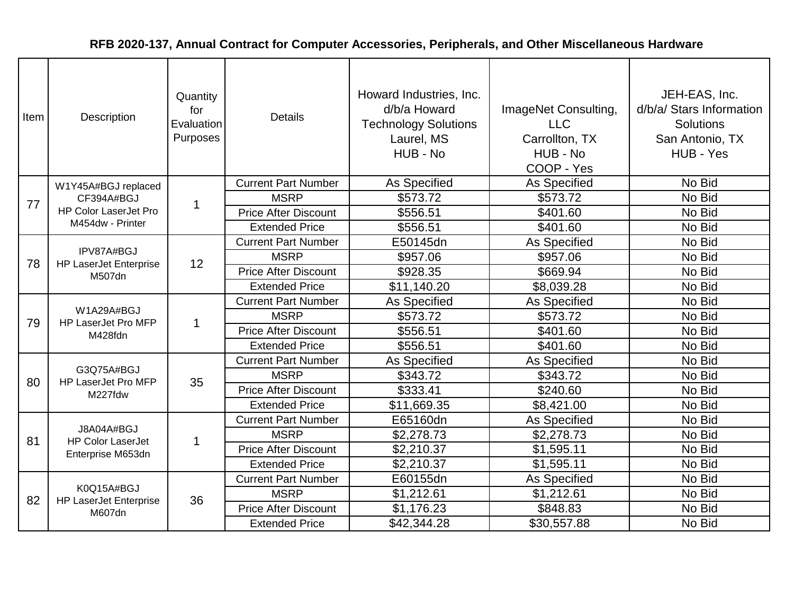| Item | Description                                           | Quantity<br>for<br>Evaluation<br>Purposes | <b>Details</b>              | Howard Industries, Inc.<br>d/b/a Howard<br><b>Technology Solutions</b><br>Laurel, MS<br>HUB - No | ImageNet Consulting,<br><b>LLC</b><br>Carrollton, TX<br>HUB - No<br>COOP - Yes | JEH-EAS, Inc.<br>d/b/a/ Stars Information<br><b>Solutions</b><br>San Antonio, TX<br>HUB - Yes |
|------|-------------------------------------------------------|-------------------------------------------|-----------------------------|--------------------------------------------------------------------------------------------------|--------------------------------------------------------------------------------|-----------------------------------------------------------------------------------------------|
|      | W1Y45A#BGJ replaced                                   |                                           | <b>Current Part Number</b>  | As Specified                                                                                     | As Specified                                                                   | No Bid                                                                                        |
| 77   | CF394A#BGJ                                            | 1                                         | <b>MSRP</b>                 | \$573.72                                                                                         | \$573.72                                                                       | No Bid                                                                                        |
|      | <b>HP Color LaserJet Pro</b>                          |                                           | <b>Price After Discount</b> | \$556.51                                                                                         | \$401.60                                                                       | No Bid                                                                                        |
|      | M454dw - Printer                                      |                                           | <b>Extended Price</b>       | \$556.51                                                                                         | \$401.60                                                                       | No Bid                                                                                        |
|      |                                                       |                                           | <b>Current Part Number</b>  | E50145dn                                                                                         | As Specified                                                                   | No Bid                                                                                        |
| 78   | IPV87A#BGJ<br><b>HP LaserJet Enterprise</b><br>M507dn | 12                                        | <b>MSRP</b>                 | \$957.06                                                                                         | \$957.06                                                                       | No Bid                                                                                        |
|      |                                                       |                                           | <b>Price After Discount</b> | \$928.35                                                                                         | \$669.94                                                                       | No Bid                                                                                        |
|      |                                                       |                                           | <b>Extended Price</b>       | \$11,140.20                                                                                      | \$8,039.28                                                                     | No Bid                                                                                        |
|      | W1A29A#BGJ<br>HP LaserJet Pro MFP<br>M428fdn          | $\mathbf 1$                               | <b>Current Part Number</b>  | As Specified                                                                                     | As Specified                                                                   | No Bid                                                                                        |
| 79   |                                                       |                                           | <b>MSRP</b>                 | \$573.72                                                                                         | \$573.72                                                                       | No Bid                                                                                        |
|      |                                                       |                                           | <b>Price After Discount</b> | \$556.51                                                                                         | \$401.60                                                                       | No Bid                                                                                        |
|      |                                                       |                                           | <b>Extended Price</b>       | \$556.51                                                                                         | \$401.60                                                                       | No Bid                                                                                        |
|      |                                                       |                                           | <b>Current Part Number</b>  | As Specified                                                                                     | As Specified                                                                   | No Bid                                                                                        |
| 80   | G3Q75A#BGJ<br>HP LaserJet Pro MFP                     | 35                                        | <b>MSRP</b>                 | \$343.72                                                                                         | \$343.72                                                                       | No Bid                                                                                        |
|      | M227fdw                                               |                                           | <b>Price After Discount</b> | \$333.41                                                                                         | \$240.60                                                                       | No Bid                                                                                        |
|      |                                                       |                                           | <b>Extended Price</b>       | \$11,669.35                                                                                      | \$8,421.00                                                                     | No Bid                                                                                        |
|      |                                                       |                                           | <b>Current Part Number</b>  | E65160dn                                                                                         | As Specified                                                                   | No Bid                                                                                        |
| 81   | J8A04A#BGJ<br><b>HP Color LaserJet</b>                | -1                                        | <b>MSRP</b>                 | \$2,278.73                                                                                       | \$2,278.73                                                                     | No Bid                                                                                        |
|      | Enterprise M653dn                                     |                                           | <b>Price After Discount</b> | \$2,210.37                                                                                       | \$1,595.11                                                                     | No Bid                                                                                        |
|      |                                                       |                                           | <b>Extended Price</b>       | \$2,210.37                                                                                       | \$1,595.11                                                                     | No Bid                                                                                        |
|      |                                                       |                                           | <b>Current Part Number</b>  | E60155dn                                                                                         | As Specified                                                                   | No Bid                                                                                        |
| 82   | K0Q15A#BGJ<br><b>HP LaserJet Enterprise</b>           | 36                                        | <b>MSRP</b>                 | \$1,212.61                                                                                       | \$1,212.61                                                                     | No Bid                                                                                        |
|      | M607dn                                                |                                           | <b>Price After Discount</b> | \$1,176.23                                                                                       | \$848.83                                                                       | No Bid                                                                                        |
|      |                                                       |                                           | <b>Extended Price</b>       | \$42,344.28                                                                                      | \$30,557.88                                                                    | No Bid                                                                                        |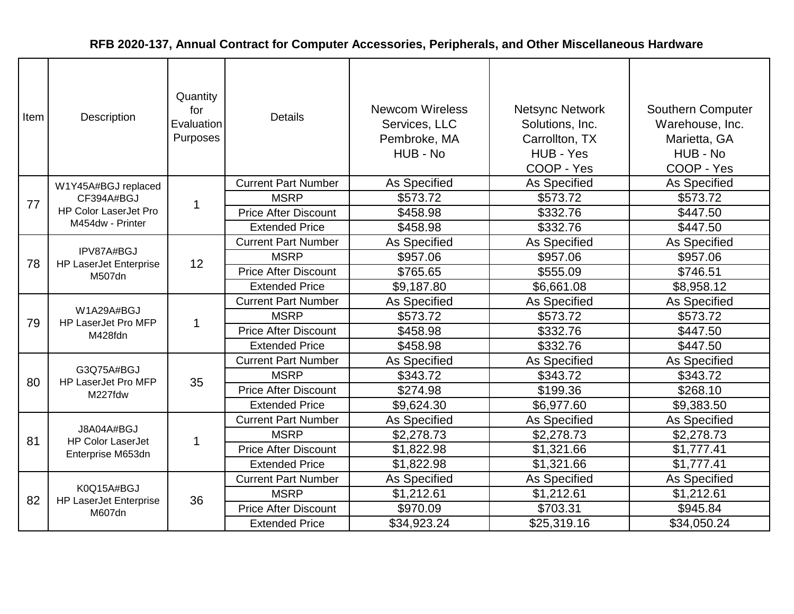| Item | Description                                           | Quantity<br>for<br>Evaluation<br>Purposes | <b>Details</b>              | <b>Newcom Wireless</b><br>Services, LLC<br>Pembroke, MA<br>HUB - No | <b>Netsync Network</b><br>Solutions, Inc.<br>Carrollton, TX<br>HUB - Yes<br>COOP - Yes | Southern Computer<br>Warehouse, Inc.<br>Marietta, GA<br>HUB - No<br>COOP - Yes |
|------|-------------------------------------------------------|-------------------------------------------|-----------------------------|---------------------------------------------------------------------|----------------------------------------------------------------------------------------|--------------------------------------------------------------------------------|
|      | W1Y45A#BGJ replaced                                   |                                           | <b>Current Part Number</b>  | As Specified                                                        | As Specified                                                                           | <b>As Specified</b>                                                            |
| 77   | CF394A#BGJ                                            | 1                                         | <b>MSRP</b>                 | \$573.72                                                            | \$573.72                                                                               | \$573.72                                                                       |
|      | <b>HP Color LaserJet Pro</b>                          |                                           | <b>Price After Discount</b> | \$458.98                                                            | \$332.76                                                                               | \$447.50                                                                       |
|      | M454dw - Printer                                      |                                           | <b>Extended Price</b>       | \$458.98                                                            | \$332.76                                                                               | \$447.50                                                                       |
|      |                                                       |                                           | <b>Current Part Number</b>  | As Specified                                                        | As Specified                                                                           | As Specified                                                                   |
| 78   | IPV87A#BGJ<br><b>HP LaserJet Enterprise</b><br>M507dn | 12                                        | <b>MSRP</b>                 | \$957.06                                                            | \$957.06                                                                               | \$957.06                                                                       |
|      |                                                       |                                           | <b>Price After Discount</b> | \$765.65                                                            | \$555.09                                                                               | \$746.51                                                                       |
|      |                                                       |                                           | <b>Extended Price</b>       | \$9,187.80                                                          | \$6,661.08                                                                             | \$8,958.12                                                                     |
|      | W1A29A#BGJ<br>HP LaserJet Pro MFP<br>M428fdn          | 1                                         | <b>Current Part Number</b>  | As Specified                                                        | As Specified                                                                           | As Specified                                                                   |
| 79   |                                                       |                                           | <b>MSRP</b>                 | \$573.72                                                            | \$573.72                                                                               | \$573.72                                                                       |
|      |                                                       |                                           | <b>Price After Discount</b> | \$458.98                                                            | \$332.76                                                                               | \$447.50                                                                       |
|      |                                                       |                                           | <b>Extended Price</b>       | \$458.98                                                            | \$332.76                                                                               | \$447.50                                                                       |
|      |                                                       |                                           | <b>Current Part Number</b>  | As Specified                                                        | As Specified                                                                           | As Specified                                                                   |
| 80   | G3Q75A#BGJ<br>HP LaserJet Pro MFP                     | 35                                        | <b>MSRP</b>                 | \$343.72                                                            | \$343.72                                                                               | \$343.72                                                                       |
|      | M227fdw                                               |                                           | <b>Price After Discount</b> | \$274.98                                                            | \$199.36                                                                               | \$268.10                                                                       |
|      |                                                       |                                           | <b>Extended Price</b>       | \$9,624.30                                                          | \$6,977.60                                                                             | \$9,383.50                                                                     |
|      |                                                       |                                           | <b>Current Part Number</b>  | As Specified                                                        | <b>As Specified</b>                                                                    | As Specified                                                                   |
| 81   | J8A04A#BGJ<br><b>HP Color LaserJet</b>                | 1                                         | <b>MSRP</b>                 | \$2,278.73                                                          | \$2,278.73                                                                             | \$2,278.73                                                                     |
|      | Enterprise M653dn                                     |                                           | <b>Price After Discount</b> | \$1,822.98                                                          | \$1,321.66                                                                             | \$1,777.41                                                                     |
|      |                                                       |                                           | <b>Extended Price</b>       | \$1,822.98                                                          | \$1,321.66                                                                             | \$1,777.41                                                                     |
|      |                                                       |                                           | <b>Current Part Number</b>  | As Specified                                                        | As Specified                                                                           | As Specified                                                                   |
| 82   | K0Q15A#BGJ<br><b>HP LaserJet Enterprise</b>           | 36                                        | <b>MSRP</b>                 | \$1,212.61                                                          | \$1,212.61                                                                             | \$1,212.61                                                                     |
|      | M607dn                                                |                                           | <b>Price After Discount</b> | \$970.09                                                            | \$703.31                                                                               | \$945.84                                                                       |
|      |                                                       |                                           | <b>Extended Price</b>       | \$34,923.24                                                         | \$25,319.16                                                                            | \$34,050.24                                                                    |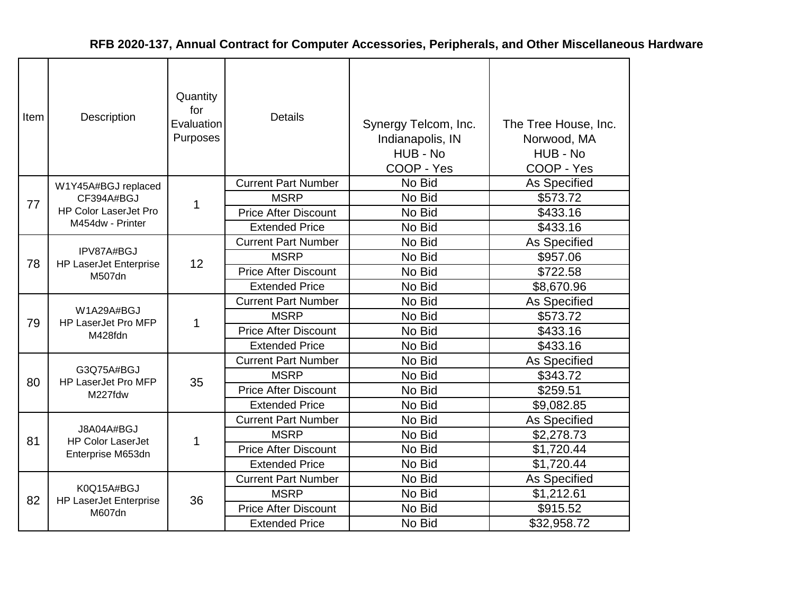| Item | Description                                           | Quantity<br>for<br>Evaluation<br>Purposes | <b>Details</b>              | Synergy Telcom, Inc.<br>Indianapolis, IN<br>HUB - No<br>COOP - Yes | The Tree House, Inc.<br>Norwood, MA<br>HUB - No<br>COOP - Yes |
|------|-------------------------------------------------------|-------------------------------------------|-----------------------------|--------------------------------------------------------------------|---------------------------------------------------------------|
|      | W1Y45A#BGJ replaced                                   |                                           | <b>Current Part Number</b>  | No Bid                                                             | <b>As Specified</b>                                           |
| 77   | CF394A#BGJ                                            | 1                                         | <b>MSRP</b>                 | No Bid                                                             | \$573.72                                                      |
|      | <b>HP Color LaserJet Pro</b>                          |                                           | <b>Price After Discount</b> | No Bid                                                             | \$433.16                                                      |
|      | M454dw - Printer                                      |                                           | <b>Extended Price</b>       | No Bid                                                             | \$433.16                                                      |
|      | IPV87A#BGJ<br><b>HP LaserJet Enterprise</b><br>M507dn |                                           | <b>Current Part Number</b>  | No Bid                                                             | As Specified                                                  |
| 78   |                                                       | 12                                        | <b>MSRP</b>                 | No Bid                                                             | \$957.06                                                      |
|      |                                                       |                                           | <b>Price After Discount</b> | No Bid                                                             | \$722.58                                                      |
|      |                                                       |                                           | <b>Extended Price</b>       | No Bid                                                             | \$8,670.96                                                    |
|      | W1A29A#BGJ<br>HP LaserJet Pro MFP<br>M428fdn          | 1                                         | <b>Current Part Number</b>  | No Bid                                                             | As Specified                                                  |
| 79   |                                                       |                                           | <b>MSRP</b>                 | No Bid                                                             | \$573.72                                                      |
|      |                                                       |                                           | <b>Price After Discount</b> | No Bid                                                             | \$433.16                                                      |
|      |                                                       |                                           | <b>Extended Price</b>       | No Bid                                                             | \$433.16                                                      |
|      |                                                       |                                           | <b>Current Part Number</b>  | No Bid                                                             | As Specified                                                  |
| 80   | G3Q75A#BGJ<br>HP LaserJet Pro MFP                     | 35                                        | <b>MSRP</b>                 | No Bid                                                             | \$343.72                                                      |
|      | M227fdw                                               |                                           | <b>Price After Discount</b> | No Bid                                                             | \$259.51                                                      |
|      |                                                       |                                           | <b>Extended Price</b>       | No Bid                                                             | \$9,082.85                                                    |
|      |                                                       |                                           | <b>Current Part Number</b>  | No Bid                                                             | As Specified                                                  |
| 81   | J8A04A#BGJ<br><b>HP Color LaserJet</b>                | 1                                         | <b>MSRP</b>                 | No Bid                                                             | \$2,278.73                                                    |
|      | Enterprise M653dn                                     |                                           | <b>Price After Discount</b> | No Bid                                                             | \$1,720.44                                                    |
|      |                                                       |                                           | <b>Extended Price</b>       | No Bid                                                             | \$1,720.44                                                    |
|      |                                                       |                                           | <b>Current Part Number</b>  | No Bid                                                             | As Specified                                                  |
| 82   | K0Q15A#BGJ<br><b>HP LaserJet Enterprise</b>           | 36                                        | <b>MSRP</b>                 | No Bid                                                             | \$1,212.61                                                    |
|      | M607dn                                                |                                           | <b>Price After Discount</b> | No Bid                                                             | \$915.52                                                      |
|      |                                                       |                                           | <b>Extended Price</b>       | No Bid                                                             | \$32,958.72                                                   |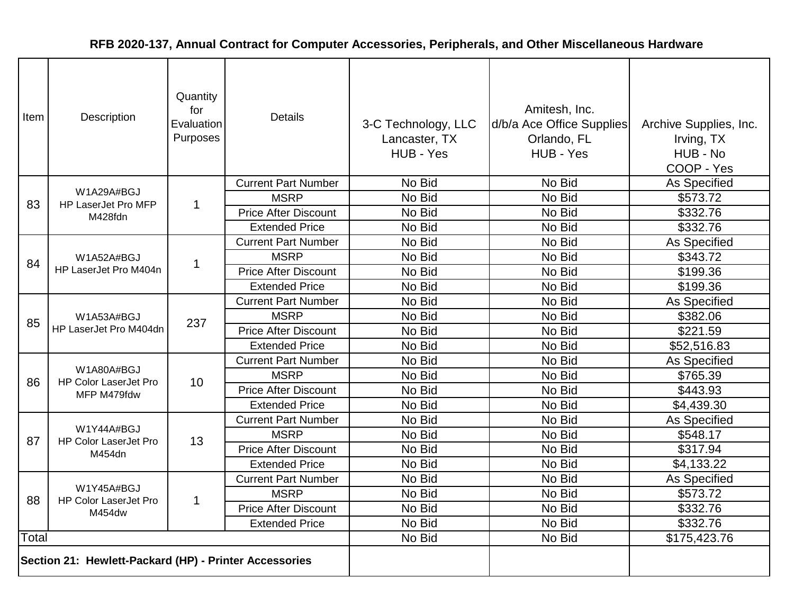| Item  | Description                                            | Quantity<br>for<br>Evaluation<br>Purposes | <b>Details</b>              | 3-C Technology, LLC<br>Lancaster, TX<br>HUB - Yes | Amitesh, Inc.<br>d/b/a Ace Office Supplies<br>Orlando, FL<br>HUB - Yes | Archive Supplies, Inc.<br>Irving, TX<br>HUB - No<br>COOP - Yes |
|-------|--------------------------------------------------------|-------------------------------------------|-----------------------------|---------------------------------------------------|------------------------------------------------------------------------|----------------------------------------------------------------|
|       |                                                        |                                           | <b>Current Part Number</b>  | No Bid                                            | No Bid                                                                 | As Specified                                                   |
| 83    | W1A29A#BGJ<br>HP LaserJet Pro MFP                      | $\mathbf{1}$                              | <b>MSRP</b>                 | No Bid                                            | No Bid                                                                 | \$573.72                                                       |
|       | M428fdn                                                |                                           | <b>Price After Discount</b> | No Bid                                            | No Bid                                                                 | \$332.76                                                       |
|       |                                                        |                                           | <b>Extended Price</b>       | No Bid                                            | No Bid                                                                 | \$332.76                                                       |
|       |                                                        |                                           | <b>Current Part Number</b>  | No Bid                                            | No Bid                                                                 | As Specified                                                   |
| 84    | W1A52A#BGJ                                             | $\mathbf{1}$                              | <b>MSRP</b>                 | No Bid                                            | No Bid                                                                 | \$343.72                                                       |
|       | HP LaserJet Pro M404n                                  |                                           | <b>Price After Discount</b> | No Bid                                            | No Bid                                                                 | \$199.36                                                       |
|       |                                                        |                                           | <b>Extended Price</b>       | No Bid                                            | No Bid                                                                 | \$199.36                                                       |
|       | W1A53A#BGJ<br>HP LaserJet Pro M404dn                   |                                           | <b>Current Part Number</b>  | No Bid                                            | No Bid                                                                 | As Specified                                                   |
| 85    |                                                        | 237                                       | <b>MSRP</b>                 | No Bid                                            | No Bid                                                                 | \$382.06                                                       |
|       |                                                        |                                           | <b>Price After Discount</b> | No Bid                                            | No Bid                                                                 | \$221.59                                                       |
|       |                                                        |                                           | <b>Extended Price</b>       | No Bid                                            | No Bid                                                                 | \$52,516.83                                                    |
|       |                                                        | 10                                        | <b>Current Part Number</b>  | No Bid                                            | No Bid                                                                 | As Specified                                                   |
| 86    | W1A80A#BGJ<br><b>HP Color LaserJet Pro</b>             |                                           | <b>MSRP</b>                 | No Bid                                            | No Bid                                                                 | \$765.39                                                       |
|       | MFP M479fdw                                            |                                           | <b>Price After Discount</b> | No Bid                                            | No Bid                                                                 | \$443.93                                                       |
|       |                                                        |                                           | <b>Extended Price</b>       | No Bid                                            | No Bid                                                                 | \$4,439.30                                                     |
|       |                                                        |                                           | <b>Current Part Number</b>  | No Bid                                            | No Bid                                                                 | As Specified                                                   |
| 87    | W1Y44A#BGJ<br><b>HP Color LaserJet Pro</b>             | 13                                        | <b>MSRP</b>                 | No Bid                                            | No Bid                                                                 | \$548.17                                                       |
|       | M454dn                                                 |                                           | <b>Price After Discount</b> | No Bid                                            | No Bid                                                                 | \$317.94                                                       |
|       |                                                        |                                           | <b>Extended Price</b>       | No Bid                                            | No Bid                                                                 | \$4,133.22                                                     |
|       |                                                        |                                           | <b>Current Part Number</b>  | No Bid                                            | No Bid                                                                 | As Specified                                                   |
| 88    | W1Y45A#BGJ<br><b>HP Color LaserJet Pro</b>             | $\mathbf{1}$                              | <b>MSRP</b>                 | No Bid                                            | No Bid                                                                 | \$573.72                                                       |
|       | M454dw                                                 |                                           | <b>Price After Discount</b> | No Bid                                            | No Bid                                                                 | \$332.76                                                       |
|       |                                                        |                                           | <b>Extended Price</b>       | No Bid                                            | No Bid                                                                 | \$332.76                                                       |
| Total |                                                        |                                           |                             | No Bid                                            | No Bid                                                                 | \$175,423.76                                                   |
|       | Section 21: Hewlett-Packard (HP) - Printer Accessories |                                           |                             |                                                   |                                                                        |                                                                |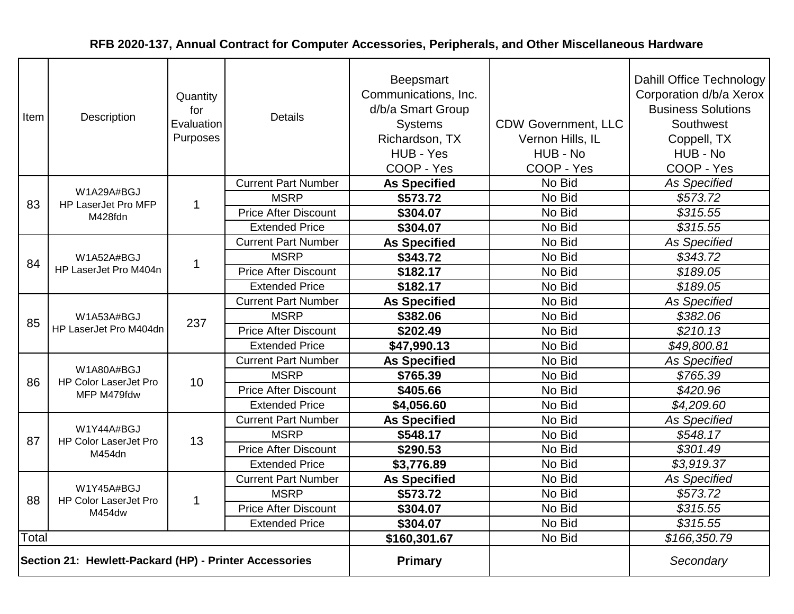| Item                                                   | Description                                | Quantity<br>for<br>Evaluation<br>Purposes | <b>Details</b>              | Beepsmart<br>Communications, Inc.<br>d/b/a Smart Group<br><b>Systems</b><br>Richardson, TX<br>HUB - Yes<br>COOP - Yes | <b>CDW Government, LLC</b><br>Vernon Hills, IL<br>HUB - No<br>COOP - Yes | Dahill Office Technology<br>Corporation d/b/a Xerox<br><b>Business Solutions</b><br>Southwest<br>Coppell, TX<br>HUB - No<br>COOP - Yes |
|--------------------------------------------------------|--------------------------------------------|-------------------------------------------|-----------------------------|-----------------------------------------------------------------------------------------------------------------------|--------------------------------------------------------------------------|----------------------------------------------------------------------------------------------------------------------------------------|
|                                                        |                                            |                                           | <b>Current Part Number</b>  | <b>As Specified</b>                                                                                                   | No Bid                                                                   | <b>As Specified</b>                                                                                                                    |
| 83                                                     | W1A29A#BGJ<br>HP LaserJet Pro MFP          | $\mathbf{1}$                              | <b>MSRP</b>                 | \$573.72                                                                                                              | No Bid                                                                   | \$573.72                                                                                                                               |
|                                                        | M428fdn                                    |                                           | <b>Price After Discount</b> | \$304.07                                                                                                              | No Bid                                                                   | \$315.55                                                                                                                               |
|                                                        |                                            |                                           | <b>Extended Price</b>       | \$304.07                                                                                                              | No Bid                                                                   | \$315.55                                                                                                                               |
|                                                        |                                            |                                           | <b>Current Part Number</b>  | <b>As Specified</b>                                                                                                   | No Bid                                                                   | <b>As Specified</b>                                                                                                                    |
| 84                                                     | W1A52A#BGJ                                 | $\mathbf 1$                               | <b>MSRP</b>                 | \$343.72                                                                                                              | No Bid                                                                   | \$343.72                                                                                                                               |
|                                                        | HP LaserJet Pro M404n                      |                                           | <b>Price After Discount</b> | \$182.17                                                                                                              | No Bid                                                                   | \$189.05                                                                                                                               |
|                                                        |                                            |                                           | <b>Extended Price</b>       | \$182.17                                                                                                              | No Bid                                                                   | \$189.05                                                                                                                               |
|                                                        | W1A53A#BGJ<br>HP LaserJet Pro M404dn       |                                           | <b>Current Part Number</b>  | <b>As Specified</b>                                                                                                   | No Bid                                                                   | <b>As Specified</b>                                                                                                                    |
| 85                                                     |                                            | 237                                       | <b>MSRP</b>                 | \$382.06                                                                                                              | No Bid                                                                   | \$382.06                                                                                                                               |
|                                                        |                                            |                                           | <b>Price After Discount</b> | \$202.49                                                                                                              | No Bid                                                                   | \$210.13                                                                                                                               |
|                                                        |                                            |                                           | <b>Extended Price</b>       | \$47,990.13                                                                                                           | No Bid                                                                   | \$49,800.81                                                                                                                            |
|                                                        |                                            | 10                                        | <b>Current Part Number</b>  | <b>As Specified</b>                                                                                                   | No Bid                                                                   | <b>As Specified</b>                                                                                                                    |
| 86                                                     | W1A80A#BGJ<br><b>HP Color LaserJet Pro</b> |                                           | <b>MSRP</b>                 | \$765.39                                                                                                              | No Bid                                                                   | \$765.39                                                                                                                               |
|                                                        | MFP M479fdw                                |                                           | <b>Price After Discount</b> | \$405.66                                                                                                              | No Bid                                                                   | \$420.96                                                                                                                               |
|                                                        |                                            |                                           | <b>Extended Price</b>       | \$4,056.60                                                                                                            | No Bid                                                                   | \$4,209.60                                                                                                                             |
|                                                        |                                            |                                           | <b>Current Part Number</b>  | <b>As Specified</b>                                                                                                   | No Bid                                                                   | <b>As Specified</b>                                                                                                                    |
| 87                                                     | W1Y44A#BGJ<br><b>HP Color LaserJet Pro</b> | 13                                        | <b>MSRP</b>                 | \$548.17                                                                                                              | No Bid                                                                   | \$548.17                                                                                                                               |
|                                                        | M454dn                                     |                                           | <b>Price After Discount</b> | \$290.53                                                                                                              | No Bid                                                                   | \$301.49                                                                                                                               |
|                                                        |                                            |                                           | <b>Extended Price</b>       | \$3,776.89                                                                                                            | No Bid                                                                   | \$3,919.37                                                                                                                             |
|                                                        |                                            |                                           | <b>Current Part Number</b>  | <b>As Specified</b>                                                                                                   | No Bid                                                                   | <b>As Specified</b>                                                                                                                    |
| 88                                                     | W1Y45A#BGJ<br><b>HP Color LaserJet Pro</b> | $\mathbf{1}$                              | <b>MSRP</b>                 | \$573.72                                                                                                              | No Bid                                                                   | \$573.72                                                                                                                               |
|                                                        | M454dw                                     |                                           | <b>Price After Discount</b> | \$304.07                                                                                                              | No Bid                                                                   | \$315.55                                                                                                                               |
|                                                        |                                            |                                           | <b>Extended Price</b>       | \$304.07                                                                                                              | No Bid                                                                   | \$315.55                                                                                                                               |
| Total                                                  |                                            |                                           |                             | \$160,301.67                                                                                                          | No Bid                                                                   | \$166,350.79                                                                                                                           |
| Section 21: Hewlett-Packard (HP) - Printer Accessories |                                            |                                           |                             | <b>Primary</b>                                                                                                        |                                                                          | Secondary                                                                                                                              |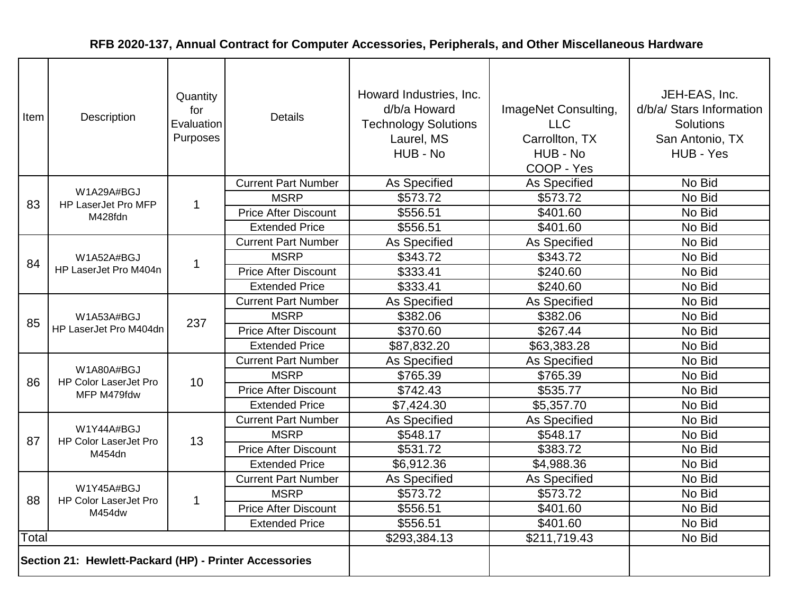| Item  | Description                                            | Quantity<br>for<br>Evaluation<br>Purposes | <b>Details</b>              | Howard Industries, Inc.<br>d/b/a Howard<br><b>Technology Solutions</b><br>Laurel, MS<br>HUB - No | ImageNet Consulting,<br><b>LLC</b><br>Carrollton, TX<br>HUB - No<br>COOP - Yes | JEH-EAS, Inc.<br>d/b/a/ Stars Information<br><b>Solutions</b><br>San Antonio, TX<br>HUB - Yes |
|-------|--------------------------------------------------------|-------------------------------------------|-----------------------------|--------------------------------------------------------------------------------------------------|--------------------------------------------------------------------------------|-----------------------------------------------------------------------------------------------|
|       |                                                        |                                           | <b>Current Part Number</b>  | As Specified                                                                                     | As Specified                                                                   | No Bid                                                                                        |
| 83    | W1A29A#BGJ<br>HP LaserJet Pro MFP                      | $\mathbf 1$                               | <b>MSRP</b>                 | \$573.72                                                                                         | \$573.72                                                                       | No Bid                                                                                        |
|       | M428fdn                                                |                                           | <b>Price After Discount</b> | \$556.51                                                                                         | \$401.60                                                                       | No Bid                                                                                        |
|       |                                                        |                                           | <b>Extended Price</b>       | \$556.51                                                                                         | \$401.60                                                                       | No Bid                                                                                        |
|       |                                                        |                                           | <b>Current Part Number</b>  | As Specified                                                                                     | As Specified                                                                   | No Bid                                                                                        |
| 84    | W1A52A#BGJ                                             | 1                                         | <b>MSRP</b>                 | \$343.72                                                                                         | \$343.72                                                                       | No Bid                                                                                        |
|       | HP LaserJet Pro M404n                                  |                                           | <b>Price After Discount</b> | \$333.41                                                                                         | \$240.60                                                                       | No Bid                                                                                        |
|       |                                                        |                                           | <b>Extended Price</b>       | \$333.41                                                                                         | \$240.60                                                                       | No Bid                                                                                        |
|       |                                                        |                                           | <b>Current Part Number</b>  | As Specified                                                                                     | As Specified                                                                   | No Bid                                                                                        |
| 85    | W1A53A#BGJ                                             | 237                                       | <b>MSRP</b>                 | \$382.06                                                                                         | \$382.06                                                                       | No Bid                                                                                        |
|       | HP LaserJet Pro M404dn                                 |                                           | <b>Price After Discount</b> | \$370.60                                                                                         | \$267.44                                                                       | No Bid                                                                                        |
|       |                                                        |                                           | <b>Extended Price</b>       | \$87,832.20                                                                                      | \$63,383.28                                                                    | No Bid                                                                                        |
|       |                                                        | 10                                        | <b>Current Part Number</b>  | As Specified                                                                                     | As Specified                                                                   | No Bid                                                                                        |
| 86    | W1A80A#BGJ<br><b>HP Color LaserJet Pro</b>             |                                           | <b>MSRP</b>                 | \$765.39                                                                                         | \$765.39                                                                       | No Bid                                                                                        |
|       | MFP M479fdw                                            |                                           | <b>Price After Discount</b> | \$742.43                                                                                         | \$535.77                                                                       | No Bid                                                                                        |
|       |                                                        |                                           | <b>Extended Price</b>       | \$7,424.30                                                                                       | \$5,357.70                                                                     | No Bid                                                                                        |
|       |                                                        |                                           | <b>Current Part Number</b>  | As Specified                                                                                     | As Specified                                                                   | No Bid                                                                                        |
| 87    | W1Y44A#BGJ<br><b>HP Color LaserJet Pro</b>             | 13                                        | <b>MSRP</b>                 | \$548.17                                                                                         | \$548.17                                                                       | No Bid                                                                                        |
|       | M454dn                                                 |                                           | <b>Price After Discount</b> | \$531.72                                                                                         | \$383.72                                                                       | No Bid                                                                                        |
|       |                                                        |                                           | <b>Extended Price</b>       | \$6,912.36                                                                                       | \$4,988.36                                                                     | No Bid                                                                                        |
|       |                                                        |                                           | <b>Current Part Number</b>  | As Specified                                                                                     | As Specified                                                                   | No Bid                                                                                        |
| 88    | W1Y45A#BGJ<br><b>HP Color LaserJet Pro</b>             | $\mathbf{1}$                              | <b>MSRP</b>                 | \$573.72                                                                                         | \$573.72                                                                       | No Bid                                                                                        |
|       | M454dw                                                 |                                           | <b>Price After Discount</b> | \$556.51                                                                                         | \$401.60                                                                       | No Bid                                                                                        |
|       |                                                        |                                           | <b>Extended Price</b>       | \$556.51                                                                                         | \$401.60                                                                       | No Bid                                                                                        |
| Total |                                                        |                                           |                             | \$293,384.13                                                                                     | \$211,719.43                                                                   | No Bid                                                                                        |
|       | Section 21: Hewlett-Packard (HP) - Printer Accessories |                                           |                             |                                                                                                  |                                                                                |                                                                                               |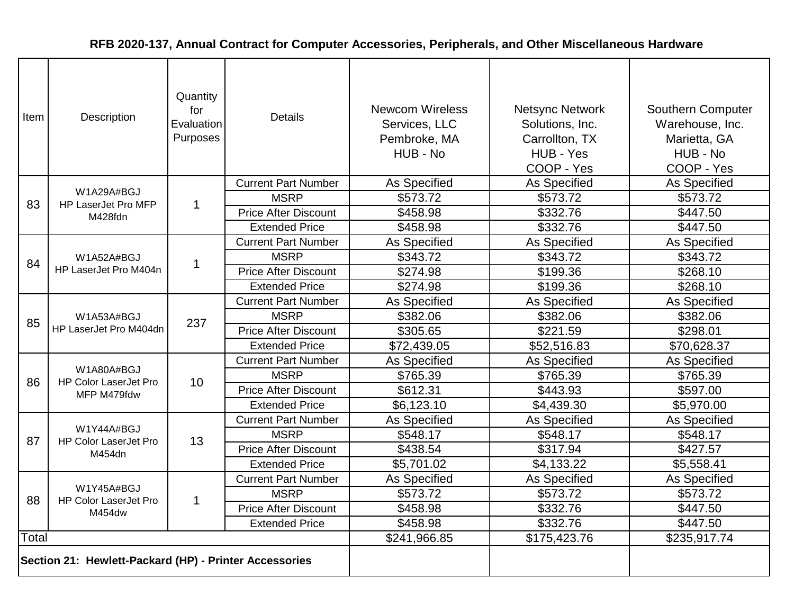| Item  | <b>Description</b>                                     | Quantity<br>for<br>Evaluation<br>Purposes | <b>Details</b>              | <b>Newcom Wireless</b><br>Services, LLC<br>Pembroke, MA<br>HUB - No | <b>Netsync Network</b><br>Solutions, Inc.<br>Carrollton, TX<br>HUB - Yes<br>COOP - Yes | <b>Southern Computer</b><br>Warehouse, Inc.<br>Marietta, GA<br>HUB - No<br>COOP - Yes |
|-------|--------------------------------------------------------|-------------------------------------------|-----------------------------|---------------------------------------------------------------------|----------------------------------------------------------------------------------------|---------------------------------------------------------------------------------------|
|       |                                                        |                                           | <b>Current Part Number</b>  | As Specified                                                        | As Specified                                                                           | As Specified                                                                          |
| 83    | W1A29A#BGJ<br>HP LaserJet Pro MFP                      | $\mathbf 1$                               | <b>MSRP</b>                 | \$573.72                                                            | \$573.72                                                                               | \$573.72                                                                              |
|       | M428fdn                                                |                                           | <b>Price After Discount</b> | \$458.98                                                            | \$332.76                                                                               | \$447.50                                                                              |
|       |                                                        |                                           | <b>Extended Price</b>       | \$458.98                                                            | \$332.76                                                                               | \$447.50                                                                              |
|       |                                                        |                                           | <b>Current Part Number</b>  | As Specified                                                        | <b>As Specified</b>                                                                    | As Specified                                                                          |
| 84    | W1A52A#BGJ                                             | $\mathbf 1$                               | <b>MSRP</b>                 | \$343.72                                                            | \$343.72                                                                               | \$343.72                                                                              |
|       | HP LaserJet Pro M404n                                  |                                           | <b>Price After Discount</b> | \$274.98                                                            | \$199.36                                                                               | \$268.10                                                                              |
|       |                                                        |                                           | <b>Extended Price</b>       | \$274.98                                                            | \$199.36                                                                               | \$268.10                                                                              |
|       | W1A53A#BGJ<br>HP LaserJet Pro M404dn                   |                                           | <b>Current Part Number</b>  | As Specified                                                        | As Specified                                                                           | As Specified                                                                          |
| 85    |                                                        | 237                                       | <b>MSRP</b>                 | \$382.06                                                            | \$382.06                                                                               | \$382.06                                                                              |
|       |                                                        |                                           | <b>Price After Discount</b> | \$305.65                                                            | \$221.59                                                                               | \$298.01                                                                              |
|       |                                                        |                                           | <b>Extended Price</b>       | \$72,439.05                                                         | \$52,516.83                                                                            | \$70,628.37                                                                           |
|       |                                                        | 10                                        | <b>Current Part Number</b>  | <b>As Specified</b>                                                 | <b>As Specified</b>                                                                    | As Specified                                                                          |
| 86    | W1A80A#BGJ<br><b>HP Color LaserJet Pro</b>             |                                           | <b>MSRP</b>                 | \$765.39                                                            | \$765.39                                                                               | \$765.39                                                                              |
|       | MFP M479fdw                                            |                                           | <b>Price After Discount</b> | \$612.31                                                            | \$443.93                                                                               | \$597.00                                                                              |
|       |                                                        |                                           | <b>Extended Price</b>       | \$6,123.10                                                          | \$4,439.30                                                                             | \$5,970.00                                                                            |
|       |                                                        |                                           | <b>Current Part Number</b>  | As Specified                                                        | <b>As Specified</b>                                                                    | As Specified                                                                          |
| 87    | W1Y44A#BGJ<br><b>HP Color LaserJet Pro</b>             | 13                                        | <b>MSRP</b>                 | \$548.17                                                            | \$548.17                                                                               | \$548.17                                                                              |
|       | M454dn                                                 |                                           | <b>Price After Discount</b> | \$438.54                                                            | \$317.94                                                                               | \$427.57                                                                              |
|       |                                                        |                                           | <b>Extended Price</b>       | \$5,701.02                                                          | \$4,133.22                                                                             | \$5,558.41                                                                            |
|       |                                                        |                                           | <b>Current Part Number</b>  | As Specified                                                        | As Specified                                                                           | As Specified                                                                          |
| 88    | W1Y45A#BGJ<br><b>HP Color LaserJet Pro</b>             | $\mathbf{1}$                              | <b>MSRP</b>                 | \$573.72                                                            | \$573.72                                                                               | \$573.72                                                                              |
|       | M454dw                                                 |                                           | <b>Price After Discount</b> | \$458.98                                                            | \$332.76                                                                               | \$447.50                                                                              |
|       |                                                        |                                           | <b>Extended Price</b>       | \$458.98                                                            | \$332.76                                                                               | \$447.50                                                                              |
| Total |                                                        |                                           |                             | \$241,966.85                                                        | \$175,423.76                                                                           | \$235,917.74                                                                          |
|       | Section 21: Hewlett-Packard (HP) - Printer Accessories |                                           |                             |                                                                     |                                                                                        |                                                                                       |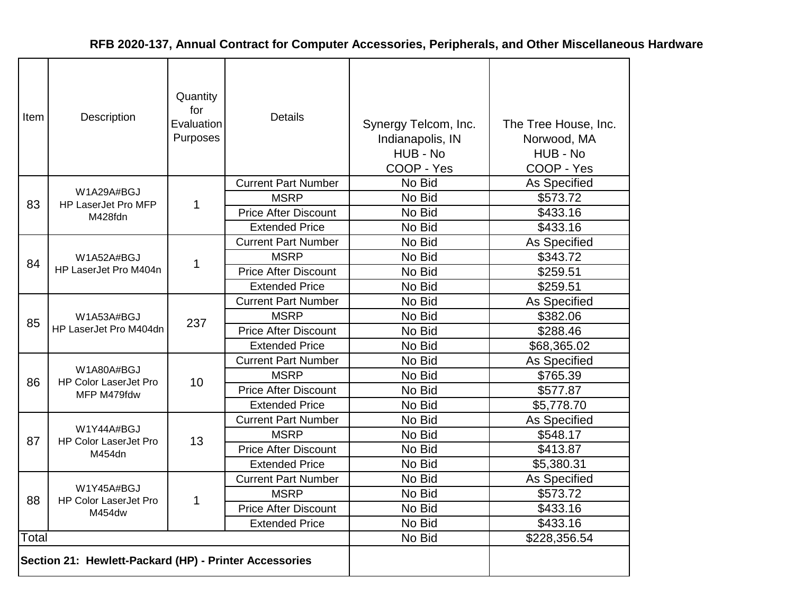| ltem  | Description                                            | Quantity<br>for<br>Evaluation<br>Purposes | <b>Details</b>              | Synergy Telcom, Inc.<br>Indianapolis, IN<br>HUB - No<br>COOP - Yes | The Tree House, Inc.<br>Norwood, MA<br>HUB - No<br>COOP - Yes |
|-------|--------------------------------------------------------|-------------------------------------------|-----------------------------|--------------------------------------------------------------------|---------------------------------------------------------------|
|       |                                                        |                                           | <b>Current Part Number</b>  | No Bid                                                             | As Specified                                                  |
| 83    | W1A29A#BGJ<br>HP LaserJet Pro MFP                      | 1                                         | <b>MSRP</b>                 | No Bid                                                             | \$573.72                                                      |
|       | M428fdn                                                |                                           | <b>Price After Discount</b> | No Bid                                                             | \$433.16                                                      |
|       |                                                        |                                           | <b>Extended Price</b>       | No Bid                                                             | \$433.16                                                      |
|       | W1A52A#BGJ<br>HP LaserJet Pro M404n                    |                                           | <b>Current Part Number</b>  | No Bid                                                             | As Specified                                                  |
| 84    |                                                        | 1                                         | <b>MSRP</b>                 | No Bid                                                             | \$343.72                                                      |
|       |                                                        |                                           | <b>Price After Discount</b> | No Bid                                                             | \$259.51                                                      |
|       |                                                        |                                           | <b>Extended Price</b>       | No Bid                                                             | \$259.51                                                      |
|       | W1A53A#BGJ<br>HP LaserJet Pro M404dn                   |                                           | <b>Current Part Number</b>  | No Bid                                                             | As Specified                                                  |
| 85    |                                                        | 237                                       | <b>MSRP</b>                 | No Bid                                                             | \$382.06                                                      |
|       |                                                        |                                           | <b>Price After Discount</b> | No Bid                                                             | \$288.46                                                      |
|       |                                                        |                                           | <b>Extended Price</b>       | No Bid                                                             | \$68,365.02                                                   |
|       |                                                        |                                           | <b>Current Part Number</b>  | No Bid                                                             | As Specified                                                  |
| 86    | W1A80A#BGJ<br><b>HP Color LaserJet Pro</b>             | 10                                        | <b>MSRP</b>                 | No Bid                                                             | \$765.39                                                      |
|       | MFP M479fdw                                            |                                           | <b>Price After Discount</b> | No Bid                                                             | \$577.87                                                      |
|       |                                                        |                                           | <b>Extended Price</b>       | No Bid                                                             | \$5,778.70                                                    |
|       |                                                        |                                           | <b>Current Part Number</b>  | No Bid                                                             | As Specified                                                  |
| 87    | W1Y44A#BGJ<br><b>HP Color LaserJet Pro</b>             | 13                                        | <b>MSRP</b>                 | No Bid                                                             | \$548.17                                                      |
|       | M454dn                                                 |                                           | <b>Price After Discount</b> | No Bid                                                             | \$413.87                                                      |
|       |                                                        |                                           | <b>Extended Price</b>       | No Bid                                                             | \$5,380.31                                                    |
|       |                                                        |                                           | <b>Current Part Number</b>  | No Bid                                                             | As Specified                                                  |
| 88    | W1Y45A#BGJ<br><b>HP Color LaserJet Pro</b>             | 1                                         | <b>MSRP</b>                 | No Bid                                                             | \$573.72                                                      |
|       | M454dw                                                 |                                           | <b>Price After Discount</b> | No Bid                                                             | \$433.16                                                      |
|       |                                                        |                                           | <b>Extended Price</b>       | No Bid                                                             | \$433.16                                                      |
| Total |                                                        |                                           |                             | No Bid                                                             | \$228,356.54                                                  |
|       | Section 21: Hewlett-Packard (HP) - Printer Accessories |                                           |                             |                                                                    |                                                               |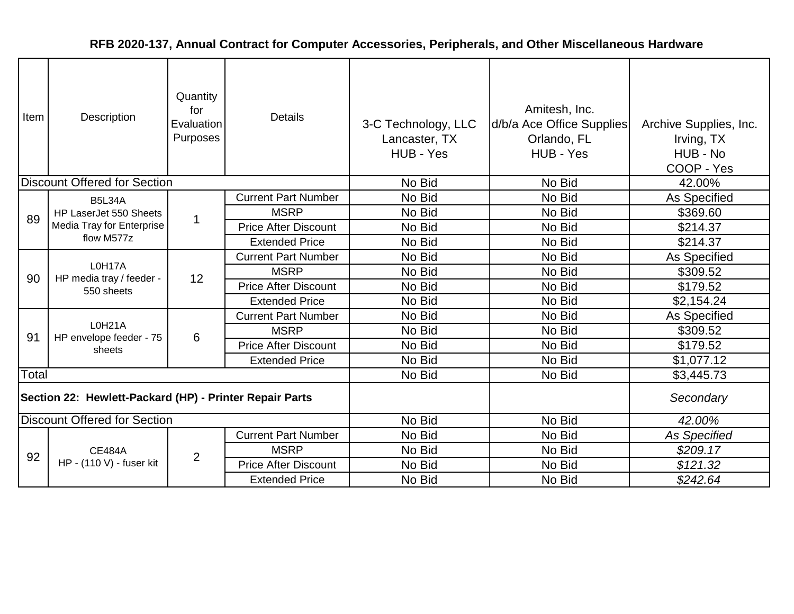| Item                                                    | Description                                      | Quantity<br>for<br>Evaluation<br>Purposes | <b>Details</b>              | 3-C Technology, LLC<br>Lancaster, TX<br>HUB - Yes | Amitesh, Inc.<br>d/b/a Ace Office Supplies<br>Orlando, FL<br>HUB - Yes | Archive Supplies, Inc.<br>Irving, TX<br>HUB - No<br>COOP - Yes |
|---------------------------------------------------------|--------------------------------------------------|-------------------------------------------|-----------------------------|---------------------------------------------------|------------------------------------------------------------------------|----------------------------------------------------------------|
|                                                         | <b>Discount Offered for Section</b>              |                                           |                             | No Bid                                            | No Bid                                                                 | 42.00%                                                         |
|                                                         | <b>B5L34A</b>                                    |                                           | <b>Current Part Number</b>  | No Bid                                            | No Bid                                                                 | As Specified                                                   |
| 89                                                      | HP LaserJet 550 Sheets                           | 1                                         | <b>MSRP</b>                 | No Bid                                            | No Bid                                                                 | \$369.60                                                       |
|                                                         | <b>Media Tray for Enterprise</b>                 |                                           | <b>Price After Discount</b> | No Bid                                            | No Bid                                                                 | \$214.37                                                       |
|                                                         | flow M577z                                       |                                           | <b>Extended Price</b>       | No Bid                                            | No Bid                                                                 | \$214.37                                                       |
|                                                         | L0H17A<br>HP media tray / feeder -<br>550 sheets |                                           | <b>Current Part Number</b>  | No Bid                                            | No Bid                                                                 | As Specified                                                   |
| 90                                                      |                                                  | 12                                        | <b>MSRP</b>                 | No Bid                                            | No Bid                                                                 | \$309.52                                                       |
|                                                         |                                                  |                                           | <b>Price After Discount</b> | No Bid                                            | No Bid                                                                 | \$179.52                                                       |
|                                                         |                                                  |                                           | <b>Extended Price</b>       | No Bid                                            | No Bid                                                                 | \$2,154.24                                                     |
|                                                         |                                                  |                                           | <b>Current Part Number</b>  | No Bid                                            | No Bid                                                                 | As Specified                                                   |
| 91                                                      | L0H21A<br>HP envelope feeder - 75                | 6                                         | <b>MSRP</b>                 | No Bid                                            | No Bid                                                                 | \$309.52                                                       |
|                                                         | sheets                                           |                                           | <b>Price After Discount</b> | No Bid                                            | No Bid                                                                 | \$179.52                                                       |
|                                                         |                                                  |                                           | <b>Extended Price</b>       | No Bid                                            | No Bid                                                                 | \$1,077.12                                                     |
| Total                                                   |                                                  |                                           |                             | No Bid                                            | No Bid                                                                 | \$3,445.73                                                     |
| Section 22: Hewlett-Packard (HP) - Printer Repair Parts |                                                  |                                           |                             |                                                   |                                                                        | Secondary                                                      |
|                                                         | <b>Discount Offered for Section</b>              |                                           |                             | No Bid                                            | No Bid                                                                 | 42.00%                                                         |
|                                                         |                                                  |                                           | <b>Current Part Number</b>  | No Bid                                            | No Bid                                                                 | <b>As Specified</b>                                            |
| 92                                                      | <b>CE484A</b>                                    | $\overline{2}$                            | <b>MSRP</b>                 | No Bid                                            | No Bid                                                                 | \$209.17                                                       |
|                                                         | HP - (110 V) - fuser kit                         |                                           | <b>Price After Discount</b> | No Bid                                            | No Bid                                                                 | \$121.32                                                       |
|                                                         |                                                  |                                           | <b>Extended Price</b>       | No Bid                                            | No Bid                                                                 | \$242.64                                                       |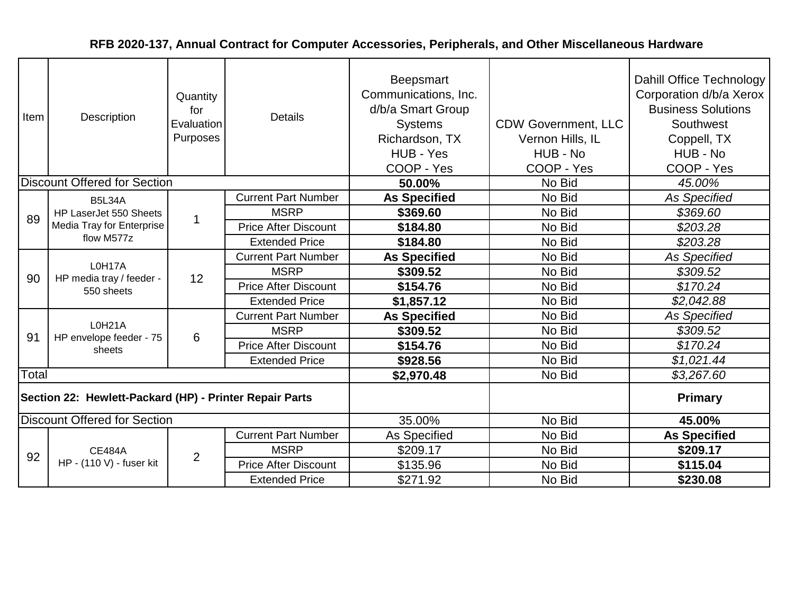| Item                                                    | Description<br><b>Discount Offered for Section</b> | Quantity<br>for<br>Evaluation<br>Purposes | <b>Details</b>              | Beepsmart<br>Communications, Inc.<br>d/b/a Smart Group<br><b>Systems</b><br>Richardson, TX<br>HUB - Yes<br>COOP - Yes<br>50.00% | <b>CDW Government, LLC</b><br>Vernon Hills, IL<br>HUB - No<br>COOP - Yes<br>No Bid | Dahill Office Technology<br>Corporation d/b/a Xerox<br><b>Business Solutions</b><br>Southwest<br>Coppell, TX<br>HUB - No<br>COOP - Yes<br>45.00% |
|---------------------------------------------------------|----------------------------------------------------|-------------------------------------------|-----------------------------|---------------------------------------------------------------------------------------------------------------------------------|------------------------------------------------------------------------------------|--------------------------------------------------------------------------------------------------------------------------------------------------|
|                                                         |                                                    |                                           | <b>Current Part Number</b>  |                                                                                                                                 | No Bid                                                                             |                                                                                                                                                  |
|                                                         | <b>B5L34A</b><br>HP LaserJet 550 Sheets            |                                           | <b>MSRP</b>                 | <b>As Specified</b><br>\$369.60                                                                                                 | No Bid                                                                             | As Specified<br>\$369.60                                                                                                                         |
| 89                                                      | Media Tray for Enterprise                          | $\overline{1}$                            | <b>Price After Discount</b> | \$184.80                                                                                                                        | No Bid                                                                             | \$203.28                                                                                                                                         |
|                                                         | flow M577z                                         |                                           | <b>Extended Price</b>       | \$184.80                                                                                                                        | No Bid                                                                             | \$203.28                                                                                                                                         |
|                                                         | L0H17A<br>HP media tray / feeder -<br>550 sheets   | 12                                        | <b>Current Part Number</b>  | <b>As Specified</b>                                                                                                             | No Bid                                                                             | <b>As Specified</b>                                                                                                                              |
|                                                         |                                                    |                                           | <b>MSRP</b>                 | \$309.52                                                                                                                        | No Bid                                                                             | \$309.52                                                                                                                                         |
| 90                                                      |                                                    |                                           | <b>Price After Discount</b> | \$154.76                                                                                                                        | No Bid                                                                             | \$170.24                                                                                                                                         |
|                                                         |                                                    |                                           | <b>Extended Price</b>       | \$1,857.12                                                                                                                      | No Bid                                                                             | \$2,042.88                                                                                                                                       |
|                                                         |                                                    |                                           | <b>Current Part Number</b>  | <b>As Specified</b>                                                                                                             | No Bid                                                                             | <b>As Specified</b>                                                                                                                              |
| 91                                                      | L0H21A<br>HP envelope feeder - 75                  |                                           | <b>MSRP</b>                 | \$309.52                                                                                                                        | No Bid                                                                             | \$309.52                                                                                                                                         |
|                                                         | sheets                                             | 6                                         | <b>Price After Discount</b> | \$154.76                                                                                                                        | No Bid                                                                             | \$170.24                                                                                                                                         |
|                                                         |                                                    |                                           | <b>Extended Price</b>       | \$928.56                                                                                                                        | No Bid                                                                             | \$1,021.44                                                                                                                                       |
| Total                                                   |                                                    |                                           |                             | \$2,970.48                                                                                                                      | No Bid                                                                             | \$3,267.60                                                                                                                                       |
| Section 22: Hewlett-Packard (HP) - Printer Repair Parts |                                                    |                                           |                             |                                                                                                                                 |                                                                                    | <b>Primary</b>                                                                                                                                   |
|                                                         | <b>Discount Offered for Section</b>                |                                           |                             | 35.00%                                                                                                                          | No Bid                                                                             | 45.00%                                                                                                                                           |
|                                                         |                                                    |                                           | <b>Current Part Number</b>  | As Specified                                                                                                                    | No Bid                                                                             | <b>As Specified</b>                                                                                                                              |
| 92                                                      | <b>CE484A</b>                                      | 2                                         | <b>MSRP</b>                 | \$209.17                                                                                                                        | No Bid                                                                             | \$209.17                                                                                                                                         |
|                                                         | HP - (110 V) - fuser kit                           |                                           | <b>Price After Discount</b> | \$135.96                                                                                                                        | No Bid                                                                             | \$115.04                                                                                                                                         |
|                                                         |                                                    |                                           | <b>Extended Price</b>       | \$271.92                                                                                                                        | No Bid                                                                             | \$230.08                                                                                                                                         |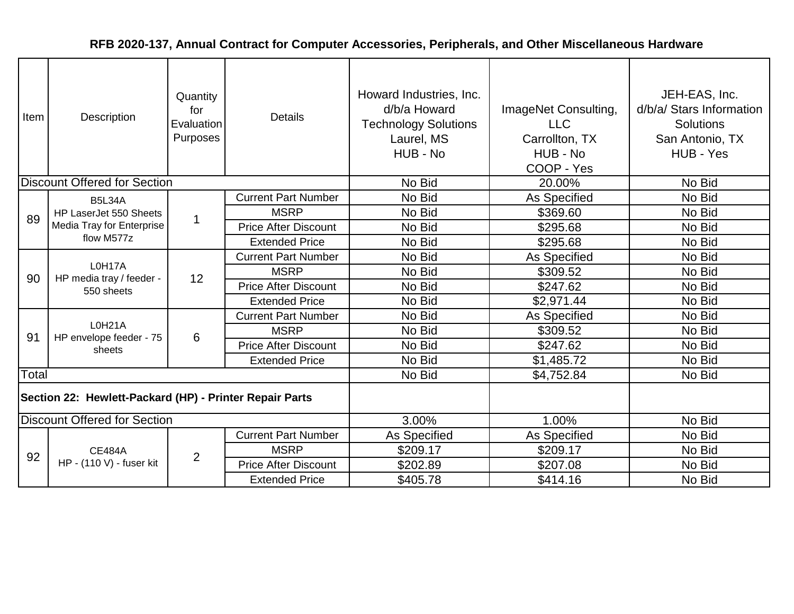| Item  | Description                                             | Quantity<br>for<br>Evaluation<br>Purposes | <b>Details</b>              | Howard Industries, Inc.<br>d/b/a Howard<br><b>Technology Solutions</b><br>Laurel, MS<br>HUB - No | ImageNet Consulting,<br><b>LLC</b><br>Carrollton, TX<br>HUB - No<br>COOP - Yes | JEH-EAS, Inc.<br>d/b/a/ Stars Information<br><b>Solutions</b><br>San Antonio, TX<br>HUB - Yes |
|-------|---------------------------------------------------------|-------------------------------------------|-----------------------------|--------------------------------------------------------------------------------------------------|--------------------------------------------------------------------------------|-----------------------------------------------------------------------------------------------|
|       | <b>Discount Offered for Section</b>                     |                                           |                             | No Bid                                                                                           | 20.00%                                                                         | No Bid                                                                                        |
|       | <b>B5L34A</b>                                           |                                           | <b>Current Part Number</b>  | No Bid                                                                                           | As Specified                                                                   | No Bid                                                                                        |
| 89    | HP LaserJet 550 Sheets                                  | 1                                         | <b>MSRP</b>                 | No Bid                                                                                           | \$369.60                                                                       | No Bid                                                                                        |
|       | Media Tray for Enterprise<br>flow M577z                 |                                           | <b>Price After Discount</b> | No Bid                                                                                           | \$295.68                                                                       | No Bid                                                                                        |
|       |                                                         |                                           | <b>Extended Price</b>       | No Bid                                                                                           | \$295.68                                                                       | No Bid                                                                                        |
|       | L0H17A<br>HP media tray / feeder -<br>550 sheets        | 12                                        | <b>Current Part Number</b>  | No Bid                                                                                           | As Specified                                                                   | No Bid                                                                                        |
| 90    |                                                         |                                           | <b>MSRP</b>                 | No Bid                                                                                           | \$309.52                                                                       | No Bid                                                                                        |
|       |                                                         |                                           | <b>Price After Discount</b> | No Bid                                                                                           | \$247.62                                                                       | No Bid                                                                                        |
|       |                                                         |                                           | <b>Extended Price</b>       | No Bid                                                                                           | \$2,971.44                                                                     | No Bid                                                                                        |
|       |                                                         |                                           | <b>Current Part Number</b>  | No Bid                                                                                           | As Specified                                                                   | No Bid                                                                                        |
| 91    | L0H21A<br>HP envelope feeder - 75                       | 6                                         | <b>MSRP</b>                 | No Bid                                                                                           | \$309.52                                                                       | No Bid                                                                                        |
|       | sheets                                                  |                                           | <b>Price After Discount</b> | No Bid                                                                                           | \$247.62                                                                       | No Bid                                                                                        |
|       |                                                         |                                           | <b>Extended Price</b>       | No Bid                                                                                           | \$1,485.72                                                                     | No Bid                                                                                        |
| Total |                                                         |                                           |                             | No Bid                                                                                           | \$4,752.84                                                                     | No Bid                                                                                        |
|       | Section 22: Hewlett-Packard (HP) - Printer Repair Parts |                                           |                             |                                                                                                  |                                                                                |                                                                                               |
|       | <b>Discount Offered for Section</b>                     |                                           |                             | 3.00%                                                                                            | 1.00%                                                                          | No Bid                                                                                        |
|       |                                                         |                                           | <b>Current Part Number</b>  | As Specified                                                                                     | As Specified                                                                   | No Bid                                                                                        |
| 92    | <b>CE484A</b>                                           | $\overline{2}$                            | <b>MSRP</b>                 | \$209.17                                                                                         | \$209.17                                                                       | No Bid                                                                                        |
|       | HP - (110 V) - fuser kit                                |                                           | <b>Price After Discount</b> | \$202.89                                                                                         | \$207.08                                                                       | No Bid                                                                                        |
|       |                                                         |                                           | <b>Extended Price</b>       | \$405.78                                                                                         | \$414.16                                                                       | No Bid                                                                                        |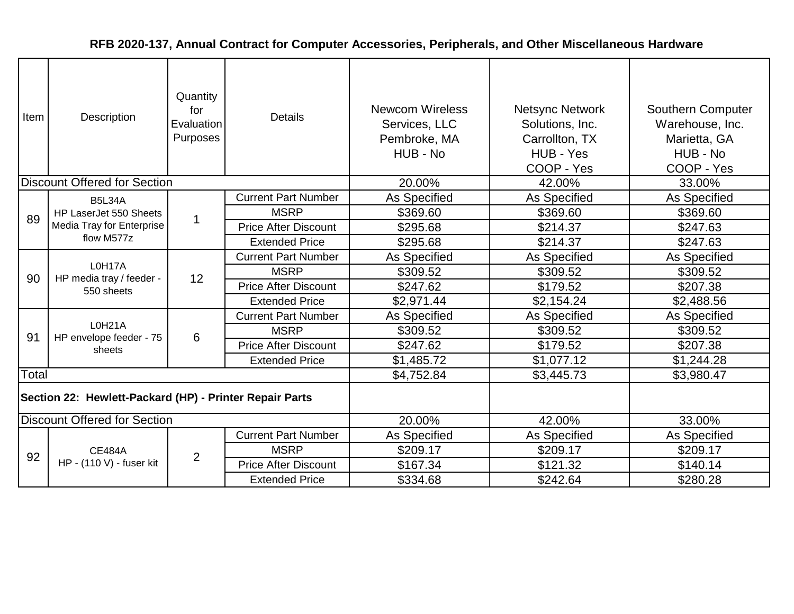| Item                                                    | Description<br><b>Discount Offered for Section</b> | Quantity<br>for<br>Evaluation<br>Purposes | <b>Details</b>              | <b>Newcom Wireless</b><br>Services, LLC<br>Pembroke, MA<br>HUB - No<br>20.00% | <b>Netsync Network</b><br>Solutions, Inc.<br>Carrollton, TX<br>HUB - Yes<br>COOP - Yes<br>42.00% | <b>Southern Computer</b><br>Warehouse, Inc.<br>Marietta, GA<br>HUB - No<br>COOP - Yes<br>33.00% |
|---------------------------------------------------------|----------------------------------------------------|-------------------------------------------|-----------------------------|-------------------------------------------------------------------------------|--------------------------------------------------------------------------------------------------|-------------------------------------------------------------------------------------------------|
|                                                         |                                                    |                                           | <b>Current Part Number</b>  | As Specified                                                                  | As Specified                                                                                     | As Specified                                                                                    |
|                                                         | <b>B5L34A</b><br>HP LaserJet 550 Sheets            | $\mathbf 1$                               | <b>MSRP</b>                 | \$369.60                                                                      | \$369.60                                                                                         | \$369.60                                                                                        |
| 89                                                      | Media Tray for Enterprise                          |                                           | <b>Price After Discount</b> | \$295.68                                                                      | \$214.37                                                                                         | \$247.63                                                                                        |
|                                                         | flow M577z                                         |                                           | <b>Extended Price</b>       | \$295.68                                                                      | \$214.37                                                                                         | \$247.63                                                                                        |
|                                                         | L0H17A<br>HP media tray / feeder -<br>550 sheets   |                                           | <b>Current Part Number</b>  | As Specified                                                                  | As Specified                                                                                     | As Specified                                                                                    |
| 90                                                      |                                                    | 12                                        | <b>MSRP</b>                 | \$309.52                                                                      | \$309.52                                                                                         | \$309.52                                                                                        |
|                                                         |                                                    |                                           | <b>Price After Discount</b> | \$247.62                                                                      | \$179.52                                                                                         | \$207.38                                                                                        |
|                                                         |                                                    |                                           | <b>Extended Price</b>       | \$2,971.44                                                                    | \$2,154.24                                                                                       | \$2,488.56                                                                                      |
|                                                         | <b>L0H21A</b>                                      |                                           | <b>Current Part Number</b>  | As Specified                                                                  | As Specified                                                                                     | As Specified                                                                                    |
| 91                                                      | HP envelope feeder - 75                            | 6                                         | <b>MSRP</b>                 | \$309.52                                                                      | \$309.52                                                                                         | \$309.52                                                                                        |
|                                                         | sheets                                             |                                           | <b>Price After Discount</b> | \$247.62                                                                      | \$179.52                                                                                         | \$207.38                                                                                        |
|                                                         |                                                    |                                           | <b>Extended Price</b>       | \$1,485.72                                                                    | \$1,077.12                                                                                       | \$1,244.28                                                                                      |
| Total                                                   |                                                    |                                           |                             | \$4,752.84                                                                    | \$3,445.73                                                                                       | \$3,980.47                                                                                      |
| Section 22: Hewlett-Packard (HP) - Printer Repair Parts |                                                    |                                           |                             |                                                                               |                                                                                                  |                                                                                                 |
|                                                         | <b>Discount Offered for Section</b>                |                                           |                             | 20.00%                                                                        | 42.00%                                                                                           | 33.00%                                                                                          |
|                                                         |                                                    |                                           | <b>Current Part Number</b>  | As Specified                                                                  | As Specified                                                                                     | As Specified                                                                                    |
| 92                                                      | <b>CE484A</b>                                      | $\overline{2}$                            | <b>MSRP</b>                 | \$209.17                                                                      | \$209.17                                                                                         | \$209.17                                                                                        |
|                                                         | HP - (110 V) - fuser kit                           |                                           | <b>Price After Discount</b> | \$167.34                                                                      | \$121.32                                                                                         | \$140.14                                                                                        |
|                                                         |                                                    |                                           | <b>Extended Price</b>       | \$334.68                                                                      | \$242.64                                                                                         | \$280.28                                                                                        |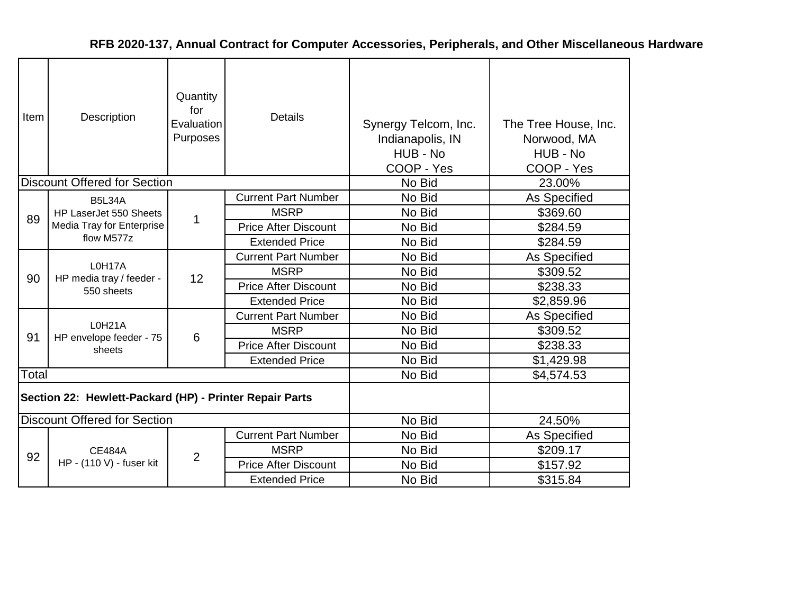| Item  | Description                                             | Quantity<br>for<br>Evaluation<br>Purposes | <b>Details</b>              | Synergy Telcom, Inc.<br>Indianapolis, IN<br>HUB - No<br>COOP - Yes | The Tree House, Inc.<br>Norwood, MA<br>HUB - No<br>COOP - Yes |
|-------|---------------------------------------------------------|-------------------------------------------|-----------------------------|--------------------------------------------------------------------|---------------------------------------------------------------|
|       | <b>Discount Offered for Section</b>                     |                                           |                             | No Bid                                                             | 23.00%                                                        |
|       | <b>B5L34A</b>                                           |                                           | <b>Current Part Number</b>  | No Bid                                                             | <b>As Specified</b>                                           |
| 89    | HP LaserJet 550 Sheets                                  | 1                                         | <b>MSRP</b>                 | No Bid                                                             | \$369.60                                                      |
|       | Media Tray for Enterprise<br>flow M577z                 |                                           | <b>Price After Discount</b> | No Bid                                                             | \$284.59                                                      |
|       |                                                         |                                           | <b>Extended Price</b>       | No Bid                                                             | \$284.59                                                      |
|       | L0H17A<br>HP media tray / feeder -<br>550 sheets        |                                           | <b>Current Part Number</b>  | No Bid                                                             | <b>As Specified</b>                                           |
| 90    |                                                         | 12                                        | <b>MSRP</b>                 | No Bid                                                             | \$309.52                                                      |
|       |                                                         |                                           | <b>Price After Discount</b> | No Bid                                                             | \$238.33                                                      |
|       |                                                         |                                           | <b>Extended Price</b>       | No Bid                                                             | \$2,859.96                                                    |
|       | <b>L0H21A</b>                                           |                                           | <b>Current Part Number</b>  | No Bid                                                             | As Specified                                                  |
| 91    | HP envelope feeder - 75                                 | 6                                         | <b>MSRP</b>                 | No Bid                                                             | \$309.52                                                      |
|       | sheets                                                  |                                           | <b>Price After Discount</b> | No Bid                                                             | \$238.33                                                      |
|       |                                                         |                                           | <b>Extended Price</b>       | No Bid                                                             | \$1,429.98                                                    |
| Total |                                                         |                                           |                             | No Bid                                                             | \$4,574.53                                                    |
|       | Section 22: Hewlett-Packard (HP) - Printer Repair Parts |                                           |                             |                                                                    |                                                               |
|       | <b>Discount Offered for Section</b>                     |                                           |                             | No Bid                                                             | 24.50%                                                        |
|       |                                                         |                                           | <b>Current Part Number</b>  | No Bid                                                             | <b>As Specified</b>                                           |
| 92    | <b>CE484A</b>                                           | $\overline{2}$                            | <b>MSRP</b>                 | No Bid                                                             | \$209.17                                                      |
|       | HP - (110 V) - fuser kit                                |                                           | <b>Price After Discount</b> | No Bid                                                             | \$157.92                                                      |
|       |                                                         |                                           | <b>Extended Price</b>       | No Bid                                                             | \$315.84                                                      |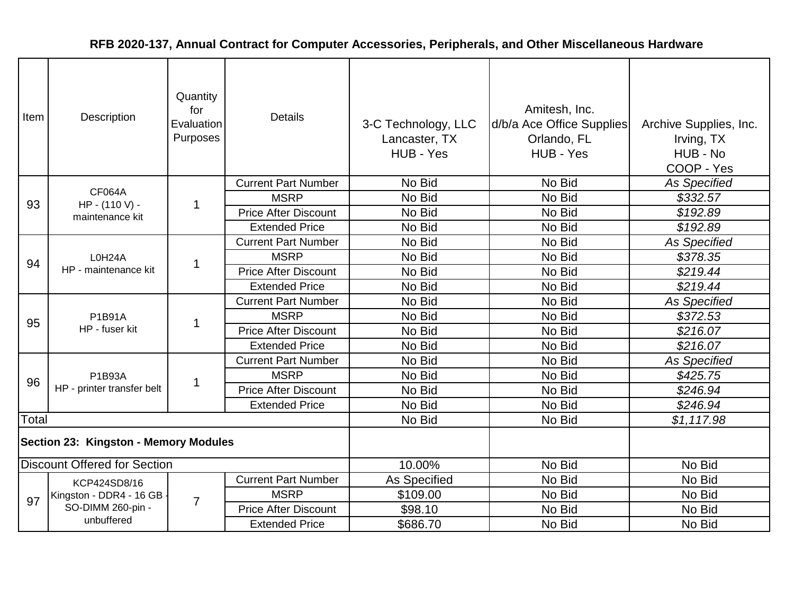| Item                                  | Description                    | Quantity<br>for<br>Evaluation<br>Purposes | <b>Details</b>              | 3-C Technology, LLC<br>Lancaster, TX<br>HUB - Yes | Amitesh, Inc.<br>d/b/a Ace Office Supplies<br>Orlando, FL<br>HUB - Yes | Archive Supplies, Inc.<br>Irving, TX<br>HUB - No<br>COOP - Yes |
|---------------------------------------|--------------------------------|-------------------------------------------|-----------------------------|---------------------------------------------------|------------------------------------------------------------------------|----------------------------------------------------------------|
|                                       | <b>CF064A</b>                  |                                           | <b>Current Part Number</b>  | No Bid                                            | No Bid                                                                 | <b>As Specified</b>                                            |
| 93                                    | HP - (110 V) -                 | 1                                         | <b>MSRP</b>                 | No Bid                                            | No Bid                                                                 | \$332.57                                                       |
|                                       | maintenance kit                |                                           | <b>Price After Discount</b> | No Bid                                            | No Bid                                                                 | \$192.89                                                       |
|                                       |                                |                                           | <b>Extended Price</b>       | No Bid                                            | No Bid                                                                 | \$192.89                                                       |
|                                       |                                |                                           | <b>Current Part Number</b>  | No Bid                                            | No Bid                                                                 | <b>As Specified</b>                                            |
| 94                                    | L0H24A<br>HP - maintenance kit | 1                                         | <b>MSRP</b>                 | No Bid                                            | No Bid                                                                 | \$378.35                                                       |
|                                       |                                |                                           | <b>Price After Discount</b> | No Bid                                            | No Bid                                                                 | \$219.44                                                       |
|                                       |                                |                                           | <b>Extended Price</b>       | No Bid                                            | No Bid                                                                 | \$219.44                                                       |
|                                       | P1B91A<br>HP - fuser kit       |                                           | <b>Current Part Number</b>  | No Bid                                            | No Bid                                                                 | <b>As Specified</b>                                            |
| 95                                    |                                | $\mathbf{1}$                              | <b>MSRP</b>                 | No Bid                                            | No Bid                                                                 | \$372.53                                                       |
|                                       |                                |                                           | <b>Price After Discount</b> | No Bid                                            | No Bid                                                                 | \$216.07                                                       |
|                                       |                                |                                           | <b>Extended Price</b>       | No Bid                                            | No Bid                                                                 | \$216.07                                                       |
|                                       |                                |                                           | <b>Current Part Number</b>  | No Bid                                            | No Bid                                                                 | <b>As Specified</b>                                            |
| 96                                    | P1B93A                         | 1                                         | <b>MSRP</b>                 | No Bid                                            | No Bid                                                                 | \$425.75                                                       |
|                                       | HP - printer transfer belt     |                                           | <b>Price After Discount</b> | No Bid                                            | No Bid                                                                 | \$246.94                                                       |
|                                       |                                |                                           | <b>Extended Price</b>       | No Bid                                            | No Bid                                                                 | \$246.94                                                       |
| Total                                 |                                |                                           |                             | No Bid                                            | No Bid                                                                 | \$1,117.98                                                     |
| Section 23: Kingston - Memory Modules |                                |                                           |                             |                                                   |                                                                        |                                                                |
| <b>Discount Offered for Section</b>   |                                |                                           |                             | 10.00%                                            | No Bid                                                                 | No Bid                                                         |
|                                       | KCP424SD8/16                   |                                           | <b>Current Part Number</b>  | As Specified                                      | No Bid                                                                 | No Bid                                                         |
| 97                                    | Kingston - DDR4 - 16 GB -      | $\overline{7}$                            | <b>MSRP</b>                 | \$109.00                                          | No Bid                                                                 | No Bid                                                         |
|                                       | SO-DIMM 260-pin -              |                                           | <b>Price After Discount</b> | \$98.10                                           | No Bid                                                                 | No Bid                                                         |
|                                       | unbuffered                     |                                           | <b>Extended Price</b>       | \$686.70                                          | No Bid                                                                 | No Bid                                                         |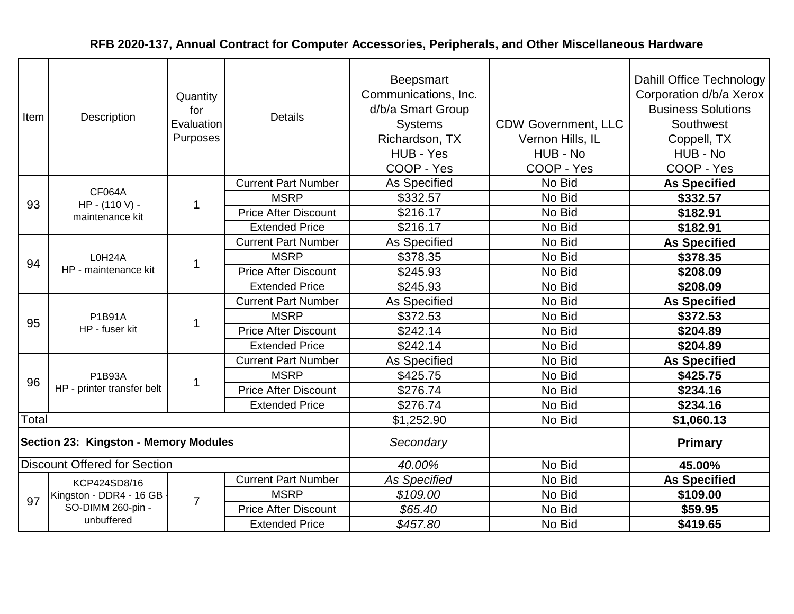| Item  | Description                           | Quantity<br>for<br>Evaluation<br>Purposes | <b>Details</b>              | Beepsmart<br>Communications, Inc.<br>d/b/a Smart Group<br><b>Systems</b><br>Richardson, TX<br>HUB - Yes<br>COOP - Yes | <b>CDW Government, LLC</b><br>Vernon Hills, IL<br>HUB - No<br>COOP - Yes | Dahill Office Technology<br>Corporation d/b/a Xerox<br><b>Business Solutions</b><br>Southwest<br>Coppell, TX<br>HUB - No<br>COOP - Yes |
|-------|---------------------------------------|-------------------------------------------|-----------------------------|-----------------------------------------------------------------------------------------------------------------------|--------------------------------------------------------------------------|----------------------------------------------------------------------------------------------------------------------------------------|
|       |                                       |                                           | <b>Current Part Number</b>  | As Specified                                                                                                          | No Bid                                                                   | <b>As Specified</b>                                                                                                                    |
| 93    | <b>CF064A</b><br>HP - (110 V) -       | 1                                         | <b>MSRP</b>                 | \$332.57                                                                                                              | No Bid                                                                   | \$332.57                                                                                                                               |
|       | maintenance kit                       |                                           | <b>Price After Discount</b> | \$216.17                                                                                                              | No Bid                                                                   | \$182.91                                                                                                                               |
|       |                                       |                                           | <b>Extended Price</b>       | \$216.17                                                                                                              | No Bid                                                                   | \$182.91                                                                                                                               |
|       |                                       |                                           | <b>Current Part Number</b>  | As Specified                                                                                                          | No Bid                                                                   | <b>As Specified</b>                                                                                                                    |
| 94    | L0H24A<br>HP - maintenance kit        | 1                                         | <b>MSRP</b>                 | \$378.35                                                                                                              | No Bid                                                                   | \$378.35                                                                                                                               |
|       |                                       |                                           | <b>Price After Discount</b> | \$245.93                                                                                                              | No Bid                                                                   | \$208.09                                                                                                                               |
|       |                                       |                                           | <b>Extended Price</b>       | \$245.93                                                                                                              | No Bid                                                                   | \$208.09                                                                                                                               |
|       | <b>P1B91A</b><br>HP - fuser kit       |                                           | <b>Current Part Number</b>  | As Specified                                                                                                          | No Bid                                                                   | <b>As Specified</b>                                                                                                                    |
| 95    |                                       | 1                                         | <b>MSRP</b>                 | \$372.53                                                                                                              | No Bid                                                                   | \$372.53                                                                                                                               |
|       |                                       |                                           | <b>Price After Discount</b> | \$242.14                                                                                                              | No Bid                                                                   | \$204.89                                                                                                                               |
|       |                                       |                                           | <b>Extended Price</b>       | \$242.14                                                                                                              | No Bid                                                                   | \$204.89                                                                                                                               |
|       |                                       |                                           | <b>Current Part Number</b>  | As Specified                                                                                                          | No Bid                                                                   | <b>As Specified</b>                                                                                                                    |
| 96    | P1B93A                                | $\mathbf 1$                               | <b>MSRP</b>                 | \$425.75                                                                                                              | No Bid                                                                   | \$425.75                                                                                                                               |
|       | HP - printer transfer belt            |                                           | <b>Price After Discount</b> | \$276.74                                                                                                              | No Bid                                                                   | \$234.16                                                                                                                               |
|       |                                       |                                           | <b>Extended Price</b>       | \$276.74                                                                                                              | No Bid                                                                   | \$234.16                                                                                                                               |
| Total |                                       |                                           |                             | \$1,252.90                                                                                                            | No Bid                                                                   | \$1,060.13                                                                                                                             |
|       | Section 23: Kingston - Memory Modules |                                           |                             | Secondary                                                                                                             |                                                                          | <b>Primary</b>                                                                                                                         |
|       | <b>Discount Offered for Section</b>   |                                           |                             | 40.00%                                                                                                                | No Bid                                                                   | 45.00%                                                                                                                                 |
|       | KCP424SD8/16                          |                                           | <b>Current Part Number</b>  | <b>As Specified</b>                                                                                                   | No Bid                                                                   | <b>As Specified</b>                                                                                                                    |
| 97    | Kingston - DDR4 - 16 GB -             | $\overline{7}$                            | <b>MSRP</b>                 | \$109.00                                                                                                              | No Bid                                                                   | \$109.00                                                                                                                               |
|       | SO-DIMM 260-pin -                     |                                           | <b>Price After Discount</b> | \$65.40                                                                                                               | No Bid                                                                   | \$59.95                                                                                                                                |
|       | unbuffered                            |                                           | <b>Extended Price</b>       | \$457.80                                                                                                              | No Bid                                                                   | \$419.65                                                                                                                               |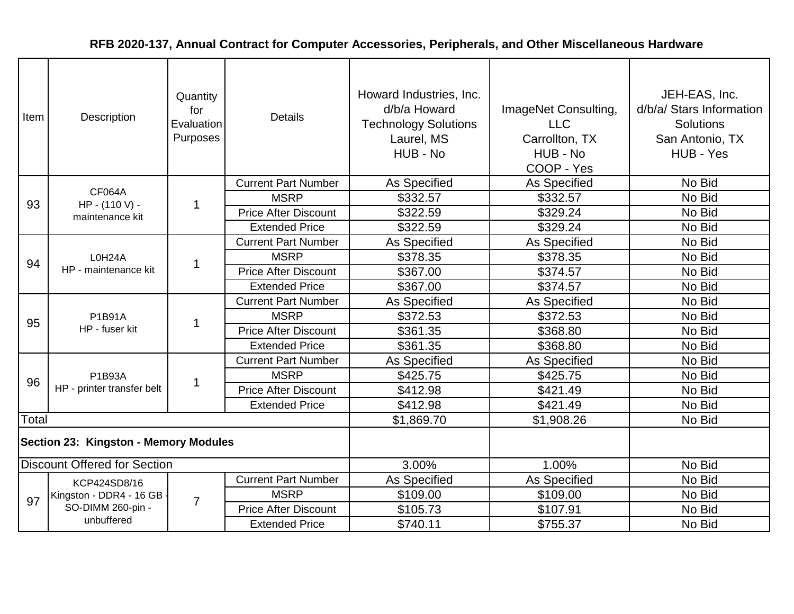| Item                                  | Description                         | Quantity<br>for<br>Evaluation<br>Purposes | <b>Details</b>              | Howard Industries, Inc.<br>d/b/a Howard<br><b>Technology Solutions</b><br>Laurel, MS<br>HUB - No | ImageNet Consulting,<br><b>LLC</b><br>Carrollton, TX<br>HUB - No<br>COOP - Yes | JEH-EAS, Inc.<br>d/b/a/ Stars Information<br>Solutions<br>San Antonio, TX<br>HUB - Yes |
|---------------------------------------|-------------------------------------|-------------------------------------------|-----------------------------|--------------------------------------------------------------------------------------------------|--------------------------------------------------------------------------------|----------------------------------------------------------------------------------------|
|                                       | <b>CF064A</b>                       |                                           | <b>Current Part Number</b>  | As Specified                                                                                     | As Specified                                                                   | No Bid                                                                                 |
| 93                                    | HP - (110 V) -                      | -1                                        | <b>MSRP</b>                 | \$332.57                                                                                         | \$332.57                                                                       | No Bid                                                                                 |
|                                       | maintenance kit                     |                                           | <b>Price After Discount</b> | \$322.59                                                                                         | \$329.24                                                                       | No Bid                                                                                 |
|                                       |                                     |                                           | <b>Extended Price</b>       | \$322.59                                                                                         | \$329.24                                                                       | No Bid                                                                                 |
|                                       |                                     |                                           | <b>Current Part Number</b>  | As Specified                                                                                     | As Specified                                                                   | No Bid                                                                                 |
| 94                                    | L0H24A<br>HP - maintenance kit      | 1                                         | <b>MSRP</b>                 | \$378.35                                                                                         | \$378.35                                                                       | No Bid                                                                                 |
|                                       |                                     |                                           | <b>Price After Discount</b> | \$367.00                                                                                         | \$374.57                                                                       | No Bid                                                                                 |
|                                       |                                     |                                           | <b>Extended Price</b>       | \$367.00                                                                                         | \$374.57                                                                       | No Bid                                                                                 |
|                                       | P1B91A<br>HP - fuser kit            |                                           | <b>Current Part Number</b>  | As Specified                                                                                     | As Specified                                                                   | No Bid                                                                                 |
| 95                                    |                                     | $\mathbf{1}$                              | <b>MSRP</b>                 | \$372.53                                                                                         | \$372.53                                                                       | No Bid                                                                                 |
|                                       |                                     |                                           | <b>Price After Discount</b> | \$361.35                                                                                         | \$368.80                                                                       | No Bid                                                                                 |
|                                       |                                     |                                           | <b>Extended Price</b>       | \$361.35                                                                                         | \$368.80                                                                       | No Bid                                                                                 |
|                                       |                                     |                                           | <b>Current Part Number</b>  | As Specified                                                                                     | As Specified                                                                   | No Bid                                                                                 |
| 96                                    | P1B93A                              | $\overline{1}$                            | <b>MSRP</b>                 | \$425.75                                                                                         | \$425.75                                                                       | No Bid                                                                                 |
|                                       | HP - printer transfer belt          |                                           | <b>Price After Discount</b> | \$412.98                                                                                         | \$421.49                                                                       | No Bid                                                                                 |
|                                       |                                     |                                           | <b>Extended Price</b>       | \$412.98                                                                                         | \$421.49                                                                       | No Bid                                                                                 |
| Total                                 |                                     |                                           |                             | \$1,869.70                                                                                       | \$1,908.26                                                                     | No Bid                                                                                 |
| Section 23: Kingston - Memory Modules |                                     |                                           |                             |                                                                                                  |                                                                                |                                                                                        |
|                                       | <b>Discount Offered for Section</b> |                                           |                             | 3.00%                                                                                            | 1.00%                                                                          | No Bid                                                                                 |
|                                       | KCP424SD8/16                        |                                           | <b>Current Part Number</b>  | As Specified                                                                                     | As Specified                                                                   | No Bid                                                                                 |
| 97                                    | Kingston - DDR4 - 16 GB -           | $\overline{7}$                            | <b>MSRP</b>                 | \$109.00                                                                                         | \$109.00                                                                       | No Bid                                                                                 |
|                                       | SO-DIMM 260-pin -                   |                                           | <b>Price After Discount</b> | \$105.73                                                                                         | \$107.91                                                                       | No Bid                                                                                 |
|                                       | unbuffered                          |                                           | <b>Extended Price</b>       | \$740.11                                                                                         | \$755.37                                                                       | No Bid                                                                                 |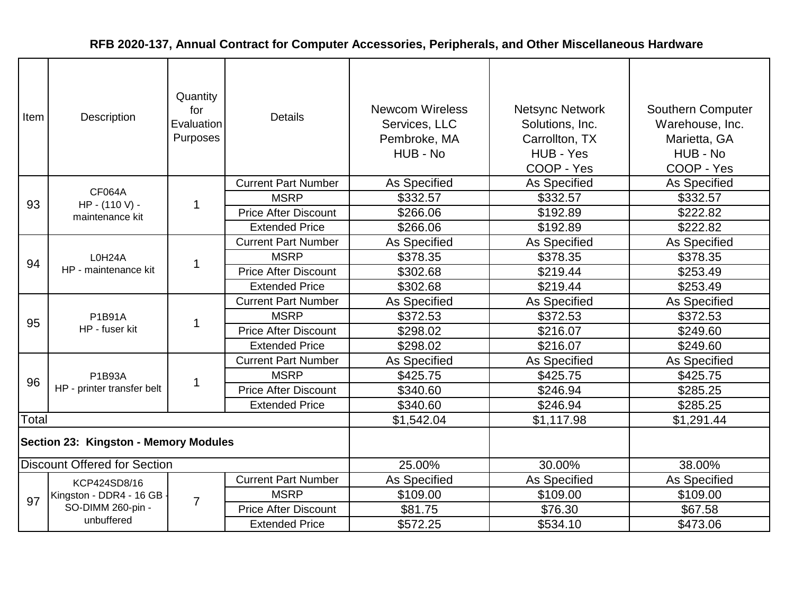| Item                                         | <b>Description</b>                  | Quantity<br>for<br>Evaluation<br>Purposes | <b>Details</b>              | <b>Newcom Wireless</b><br>Services, LLC<br>Pembroke, MA<br>HUB - No | <b>Netsync Network</b><br>Solutions, Inc.<br>Carrollton, TX<br>HUB - Yes<br>COOP - Yes | <b>Southern Computer</b><br>Warehouse, Inc.<br>Marietta, GA<br>HUB - No<br>COOP - Yes |
|----------------------------------------------|-------------------------------------|-------------------------------------------|-----------------------------|---------------------------------------------------------------------|----------------------------------------------------------------------------------------|---------------------------------------------------------------------------------------|
|                                              |                                     |                                           | <b>Current Part Number</b>  | As Specified                                                        | As Specified                                                                           | <b>As Specified</b>                                                                   |
| 93                                           | <b>CF064A</b><br>HP - (110 V) -     | -1                                        | <b>MSRP</b>                 | \$332.57                                                            | \$332.57                                                                               | \$332.57                                                                              |
|                                              | maintenance kit                     |                                           | <b>Price After Discount</b> | \$266.06                                                            | \$192.89                                                                               | \$222.82                                                                              |
|                                              |                                     |                                           | <b>Extended Price</b>       | \$266.06                                                            | \$192.89                                                                               | \$222.82                                                                              |
|                                              |                                     |                                           | <b>Current Part Number</b>  | As Specified                                                        | As Specified                                                                           | As Specified                                                                          |
| 94                                           | L0H24A<br>HP - maintenance kit      | -1                                        | <b>MSRP</b>                 | \$378.35                                                            | \$378.35                                                                               | \$378.35                                                                              |
|                                              |                                     |                                           | <b>Price After Discount</b> | \$302.68                                                            | \$219.44                                                                               | \$253.49                                                                              |
|                                              |                                     |                                           | <b>Extended Price</b>       | \$302.68                                                            | \$219.44                                                                               | \$253.49                                                                              |
|                                              | P1B91A<br>HP - fuser kit            |                                           | <b>Current Part Number</b>  | As Specified                                                        | As Specified                                                                           | As Specified                                                                          |
| 95                                           |                                     | $\mathbf 1$                               | <b>MSRP</b>                 | \$372.53                                                            | \$372.53                                                                               | \$372.53                                                                              |
|                                              |                                     |                                           | <b>Price After Discount</b> | \$298.02                                                            | \$216.07                                                                               | \$249.60                                                                              |
|                                              |                                     |                                           | <b>Extended Price</b>       | \$298.02                                                            | \$216.07                                                                               | \$249.60                                                                              |
|                                              |                                     |                                           | <b>Current Part Number</b>  | As Specified                                                        | As Specified                                                                           | As Specified                                                                          |
| 96                                           | P1B93A                              | $\mathbf 1$                               | <b>MSRP</b>                 | \$425.75                                                            | \$425.75                                                                               | \$425.75                                                                              |
|                                              | HP - printer transfer belt          |                                           | <b>Price After Discount</b> | \$340.60                                                            | \$246.94                                                                               | \$285.25                                                                              |
|                                              |                                     |                                           | <b>Extended Price</b>       | \$340.60                                                            | \$246.94                                                                               | \$285.25                                                                              |
| Total                                        |                                     |                                           |                             | \$1,542.04                                                          | \$1,117.98                                                                             | \$1,291.44                                                                            |
| <b>Section 23: Kingston - Memory Modules</b> |                                     |                                           |                             |                                                                     |                                                                                        |                                                                                       |
|                                              | <b>Discount Offered for Section</b> |                                           |                             | 25.00%                                                              | 30.00%                                                                                 | 38.00%                                                                                |
|                                              | KCP424SD8/16                        |                                           | <b>Current Part Number</b>  | As Specified                                                        | As Specified                                                                           | As Specified                                                                          |
| 97                                           | Kingston - DDR4 - 16 GB -           | $\overline{7}$                            | <b>MSRP</b>                 | \$109.00                                                            | \$109.00                                                                               | \$109.00                                                                              |
|                                              | SO-DIMM 260-pin -                   |                                           | <b>Price After Discount</b> | \$81.75                                                             | \$76.30                                                                                | \$67.58                                                                               |
|                                              | unbuffered                          |                                           | <b>Extended Price</b>       | \$572.25                                                            | \$534.10                                                                               | \$473.06                                                                              |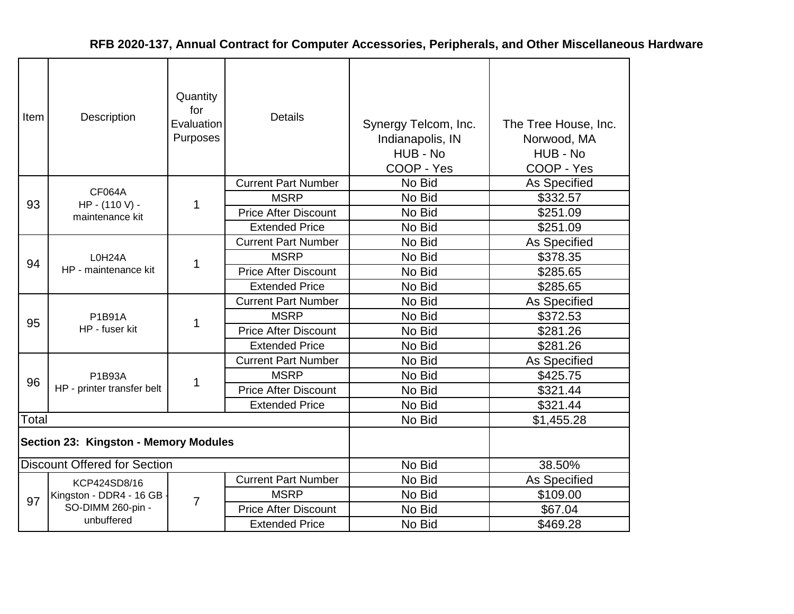| <b>Item</b>                           | Description                         | Quantity<br>for<br>Evaluation<br>Purposes | <b>Details</b>              | Synergy Telcom, Inc.<br>Indianapolis, IN<br>HUB - No<br>COOP - Yes | The Tree House, Inc.<br>Norwood, MA<br>HUB - No<br>COOP - Yes |
|---------------------------------------|-------------------------------------|-------------------------------------------|-----------------------------|--------------------------------------------------------------------|---------------------------------------------------------------|
|                                       |                                     |                                           | <b>Current Part Number</b>  | No Bid                                                             | As Specified                                                  |
| 93                                    | <b>CF064A</b><br>HP - (110 V) -     | 1                                         | <b>MSRP</b>                 | No Bid                                                             | \$332.57                                                      |
|                                       | maintenance kit                     |                                           | <b>Price After Discount</b> | No Bid                                                             | \$251.09                                                      |
|                                       |                                     |                                           | <b>Extended Price</b>       | No Bid                                                             | \$251.09                                                      |
|                                       |                                     |                                           | <b>Current Part Number</b>  | No Bid                                                             | As Specified                                                  |
| 94                                    | L0H24A                              | 1                                         | <b>MSRP</b>                 | No Bid                                                             | \$378.35                                                      |
|                                       | HP - maintenance kit                |                                           | <b>Price After Discount</b> | No Bid                                                             | \$285.65                                                      |
|                                       |                                     |                                           | <b>Extended Price</b>       | No Bid                                                             | \$285.65                                                      |
|                                       | <b>P1B91A</b><br>HP - fuser kit     | 1                                         | <b>Current Part Number</b>  | No Bid                                                             | As Specified                                                  |
| 95                                    |                                     |                                           | <b>MSRP</b>                 | No Bid                                                             | \$372.53                                                      |
|                                       |                                     |                                           | <b>Price After Discount</b> | No Bid                                                             | \$281.26                                                      |
|                                       |                                     |                                           | <b>Extended Price</b>       | No Bid                                                             | \$281.26                                                      |
|                                       |                                     |                                           | <b>Current Part Number</b>  | No Bid                                                             | As Specified                                                  |
| 96                                    | P1B93A                              | 1                                         | <b>MSRP</b>                 | No Bid                                                             | \$425.75                                                      |
|                                       | HP - printer transfer belt          |                                           | <b>Price After Discount</b> | No Bid                                                             | \$321.44                                                      |
|                                       |                                     |                                           | <b>Extended Price</b>       | No Bid                                                             | \$321.44                                                      |
| Total                                 |                                     |                                           |                             | No Bid                                                             | \$1,455.28                                                    |
| Section 23: Kingston - Memory Modules |                                     |                                           |                             |                                                                    |                                                               |
|                                       | <b>Discount Offered for Section</b> |                                           |                             | No Bid                                                             | 38.50%                                                        |
|                                       | KCP424SD8/16                        |                                           | <b>Current Part Number</b>  | No Bid                                                             | As Specified                                                  |
| 97                                    | Kingston - DDR4 - 16 GB             |                                           | <b>MSRP</b>                 | No Bid                                                             | \$109.00                                                      |
|                                       | SO-DIMM 260-pin -                   | 7                                         | <b>Price After Discount</b> | No Bid                                                             | \$67.04                                                       |
|                                       | unbuffered                          |                                           | <b>Extended Price</b>       | No Bid                                                             | \$469.28                                                      |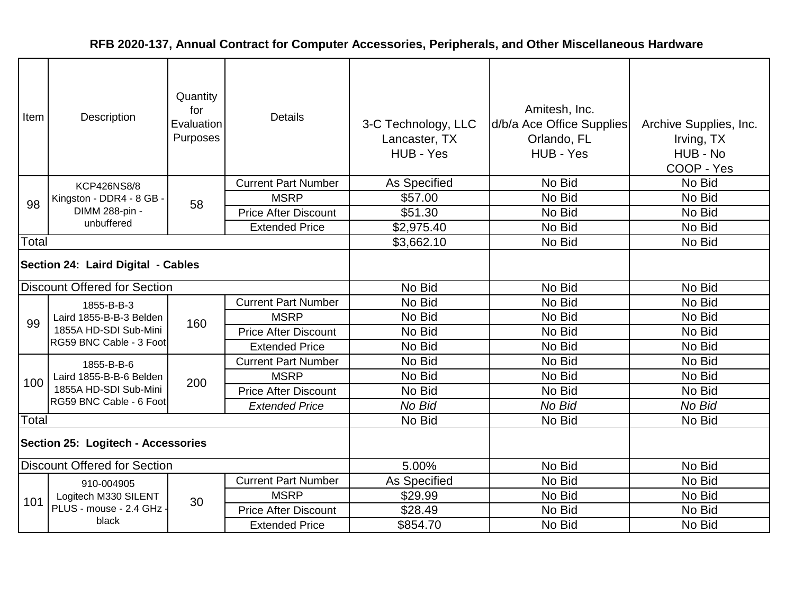| Item                               | Description                                                                               | Quantity<br>for<br>Evaluation<br>Purposes | <b>Details</b>              | 3-C Technology, LLC<br>Lancaster, TX<br>HUB - Yes | Amitesh, Inc.<br>d/b/a Ace Office Supplies<br>Orlando, FL<br>HUB - Yes | Archive Supplies, Inc.<br>Irving, TX<br>HUB - No<br>COOP - Yes |
|------------------------------------|-------------------------------------------------------------------------------------------|-------------------------------------------|-----------------------------|---------------------------------------------------|------------------------------------------------------------------------|----------------------------------------------------------------|
|                                    | <b>KCP426NS8/8</b>                                                                        |                                           | <b>Current Part Number</b>  | As Specified                                      | No Bid                                                                 | No Bid                                                         |
| 98                                 | Kingston - DDR4 - 8 GB                                                                    | 58                                        | <b>MSRP</b>                 | \$57.00                                           | No Bid                                                                 | No Bid                                                         |
|                                    | DIMM 288-pin -                                                                            |                                           | <b>Price After Discount</b> | \$51.30                                           | No Bid                                                                 | No Bid                                                         |
|                                    | unbuffered                                                                                |                                           | <b>Extended Price</b>       | \$2,975.40                                        | No Bid                                                                 | No Bid                                                         |
| Total                              |                                                                                           |                                           |                             | \$3,662.10                                        | No Bid                                                                 | No Bid                                                         |
| Section 24: Laird Digital - Cables |                                                                                           |                                           |                             |                                                   |                                                                        |                                                                |
|                                    | <b>Discount Offered for Section</b>                                                       |                                           |                             | No Bid                                            | No Bid                                                                 | No Bid                                                         |
|                                    | 1855-B-B-3<br>Laird 1855-B-B-3 Belden<br>1855A HD-SDI Sub-Mini<br>RG59 BNC Cable - 3 Foot |                                           | <b>Current Part Number</b>  | No Bid                                            | No Bid                                                                 | No Bid                                                         |
| 99                                 |                                                                                           | 160                                       | <b>MSRP</b>                 | No Bid                                            | No Bid                                                                 | No Bid                                                         |
|                                    |                                                                                           |                                           | <b>Price After Discount</b> | No Bid                                            | No Bid                                                                 | No Bid                                                         |
|                                    |                                                                                           |                                           | <b>Extended Price</b>       | No Bid                                            | No Bid                                                                 | No Bid                                                         |
|                                    | 1855-B-B-6                                                                                |                                           | <b>Current Part Number</b>  | No Bid                                            | No Bid                                                                 | No Bid                                                         |
| 100                                | Laird 1855-B-B-6 Belden                                                                   | 200                                       | <b>MSRP</b>                 | No Bid                                            | No Bid                                                                 | No Bid                                                         |
|                                    | 1855A HD-SDI Sub-Mini                                                                     |                                           | <b>Price After Discount</b> | No Bid                                            | No Bid                                                                 | No Bid                                                         |
|                                    | RG59 BNC Cable - 6 Foot                                                                   |                                           | <b>Extended Price</b>       | No Bid                                            | No Bid                                                                 | No Bid                                                         |
| Total                              |                                                                                           |                                           |                             | No Bid                                            | No Bid                                                                 | No Bid                                                         |
|                                    | Section 25: Logitech - Accessories                                                        |                                           |                             |                                                   |                                                                        |                                                                |
|                                    | <b>Discount Offered for Section</b>                                                       |                                           |                             | 5.00%                                             | No Bid                                                                 | No Bid                                                         |
|                                    | 910-004905                                                                                |                                           | <b>Current Part Number</b>  | As Specified                                      | No Bid                                                                 | No Bid                                                         |
| 101                                | Logitech M330 SILENT                                                                      | 30                                        | <b>MSRP</b>                 | \$29.99                                           | No Bid                                                                 | No Bid                                                         |
|                                    | PLUS - mouse - 2.4 GHz                                                                    |                                           | <b>Price After Discount</b> | \$28.49                                           | No Bid                                                                 | No Bid                                                         |
|                                    | black                                                                                     |                                           | <b>Extended Price</b>       | \$854.70                                          | No Bid                                                                 | No Bid                                                         |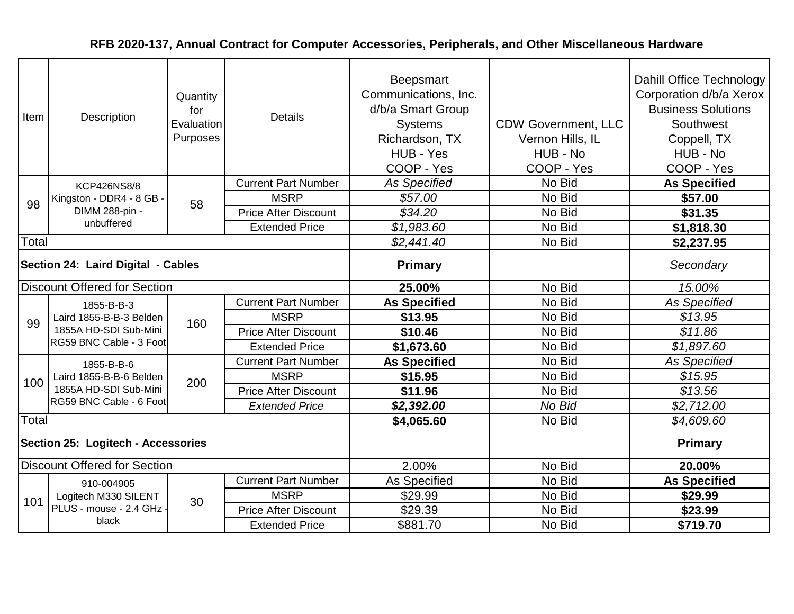| Item                               | Description                                                                               | Quantity<br>for<br>Evaluation<br>Purposes | <b>Details</b>              | Beepsmart<br>Communications, Inc.<br>d/b/a Smart Group<br><b>Systems</b><br>Richardson, TX<br>HUB - Yes<br>COOP - Yes | <b>CDW Government, LLC</b><br>Vernon Hills, IL<br>HUB - No<br>COOP - Yes | Dahill Office Technology<br>Corporation d/b/a Xerox<br><b>Business Solutions</b><br>Southwest<br>Coppell, TX<br>HUB - No<br>COOP - Yes |
|------------------------------------|-------------------------------------------------------------------------------------------|-------------------------------------------|-----------------------------|-----------------------------------------------------------------------------------------------------------------------|--------------------------------------------------------------------------|----------------------------------------------------------------------------------------------------------------------------------------|
|                                    | <b>KCP426NS8/8</b>                                                                        |                                           | <b>Current Part Number</b>  | <b>As Specified</b>                                                                                                   | No Bid                                                                   | <b>As Specified</b>                                                                                                                    |
| 98                                 | Kingston - DDR4 - 8 GB                                                                    | 58                                        | <b>MSRP</b>                 | \$57.00                                                                                                               | No Bid                                                                   | \$57.00                                                                                                                                |
|                                    | DIMM 288-pin -                                                                            |                                           | <b>Price After Discount</b> | \$34.20                                                                                                               | No Bid                                                                   | \$31.35                                                                                                                                |
|                                    | unbuffered                                                                                |                                           | <b>Extended Price</b>       | \$1,983.60                                                                                                            | No Bid                                                                   | \$1,818.30                                                                                                                             |
| Total                              |                                                                                           |                                           |                             | \$2,441.40                                                                                                            | No Bid                                                                   | \$2,237.95                                                                                                                             |
| Section 24: Laird Digital - Cables |                                                                                           |                                           |                             | Primary                                                                                                               |                                                                          | Secondary                                                                                                                              |
|                                    | <b>Discount Offered for Section</b>                                                       |                                           |                             | 25.00%                                                                                                                | No Bid                                                                   | 15.00%                                                                                                                                 |
|                                    | 1855-B-B-3<br>Laird 1855-B-B-3 Belden<br>1855A HD-SDI Sub-Mini<br>RG59 BNC Cable - 3 Foot | 160                                       | <b>Current Part Number</b>  | <b>As Specified</b>                                                                                                   | No Bid                                                                   | <b>As Specified</b>                                                                                                                    |
| 99                                 |                                                                                           |                                           | <b>MSRP</b>                 | \$13.95                                                                                                               | No Bid                                                                   | \$13.95                                                                                                                                |
|                                    |                                                                                           |                                           | <b>Price After Discount</b> | \$10.46                                                                                                               | No Bid                                                                   | \$11.86                                                                                                                                |
|                                    |                                                                                           |                                           | <b>Extended Price</b>       | \$1,673.60                                                                                                            | No Bid                                                                   | \$1,897.60                                                                                                                             |
|                                    | 1855-B-B-6                                                                                |                                           | <b>Current Part Number</b>  | <b>As Specified</b>                                                                                                   | No Bid                                                                   | <b>As Specified</b>                                                                                                                    |
| 100                                | Laird 1855-B-B-6 Belden                                                                   | 200                                       | <b>MSRP</b>                 | \$15.95                                                                                                               | No Bid                                                                   | \$15.95                                                                                                                                |
|                                    | 1855A HD-SDI Sub-Mini                                                                     |                                           | <b>Price After Discount</b> | \$11.96                                                                                                               | No Bid                                                                   | \$13.56                                                                                                                                |
|                                    | RG59 BNC Cable - 6 Foot                                                                   |                                           | <b>Extended Price</b>       | \$2,392.00                                                                                                            | No Bid                                                                   | \$2,712.00                                                                                                                             |
| Total                              |                                                                                           |                                           |                             | \$4,065.60                                                                                                            | No Bid                                                                   | \$4,609.60                                                                                                                             |
|                                    | <b>Section 25: Logitech - Accessories</b>                                                 |                                           |                             |                                                                                                                       |                                                                          | <b>Primary</b>                                                                                                                         |
|                                    | <b>Discount Offered for Section</b>                                                       |                                           |                             | 2.00%                                                                                                                 | No Bid                                                                   | 20.00%                                                                                                                                 |
|                                    | 910-004905                                                                                |                                           | <b>Current Part Number</b>  | As Specified                                                                                                          | No Bid                                                                   | <b>As Specified</b>                                                                                                                    |
| 101                                | Logitech M330 SILENT                                                                      | 30                                        | <b>MSRP</b>                 | \$29.99                                                                                                               | No Bid                                                                   | \$29.99                                                                                                                                |
|                                    | PLUS - mouse - 2.4 GHz -                                                                  |                                           | <b>Price After Discount</b> | \$29.39                                                                                                               | No Bid                                                                   | \$23.99                                                                                                                                |
|                                    | black                                                                                     |                                           | <b>Extended Price</b>       | \$881.70                                                                                                              | No Bid                                                                   | \$719.70                                                                                                                               |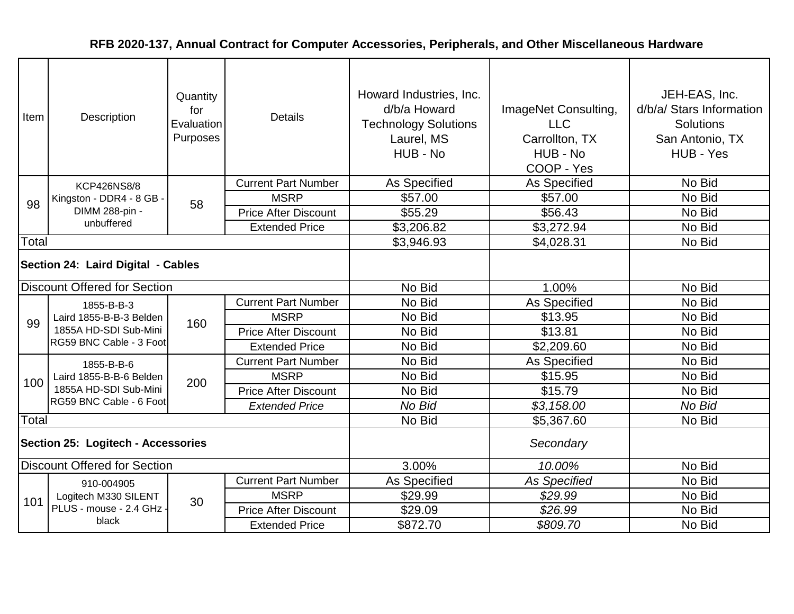| Item                               | Description                                                                               | Quantity<br>for<br>Evaluation<br>Purposes | <b>Details</b>              | Howard Industries, Inc.<br>d/b/a Howard<br><b>Technology Solutions</b><br>Laurel, MS<br>HUB - No | ImageNet Consulting,<br><b>LLC</b><br>Carrollton, TX<br>HUB - No<br>COOP - Yes | JEH-EAS, Inc.<br>d/b/a/ Stars Information<br><b>Solutions</b><br>San Antonio, TX<br>HUB - Yes |
|------------------------------------|-------------------------------------------------------------------------------------------|-------------------------------------------|-----------------------------|--------------------------------------------------------------------------------------------------|--------------------------------------------------------------------------------|-----------------------------------------------------------------------------------------------|
|                                    | <b>KCP426NS8/8</b>                                                                        |                                           | <b>Current Part Number</b>  | As Specified                                                                                     | As Specified                                                                   | No Bid                                                                                        |
| 98                                 | Kingston - DDR4 - 8 GB                                                                    | 58                                        | <b>MSRP</b>                 | \$57.00                                                                                          | \$57.00                                                                        | No Bid                                                                                        |
|                                    | DIMM 288-pin -                                                                            |                                           | <b>Price After Discount</b> | \$55.29                                                                                          | \$56.43                                                                        | No Bid                                                                                        |
|                                    | unbuffered                                                                                |                                           | <b>Extended Price</b>       | \$3,206.82                                                                                       | \$3,272.94                                                                     | No Bid                                                                                        |
| Total                              |                                                                                           |                                           |                             | \$3,946.93                                                                                       | \$4,028.31                                                                     | No Bid                                                                                        |
| Section 24: Laird Digital - Cables |                                                                                           |                                           |                             |                                                                                                  |                                                                                |                                                                                               |
|                                    | <b>Discount Offered for Section</b>                                                       |                                           |                             | No Bid                                                                                           | 1.00%                                                                          | No Bid                                                                                        |
|                                    | 1855-B-B-3<br>Laird 1855-B-B-3 Belden<br>1855A HD-SDI Sub-Mini<br>RG59 BNC Cable - 3 Foot |                                           | <b>Current Part Number</b>  | No Bid                                                                                           | As Specified                                                                   | No Bid                                                                                        |
| 99                                 |                                                                                           | 160                                       | <b>MSRP</b>                 | No Bid                                                                                           | \$13.95                                                                        | No Bid                                                                                        |
|                                    |                                                                                           |                                           | <b>Price After Discount</b> | No Bid                                                                                           | \$13.81                                                                        | No Bid                                                                                        |
|                                    |                                                                                           |                                           | <b>Extended Price</b>       | No Bid                                                                                           | \$2,209.60                                                                     | No Bid                                                                                        |
|                                    | 1855-B-B-6                                                                                |                                           | <b>Current Part Number</b>  | No Bid                                                                                           | As Specified                                                                   | No Bid                                                                                        |
| 100                                | Laird 1855-B-B-6 Belden                                                                   | 200                                       | <b>MSRP</b>                 | No Bid                                                                                           | \$15.95                                                                        | No Bid                                                                                        |
|                                    | 1855A HD-SDI Sub-Mini                                                                     |                                           | <b>Price After Discount</b> | No Bid                                                                                           | \$15.79                                                                        | No Bid                                                                                        |
|                                    | RG59 BNC Cable - 6 Foot                                                                   |                                           | <b>Extended Price</b>       | No Bid                                                                                           | \$3,158.00                                                                     | No Bid                                                                                        |
| Total                              |                                                                                           |                                           |                             | No Bid                                                                                           | \$5,367.60                                                                     | No Bid                                                                                        |
|                                    | <b>Section 25: Logitech - Accessories</b>                                                 |                                           |                             |                                                                                                  | Secondary                                                                      |                                                                                               |
|                                    | <b>Discount Offered for Section</b>                                                       |                                           |                             | 3.00%                                                                                            | 10.00%                                                                         | No Bid                                                                                        |
|                                    | 910-004905                                                                                |                                           | <b>Current Part Number</b>  | As Specified                                                                                     | <b>As Specified</b>                                                            | No Bid                                                                                        |
| 101                                | Logitech M330 SILENT                                                                      | 30                                        | <b>MSRP</b>                 | \$29.99                                                                                          | \$29.99                                                                        | No Bid                                                                                        |
|                                    | PLUS - mouse - 2.4 GHz -                                                                  |                                           | <b>Price After Discount</b> | \$29.09                                                                                          | \$26.99                                                                        | No Bid                                                                                        |
|                                    | black                                                                                     |                                           | <b>Extended Price</b>       | \$872.70                                                                                         | \$809.70                                                                       | No Bid                                                                                        |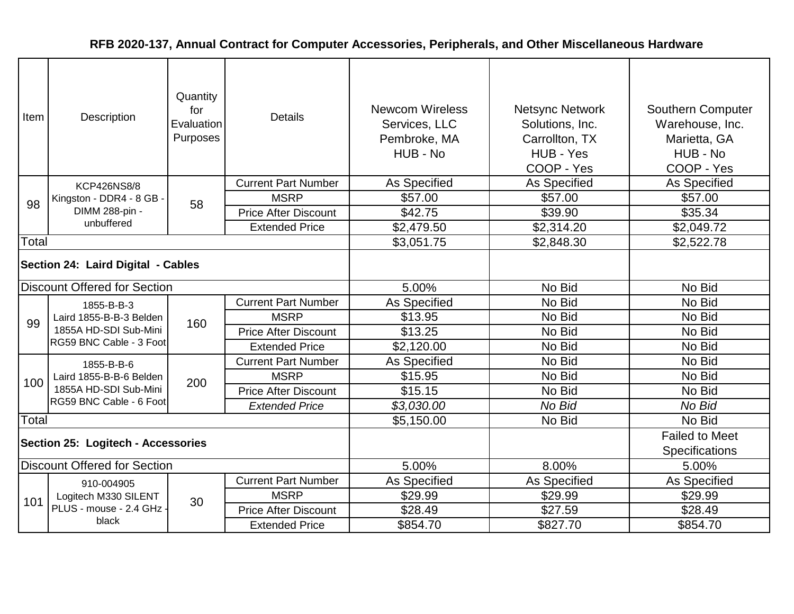| Item                               | Description                                                                               | Quantity<br>for<br>Evaluation<br>Purposes | <b>Details</b>              | <b>Newcom Wireless</b><br>Services, LLC<br>Pembroke, MA<br>HUB - No | <b>Netsync Network</b><br>Solutions, Inc.<br>Carrollton, TX<br>HUB - Yes<br>COOP - Yes | <b>Southern Computer</b><br>Warehouse, Inc.<br>Marietta, GA<br>HUB - No<br>COOP - Yes |
|------------------------------------|-------------------------------------------------------------------------------------------|-------------------------------------------|-----------------------------|---------------------------------------------------------------------|----------------------------------------------------------------------------------------|---------------------------------------------------------------------------------------|
|                                    | <b>KCP426NS8/8</b>                                                                        |                                           | <b>Current Part Number</b>  | As Specified                                                        | As Specified                                                                           | As Specified                                                                          |
| 98                                 | Kingston - DDR4 - 8 GB                                                                    | 58                                        | <b>MSRP</b>                 | \$57.00                                                             | \$57.00                                                                                | \$57.00                                                                               |
|                                    | DIMM 288-pin -                                                                            |                                           | <b>Price After Discount</b> | \$42.75                                                             | \$39.90                                                                                | \$35.34                                                                               |
|                                    | unbuffered                                                                                |                                           | <b>Extended Price</b>       | \$2,479.50                                                          | \$2,314.20                                                                             | \$2,049.72                                                                            |
| Total                              |                                                                                           |                                           |                             | \$3,051.75                                                          | \$2,848.30                                                                             | \$2,522.78                                                                            |
| Section 24: Laird Digital - Cables |                                                                                           |                                           |                             |                                                                     |                                                                                        |                                                                                       |
|                                    | <b>Discount Offered for Section</b>                                                       |                                           |                             | 5.00%                                                               | No Bid                                                                                 | No Bid                                                                                |
|                                    | 1855-B-B-3<br>Laird 1855-B-B-3 Belden<br>1855A HD-SDI Sub-Mini<br>RG59 BNC Cable - 3 Foot |                                           | <b>Current Part Number</b>  | As Specified                                                        | No Bid                                                                                 | No Bid                                                                                |
| 99                                 |                                                                                           | 160                                       | <b>MSRP</b>                 | \$13.95                                                             | No Bid                                                                                 | No Bid                                                                                |
|                                    |                                                                                           |                                           | <b>Price After Discount</b> | \$13.25                                                             | No Bid                                                                                 | No Bid                                                                                |
|                                    |                                                                                           |                                           | <b>Extended Price</b>       | \$2,120.00                                                          | No Bid                                                                                 | No Bid                                                                                |
|                                    | 1855-B-B-6                                                                                |                                           | <b>Current Part Number</b>  | As Specified                                                        | No Bid                                                                                 | No Bid                                                                                |
| 100                                | Laird 1855-B-B-6 Belden                                                                   | 200                                       | <b>MSRP</b>                 | \$15.95                                                             | No Bid                                                                                 | No Bid                                                                                |
|                                    | 1855A HD-SDI Sub-Mini                                                                     |                                           | <b>Price After Discount</b> | \$15.15                                                             | No Bid                                                                                 | No Bid                                                                                |
|                                    | RG59 BNC Cable - 6 Foot                                                                   |                                           | <b>Extended Price</b>       | \$3,030.00                                                          | No Bid                                                                                 | No Bid                                                                                |
| Total                              |                                                                                           |                                           |                             | \$5,150.00                                                          | No Bid                                                                                 | No Bid                                                                                |
|                                    | Section 25: Logitech - Accessories                                                        |                                           |                             |                                                                     |                                                                                        | <b>Failed to Meet</b><br>Specifications                                               |
|                                    | <b>Discount Offered for Section</b>                                                       |                                           |                             | 5.00%                                                               | 8.00%                                                                                  | 5.00%                                                                                 |
|                                    | 910-004905                                                                                |                                           | <b>Current Part Number</b>  | As Specified                                                        | As Specified                                                                           | As Specified                                                                          |
| 101                                | Logitech M330 SILENT                                                                      | 30                                        | <b>MSRP</b>                 | \$29.99                                                             | \$29.99                                                                                | \$29.99                                                                               |
|                                    | PLUS - mouse - 2.4 GHz                                                                    |                                           | <b>Price After Discount</b> | \$28.49                                                             | \$27.59                                                                                | \$28.49                                                                               |
|                                    | black                                                                                     |                                           | <b>Extended Price</b>       | \$854.70                                                            | \$827.70                                                                               | \$854.70                                                                              |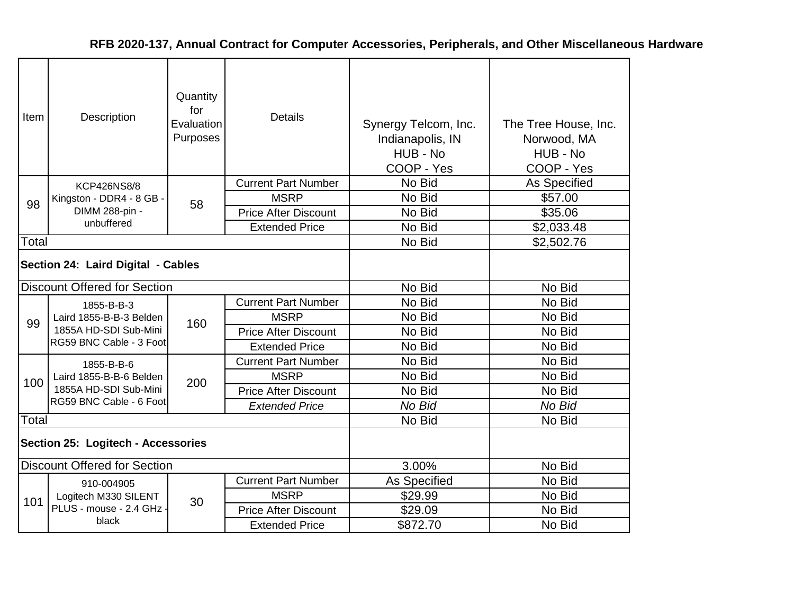| Item  | Description                                                    | Quantity<br>for<br>Evaluation<br>Purposes | <b>Details</b>              | Synergy Telcom, Inc.<br>Indianapolis, IN<br>HUB - No<br>COOP - Yes | The Tree House, Inc.<br>Norwood, MA<br>HUB - No<br>COOP - Yes |
|-------|----------------------------------------------------------------|-------------------------------------------|-----------------------------|--------------------------------------------------------------------|---------------------------------------------------------------|
|       | <b>KCP426NS8/8</b>                                             |                                           | <b>Current Part Number</b>  | No Bid                                                             | As Specified                                                  |
| 98    | Kingston - DDR4 - 8 GB -                                       | 58                                        | <b>MSRP</b>                 | No Bid                                                             | \$57.00                                                       |
|       | DIMM 288-pin -                                                 |                                           | <b>Price After Discount</b> | No Bid                                                             | \$35.06                                                       |
|       | unbuffered                                                     |                                           | <b>Extended Price</b>       | No Bid                                                             | \$2,033.48                                                    |
| Total |                                                                |                                           |                             | No Bid                                                             | \$2,502.76                                                    |
|       | Section 24: Laird Digital - Cables                             |                                           |                             |                                                                    |                                                               |
|       | <b>Discount Offered for Section</b>                            |                                           |                             | No Bid                                                             | No Bid                                                        |
|       | 1855-B-B-3<br>Laird 1855-B-B-3 Belden<br>1855A HD-SDI Sub-Mini |                                           | <b>Current Part Number</b>  | No Bid                                                             | No Bid                                                        |
| 99    |                                                                | 160                                       | <b>MSRP</b>                 | No Bid                                                             | No Bid                                                        |
|       |                                                                |                                           | <b>Price After Discount</b> | No Bid                                                             | No Bid                                                        |
|       | RG59 BNC Cable - 3 Foot                                        |                                           | <b>Extended Price</b>       | No Bid                                                             | No Bid                                                        |
|       | 1855-B-B-6                                                     |                                           | <b>Current Part Number</b>  | No Bid                                                             | No Bid                                                        |
| 100   | Laird 1855-B-B-6 Belden                                        | 200                                       | <b>MSRP</b>                 | No Bid                                                             | No Bid                                                        |
|       | 1855A HD-SDI Sub-Mini                                          |                                           | <b>Price After Discount</b> | No Bid                                                             | No Bid                                                        |
|       | RG59 BNC Cable - 6 Foot                                        |                                           | <b>Extended Price</b>       | No Bid                                                             | No Bid                                                        |
| Total |                                                                |                                           |                             | No Bid                                                             | No Bid                                                        |
|       | Section 25: Logitech - Accessories                             |                                           |                             |                                                                    |                                                               |
|       | <b>Discount Offered for Section</b>                            |                                           |                             | 3.00%                                                              | No Bid                                                        |
|       | 910-004905                                                     |                                           | <b>Current Part Number</b>  | As Specified                                                       | No Bid                                                        |
| 101   | Logitech M330 SILENT                                           | 30                                        | <b>MSRP</b>                 | \$29.99                                                            | No Bid                                                        |
|       | PLUS - mouse - 2.4 GHz -                                       |                                           | <b>Price After Discount</b> | \$29.09                                                            | No Bid                                                        |
|       | black                                                          |                                           | <b>Extended Price</b>       | \$872.70                                                           | No Bid                                                        |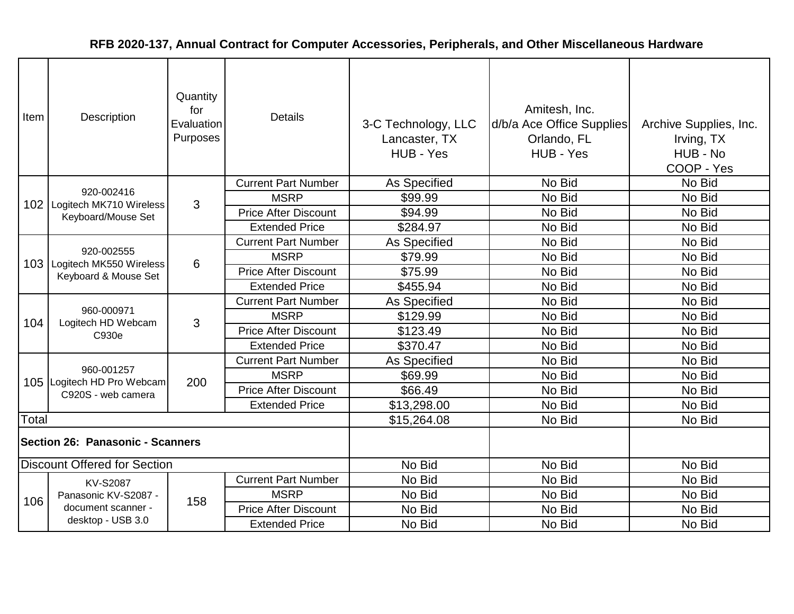| Item                             | Description                                                   | Quantity<br>for<br>Evaluation<br>Purposes | <b>Details</b>              | 3-C Technology, LLC<br>Lancaster, TX<br>HUB - Yes | Amitesh, Inc.<br>d/b/a Ace Office Supplies<br>Orlando, FL<br>HUB - Yes | Archive Supplies, Inc.<br>Irving, TX<br>HUB - No<br>COOP - Yes |
|----------------------------------|---------------------------------------------------------------|-------------------------------------------|-----------------------------|---------------------------------------------------|------------------------------------------------------------------------|----------------------------------------------------------------|
|                                  | 920-002416                                                    |                                           | <b>Current Part Number</b>  | As Specified                                      | No Bid                                                                 | No Bid                                                         |
|                                  | 102   Logitech MK710 Wireless                                 | 3                                         | <b>MSRP</b>                 | \$99.99                                           | No Bid                                                                 | No Bid                                                         |
|                                  | Keyboard/Mouse Set                                            |                                           | <b>Price After Discount</b> | \$94.99                                           | No Bid                                                                 | No Bid                                                         |
|                                  |                                                               |                                           | <b>Extended Price</b>       | \$284.97                                          | No Bid                                                                 | No Bid                                                         |
|                                  |                                                               |                                           | <b>Current Part Number</b>  | As Specified                                      | No Bid                                                                 | No Bid                                                         |
| 103 <sub>1</sub>                 | 920-002555<br>Logitech MK550 Wireless<br>Keyboard & Mouse Set | 6                                         | <b>MSRP</b>                 | \$79.99                                           | No Bid                                                                 | No Bid                                                         |
|                                  |                                                               |                                           | <b>Price After Discount</b> | \$75.99                                           | No Bid                                                                 | No Bid                                                         |
|                                  |                                                               |                                           | <b>Extended Price</b>       | \$455.94                                          | No Bid                                                                 | No Bid                                                         |
|                                  | 960-000971<br>Logitech HD Webcam<br>C930e                     |                                           | <b>Current Part Number</b>  | As Specified                                      | No Bid                                                                 | No Bid                                                         |
| 104                              |                                                               | 3                                         | <b>MSRP</b>                 | \$129.99                                          | No Bid                                                                 | No Bid                                                         |
|                                  |                                                               |                                           | <b>Price After Discount</b> | \$123.49                                          | No Bid                                                                 | No Bid                                                         |
|                                  |                                                               |                                           | <b>Extended Price</b>       | \$370.47                                          | No Bid                                                                 | No Bid                                                         |
|                                  |                                                               |                                           | <b>Current Part Number</b>  | As Specified                                      | No Bid                                                                 | No Bid                                                         |
|                                  | 960-001257<br>105 Logitech HD Pro Webcam                      | 200                                       | <b>MSRP</b>                 | \$69.99                                           | No Bid                                                                 | No Bid                                                         |
|                                  | C920S - web camera                                            |                                           | <b>Price After Discount</b> | \$66.49                                           | No Bid                                                                 | No Bid                                                         |
|                                  |                                                               |                                           | <b>Extended Price</b>       | \$13,298.00                                       | No Bid                                                                 | No Bid                                                         |
| Total                            |                                                               |                                           |                             | \$15,264.08                                       | No Bid                                                                 | No Bid                                                         |
| Section 26: Panasonic - Scanners |                                                               |                                           |                             |                                                   |                                                                        |                                                                |
|                                  | <b>Discount Offered for Section</b>                           |                                           |                             | No Bid                                            | No Bid                                                                 | No Bid                                                         |
|                                  | <b>KV-S2087</b>                                               |                                           | <b>Current Part Number</b>  | No Bid                                            | No Bid                                                                 | No Bid                                                         |
| 106                              | Panasonic KV-S2087 -                                          | 158                                       | <b>MSRP</b>                 | No Bid                                            | No Bid                                                                 | No Bid                                                         |
|                                  | document scanner -                                            |                                           | <b>Price After Discount</b> | No Bid                                            | No Bid                                                                 | No Bid                                                         |
|                                  | desktop - USB 3.0                                             |                                           | <b>Extended Price</b>       | No Bid                                            | No Bid                                                                 | No Bid                                                         |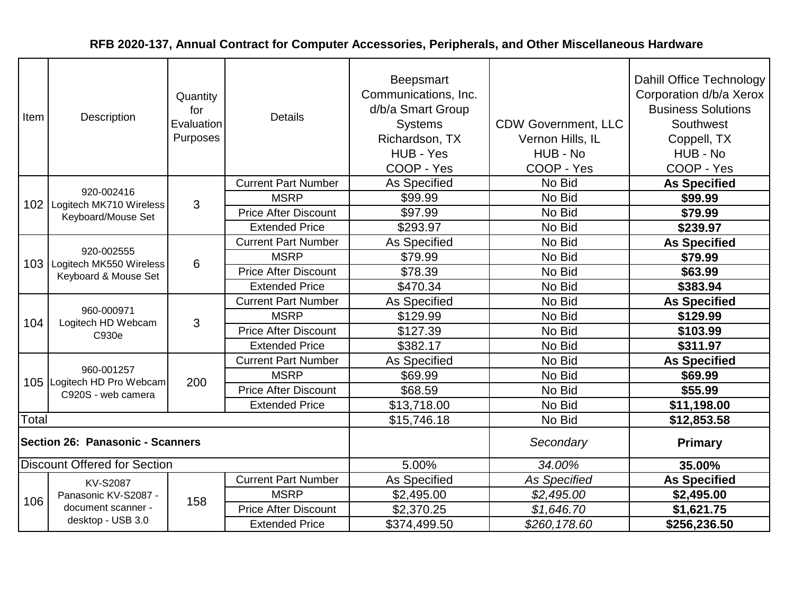| Item  | Description                                                         | Quantity<br>for<br>Evaluation<br>Purposes | <b>Details</b>              | Beepsmart<br>Communications, Inc.<br>d/b/a Smart Group<br><b>Systems</b><br>Richardson, TX<br>HUB - Yes<br>COOP - Yes | <b>CDW Government, LLC</b><br>Vernon Hills, IL<br>HUB - No<br>COOP - Yes | <b>Dahill Office Technology</b><br>Corporation d/b/a Xerox<br><b>Business Solutions</b><br>Southwest<br>Coppell, TX<br>HUB - No<br>COOP - Yes |
|-------|---------------------------------------------------------------------|-------------------------------------------|-----------------------------|-----------------------------------------------------------------------------------------------------------------------|--------------------------------------------------------------------------|-----------------------------------------------------------------------------------------------------------------------------------------------|
|       |                                                                     |                                           | <b>Current Part Number</b>  | <b>As Specified</b>                                                                                                   | No Bid                                                                   | <b>As Specified</b>                                                                                                                           |
|       | 920-002416<br>102   Logitech MK710 Wireless                         | 3                                         | <b>MSRP</b>                 | \$99.99                                                                                                               | No Bid                                                                   | \$99.99                                                                                                                                       |
|       | Keyboard/Mouse Set                                                  |                                           | <b>Price After Discount</b> | \$97.99                                                                                                               | No Bid                                                                   | \$79.99                                                                                                                                       |
|       |                                                                     |                                           | <b>Extended Price</b>       | \$293.97                                                                                                              | No Bid                                                                   | \$239.97                                                                                                                                      |
|       |                                                                     |                                           | <b>Current Part Number</b>  | As Specified                                                                                                          | No Bid                                                                   | <b>As Specified</b>                                                                                                                           |
|       | 920-002555<br>103   Logitech MK550 Wireless<br>Keyboard & Mouse Set | 6                                         | <b>MSRP</b>                 | \$79.99                                                                                                               | No Bid                                                                   | \$79.99                                                                                                                                       |
|       |                                                                     |                                           | <b>Price After Discount</b> | \$78.39                                                                                                               | No Bid                                                                   | \$63.99                                                                                                                                       |
|       |                                                                     |                                           | <b>Extended Price</b>       | \$470.34                                                                                                              | No Bid                                                                   | \$383.94                                                                                                                                      |
|       | 960-000971<br>Logitech HD Webcam<br>C930e                           | 3                                         | <b>Current Part Number</b>  | <b>As Specified</b>                                                                                                   | No Bid                                                                   | <b>As Specified</b>                                                                                                                           |
| 104   |                                                                     |                                           | <b>MSRP</b>                 | \$129.99                                                                                                              | No Bid                                                                   | \$129.99                                                                                                                                      |
|       |                                                                     |                                           | <b>Price After Discount</b> | \$127.39                                                                                                              | No Bid                                                                   | \$103.99                                                                                                                                      |
|       |                                                                     |                                           | <b>Extended Price</b>       | \$382.17                                                                                                              | No Bid                                                                   | \$311.97                                                                                                                                      |
|       |                                                                     |                                           | <b>Current Part Number</b>  | As Specified                                                                                                          | No Bid                                                                   | <b>As Specified</b>                                                                                                                           |
|       | 960-001257<br>105 Logitech HD Pro Webcam                            | 200                                       | <b>MSRP</b>                 | \$69.99                                                                                                               | No Bid                                                                   | \$69.99                                                                                                                                       |
|       | C920S - web camera                                                  |                                           | <b>Price After Discount</b> | \$68.59                                                                                                               | No Bid                                                                   | \$55.99                                                                                                                                       |
|       |                                                                     |                                           | <b>Extended Price</b>       | \$13,718.00                                                                                                           | No Bid                                                                   | \$11,198.00                                                                                                                                   |
| Total |                                                                     |                                           |                             | \$15,746.18                                                                                                           | No Bid                                                                   | \$12,853.58                                                                                                                                   |
|       | Section 26: Panasonic - Scanners                                    |                                           |                             |                                                                                                                       | Secondary                                                                | Primary                                                                                                                                       |
|       | <b>Discount Offered for Section</b>                                 |                                           |                             | 5.00%                                                                                                                 | 34.00%                                                                   | 35.00%                                                                                                                                        |
|       | <b>KV-S2087</b>                                                     |                                           | <b>Current Part Number</b>  | As Specified                                                                                                          | <b>As Specified</b>                                                      | <b>As Specified</b>                                                                                                                           |
| 106   | Panasonic KV-S2087 -                                                | 158                                       | <b>MSRP</b>                 | \$2,495.00                                                                                                            | \$2,495.00                                                               | \$2,495.00                                                                                                                                    |
|       | document scanner -                                                  |                                           | <b>Price After Discount</b> | \$2,370.25                                                                                                            | \$1,646.70                                                               | \$1,621.75                                                                                                                                    |
|       | desktop - USB 3.0                                                   |                                           | <b>Extended Price</b>       | \$374,499.50                                                                                                          | \$260,178.60                                                             | \$256,236.50                                                                                                                                  |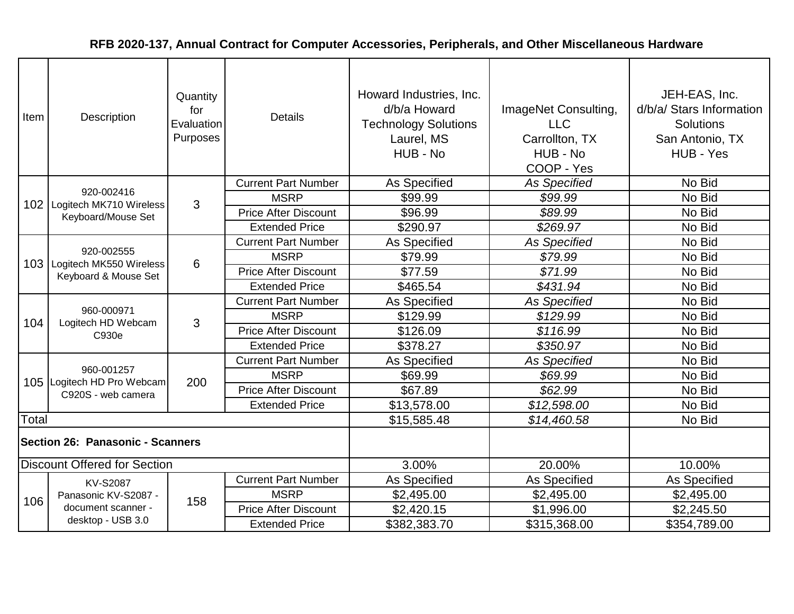| Item                             | Description                                                         | Quantity<br>for<br>Evaluation<br>Purposes | <b>Details</b>              | Howard Industries, Inc.<br>d/b/a Howard<br><b>Technology Solutions</b><br>Laurel, MS<br>HUB - No | ImageNet Consulting,<br><b>LLC</b><br>Carrollton, TX<br>HUB - No<br>COOP - Yes | JEH-EAS, Inc.<br>d/b/a/ Stars Information<br><b>Solutions</b><br>San Antonio, TX<br>HUB - Yes |
|----------------------------------|---------------------------------------------------------------------|-------------------------------------------|-----------------------------|--------------------------------------------------------------------------------------------------|--------------------------------------------------------------------------------|-----------------------------------------------------------------------------------------------|
|                                  |                                                                     |                                           | <b>Current Part Number</b>  | As Specified                                                                                     | <b>As Specified</b>                                                            | No Bid                                                                                        |
|                                  | 920-002416<br>102   Logitech MK710 Wireless                         | 3                                         | <b>MSRP</b>                 | \$99.99                                                                                          | \$99.99                                                                        | No Bid                                                                                        |
|                                  | Keyboard/Mouse Set                                                  |                                           | <b>Price After Discount</b> | \$96.99                                                                                          | \$89.99                                                                        | No Bid                                                                                        |
|                                  |                                                                     |                                           | <b>Extended Price</b>       | \$290.97                                                                                         | \$269.97                                                                       | No Bid                                                                                        |
|                                  |                                                                     |                                           | <b>Current Part Number</b>  | <b>As Specified</b>                                                                              | <b>As Specified</b>                                                            | No Bid                                                                                        |
|                                  | 920-002555<br>103   Logitech MK550 Wireless<br>Keyboard & Mouse Set | $6\phantom{1}6$                           | <b>MSRP</b>                 | \$79.99                                                                                          | \$79.99                                                                        | No Bid                                                                                        |
|                                  |                                                                     |                                           | <b>Price After Discount</b> | \$77.59                                                                                          | \$71.99                                                                        | No Bid                                                                                        |
|                                  |                                                                     |                                           | <b>Extended Price</b>       | \$465.54                                                                                         | \$431.94                                                                       | No Bid                                                                                        |
|                                  | 960-000971<br>Logitech HD Webcam<br>C930e                           | 3                                         | <b>Current Part Number</b>  | <b>As Specified</b>                                                                              | As Specified                                                                   | No Bid                                                                                        |
| 104                              |                                                                     |                                           | <b>MSRP</b>                 | \$129.99                                                                                         | \$129.99                                                                       | No Bid                                                                                        |
|                                  |                                                                     |                                           | <b>Price After Discount</b> | \$126.09                                                                                         | \$116.99                                                                       | No Bid                                                                                        |
|                                  |                                                                     |                                           | <b>Extended Price</b>       | \$378.27                                                                                         | \$350.97                                                                       | No Bid                                                                                        |
|                                  |                                                                     |                                           | <b>Current Part Number</b>  | As Specified                                                                                     | <b>As Specified</b>                                                            | No Bid                                                                                        |
|                                  | 960-001257<br>105 Logitech HD Pro Webcam                            | 200                                       | <b>MSRP</b>                 | \$69.99                                                                                          | \$69.99                                                                        | No Bid                                                                                        |
|                                  | C920S - web camera                                                  |                                           | <b>Price After Discount</b> | \$67.89                                                                                          | \$62.99                                                                        | No Bid                                                                                        |
|                                  |                                                                     |                                           | <b>Extended Price</b>       | \$13,578.00                                                                                      | \$12,598.00                                                                    | No Bid                                                                                        |
| Total                            |                                                                     |                                           |                             | \$15,585.48                                                                                      | \$14,460.58                                                                    | No Bid                                                                                        |
| Section 26: Panasonic - Scanners |                                                                     |                                           |                             |                                                                                                  |                                                                                |                                                                                               |
|                                  | <b>Discount Offered for Section</b>                                 |                                           |                             | 3.00%                                                                                            | 20.00%                                                                         | 10.00%                                                                                        |
|                                  | <b>KV-S2087</b>                                                     |                                           | <b>Current Part Number</b>  | <b>As Specified</b>                                                                              | <b>As Specified</b>                                                            | As Specified                                                                                  |
| 106                              | Panasonic KV-S2087 -                                                | 158                                       | <b>MSRP</b>                 | \$2,495.00                                                                                       | \$2,495.00                                                                     | \$2,495.00                                                                                    |
|                                  | document scanner -                                                  |                                           | <b>Price After Discount</b> | \$2,420.15                                                                                       | \$1,996.00                                                                     | \$2,245.50                                                                                    |
|                                  | desktop - USB 3.0                                                   |                                           | <b>Extended Price</b>       | \$382,383.70                                                                                     | \$315,368.00                                                                   | \$354,789.00                                                                                  |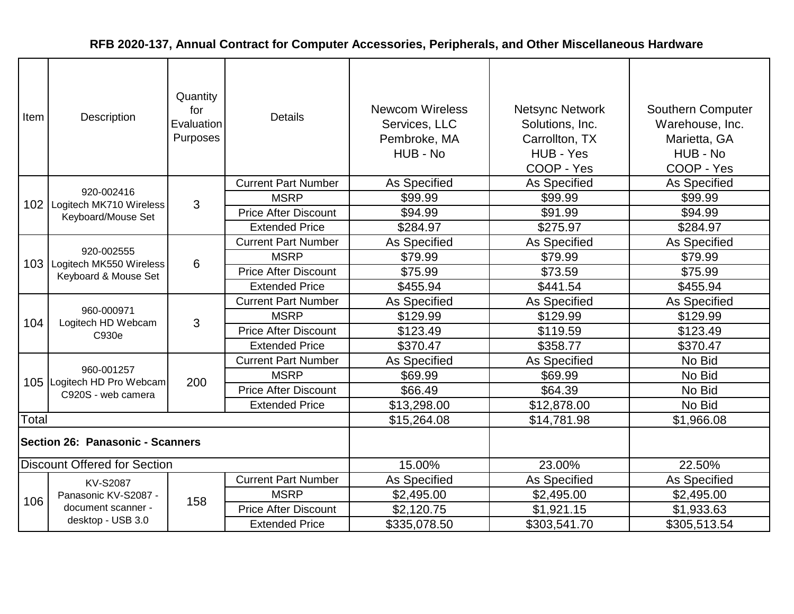| Item                             | Quantity<br>for<br>Description<br>Evaluation<br>Purposes |     | <b>Details</b>              | <b>Newcom Wireless</b><br>Services, LLC<br>Pembroke, MA<br>HUB - No | <b>Netsync Network</b><br>Solutions, Inc.<br>Carrollton, TX<br>HUB - Yes<br>COOP - Yes | Southern Computer<br>Warehouse, Inc.<br>Marietta, GA<br>HUB - No<br>COOP - Yes |
|----------------------------------|----------------------------------------------------------|-----|-----------------------------|---------------------------------------------------------------------|----------------------------------------------------------------------------------------|--------------------------------------------------------------------------------|
|                                  |                                                          |     | <b>Current Part Number</b>  | As Specified                                                        | <b>As Specified</b>                                                                    | As Specified                                                                   |
|                                  | 920-002416<br>102   Logitech MK710 Wireless              | 3   | <b>MSRP</b>                 | \$99.99                                                             | \$99.99                                                                                | \$99.99                                                                        |
|                                  | Keyboard/Mouse Set                                       |     | <b>Price After Discount</b> | \$94.99                                                             | \$91.99                                                                                | \$94.99                                                                        |
|                                  |                                                          |     | <b>Extended Price</b>       | \$284.97                                                            | \$275.97                                                                               | \$284.97                                                                       |
|                                  |                                                          |     | <b>Current Part Number</b>  | As Specified                                                        | As Specified                                                                           | As Specified                                                                   |
|                                  | 920-002555<br>103   Logitech MK550 Wireless              | 6   | <b>MSRP</b>                 | \$79.99                                                             | \$79.99                                                                                | \$79.99                                                                        |
|                                  | Keyboard & Mouse Set                                     |     | <b>Price After Discount</b> | \$75.99                                                             | \$73.59                                                                                | \$75.99                                                                        |
|                                  |                                                          |     | <b>Extended Price</b>       | \$455.94                                                            | \$441.54                                                                               | \$455.94                                                                       |
|                                  | 960-000971<br>Logitech HD Webcam<br>C930e                | 3   | <b>Current Part Number</b>  | <b>As Specified</b>                                                 | As Specified                                                                           | <b>As Specified</b>                                                            |
| 104                              |                                                          |     | <b>MSRP</b>                 | \$129.99                                                            | \$129.99                                                                               | \$129.99                                                                       |
|                                  |                                                          |     | <b>Price After Discount</b> | \$123.49                                                            | \$119.59                                                                               | \$123.49                                                                       |
|                                  |                                                          |     | <b>Extended Price</b>       | \$370.47                                                            | \$358.77                                                                               | \$370.47                                                                       |
|                                  |                                                          |     | <b>Current Part Number</b>  | As Specified                                                        | As Specified                                                                           | No Bid                                                                         |
|                                  | 960-001257<br>105 Logitech HD Pro Webcam                 | 200 | <b>MSRP</b>                 | \$69.99                                                             | \$69.99                                                                                | No Bid                                                                         |
|                                  | C920S - web camera                                       |     | <b>Price After Discount</b> | \$66.49                                                             | \$64.39                                                                                | No Bid                                                                         |
|                                  |                                                          |     | <b>Extended Price</b>       | \$13,298.00                                                         | \$12,878.00                                                                            | No Bid                                                                         |
| Total                            |                                                          |     |                             | \$15,264.08                                                         | \$14,781.98                                                                            | \$1,966.08                                                                     |
| Section 26: Panasonic - Scanners |                                                          |     |                             |                                                                     |                                                                                        |                                                                                |
|                                  | <b>Discount Offered for Section</b>                      |     |                             | 15.00%                                                              | 23.00%                                                                                 | 22.50%                                                                         |
|                                  | <b>KV-S2087</b>                                          |     | <b>Current Part Number</b>  | As Specified                                                        | As Specified                                                                           | As Specified                                                                   |
| 106                              | Panasonic KV-S2087 -                                     | 158 | <b>MSRP</b>                 | \$2,495.00                                                          | \$2,495.00                                                                             | \$2,495.00                                                                     |
|                                  | document scanner -                                       |     | <b>Price After Discount</b> | \$2,120.75                                                          | \$1,921.15                                                                             | \$1,933.63                                                                     |
|                                  | desktop - USB 3.0                                        |     | <b>Extended Price</b>       | \$335,078.50                                                        | \$303,541.70                                                                           | \$305,513.54                                                                   |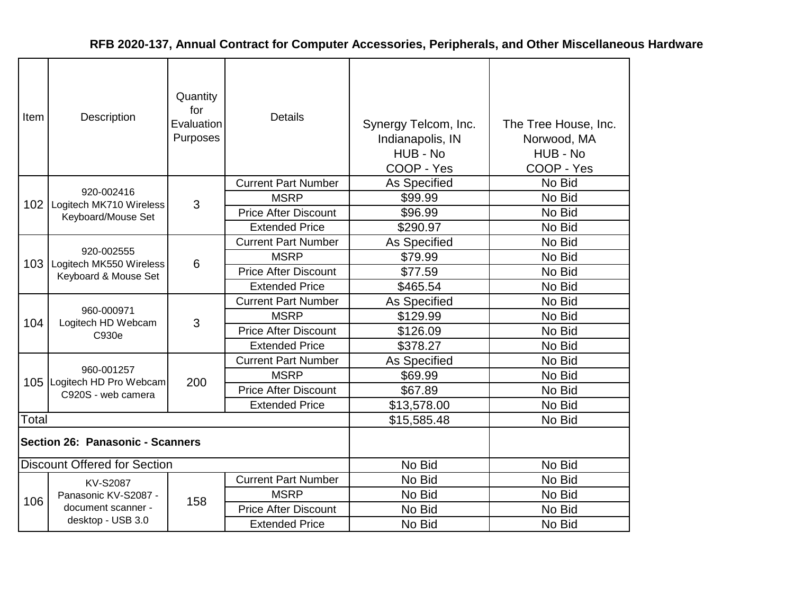| for<br><b>Details</b><br>Item<br>Description<br>Evaluation<br>Synergy Telcom, Inc.<br>The Tree House, Inc.<br>Purposes<br>Indianapolis, IN<br>Norwood, MA<br>HUB - No<br>HUB - No<br>COOP - Yes<br>COOP - Yes |  |
|---------------------------------------------------------------------------------------------------------------------------------------------------------------------------------------------------------------|--|
| <b>Current Part Number</b><br>As Specified<br>No Bid                                                                                                                                                          |  |
| 920-002416<br>No Bid<br><b>MSRP</b><br>\$99.99<br>3<br>102   Logitech MK710 Wireless                                                                                                                          |  |
| No Bid<br><b>Price After Discount</b><br>\$96.99<br>Keyboard/Mouse Set                                                                                                                                        |  |
| <b>Extended Price</b><br>\$290.97<br>No Bid                                                                                                                                                                   |  |
| As Specified<br>No Bid<br><b>Current Part Number</b>                                                                                                                                                          |  |
| 920-002555<br>No Bid<br><b>MSRP</b><br>\$79.99<br>103<br>Logitech MK550 Wireless<br>6                                                                                                                         |  |
| No Bid<br><b>Price After Discount</b><br>\$77.59<br>Keyboard & Mouse Set                                                                                                                                      |  |
| <b>Extended Price</b><br>\$465.54<br>No Bid                                                                                                                                                                   |  |
| No Bid<br><b>Current Part Number</b><br>As Specified                                                                                                                                                          |  |
| 960-000971<br><b>MSRP</b><br>No Bid<br>\$129.99<br>104                                                                                                                                                        |  |
| Logitech HD Webcam<br>3<br>No Bid<br><b>Price After Discount</b><br>\$126.09<br>C930e                                                                                                                         |  |
| \$378.27<br>No Bid<br><b>Extended Price</b>                                                                                                                                                                   |  |
| No Bid<br><b>Current Part Number</b><br>As Specified                                                                                                                                                          |  |
| 960-001257<br>No Bid<br><b>MSRP</b><br>\$69.99<br>200                                                                                                                                                         |  |
| 105 Logitech HD Pro Webcam<br>No Bid<br><b>Price After Discount</b><br>\$67.89<br>C920S - web camera                                                                                                          |  |
| \$13,578.00<br>No Bid<br><b>Extended Price</b>                                                                                                                                                                |  |
| Total<br>\$15,585.48<br>No Bid                                                                                                                                                                                |  |
| Section 26: Panasonic - Scanners                                                                                                                                                                              |  |
| <b>Discount Offered for Section</b><br>No Bid<br>No Bid                                                                                                                                                       |  |
| <b>Current Part Number</b><br>No Bid<br>No Bid<br><b>KV-S2087</b>                                                                                                                                             |  |
| No Bid<br><b>MSRP</b><br>No Bid<br>Panasonic KV-S2087 -                                                                                                                                                       |  |
| 106<br>158<br>document scanner -<br><b>Price After Discount</b><br>No Bid<br>No Bid                                                                                                                           |  |
| desktop - USB 3.0<br>No Bid<br>No Bid<br><b>Extended Price</b>                                                                                                                                                |  |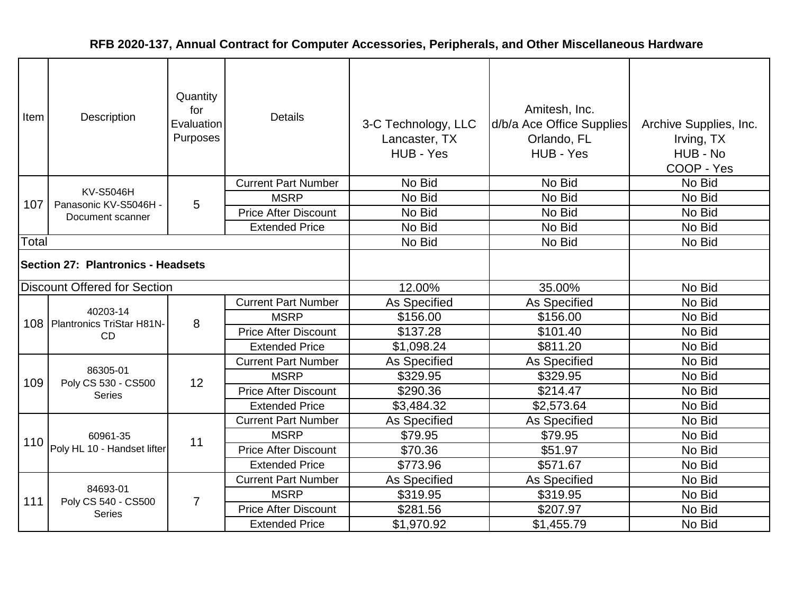| Item  | Quantity<br>for<br>Description<br>Evaluation<br>Purposes |                | <b>Details</b>              | 3-C Technology, LLC<br>Lancaster, TX<br>HUB - Yes | Amitesh, Inc.<br>d/b/a Ace Office Supplies<br>Orlando, FL<br>HUB - Yes | Archive Supplies, Inc.<br>Irving, TX<br>HUB - No<br>COOP - Yes |
|-------|----------------------------------------------------------|----------------|-----------------------------|---------------------------------------------------|------------------------------------------------------------------------|----------------------------------------------------------------|
|       |                                                          |                | <b>Current Part Number</b>  | No Bid                                            | No Bid                                                                 | No Bid                                                         |
| 107   | <b>KV-S5046H</b><br>Panasonic KV-S5046H -                | 5              | <b>MSRP</b>                 | No Bid                                            | No Bid                                                                 | No Bid                                                         |
|       | Document scanner                                         |                | <b>Price After Discount</b> | No Bid                                            | No Bid                                                                 | No Bid                                                         |
|       |                                                          |                | <b>Extended Price</b>       | No Bid                                            | No Bid                                                                 | No Bid                                                         |
| Total |                                                          |                |                             | No Bid                                            | No Bid                                                                 | No Bid                                                         |
|       | Section 27: Plantronics - Headsets                       |                |                             |                                                   |                                                                        |                                                                |
|       | <b>Discount Offered for Section</b>                      |                |                             | 12.00%                                            | 35.00%                                                                 | No Bid                                                         |
|       |                                                          | 8              | <b>Current Part Number</b>  | As Specified                                      | As Specified                                                           | No Bid                                                         |
|       | 40203-14<br>108   Plantronics TriStar H81N-              |                | <b>MSRP</b>                 | \$156.00                                          | \$156.00                                                               | No Bid                                                         |
|       | CD                                                       |                | <b>Price After Discount</b> | \$137.28                                          | \$101.40                                                               | No Bid                                                         |
|       |                                                          |                | <b>Extended Price</b>       | \$1,098.24                                        | \$811.20                                                               | No Bid                                                         |
|       | 86305-01                                                 |                | <b>Current Part Number</b>  | As Specified                                      | <b>As Specified</b>                                                    | No Bid                                                         |
| 109   | Poly CS 530 - CS500                                      | 12             | <b>MSRP</b>                 | \$329.95                                          | \$329.95                                                               | No Bid                                                         |
|       | <b>Series</b>                                            |                | <b>Price After Discount</b> | \$290.36                                          | \$214.47                                                               | No Bid                                                         |
|       |                                                          |                | <b>Extended Price</b>       | \$3,484.32                                        | \$2,573.64                                                             | No Bid                                                         |
|       |                                                          |                | <b>Current Part Number</b>  | As Specified                                      | As Specified                                                           | No Bid                                                         |
|       | 60961-35                                                 | 11             | <b>MSRP</b>                 | \$79.95                                           | \$79.95                                                                | No Bid                                                         |
|       | 110 Poly HL 10 - Handset lifter                          |                | <b>Price After Discount</b> | \$70.36                                           | \$51.97                                                                | No Bid                                                         |
|       |                                                          |                | <b>Extended Price</b>       | \$773.96                                          | \$571.67                                                               | No Bid                                                         |
|       |                                                          |                | <b>Current Part Number</b>  | As Specified                                      | As Specified                                                           | No Bid                                                         |
| 111   | 84693-01<br>Poly CS 540 - CS500                          | $\overline{7}$ | <b>MSRP</b>                 | \$319.95                                          | \$319.95                                                               | No Bid                                                         |
|       | <b>Series</b>                                            |                | <b>Price After Discount</b> | \$281.56                                          | \$207.97                                                               | No Bid                                                         |
|       |                                                          |                | <b>Extended Price</b>       | \$1,970.92                                        | \$1,455.79                                                             | No Bid                                                         |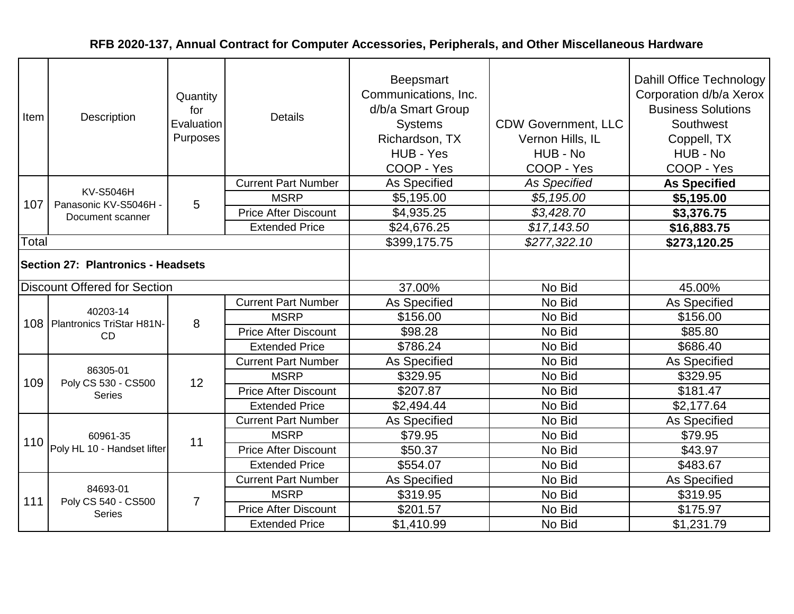| Item  | Quantity<br>for<br>Description<br>Evaluation<br>Purposes |                | <b>Details</b>              | <b>Beepsmart</b><br>Communications, Inc.<br>d/b/a Smart Group<br><b>Systems</b><br>Richardson, TX<br>HUB - Yes<br>COOP - Yes | <b>CDW Government, LLC</b><br>Vernon Hills, IL<br>HUB - No<br>COOP - Yes | Dahill Office Technology<br>Corporation d/b/a Xerox<br><b>Business Solutions</b><br>Southwest<br>Coppell, TX<br>HUB - No<br>COOP - Yes |
|-------|----------------------------------------------------------|----------------|-----------------------------|------------------------------------------------------------------------------------------------------------------------------|--------------------------------------------------------------------------|----------------------------------------------------------------------------------------------------------------------------------------|
|       | <b>KV-S5046H</b>                                         |                | <b>Current Part Number</b>  | <b>As Specified</b>                                                                                                          | <b>As Specified</b>                                                      | <b>As Specified</b>                                                                                                                    |
| 107   | Panasonic KV-S5046H -                                    | 5              | <b>MSRP</b>                 | \$5,195.00                                                                                                                   | \$5,195.00                                                               | \$5,195.00                                                                                                                             |
|       | Document scanner                                         |                | <b>Price After Discount</b> | \$4,935.25                                                                                                                   | \$3,428.70                                                               | \$3,376.75                                                                                                                             |
|       |                                                          |                | <b>Extended Price</b>       | \$24,676.25                                                                                                                  | \$17,143.50                                                              | \$16,883.75                                                                                                                            |
| Total |                                                          |                |                             | \$399,175.75                                                                                                                 | \$277,322.10                                                             | \$273,120.25                                                                                                                           |
|       | <b>Section 27: Plantronics - Headsets</b>                |                |                             |                                                                                                                              |                                                                          |                                                                                                                                        |
|       | <b>Discount Offered for Section</b>                      |                |                             | 37.00%                                                                                                                       | No Bid                                                                   | 45.00%                                                                                                                                 |
|       | 40203-14<br>108   Plantronics TriStar H81N-<br>CD        | 8              | <b>Current Part Number</b>  | As Specified                                                                                                                 | No Bid                                                                   | As Specified                                                                                                                           |
|       |                                                          |                | <b>MSRP</b>                 | \$156.00                                                                                                                     | No Bid                                                                   | \$156.00                                                                                                                               |
|       |                                                          |                | <b>Price After Discount</b> | \$98.28                                                                                                                      | No Bid                                                                   | \$85.80                                                                                                                                |
|       |                                                          |                | <b>Extended Price</b>       | \$786.24                                                                                                                     | No Bid                                                                   | \$686.40                                                                                                                               |
|       |                                                          |                | <b>Current Part Number</b>  | As Specified                                                                                                                 | No Bid                                                                   | As Specified                                                                                                                           |
| 109   | 86305-01<br>Poly CS 530 - CS500                          | 12             | <b>MSRP</b>                 | \$329.95                                                                                                                     | No Bid                                                                   | \$329.95                                                                                                                               |
|       | <b>Series</b>                                            |                | <b>Price After Discount</b> | \$207.87                                                                                                                     | No Bid                                                                   | \$181.47                                                                                                                               |
|       |                                                          |                | <b>Extended Price</b>       | \$2,494.44                                                                                                                   | No Bid                                                                   | \$2,177.64                                                                                                                             |
|       |                                                          |                | <b>Current Part Number</b>  | As Specified                                                                                                                 | No Bid                                                                   | As Specified                                                                                                                           |
|       | 60961-35                                                 | 11             | <b>MSRP</b>                 | \$79.95                                                                                                                      | No Bid                                                                   | \$79.95                                                                                                                                |
|       | 110 Poly HL 10 - Handset lifter                          |                | <b>Price After Discount</b> | \$50.37                                                                                                                      | No Bid                                                                   | \$43.97                                                                                                                                |
|       |                                                          |                | <b>Extended Price</b>       | \$554.07                                                                                                                     | No Bid                                                                   | \$483.67                                                                                                                               |
|       |                                                          |                | <b>Current Part Number</b>  | As Specified                                                                                                                 | No Bid                                                                   | As Specified                                                                                                                           |
| 111   | 84693-01<br>Poly CS 540 - CS500                          | $\overline{7}$ | <b>MSRP</b>                 | \$319.95                                                                                                                     | No Bid                                                                   | \$319.95                                                                                                                               |
|       | <b>Series</b>                                            |                | <b>Price After Discount</b> | \$201.57                                                                                                                     | No Bid                                                                   | \$175.97                                                                                                                               |
|       |                                                          |                | <b>Extended Price</b>       | \$1,410.99                                                                                                                   | No Bid                                                                   | \$1,231.79                                                                                                                             |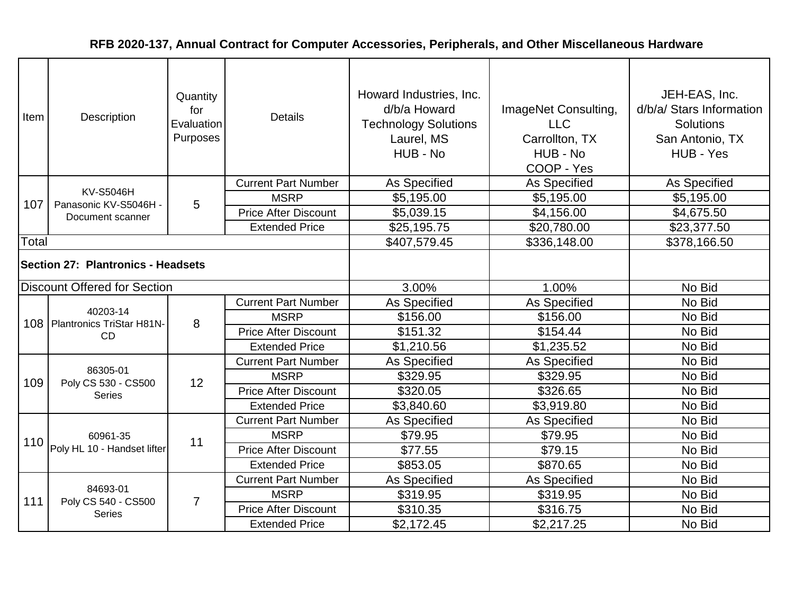| Item  | Quantity<br>for<br>Description<br>Evaluation<br>Purposes |                | <b>Details</b>              | Howard Industries, Inc.<br>d/b/a Howard<br><b>Technology Solutions</b><br>Laurel, MS<br>HUB - No | ImageNet Consulting,<br><b>LLC</b><br>Carrollton, TX<br>HUB - No<br>COOP - Yes | JEH-EAS, Inc.<br>d/b/a/ Stars Information<br><b>Solutions</b><br>San Antonio, TX<br>HUB - Yes |
|-------|----------------------------------------------------------|----------------|-----------------------------|--------------------------------------------------------------------------------------------------|--------------------------------------------------------------------------------|-----------------------------------------------------------------------------------------------|
|       | <b>KV-S5046H</b>                                         |                | <b>Current Part Number</b>  | As Specified                                                                                     | As Specified                                                                   | As Specified                                                                                  |
| 107   | Panasonic KV-S5046H -                                    | 5              | <b>MSRP</b>                 | \$5,195.00                                                                                       | \$5,195.00                                                                     | \$5,195.00                                                                                    |
|       | Document scanner                                         |                | <b>Price After Discount</b> | \$5,039.15                                                                                       | \$4,156.00                                                                     | \$4,675.50                                                                                    |
|       |                                                          |                | <b>Extended Price</b>       | \$25,195.75                                                                                      | \$20,780.00                                                                    | \$23,377.50                                                                                   |
| Total |                                                          |                |                             | \$407,579.45                                                                                     | \$336,148.00                                                                   | \$378,166.50                                                                                  |
|       | <b>Section 27: Plantronics - Headsets</b>                |                |                             |                                                                                                  |                                                                                |                                                                                               |
|       | <b>Discount Offered for Section</b>                      |                |                             | 3.00%                                                                                            | 1.00%                                                                          | No Bid                                                                                        |
|       |                                                          | 8              | <b>Current Part Number</b>  | <b>As Specified</b>                                                                              | As Specified                                                                   | No Bid                                                                                        |
|       | 40203-14<br>108   Plantronics TriStar H81N-              |                | <b>MSRP</b>                 | \$156.00                                                                                         | \$156.00                                                                       | No Bid                                                                                        |
|       | CD                                                       |                | <b>Price After Discount</b> | \$151.32                                                                                         | \$154.44                                                                       | No Bid                                                                                        |
|       |                                                          |                | <b>Extended Price</b>       | \$1,210.56                                                                                       | \$1,235.52                                                                     | No Bid                                                                                        |
|       |                                                          |                | <b>Current Part Number</b>  | <b>As Specified</b>                                                                              | <b>As Specified</b>                                                            | No Bid                                                                                        |
| 109   | 86305-01<br>Poly CS 530 - CS500                          | 12             | <b>MSRP</b>                 | \$329.95                                                                                         | \$329.95                                                                       | No Bid                                                                                        |
|       | <b>Series</b>                                            |                | <b>Price After Discount</b> | \$320.05                                                                                         | \$326.65                                                                       | No Bid                                                                                        |
|       |                                                          |                | <b>Extended Price</b>       | \$3,840.60                                                                                       | \$3,919.80                                                                     | No Bid                                                                                        |
|       |                                                          |                | <b>Current Part Number</b>  | As Specified                                                                                     | As Specified                                                                   | No Bid                                                                                        |
|       | 60961-35                                                 | 11             | <b>MSRP</b>                 | \$79.95                                                                                          | \$79.95                                                                        | No Bid                                                                                        |
|       | 110 Poly HL 10 - Handset lifter                          |                | <b>Price After Discount</b> | \$77.55                                                                                          | \$79.15                                                                        | No Bid                                                                                        |
|       |                                                          |                | <b>Extended Price</b>       | \$853.05                                                                                         | \$870.65                                                                       | No Bid                                                                                        |
|       |                                                          |                | <b>Current Part Number</b>  | As Specified                                                                                     | As Specified                                                                   | No Bid                                                                                        |
| 111   | 84693-01<br>Poly CS 540 - CS500                          | $\overline{7}$ | <b>MSRP</b>                 | \$319.95                                                                                         | \$319.95                                                                       | No Bid                                                                                        |
|       | <b>Series</b>                                            |                | <b>Price After Discount</b> | \$310.35                                                                                         | \$316.75                                                                       | No Bid                                                                                        |
|       |                                                          |                | <b>Extended Price</b>       | \$2,172.45                                                                                       | \$2,217.25                                                                     | No Bid                                                                                        |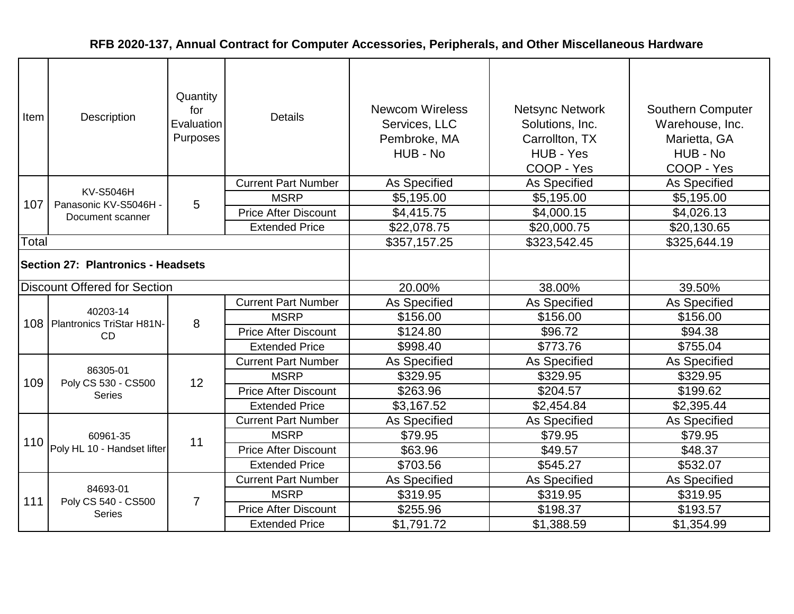| Item                                      | Quantity<br>for<br>Description<br>Evaluation<br>Purposes |                | <b>Details</b>              | <b>Newcom Wireless</b><br>Services, LLC<br>Pembroke, MA<br>HUB - No | <b>Netsync Network</b><br>Solutions, Inc.<br>Carrollton, TX<br>HUB - Yes<br>COOP - Yes | Southern Computer<br>Warehouse, Inc.<br>Marietta, GA<br>HUB - No<br>COOP - Yes |
|-------------------------------------------|----------------------------------------------------------|----------------|-----------------------------|---------------------------------------------------------------------|----------------------------------------------------------------------------------------|--------------------------------------------------------------------------------|
|                                           | <b>KV-S5046H</b>                                         |                | <b>Current Part Number</b>  | As Specified                                                        | <b>As Specified</b>                                                                    | As Specified                                                                   |
| 107                                       | Panasonic KV-S5046H -                                    | 5              | <b>MSRP</b>                 | \$5,195.00                                                          | \$5,195.00                                                                             | \$5,195.00                                                                     |
|                                           | Document scanner                                         |                | <b>Price After Discount</b> | \$4,415.75                                                          | \$4,000.15                                                                             | \$4,026.13                                                                     |
|                                           |                                                          |                | <b>Extended Price</b>       | \$22,078.75                                                         | \$20,000.75                                                                            | \$20,130.65                                                                    |
| Total                                     |                                                          |                |                             | \$357,157.25                                                        | \$323,542.45                                                                           | \$325,644.19                                                                   |
| <b>Section 27: Plantronics - Headsets</b> |                                                          |                |                             |                                                                     |                                                                                        |                                                                                |
|                                           | <b>Discount Offered for Section</b>                      |                |                             | 20.00%                                                              | 38.00%                                                                                 | 39.50%                                                                         |
|                                           |                                                          | 8              | <b>Current Part Number</b>  | As Specified                                                        | As Specified                                                                           | As Specified                                                                   |
|                                           | 40203-14<br>108   Plantronics TriStar H81N-              |                | <b>MSRP</b>                 | \$156.00                                                            | \$156.00                                                                               | \$156.00                                                                       |
|                                           | CD                                                       |                | <b>Price After Discount</b> | \$124.80                                                            | \$96.72                                                                                | \$94.38                                                                        |
|                                           |                                                          |                | <b>Extended Price</b>       | \$998.40                                                            | \$773.76                                                                               | \$755.04                                                                       |
|                                           |                                                          |                | <b>Current Part Number</b>  | As Specified                                                        | As Specified                                                                           | As Specified                                                                   |
| 109                                       | 86305-01<br>Poly CS 530 - CS500                          | 12             | <b>MSRP</b>                 | \$329.95                                                            | \$329.95                                                                               | \$329.95                                                                       |
|                                           | <b>Series</b>                                            |                | <b>Price After Discount</b> | \$263.96                                                            | \$204.57                                                                               | \$199.62                                                                       |
|                                           |                                                          |                | <b>Extended Price</b>       | \$3,167.52                                                          | \$2,454.84                                                                             | \$2,395.44                                                                     |
|                                           |                                                          |                | <b>Current Part Number</b>  | As Specified                                                        | As Specified                                                                           | As Specified                                                                   |
|                                           | 60961-35                                                 | 11             | <b>MSRP</b>                 | \$79.95                                                             | \$79.95                                                                                | \$79.95                                                                        |
|                                           | 110 Poly HL 10 - Handset lifter                          |                | <b>Price After Discount</b> | \$63.96                                                             | \$49.57                                                                                | \$48.37                                                                        |
|                                           |                                                          |                | <b>Extended Price</b>       | \$703.56                                                            | \$545.27                                                                               | \$532.07                                                                       |
|                                           |                                                          |                | <b>Current Part Number</b>  | As Specified                                                        | As Specified                                                                           | As Specified                                                                   |
| 111                                       | 84693-01<br>Poly CS 540 - CS500                          | $\overline{7}$ | <b>MSRP</b>                 | \$319.95                                                            | \$319.95                                                                               | \$319.95                                                                       |
|                                           | <b>Series</b>                                            |                | <b>Price After Discount</b> | \$255.96                                                            | \$198.37                                                                               | \$193.57                                                                       |
|                                           |                                                          |                | <b>Extended Price</b>       | \$1,791.72                                                          | \$1,388.59                                                                             | \$1,354.99                                                                     |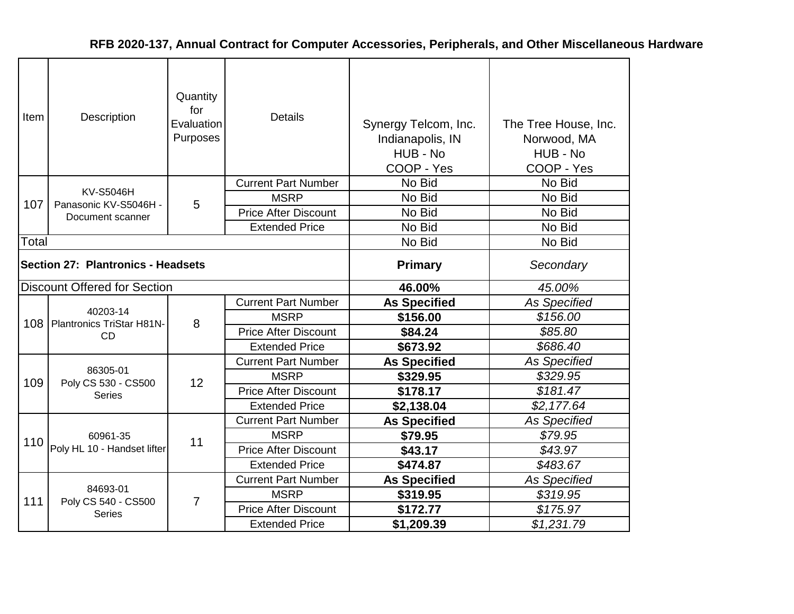| Item                               | Description                                 | Quantity<br>for<br>Evaluation<br>Purposes | <b>Details</b>              | Synergy Telcom, Inc.<br>Indianapolis, IN<br>HUB - No<br>COOP - Yes | The Tree House, Inc.<br>Norwood, MA<br>HUB - No<br>COOP - Yes |
|------------------------------------|---------------------------------------------|-------------------------------------------|-----------------------------|--------------------------------------------------------------------|---------------------------------------------------------------|
|                                    |                                             |                                           | <b>Current Part Number</b>  | No Bid                                                             | No Bid                                                        |
| 107                                | <b>KV-S5046H</b><br>Panasonic KV-S5046H -   | 5                                         | <b>MSRP</b>                 | No Bid                                                             | No Bid                                                        |
|                                    | Document scanner                            |                                           | <b>Price After Discount</b> | No Bid                                                             | No Bid                                                        |
|                                    |                                             |                                           | <b>Extended Price</b>       | No Bid                                                             | No Bid                                                        |
| Total                              |                                             |                                           |                             | No Bid                                                             | No Bid                                                        |
| Section 27: Plantronics - Headsets |                                             |                                           | <b>Primary</b>              | Secondary                                                          |                                                               |
|                                    | <b>Discount Offered for Section</b>         |                                           |                             | 46.00%                                                             | 45.00%                                                        |
|                                    |                                             |                                           | <b>Current Part Number</b>  | <b>As Specified</b>                                                | As Specified                                                  |
|                                    | 40203-14<br>108   Plantronics TriStar H81N- | 8                                         | <b>MSRP</b>                 | \$156.00                                                           | \$156.00                                                      |
|                                    | <b>CD</b>                                   |                                           | <b>Price After Discount</b> | \$84.24                                                            | \$85.80                                                       |
|                                    |                                             |                                           | <b>Extended Price</b>       | \$673.92                                                           | \$686.40                                                      |
|                                    |                                             |                                           | <b>Current Part Number</b>  | <b>As Specified</b>                                                | <b>As Specified</b>                                           |
| 109                                | 86305-01<br>Poly CS 530 - CS500             |                                           | <b>MSRP</b>                 | \$329.95                                                           | \$329.95                                                      |
|                                    | <b>Series</b>                               | 12                                        | <b>Price After Discount</b> | \$178.17                                                           | \$181.47                                                      |
|                                    |                                             |                                           | <b>Extended Price</b>       | \$2,138.04                                                         | \$2,177.64                                                    |
|                                    |                                             |                                           | <b>Current Part Number</b>  | <b>As Specified</b>                                                | <b>As Specified</b>                                           |
| 110                                | 60961-35                                    | 11                                        | <b>MSRP</b>                 | \$79.95                                                            | \$79.95                                                       |
|                                    | Poly HL 10 - Handset lifter                 |                                           | <b>Price After Discount</b> | \$43.17                                                            | \$43.97                                                       |
|                                    |                                             |                                           | <b>Extended Price</b>       | \$474.87                                                           | \$483.67                                                      |
|                                    |                                             |                                           | <b>Current Part Number</b>  | <b>As Specified</b>                                                | <b>As Specified</b>                                           |
| 111                                | 84693-01<br>Poly CS 540 - CS500             | 7                                         | <b>MSRP</b>                 | \$319.95                                                           | \$319.95                                                      |
|                                    | <b>Series</b>                               |                                           | <b>Price After Discount</b> | \$172.77                                                           | \$175.97                                                      |
|                                    |                                             |                                           | <b>Extended Price</b>       | \$1,209.39                                                         | \$1,231.79                                                    |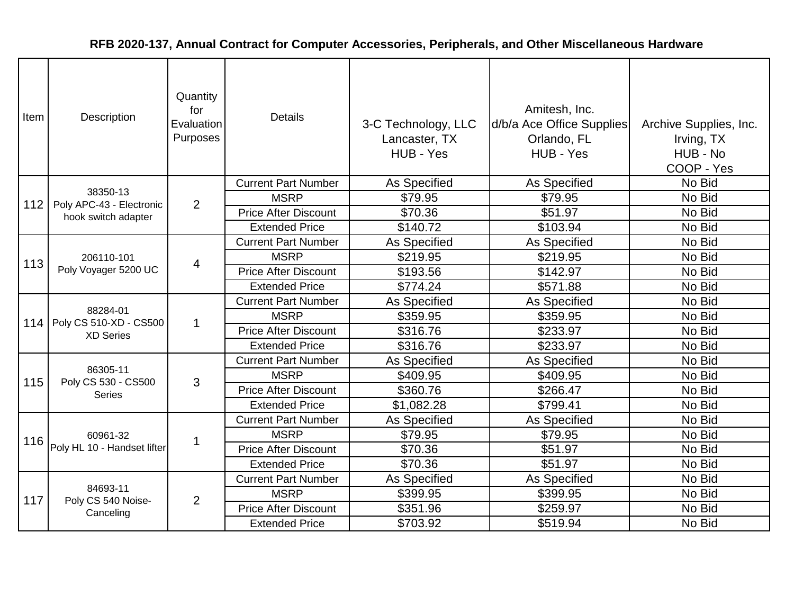| Item | Quantity<br>for<br>Description<br>Evaluation<br>Purposes |              | <b>Details</b>              | 3-C Technology, LLC<br>Lancaster, TX<br>HUB - Yes | Amitesh, Inc.<br>d/b/a Ace Office Supplies<br>Orlando, FL<br>HUB - Yes | Archive Supplies, Inc.<br>Irving, TX<br>HUB - No<br>COOP - Yes |
|------|----------------------------------------------------------|--------------|-----------------------------|---------------------------------------------------|------------------------------------------------------------------------|----------------------------------------------------------------|
|      | 38350-13                                                 |              | <b>Current Part Number</b>  | As Specified                                      | As Specified                                                           | No Bid                                                         |
| 112  | Poly APC-43 - Electronic                                 | 2            | <b>MSRP</b>                 | \$79.95                                           | \$79.95                                                                | No Bid                                                         |
|      | hook switch adapter                                      |              | <b>Price After Discount</b> | \$70.36                                           | \$51.97                                                                | No Bid                                                         |
|      |                                                          |              | <b>Extended Price</b>       | \$140.72                                          | \$103.94                                                               | No Bid                                                         |
|      |                                                          |              | <b>Current Part Number</b>  | As Specified                                      | As Specified                                                           | No Bid                                                         |
| 113  | 206110-101                                               | 4            | <b>MSRP</b>                 | \$219.95                                          | \$219.95                                                               | No Bid                                                         |
|      | Poly Voyager 5200 UC                                     |              | <b>Price After Discount</b> | \$193.56                                          | \$142.97                                                               | No Bid                                                         |
|      |                                                          |              | <b>Extended Price</b>       | \$774.24                                          | \$571.88                                                               | No Bid                                                         |
|      |                                                          |              | <b>Current Part Number</b>  | As Specified                                      | As Specified                                                           | No Bid                                                         |
| 114  | 88284-01<br>Poly CS 510-XD - CS500                       | $\mathbf{1}$ | <b>MSRP</b>                 | \$359.95                                          | \$359.95                                                               | No Bid                                                         |
|      | <b>XD Series</b>                                         |              | <b>Price After Discount</b> | \$316.76                                          | \$233.97                                                               | No Bid                                                         |
|      |                                                          |              | <b>Extended Price</b>       | \$316.76                                          | \$233.97                                                               | No Bid                                                         |
|      |                                                          |              | <b>Current Part Number</b>  | <b>As Specified</b>                               | As Specified                                                           | No Bid                                                         |
| 115  | 86305-11<br>Poly CS 530 - CS500                          | 3            | <b>MSRP</b>                 | \$409.95                                          | \$409.95                                                               | No Bid                                                         |
|      | <b>Series</b>                                            |              | <b>Price After Discount</b> | \$360.76                                          | \$266.47                                                               | No Bid                                                         |
|      |                                                          |              | <b>Extended Price</b>       | \$1,082.28                                        | \$799.41                                                               | No Bid                                                         |
|      |                                                          |              | <b>Current Part Number</b>  | <b>As Specified</b>                               | As Specified                                                           | No Bid                                                         |
| 116  | 60961-32                                                 | 1            | <b>MSRP</b>                 | \$79.95                                           | \$79.95                                                                | No Bid                                                         |
|      | Poly HL 10 - Handset lifter                              |              | <b>Price After Discount</b> | \$70.36                                           | \$51.97                                                                | No Bid                                                         |
|      |                                                          |              | <b>Extended Price</b>       | \$70.36                                           | \$51.97                                                                | No Bid                                                         |
|      |                                                          |              | <b>Current Part Number</b>  | As Specified                                      | As Specified                                                           | No Bid                                                         |
| 117  | 84693-11<br>Poly CS 540 Noise-                           | 2            | <b>MSRP</b>                 | \$399.95                                          | \$399.95                                                               | No Bid                                                         |
|      | Canceling                                                |              | <b>Price After Discount</b> | \$351.96                                          | \$259.97                                                               | No Bid                                                         |
|      |                                                          |              | <b>Extended Price</b>       | \$703.92                                          | \$519.94                                                               | No Bid                                                         |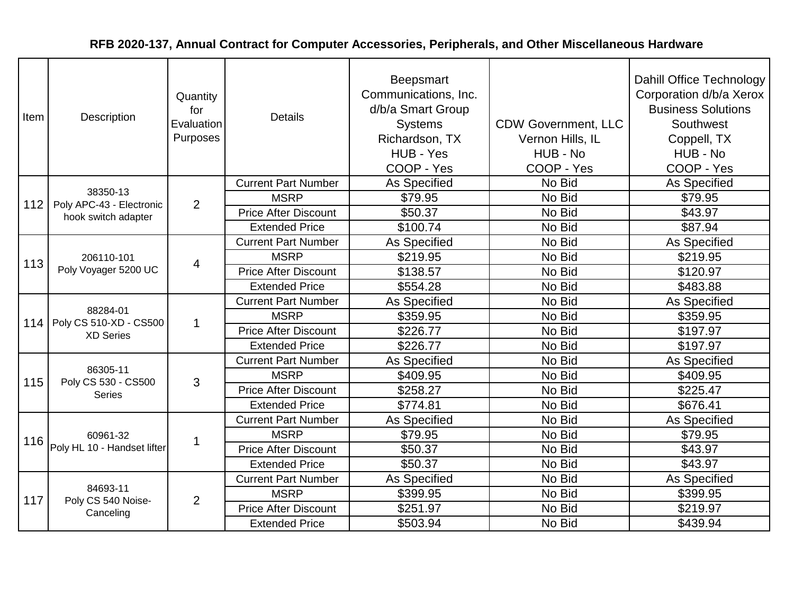| Item | Quantity<br>for<br>Description<br>Evaluation<br>Purposes |                | <b>Details</b>              | Beepsmart<br>Communications, Inc.<br>d/b/a Smart Group<br><b>Systems</b><br>Richardson, TX<br>HUB - Yes<br>COOP - Yes | <b>CDW Government, LLC</b><br>Vernon Hills, IL<br>HUB - No<br>COOP - Yes | Dahill Office Technology<br>Corporation d/b/a Xerox<br><b>Business Solutions</b><br>Southwest<br>Coppell, TX<br>HUB - No<br>COOP - Yes |
|------|----------------------------------------------------------|----------------|-----------------------------|-----------------------------------------------------------------------------------------------------------------------|--------------------------------------------------------------------------|----------------------------------------------------------------------------------------------------------------------------------------|
|      | 38350-13                                                 |                | <b>Current Part Number</b>  | <b>As Specified</b>                                                                                                   | No Bid                                                                   | As Specified                                                                                                                           |
| 112  | Poly APC-43 - Electronic                                 | 2              | <b>MSRP</b>                 | \$79.95                                                                                                               | No Bid                                                                   | \$79.95                                                                                                                                |
|      | hook switch adapter                                      |                | <b>Price After Discount</b> | \$50.37                                                                                                               | No Bid                                                                   | \$43.97                                                                                                                                |
|      |                                                          |                | <b>Extended Price</b>       | \$100.74                                                                                                              | No Bid                                                                   | \$87.94                                                                                                                                |
|      |                                                          |                | <b>Current Part Number</b>  | As Specified                                                                                                          | No Bid                                                                   | As Specified                                                                                                                           |
| 113  | 206110-101                                               | 4              | <b>MSRP</b>                 | \$219.95                                                                                                              | No Bid                                                                   | \$219.95                                                                                                                               |
|      | Poly Voyager 5200 UC                                     |                | <b>Price After Discount</b> | \$138.57                                                                                                              | No Bid                                                                   | \$120.97                                                                                                                               |
|      |                                                          |                | <b>Extended Price</b>       | \$554.28                                                                                                              | No Bid                                                                   | \$483.88                                                                                                                               |
|      |                                                          | $\mathbf{1}$   | <b>Current Part Number</b>  | As Specified                                                                                                          | No Bid                                                                   | As Specified                                                                                                                           |
| 114  | 88284-01<br>Poly CS 510-XD - CS500                       |                | <b>MSRP</b>                 | \$359.95                                                                                                              | No Bid                                                                   | \$359.95                                                                                                                               |
|      | <b>XD Series</b>                                         |                | <b>Price After Discount</b> | \$226.77                                                                                                              | No Bid                                                                   | \$197.97                                                                                                                               |
|      |                                                          |                | <b>Extended Price</b>       | \$226.77                                                                                                              | No Bid                                                                   | \$197.97                                                                                                                               |
|      |                                                          |                | <b>Current Part Number</b>  | As Specified                                                                                                          | No Bid                                                                   | As Specified                                                                                                                           |
| 115  | 86305-11<br>Poly CS 530 - CS500                          | 3              | <b>MSRP</b>                 | \$409.95                                                                                                              | No Bid                                                                   | \$409.95                                                                                                                               |
|      | <b>Series</b>                                            |                | <b>Price After Discount</b> | \$258.27                                                                                                              | No Bid                                                                   | \$225.47                                                                                                                               |
|      |                                                          |                | <b>Extended Price</b>       | \$774.81                                                                                                              | No Bid                                                                   | \$676.41                                                                                                                               |
|      |                                                          |                | <b>Current Part Number</b>  | <b>As Specified</b>                                                                                                   | No Bid                                                                   | As Specified                                                                                                                           |
| 116  | 60961-32                                                 | -1             | <b>MSRP</b>                 | \$79.95                                                                                                               | No Bid                                                                   | \$79.95                                                                                                                                |
|      | Poly HL 10 - Handset lifter                              |                | <b>Price After Discount</b> | \$50.37                                                                                                               | No Bid                                                                   | \$43.97                                                                                                                                |
|      |                                                          |                | <b>Extended Price</b>       | \$50.37                                                                                                               | No Bid                                                                   | \$43.97                                                                                                                                |
|      |                                                          |                | <b>Current Part Number</b>  | As Specified                                                                                                          | No Bid                                                                   | As Specified                                                                                                                           |
| 117  | 84693-11<br>Poly CS 540 Noise-                           | $\overline{2}$ | <b>MSRP</b>                 | \$399.95                                                                                                              | No Bid                                                                   | \$399.95                                                                                                                               |
|      | Canceling                                                |                | <b>Price After Discount</b> | \$251.97                                                                                                              | No Bid                                                                   | \$219.97                                                                                                                               |
|      |                                                          |                | <b>Extended Price</b>       | \$503.94                                                                                                              | No Bid                                                                   | \$439.94                                                                                                                               |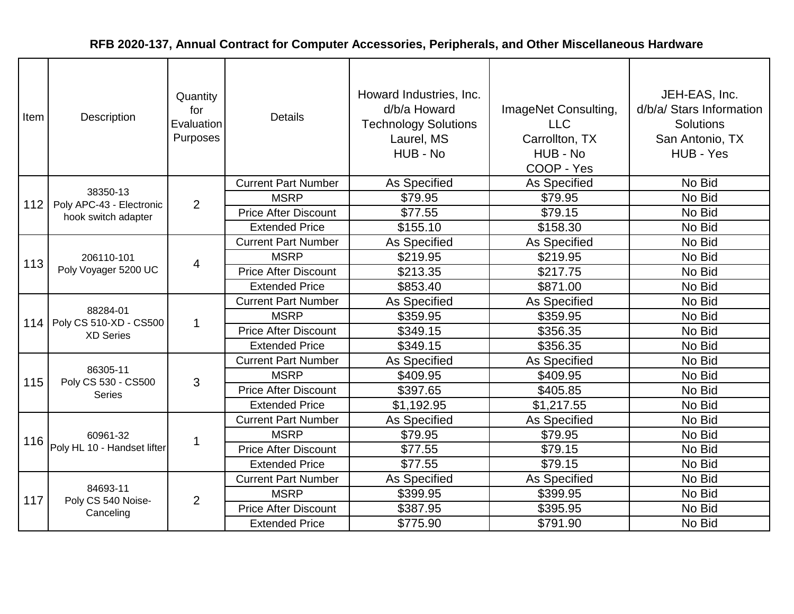| Item | Quantity<br>Description<br>Evaluation<br>Purposes |                | <b>Details</b>              | Howard Industries, Inc.<br>d/b/a Howard<br><b>Technology Solutions</b><br>Laurel, MS<br>HUB - No | ImageNet Consulting,<br><b>LLC</b><br>Carrollton, TX<br>HUB - No<br>COOP - Yes | JEH-EAS, Inc.<br>d/b/a/ Stars Information<br><b>Solutions</b><br>San Antonio, TX<br>HUB - Yes |
|------|---------------------------------------------------|----------------|-----------------------------|--------------------------------------------------------------------------------------------------|--------------------------------------------------------------------------------|-----------------------------------------------------------------------------------------------|
|      | 38350-13                                          |                | <b>Current Part Number</b>  | As Specified                                                                                     | As Specified                                                                   | No Bid                                                                                        |
| 112  | Poly APC-43 - Electronic                          | $\overline{2}$ | <b>MSRP</b>                 | \$79.95                                                                                          | \$79.95                                                                        | No Bid                                                                                        |
|      | hook switch adapter                               |                | <b>Price After Discount</b> | \$77.55                                                                                          | \$79.15                                                                        | No Bid                                                                                        |
|      |                                                   |                | <b>Extended Price</b>       | \$155.10                                                                                         | \$158.30                                                                       | No Bid                                                                                        |
|      |                                                   |                | <b>Current Part Number</b>  | <b>As Specified</b>                                                                              | As Specified                                                                   | No Bid                                                                                        |
| 113  | 206110-101                                        | 4              | <b>MSRP</b>                 | \$219.95                                                                                         | \$219.95                                                                       | No Bid                                                                                        |
|      | Poly Voyager 5200 UC                              |                | <b>Price After Discount</b> | \$213.35                                                                                         | \$217.75                                                                       | No Bid                                                                                        |
|      |                                                   |                | <b>Extended Price</b>       | \$853.40                                                                                         | \$871.00                                                                       | No Bid                                                                                        |
|      |                                                   | $\mathbf 1$    | <b>Current Part Number</b>  | <b>As Specified</b>                                                                              | As Specified                                                                   | No Bid                                                                                        |
| 114  | 88284-01<br>Poly CS 510-XD - CS500                |                | <b>MSRP</b>                 | \$359.95                                                                                         | \$359.95                                                                       | No Bid                                                                                        |
|      | <b>XD Series</b>                                  |                | <b>Price After Discount</b> | \$349.15                                                                                         | \$356.35                                                                       | No Bid                                                                                        |
|      |                                                   |                | <b>Extended Price</b>       | \$349.15                                                                                         | \$356.35                                                                       | No Bid                                                                                        |
|      |                                                   |                | <b>Current Part Number</b>  | As Specified                                                                                     | As Specified                                                                   | No Bid                                                                                        |
| 115  | 86305-11<br>Poly CS 530 - CS500                   | 3              | <b>MSRP</b>                 | \$409.95                                                                                         | \$409.95                                                                       | No Bid                                                                                        |
|      | <b>Series</b>                                     |                | <b>Price After Discount</b> | \$397.65                                                                                         | \$405.85                                                                       | No Bid                                                                                        |
|      |                                                   |                | <b>Extended Price</b>       | \$1,192.95                                                                                       | \$1,217.55                                                                     | No Bid                                                                                        |
|      |                                                   |                | <b>Current Part Number</b>  | As Specified                                                                                     | As Specified                                                                   | No Bid                                                                                        |
| 116  | 60961-32                                          | 1              | <b>MSRP</b>                 | \$79.95                                                                                          | \$79.95                                                                        | No Bid                                                                                        |
|      | Poly HL 10 - Handset lifter                       |                | <b>Price After Discount</b> | \$77.55                                                                                          | \$79.15                                                                        | No Bid                                                                                        |
|      |                                                   |                | <b>Extended Price</b>       | \$77.55                                                                                          | \$79.15                                                                        | No Bid                                                                                        |
|      |                                                   |                | <b>Current Part Number</b>  | As Specified                                                                                     | As Specified                                                                   | No Bid                                                                                        |
| 117  | 84693-11<br>Poly CS 540 Noise-                    | 2              | <b>MSRP</b>                 | \$399.95                                                                                         | \$399.95                                                                       | No Bid                                                                                        |
|      | Canceling                                         |                | <b>Price After Discount</b> | \$387.95                                                                                         | \$395.95                                                                       | No Bid                                                                                        |
|      |                                                   |                | <b>Extended Price</b>       | \$775.90                                                                                         | \$791.90                                                                       | No Bid                                                                                        |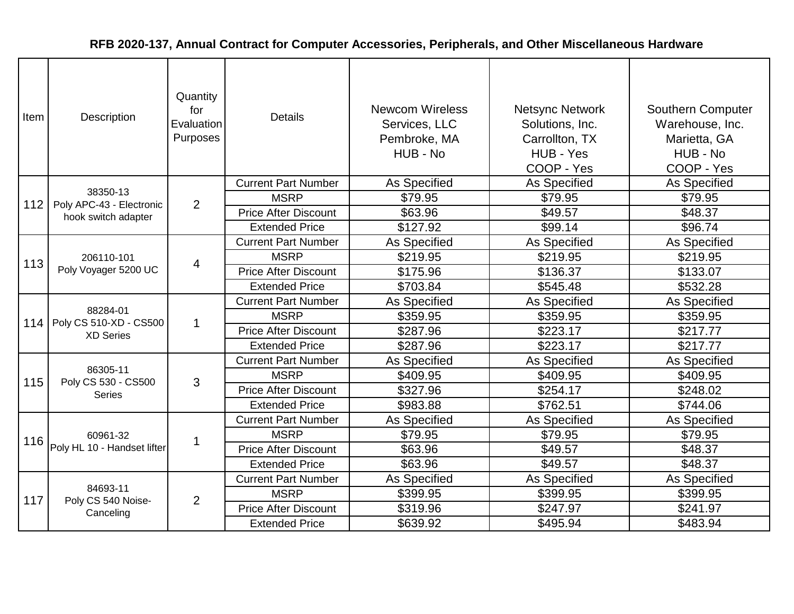| Item | Description                        | Quantity<br>for<br>Evaluation<br>Purposes | <b>Details</b>              | <b>Newcom Wireless</b><br>Services, LLC<br>Pembroke, MA<br>HUB - No | <b>Netsync Network</b><br>Solutions, Inc.<br>Carrollton, TX<br>HUB - Yes<br>COOP - Yes | Southern Computer<br>Warehouse, Inc.<br>Marietta, GA<br>HUB - No<br>COOP - Yes |
|------|------------------------------------|-------------------------------------------|-----------------------------|---------------------------------------------------------------------|----------------------------------------------------------------------------------------|--------------------------------------------------------------------------------|
|      | 38350-13                           |                                           | <b>Current Part Number</b>  | As Specified                                                        | As Specified                                                                           | As Specified                                                                   |
| 112  | Poly APC-43 - Electronic           | 2                                         | <b>MSRP</b>                 | \$79.95                                                             | \$79.95                                                                                | \$79.95                                                                        |
|      | hook switch adapter                |                                           | <b>Price After Discount</b> | \$63.96                                                             | \$49.57                                                                                | \$48.37                                                                        |
|      |                                    |                                           | <b>Extended Price</b>       | \$127.92                                                            | \$99.14                                                                                | \$96.74                                                                        |
|      |                                    |                                           | <b>Current Part Number</b>  | <b>As Specified</b>                                                 | As Specified                                                                           | As Specified                                                                   |
| 113  | 206110-101                         | $\overline{4}$                            | <b>MSRP</b>                 | \$219.95                                                            | \$219.95                                                                               | \$219.95                                                                       |
|      | Poly Voyager 5200 UC               |                                           | <b>Price After Discount</b> | \$175.96                                                            | \$136.37                                                                               | \$133.07                                                                       |
|      |                                    |                                           | <b>Extended Price</b>       | \$703.84                                                            | \$545.48                                                                               | \$532.28                                                                       |
|      |                                    | $\mathbf{1}$                              | <b>Current Part Number</b>  | As Specified                                                        | As Specified                                                                           | As Specified                                                                   |
| 114  | 88284-01<br>Poly CS 510-XD - CS500 |                                           | <b>MSRP</b>                 | \$359.95                                                            | \$359.95                                                                               | \$359.95                                                                       |
|      | <b>XD Series</b>                   |                                           | <b>Price After Discount</b> | \$287.96                                                            | \$223.17                                                                               | \$217.77                                                                       |
|      |                                    |                                           | <b>Extended Price</b>       | \$287.96                                                            | \$223.17                                                                               | \$217.77                                                                       |
|      |                                    |                                           | <b>Current Part Number</b>  | As Specified                                                        | As Specified                                                                           | As Specified                                                                   |
| 115  | 86305-11<br>Poly CS 530 - CS500    | 3                                         | <b>MSRP</b>                 | \$409.95                                                            | \$409.95                                                                               | \$409.95                                                                       |
|      | <b>Series</b>                      |                                           | <b>Price After Discount</b> | \$327.96                                                            | \$254.17                                                                               | \$248.02                                                                       |
|      |                                    |                                           | <b>Extended Price</b>       | \$983.88                                                            | \$762.51                                                                               | \$744.06                                                                       |
|      |                                    |                                           | <b>Current Part Number</b>  | As Specified                                                        | As Specified                                                                           | As Specified                                                                   |
| 116  | 60961-32                           | $\mathbf{1}$                              | <b>MSRP</b>                 | \$79.95                                                             | \$79.95                                                                                | \$79.95                                                                        |
|      | Poly HL 10 - Handset lifter        |                                           | <b>Price After Discount</b> | \$63.96                                                             | \$49.57                                                                                | \$48.37                                                                        |
|      |                                    |                                           | <b>Extended Price</b>       | \$63.96                                                             | \$49.57                                                                                | \$48.37                                                                        |
|      |                                    |                                           | <b>Current Part Number</b>  | As Specified                                                        | As Specified                                                                           | As Specified                                                                   |
| 117  | 84693-11<br>Poly CS 540 Noise-     | $\overline{2}$                            | <b>MSRP</b>                 | \$399.95                                                            | \$399.95                                                                               | \$399.95                                                                       |
|      | Canceling                          |                                           | <b>Price After Discount</b> | \$319.96                                                            | \$247.97                                                                               | \$241.97                                                                       |
|      |                                    |                                           | <b>Extended Price</b>       | \$639.92                                                            | \$495.94                                                                               | \$483.94                                                                       |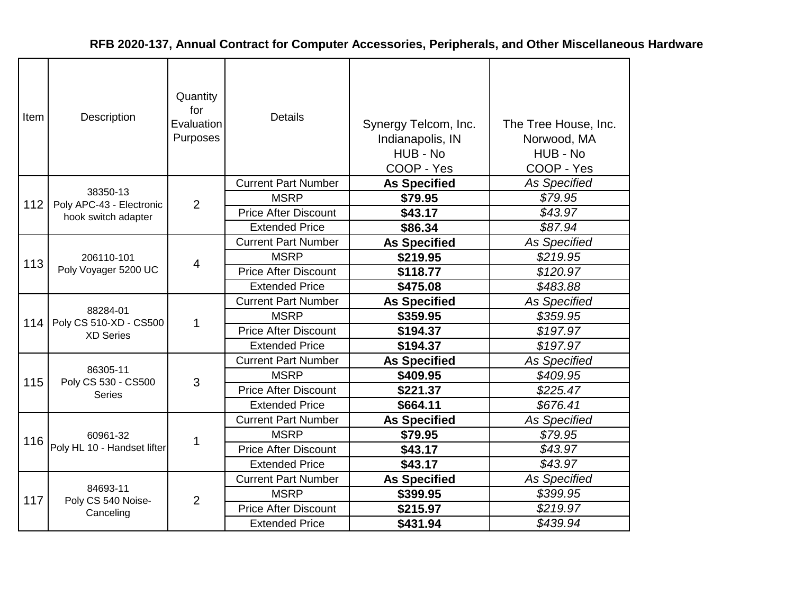| Item | Description                                | Quantity<br>for<br>Evaluation<br>Purposes | <b>Details</b>              | Synergy Telcom, Inc.<br>Indianapolis, IN<br>HUB - No<br>COOP - Yes | The Tree House, Inc.<br>Norwood, MA<br>HUB - No<br>COOP - Yes |
|------|--------------------------------------------|-------------------------------------------|-----------------------------|--------------------------------------------------------------------|---------------------------------------------------------------|
|      | 38350-13                                   |                                           | <b>Current Part Number</b>  | <b>As Specified</b>                                                | <b>As Specified</b>                                           |
| 112  | Poly APC-43 - Electronic                   | 2                                         | <b>MSRP</b>                 | \$79.95                                                            | \$79.95                                                       |
|      | hook switch adapter                        |                                           | <b>Price After Discount</b> | \$43.17                                                            | \$43.97                                                       |
|      |                                            |                                           | <b>Extended Price</b>       | \$86.34                                                            | \$87.94                                                       |
|      |                                            |                                           | <b>Current Part Number</b>  | <b>As Specified</b>                                                | <b>As Specified</b>                                           |
| 113  | 206110-101<br>Poly Voyager 5200 UC         | 4                                         | <b>MSRP</b>                 | \$219.95                                                           | \$219.95                                                      |
|      |                                            |                                           | <b>Price After Discount</b> | \$118.77                                                           | \$120.97                                                      |
|      |                                            |                                           | <b>Extended Price</b>       | \$475.08                                                           | \$483.88                                                      |
|      |                                            |                                           | <b>Current Part Number</b>  | <b>As Specified</b>                                                | <b>As Specified</b>                                           |
| 114  | 88284-01                                   | 1                                         | <b>MSRP</b>                 | \$359.95                                                           | \$359.95                                                      |
|      | Poly CS 510-XD - CS500<br><b>XD Series</b> |                                           | <b>Price After Discount</b> | \$194.37                                                           | \$197.97                                                      |
|      |                                            |                                           | <b>Extended Price</b>       | \$194.37                                                           | \$197.97                                                      |
|      |                                            |                                           | <b>Current Part Number</b>  | <b>As Specified</b>                                                | As Specified                                                  |
| 115  | 86305-11                                   | 3                                         | <b>MSRP</b>                 | \$409.95                                                           | \$409.95                                                      |
|      | Poly CS 530 - CS500<br><b>Series</b>       |                                           | <b>Price After Discount</b> | \$221.37                                                           | \$225.47                                                      |
|      |                                            |                                           | <b>Extended Price</b>       | \$664.11                                                           | \$676.41                                                      |
|      |                                            |                                           | <b>Current Part Number</b>  | <b>As Specified</b>                                                | <b>As Specified</b>                                           |
|      | 60961-32                                   |                                           | <b>MSRP</b>                 | \$79.95                                                            | \$79.95                                                       |
| 116  | Poly HL 10 - Handset lifter                | 1                                         | <b>Price After Discount</b> | \$43.17                                                            | \$43.97                                                       |
|      |                                            |                                           | <b>Extended Price</b>       | \$43.17                                                            | \$43.97                                                       |
|      |                                            |                                           | <b>Current Part Number</b>  | <b>As Specified</b>                                                | As Specified                                                  |
|      | 84693-11                                   |                                           | <b>MSRP</b>                 | \$399.95                                                           | \$399.95                                                      |
| 117  | Poly CS 540 Noise-<br>Canceling            | $\overline{2}$                            | <b>Price After Discount</b> | \$215.97                                                           | \$219.97                                                      |
|      |                                            |                                           | <b>Extended Price</b>       | \$431.94                                                           | \$439.94                                                      |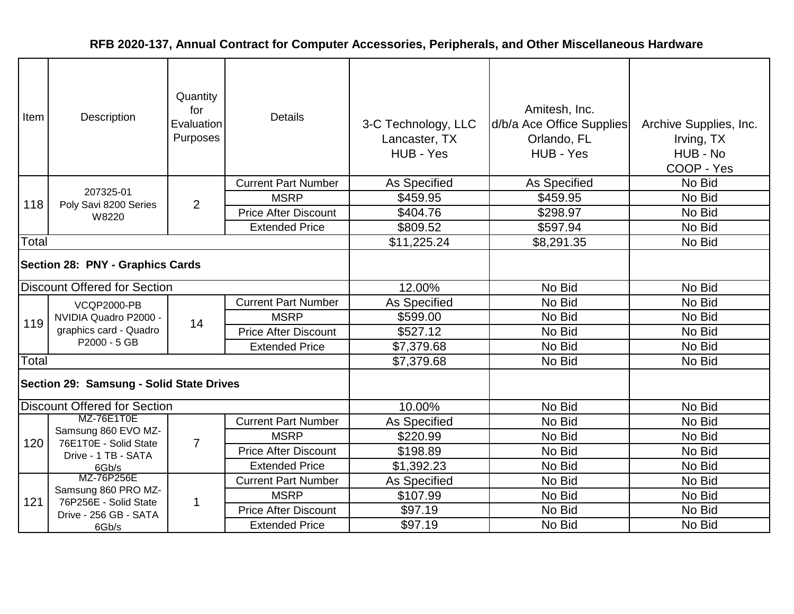| Item                             | Description                                                           | Quantity<br>for<br>Evaluation<br>Purposes | <b>Details</b>              | 3-C Technology, LLC<br>Lancaster, TX<br>HUB - Yes | Amitesh, Inc.<br>d/b/a Ace Office Supplies<br>Orlando, FL<br>HUB - Yes | Archive Supplies, Inc.<br>Irving, TX<br>HUB - No<br>COOP - Yes |
|----------------------------------|-----------------------------------------------------------------------|-------------------------------------------|-----------------------------|---------------------------------------------------|------------------------------------------------------------------------|----------------------------------------------------------------|
|                                  |                                                                       |                                           | <b>Current Part Number</b>  | As Specified                                      | As Specified                                                           | No Bid                                                         |
| 118                              | 207325-01<br>Poly Savi 8200 Series                                    | 2                                         | <b>MSRP</b>                 | \$459.95                                          | \$459.95                                                               | No Bid                                                         |
|                                  | W8220                                                                 |                                           | <b>Price After Discount</b> | \$404.76                                          | \$298.97                                                               | No Bid                                                         |
|                                  |                                                                       |                                           | <b>Extended Price</b>       | \$809.52                                          | \$597.94                                                               | No Bid                                                         |
| Total                            |                                                                       |                                           |                             | \$11,225.24                                       | \$8,291.35                                                             | No Bid                                                         |
| Section 28: PNY - Graphics Cards |                                                                       |                                           |                             |                                                   |                                                                        |                                                                |
|                                  | <b>Discount Offered for Section</b>                                   |                                           |                             | 12.00%                                            | No Bid                                                                 | No Bid                                                         |
|                                  | <b>VCQP2000-PB</b><br>NVIDIA Quadro P2000 -<br>graphics card - Quadro | 14                                        | <b>Current Part Number</b>  | As Specified                                      | No Bid                                                                 | No Bid                                                         |
| 119                              |                                                                       |                                           | <b>MSRP</b>                 | \$599.00                                          | No Bid                                                                 | No Bid                                                         |
|                                  |                                                                       |                                           | <b>Price After Discount</b> | \$527.12                                          | No Bid                                                                 | No Bid                                                         |
|                                  | P2000 - 5 GB                                                          |                                           | <b>Extended Price</b>       | \$7,379.68                                        | No Bid                                                                 | No Bid                                                         |
| Total                            |                                                                       |                                           |                             | \$7,379.68                                        | No Bid                                                                 | No Bid                                                         |
|                                  | Section 29: Samsung - Solid State Drives                              |                                           |                             |                                                   |                                                                        |                                                                |
|                                  | <b>Discount Offered for Section</b>                                   |                                           |                             | 10.00%                                            | No Bid                                                                 | No Bid                                                         |
|                                  | MZ-76E1T0E                                                            |                                           | <b>Current Part Number</b>  | <b>As Specified</b>                               | No Bid                                                                 | No Bid                                                         |
| 120                              | Samsung 860 EVO MZ-<br>76E1T0E - Solid State                          | $\overline{7}$                            | <b>MSRP</b>                 | \$220.99                                          | No Bid                                                                 | No Bid                                                         |
|                                  | Drive - 1 TB - SATA                                                   |                                           | <b>Price After Discount</b> | \$198.89                                          | No Bid                                                                 | No Bid                                                         |
|                                  | 6Gb/s                                                                 |                                           | <b>Extended Price</b>       | \$1,392.23                                        | No Bid                                                                 | No Bid                                                         |
|                                  | MZ-76P256E                                                            |                                           | <b>Current Part Number</b>  | <b>As Specified</b>                               | No Bid                                                                 | No Bid                                                         |
| 121                              | Samsung 860 PRO MZ-<br>76P256E - Solid State                          | $\mathbf{1}$                              | <b>MSRP</b>                 | \$107.99                                          | No Bid                                                                 | No Bid                                                         |
|                                  | Drive - 256 GB - SATA                                                 |                                           | <b>Price After Discount</b> | \$97.19                                           | No Bid                                                                 | No Bid                                                         |
|                                  | 6Gb/s                                                                 |                                           | <b>Extended Price</b>       | \$97.19                                           | No Bid                                                                 | No Bid                                                         |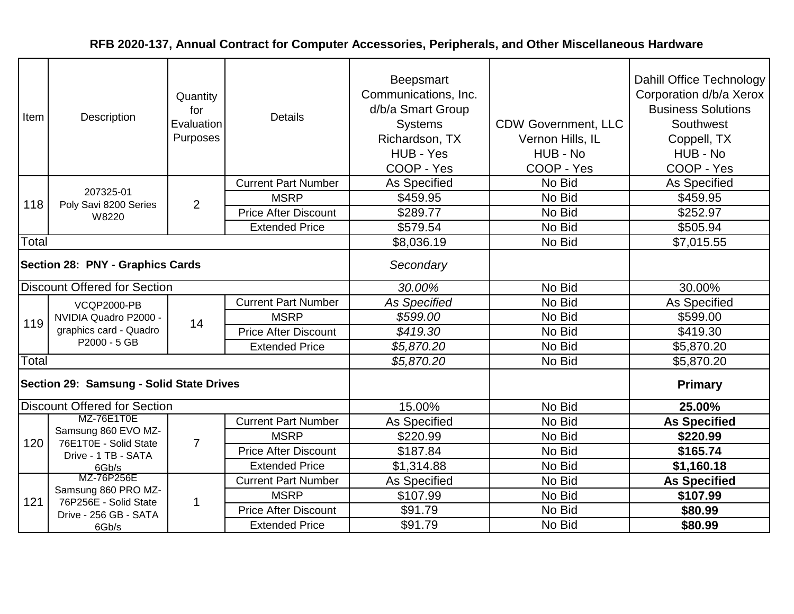| Item                                | Description                                                           | Quantity<br>for<br>Evaluation<br>Purposes | <b>Details</b>              | Beepsmart<br>Communications, Inc.<br>d/b/a Smart Group<br><b>Systems</b><br>Richardson, TX<br>HUB - Yes<br>COOP - Yes | <b>CDW Government, LLC</b><br>Vernon Hills, IL<br>HUB - No<br>COOP - Yes | Dahill Office Technology<br>Corporation d/b/a Xerox<br><b>Business Solutions</b><br>Southwest<br>Coppell, TX<br>HUB - No<br>COOP - Yes |
|-------------------------------------|-----------------------------------------------------------------------|-------------------------------------------|-----------------------------|-----------------------------------------------------------------------------------------------------------------------|--------------------------------------------------------------------------|----------------------------------------------------------------------------------------------------------------------------------------|
|                                     |                                                                       |                                           | <b>Current Part Number</b>  | <b>As Specified</b>                                                                                                   | No Bid                                                                   | As Specified                                                                                                                           |
| 118                                 | 207325-01<br>Poly Savi 8200 Series                                    | $\overline{2}$                            | <b>MSRP</b>                 | \$459.95                                                                                                              | No Bid                                                                   | \$459.95                                                                                                                               |
|                                     | W8220                                                                 |                                           | <b>Price After Discount</b> | \$289.77                                                                                                              | No Bid                                                                   | \$252.97                                                                                                                               |
|                                     |                                                                       |                                           | <b>Extended Price</b>       | \$579.54                                                                                                              | No Bid                                                                   | \$505.94                                                                                                                               |
| Total                               |                                                                       |                                           |                             | \$8,036.19                                                                                                            | No Bid                                                                   | \$7,015.55                                                                                                                             |
| Section 28: PNY - Graphics Cards    |                                                                       |                                           |                             | Secondary                                                                                                             |                                                                          |                                                                                                                                        |
| <b>Discount Offered for Section</b> |                                                                       |                                           |                             | 30.00%                                                                                                                | No Bid                                                                   | 30.00%                                                                                                                                 |
|                                     | <b>VCQP2000-PB</b><br>NVIDIA Quadro P2000 -<br>graphics card - Quadro | 14                                        | <b>Current Part Number</b>  | <b>As Specified</b>                                                                                                   | No Bid                                                                   | <b>As Specified</b>                                                                                                                    |
| 119                                 |                                                                       |                                           | <b>MSRP</b>                 | \$599.00                                                                                                              | No Bid                                                                   | \$599.00                                                                                                                               |
|                                     |                                                                       |                                           | <b>Price After Discount</b> | \$419.30                                                                                                              | No Bid                                                                   | \$419.30                                                                                                                               |
|                                     | P2000 - 5 GB                                                          |                                           | <b>Extended Price</b>       | \$5,870.20                                                                                                            | No Bid                                                                   | \$5,870.20                                                                                                                             |
| Total                               |                                                                       |                                           |                             | \$5,870.20                                                                                                            | No Bid                                                                   | \$5,870.20                                                                                                                             |
|                                     | Section 29: Samsung - Solid State Drives                              |                                           |                             |                                                                                                                       |                                                                          | <b>Primary</b>                                                                                                                         |
|                                     | <b>Discount Offered for Section</b>                                   |                                           |                             | 15.00%                                                                                                                | No Bid                                                                   | 25.00%                                                                                                                                 |
|                                     | MZ-76E1T0E                                                            |                                           | <b>Current Part Number</b>  | As Specified                                                                                                          | No Bid                                                                   | <b>As Specified</b>                                                                                                                    |
| 120                                 | Samsung 860 EVO MZ-<br>76E1T0E - Solid State                          | $\overline{7}$                            | <b>MSRP</b>                 | \$220.99                                                                                                              | No Bid                                                                   | \$220.99                                                                                                                               |
|                                     | Drive - 1 TB - SATA                                                   |                                           | <b>Price After Discount</b> | \$187.84                                                                                                              | No Bid                                                                   | \$165.74                                                                                                                               |
|                                     | 6Gb/s                                                                 |                                           | <b>Extended Price</b>       | \$1,314.88                                                                                                            | No Bid                                                                   | \$1,160.18                                                                                                                             |
|                                     | MZ-76P256E                                                            |                                           | <b>Current Part Number</b>  | As Specified                                                                                                          | No Bid                                                                   | <b>As Specified</b>                                                                                                                    |
| 121                                 | Samsung 860 PRO MZ-<br>76P256E - Solid State                          | $\mathbf 1$                               | <b>MSRP</b>                 | \$107.99                                                                                                              | No Bid                                                                   | \$107.99                                                                                                                               |
|                                     | Drive - 256 GB - SATA                                                 |                                           | <b>Price After Discount</b> | \$91.79                                                                                                               | No Bid                                                                   | \$80.99                                                                                                                                |
|                                     | 6Gb/s                                                                 |                                           | <b>Extended Price</b>       | \$91.79                                                                                                               | No Bid                                                                   | \$80.99                                                                                                                                |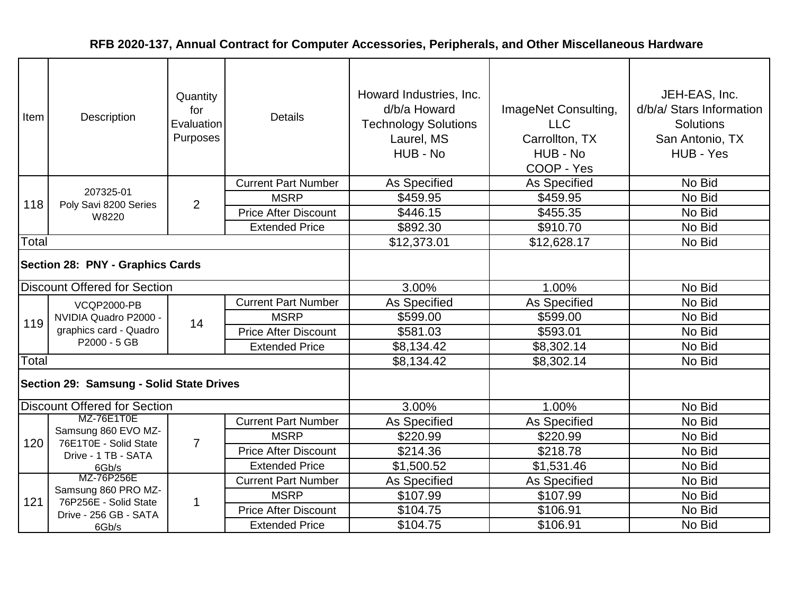| Item                             | Description                                                                           | Quantity<br>for<br>Evaluation<br>Purposes | <b>Details</b>              | Howard Industries, Inc.<br>d/b/a Howard<br><b>Technology Solutions</b><br>Laurel, MS<br>HUB - No | ImageNet Consulting,<br><b>LLC</b><br>Carrollton, TX<br>HUB - No<br>COOP - Yes | JEH-EAS, Inc.<br>d/b/a/ Stars Information<br><b>Solutions</b><br>San Antonio, TX<br>HUB - Yes |
|----------------------------------|---------------------------------------------------------------------------------------|-------------------------------------------|-----------------------------|--------------------------------------------------------------------------------------------------|--------------------------------------------------------------------------------|-----------------------------------------------------------------------------------------------|
|                                  |                                                                                       |                                           | <b>Current Part Number</b>  | As Specified                                                                                     | As Specified                                                                   | No Bid                                                                                        |
| 118                              | 207325-01<br>Poly Savi 8200 Series                                                    | $\overline{2}$                            | <b>MSRP</b>                 | \$459.95                                                                                         | \$459.95                                                                       | No Bid                                                                                        |
|                                  | W8220                                                                                 |                                           | <b>Price After Discount</b> | \$446.15                                                                                         | \$455.35                                                                       | No Bid                                                                                        |
|                                  |                                                                                       |                                           | <b>Extended Price</b>       | \$892.30                                                                                         | \$910.70                                                                       | No Bid                                                                                        |
| Total                            |                                                                                       |                                           |                             | \$12,373.01                                                                                      | \$12,628.17                                                                    | No Bid                                                                                        |
| Section 28: PNY - Graphics Cards |                                                                                       |                                           |                             |                                                                                                  |                                                                                |                                                                                               |
|                                  | <b>Discount Offered for Section</b>                                                   |                                           |                             | 3.00%                                                                                            | 1.00%                                                                          | No Bid                                                                                        |
|                                  | <b>VCQP2000-PB</b><br>NVIDIA Quadro P2000 -<br>graphics card - Quadro<br>P2000 - 5 GB | 14                                        | <b>Current Part Number</b>  | As Specified                                                                                     | As Specified                                                                   | No Bid                                                                                        |
| 119                              |                                                                                       |                                           | <b>MSRP</b>                 | \$599.00                                                                                         | \$599.00                                                                       | No Bid                                                                                        |
|                                  |                                                                                       |                                           | <b>Price After Discount</b> | \$581.03                                                                                         | \$593.01                                                                       | No Bid                                                                                        |
|                                  |                                                                                       |                                           | <b>Extended Price</b>       | \$8,134.42                                                                                       | \$8,302.14                                                                     | No Bid                                                                                        |
| Total                            |                                                                                       |                                           |                             | \$8,134.42                                                                                       | \$8,302.14                                                                     | No Bid                                                                                        |
|                                  | Section 29: Samsung - Solid State Drives                                              |                                           |                             |                                                                                                  |                                                                                |                                                                                               |
|                                  | Discount Offered for Section                                                          |                                           |                             | 3.00%                                                                                            | 1.00%                                                                          | No Bid                                                                                        |
|                                  | MZ-76E1T0E                                                                            |                                           | <b>Current Part Number</b>  | <b>As Specified</b>                                                                              | As Specified                                                                   | No Bid                                                                                        |
| 120                              | Samsung 860 EVO MZ-<br>76E1T0E - Solid State                                          | $\overline{7}$                            | <b>MSRP</b>                 | \$220.99                                                                                         | \$220.99                                                                       | No Bid                                                                                        |
|                                  | Drive - 1 TB - SATA                                                                   |                                           | <b>Price After Discount</b> | \$214.36                                                                                         | \$218.78                                                                       | No Bid                                                                                        |
|                                  | 6Gb/s                                                                                 |                                           | <b>Extended Price</b>       | \$1,500.52                                                                                       | \$1,531.46                                                                     | No Bid                                                                                        |
|                                  | MZ-76P256E                                                                            |                                           | <b>Current Part Number</b>  | As Specified                                                                                     | As Specified                                                                   | No Bid                                                                                        |
| 121                              | Samsung 860 PRO MZ-<br>76P256E - Solid State                                          | $\mathbf{1}$                              | <b>MSRP</b>                 | \$107.99                                                                                         | \$107.99                                                                       | No Bid                                                                                        |
|                                  | Drive - 256 GB - SATA                                                                 |                                           | <b>Price After Discount</b> | \$104.75                                                                                         | \$106.91                                                                       | No Bid                                                                                        |
|                                  | 6Gb/s                                                                                 |                                           | <b>Extended Price</b>       | \$104.75                                                                                         | \$106.91                                                                       | No Bid                                                                                        |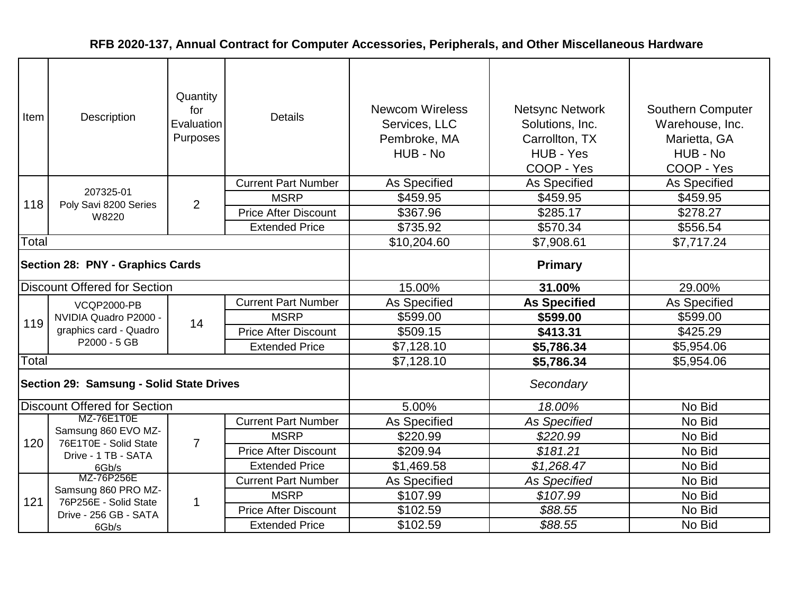| Item                                | Description                                                                           | Quantity<br>for<br>Evaluation<br>Purposes | <b>Details</b>              | <b>Newcom Wireless</b><br>Services, LLC<br>Pembroke, MA<br>HUB - No | <b>Netsync Network</b><br>Solutions, Inc.<br>Carrollton, TX<br>HUB - Yes<br>COOP - Yes | <b>Southern Computer</b><br>Warehouse, Inc.<br>Marietta, GA<br>HUB - No<br>COOP - Yes |
|-------------------------------------|---------------------------------------------------------------------------------------|-------------------------------------------|-----------------------------|---------------------------------------------------------------------|----------------------------------------------------------------------------------------|---------------------------------------------------------------------------------------|
|                                     | 207325-01                                                                             |                                           | <b>Current Part Number</b>  | As Specified                                                        | <b>As Specified</b>                                                                    | As Specified                                                                          |
| 118                                 | Poly Savi 8200 Series                                                                 | $\overline{2}$                            | <b>MSRP</b>                 | \$459.95                                                            | \$459.95                                                                               | \$459.95                                                                              |
|                                     | W8220                                                                                 |                                           | <b>Price After Discount</b> | \$367.96                                                            | \$285.17                                                                               | \$278.27                                                                              |
|                                     |                                                                                       |                                           | <b>Extended Price</b>       | \$735.92                                                            | \$570.34                                                                               | \$556.54                                                                              |
| Total                               |                                                                                       |                                           |                             | \$10,204.60                                                         | \$7,908.61                                                                             | \$7,717.24                                                                            |
| Section 28: PNY - Graphics Cards    |                                                                                       |                                           |                             |                                                                     | <b>Primary</b>                                                                         |                                                                                       |
| <b>Discount Offered for Section</b> |                                                                                       |                                           |                             | 15.00%                                                              | 31.00%                                                                                 | 29.00%                                                                                |
|                                     | <b>VCQP2000-PB</b><br>NVIDIA Quadro P2000 -<br>graphics card - Quadro<br>P2000 - 5 GB |                                           | <b>Current Part Number</b>  | As Specified                                                        | <b>As Specified</b>                                                                    | As Specified                                                                          |
| 119                                 |                                                                                       | 14                                        | <b>MSRP</b>                 | \$599.00                                                            | \$599.00                                                                               | \$599.00                                                                              |
|                                     |                                                                                       |                                           | <b>Price After Discount</b> | \$509.15                                                            | \$413.31                                                                               | \$425.29                                                                              |
|                                     |                                                                                       |                                           | <b>Extended Price</b>       | \$7,128.10                                                          | \$5,786.34                                                                             | \$5,954.06                                                                            |
| Total                               |                                                                                       |                                           |                             | \$7,128.10                                                          | \$5,786.34                                                                             | \$5,954.06                                                                            |
|                                     | Section 29: Samsung - Solid State Drives                                              |                                           |                             |                                                                     | Secondary                                                                              |                                                                                       |
|                                     | Discount Offered for Section                                                          |                                           |                             | 5.00%                                                               | 18.00%                                                                                 | No Bid                                                                                |
|                                     | MZ-76E1T0E                                                                            |                                           | <b>Current Part Number</b>  | As Specified                                                        | <b>As Specified</b>                                                                    | No Bid                                                                                |
| 120                                 | Samsung 860 EVO MZ-<br>76E1T0E - Solid State                                          | $\overline{7}$                            | <b>MSRP</b>                 | \$220.99                                                            | \$220.99                                                                               | No Bid                                                                                |
|                                     | Drive - 1 TB - SATA                                                                   |                                           | <b>Price After Discount</b> | \$209.94                                                            | \$181.21                                                                               | No Bid                                                                                |
|                                     | 6Gb/s                                                                                 |                                           | <b>Extended Price</b>       | \$1,469.58                                                          | \$1,268.47                                                                             | No Bid                                                                                |
|                                     | MZ-76P256E                                                                            |                                           | <b>Current Part Number</b>  | As Specified                                                        | <b>As Specified</b>                                                                    | No Bid                                                                                |
| 121                                 | Samsung 860 PRO MZ-<br>76P256E - Solid State                                          | $\mathbf{1}$                              | <b>MSRP</b>                 | \$107.99                                                            | \$107.99                                                                               | No Bid                                                                                |
|                                     | Drive - 256 GB - SATA                                                                 |                                           | <b>Price After Discount</b> | \$102.59                                                            | \$88.55                                                                                | No Bid                                                                                |
|                                     | 6Gb/s                                                                                 |                                           | <b>Extended Price</b>       | \$102.59                                                            | \$88.55                                                                                | No Bid                                                                                |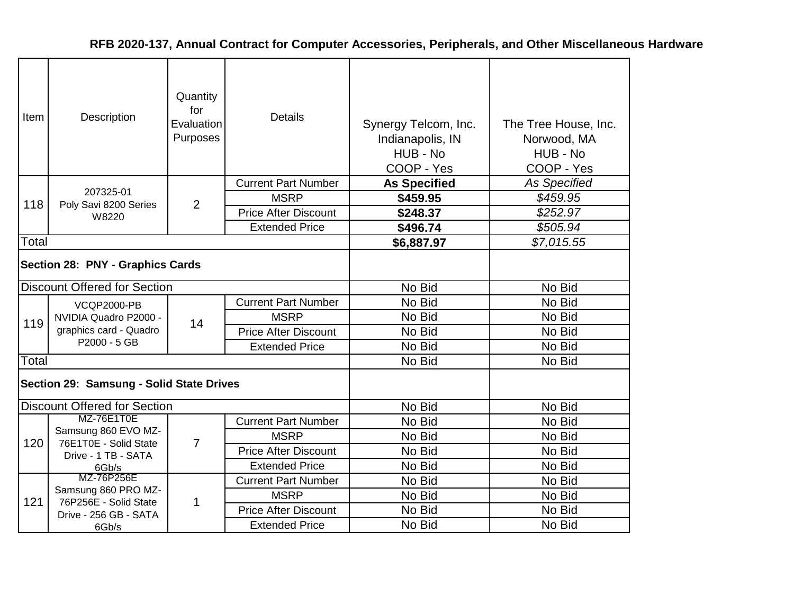| Item  | Description                                                           | Quantity<br>for<br>Evaluation<br>Purposes | <b>Details</b>              | Synergy Telcom, Inc.<br>Indianapolis, IN<br>HUB - No<br>COOP - Yes | The Tree House, Inc.<br>Norwood, MA<br>HUB - No<br>COOP - Yes |
|-------|-----------------------------------------------------------------------|-------------------------------------------|-----------------------------|--------------------------------------------------------------------|---------------------------------------------------------------|
|       | 207325-01                                                             |                                           | <b>Current Part Number</b>  | <b>As Specified</b>                                                | <b>As Specified</b>                                           |
| 118   | Poly Savi 8200 Series                                                 | $\overline{2}$                            | <b>MSRP</b>                 | \$459.95                                                           | \$459.95                                                      |
|       | W8220                                                                 |                                           | <b>Price After Discount</b> | \$248.37                                                           | \$252.97                                                      |
|       |                                                                       |                                           | <b>Extended Price</b>       | \$496.74                                                           | \$505.94                                                      |
| Total |                                                                       |                                           |                             | \$6,887.97                                                         | \$7,015.55                                                    |
|       | Section 28: PNY - Graphics Cards                                      |                                           |                             |                                                                    |                                                               |
|       | <b>Discount Offered for Section</b>                                   |                                           |                             | No Bid                                                             | No Bid                                                        |
|       | <b>VCQP2000-PB</b><br>NVIDIA Quadro P2000 -<br>graphics card - Quadro |                                           | <b>Current Part Number</b>  | No Bid                                                             | No Bid                                                        |
| 119   |                                                                       | 14                                        | <b>MSRP</b>                 | No Bid                                                             | No Bid                                                        |
|       |                                                                       |                                           | <b>Price After Discount</b> | No Bid                                                             | No Bid                                                        |
|       | P2000 - 5 GB                                                          |                                           | <b>Extended Price</b>       | No Bid                                                             | No Bid                                                        |
| Total |                                                                       |                                           |                             | No Bid                                                             | No Bid                                                        |
|       | Section 29: Samsung - Solid State Drives                              |                                           |                             |                                                                    |                                                               |
|       | <b>Discount Offered for Section</b>                                   |                                           |                             | No Bid                                                             | No Bid                                                        |
|       | MZ-76E1T0E                                                            |                                           | <b>Current Part Number</b>  | No Bid                                                             | No Bid                                                        |
| 120   | Samsung 860 EVO MZ-<br>76E1T0E - Solid State                          | 7                                         | <b>MSRP</b>                 | No Bid                                                             | No Bid                                                        |
|       | Drive - 1 TB - SATA                                                   |                                           | <b>Price After Discount</b> | No Bid                                                             | No Bid                                                        |
|       | 6Gb/s                                                                 |                                           | <b>Extended Price</b>       | No Bid                                                             | No Bid                                                        |
|       | MZ-76P256E                                                            |                                           | <b>Current Part Number</b>  | No Bid                                                             | No Bid                                                        |
| 121   | Samsung 860 PRO MZ-                                                   |                                           | <b>MSRP</b>                 | No Bid                                                             | No Bid                                                        |
|       | 76P256E - Solid State<br>Drive - 256 GB - SATA                        | 1                                         | <b>Price After Discount</b> | No Bid                                                             | No Bid                                                        |
|       | 6Gb/s                                                                 |                                           | <b>Extended Price</b>       | No Bid                                                             | No Bid                                                        |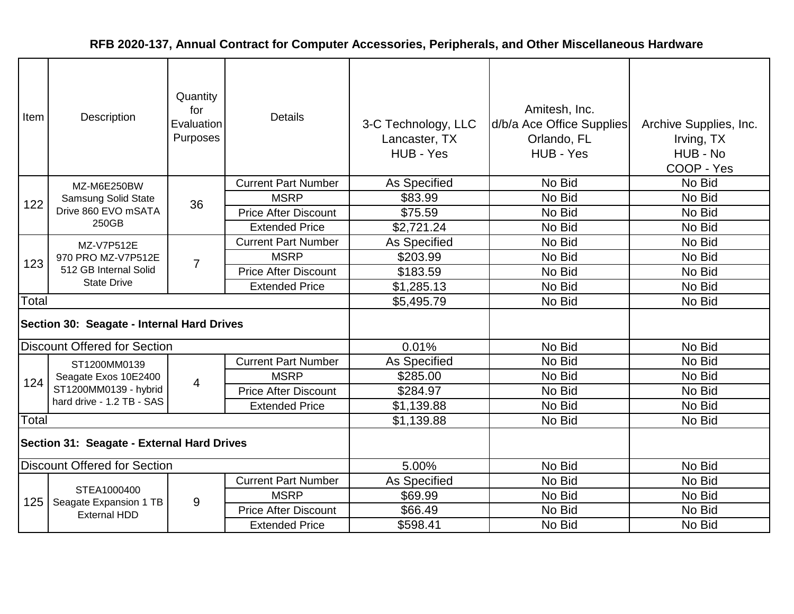| Item                                       | Description                                                       | Quantity<br>for<br>Evaluation<br>Purposes | <b>Details</b>              | 3-C Technology, LLC<br>Lancaster, TX<br>HUB - Yes | Amitesh, Inc.<br>d/b/a Ace Office Supplies<br>Orlando, FL<br>HUB - Yes | Archive Supplies, Inc.<br>Irving, TX<br>HUB - No<br>COOP - Yes |
|--------------------------------------------|-------------------------------------------------------------------|-------------------------------------------|-----------------------------|---------------------------------------------------|------------------------------------------------------------------------|----------------------------------------------------------------|
|                                            | MZ-M6E250BW                                                       |                                           | <b>Current Part Number</b>  | As Specified                                      | No Bid                                                                 | No Bid                                                         |
| 122                                        | Samsung Solid State                                               | 36                                        | <b>MSRP</b>                 | \$83.99                                           | No Bid                                                                 | No Bid                                                         |
|                                            | Drive 860 EVO mSATA                                               |                                           | <b>Price After Discount</b> | \$75.59                                           | No Bid                                                                 | No Bid                                                         |
|                                            | 250GB                                                             |                                           | <b>Extended Price</b>       | \$2,721.24                                        | No Bid                                                                 | No Bid                                                         |
|                                            | MZ-V7P512E                                                        |                                           | <b>Current Part Number</b>  | As Specified                                      | No Bid                                                                 | No Bid                                                         |
| 123                                        | 970 PRO MZ-V7P512E<br>512 GB Internal Solid<br><b>State Drive</b> | $\overline{7}$                            | <b>MSRP</b>                 | \$203.99                                          | No Bid                                                                 | No Bid                                                         |
|                                            |                                                                   |                                           | <b>Price After Discount</b> | \$183.59                                          | No Bid                                                                 | No Bid                                                         |
|                                            |                                                                   |                                           | <b>Extended Price</b>       | \$1,285.13                                        | No Bid                                                                 | No Bid                                                         |
| Total                                      |                                                                   |                                           |                             | \$5,495.79                                        | No Bid                                                                 | No Bid                                                         |
| Section 30: Seagate - Internal Hard Drives |                                                                   |                                           |                             |                                                   |                                                                        |                                                                |
|                                            | <b>Discount Offered for Section</b>                               |                                           |                             | 0.01%                                             | No Bid                                                                 | No Bid                                                         |
|                                            | ST1200MM0139                                                      |                                           | <b>Current Part Number</b>  | As Specified                                      | No Bid                                                                 | No Bid                                                         |
| 124                                        | Seagate Exos 10E2400                                              | $\overline{4}$                            | <b>MSRP</b>                 | \$285.00                                          | No Bid                                                                 | No Bid                                                         |
|                                            | ST1200MM0139 - hybrid                                             |                                           | <b>Price After Discount</b> | \$284.97                                          | No Bid                                                                 | No Bid                                                         |
|                                            | hard drive - 1.2 TB - SAS                                         |                                           | <b>Extended Price</b>       | \$1,139.88                                        | No Bid                                                                 | No Bid                                                         |
| Total                                      |                                                                   |                                           |                             | \$1,139.88                                        | No Bid                                                                 | No Bid                                                         |
| Section 31: Seagate - External Hard Drives |                                                                   |                                           |                             |                                                   |                                                                        |                                                                |
| <b>Discount Offered for Section</b>        |                                                                   |                                           |                             | 5.00%                                             | No Bid                                                                 | No Bid                                                         |
|                                            |                                                                   |                                           | <b>Current Part Number</b>  | As Specified                                      | No Bid                                                                 | No Bid                                                         |
| 125                                        | STEA1000400                                                       | 9                                         | <b>MSRP</b>                 | \$69.99                                           | No Bid                                                                 | No Bid                                                         |
|                                            | Seagate Expansion 1 TB<br><b>External HDD</b>                     |                                           | <b>Price After Discount</b> | \$66.49                                           | No Bid                                                                 | No Bid                                                         |
|                                            |                                                                   |                                           | <b>Extended Price</b>       | \$598.41                                          | No Bid                                                                 | No Bid                                                         |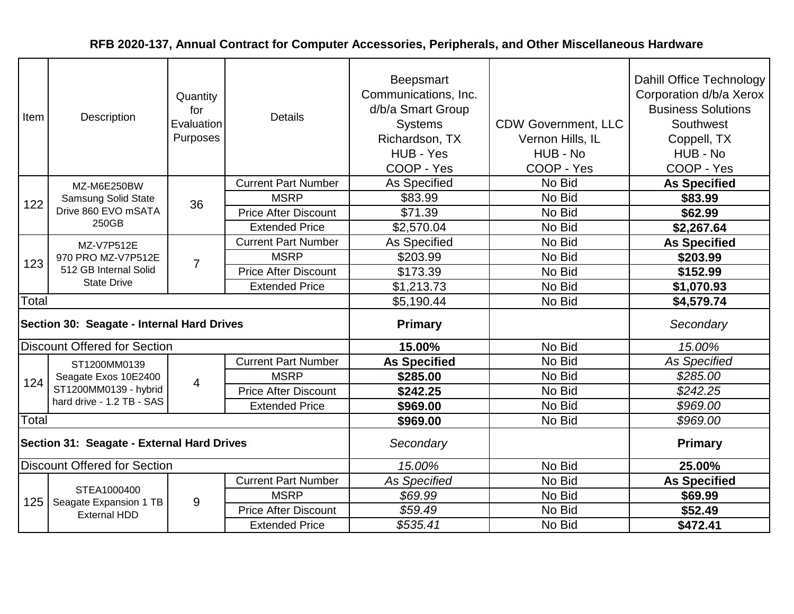| Item  | Description                                                       | Quantity<br>for<br>Evaluation<br>Purposes | <b>Details</b>              | <b>Beepsmart</b><br>Communications, Inc.<br>d/b/a Smart Group<br><b>Systems</b><br>Richardson, TX<br>HUB - Yes<br>COOP - Yes | <b>CDW Government, LLC</b><br>Vernon Hills, IL<br>HUB - No<br>COOP - Yes | Dahill Office Technology<br>Corporation d/b/a Xerox<br><b>Business Solutions</b><br>Southwest<br>Coppell, TX<br>HUB - No<br>COOP - Yes |
|-------|-------------------------------------------------------------------|-------------------------------------------|-----------------------------|------------------------------------------------------------------------------------------------------------------------------|--------------------------------------------------------------------------|----------------------------------------------------------------------------------------------------------------------------------------|
|       | MZ-M6E250BW                                                       |                                           | <b>Current Part Number</b>  | As Specified                                                                                                                 | No Bid                                                                   | <b>As Specified</b>                                                                                                                    |
| 122   | <b>Samsung Solid State</b>                                        | 36                                        | <b>MSRP</b>                 | \$83.99                                                                                                                      | No Bid                                                                   | \$83.99                                                                                                                                |
|       | Drive 860 EVO mSATA                                               |                                           | <b>Price After Discount</b> | \$71.39                                                                                                                      | No Bid                                                                   | \$62.99                                                                                                                                |
|       | 250GB                                                             |                                           | <b>Extended Price</b>       | \$2,570.04                                                                                                                   | No Bid                                                                   | \$2,267.64                                                                                                                             |
|       | MZ-V7P512E                                                        |                                           | <b>Current Part Number</b>  | <b>As Specified</b>                                                                                                          | No Bid                                                                   | <b>As Specified</b>                                                                                                                    |
| 123   | 970 PRO MZ-V7P512E<br>512 GB Internal Solid<br><b>State Drive</b> | $\overline{7}$                            | <b>MSRP</b>                 | \$203.99                                                                                                                     | No Bid                                                                   | \$203.99                                                                                                                               |
|       |                                                                   |                                           | <b>Price After Discount</b> | \$173.39                                                                                                                     | No Bid                                                                   | \$152.99                                                                                                                               |
|       |                                                                   |                                           | <b>Extended Price</b>       | \$1,213.73                                                                                                                   | No Bid                                                                   | \$1,070.93                                                                                                                             |
| Total |                                                                   |                                           |                             | \$5,190.44                                                                                                                   | No Bid                                                                   | \$4,579.74                                                                                                                             |
|       | Section 30: Seagate - Internal Hard Drives                        |                                           |                             | <b>Primary</b>                                                                                                               |                                                                          | Secondary                                                                                                                              |
|       | <b>Discount Offered for Section</b>                               |                                           |                             | 15.00%                                                                                                                       | No Bid                                                                   | 15.00%                                                                                                                                 |
|       | ST1200MM0139                                                      |                                           | <b>Current Part Number</b>  | <b>As Specified</b>                                                                                                          | No Bid                                                                   | As Specified                                                                                                                           |
| 124   | Seagate Exos 10E2400                                              | $\overline{4}$                            | <b>MSRP</b>                 | \$285.00                                                                                                                     | No Bid                                                                   | \$285.00                                                                                                                               |
|       | ST1200MM0139 - hybrid                                             |                                           | <b>Price After Discount</b> | \$242.25                                                                                                                     | No Bid                                                                   | \$242.25                                                                                                                               |
|       | hard drive - 1.2 TB - SAS                                         |                                           | <b>Extended Price</b>       | \$969.00                                                                                                                     | No Bid                                                                   | \$969.00                                                                                                                               |
| Total |                                                                   |                                           |                             | \$969.00                                                                                                                     | No Bid                                                                   | \$969.00                                                                                                                               |
|       | Section 31: Seagate - External Hard Drives                        |                                           |                             | Secondary                                                                                                                    |                                                                          | <b>Primary</b>                                                                                                                         |
|       | <b>Discount Offered for Section</b>                               |                                           |                             | 15.00%                                                                                                                       | No Bid                                                                   | 25.00%                                                                                                                                 |
|       |                                                                   |                                           | <b>Current Part Number</b>  | <b>As Specified</b>                                                                                                          | No Bid                                                                   | <b>As Specified</b>                                                                                                                    |
| 125   | STEA1000400<br>Seagate Expansion 1 TB                             | 9                                         | <b>MSRP</b>                 | \$69.99                                                                                                                      | No Bid                                                                   | \$69.99                                                                                                                                |
|       | <b>External HDD</b>                                               |                                           | <b>Price After Discount</b> | \$59.49                                                                                                                      | No Bid                                                                   | \$52.49                                                                                                                                |
|       |                                                                   |                                           | <b>Extended Price</b>       | \$535.41                                                                                                                     | No Bid                                                                   | \$472.41                                                                                                                               |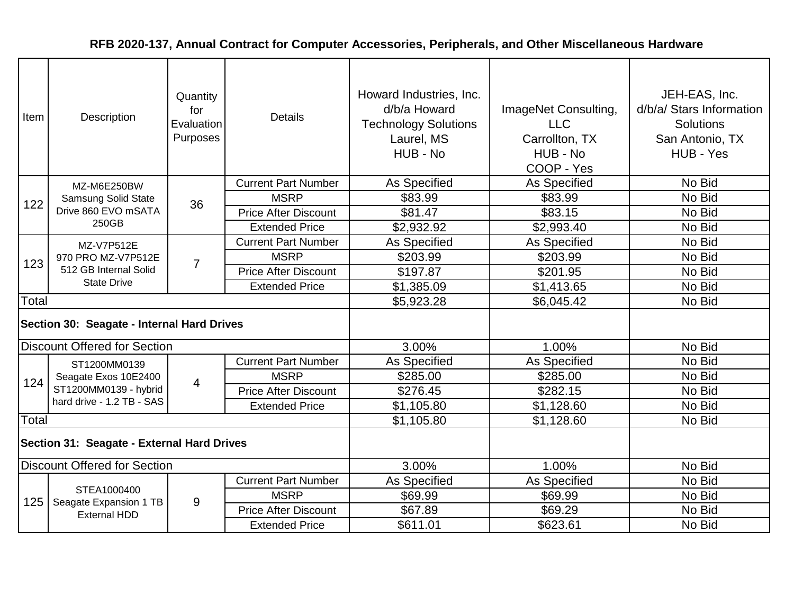| Item                                       | Description                                                       | Quantity<br>for<br>Evaluation<br>Purposes | <b>Details</b>              | Howard Industries, Inc.<br>d/b/a Howard<br><b>Technology Solutions</b><br>Laurel, MS<br>HUB - No | ImageNet Consulting,<br><b>LLC</b><br>Carrollton, TX<br>HUB - No<br>COOP - Yes | JEH-EAS, Inc.<br>d/b/a/ Stars Information<br><b>Solutions</b><br>San Antonio, TX<br>HUB - Yes |
|--------------------------------------------|-------------------------------------------------------------------|-------------------------------------------|-----------------------------|--------------------------------------------------------------------------------------------------|--------------------------------------------------------------------------------|-----------------------------------------------------------------------------------------------|
|                                            | MZ-M6E250BW                                                       |                                           | <b>Current Part Number</b>  | As Specified                                                                                     | As Specified                                                                   | No Bid                                                                                        |
| 122                                        | <b>Samsung Solid State</b>                                        | 36                                        | <b>MSRP</b>                 | \$83.99                                                                                          | \$83.99                                                                        | No Bid                                                                                        |
|                                            | Drive 860 EVO mSATA                                               |                                           | <b>Price After Discount</b> | \$81.47                                                                                          | \$83.15                                                                        | No Bid                                                                                        |
|                                            | 250GB                                                             |                                           | <b>Extended Price</b>       | \$2,932.92                                                                                       | \$2,993.40                                                                     | No Bid                                                                                        |
|                                            | MZ-V7P512E                                                        |                                           | <b>Current Part Number</b>  | As Specified                                                                                     | As Specified                                                                   | No Bid                                                                                        |
| 123                                        | 970 PRO MZ-V7P512E<br>512 GB Internal Solid<br><b>State Drive</b> | $\overline{7}$                            | <b>MSRP</b>                 | \$203.99                                                                                         | \$203.99                                                                       | No Bid                                                                                        |
|                                            |                                                                   |                                           | <b>Price After Discount</b> | \$197.87                                                                                         | \$201.95                                                                       | No Bid                                                                                        |
|                                            |                                                                   |                                           | <b>Extended Price</b>       | \$1,385.09                                                                                       | \$1,413.65                                                                     | No Bid                                                                                        |
| Total                                      |                                                                   |                                           |                             | \$5,923.28                                                                                       | \$6,045.42                                                                     | No Bid                                                                                        |
| Section 30: Seagate - Internal Hard Drives |                                                                   |                                           |                             |                                                                                                  |                                                                                |                                                                                               |
|                                            | <b>Discount Offered for Section</b>                               |                                           |                             | 3.00%                                                                                            | 1.00%                                                                          | No Bid                                                                                        |
|                                            | ST1200MM0139                                                      |                                           | <b>Current Part Number</b>  | As Specified                                                                                     | As Specified                                                                   | No Bid                                                                                        |
| 124                                        | Seagate Exos 10E2400                                              | $\overline{4}$                            | <b>MSRP</b>                 | \$285.00                                                                                         | \$285.00                                                                       | No Bid                                                                                        |
|                                            | ST1200MM0139 - hybrid                                             |                                           | <b>Price After Discount</b> | \$276.45                                                                                         | \$282.15                                                                       | No Bid                                                                                        |
|                                            | hard drive - 1.2 TB - SAS                                         |                                           | <b>Extended Price</b>       | \$1,105.80                                                                                       | \$1,128.60                                                                     | No Bid                                                                                        |
| <b>Total</b>                               |                                                                   |                                           |                             | \$1,105.80                                                                                       | \$1,128.60                                                                     | No Bid                                                                                        |
| Section 31: Seagate - External Hard Drives |                                                                   |                                           |                             |                                                                                                  |                                                                                |                                                                                               |
| <b>Discount Offered for Section</b>        |                                                                   |                                           |                             | 3.00%                                                                                            | 1.00%                                                                          | No Bid                                                                                        |
|                                            |                                                                   |                                           | <b>Current Part Number</b>  | As Specified                                                                                     | As Specified                                                                   | No Bid                                                                                        |
| 125                                        | STEA1000400<br>Seagate Expansion 1 TB                             | 9                                         | <b>MSRP</b>                 | \$69.99                                                                                          | \$69.99                                                                        | No Bid                                                                                        |
|                                            | <b>External HDD</b>                                               |                                           | <b>Price After Discount</b> | \$67.89                                                                                          | \$69.29                                                                        | No Bid                                                                                        |
|                                            |                                                                   |                                           | <b>Extended Price</b>       | \$611.01                                                                                         | \$623.61                                                                       | No Bid                                                                                        |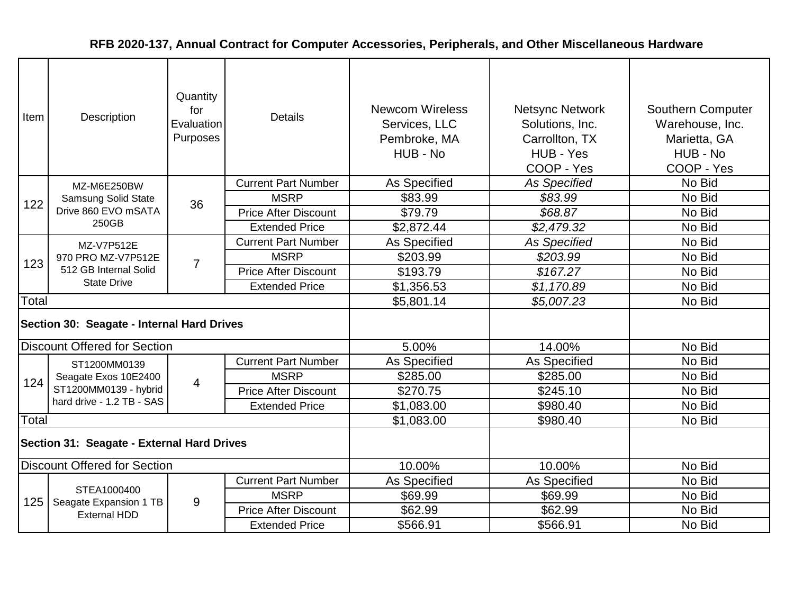| Item  | Description                                                       | Quantity<br>for<br>Evaluation<br>Purposes | <b>Details</b>              | <b>Newcom Wireless</b><br>Services, LLC<br>Pembroke, MA<br>HUB - No | <b>Netsync Network</b><br>Solutions, Inc.<br>Carrollton, TX<br>HUB - Yes<br>COOP - Yes | <b>Southern Computer</b><br>Warehouse, Inc.<br>Marietta, GA<br>HUB - No<br>COOP - Yes |
|-------|-------------------------------------------------------------------|-------------------------------------------|-----------------------------|---------------------------------------------------------------------|----------------------------------------------------------------------------------------|---------------------------------------------------------------------------------------|
|       | MZ-M6E250BW                                                       |                                           | <b>Current Part Number</b>  | As Specified                                                        | As Specified                                                                           | No Bid                                                                                |
| 122   | Samsung Solid State                                               | 36                                        | <b>MSRP</b>                 | \$83.99                                                             | \$83.99                                                                                | No Bid                                                                                |
|       | Drive 860 EVO mSATA                                               |                                           | <b>Price After Discount</b> | \$79.79                                                             | \$68.87                                                                                | No Bid                                                                                |
|       | 250GB                                                             |                                           | <b>Extended Price</b>       | \$2,872.44                                                          | \$2,479.32                                                                             | No Bid                                                                                |
|       | MZ-V7P512E                                                        |                                           | <b>Current Part Number</b>  | As Specified                                                        | <b>As Specified</b>                                                                    | No Bid                                                                                |
| 123   | 970 PRO MZ-V7P512E<br>512 GB Internal Solid<br><b>State Drive</b> | $\overline{7}$                            | <b>MSRP</b>                 | \$203.99                                                            | \$203.99                                                                               | No Bid                                                                                |
|       |                                                                   |                                           | <b>Price After Discount</b> | \$193.79                                                            | \$167.27                                                                               | No Bid                                                                                |
|       |                                                                   |                                           | <b>Extended Price</b>       | \$1,356.53                                                          | \$1,170.89                                                                             | No Bid                                                                                |
| Total |                                                                   |                                           |                             | \$5,801.14                                                          | \$5,007.23                                                                             | No Bid                                                                                |
|       | Section 30: Seagate - Internal Hard Drives                        |                                           |                             |                                                                     |                                                                                        |                                                                                       |
|       | <b>Discount Offered for Section</b>                               |                                           |                             | 5.00%                                                               | 14.00%                                                                                 | No Bid                                                                                |
|       | ST1200MM0139                                                      |                                           | <b>Current Part Number</b>  | As Specified                                                        | As Specified                                                                           | No Bid                                                                                |
| 124   | Seagate Exos 10E2400                                              | $\overline{4}$                            | <b>MSRP</b>                 | \$285.00                                                            | \$285.00                                                                               | No Bid                                                                                |
|       | ST1200MM0139 - hybrid                                             |                                           | <b>Price After Discount</b> | \$270.75                                                            | \$245.10                                                                               | No Bid                                                                                |
|       | hard drive - 1.2 TB - SAS                                         |                                           | <b>Extended Price</b>       | \$1,083.00                                                          | \$980.40                                                                               | No Bid                                                                                |
| Total |                                                                   |                                           |                             | \$1,083.00                                                          | \$980.40                                                                               | No Bid                                                                                |
|       | Section 31: Seagate - External Hard Drives                        |                                           |                             |                                                                     |                                                                                        |                                                                                       |
|       | <b>Discount Offered for Section</b>                               |                                           |                             | 10.00%                                                              | 10.00%                                                                                 | No Bid                                                                                |
|       |                                                                   |                                           | <b>Current Part Number</b>  | As Specified                                                        | As Specified                                                                           | No Bid                                                                                |
| 125   | STEA1000400                                                       | 9                                         | <b>MSRP</b>                 | \$69.99                                                             | \$69.99                                                                                | No Bid                                                                                |
|       | Seagate Expansion 1 TB<br><b>External HDD</b>                     |                                           | <b>Price After Discount</b> | \$62.99                                                             | \$62.99                                                                                | No Bid                                                                                |
|       |                                                                   |                                           | <b>Extended Price</b>       | \$566.91                                                            | \$566.91                                                                               | No Bid                                                                                |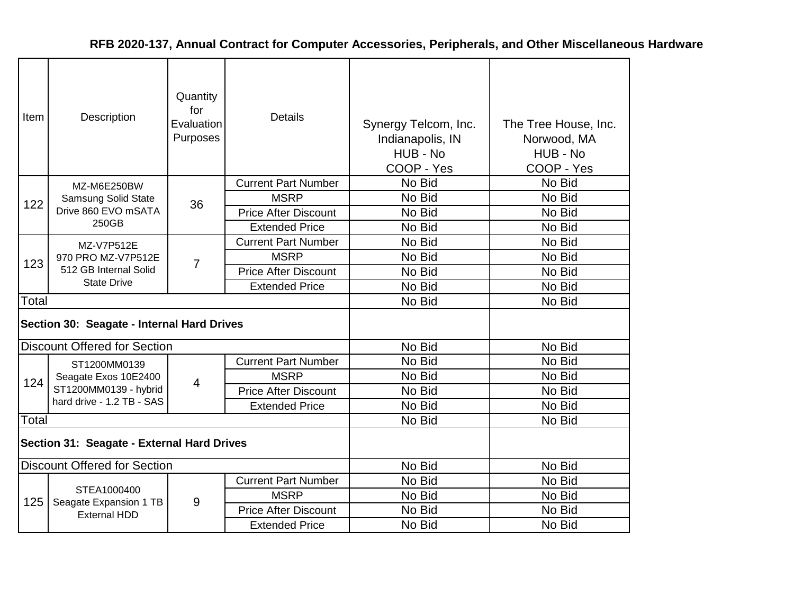| Item                                       | Description                                   | Quantity<br>for<br>Evaluation<br>Purposes | <b>Details</b>              | Synergy Telcom, Inc.<br>Indianapolis, IN<br>HUB - No<br>COOP - Yes | The Tree House, Inc.<br>Norwood, MA<br>HUB - No<br>COOP - Yes |
|--------------------------------------------|-----------------------------------------------|-------------------------------------------|-----------------------------|--------------------------------------------------------------------|---------------------------------------------------------------|
|                                            | MZ-M6E250BW                                   |                                           | <b>Current Part Number</b>  | No Bid                                                             | No Bid                                                        |
| 122                                        | Samsung Solid State                           | 36                                        | <b>MSRP</b>                 | No Bid                                                             | No Bid                                                        |
|                                            | Drive 860 EVO mSATA                           |                                           | <b>Price After Discount</b> | No Bid                                                             | No Bid                                                        |
|                                            | 250GB                                         |                                           | <b>Extended Price</b>       | No Bid                                                             | No Bid                                                        |
|                                            | MZ-V7P512E                                    |                                           | <b>Current Part Number</b>  | No Bid                                                             | No Bid                                                        |
| 123                                        | 970 PRO MZ-V7P512E<br>512 GB Internal Solid   | 7                                         | <b>MSRP</b>                 | No Bid                                                             | No Bid                                                        |
|                                            |                                               |                                           | <b>Price After Discount</b> | No Bid                                                             | No Bid                                                        |
|                                            | <b>State Drive</b>                            |                                           | <b>Extended Price</b>       | No Bid                                                             | No Bid                                                        |
| Total                                      |                                               |                                           |                             | No Bid                                                             | No Bid                                                        |
| Section 30: Seagate - Internal Hard Drives |                                               |                                           |                             |                                                                    |                                                               |
|                                            | <b>Discount Offered for Section</b>           |                                           |                             | No Bid                                                             | No Bid                                                        |
|                                            | ST1200MM0139                                  |                                           | <b>Current Part Number</b>  | No Bid                                                             | No Bid                                                        |
| 124                                        | Seagate Exos 10E2400                          | $\overline{4}$                            | <b>MSRP</b>                 | No Bid                                                             | No Bid                                                        |
|                                            | ST1200MM0139 - hybrid                         |                                           | <b>Price After Discount</b> | No Bid                                                             | No Bid                                                        |
|                                            | hard drive - 1.2 TB - SAS                     |                                           | <b>Extended Price</b>       | No Bid                                                             | No Bid                                                        |
| Total                                      |                                               |                                           |                             | No Bid                                                             | No Bid                                                        |
|                                            | Section 31: Seagate - External Hard Drives    |                                           |                             |                                                                    |                                                               |
|                                            | <b>Discount Offered for Section</b>           |                                           |                             | No Bid                                                             | No Bid                                                        |
|                                            |                                               |                                           | <b>Current Part Number</b>  | No Bid                                                             | No Bid                                                        |
| 125                                        | STEA1000400                                   | 9                                         | <b>MSRP</b>                 | No Bid                                                             | No Bid                                                        |
|                                            | Seagate Expansion 1 TB<br><b>External HDD</b> |                                           | <b>Price After Discount</b> | No Bid                                                             | No Bid                                                        |
|                                            |                                               |                                           | <b>Extended Price</b>       | No Bid                                                             | No Bid                                                        |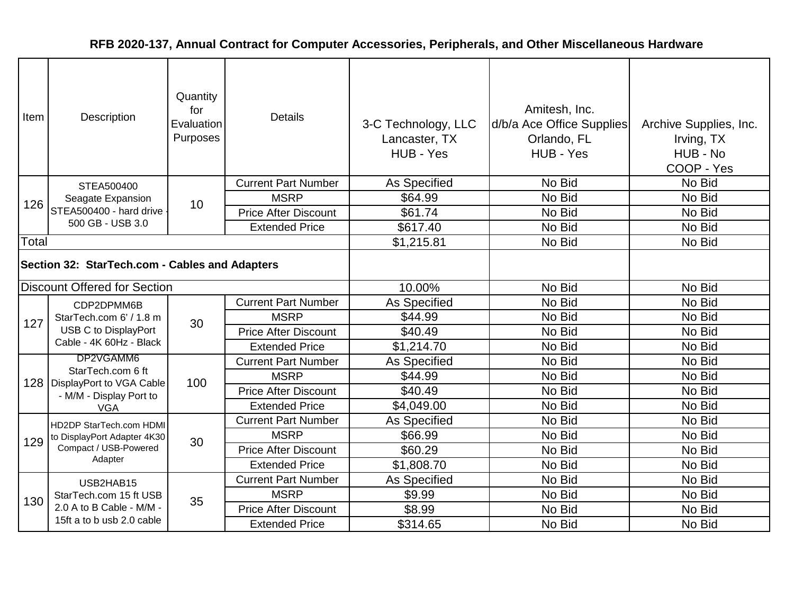| Item  | Description                                                                              | Quantity<br>for<br>Evaluation<br>Purposes | <b>Details</b>              | 3-C Technology, LLC<br>Lancaster, TX<br>HUB - Yes | Amitesh, Inc.<br>d/b/a Ace Office Supplies<br>Orlando, FL<br>HUB - Yes | Archive Supplies, Inc.<br>Irving, TX<br>HUB - No<br>COOP - Yes |
|-------|------------------------------------------------------------------------------------------|-------------------------------------------|-----------------------------|---------------------------------------------------|------------------------------------------------------------------------|----------------------------------------------------------------|
|       | STEA500400                                                                               |                                           | <b>Current Part Number</b>  | As Specified                                      | No Bid                                                                 | No Bid                                                         |
| 126   | Seagate Expansion                                                                        | 10                                        | <b>MSRP</b>                 | \$64.99                                           | No Bid                                                                 | No Bid                                                         |
|       | STEA500400 - hard drive                                                                  |                                           | <b>Price After Discount</b> | \$61.74                                           | No Bid                                                                 | No Bid                                                         |
|       | 500 GB - USB 3.0                                                                         |                                           | <b>Extended Price</b>       | \$617.40                                          | No Bid                                                                 | No Bid                                                         |
| Total |                                                                                          |                                           |                             | \$1,215.81                                        | No Bid                                                                 | No Bid                                                         |
|       | Section 32: StarTech.com - Cables and Adapters                                           |                                           |                             |                                                   |                                                                        |                                                                |
|       | <b>Discount Offered for Section</b>                                                      |                                           |                             | 10.00%                                            | No Bid                                                                 | No Bid                                                         |
|       | CDP2DPMM6B<br>StarTech.com 6' / 1.8 m<br>USB C to DisplayPort<br>Cable - 4K 60Hz - Black |                                           | <b>Current Part Number</b>  | As Specified                                      | No Bid                                                                 | No Bid                                                         |
| 127   |                                                                                          | 30                                        | <b>MSRP</b>                 | \$44.99                                           | No Bid                                                                 | No Bid                                                         |
|       |                                                                                          |                                           | <b>Price After Discount</b> | \$40.49                                           | No Bid                                                                 | No Bid                                                         |
|       |                                                                                          |                                           | <b>Extended Price</b>       | \$1,214.70                                        | No Bid                                                                 | No Bid                                                         |
|       | DP2VGAMM6                                                                                |                                           | <b>Current Part Number</b>  | <b>As Specified</b>                               | No Bid                                                                 | No Bid                                                         |
|       | StarTech.com 6 ft<br>128   DisplayPort to VGA Cable                                      | 100                                       | <b>MSRP</b>                 | \$44.99                                           | No Bid                                                                 | No Bid                                                         |
|       | - M/M - Display Port to                                                                  |                                           | <b>Price After Discount</b> | \$40.49                                           | No Bid                                                                 | No Bid                                                         |
|       | <b>VGA</b>                                                                               |                                           | <b>Extended Price</b>       | \$4,049.00                                        | No Bid                                                                 | No Bid                                                         |
|       | HD2DP StarTech.com HDMI                                                                  |                                           | <b>Current Part Number</b>  | As Specified                                      | No Bid                                                                 | No Bid                                                         |
| 129   | to DisplayPort Adapter 4K30                                                              | 30                                        | <b>MSRP</b>                 | \$66.99                                           | No Bid                                                                 | No Bid                                                         |
|       | Compact / USB-Powered                                                                    |                                           | <b>Price After Discount</b> | \$60.29                                           | No Bid                                                                 | No Bid                                                         |
|       | Adapter                                                                                  |                                           | <b>Extended Price</b>       | \$1,808.70                                        | No Bid                                                                 | No Bid                                                         |
|       | USB2HAB15                                                                                |                                           | <b>Current Part Number</b>  | As Specified                                      | No Bid                                                                 | No Bid                                                         |
| 130   | StarTech.com 15 ft USB                                                                   | 35                                        | <b>MSRP</b>                 | \$9.99                                            | No Bid                                                                 | No Bid                                                         |
|       | 2.0 A to B Cable - M/M -                                                                 |                                           | <b>Price After Discount</b> | \$8.99                                            | No Bid                                                                 | No Bid                                                         |
|       | 15ft a to b usb 2.0 cable                                                                |                                           | <b>Extended Price</b>       | \$314.65                                          | No Bid                                                                 | No Bid                                                         |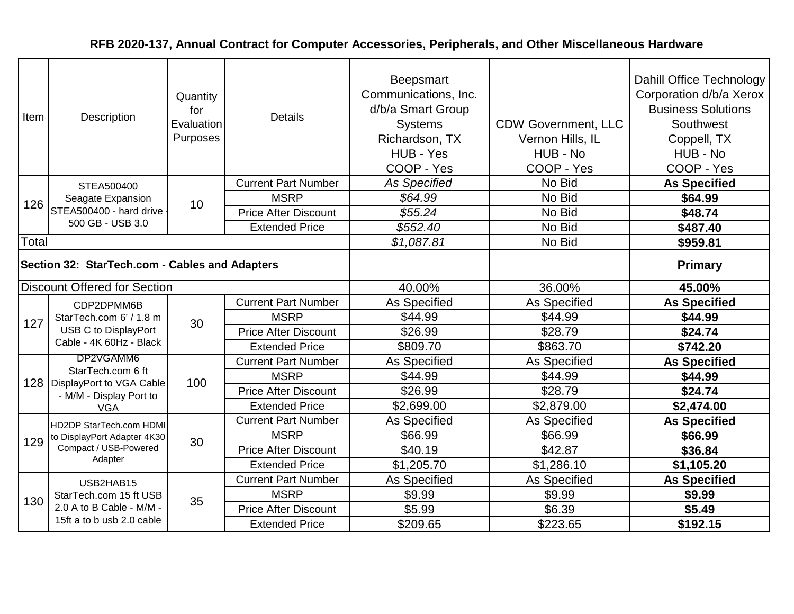| Item                                           | Description                                                                              | Quantity<br>for<br>Evaluation<br>Purposes | <b>Details</b>              | <b>Beepsmart</b><br>Communications, Inc.<br>d/b/a Smart Group<br><b>Systems</b><br>Richardson, TX<br>HUB - Yes<br>COOP - Yes | <b>CDW Government, LLC</b><br>Vernon Hills, IL<br>HUB - No<br>COOP - Yes | Dahill Office Technology<br>Corporation d/b/a Xerox<br><b>Business Solutions</b><br>Southwest<br>Coppell, TX<br>HUB - No<br>COOP - Yes |
|------------------------------------------------|------------------------------------------------------------------------------------------|-------------------------------------------|-----------------------------|------------------------------------------------------------------------------------------------------------------------------|--------------------------------------------------------------------------|----------------------------------------------------------------------------------------------------------------------------------------|
|                                                | STEA500400                                                                               |                                           | <b>Current Part Number</b>  | <b>As Specified</b>                                                                                                          | No Bid                                                                   | <b>As Specified</b>                                                                                                                    |
| 126                                            | Seagate Expansion                                                                        | 10                                        | <b>MSRP</b>                 | \$64.99                                                                                                                      | No Bid                                                                   | \$64.99                                                                                                                                |
|                                                | STEA500400 - hard drive                                                                  |                                           | <b>Price After Discount</b> | \$55.24                                                                                                                      | No Bid                                                                   | \$48.74                                                                                                                                |
|                                                | 500 GB - USB 3.0                                                                         |                                           | <b>Extended Price</b>       | \$552.40                                                                                                                     | No Bid                                                                   | \$487.40                                                                                                                               |
| Total                                          |                                                                                          |                                           |                             | \$1,087.81                                                                                                                   | No Bid                                                                   | \$959.81                                                                                                                               |
| Section 32: StarTech.com - Cables and Adapters |                                                                                          |                                           |                             |                                                                                                                              |                                                                          | <b>Primary</b>                                                                                                                         |
|                                                | <b>Discount Offered for Section</b>                                                      |                                           |                             | 40.00%                                                                                                                       | 36.00%                                                                   | 45.00%                                                                                                                                 |
|                                                | CDP2DPMM6B<br>StarTech.com 6' / 1.8 m<br>USB C to DisplayPort<br>Cable - 4K 60Hz - Black | 30                                        | <b>Current Part Number</b>  | As Specified                                                                                                                 | As Specified                                                             | <b>As Specified</b>                                                                                                                    |
| 127                                            |                                                                                          |                                           | <b>MSRP</b>                 | \$44.99                                                                                                                      | \$44.99                                                                  | \$44.99                                                                                                                                |
|                                                |                                                                                          |                                           | <b>Price After Discount</b> | \$26.99                                                                                                                      | \$28.79                                                                  | \$24.74                                                                                                                                |
|                                                |                                                                                          |                                           | <b>Extended Price</b>       | \$809.70                                                                                                                     | \$863.70                                                                 | \$742.20                                                                                                                               |
|                                                | DP2VGAMM6                                                                                |                                           | <b>Current Part Number</b>  | As Specified                                                                                                                 | <b>As Specified</b>                                                      | <b>As Specified</b>                                                                                                                    |
|                                                | StarTech.com 6 ft<br>128   DisplayPort to VGA Cable                                      | 100                                       | <b>MSRP</b>                 | \$44.99                                                                                                                      | \$44.99                                                                  | \$44.99                                                                                                                                |
|                                                | - M/M - Display Port to                                                                  |                                           | <b>Price After Discount</b> | \$26.99                                                                                                                      | \$28.79                                                                  | \$24.74                                                                                                                                |
|                                                | <b>VGA</b>                                                                               |                                           | <b>Extended Price</b>       | \$2,699.00                                                                                                                   | \$2,879.00                                                               | \$2,474.00                                                                                                                             |
|                                                | <b>HD2DP StarTech.com HDMI</b>                                                           |                                           | <b>Current Part Number</b>  | As Specified                                                                                                                 | As Specified                                                             | <b>As Specified</b>                                                                                                                    |
| 129                                            | to DisplayPort Adapter 4K30                                                              | 30                                        | <b>MSRP</b>                 | \$66.99                                                                                                                      | \$66.99                                                                  | \$66.99                                                                                                                                |
|                                                | Compact / USB-Powered                                                                    |                                           | <b>Price After Discount</b> | \$40.19                                                                                                                      | \$42.87                                                                  | \$36.84                                                                                                                                |
|                                                | Adapter                                                                                  |                                           | <b>Extended Price</b>       | \$1,205.70                                                                                                                   | \$1,286.10                                                               | \$1,105.20                                                                                                                             |
|                                                | USB2HAB15                                                                                |                                           | <b>Current Part Number</b>  | As Specified                                                                                                                 | As Specified                                                             | <b>As Specified</b>                                                                                                                    |
| 130                                            | StarTech.com 15 ft USB                                                                   | 35                                        | <b>MSRP</b>                 | \$9.99                                                                                                                       | \$9.99                                                                   | \$9.99                                                                                                                                 |
|                                                | 2.0 A to B Cable - M/M -                                                                 |                                           | <b>Price After Discount</b> | \$5.99                                                                                                                       | \$6.39                                                                   | \$5.49                                                                                                                                 |
|                                                | 15ft a to b usb 2.0 cable                                                                |                                           | <b>Extended Price</b>       | \$209.65                                                                                                                     | \$223.65                                                                 | \$192.15                                                                                                                               |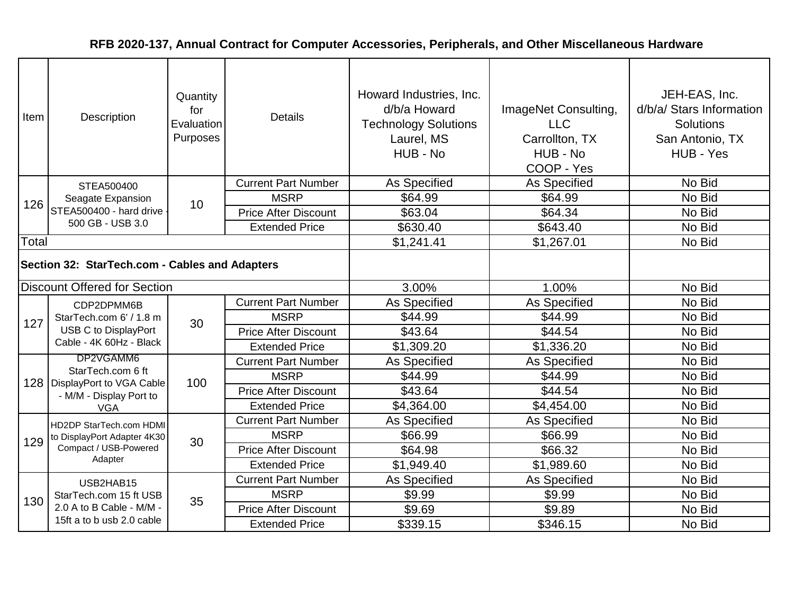| Item  | Description                                                   | Quantity<br>for<br>Evaluation<br>Purposes | <b>Details</b>              | Howard Industries, Inc.<br>d/b/a Howard<br><b>Technology Solutions</b><br>Laurel, MS<br>HUB - No | ImageNet Consulting,<br><b>LLC</b><br>Carrollton, TX<br>HUB - No<br>COOP - Yes | JEH-EAS, Inc.<br>d/b/a/ Stars Information<br><b>Solutions</b><br>San Antonio, TX<br>HUB - Yes |
|-------|---------------------------------------------------------------|-------------------------------------------|-----------------------------|--------------------------------------------------------------------------------------------------|--------------------------------------------------------------------------------|-----------------------------------------------------------------------------------------------|
|       | STEA500400                                                    |                                           | <b>Current Part Number</b>  | As Specified                                                                                     | As Specified                                                                   | No Bid                                                                                        |
| 126   | Seagate Expansion                                             | 10                                        | <b>MSRP</b>                 | \$64.99                                                                                          | \$64.99                                                                        | No Bid                                                                                        |
|       | STEA500400 - hard drive                                       |                                           | <b>Price After Discount</b> | \$63.04                                                                                          | \$64.34                                                                        | No Bid                                                                                        |
|       | 500 GB - USB 3.0                                              |                                           | <b>Extended Price</b>       | \$630.40                                                                                         | \$643.40                                                                       | No Bid                                                                                        |
| Total |                                                               |                                           |                             | \$1,241.41                                                                                       | \$1,267.01                                                                     | No Bid                                                                                        |
|       | Section 32: StarTech.com - Cables and Adapters                |                                           |                             |                                                                                                  |                                                                                |                                                                                               |
|       | <b>Discount Offered for Section</b>                           |                                           |                             | 3.00%                                                                                            | 1.00%                                                                          | No Bid                                                                                        |
|       | CDP2DPMM6B<br>StarTech.com 6' / 1.8 m<br>USB C to DisplayPort | 30                                        | <b>Current Part Number</b>  | As Specified                                                                                     | As Specified                                                                   | No Bid                                                                                        |
| 127   |                                                               |                                           | <b>MSRP</b>                 | \$44.99                                                                                          | \$44.99                                                                        | No Bid                                                                                        |
|       |                                                               |                                           | <b>Price After Discount</b> | \$43.64                                                                                          | \$44.54                                                                        | No Bid                                                                                        |
|       | Cable - 4K 60Hz - Black                                       |                                           | <b>Extended Price</b>       | \$1,309.20                                                                                       | \$1,336.20                                                                     | No Bid                                                                                        |
|       | DP2VGAMM6                                                     |                                           | <b>Current Part Number</b>  | As Specified                                                                                     | As Specified                                                                   | No Bid                                                                                        |
|       | StarTech.com 6 ft<br>128   DisplayPort to VGA Cable           | 100                                       | <b>MSRP</b>                 | \$44.99                                                                                          | \$44.99                                                                        | No Bid                                                                                        |
|       | - M/M - Display Port to                                       |                                           | <b>Price After Discount</b> | \$43.64                                                                                          | \$44.54                                                                        | No Bid                                                                                        |
|       | <b>VGA</b>                                                    |                                           | <b>Extended Price</b>       | \$4,364.00                                                                                       | \$4,454.00                                                                     | No Bid                                                                                        |
|       | HD2DP StarTech.com HDMI                                       |                                           | <b>Current Part Number</b>  | As Specified                                                                                     | As Specified                                                                   | No Bid                                                                                        |
| 129   | to DisplayPort Adapter 4K30                                   | 30                                        | <b>MSRP</b>                 | \$66.99                                                                                          | \$66.99                                                                        | No Bid                                                                                        |
|       | Compact / USB-Powered                                         |                                           | <b>Price After Discount</b> | \$64.98                                                                                          | \$66.32                                                                        | No Bid                                                                                        |
|       | Adapter                                                       |                                           | <b>Extended Price</b>       | \$1,949.40                                                                                       | \$1,989.60                                                                     | No Bid                                                                                        |
|       | USB2HAB15                                                     |                                           | <b>Current Part Number</b>  | As Specified                                                                                     | As Specified                                                                   | No Bid                                                                                        |
| 130   | StarTech.com 15 ft USB                                        | 35                                        | <b>MSRP</b>                 | \$9.99                                                                                           | \$9.99                                                                         | No Bid                                                                                        |
|       | 2.0 A to B Cable - M/M -                                      |                                           | <b>Price After Discount</b> | \$9.69                                                                                           | \$9.89                                                                         | No Bid                                                                                        |
|       | 15ft a to b usb 2.0 cable                                     |                                           | <b>Extended Price</b>       | \$339.15                                                                                         | \$346.15                                                                       | No Bid                                                                                        |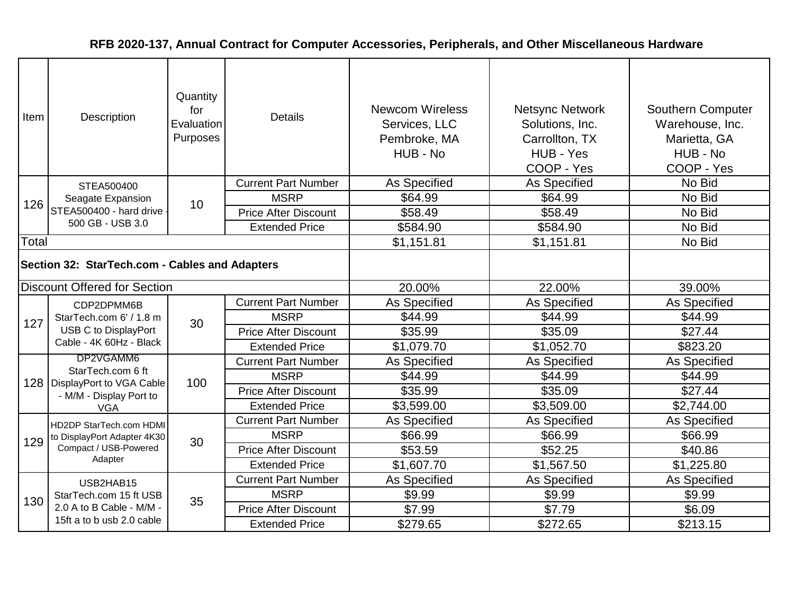| Item  | Description                                                   | Quantity<br>for<br>Evaluation<br>Purposes | <b>Details</b>              | <b>Newcom Wireless</b><br>Services, LLC<br>Pembroke, MA<br>HUB - No | <b>Netsync Network</b><br>Solutions, Inc.<br>Carrollton, TX<br>HUB - Yes<br>COOP - Yes | Southern Computer<br>Warehouse, Inc.<br>Marietta, GA<br>HUB - No<br>COOP - Yes |
|-------|---------------------------------------------------------------|-------------------------------------------|-----------------------------|---------------------------------------------------------------------|----------------------------------------------------------------------------------------|--------------------------------------------------------------------------------|
|       | STEA500400                                                    |                                           | <b>Current Part Number</b>  | <b>As Specified</b>                                                 | <b>As Specified</b>                                                                    | No Bid                                                                         |
| 126   | Seagate Expansion                                             | 10                                        | <b>MSRP</b>                 | \$64.99                                                             | \$64.99                                                                                | No Bid                                                                         |
|       | STEA500400 - hard drive                                       |                                           | <b>Price After Discount</b> | \$58.49                                                             | \$58.49                                                                                | No Bid                                                                         |
|       | 500 GB - USB 3.0                                              |                                           | <b>Extended Price</b>       | \$584.90                                                            | \$584.90                                                                               | No Bid                                                                         |
| Total |                                                               |                                           |                             | \$1,151.81                                                          | \$1,151.81                                                                             | No Bid                                                                         |
|       | Section 32: StarTech.com - Cables and Adapters                |                                           |                             |                                                                     |                                                                                        |                                                                                |
|       | <b>Discount Offered for Section</b>                           |                                           |                             | 20.00%                                                              | 22.00%                                                                                 | 39.00%                                                                         |
|       | CDP2DPMM6B<br>StarTech.com 6' / 1.8 m<br>USB C to DisplayPort |                                           | <b>Current Part Number</b>  | As Specified                                                        | <b>As Specified</b>                                                                    | As Specified                                                                   |
| 127   |                                                               | 30                                        | <b>MSRP</b>                 | \$44.99                                                             | \$44.99                                                                                | \$44.99                                                                        |
|       |                                                               |                                           | <b>Price After Discount</b> | \$35.99                                                             | \$35.09                                                                                | \$27.44                                                                        |
|       | Cable - 4K 60Hz - Black                                       |                                           | <b>Extended Price</b>       | \$1,079.70                                                          | \$1,052.70                                                                             | \$823.20                                                                       |
|       | DP2VGAMM6                                                     |                                           | <b>Current Part Number</b>  | <b>As Specified</b>                                                 | <b>As Specified</b>                                                                    | As Specified                                                                   |
|       | StarTech.com 6 ft<br>128   DisplayPort to VGA Cable           | 100                                       | <b>MSRP</b>                 | \$44.99                                                             | \$44.99                                                                                | \$44.99                                                                        |
|       | - M/M - Display Port to                                       |                                           | <b>Price After Discount</b> | \$35.99                                                             | \$35.09                                                                                | \$27.44                                                                        |
|       | <b>VGA</b>                                                    |                                           | <b>Extended Price</b>       | \$3,599.00                                                          | \$3,509.00                                                                             | \$2,744.00                                                                     |
|       | HD2DP StarTech.com HDMI                                       |                                           | <b>Current Part Number</b>  | As Specified                                                        | As Specified                                                                           | As Specified                                                                   |
| 129   | to DisplayPort Adapter 4K30                                   | 30                                        | <b>MSRP</b>                 | \$66.99                                                             | \$66.99                                                                                | \$66.99                                                                        |
|       | Compact / USB-Powered                                         |                                           | <b>Price After Discount</b> | \$53.59                                                             | \$52.25                                                                                | \$40.86                                                                        |
|       | Adapter                                                       |                                           | <b>Extended Price</b>       | \$1,607.70                                                          | \$1,567.50                                                                             | \$1,225.80                                                                     |
|       | USB2HAB15                                                     |                                           | <b>Current Part Number</b>  | <b>As Specified</b>                                                 | <b>As Specified</b>                                                                    | As Specified                                                                   |
| 130   | StarTech.com 15 ft USB                                        | 35                                        | <b>MSRP</b>                 | \$9.99                                                              | \$9.99                                                                                 | \$9.99                                                                         |
|       | 2.0 A to B Cable - M/M -                                      |                                           | <b>Price After Discount</b> | \$7.99                                                              | \$7.79                                                                                 | \$6.09                                                                         |
|       | 15ft a to b usb 2.0 cable                                     |                                           | <b>Extended Price</b>       | \$279.65                                                            | \$272.65                                                                               | \$213.15                                                                       |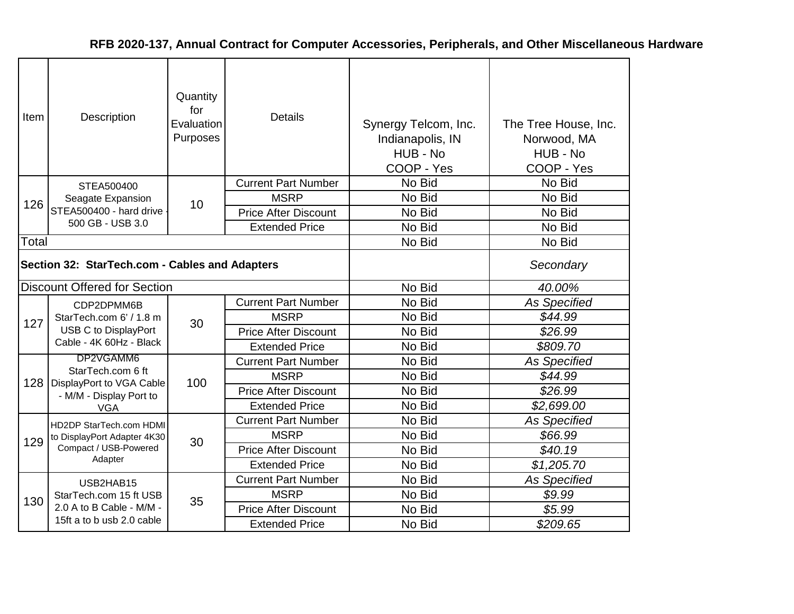| Item  | Description                                                                              | Quantity<br>for<br>Evaluation<br>Purposes | <b>Details</b>              | Synergy Telcom, Inc.<br>Indianapolis, IN<br>HUB - No<br>COOP - Yes | The Tree House, Inc.<br>Norwood, MA<br>HUB - No<br>COOP - Yes |
|-------|------------------------------------------------------------------------------------------|-------------------------------------------|-----------------------------|--------------------------------------------------------------------|---------------------------------------------------------------|
|       | STEA500400                                                                               |                                           | <b>Current Part Number</b>  | No Bid                                                             | No Bid                                                        |
| 126   | Seagate Expansion<br>STEA500400 - hard drive                                             | 10                                        | <b>MSRP</b>                 | No Bid                                                             | No Bid                                                        |
|       |                                                                                          |                                           | <b>Price After Discount</b> | No Bid                                                             | No Bid                                                        |
|       | 500 GB - USB 3.0                                                                         |                                           | <b>Extended Price</b>       | No Bid                                                             | No Bid                                                        |
| Total |                                                                                          |                                           |                             | No Bid                                                             | No Bid                                                        |
|       | Section 32: StarTech.com - Cables and Adapters                                           |                                           |                             |                                                                    | Secondary                                                     |
|       | <b>Discount Offered for Section</b>                                                      |                                           |                             | No Bid                                                             | 40.00%                                                        |
|       | CDP2DPMM6B<br>StarTech.com 6' / 1.8 m<br>USB C to DisplayPort<br>Cable - 4K 60Hz - Black |                                           | <b>Current Part Number</b>  | No Bid                                                             | <b>As Specified</b>                                           |
| 127   |                                                                                          | 30                                        | <b>MSRP</b>                 | No Bid                                                             | \$44.99                                                       |
|       |                                                                                          |                                           | <b>Price After Discount</b> | No Bid                                                             | \$26.99                                                       |
|       |                                                                                          |                                           | <b>Extended Price</b>       | No Bid                                                             | \$809.70                                                      |
|       | DP2VGAMM6                                                                                |                                           | <b>Current Part Number</b>  | No Bid                                                             | <b>As Specified</b>                                           |
| 128   | StarTech.com 6 ft<br>DisplayPort to VGA Cable                                            | 100                                       | <b>MSRP</b>                 | No Bid                                                             | \$44.99                                                       |
|       | - M/M - Display Port to                                                                  |                                           | <b>Price After Discount</b> | No Bid                                                             | \$26.99                                                       |
|       | <b>VGA</b>                                                                               |                                           | <b>Extended Price</b>       | No Bid                                                             | \$2,699.00                                                    |
|       | HD2DP StarTech.com HDMI                                                                  |                                           | <b>Current Part Number</b>  | No Bid                                                             | As Specified                                                  |
| 129   | to DisplayPort Adapter 4K30                                                              | 30                                        | <b>MSRP</b>                 | No Bid                                                             | \$66.99                                                       |
|       | Compact / USB-Powered                                                                    |                                           | <b>Price After Discount</b> | No Bid                                                             | \$40.19                                                       |
|       | Adapter                                                                                  |                                           | <b>Extended Price</b>       | No Bid                                                             | \$1,205.70                                                    |
|       | USB2HAB15                                                                                |                                           | <b>Current Part Number</b>  | No Bid                                                             | As Specified                                                  |
| 130   | StarTech.com 15 ft USB                                                                   | 35                                        | <b>MSRP</b>                 | No Bid                                                             | \$9.99                                                        |
|       | 2.0 A to B Cable - M/M -                                                                 |                                           | <b>Price After Discount</b> | No Bid                                                             | \$5.99                                                        |
|       | 15ft a to b usb 2.0 cable                                                                |                                           | <b>Extended Price</b>       | No Bid                                                             | \$209.65                                                      |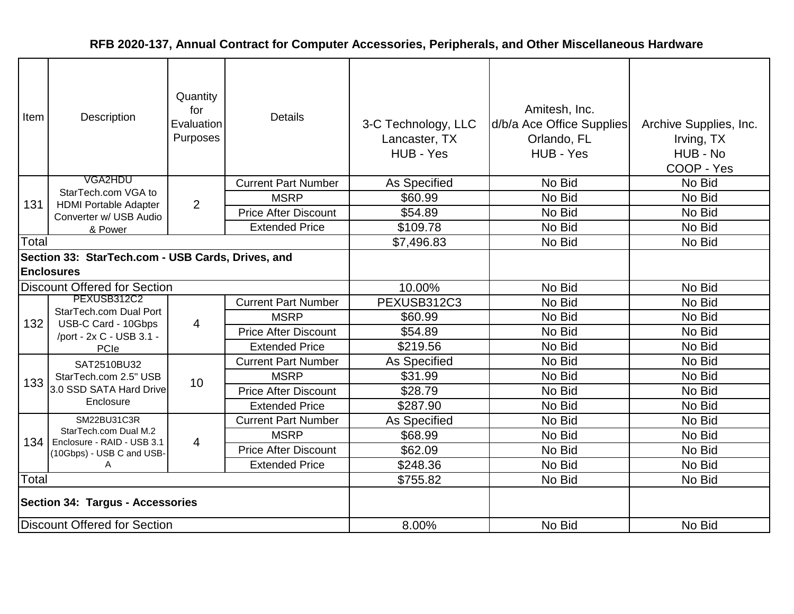| Item                                                                   | Description                                               | Quantity<br>for<br>Evaluation<br>Purposes | <b>Details</b>              | 3-C Technology, LLC<br>Lancaster, TX<br>HUB - Yes | Amitesh, Inc.<br>d/b/a Ace Office Supplies<br>Orlando, FL<br>HUB - Yes | Archive Supplies, Inc.<br>Irving, TX<br>HUB - No<br>COOP - Yes |
|------------------------------------------------------------------------|-----------------------------------------------------------|-------------------------------------------|-----------------------------|---------------------------------------------------|------------------------------------------------------------------------|----------------------------------------------------------------|
|                                                                        | VGA2HDU                                                   |                                           | <b>Current Part Number</b>  | As Specified                                      | No Bid                                                                 | No Bid                                                         |
| 131                                                                    | StarTech.com VGA to<br><b>HDMI Portable Adapter</b>       | 2                                         | <b>MSRP</b>                 | \$60.99                                           | No Bid                                                                 | No Bid                                                         |
|                                                                        | Converter w/ USB Audio                                    |                                           | <b>Price After Discount</b> | \$54.89                                           | No Bid                                                                 | No Bid                                                         |
|                                                                        | & Power                                                   |                                           | <b>Extended Price</b>       | \$109.78                                          | No Bid                                                                 | No Bid                                                         |
| Total                                                                  |                                                           |                                           |                             | \$7,496.83                                        | No Bid                                                                 | No Bid                                                         |
| Section 33: StarTech.com - USB Cards, Drives, and<br><b>Enclosures</b> |                                                           |                                           |                             |                                                   |                                                                        |                                                                |
|                                                                        | <b>Discount Offered for Section</b>                       |                                           |                             | 10.00%                                            | No Bid                                                                 | No Bid                                                         |
|                                                                        | PEXUSB312C2                                               |                                           | <b>Current Part Number</b>  | PEXUSB312C3                                       | No Bid                                                                 | No Bid                                                         |
| 132                                                                    | StarTech.com Dual Port<br>USB-C Card - 10Gbps             | $\overline{4}$                            | <b>MSRP</b>                 | \$60.99                                           | No Bid                                                                 | No Bid                                                         |
|                                                                        | /port - 2x C - USB 3.1 -                                  |                                           | <b>Price After Discount</b> | \$54.89                                           | No Bid                                                                 | No Bid                                                         |
|                                                                        | PCIe                                                      |                                           | <b>Extended Price</b>       | \$219.56                                          | No Bid                                                                 | No Bid                                                         |
|                                                                        | SAT2510BU32                                               |                                           | <b>Current Part Number</b>  | As Specified                                      | No Bid                                                                 | No Bid                                                         |
| 133                                                                    | StarTech.com 2.5" USB                                     | 10                                        | <b>MSRP</b>                 | \$31.99                                           | No Bid                                                                 | No Bid                                                         |
|                                                                        | 3.0 SSD SATA Hard Drive                                   |                                           | <b>Price After Discount</b> | \$28.79                                           | No Bid                                                                 | No Bid                                                         |
|                                                                        | Enclosure                                                 |                                           | <b>Extended Price</b>       | \$287.90                                          | No Bid                                                                 | No Bid                                                         |
|                                                                        | SM22BU31C3R                                               |                                           | <b>Current Part Number</b>  | As Specified                                      | No Bid                                                                 | No Bid                                                         |
|                                                                        | StarTech.com Dual M.2<br>134   Enclosure - RAID - USB 3.1 | $\overline{4}$                            | <b>MSRP</b>                 | \$68.99                                           | No Bid                                                                 | No Bid                                                         |
|                                                                        | (10Gbps) - USB C and USB-                                 |                                           | <b>Price After Discount</b> | \$62.09                                           | No Bid                                                                 | No Bid                                                         |
|                                                                        | A                                                         |                                           | <b>Extended Price</b>       | \$248.36                                          | No Bid                                                                 | No Bid                                                         |
| Total                                                                  |                                                           |                                           |                             | \$755.82                                          | No Bid                                                                 | No Bid                                                         |
| <b>Section 34: Targus - Accessories</b>                                |                                                           |                                           |                             |                                                   |                                                                        |                                                                |
| <b>Discount Offered for Section</b>                                    |                                                           |                                           |                             | 8.00%                                             | No Bid                                                                 | No Bid                                                         |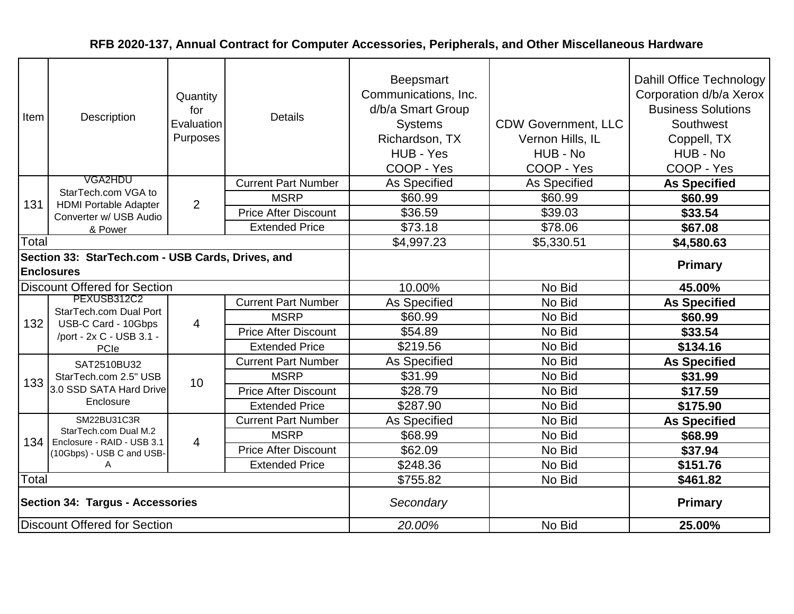| Item                                    | Description                                                               | Quantity<br>for<br>Evaluation<br>Purposes | <b>Details</b>              | <b>Beepsmart</b><br>Communications, Inc.<br>d/b/a Smart Group<br><b>Systems</b><br>Richardson, TX<br>HUB - Yes<br>COOP - Yes | <b>CDW Government, LLC</b><br>Vernon Hills, IL<br>HUB - No<br>COOP - Yes | Dahill Office Technology<br>Corporation d/b/a Xerox<br><b>Business Solutions</b><br>Southwest<br>Coppell, TX<br>HUB - No<br>COOP - Yes |
|-----------------------------------------|---------------------------------------------------------------------------|-------------------------------------------|-----------------------------|------------------------------------------------------------------------------------------------------------------------------|--------------------------------------------------------------------------|----------------------------------------------------------------------------------------------------------------------------------------|
|                                         | VGA2HDU                                                                   |                                           | <b>Current Part Number</b>  | As Specified                                                                                                                 | As Specified                                                             | <b>As Specified</b>                                                                                                                    |
| 131                                     | StarTech.com VGA to<br><b>HDMI Portable Adapter</b>                       | $\overline{2}$                            | <b>MSRP</b>                 | \$60.99                                                                                                                      | \$60.99                                                                  | \$60.99                                                                                                                                |
|                                         | Converter w/ USB Audio                                                    |                                           | <b>Price After Discount</b> | \$36.59                                                                                                                      | \$39.03                                                                  | \$33.54                                                                                                                                |
|                                         | & Power                                                                   |                                           | <b>Extended Price</b>       | \$73.18                                                                                                                      | \$78.06                                                                  | \$67.08                                                                                                                                |
| Total                                   |                                                                           |                                           |                             | \$4,997.23                                                                                                                   | \$5,330.51                                                               | \$4,580.63                                                                                                                             |
|                                         | Section 33: StarTech.com - USB Cards, Drives, and<br><b>Enclosures</b>    |                                           |                             |                                                                                                                              |                                                                          | <b>Primary</b>                                                                                                                         |
|                                         | <b>Discount Offered for Section</b>                                       |                                           |                             | 10.00%                                                                                                                       | No Bid                                                                   | 45.00%                                                                                                                                 |
|                                         | PEXUSB312C2                                                               |                                           | <b>Current Part Number</b>  | As Specified                                                                                                                 | No Bid                                                                   | <b>As Specified</b>                                                                                                                    |
| 132                                     | StarTech.com Dual Port<br>USB-C Card - 10Gbps<br>/port - 2x C - USB 3.1 - | $\overline{4}$                            | <b>MSRP</b>                 | \$60.99                                                                                                                      | No Bid                                                                   | \$60.99                                                                                                                                |
|                                         |                                                                           |                                           | <b>Price After Discount</b> | \$54.89                                                                                                                      | No Bid                                                                   | \$33.54                                                                                                                                |
|                                         | PCle                                                                      |                                           | <b>Extended Price</b>       | \$219.56                                                                                                                     | No Bid                                                                   | \$134.16                                                                                                                               |
|                                         | SAT2510BU32                                                               |                                           | <b>Current Part Number</b>  | <b>As Specified</b>                                                                                                          | No Bid                                                                   | <b>As Specified</b>                                                                                                                    |
| 133                                     | StarTech.com 2.5" USB                                                     | 10                                        | <b>MSRP</b>                 | \$31.99                                                                                                                      | No Bid                                                                   | \$31.99                                                                                                                                |
|                                         | 3.0 SSD SATA Hard Drive                                                   |                                           | <b>Price After Discount</b> | \$28.79                                                                                                                      | No Bid                                                                   | \$17.59                                                                                                                                |
|                                         | Enclosure                                                                 |                                           | <b>Extended Price</b>       | \$287.90                                                                                                                     | No Bid                                                                   | \$175.90                                                                                                                               |
|                                         | SM22BU31C3R                                                               |                                           | <b>Current Part Number</b>  | As Specified                                                                                                                 | No Bid                                                                   | <b>As Specified</b>                                                                                                                    |
| 134 <sup>1</sup>                        | StarTech.com Dual M.2<br>Enclosure - RAID - USB 3.1                       | $\overline{4}$                            | <b>MSRP</b>                 | \$68.99                                                                                                                      | No Bid                                                                   | \$68.99                                                                                                                                |
|                                         | (10Gbps) - USB C and USB-                                                 |                                           | <b>Price After Discount</b> | \$62.09                                                                                                                      | No Bid                                                                   | \$37.94                                                                                                                                |
|                                         | A                                                                         |                                           | <b>Extended Price</b>       | \$248.36                                                                                                                     | No Bid                                                                   | \$151.76                                                                                                                               |
| Total                                   |                                                                           |                                           |                             | \$755.82                                                                                                                     | No Bid                                                                   | \$461.82                                                                                                                               |
| <b>Section 34: Targus - Accessories</b> |                                                                           |                                           |                             | Secondary                                                                                                                    |                                                                          | <b>Primary</b>                                                                                                                         |
|                                         | <b>Discount Offered for Section</b>                                       |                                           |                             | 20.00%                                                                                                                       | No Bid                                                                   | 25.00%                                                                                                                                 |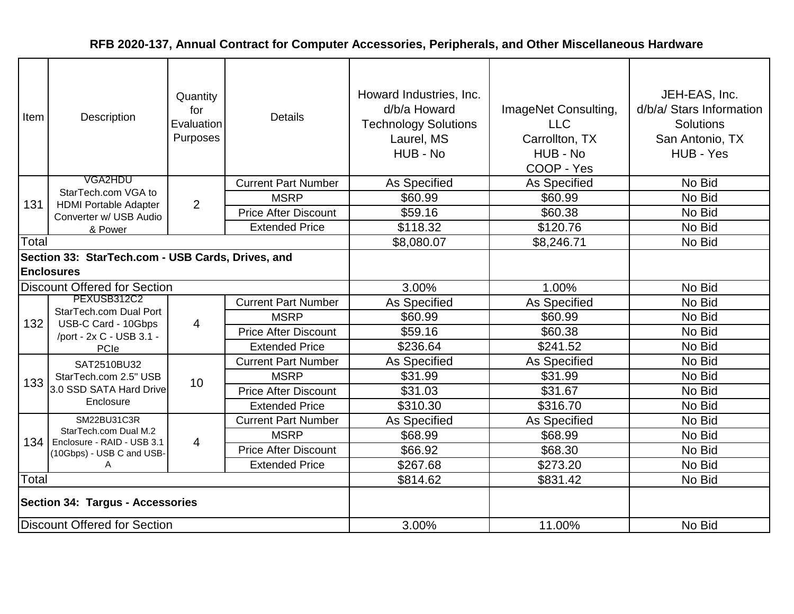| Item                                                                   | Description                                                               | Quantity<br>for<br>Evaluation<br>Purposes | <b>Details</b>              | Howard Industries, Inc.<br>d/b/a Howard<br><b>Technology Solutions</b><br>Laurel, MS<br>HUB - No | ImageNet Consulting,<br><b>LLC</b><br>Carrollton, TX<br>HUB - No<br>COOP - Yes | JEH-EAS, Inc.<br>d/b/a/ Stars Information<br>Solutions<br>San Antonio, TX<br>HUB - Yes |
|------------------------------------------------------------------------|---------------------------------------------------------------------------|-------------------------------------------|-----------------------------|--------------------------------------------------------------------------------------------------|--------------------------------------------------------------------------------|----------------------------------------------------------------------------------------|
|                                                                        | VGA2HDU                                                                   |                                           | <b>Current Part Number</b>  | As Specified                                                                                     | As Specified                                                                   | No Bid                                                                                 |
| 131                                                                    | StarTech.com VGA to<br><b>HDMI Portable Adapter</b>                       | $\overline{2}$                            | <b>MSRP</b>                 | \$60.99                                                                                          | \$60.99                                                                        | No Bid                                                                                 |
|                                                                        | Converter w/ USB Audio                                                    |                                           | <b>Price After Discount</b> | \$59.16                                                                                          | \$60.38                                                                        | No Bid                                                                                 |
|                                                                        | & Power                                                                   |                                           | <b>Extended Price</b>       | \$118.32                                                                                         | \$120.76                                                                       | No Bid                                                                                 |
| Total                                                                  |                                                                           |                                           |                             | \$8,080.07                                                                                       | \$8,246.71                                                                     | No Bid                                                                                 |
| Section 33: StarTech.com - USB Cards, Drives, and<br><b>Enclosures</b> |                                                                           |                                           |                             |                                                                                                  |                                                                                |                                                                                        |
|                                                                        | <b>Discount Offered for Section</b>                                       |                                           |                             | 3.00%                                                                                            | 1.00%                                                                          | No Bid                                                                                 |
|                                                                        | PEXUSB312C2                                                               |                                           | <b>Current Part Number</b>  | As Specified                                                                                     | As Specified                                                                   | No Bid                                                                                 |
| 132                                                                    | StarTech.com Dual Port<br>USB-C Card - 10Gbps<br>/port - 2x C - USB 3.1 - | $\overline{4}$                            | <b>MSRP</b>                 | \$60.99                                                                                          | \$60.99                                                                        | No Bid                                                                                 |
|                                                                        |                                                                           |                                           | <b>Price After Discount</b> | \$59.16                                                                                          | \$60.38                                                                        | No Bid                                                                                 |
|                                                                        | PCle                                                                      |                                           | <b>Extended Price</b>       | \$236.64                                                                                         | \$241.52                                                                       | No Bid                                                                                 |
|                                                                        | SAT2510BU32                                                               | 10                                        | <b>Current Part Number</b>  | <b>As Specified</b>                                                                              | As Specified                                                                   | No Bid                                                                                 |
| 133                                                                    | StarTech.com 2.5" USB                                                     |                                           | <b>MSRP</b>                 | \$31.99                                                                                          | \$31.99                                                                        | No Bid                                                                                 |
|                                                                        | 3.0 SSD SATA Hard Drive                                                   |                                           | <b>Price After Discount</b> | \$31.03                                                                                          | \$31.67                                                                        | No Bid                                                                                 |
|                                                                        | Enclosure                                                                 |                                           | <b>Extended Price</b>       | \$310.30                                                                                         | \$316.70                                                                       | No Bid                                                                                 |
|                                                                        | SM22BU31C3R                                                               |                                           | <b>Current Part Number</b>  | <b>As Specified</b>                                                                              | As Specified                                                                   | No Bid                                                                                 |
|                                                                        | StarTech.com Dual M.2<br>134   Enclosure - RAID - USB 3.1                 | 4                                         | <b>MSRP</b>                 | \$68.99                                                                                          | \$68.99                                                                        | No Bid                                                                                 |
|                                                                        | (10Gbps) - USB C and USB-                                                 |                                           | <b>Price After Discount</b> | \$66.92                                                                                          | \$68.30                                                                        | No Bid                                                                                 |
|                                                                        | A                                                                         |                                           | <b>Extended Price</b>       | \$267.68                                                                                         | \$273.20                                                                       | No Bid                                                                                 |
| Total                                                                  |                                                                           |                                           |                             | \$814.62                                                                                         | \$831.42                                                                       | No Bid                                                                                 |
| <b>Section 34: Targus - Accessories</b>                                |                                                                           |                                           |                             |                                                                                                  |                                                                                |                                                                                        |
| Discount Offered for Section                                           |                                                                           |                                           |                             | 3.00%                                                                                            | 11.00%                                                                         | No Bid                                                                                 |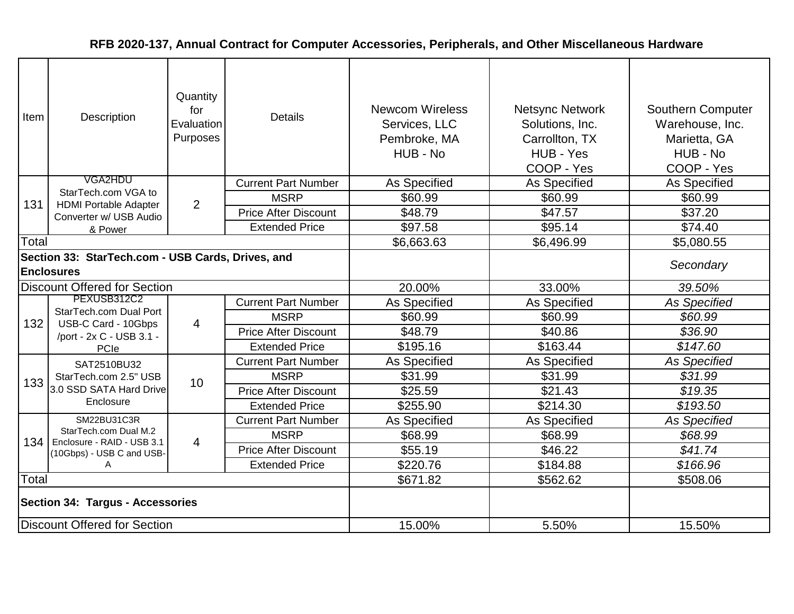| Item                                                                   | Description                                                               | Quantity<br>for<br>Evaluation<br>Purposes | <b>Details</b>              | <b>Newcom Wireless</b><br>Services, LLC<br>Pembroke, MA<br>HUB - No | <b>Netsync Network</b><br>Solutions, Inc.<br>Carrollton, TX<br>HUB - Yes<br>COOP - Yes | Southern Computer<br>Warehouse, Inc.<br>Marietta, GA<br>HUB - No<br>COOP - Yes |
|------------------------------------------------------------------------|---------------------------------------------------------------------------|-------------------------------------------|-----------------------------|---------------------------------------------------------------------|----------------------------------------------------------------------------------------|--------------------------------------------------------------------------------|
|                                                                        | VGA2HDU                                                                   |                                           | <b>Current Part Number</b>  | As Specified                                                        | As Specified                                                                           | As Specified                                                                   |
| 131                                                                    | StarTech.com VGA to<br><b>HDMI Portable Adapter</b>                       |                                           | <b>MSRP</b>                 | \$60.99                                                             | \$60.99                                                                                | \$60.99                                                                        |
|                                                                        | Converter w/ USB Audio                                                    | $\overline{2}$                            | <b>Price After Discount</b> | \$48.79                                                             | \$47.57                                                                                | \$37.20                                                                        |
|                                                                        | & Power                                                                   |                                           | <b>Extended Price</b>       | \$97.58                                                             | \$95.14                                                                                | \$74.40                                                                        |
| Total                                                                  |                                                                           |                                           |                             | \$6,663.63                                                          | \$6,496.99                                                                             | \$5,080.55                                                                     |
| Section 33: StarTech.com - USB Cards, Drives, and<br><b>Enclosures</b> |                                                                           |                                           |                             |                                                                     |                                                                                        | Secondary                                                                      |
|                                                                        | <b>Discount Offered for Section</b>                                       |                                           |                             | 20.00%                                                              | 33.00%                                                                                 | 39.50%                                                                         |
|                                                                        | PEXUSB312C2                                                               |                                           | <b>Current Part Number</b>  | As Specified                                                        | As Specified                                                                           | <b>As Specified</b>                                                            |
| 132                                                                    | StarTech.com Dual Port<br>USB-C Card - 10Gbps<br>/port - 2x C - USB 3.1 - | $\overline{4}$                            | <b>MSRP</b>                 | \$60.99                                                             | \$60.99                                                                                | \$60.99                                                                        |
|                                                                        |                                                                           |                                           | <b>Price After Discount</b> | \$48.79                                                             | \$40.86                                                                                | \$36.90                                                                        |
|                                                                        | PCle                                                                      |                                           | <b>Extended Price</b>       | \$195.16                                                            | \$163.44                                                                               | \$147.60                                                                       |
|                                                                        | SAT2510BU32                                                               |                                           | <b>Current Part Number</b>  | As Specified                                                        | As Specified                                                                           | <b>As Specified</b>                                                            |
| 133                                                                    | StarTech.com 2.5" USB                                                     | 10                                        | <b>MSRP</b>                 | \$31.99                                                             | \$31.99                                                                                | \$31.99                                                                        |
|                                                                        | 3.0 SSD SATA Hard Drive                                                   |                                           | <b>Price After Discount</b> | \$25.59                                                             | \$21.43                                                                                | \$19.35                                                                        |
|                                                                        | Enclosure                                                                 |                                           | <b>Extended Price</b>       | \$255.90                                                            | \$214.30                                                                               | \$193.50                                                                       |
|                                                                        | SM22BU31C3R                                                               |                                           | <b>Current Part Number</b>  | As Specified                                                        | <b>As Specified</b>                                                                    | <b>As Specified</b>                                                            |
|                                                                        | StarTech.com Dual M.2<br>134   Enclosure - RAID - USB 3.1                 | $\overline{4}$                            | <b>MSRP</b>                 | \$68.99                                                             | \$68.99                                                                                | \$68.99                                                                        |
|                                                                        | (10Gbps) - USB C and USB-                                                 |                                           | <b>Price After Discount</b> | \$55.19                                                             | \$46.22                                                                                | \$41.74                                                                        |
|                                                                        | A                                                                         |                                           | <b>Extended Price</b>       | \$220.76                                                            | \$184.88                                                                               | \$166.96                                                                       |
| Total                                                                  |                                                                           |                                           |                             | \$671.82                                                            | \$562.62                                                                               | \$508.06                                                                       |
| <b>Section 34: Targus - Accessories</b>                                |                                                                           |                                           |                             |                                                                     |                                                                                        |                                                                                |
| <b>Discount Offered for Section</b>                                    |                                                                           |                                           |                             | 15.00%                                                              | 5.50%                                                                                  | 15.50%                                                                         |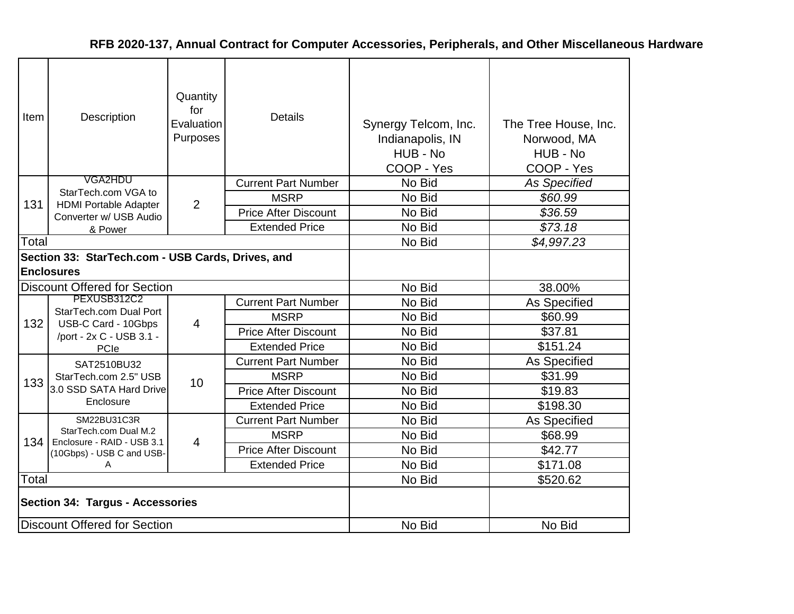| Item  | Description                                                            | Quantity<br>for<br>Evaluation<br>Purposes | <b>Details</b>              | Synergy Telcom, Inc.<br>Indianapolis, IN<br>HUB - No<br>COOP - Yes | The Tree House, Inc.<br>Norwood, MA<br>HUB - No<br>COOP - Yes |
|-------|------------------------------------------------------------------------|-------------------------------------------|-----------------------------|--------------------------------------------------------------------|---------------------------------------------------------------|
|       | VGA2HDU                                                                |                                           | <b>Current Part Number</b>  | No Bid                                                             | <b>As Specified</b>                                           |
|       | StarTech.com VGA to                                                    |                                           | <b>MSRP</b>                 | No Bid                                                             | \$60.99                                                       |
| 131   | <b>HDMI Portable Adapter</b><br>Converter w/ USB Audio                 | $\overline{2}$                            | <b>Price After Discount</b> | No Bid                                                             | \$36.59                                                       |
|       | & Power                                                                |                                           | <b>Extended Price</b>       | No Bid                                                             | \$73.18                                                       |
| Total |                                                                        |                                           |                             | No Bid                                                             | \$4,997.23                                                    |
|       | Section 33: StarTech.com - USB Cards, Drives, and<br><b>Enclosures</b> |                                           |                             |                                                                    |                                                               |
|       | <b>Discount Offered for Section</b>                                    |                                           |                             | No Bid                                                             | 38.00%                                                        |
|       | PEXUSB312C2                                                            | $\overline{4}$                            | <b>Current Part Number</b>  | No Bid                                                             | As Specified                                                  |
| 132   | StarTech.com Dual Port<br>USB-C Card - 10Gbps                          |                                           | <b>MSRP</b>                 | No Bid                                                             | \$60.99                                                       |
|       | /port - 2x C - USB 3.1 -                                               |                                           | <b>Price After Discount</b> | No Bid                                                             | \$37.81                                                       |
|       | PCle                                                                   |                                           | <b>Extended Price</b>       | No Bid                                                             | \$151.24                                                      |
|       | SAT2510BU32                                                            |                                           | <b>Current Part Number</b>  | No Bid                                                             | As Specified                                                  |
| 133   | StarTech.com 2.5" USB                                                  | 10                                        | <b>MSRP</b>                 | No Bid                                                             | \$31.99                                                       |
|       | 3.0 SSD SATA Hard Drive                                                |                                           | <b>Price After Discount</b> | No Bid                                                             | \$19.83                                                       |
|       | Enclosure                                                              |                                           | <b>Extended Price</b>       | No Bid                                                             | \$198.30                                                      |
|       | SM22BU31C3R                                                            |                                           | <b>Current Part Number</b>  | No Bid                                                             | As Specified                                                  |
| 134   | StarTech.com Dual M.2<br>Enclosure - RAID - USB 3.1                    | $\overline{4}$                            | <b>MSRP</b>                 | No Bid                                                             | \$68.99                                                       |
|       | (10Gbps) - USB C and USB-                                              |                                           | <b>Price After Discount</b> | No Bid                                                             | \$42.77                                                       |
|       | A                                                                      |                                           | <b>Extended Price</b>       | No Bid                                                             | \$171.08                                                      |
| Total |                                                                        |                                           |                             | No Bid                                                             | \$520.62                                                      |
|       | <b>Section 34: Targus - Accessories</b>                                |                                           |                             |                                                                    |                                                               |
|       | <b>Discount Offered for Section</b>                                    |                                           |                             | No Bid                                                             | No Bid                                                        |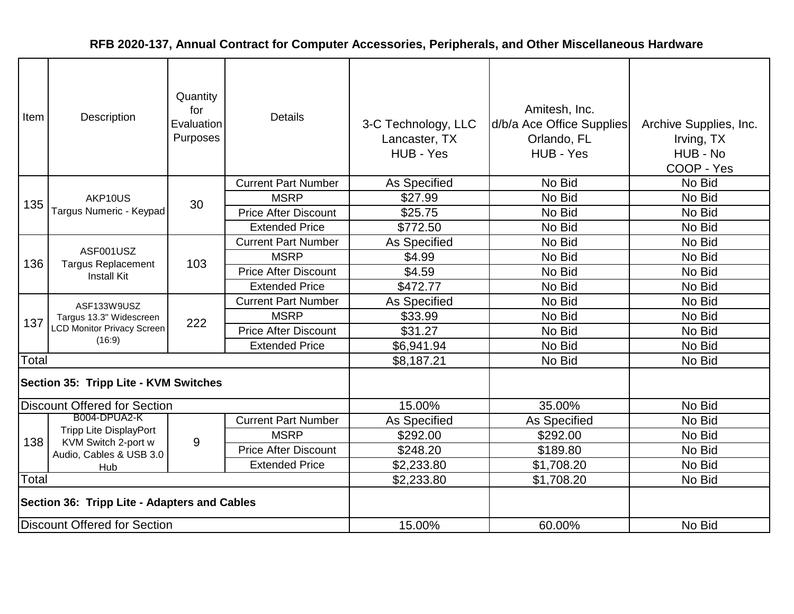| Item                                | Description                                                                           | Quantity<br>for<br>Evaluation<br>Purposes | <b>Details</b>              | 3-C Technology, LLC<br>Lancaster, TX<br>HUB - Yes | Amitesh, Inc.<br>d/b/a Ace Office Supplies<br>Orlando, FL<br>HUB - Yes | Archive Supplies, Inc.<br>Irving, TX<br>HUB - No<br>COOP - Yes |
|-------------------------------------|---------------------------------------------------------------------------------------|-------------------------------------------|-----------------------------|---------------------------------------------------|------------------------------------------------------------------------|----------------------------------------------------------------|
|                                     |                                                                                       |                                           | <b>Current Part Number</b>  | As Specified                                      | No Bid                                                                 | No Bid                                                         |
| 135                                 | AKP10US                                                                               | 30                                        | <b>MSRP</b>                 | \$27.99                                           | No Bid                                                                 | No Bid                                                         |
|                                     | Targus Numeric - Keypad                                                               |                                           | <b>Price After Discount</b> | \$25.75                                           | No Bid                                                                 | No Bid                                                         |
|                                     |                                                                                       |                                           | <b>Extended Price</b>       | \$772.50                                          | No Bid                                                                 | No Bid                                                         |
|                                     |                                                                                       |                                           | <b>Current Part Number</b>  | <b>As Specified</b>                               | No Bid                                                                 | No Bid                                                         |
| 136                                 | ASF001USZ<br><b>Targus Replacement</b><br><b>Install Kit</b>                          | 103                                       | <b>MSRP</b>                 | \$4.99                                            | No Bid                                                                 | No Bid                                                         |
|                                     |                                                                                       |                                           | <b>Price After Discount</b> | \$4.59                                            | No Bid                                                                 | No Bid                                                         |
|                                     |                                                                                       |                                           | <b>Extended Price</b>       | \$472.77                                          | No Bid                                                                 | No Bid                                                         |
|                                     | ASF133W9USZ<br>Targus 13.3" Widescreen<br><b>LCD Monitor Privacy Screen</b><br>(16:9) | 222                                       | <b>Current Part Number</b>  | As Specified                                      | No Bid                                                                 | No Bid                                                         |
| 137                                 |                                                                                       |                                           | <b>MSRP</b>                 | \$33.99                                           | No Bid                                                                 | No Bid                                                         |
|                                     |                                                                                       |                                           | <b>Price After Discount</b> | \$31.27                                           | No Bid                                                                 | No Bid                                                         |
|                                     |                                                                                       |                                           | <b>Extended Price</b>       | \$6,941.94                                        | No Bid                                                                 | No Bid                                                         |
| Total                               |                                                                                       |                                           |                             | \$8,187.21                                        | No Bid                                                                 | No Bid                                                         |
|                                     | Section 35: Tripp Lite - KVM Switches                                                 |                                           |                             |                                                   |                                                                        |                                                                |
|                                     | <b>Discount Offered for Section</b>                                                   |                                           |                             | 15.00%                                            | 35.00%                                                                 | No Bid                                                         |
|                                     | B004-DPUA2-K                                                                          |                                           | <b>Current Part Number</b>  | <b>As Specified</b>                               | As Specified                                                           | No Bid                                                         |
| 138                                 | <b>Tripp Lite DisplayPort</b><br>KVM Switch 2-port w                                  | 9                                         | <b>MSRP</b>                 | \$292.00                                          | \$292.00                                                               | No Bid                                                         |
|                                     | Audio, Cables & USB 3.0                                                               |                                           | <b>Price After Discount</b> | \$248.20                                          | \$189.80                                                               | No Bid                                                         |
|                                     | Hub                                                                                   |                                           | <b>Extended Price</b>       | \$2,233.80                                        | \$1,708.20                                                             | No Bid                                                         |
| Total                               |                                                                                       |                                           |                             | \$2,233.80                                        | \$1,708.20                                                             | No Bid                                                         |
|                                     | Section 36: Tripp Lite - Adapters and Cables                                          |                                           |                             |                                                   |                                                                        |                                                                |
| <b>Discount Offered for Section</b> |                                                                                       |                                           |                             | 15.00%                                            | 60.00%                                                                 | No Bid                                                         |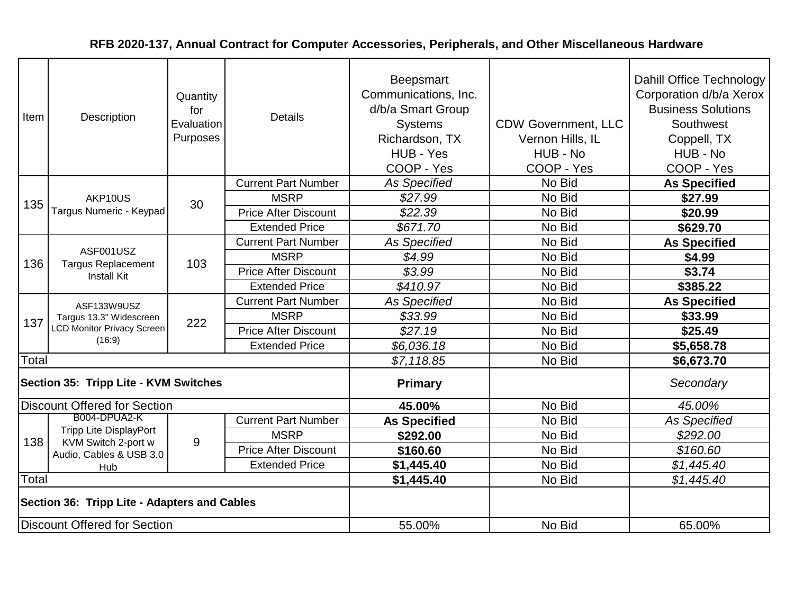| Item  | Description                                                                           | Quantity<br>for<br>Evaluation<br>Purposes | <b>Details</b>              | Beepsmart<br>Communications, Inc.<br>d/b/a Smart Group<br><b>Systems</b><br>Richardson, TX<br>HUB - Yes<br>COOP - Yes | <b>CDW Government, LLC</b><br>Vernon Hills, IL<br>HUB - No<br>COOP - Yes | Dahill Office Technology<br>Corporation d/b/a Xerox<br><b>Business Solutions</b><br>Southwest<br>Coppell, TX<br>HUB - No<br>COOP - Yes |
|-------|---------------------------------------------------------------------------------------|-------------------------------------------|-----------------------------|-----------------------------------------------------------------------------------------------------------------------|--------------------------------------------------------------------------|----------------------------------------------------------------------------------------------------------------------------------------|
|       |                                                                                       |                                           | <b>Current Part Number</b>  | <b>As Specified</b>                                                                                                   | No Bid                                                                   | <b>As Specified</b>                                                                                                                    |
| 135   | AKP10US                                                                               | 30                                        | <b>MSRP</b>                 | \$27.99                                                                                                               | No Bid                                                                   | \$27.99                                                                                                                                |
|       | Targus Numeric - Keypad                                                               |                                           | <b>Price After Discount</b> | \$22.39                                                                                                               | No Bid                                                                   | \$20.99                                                                                                                                |
|       |                                                                                       |                                           | <b>Extended Price</b>       | \$671.70                                                                                                              | No Bid                                                                   | \$629.70                                                                                                                               |
|       |                                                                                       |                                           | <b>Current Part Number</b>  | <b>As Specified</b>                                                                                                   | No Bid                                                                   | <b>As Specified</b>                                                                                                                    |
| 136   | ASF001USZ<br><b>Targus Replacement</b><br><b>Install Kit</b>                          | 103                                       | <b>MSRP</b>                 | \$4.99                                                                                                                | No Bid                                                                   | \$4.99                                                                                                                                 |
|       |                                                                                       |                                           | <b>Price After Discount</b> | \$3.99                                                                                                                | No Bid                                                                   | \$3.74                                                                                                                                 |
|       |                                                                                       |                                           | <b>Extended Price</b>       | \$410.97                                                                                                              | No Bid                                                                   | \$385.22                                                                                                                               |
|       | ASF133W9USZ<br>Targus 13.3" Widescreen<br><b>LCD Monitor Privacy Screen</b><br>(16:9) | 222                                       | <b>Current Part Number</b>  | <b>As Specified</b>                                                                                                   | No Bid                                                                   | <b>As Specified</b>                                                                                                                    |
| 137   |                                                                                       |                                           | <b>MSRP</b>                 | \$33.99                                                                                                               | No Bid                                                                   | \$33.99                                                                                                                                |
|       |                                                                                       |                                           | <b>Price After Discount</b> | \$27.19                                                                                                               | No Bid                                                                   | \$25.49                                                                                                                                |
|       |                                                                                       |                                           | <b>Extended Price</b>       | \$6,036.18                                                                                                            | No Bid                                                                   | \$5,658.78                                                                                                                             |
| Total |                                                                                       |                                           |                             | \$7,118.85                                                                                                            | No Bid                                                                   | \$6,673.70                                                                                                                             |
|       | Section 35: Tripp Lite - KVM Switches                                                 |                                           |                             | <b>Primary</b>                                                                                                        |                                                                          | Secondary                                                                                                                              |
|       | <b>Discount Offered for Section</b>                                                   |                                           |                             | 45.00%                                                                                                                | No Bid                                                                   | 45.00%                                                                                                                                 |
|       | B004-DPUA2-K                                                                          |                                           | <b>Current Part Number</b>  | <b>As Specified</b>                                                                                                   | No Bid                                                                   | <b>As Specified</b>                                                                                                                    |
| 138   | <b>Tripp Lite DisplayPort</b><br>KVM Switch 2-port w                                  | 9                                         | <b>MSRP</b>                 | \$292.00                                                                                                              | No Bid                                                                   | \$292.00                                                                                                                               |
|       | Audio, Cables & USB 3.0                                                               |                                           | <b>Price After Discount</b> | \$160.60                                                                                                              | No Bid                                                                   | \$160.60                                                                                                                               |
|       | Hub                                                                                   |                                           | <b>Extended Price</b>       | \$1,445.40                                                                                                            | No Bid                                                                   | \$1,445.40                                                                                                                             |
| Total |                                                                                       |                                           |                             | \$1,445.40                                                                                                            | No Bid                                                                   | \$1,445.40                                                                                                                             |
|       | Section 36: Tripp Lite - Adapters and Cables                                          |                                           |                             |                                                                                                                       |                                                                          |                                                                                                                                        |
|       | <b>Discount Offered for Section</b>                                                   |                                           |                             | 55.00%                                                                                                                | No Bid                                                                   | 65.00%                                                                                                                                 |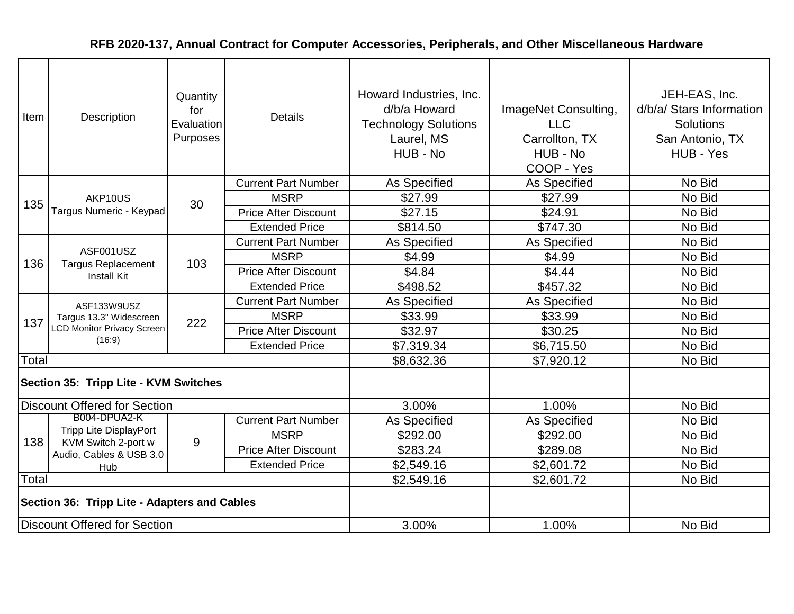| Item                                | Description                                                                           | Quantity<br>for<br>Evaluation<br>Purposes | <b>Details</b>              | Howard Industries, Inc.<br>d/b/a Howard<br><b>Technology Solutions</b><br>Laurel, MS<br>HUB - No | ImageNet Consulting,<br><b>LLC</b><br>Carrollton, TX<br>HUB - No<br>COOP - Yes | JEH-EAS, Inc.<br>d/b/a/ Stars Information<br><b>Solutions</b><br>San Antonio, TX<br>HUB - Yes |
|-------------------------------------|---------------------------------------------------------------------------------------|-------------------------------------------|-----------------------------|--------------------------------------------------------------------------------------------------|--------------------------------------------------------------------------------|-----------------------------------------------------------------------------------------------|
|                                     |                                                                                       |                                           | <b>Current Part Number</b>  | As Specified                                                                                     | As Specified                                                                   | No Bid                                                                                        |
| 135                                 | AKP10US                                                                               | 30                                        | <b>MSRP</b>                 | \$27.99                                                                                          | \$27.99                                                                        | No Bid                                                                                        |
|                                     | Targus Numeric - Keypad                                                               |                                           | <b>Price After Discount</b> | \$27.15                                                                                          | \$24.91                                                                        | No Bid                                                                                        |
|                                     |                                                                                       |                                           | <b>Extended Price</b>       | \$814.50                                                                                         | \$747.30                                                                       | No Bid                                                                                        |
|                                     |                                                                                       |                                           | <b>Current Part Number</b>  | As Specified                                                                                     | As Specified                                                                   | No Bid                                                                                        |
| 136                                 | ASF001USZ<br><b>Targus Replacement</b><br><b>Install Kit</b>                          | 103                                       | <b>MSRP</b>                 | \$4.99                                                                                           | \$4.99                                                                         | No Bid                                                                                        |
|                                     |                                                                                       |                                           | <b>Price After Discount</b> | \$4.84                                                                                           | \$4.44                                                                         | No Bid                                                                                        |
|                                     |                                                                                       |                                           | <b>Extended Price</b>       | \$498.52                                                                                         | \$457.32                                                                       | No Bid                                                                                        |
|                                     | ASF133W9USZ<br>Targus 13.3" Widescreen<br><b>LCD Monitor Privacy Screen</b><br>(16:9) |                                           | <b>Current Part Number</b>  | As Specified                                                                                     | As Specified                                                                   | No Bid                                                                                        |
| 137                                 |                                                                                       | 222                                       | <b>MSRP</b>                 | \$33.99                                                                                          | \$33.99                                                                        | No Bid                                                                                        |
|                                     |                                                                                       |                                           | <b>Price After Discount</b> | \$32.97                                                                                          | \$30.25                                                                        | No Bid                                                                                        |
|                                     |                                                                                       |                                           | <b>Extended Price</b>       | \$7,319.34                                                                                       | \$6,715.50                                                                     | No Bid                                                                                        |
| Total                               |                                                                                       |                                           |                             | \$8,632.36                                                                                       | \$7,920.12                                                                     | No Bid                                                                                        |
|                                     | Section 35: Tripp Lite - KVM Switches                                                 |                                           |                             |                                                                                                  |                                                                                |                                                                                               |
|                                     | <b>Discount Offered for Section</b>                                                   |                                           |                             | 3.00%                                                                                            | 1.00%                                                                          | No Bid                                                                                        |
|                                     | B004-DPUA2-K                                                                          |                                           | <b>Current Part Number</b>  | As Specified                                                                                     | <b>As Specified</b>                                                            | No Bid                                                                                        |
| 138                                 | <b>Tripp Lite DisplayPort</b><br>KVM Switch 2-port w                                  | 9                                         | <b>MSRP</b>                 | \$292.00                                                                                         | \$292.00                                                                       | No Bid                                                                                        |
|                                     | Audio, Cables & USB 3.0                                                               |                                           | <b>Price After Discount</b> | \$283.24                                                                                         | \$289.08                                                                       | No Bid                                                                                        |
|                                     | Hub                                                                                   |                                           | <b>Extended Price</b>       | \$2,549.16                                                                                       | \$2,601.72                                                                     | No Bid                                                                                        |
| Total                               |                                                                                       |                                           |                             | \$2,549.16                                                                                       | \$2,601.72                                                                     | No Bid                                                                                        |
|                                     | Section 36: Tripp Lite - Adapters and Cables                                          |                                           |                             |                                                                                                  |                                                                                |                                                                                               |
| <b>Discount Offered for Section</b> |                                                                                       |                                           |                             | 3.00%                                                                                            | 1.00%                                                                          | No Bid                                                                                        |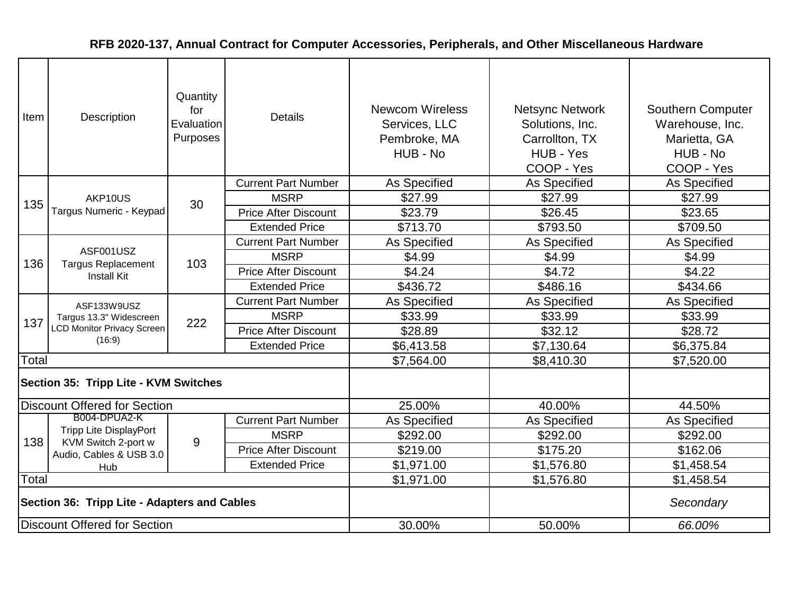| Item                                         | Description                                                                           | Quantity<br>for<br>Evaluation<br>Purposes | <b>Details</b>              | <b>Newcom Wireless</b><br>Services, LLC<br>Pembroke, MA<br>HUB - No | <b>Netsync Network</b><br>Solutions, Inc.<br>Carrollton, TX<br>HUB - Yes<br>COOP - Yes | Southern Computer<br>Warehouse, Inc.<br>Marietta, GA<br>HUB - No<br>COOP - Yes |
|----------------------------------------------|---------------------------------------------------------------------------------------|-------------------------------------------|-----------------------------|---------------------------------------------------------------------|----------------------------------------------------------------------------------------|--------------------------------------------------------------------------------|
|                                              |                                                                                       |                                           | <b>Current Part Number</b>  | As Specified                                                        | As Specified                                                                           | As Specified                                                                   |
| 135                                          | AKP10US                                                                               | 30                                        | <b>MSRP</b>                 | \$27.99                                                             | \$27.99                                                                                | \$27.99                                                                        |
|                                              | Targus Numeric - Keypad                                                               |                                           | <b>Price After Discount</b> | \$23.79                                                             | \$26.45                                                                                | \$23.65                                                                        |
|                                              |                                                                                       |                                           | <b>Extended Price</b>       | \$713.70                                                            | \$793.50                                                                               | \$709.50                                                                       |
|                                              |                                                                                       |                                           | <b>Current Part Number</b>  | As Specified                                                        | <b>As Specified</b>                                                                    | As Specified                                                                   |
| 136                                          | ASF001USZ<br><b>Targus Replacement</b><br><b>Install Kit</b>                          | 103                                       | <b>MSRP</b>                 | \$4.99                                                              | \$4.99                                                                                 | \$4.99                                                                         |
|                                              |                                                                                       |                                           | <b>Price After Discount</b> | \$4.24                                                              | \$4.72                                                                                 | \$4.22                                                                         |
|                                              |                                                                                       |                                           | <b>Extended Price</b>       | \$436.72                                                            | \$486.16                                                                               | \$434.66                                                                       |
|                                              | ASF133W9USZ<br>Targus 13.3" Widescreen<br><b>LCD Monitor Privacy Screen</b><br>(16:9) |                                           | <b>Current Part Number</b>  | As Specified                                                        | As Specified                                                                           | As Specified                                                                   |
| 137                                          |                                                                                       | 222                                       | <b>MSRP</b>                 | \$33.99                                                             | \$33.99                                                                                | \$33.99                                                                        |
|                                              |                                                                                       |                                           | <b>Price After Discount</b> | \$28.89                                                             | \$32.12                                                                                | \$28.72                                                                        |
|                                              |                                                                                       |                                           | <b>Extended Price</b>       | \$6,413.58                                                          | \$7,130.64                                                                             | \$6,375.84                                                                     |
| Total                                        |                                                                                       |                                           |                             | \$7,564.00                                                          | \$8,410.30                                                                             | \$7,520.00                                                                     |
|                                              | Section 35: Tripp Lite - KVM Switches                                                 |                                           |                             |                                                                     |                                                                                        |                                                                                |
|                                              | <b>Discount Offered for Section</b>                                                   |                                           |                             | 25.00%                                                              | 40.00%                                                                                 | 44.50%                                                                         |
|                                              | B004-DPUA2-K                                                                          |                                           | <b>Current Part Number</b>  | <b>As Specified</b>                                                 | <b>As Specified</b>                                                                    | As Specified                                                                   |
| 138                                          | <b>Tripp Lite DisplayPort</b><br>KVM Switch 2-port w                                  | 9                                         | <b>MSRP</b>                 | \$292.00                                                            | \$292.00                                                                               | \$292.00                                                                       |
|                                              | Audio, Cables & USB 3.0                                                               |                                           | <b>Price After Discount</b> | \$219.00                                                            | \$175.20                                                                               | \$162.06                                                                       |
|                                              | Hub                                                                                   |                                           | <b>Extended Price</b>       | \$1,971.00                                                          | \$1,576.80                                                                             | \$1,458.54                                                                     |
| Total                                        |                                                                                       |                                           |                             | \$1,971.00                                                          | \$1,576.80                                                                             | \$1,458.54                                                                     |
| Section 36: Tripp Lite - Adapters and Cables |                                                                                       |                                           |                             |                                                                     |                                                                                        | Secondary                                                                      |
| Discount Offered for Section                 |                                                                                       |                                           |                             | 30.00%                                                              | 50.00%                                                                                 | 66.00%                                                                         |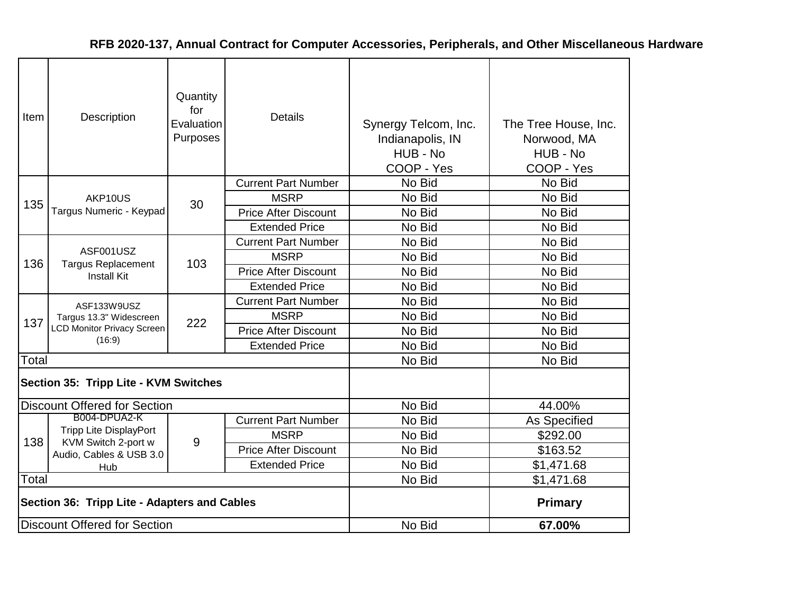| Item  | Description                                                                 | Quantity<br>for<br>Evaluation<br>Purposes | <b>Details</b>              | Synergy Telcom, Inc.<br>Indianapolis, IN<br>HUB - No<br>COOP - Yes | The Tree House, Inc.<br>Norwood, MA<br>HUB - No<br>COOP - Yes |
|-------|-----------------------------------------------------------------------------|-------------------------------------------|-----------------------------|--------------------------------------------------------------------|---------------------------------------------------------------|
|       |                                                                             |                                           | <b>Current Part Number</b>  | No Bid                                                             | No Bid                                                        |
|       | AKP10US                                                                     |                                           | <b>MSRP</b>                 | No Bid                                                             | No Bid                                                        |
| 135   | Targus Numeric - Keypad                                                     | 30                                        | <b>Price After Discount</b> | No Bid                                                             | No Bid                                                        |
|       |                                                                             |                                           | <b>Extended Price</b>       | No Bid                                                             | No Bid                                                        |
|       |                                                                             |                                           | <b>Current Part Number</b>  | No Bid                                                             | No Bid                                                        |
| 136   | ASF001USZ<br><b>Targus Replacement</b><br><b>Install Kit</b>                | 103                                       | <b>MSRP</b>                 | No Bid                                                             | No Bid                                                        |
|       |                                                                             |                                           | <b>Price After Discount</b> | No Bid                                                             | No Bid                                                        |
|       |                                                                             |                                           | <b>Extended Price</b>       | No Bid                                                             | No Bid                                                        |
|       | ASF133W9USZ<br>Targus 13.3" Widescreen<br><b>LCD Monitor Privacy Screen</b> | 222                                       | <b>Current Part Number</b>  | No Bid                                                             | No Bid                                                        |
| 137   |                                                                             |                                           | <b>MSRP</b>                 | No Bid                                                             | No Bid                                                        |
|       |                                                                             |                                           | <b>Price After Discount</b> | No Bid                                                             | No Bid                                                        |
|       | (16:9)                                                                      |                                           | <b>Extended Price</b>       | No Bid                                                             | No Bid                                                        |
| Total |                                                                             |                                           |                             | No Bid                                                             | No Bid                                                        |
|       | Section 35: Tripp Lite - KVM Switches                                       |                                           |                             |                                                                    |                                                               |
|       | <b>Discount Offered for Section</b>                                         |                                           |                             | No Bid                                                             | 44.00%                                                        |
|       | B004-DPUA2-K                                                                |                                           | <b>Current Part Number</b>  | No Bid                                                             | As Specified                                                  |
| 138   | <b>Tripp Lite DisplayPort</b><br>KVM Switch 2-port w                        | 9                                         | <b>MSRP</b>                 | No Bid                                                             | \$292.00                                                      |
|       | Audio, Cables & USB 3.0                                                     |                                           | <b>Price After Discount</b> | No Bid                                                             | \$163.52                                                      |
|       | Hub                                                                         |                                           | <b>Extended Price</b>       | No Bid                                                             | \$1,471.68                                                    |
| Total |                                                                             |                                           |                             | No Bid                                                             | \$1,471.68                                                    |
|       | Section 36: Tripp Lite - Adapters and Cables                                |                                           |                             |                                                                    | <b>Primary</b>                                                |
|       | <b>Discount Offered for Section</b>                                         |                                           |                             | No Bid                                                             | 67.00%                                                        |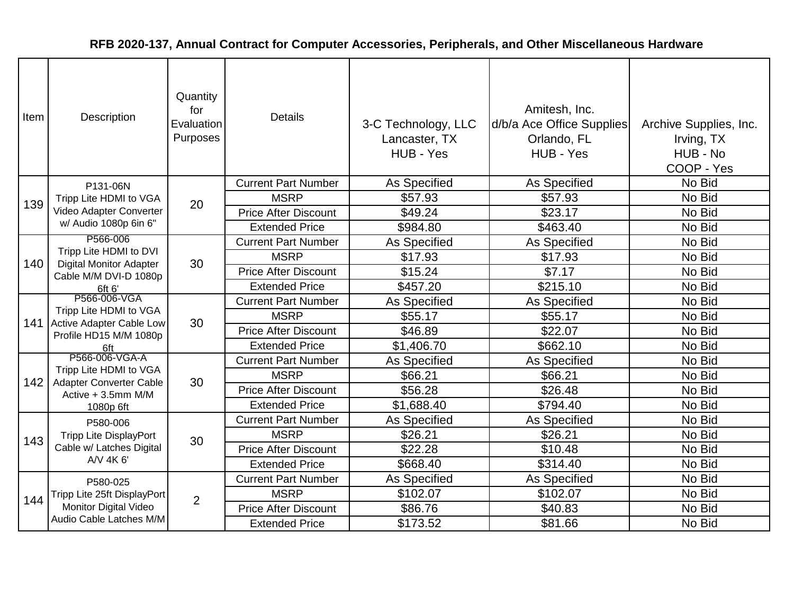| Item | Description                                                                             | Quantity<br>for<br>Evaluation<br>Purposes | <b>Details</b>              | 3-C Technology, LLC<br>Lancaster, TX<br>HUB - Yes | Amitesh, Inc.<br>d/b/a Ace Office Supplies<br>Orlando, FL<br>HUB - Yes | Archive Supplies, Inc.<br>Irving, TX<br>HUB - No<br>COOP - Yes |
|------|-----------------------------------------------------------------------------------------|-------------------------------------------|-----------------------------|---------------------------------------------------|------------------------------------------------------------------------|----------------------------------------------------------------|
|      | P131-06N                                                                                |                                           | <b>Current Part Number</b>  | As Specified                                      | As Specified                                                           | No Bid                                                         |
| 139  | Tripp Lite HDMI to VGA                                                                  | 20                                        | <b>MSRP</b>                 | \$57.93                                           | \$57.93                                                                | No Bid                                                         |
|      | Video Adapter Converter                                                                 |                                           | <b>Price After Discount</b> | \$49.24                                           | \$23.17                                                                | No Bid                                                         |
|      | w/ Audio 1080p 6in 6"                                                                   |                                           | <b>Extended Price</b>       | \$984.80                                          | \$463.40                                                               | No Bid                                                         |
|      | P566-006                                                                                |                                           | <b>Current Part Number</b>  | As Specified                                      | <b>As Specified</b>                                                    | No Bid                                                         |
| 140  | Tripp Lite HDMI to DVI<br><b>Digital Monitor Adapter</b>                                | 30                                        | <b>MSRP</b>                 | \$17.93                                           | \$17.93                                                                | No Bid                                                         |
|      | Cable M/M DVI-D 1080p<br>6ft 6'                                                         |                                           | <b>Price After Discount</b> | \$15.24                                           | \$7.17                                                                 | No Bid                                                         |
|      |                                                                                         |                                           | <b>Extended Price</b>       | \$457.20                                          | \$215.10                                                               | No Bid                                                         |
|      | P566-006-VGA                                                                            | 30                                        | <b>Current Part Number</b>  | As Specified                                      | As Specified                                                           | No Bid                                                         |
|      | Tripp Lite HDMI to VGA<br>141 Active Adapter Cable Low<br>Profile HD15 M/M 1080p<br>6ft |                                           | <b>MSRP</b>                 | \$55.17                                           | \$55.17                                                                | No Bid                                                         |
|      |                                                                                         |                                           | <b>Price After Discount</b> | \$46.89                                           | \$22.07                                                                | No Bid                                                         |
|      |                                                                                         |                                           | <b>Extended Price</b>       | \$1,406.70                                        | \$662.10                                                               | No Bid                                                         |
|      | P566-006-VGA-A                                                                          |                                           | <b>Current Part Number</b>  | As Specified                                      | As Specified                                                           | No Bid                                                         |
| 142  | Tripp Lite HDMI to VGA<br>Adapter Converter Cable                                       | 30                                        | <b>MSRP</b>                 | \$66.21                                           | \$66.21                                                                | No Bid                                                         |
|      | Active + 3.5mm M/M                                                                      |                                           | <b>Price After Discount</b> | \$56.28                                           | \$26.48                                                                | No Bid                                                         |
|      | 1080p 6ft                                                                               |                                           | <b>Extended Price</b>       | \$1,688.40                                        | \$794.40                                                               | No Bid                                                         |
|      | P580-006                                                                                |                                           | <b>Current Part Number</b>  | <b>As Specified</b>                               | <b>As Specified</b>                                                    | No Bid                                                         |
| 143  | <b>Tripp Lite DisplayPort</b>                                                           | 30                                        | <b>MSRP</b>                 | \$26.21                                           | \$26.21                                                                | No Bid                                                         |
|      | Cable w/ Latches Digital                                                                |                                           | <b>Price After Discount</b> | \$22.28                                           | \$10.48                                                                | No Bid                                                         |
|      | A/V 4K 6'                                                                               |                                           | <b>Extended Price</b>       | \$668.40                                          | \$314.40                                                               | No Bid                                                         |
|      | P580-025                                                                                |                                           | <b>Current Part Number</b>  | As Specified                                      | As Specified                                                           | No Bid                                                         |
| 144  | Tripp Lite 25ft DisplayPort                                                             | $\overline{2}$                            | <b>MSRP</b>                 | \$102.07                                          | \$102.07                                                               | No Bid                                                         |
|      | Monitor Digital Video                                                                   |                                           | <b>Price After Discount</b> | \$86.76                                           | \$40.83                                                                | No Bid                                                         |
|      | Audio Cable Latches M/M                                                                 |                                           | <b>Extended Price</b>       | \$173.52                                          | \$81.66                                                                | No Bid                                                         |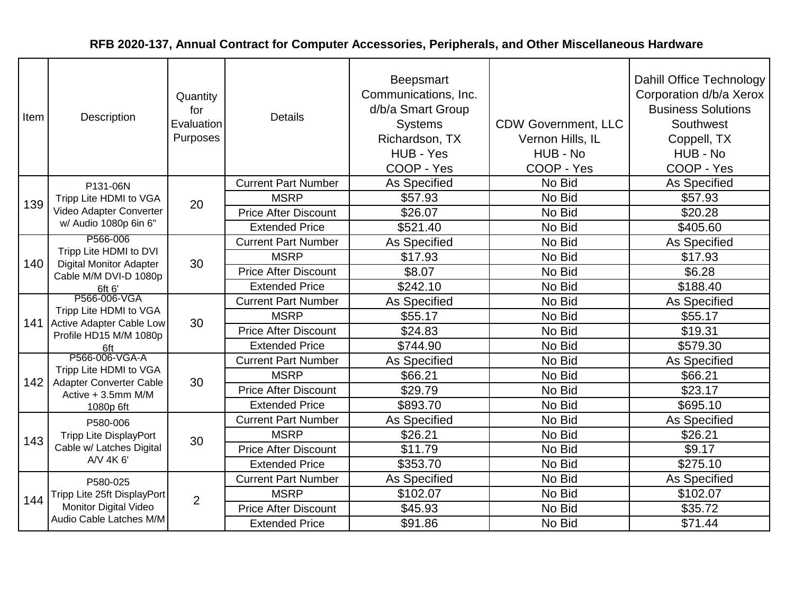| Item | Description                                                                                             | Quantity<br>for<br>Evaluation<br>Purposes | <b>Details</b>              | <b>Beepsmart</b><br>Communications, Inc.<br>d/b/a Smart Group<br><b>Systems</b><br>Richardson, TX<br>HUB - Yes<br>COOP - Yes | <b>CDW Government, LLC</b><br>Vernon Hills, IL<br>HUB - No<br>COOP - Yes | Dahill Office Technology<br>Corporation d/b/a Xerox<br><b>Business Solutions</b><br>Southwest<br>Coppell, TX<br>HUB - No<br>COOP - Yes |
|------|---------------------------------------------------------------------------------------------------------|-------------------------------------------|-----------------------------|------------------------------------------------------------------------------------------------------------------------------|--------------------------------------------------------------------------|----------------------------------------------------------------------------------------------------------------------------------------|
|      | P131-06N                                                                                                |                                           | <b>Current Part Number</b>  | As Specified                                                                                                                 | No Bid                                                                   | <b>As Specified</b>                                                                                                                    |
| 139  | Tripp Lite HDMI to VGA                                                                                  | 20                                        | <b>MSRP</b>                 | \$57.93                                                                                                                      | No Bid                                                                   | \$57.93                                                                                                                                |
|      | Video Adapter Converter                                                                                 |                                           | <b>Price After Discount</b> | \$26.07                                                                                                                      | No Bid                                                                   | \$20.28                                                                                                                                |
|      | w/ Audio 1080p 6in 6"                                                                                   |                                           | <b>Extended Price</b>       | \$521.40                                                                                                                     | No Bid                                                                   | \$405.60                                                                                                                               |
|      | P566-006                                                                                                |                                           | <b>Current Part Number</b>  | As Specified                                                                                                                 | No Bid                                                                   | As Specified                                                                                                                           |
| 140  | Tripp Lite HDMI to DVI<br><b>Digital Monitor Adapter</b>                                                | 30                                        | <b>MSRP</b>                 | \$17.93                                                                                                                      | No Bid                                                                   | \$17.93                                                                                                                                |
|      | Cable M/M DVI-D 1080p<br>6ft 6'                                                                         |                                           | <b>Price After Discount</b> | \$8.07                                                                                                                       | No Bid                                                                   | \$6.28                                                                                                                                 |
|      |                                                                                                         |                                           | <b>Extended Price</b>       | \$242.10                                                                                                                     | No Bid                                                                   | \$188.40                                                                                                                               |
|      | P566-006-VGA<br>Tripp Lite HDMI to VGA<br>141 Active Adapter Cable Low<br>Profile HD15 M/M 1080p<br>6ft | 30                                        | <b>Current Part Number</b>  | As Specified                                                                                                                 | No Bid                                                                   | As Specified                                                                                                                           |
|      |                                                                                                         |                                           | <b>MSRP</b>                 | \$55.17                                                                                                                      | No Bid                                                                   | \$55.17                                                                                                                                |
|      |                                                                                                         |                                           | <b>Price After Discount</b> | \$24.83                                                                                                                      | No Bid                                                                   | \$19.31                                                                                                                                |
|      |                                                                                                         |                                           | <b>Extended Price</b>       | \$744.90                                                                                                                     | No Bid                                                                   | \$579.30                                                                                                                               |
|      | P566-006-VGA-A                                                                                          |                                           | <b>Current Part Number</b>  | As Specified                                                                                                                 | No Bid                                                                   | As Specified                                                                                                                           |
| 142  | Tripp Lite HDMI to VGA<br>Adapter Converter Cable                                                       | 30                                        | <b>MSRP</b>                 | \$66.21                                                                                                                      | No Bid                                                                   | \$66.21                                                                                                                                |
|      | Active + 3.5mm M/M                                                                                      |                                           | <b>Price After Discount</b> | \$29.79                                                                                                                      | No Bid                                                                   | \$23.17                                                                                                                                |
|      | 1080p 6ft                                                                                               |                                           | <b>Extended Price</b>       | \$893.70                                                                                                                     | No Bid                                                                   | \$695.10                                                                                                                               |
|      | P580-006                                                                                                |                                           | <b>Current Part Number</b>  | As Specified                                                                                                                 | No Bid                                                                   | As Specified                                                                                                                           |
| 143  | <b>Tripp Lite DisplayPort</b>                                                                           | 30                                        | <b>MSRP</b>                 | \$26.21                                                                                                                      | No Bid                                                                   | \$26.21                                                                                                                                |
|      | Cable w/ Latches Digital                                                                                |                                           | <b>Price After Discount</b> | \$11.79                                                                                                                      | No Bid                                                                   | \$9.17                                                                                                                                 |
|      | A/V 4K 6'                                                                                               |                                           | <b>Extended Price</b>       | \$353.70                                                                                                                     | No Bid                                                                   | \$275.10                                                                                                                               |
|      | P580-025                                                                                                |                                           | <b>Current Part Number</b>  | As Specified                                                                                                                 | No Bid                                                                   | As Specified                                                                                                                           |
| 144  | Tripp Lite 25ft DisplayPort                                                                             | $\overline{2}$                            | <b>MSRP</b>                 | \$102.07                                                                                                                     | No Bid                                                                   | \$102.07                                                                                                                               |
|      | Monitor Digital Video                                                                                   |                                           | <b>Price After Discount</b> | \$45.93                                                                                                                      | No Bid                                                                   | \$35.72                                                                                                                                |
|      | Audio Cable Latches M/M                                                                                 |                                           | <b>Extended Price</b>       | \$91.86                                                                                                                      | No Bid                                                                   | \$71.44                                                                                                                                |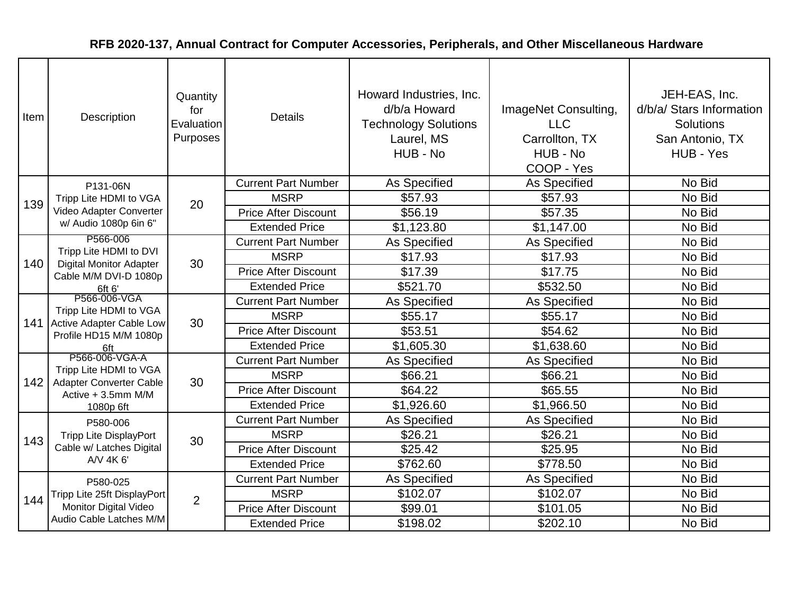| Item | Description                                                                             | Quantity<br>for<br>Evaluation<br>Purposes | <b>Details</b>              | Howard Industries, Inc.<br>d/b/a Howard<br><b>Technology Solutions</b><br>Laurel, MS<br>HUB - No | ImageNet Consulting,<br><b>LLC</b><br>Carrollton, TX<br>HUB - No<br>COOP - Yes | JEH-EAS, Inc.<br>d/b/a/ Stars Information<br><b>Solutions</b><br>San Antonio, TX<br>HUB - Yes |
|------|-----------------------------------------------------------------------------------------|-------------------------------------------|-----------------------------|--------------------------------------------------------------------------------------------------|--------------------------------------------------------------------------------|-----------------------------------------------------------------------------------------------|
|      | P131-06N                                                                                |                                           | <b>Current Part Number</b>  | As Specified                                                                                     | As Specified                                                                   | No Bid                                                                                        |
| 139  | Tripp Lite HDMI to VGA                                                                  | 20                                        | <b>MSRP</b>                 | \$57.93                                                                                          | \$57.93                                                                        | No Bid                                                                                        |
|      | Video Adapter Converter                                                                 |                                           | <b>Price After Discount</b> | \$56.19                                                                                          | \$57.35                                                                        | No Bid                                                                                        |
|      | w/ Audio 1080p 6in 6"                                                                   |                                           | <b>Extended Price</b>       | \$1,123.80                                                                                       | \$1,147.00                                                                     | No Bid                                                                                        |
|      | P566-006<br>Tripp Lite HDMI to DVI                                                      |                                           | <b>Current Part Number</b>  | As Specified                                                                                     | As Specified                                                                   | No Bid                                                                                        |
| 140  | <b>Digital Monitor Adapter</b>                                                          | 30                                        | <b>MSRP</b>                 | \$17.93                                                                                          | \$17.93                                                                        | No Bid                                                                                        |
|      | Cable M/M DVI-D 1080p<br>6ft 6'                                                         |                                           | <b>Price After Discount</b> | \$17.39                                                                                          | \$17.75                                                                        | No Bid                                                                                        |
|      |                                                                                         |                                           | <b>Extended Price</b>       | \$521.70                                                                                         | \$532.50                                                                       | No Bid                                                                                        |
|      | P566-006-VGA                                                                            |                                           | <b>Current Part Number</b>  | As Specified                                                                                     | As Specified                                                                   | No Bid                                                                                        |
|      | Tripp Lite HDMI to VGA<br>141 Active Adapter Cable Low<br>Profile HD15 M/M 1080p<br>6ft | 30                                        | <b>MSRP</b>                 | \$55.17                                                                                          | \$55.17                                                                        | No Bid                                                                                        |
|      |                                                                                         |                                           | <b>Price After Discount</b> | \$53.51                                                                                          | \$54.62                                                                        | No Bid                                                                                        |
|      |                                                                                         |                                           | <b>Extended Price</b>       | \$1,605.30                                                                                       | \$1,638.60                                                                     | No Bid                                                                                        |
|      | P566-006-VGA-A                                                                          |                                           | <b>Current Part Number</b>  | As Specified                                                                                     | As Specified                                                                   | No Bid                                                                                        |
| 142  | Tripp Lite HDMI to VGA<br>Adapter Converter Cable                                       | 30                                        | <b>MSRP</b>                 | \$66.21                                                                                          | \$66.21                                                                        | No Bid                                                                                        |
|      | Active + 3.5mm M/M                                                                      |                                           | <b>Price After Discount</b> | \$64.22                                                                                          | \$65.55                                                                        | No Bid                                                                                        |
|      | 1080p 6ft                                                                               |                                           | <b>Extended Price</b>       | \$1,926.60                                                                                       | \$1,966.50                                                                     | No Bid                                                                                        |
|      | P580-006                                                                                |                                           | <b>Current Part Number</b>  | As Specified                                                                                     | As Specified                                                                   | No Bid                                                                                        |
| 143  | <b>Tripp Lite DisplayPort</b>                                                           | 30                                        | <b>MSRP</b>                 | \$26.21                                                                                          | \$26.21                                                                        | No Bid                                                                                        |
|      | Cable w/ Latches Digital                                                                |                                           | <b>Price After Discount</b> | \$25.42                                                                                          | \$25.95                                                                        | No Bid                                                                                        |
|      | A/V 4K 6'                                                                               |                                           | <b>Extended Price</b>       | \$762.60                                                                                         | \$778.50                                                                       | No Bid                                                                                        |
|      | P580-025                                                                                |                                           | <b>Current Part Number</b>  | As Specified                                                                                     | As Specified                                                                   | No Bid                                                                                        |
| 144  | Tripp Lite 25ft DisplayPort                                                             | $\overline{2}$                            | <b>MSRP</b>                 | \$102.07                                                                                         | \$102.07                                                                       | No Bid                                                                                        |
|      | <b>Monitor Digital Video</b>                                                            |                                           | <b>Price After Discount</b> | \$99.01                                                                                          | \$101.05                                                                       | No Bid                                                                                        |
|      | Audio Cable Latches M/M                                                                 |                                           | <b>Extended Price</b>       | \$198.02                                                                                         | \$202.10                                                                       | No Bid                                                                                        |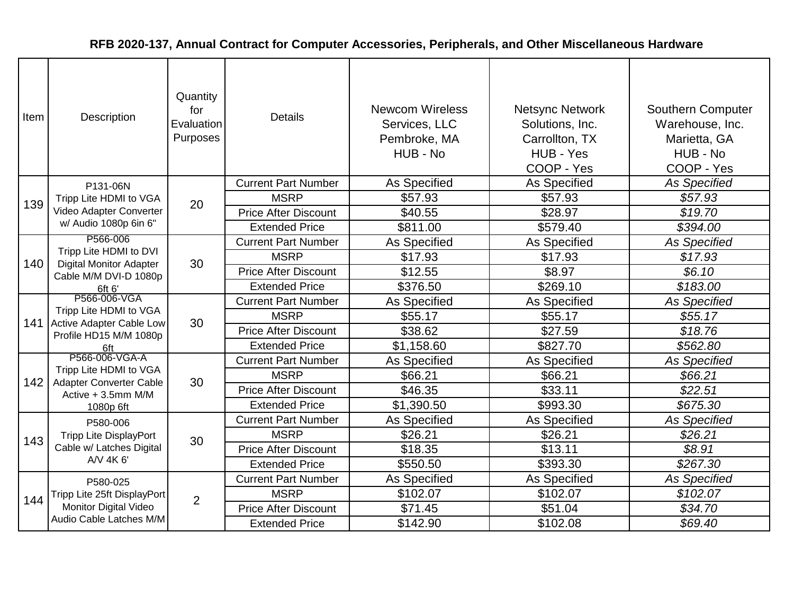| Item | Description                                                                             | Quantity<br>for<br>Evaluation<br>Purposes | <b>Details</b>              | <b>Newcom Wireless</b><br>Services, LLC<br>Pembroke, MA<br>HUB - No | <b>Netsync Network</b><br>Solutions, Inc.<br>Carrollton, TX<br>HUB - Yes<br>COOP - Yes | <b>Southern Computer</b><br>Warehouse, Inc.<br>Marietta, GA<br>HUB - No<br>COOP - Yes |
|------|-----------------------------------------------------------------------------------------|-------------------------------------------|-----------------------------|---------------------------------------------------------------------|----------------------------------------------------------------------------------------|---------------------------------------------------------------------------------------|
|      | P131-06N                                                                                |                                           | <b>Current Part Number</b>  | As Specified                                                        | As Specified                                                                           | <b>As Specified</b>                                                                   |
| 139  | Tripp Lite HDMI to VGA                                                                  | 20                                        | <b>MSRP</b>                 | \$57.93                                                             | \$57.93                                                                                | \$57.93                                                                               |
|      | Video Adapter Converter                                                                 |                                           | <b>Price After Discount</b> | \$40.55                                                             | \$28.97                                                                                | \$19.70                                                                               |
|      | w/ Audio 1080p 6in 6"                                                                   |                                           | <b>Extended Price</b>       | \$811.00                                                            | \$579.40                                                                               | \$394.00                                                                              |
|      | P566-006                                                                                |                                           | <b>Current Part Number</b>  | As Specified                                                        | As Specified                                                                           | <b>As Specified</b>                                                                   |
| 140  | Tripp Lite HDMI to DVI<br><b>Digital Monitor Adapter</b>                                | 30                                        | <b>MSRP</b>                 | \$17.93                                                             | \$17.93                                                                                | \$17.93                                                                               |
|      | Cable M/M DVI-D 1080p<br>6ft 6'                                                         |                                           | <b>Price After Discount</b> | \$12.55                                                             | \$8.97                                                                                 | \$6.10                                                                                |
|      |                                                                                         |                                           | <b>Extended Price</b>       | \$376.50                                                            | \$269.10                                                                               | \$183.00                                                                              |
|      | P566-006-VGA                                                                            | 30                                        | <b>Current Part Number</b>  | As Specified                                                        | As Specified                                                                           | <b>As Specified</b>                                                                   |
|      | Tripp Lite HDMI to VGA<br>141 Active Adapter Cable Low<br>Profile HD15 M/M 1080p<br>6ft |                                           | <b>MSRP</b>                 | \$55.17                                                             | \$55.17                                                                                | \$55.17                                                                               |
|      |                                                                                         |                                           | <b>Price After Discount</b> | \$38.62                                                             | \$27.59                                                                                | \$18.76                                                                               |
|      |                                                                                         |                                           | <b>Extended Price</b>       | \$1,158.60                                                          | \$827.70                                                                               | \$562.80                                                                              |
|      | P566-006-VGA-A                                                                          |                                           | <b>Current Part Number</b>  | As Specified                                                        | As Specified                                                                           | <b>As Specified</b>                                                                   |
| 142  | Tripp Lite HDMI to VGA<br>Adapter Converter Cable                                       | 30                                        | <b>MSRP</b>                 | \$66.21                                                             | \$66.21                                                                                | \$66.21                                                                               |
|      | Active + 3.5mm M/M                                                                      |                                           | <b>Price After Discount</b> | \$46.35                                                             | \$33.11                                                                                | \$22.51                                                                               |
|      | 1080p 6ft                                                                               |                                           | <b>Extended Price</b>       | \$1,390.50                                                          | \$993.30                                                                               | \$675.30                                                                              |
|      | P580-006                                                                                |                                           | <b>Current Part Number</b>  | As Specified                                                        | As Specified                                                                           | <b>As Specified</b>                                                                   |
| 143  | <b>Tripp Lite DisplayPort</b>                                                           | 30                                        | <b>MSRP</b>                 | \$26.21                                                             | \$26.21                                                                                | \$26.21                                                                               |
|      | Cable w/ Latches Digital                                                                |                                           | <b>Price After Discount</b> | \$18.35                                                             | \$13.11                                                                                | \$8.91                                                                                |
|      | A/V 4K 6'                                                                               |                                           | <b>Extended Price</b>       | \$550.50                                                            | \$393.30                                                                               | \$267.30                                                                              |
|      | P580-025                                                                                |                                           | <b>Current Part Number</b>  | As Specified                                                        | As Specified                                                                           | <b>As Specified</b>                                                                   |
| 144  | Tripp Lite 25ft DisplayPort                                                             | $\overline{2}$                            | <b>MSRP</b>                 | \$102.07                                                            | \$102.07                                                                               | \$102.07                                                                              |
|      | Monitor Digital Video                                                                   |                                           | <b>Price After Discount</b> | \$71.45                                                             | \$51.04                                                                                | \$34.70                                                                               |
|      | Audio Cable Latches M/M                                                                 |                                           | <b>Extended Price</b>       | \$142.90                                                            | \$102.08                                                                               | \$69.40                                                                               |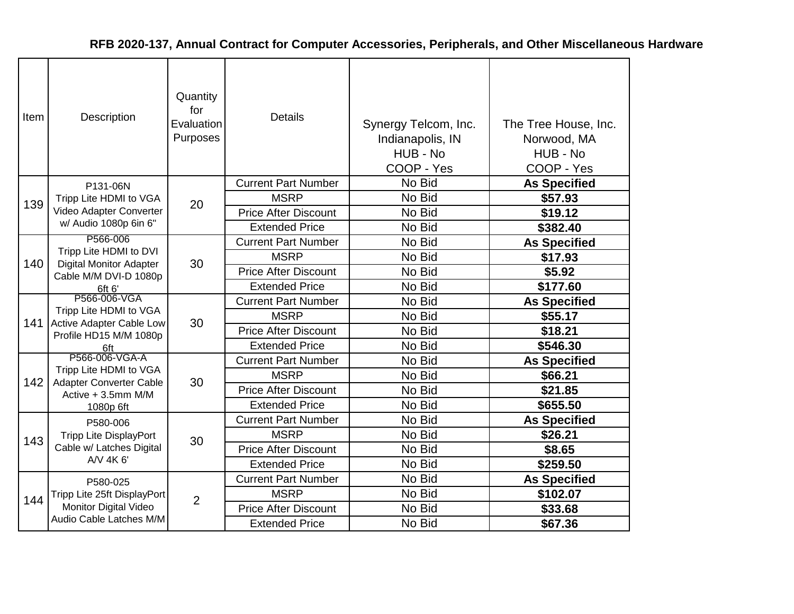| Item | <b>Description</b>                                                                                   | Quantity<br>for<br>Evaluation<br>Purposes | <b>Details</b>              | Synergy Telcom, Inc.<br>Indianapolis, IN<br>HUB - No<br>COOP - Yes | The Tree House, Inc.<br>Norwood, MA<br>HUB - No<br>COOP - Yes |
|------|------------------------------------------------------------------------------------------------------|-------------------------------------------|-----------------------------|--------------------------------------------------------------------|---------------------------------------------------------------|
|      | P131-06N                                                                                             |                                           | <b>Current Part Number</b>  | No Bid                                                             | <b>As Specified</b>                                           |
| 139  | Tripp Lite HDMI to VGA                                                                               | 20                                        | <b>MSRP</b>                 | No Bid                                                             | \$57.93                                                       |
|      | Video Adapter Converter                                                                              |                                           | <b>Price After Discount</b> | No Bid                                                             | \$19.12                                                       |
|      | w/ Audio 1080p 6in 6"                                                                                |                                           | <b>Extended Price</b>       | No Bid                                                             | \$382.40                                                      |
|      | P566-006<br>Tripp Lite HDMI to DVI<br>140<br><b>Digital Monitor Adapter</b><br>Cable M/M DVI-D 1080p |                                           | <b>Current Part Number</b>  | No Bid                                                             | <b>As Specified</b>                                           |
|      |                                                                                                      | 30                                        | <b>MSRP</b>                 | No Bid                                                             | \$17.93                                                       |
|      |                                                                                                      |                                           | <b>Price After Discount</b> | No Bid                                                             | \$5.92                                                        |
|      | 6ft 6'                                                                                               |                                           | <b>Extended Price</b>       | No Bid                                                             | \$177.60                                                      |
|      | P566-006-VGA                                                                                         | 30                                        | <b>Current Part Number</b>  | No Bid                                                             | <b>As Specified</b>                                           |
| 141  | Tripp Lite HDMI to VGA<br>Active Adapter Cable Low                                                   |                                           | <b>MSRP</b>                 | No Bid                                                             | \$55.17                                                       |
|      | Profile HD15 M/M 1080p<br>6ft                                                                        |                                           | <b>Price After Discount</b> | No Bid                                                             | \$18.21                                                       |
|      |                                                                                                      |                                           | <b>Extended Price</b>       | No Bid                                                             | \$546.30                                                      |
|      | P566-006-VGA-A                                                                                       |                                           | <b>Current Part Number</b>  | No Bid                                                             | <b>As Specified</b>                                           |
| 142  | Tripp Lite HDMI to VGA                                                                               | 30                                        | <b>MSRP</b>                 | No Bid                                                             | \$66.21                                                       |
|      | Adapter Converter Cable<br>Active + 3.5mm M/M                                                        |                                           | <b>Price After Discount</b> | No Bid                                                             | \$21.85                                                       |
|      | 1080p 6ft                                                                                            |                                           | <b>Extended Price</b>       | No Bid                                                             | \$655.50                                                      |
|      | P580-006                                                                                             |                                           | <b>Current Part Number</b>  | No Bid                                                             | <b>As Specified</b>                                           |
| 143  | <b>Tripp Lite DisplayPort</b>                                                                        | 30                                        | <b>MSRP</b>                 | No Bid                                                             | \$26.21                                                       |
|      | Cable w/ Latches Digital                                                                             |                                           | <b>Price After Discount</b> | No Bid                                                             | \$8.65                                                        |
|      | A/V 4K 6'                                                                                            |                                           | <b>Extended Price</b>       | No Bid                                                             | \$259.50                                                      |
|      | P580-025                                                                                             |                                           | <b>Current Part Number</b>  | No Bid                                                             | <b>As Specified</b>                                           |
|      | Tripp Lite 25ft DisplayPort                                                                          |                                           | <b>MSRP</b>                 | No Bid                                                             | \$102.07                                                      |
| 144  | Monitor Digital Video                                                                                | 2                                         | <b>Price After Discount</b> | No Bid                                                             | \$33.68                                                       |
|      | Audio Cable Latches M/M                                                                              |                                           | <b>Extended Price</b>       | No Bid                                                             | \$67.36                                                       |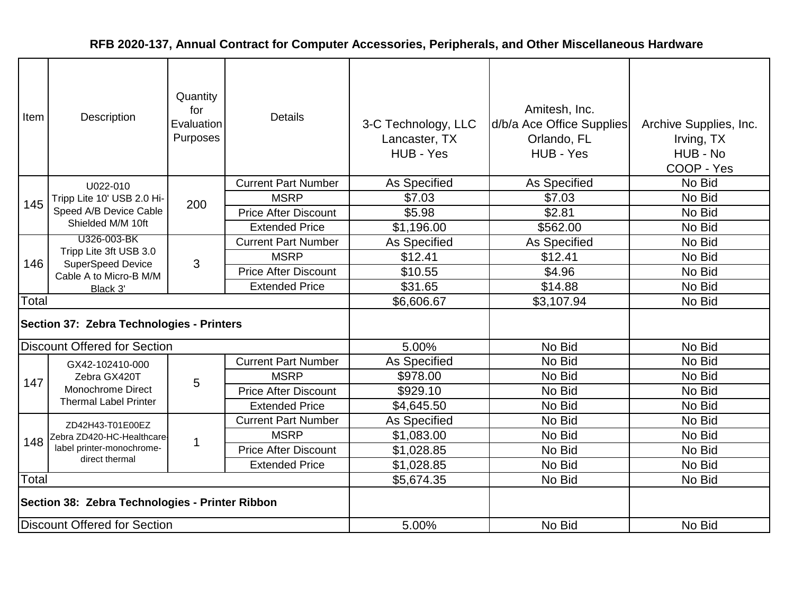| Item                                            | Description                                        | Quantity<br>for<br>Evaluation<br>Purposes | <b>Details</b>              | 3-C Technology, LLC<br>Lancaster, TX<br>HUB - Yes | Amitesh, Inc.<br>d/b/a Ace Office Supplies<br>Orlando, FL<br>HUB - Yes | Archive Supplies, Inc.<br>Irving, TX<br>HUB - No<br>COOP - Yes |
|-------------------------------------------------|----------------------------------------------------|-------------------------------------------|-----------------------------|---------------------------------------------------|------------------------------------------------------------------------|----------------------------------------------------------------|
|                                                 | U022-010                                           |                                           | <b>Current Part Number</b>  | As Specified                                      | As Specified                                                           | No Bid                                                         |
| 145                                             | Tripp Lite 10' USB 2.0 Hi-                         | 200                                       | <b>MSRP</b>                 | \$7.03                                            | \$7.03                                                                 | No Bid                                                         |
|                                                 | Speed A/B Device Cable                             |                                           | <b>Price After Discount</b> | \$5.98                                            | \$2.81                                                                 | No Bid                                                         |
|                                                 | Shielded M/M 10ft                                  |                                           | <b>Extended Price</b>       | \$1,196.00                                        | \$562.00                                                               | No Bid                                                         |
|                                                 | U326-003-BK                                        |                                           | <b>Current Part Number</b>  | As Specified                                      | As Specified                                                           | No Bid                                                         |
| 146                                             | Tripp Lite 3ft USB 3.0<br><b>SuperSpeed Device</b> | 3                                         | <b>MSRP</b>                 | \$12.41                                           | \$12.41                                                                | No Bid                                                         |
|                                                 | Cable A to Micro-B M/M                             |                                           | <b>Price After Discount</b> | \$10.55                                           | \$4.96                                                                 | No Bid                                                         |
|                                                 | Black 3'                                           |                                           | <b>Extended Price</b>       | \$31.65                                           | \$14.88                                                                | No Bid                                                         |
| Total                                           |                                                    |                                           |                             | \$6,606.67                                        | \$3,107.94                                                             | No Bid                                                         |
|                                                 | Section 37: Zebra Technologies - Printers          |                                           |                             |                                                   |                                                                        |                                                                |
|                                                 | <b>Discount Offered for Section</b>                |                                           |                             | 5.00%                                             | No Bid                                                                 | No Bid                                                         |
|                                                 | GX42-102410-000                                    |                                           | <b>Current Part Number</b>  | As Specified                                      | No Bid                                                                 | No Bid                                                         |
| 147                                             | Zebra GX420T                                       | 5                                         | <b>MSRP</b>                 | \$978.00                                          | No Bid                                                                 | No Bid                                                         |
|                                                 | <b>Monochrome Direct</b>                           |                                           | <b>Price After Discount</b> | \$929.10                                          | No Bid                                                                 | No Bid                                                         |
|                                                 | <b>Thermal Label Printer</b>                       |                                           | <b>Extended Price</b>       | \$4,645.50                                        | No Bid                                                                 | No Bid                                                         |
|                                                 | ZD42H43-T01E00EZ                                   |                                           | <b>Current Part Number</b>  | As Specified                                      | No Bid                                                                 | No Bid                                                         |
| 148                                             | Zebra ZD420-HC-Healthcare-                         | 1                                         | <b>MSRP</b>                 | \$1,083.00                                        | No Bid                                                                 | No Bid                                                         |
|                                                 | label printer-monochrome-                          |                                           | <b>Price After Discount</b> | \$1,028.85                                        | No Bid                                                                 | No Bid                                                         |
|                                                 | direct thermal                                     |                                           | <b>Extended Price</b>       | \$1,028.85                                        | No Bid                                                                 | No Bid                                                         |
| Total                                           |                                                    |                                           |                             | \$5,674.35                                        | No Bid                                                                 | No Bid                                                         |
| Section 38: Zebra Technologies - Printer Ribbon |                                                    |                                           |                             |                                                   |                                                                        |                                                                |
|                                                 | Discount Offered for Section                       |                                           |                             | 5.00%                                             | No Bid                                                                 | No Bid                                                         |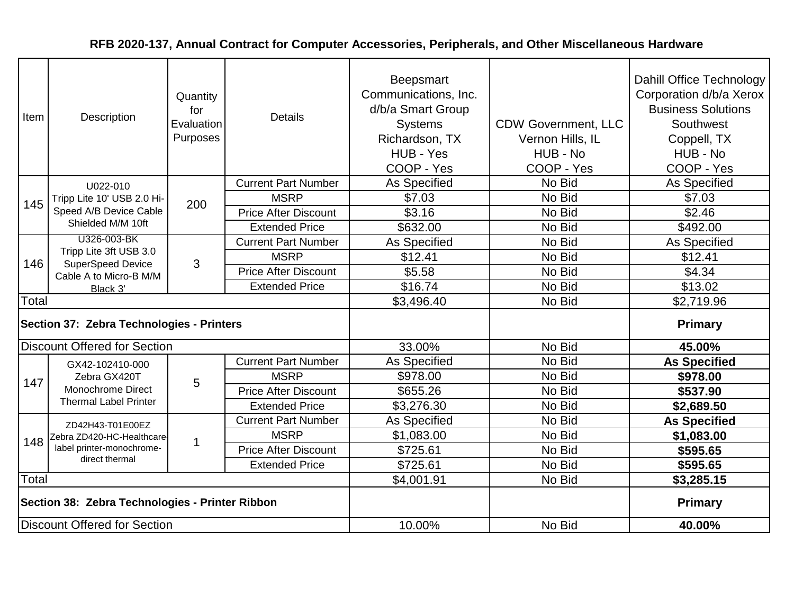| Item  | Description                                                                              | Quantity<br>for<br>Evaluation<br>Purposes | <b>Details</b>              | <b>Beepsmart</b><br>Communications, Inc.<br>d/b/a Smart Group<br><b>Systems</b><br>Richardson, TX<br>HUB - Yes<br>COOP - Yes | <b>CDW Government, LLC</b><br>Vernon Hills, IL<br>HUB - No<br>COOP - Yes | Dahill Office Technology<br>Corporation d/b/a Xerox<br><b>Business Solutions</b><br>Southwest<br>Coppell, TX<br>HUB - No<br>COOP - Yes |
|-------|------------------------------------------------------------------------------------------|-------------------------------------------|-----------------------------|------------------------------------------------------------------------------------------------------------------------------|--------------------------------------------------------------------------|----------------------------------------------------------------------------------------------------------------------------------------|
|       | U022-010                                                                                 |                                           | <b>Current Part Number</b>  | As Specified                                                                                                                 | No Bid                                                                   | As Specified                                                                                                                           |
| 145   | Tripp Lite 10' USB 2.0 Hi-                                                               | 200                                       | <b>MSRP</b>                 | \$7.03                                                                                                                       | No Bid                                                                   | \$7.03                                                                                                                                 |
|       | Speed A/B Device Cable                                                                   |                                           | <b>Price After Discount</b> | \$3.16                                                                                                                       | No Bid                                                                   | \$2.46                                                                                                                                 |
|       | Shielded M/M 10ft                                                                        |                                           | <b>Extended Price</b>       | \$632.00                                                                                                                     | No Bid                                                                   | \$492.00                                                                                                                               |
|       | U326-003-BK                                                                              |                                           | <b>Current Part Number</b>  | <b>As Specified</b>                                                                                                          | No Bid                                                                   | As Specified                                                                                                                           |
| 146   | Tripp Lite 3ft USB 3.0<br><b>SuperSpeed Device</b><br>Cable A to Micro-B M/M<br>Black 3' | 3                                         | <b>MSRP</b>                 | \$12.41                                                                                                                      | No Bid                                                                   | \$12.41                                                                                                                                |
|       |                                                                                          |                                           | <b>Price After Discount</b> | \$5.58                                                                                                                       | No Bid                                                                   | \$4.34                                                                                                                                 |
|       |                                                                                          |                                           | <b>Extended Price</b>       | \$16.74                                                                                                                      | No Bid                                                                   | \$13.02                                                                                                                                |
| Total |                                                                                          |                                           |                             | \$3,496.40                                                                                                                   | No Bid                                                                   | \$2,719.96                                                                                                                             |
|       | Section 37: Zebra Technologies - Printers                                                |                                           |                             |                                                                                                                              |                                                                          | <b>Primary</b>                                                                                                                         |
|       | <b>Discount Offered for Section</b>                                                      |                                           |                             | 33.00%                                                                                                                       | No Bid                                                                   | 45.00%                                                                                                                                 |
|       | GX42-102410-000                                                                          |                                           | <b>Current Part Number</b>  | As Specified                                                                                                                 | No Bid                                                                   | <b>As Specified</b>                                                                                                                    |
| 147   | Zebra GX420T                                                                             | 5                                         | <b>MSRP</b>                 | \$978.00                                                                                                                     | No Bid                                                                   | \$978.00                                                                                                                               |
|       | Monochrome Direct                                                                        |                                           | <b>Price After Discount</b> | \$655.26                                                                                                                     | No Bid                                                                   | \$537.90                                                                                                                               |
|       | <b>Thermal Label Printer</b>                                                             |                                           | <b>Extended Price</b>       | \$3,276.30                                                                                                                   | No Bid                                                                   | \$2,689.50                                                                                                                             |
|       | ZD42H43-T01E00EZ                                                                         |                                           | <b>Current Part Number</b>  | As Specified                                                                                                                 | No Bid                                                                   | <b>As Specified</b>                                                                                                                    |
| 148   | Zebra ZD420-HC-Healthcare-                                                               | -1                                        | <b>MSRP</b>                 | \$1,083.00                                                                                                                   | No Bid                                                                   | \$1,083.00                                                                                                                             |
|       | label printer-monochrome-<br>direct thermal                                              |                                           | <b>Price After Discount</b> | \$725.61                                                                                                                     | No Bid                                                                   | \$595.65                                                                                                                               |
|       |                                                                                          |                                           | <b>Extended Price</b>       | \$725.61                                                                                                                     | No Bid                                                                   | \$595.65                                                                                                                               |
| Total |                                                                                          |                                           |                             | \$4,001.91                                                                                                                   | No Bid                                                                   | \$3,285.15                                                                                                                             |
|       | Section 38: Zebra Technologies - Printer Ribbon                                          |                                           |                             |                                                                                                                              |                                                                          | <b>Primary</b>                                                                                                                         |
|       | <b>Discount Offered for Section</b>                                                      |                                           |                             | 10.00%                                                                                                                       | No Bid                                                                   | 40.00%                                                                                                                                 |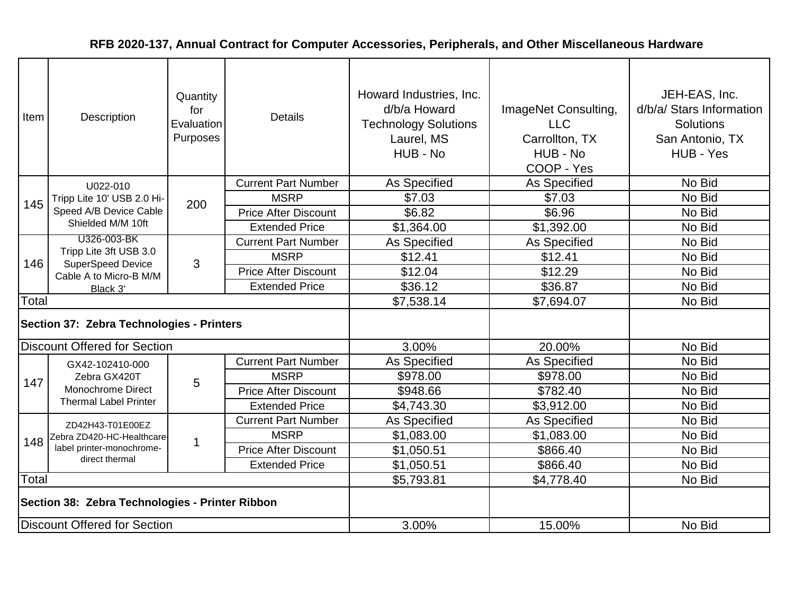| Item                                            | Description                                        | Quantity<br>for<br>Evaluation<br>Purposes | <b>Details</b>              | Howard Industries, Inc.<br>d/b/a Howard<br><b>Technology Solutions</b><br>Laurel, MS<br>HUB - No | ImageNet Consulting,<br><b>LLC</b><br>Carrollton, TX<br>HUB - No<br>COOP - Yes | JEH-EAS, Inc.<br>d/b/a/ Stars Information<br>Solutions<br>San Antonio, TX<br>HUB - Yes |
|-------------------------------------------------|----------------------------------------------------|-------------------------------------------|-----------------------------|--------------------------------------------------------------------------------------------------|--------------------------------------------------------------------------------|----------------------------------------------------------------------------------------|
|                                                 | U022-010                                           |                                           | <b>Current Part Number</b>  | As Specified                                                                                     | As Specified                                                                   | No Bid                                                                                 |
| 145                                             | Tripp Lite 10' USB 2.0 Hi-                         | 200                                       | <b>MSRP</b>                 | \$7.03                                                                                           | \$7.03                                                                         | No Bid                                                                                 |
|                                                 | Speed A/B Device Cable                             |                                           | <b>Price After Discount</b> | \$6.82                                                                                           | \$6.96                                                                         | No Bid                                                                                 |
|                                                 | Shielded M/M 10ft                                  |                                           | <b>Extended Price</b>       | \$1,364.00                                                                                       | \$1,392.00                                                                     | No Bid                                                                                 |
|                                                 | U326-003-BK                                        |                                           | <b>Current Part Number</b>  | As Specified                                                                                     | As Specified                                                                   | No Bid                                                                                 |
| 146                                             | Tripp Lite 3ft USB 3.0<br><b>SuperSpeed Device</b> | 3                                         | <b>MSRP</b>                 | \$12.41                                                                                          | \$12.41                                                                        | No Bid                                                                                 |
|                                                 | Cable A to Micro-B M/M                             |                                           | <b>Price After Discount</b> | \$12.04                                                                                          | \$12.29                                                                        | No Bid                                                                                 |
|                                                 | Black 3'                                           |                                           | <b>Extended Price</b>       | \$36.12                                                                                          | \$36.87                                                                        | No Bid                                                                                 |
| Total                                           |                                                    |                                           |                             | \$7,538.14                                                                                       | \$7,694.07                                                                     | No Bid                                                                                 |
|                                                 | Section 37: Zebra Technologies - Printers          |                                           |                             |                                                                                                  |                                                                                |                                                                                        |
|                                                 | <b>Discount Offered for Section</b>                |                                           |                             | 3.00%                                                                                            | 20.00%                                                                         | No Bid                                                                                 |
|                                                 | GX42-102410-000                                    |                                           | <b>Current Part Number</b>  | As Specified                                                                                     | As Specified                                                                   | No Bid                                                                                 |
| 147                                             | Zebra GX420T                                       | 5                                         | <b>MSRP</b>                 | \$978.00                                                                                         | \$978.00                                                                       | No Bid                                                                                 |
|                                                 | <b>Monochrome Direct</b>                           |                                           | <b>Price After Discount</b> | \$948.66                                                                                         | \$782.40                                                                       | No Bid                                                                                 |
|                                                 | <b>Thermal Label Printer</b>                       |                                           | <b>Extended Price</b>       | \$4,743.30                                                                                       | \$3,912.00                                                                     | No Bid                                                                                 |
|                                                 | ZD42H43-T01E00EZ                                   |                                           | <b>Current Part Number</b>  | As Specified                                                                                     | As Specified                                                                   | No Bid                                                                                 |
| 148                                             | Zebra ZD420-HC-Healthcare-                         | 1                                         | <b>MSRP</b>                 | \$1,083.00                                                                                       | \$1,083.00                                                                     | No Bid                                                                                 |
|                                                 | label printer-monochrome-                          |                                           | <b>Price After Discount</b> | \$1,050.51                                                                                       | \$866.40                                                                       | No Bid                                                                                 |
|                                                 | direct thermal                                     |                                           | <b>Extended Price</b>       | \$1,050.51                                                                                       | \$866.40                                                                       | No Bid                                                                                 |
| Total                                           |                                                    |                                           |                             | \$5,793.81                                                                                       | \$4,778.40                                                                     | No Bid                                                                                 |
| Section 38: Zebra Technologies - Printer Ribbon |                                                    |                                           |                             |                                                                                                  |                                                                                |                                                                                        |
| Discount Offered for Section                    |                                                    |                                           |                             | 3.00%                                                                                            | 15.00%                                                                         | No Bid                                                                                 |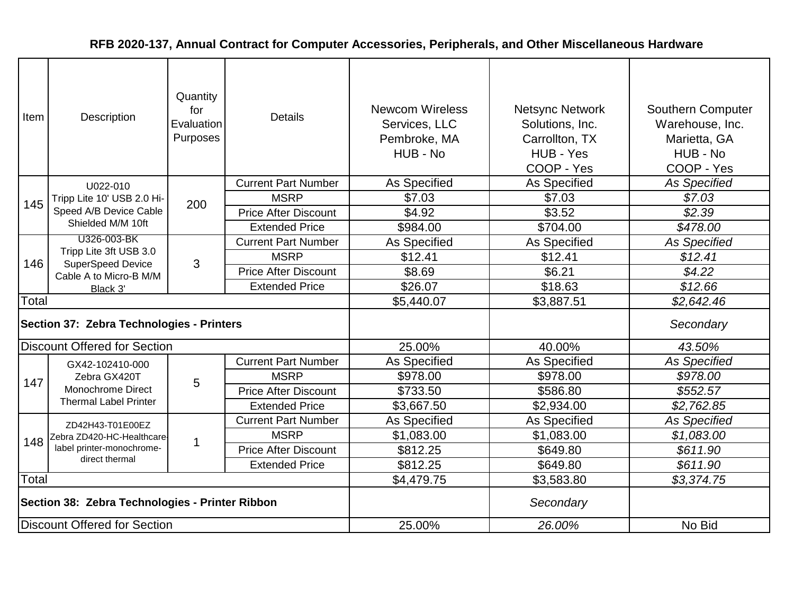| Item                                            | Description                                                                              | Quantity<br>for<br>Evaluation<br>Purposes | <b>Details</b>              | <b>Newcom Wireless</b><br>Services, LLC<br>Pembroke, MA<br>HUB - No | <b>Netsync Network</b><br>Solutions, Inc.<br>Carrollton, TX<br>HUB - Yes<br>COOP - Yes | Southern Computer<br>Warehouse, Inc.<br>Marietta, GA<br>HUB - No<br>COOP - Yes |
|-------------------------------------------------|------------------------------------------------------------------------------------------|-------------------------------------------|-----------------------------|---------------------------------------------------------------------|----------------------------------------------------------------------------------------|--------------------------------------------------------------------------------|
|                                                 | U022-010                                                                                 |                                           | <b>Current Part Number</b>  | As Specified                                                        | As Specified                                                                           | <b>As Specified</b>                                                            |
| 145                                             | Tripp Lite 10' USB 2.0 Hi-                                                               | 200                                       | <b>MSRP</b>                 | \$7.03                                                              | \$7.03                                                                                 | \$7.03                                                                         |
|                                                 | Speed A/B Device Cable                                                                   |                                           | <b>Price After Discount</b> | \$4.92                                                              | \$3.52                                                                                 | \$2.39                                                                         |
|                                                 | Shielded M/M 10ft                                                                        |                                           | <b>Extended Price</b>       | \$984.00                                                            | \$704.00                                                                               | \$478.00                                                                       |
|                                                 | U326-003-BK                                                                              |                                           | <b>Current Part Number</b>  | As Specified                                                        | As Specified                                                                           | <b>As Specified</b>                                                            |
| 146                                             | Tripp Lite 3ft USB 3.0<br><b>SuperSpeed Device</b><br>Cable A to Micro-B M/M<br>Black 3' | 3                                         | <b>MSRP</b>                 | \$12.41                                                             | \$12.41                                                                                | \$12.41                                                                        |
|                                                 |                                                                                          |                                           | <b>Price After Discount</b> | \$8.69                                                              | \$6.21                                                                                 | \$4.22                                                                         |
|                                                 |                                                                                          |                                           | <b>Extended Price</b>       | \$26.07                                                             | \$18.63                                                                                | \$12.66                                                                        |
| Total                                           |                                                                                          |                                           |                             | \$5,440.07                                                          | \$3,887.51                                                                             | \$2,642.46                                                                     |
|                                                 | Section 37: Zebra Technologies - Printers                                                |                                           |                             |                                                                     |                                                                                        | Secondary                                                                      |
|                                                 | <b>Discount Offered for Section</b>                                                      |                                           |                             | 25.00%                                                              | 40.00%                                                                                 | 43.50%                                                                         |
|                                                 | GX42-102410-000                                                                          |                                           | <b>Current Part Number</b>  | <b>As Specified</b>                                                 | <b>As Specified</b>                                                                    | <b>As Specified</b>                                                            |
| 147                                             | Zebra GX420T                                                                             | 5                                         | <b>MSRP</b>                 | \$978.00                                                            | \$978.00                                                                               | \$978.00                                                                       |
|                                                 | Monochrome Direct                                                                        |                                           | <b>Price After Discount</b> | \$733.50                                                            | \$586.80                                                                               | \$552.57                                                                       |
|                                                 | <b>Thermal Label Printer</b>                                                             |                                           | <b>Extended Price</b>       | \$3,667.50                                                          | \$2,934.00                                                                             | \$2,762.85                                                                     |
|                                                 | ZD42H43-T01E00EZ                                                                         |                                           | <b>Current Part Number</b>  | As Specified                                                        | As Specified                                                                           | <b>As Specified</b>                                                            |
| 148                                             | Zebra ZD420-HC-Healthcare-                                                               | 1                                         | <b>MSRP</b>                 | \$1,083.00                                                          | \$1,083.00                                                                             | \$1,083.00                                                                     |
|                                                 | label printer-monochrome-                                                                |                                           | <b>Price After Discount</b> | \$812.25                                                            | \$649.80                                                                               | \$611.90                                                                       |
|                                                 | direct thermal                                                                           |                                           | <b>Extended Price</b>       | \$812.25                                                            | \$649.80                                                                               | \$611.90                                                                       |
| Total                                           |                                                                                          | \$4,479.75                                | \$3,583.80                  | \$3,374.75                                                          |                                                                                        |                                                                                |
| Section 38: Zebra Technologies - Printer Ribbon |                                                                                          |                                           | Secondary                   |                                                                     |                                                                                        |                                                                                |
|                                                 | Discount Offered for Section                                                             |                                           |                             | 25.00%                                                              | 26.00%                                                                                 | No Bid                                                                         |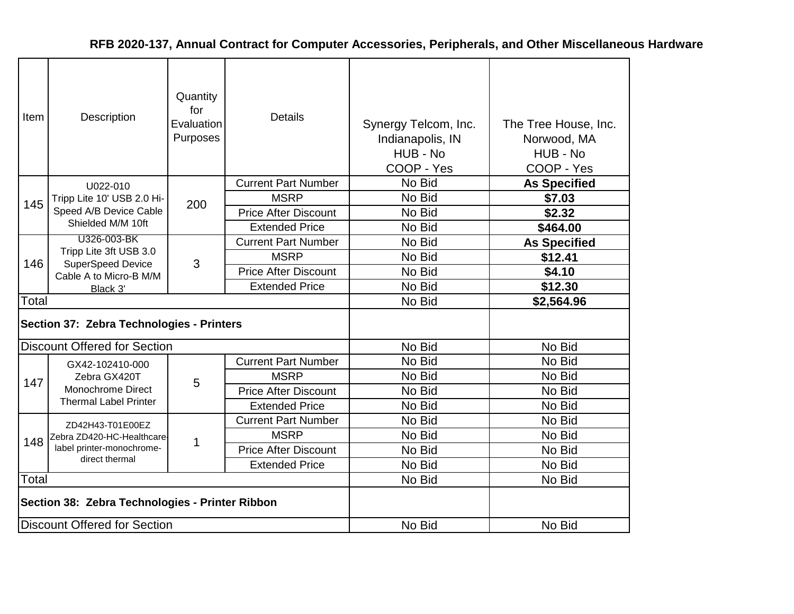| Item  | Description                                        | Quantity<br>for<br>Evaluation<br>Purposes | <b>Details</b>              | Synergy Telcom, Inc.<br>Indianapolis, IN<br>HUB - No<br>COOP - Yes | The Tree House, Inc.<br>Norwood, MA<br>HUB - No<br>COOP - Yes |
|-------|----------------------------------------------------|-------------------------------------------|-----------------------------|--------------------------------------------------------------------|---------------------------------------------------------------|
|       | U022-010                                           |                                           | <b>Current Part Number</b>  | No Bid                                                             | <b>As Specified</b>                                           |
| 145   | Tripp Lite 10' USB 2.0 Hi-                         | 200                                       | <b>MSRP</b>                 | No Bid                                                             | \$7.03                                                        |
|       | Speed A/B Device Cable                             |                                           | <b>Price After Discount</b> | No Bid                                                             | \$2.32                                                        |
|       | Shielded M/M 10ft                                  |                                           | <b>Extended Price</b>       | No Bid                                                             | \$464.00                                                      |
|       | U326-003-BK                                        |                                           | <b>Current Part Number</b>  | No Bid                                                             | <b>As Specified</b>                                           |
| 146   | Tripp Lite 3ft USB 3.0<br><b>SuperSpeed Device</b> | 3                                         | <b>MSRP</b>                 | No Bid                                                             | \$12.41                                                       |
|       | Cable A to Micro-B M/M                             |                                           | <b>Price After Discount</b> | No Bid                                                             | \$4.10                                                        |
|       | Black 3'                                           |                                           | <b>Extended Price</b>       | No Bid                                                             | \$12.30                                                       |
| Total |                                                    |                                           |                             | No Bid                                                             | \$2,564.96                                                    |
|       | Section 37: Zebra Technologies - Printers          |                                           |                             |                                                                    |                                                               |
|       | <b>Discount Offered for Section</b>                |                                           |                             | No Bid                                                             | No Bid                                                        |
|       | GX42-102410-000                                    |                                           | <b>Current Part Number</b>  | No Bid                                                             | No Bid                                                        |
| 147   | Zebra GX420T                                       | 5                                         | <b>MSRP</b>                 | No Bid                                                             | No Bid                                                        |
|       | Monochrome Direct                                  |                                           | <b>Price After Discount</b> | No Bid                                                             | No Bid                                                        |
|       | <b>Thermal Label Printer</b>                       |                                           | <b>Extended Price</b>       | No Bid                                                             | No Bid                                                        |
|       | ZD42H43-T01E00EZ                                   |                                           | <b>Current Part Number</b>  | No Bid                                                             | No Bid                                                        |
| 148   | Zebra ZD420-HC-Healthcare-                         |                                           | <b>MSRP</b>                 | No Bid                                                             | No Bid                                                        |
|       | label printer-monochrome-                          | 1                                         | <b>Price After Discount</b> | No Bid                                                             | No Bid                                                        |
|       | direct thermal                                     |                                           | <b>Extended Price</b>       | No Bid                                                             | No Bid                                                        |
| Total |                                                    |                                           |                             | No Bid                                                             | No Bid                                                        |
|       | Section 38: Zebra Technologies - Printer Ribbon    |                                           |                             |                                                                    |                                                               |
|       | Discount Offered for Section                       |                                           |                             | No Bid                                                             | No Bid                                                        |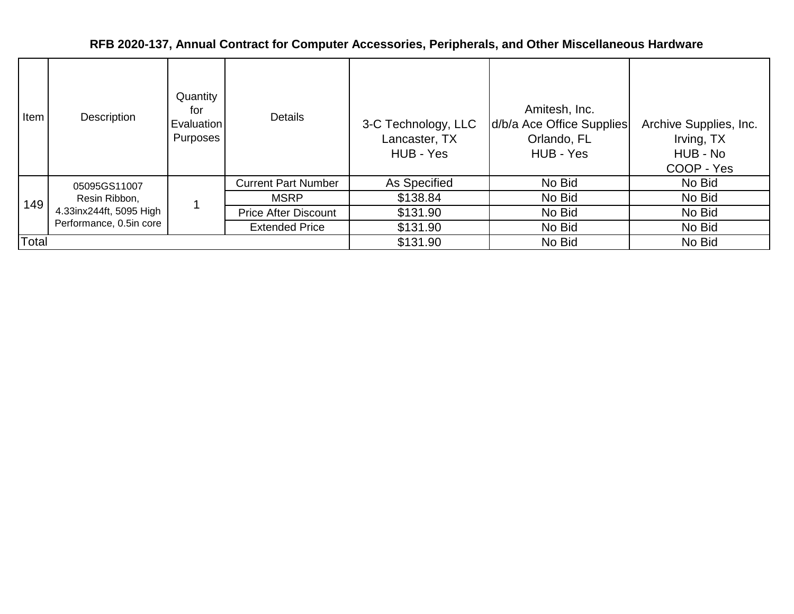| Item  | Description             | Quantity<br>for<br>Evaluation<br>Purposes | <b>Details</b>              | 3-C Technology, LLC<br>Lancaster, TX<br>HUB - Yes | Amitesh, Inc.<br>d/b/a Ace Office Supplies<br>Orlando, FL<br>HUB - Yes | Archive Supplies, Inc.<br>Irving, TX<br>HUB - No<br>COOP - Yes |
|-------|-------------------------|-------------------------------------------|-----------------------------|---------------------------------------------------|------------------------------------------------------------------------|----------------------------------------------------------------|
|       | 05095GS11007            |                                           | <b>Current Part Number</b>  | As Specified                                      | No Bid                                                                 | No Bid                                                         |
| 149   | Resin Ribbon,           |                                           | <b>MSRP</b>                 | \$138.84                                          | No Bid                                                                 | No Bid                                                         |
|       | 4.33inx244ft, 5095 High |                                           | <b>Price After Discount</b> | \$131.90                                          | No Bid                                                                 | No Bid                                                         |
|       | Performance, 0.5in core |                                           | <b>Extended Price</b>       | \$131.90                                          | No Bid                                                                 | No Bid                                                         |
| Total |                         |                                           |                             | \$131.90                                          | No Bid                                                                 | No Bid                                                         |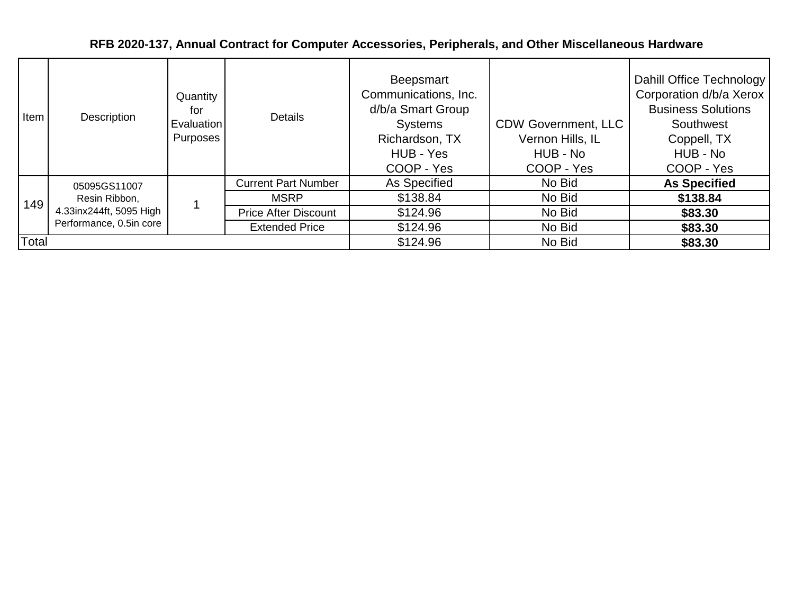| Item  | Description                                                                         | Quantity<br>for<br><b>Evaluation</b><br>Purposes | <b>Details</b>              | Beepsmart<br>Communications, Inc.<br>d/b/a Smart Group<br><b>Systems</b><br>Richardson, TX<br>HUB - Yes<br>COOP - Yes | <b>CDW Government, LLC</b><br>Vernon Hills, IL<br>HUB - No<br>COOP - Yes | Dahill Office Technology<br>Corporation d/b/a Xerox  <br><b>Business Solutions</b><br>Southwest<br>Coppell, TX<br>HUB - No<br>COOP - Yes |
|-------|-------------------------------------------------------------------------------------|--------------------------------------------------|-----------------------------|-----------------------------------------------------------------------------------------------------------------------|--------------------------------------------------------------------------|------------------------------------------------------------------------------------------------------------------------------------------|
| 149   | 05095GS11007<br>Resin Ribbon,<br>4.33inx244ft, 5095 High<br>Performance, 0.5in core |                                                  | <b>Current Part Number</b>  | As Specified                                                                                                          | No Bid                                                                   | <b>As Specified</b>                                                                                                                      |
|       |                                                                                     |                                                  | <b>MSRP</b>                 | \$138.84                                                                                                              | No Bid                                                                   | \$138.84                                                                                                                                 |
|       |                                                                                     |                                                  | <b>Price After Discount</b> | \$124.96                                                                                                              | No Bid                                                                   | \$83.30                                                                                                                                  |
|       |                                                                                     |                                                  | <b>Extended Price</b>       | \$124.96                                                                                                              | No Bid                                                                   | \$83.30                                                                                                                                  |
| Total |                                                                                     |                                                  |                             | \$124.96                                                                                                              | No Bid                                                                   | \$83.30                                                                                                                                  |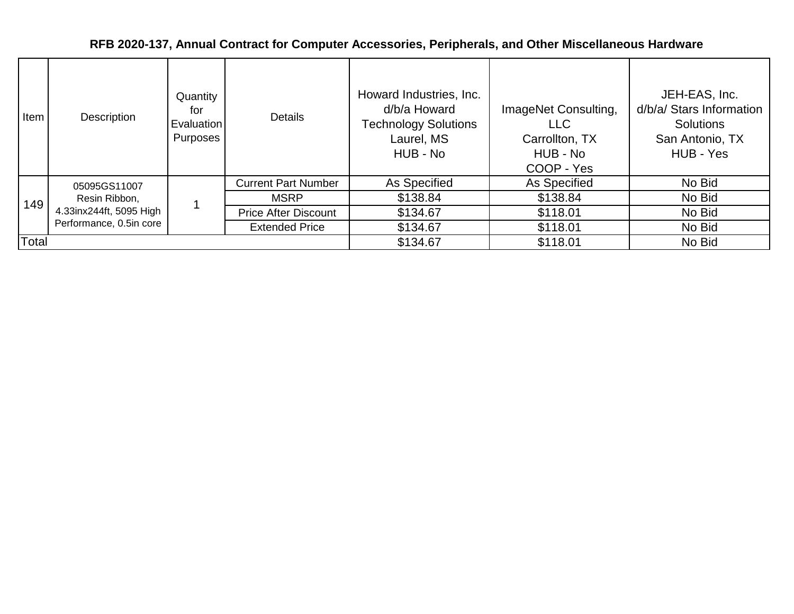| Item  | <b>Description</b>                                                                  | Quantity<br>for<br><b>Evaluation</b><br>Purposes | <b>Details</b>              | Howard Industries, Inc.<br>d/b/a Howard<br><b>Technology Solutions</b><br>Laurel, MS<br>HUB - No | ImageNet Consulting,<br><b>LLC</b><br>Carrollton, TX<br>HUB - No<br>COOP - Yes | JEH-EAS, Inc.<br>d/b/a/ Stars Information<br><b>Solutions</b><br>San Antonio, TX<br>HUB - Yes |
|-------|-------------------------------------------------------------------------------------|--------------------------------------------------|-----------------------------|--------------------------------------------------------------------------------------------------|--------------------------------------------------------------------------------|-----------------------------------------------------------------------------------------------|
|       | 05095GS11007<br>Resin Ribbon,<br>4.33inx244ft, 5095 High<br>Performance, 0.5in core |                                                  | <b>Current Part Number</b>  | As Specified                                                                                     | As Specified                                                                   | No Bid                                                                                        |
| 149   |                                                                                     |                                                  | <b>MSRP</b>                 | \$138.84                                                                                         | \$138.84                                                                       | No Bid                                                                                        |
|       |                                                                                     |                                                  | <b>Price After Discount</b> | \$134.67                                                                                         | \$118.01                                                                       | No Bid                                                                                        |
|       |                                                                                     |                                                  | <b>Extended Price</b>       | \$134.67                                                                                         | \$118.01                                                                       | No Bid                                                                                        |
| Total |                                                                                     |                                                  |                             | \$134.67                                                                                         | \$118.01                                                                       | No Bid                                                                                        |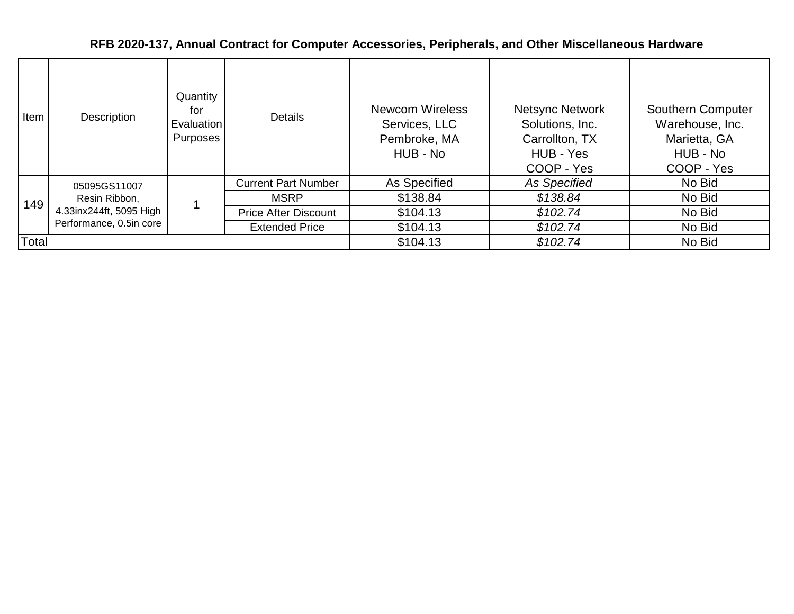| Item  | Description                                                                         | Quantity<br>for<br><b>Evaluation</b><br>Purposes | <b>Details</b>              | <b>Newcom Wireless</b><br>Services, LLC<br>Pembroke, MA<br>HUB - No | <b>Netsync Network</b><br>Solutions, Inc.<br>Carrollton, TX<br>HUB - Yes<br>COOP - Yes | <b>Southern Computer</b><br>Warehouse, Inc.<br>Marietta, GA<br>HUB - No<br>COOP - Yes |
|-------|-------------------------------------------------------------------------------------|--------------------------------------------------|-----------------------------|---------------------------------------------------------------------|----------------------------------------------------------------------------------------|---------------------------------------------------------------------------------------|
|       | 05095GS11007<br>Resin Ribbon,<br>4.33inx244ft, 5095 High<br>Performance, 0.5in core |                                                  | <b>Current Part Number</b>  | As Specified                                                        | As Specified                                                                           | No Bid                                                                                |
| 149   |                                                                                     |                                                  | <b>MSRP</b>                 | \$138.84                                                            | \$138.84                                                                               | No Bid                                                                                |
|       |                                                                                     |                                                  | <b>Price After Discount</b> | \$104.13                                                            | \$102.74                                                                               | No Bid                                                                                |
|       |                                                                                     |                                                  | <b>Extended Price</b>       | \$104.13                                                            | \$102.74                                                                               | No Bid                                                                                |
| Total |                                                                                     |                                                  |                             | \$104.13                                                            | \$102.74                                                                               | No Bid                                                                                |